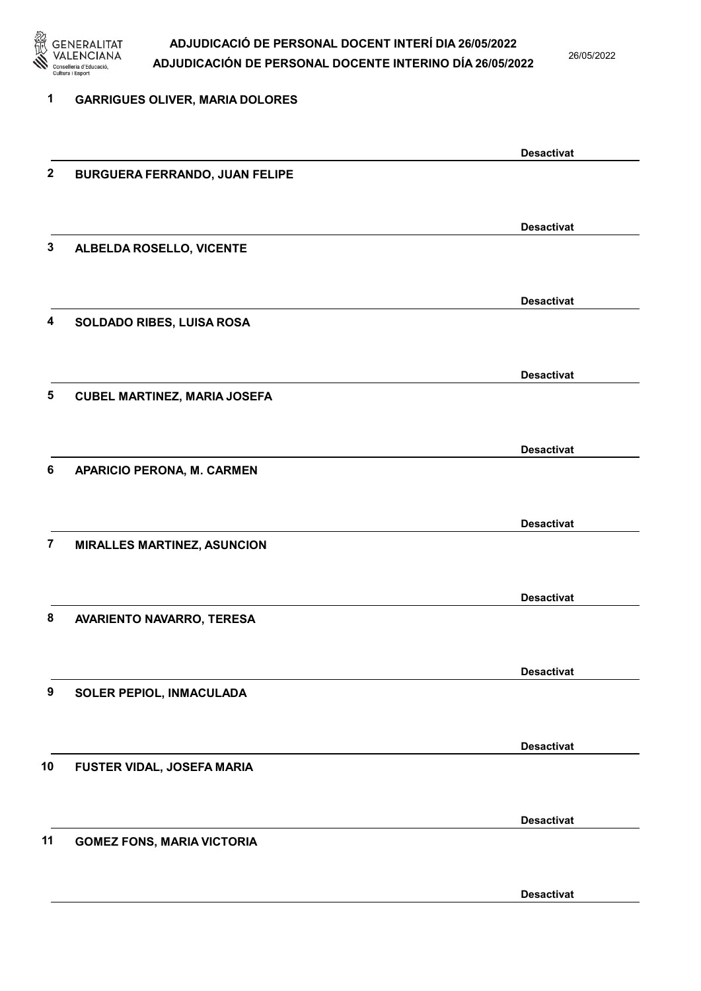

26/05/2022

| 1                | <b>GARRIGUES OLIVER, MARIA DOLORES</b> |                   |
|------------------|----------------------------------------|-------------------|
|                  |                                        | <b>Desactivat</b> |
| $\boldsymbol{2}$ | <b>BURGUERA FERRANDO, JUAN FELIPE</b>  |                   |
|                  |                                        | <b>Desactivat</b> |
| 3                | ALBELDA ROSELLO, VICENTE               |                   |
|                  |                                        | <b>Desactivat</b> |
| 4                | SOLDADO RIBES, LUISA ROSA              |                   |
|                  |                                        | <b>Desactivat</b> |
| 5                | <b>CUBEL MARTINEZ, MARIA JOSEFA</b>    |                   |
|                  |                                        | <b>Desactivat</b> |
| 6                | <b>APARICIO PERONA, M. CARMEN</b>      |                   |
|                  |                                        | <b>Desactivat</b> |
| $\overline{7}$   | <b>MIRALLES MARTINEZ, ASUNCION</b>     |                   |
|                  |                                        | <b>Desactivat</b> |
| 8                | AVARIENTO NAVARRO, TERESA              |                   |
|                  |                                        | <b>Desactivat</b> |
| 9                | SOLER PEPIOL, INMACULADA               |                   |
|                  |                                        | <b>Desactivat</b> |
| 10               | FUSTER VIDAL, JOSEFA MARIA             |                   |
|                  |                                        | <b>Desactivat</b> |
| 11               | <b>GOMEZ FONS, MARIA VICTORIA</b>      |                   |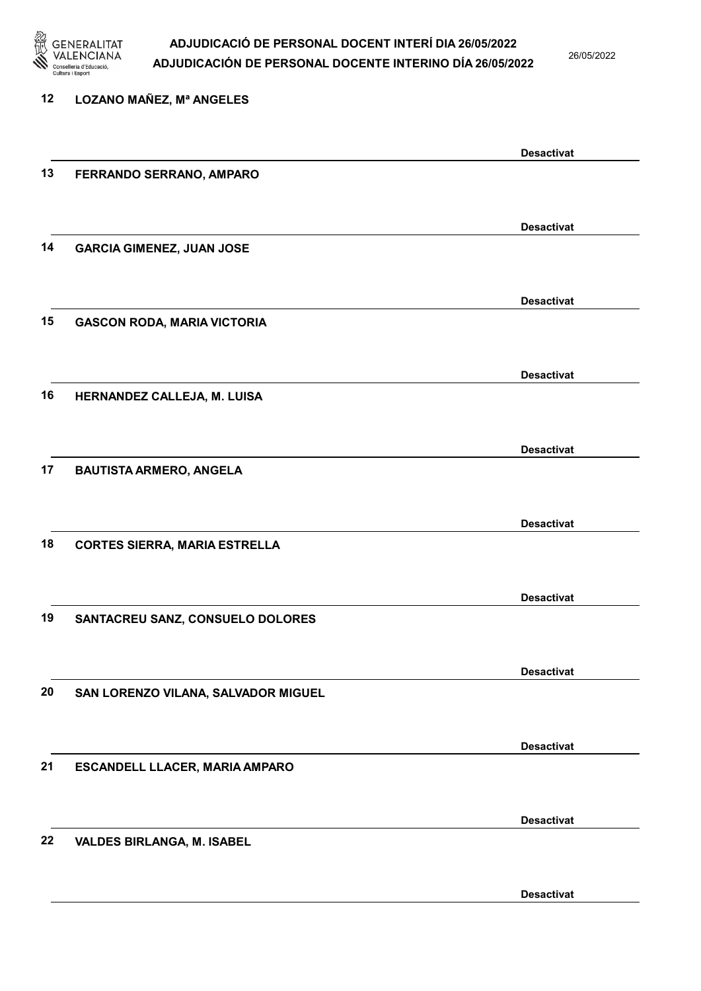

26/05/2022

| 12 | <b>LOZANO MAÑEZ, Mª ANGELES</b>      |                   |
|----|--------------------------------------|-------------------|
|    |                                      | <b>Desactivat</b> |
| 13 | FERRANDO SERRANO, AMPARO             |                   |
|    |                                      | <b>Desactivat</b> |
| 14 | <b>GARCIA GIMENEZ, JUAN JOSE</b>     |                   |
|    |                                      | <b>Desactivat</b> |
| 15 | <b>GASCON RODA, MARIA VICTORIA</b>   |                   |
|    |                                      | <b>Desactivat</b> |
| 16 | HERNANDEZ CALLEJA, M. LUISA          |                   |
|    |                                      | <b>Desactivat</b> |
| 17 | <b>BAUTISTA ARMERO, ANGELA</b>       |                   |
|    |                                      | <b>Desactivat</b> |
| 18 | <b>CORTES SIERRA, MARIA ESTRELLA</b> |                   |
|    |                                      | <b>Desactivat</b> |
| 19 | SANTACREU SANZ, CONSUELO DOLORES     |                   |
|    |                                      | <b>Desactivat</b> |
| 20 | SAN LORENZO VILANA, SALVADOR MIGUEL  |                   |
|    |                                      | <b>Desactivat</b> |
| 21 | ESCANDELL LLACER, MARIA AMPARO       |                   |
|    |                                      | <b>Desactivat</b> |
| 22 | <b>VALDES BIRLANGA, M. ISABEL</b>    |                   |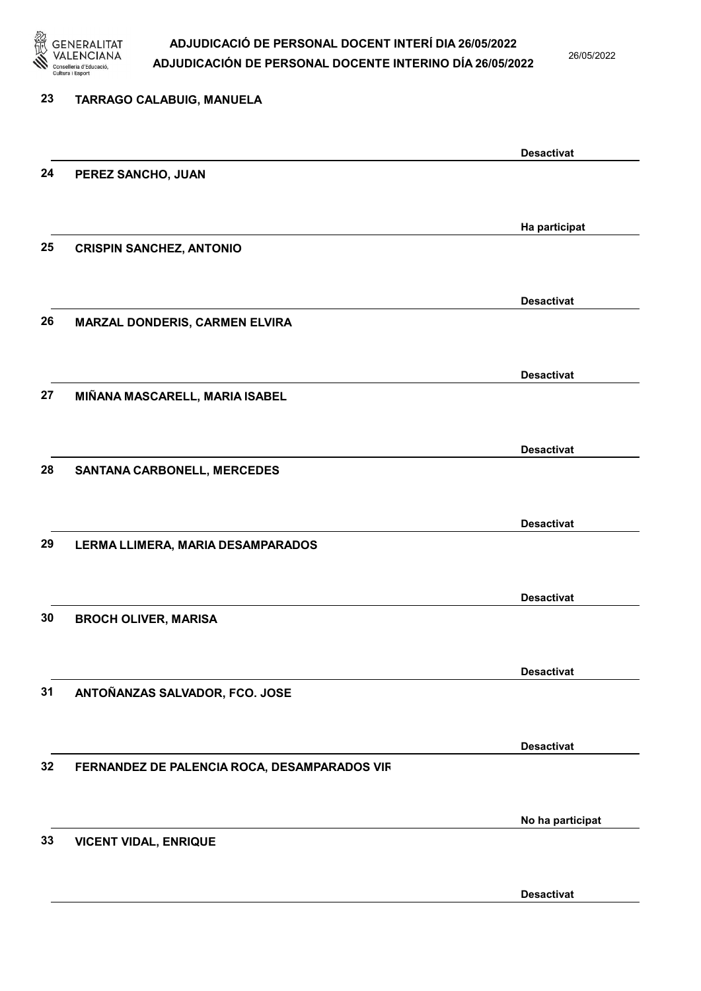

26/05/2022

| 23 | TARRAGO CALABUIG, MANUELA                    |                   |
|----|----------------------------------------------|-------------------|
|    |                                              | <b>Desactivat</b> |
| 24 | PEREZ SANCHO, JUAN                           |                   |
|    |                                              | Ha participat     |
| 25 | <b>CRISPIN SANCHEZ, ANTONIO</b>              |                   |
|    |                                              | <b>Desactivat</b> |
| 26 | MARZAL DONDERIS, CARMEN ELVIRA               |                   |
|    |                                              | <b>Desactivat</b> |
| 27 | MIÑANA MASCARELL, MARIA ISABEL               |                   |
|    |                                              | <b>Desactivat</b> |
| 28 | <b>SANTANA CARBONELL, MERCEDES</b>           |                   |
|    |                                              | <b>Desactivat</b> |
| 29 | LERMA LLIMERA, MARIA DESAMPARADOS            |                   |
|    |                                              | <b>Desactivat</b> |
| 30 | <b>BROCH OLIVER, MARISA</b>                  |                   |
|    |                                              | <b>Desactivat</b> |
| 31 | ANTOÑANZAS SALVADOR, FCO. JOSE               |                   |
|    |                                              | <b>Desactivat</b> |
| 32 | FERNANDEZ DE PALENCIA ROCA, DESAMPARADOS VIR |                   |
|    |                                              | No ha participat  |
| 33 | <b>VICENT VIDAL, ENRIQUE</b>                 |                   |
|    |                                              | <b>Desactivat</b> |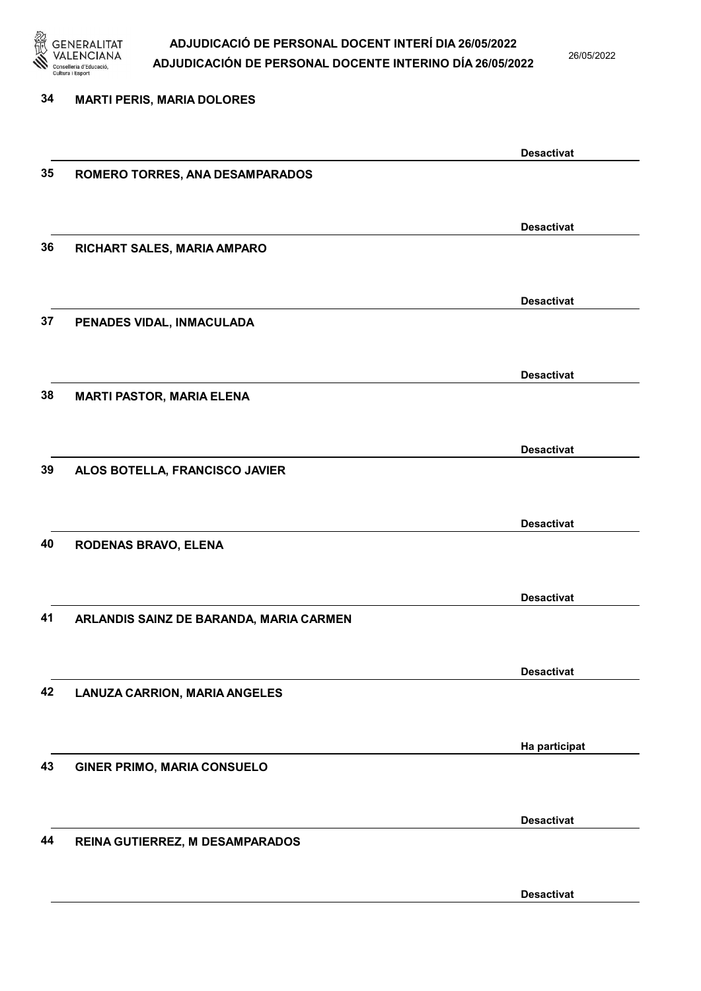

26/05/2022

Desactivat

# 34 MARTI PERIS, MARIA DOLORES Desactivat 35 ROMERO TORRES, ANA DESAMPARADOS Desactivat 36 RICHART SALES, MARIA AMPARO Desactivat 37 PENADES VIDAL, INMACULADA Desactivat 38 MARTI PASTOR, MARIA ELENA Desactivat 39 ALOS BOTELLA, FRANCISCO JAVIER Desactivat 40 RODENAS BRAVO, ELENA Desactivat 41 ARLANDIS SAINZ DE BARANDA, MARIA CARMEN Desactivat 42 LANUZA CARRION, MARIA ANGELES Ha participat 43 GINER PRIMO, MARIA CONSUELO Desactivat 44 REINA GUTIERREZ, M DESAMPARADOS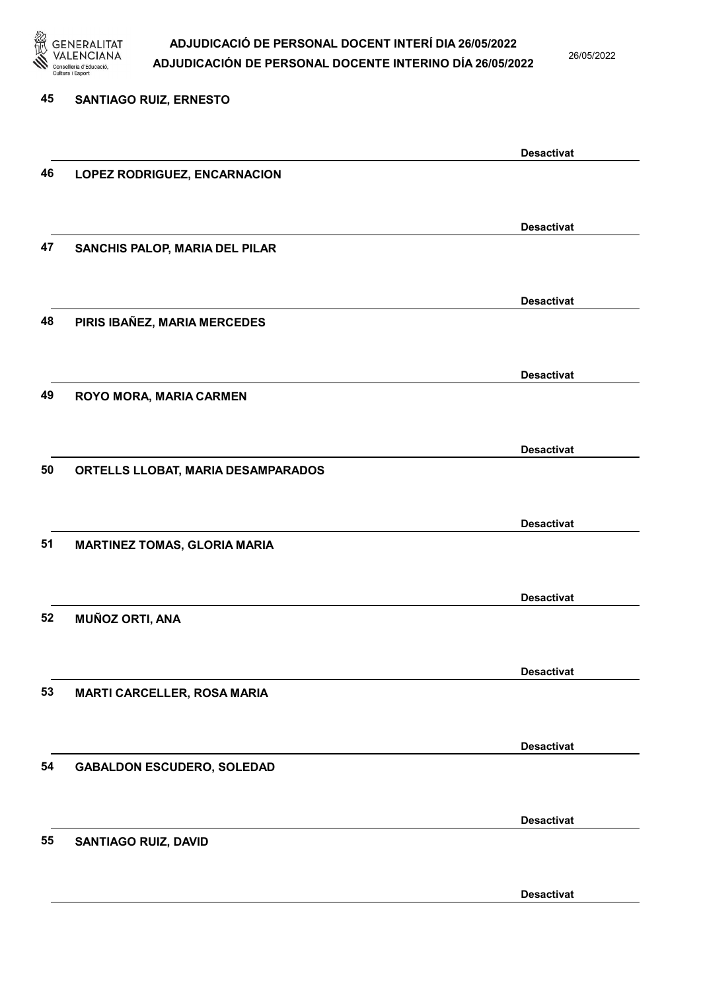

26/05/2022

Desactivat

# 45 SANTIAGO RUIZ, ERNESTO Desactivat 46 LOPEZ RODRIGUEZ, ENCARNACION Desactivat 47 SANCHIS PALOP, MARIA DEL PILAR Desactivat 48 PIRIS IBAÑEZ, MARIA MERCEDES Desactivat 49 ROYO MORA, MARIA CARMEN Desactivat 50 ORTELLS LLOBAT, MARIA DESAMPARADOS Desactivat 51 MARTINEZ TOMAS, GLORIA MARIA Desactivat 52 MUÑOZ ORTI, ANA Desactivat 53 MARTI CARCELLER, ROSA MARIA Desactivat 54 GABALDON ESCUDERO, SOLEDAD Desactivat 55 SANTIAGO RUIZ, DAVID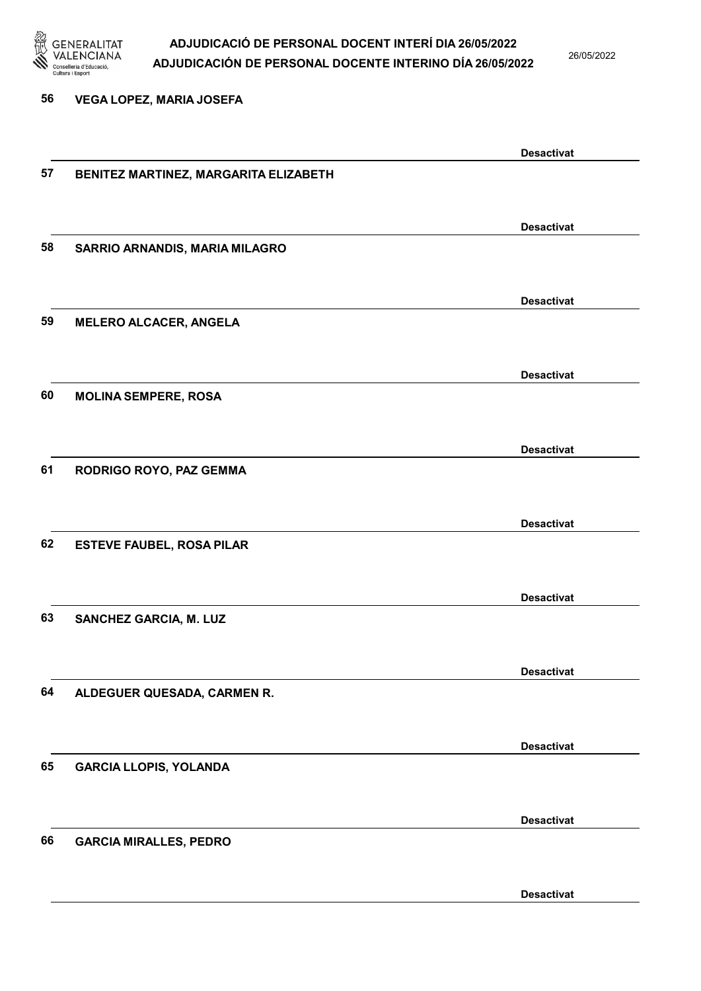

26/05/2022

56 VEGA LOPEZ, MARIA JOSEFA

|    |                                       | <b>Desactivat</b> |
|----|---------------------------------------|-------------------|
| 57 | BENITEZ MARTINEZ, MARGARITA ELIZABETH |                   |
|    |                                       |                   |
|    |                                       | <b>Desactivat</b> |
| 58 | SARRIO ARNANDIS, MARIA MILAGRO        |                   |
|    |                                       |                   |
|    |                                       |                   |
|    |                                       | <b>Desactivat</b> |
| 59 | <b>MELERO ALCACER, ANGELA</b>         |                   |
|    |                                       |                   |
|    |                                       | <b>Desactivat</b> |
| 60 | <b>MOLINA SEMPERE, ROSA</b>           |                   |
|    |                                       |                   |
|    |                                       |                   |
|    |                                       | <b>Desactivat</b> |
| 61 | RODRIGO ROYO, PAZ GEMMA               |                   |
|    |                                       |                   |
|    |                                       | <b>Desactivat</b> |
| 62 | <b>ESTEVE FAUBEL, ROSA PILAR</b>      |                   |
|    |                                       |                   |
|    |                                       |                   |
| 63 |                                       | <b>Desactivat</b> |
|    | <b>SANCHEZ GARCIA, M. LUZ</b>         |                   |
|    |                                       |                   |
|    |                                       | <b>Desactivat</b> |
| 64 | ALDEGUER QUESADA, CARMEN R.           |                   |
|    |                                       |                   |
|    |                                       | <b>Desactivat</b> |
| 65 | <b>GARCIA LLOPIS, YOLANDA</b>         |                   |
|    |                                       |                   |
|    |                                       |                   |
|    |                                       | <b>Desactivat</b> |
| 66 | <b>GARCIA MIRALLES, PEDRO</b>         |                   |
|    |                                       |                   |
|    |                                       | <b>Desactivat</b> |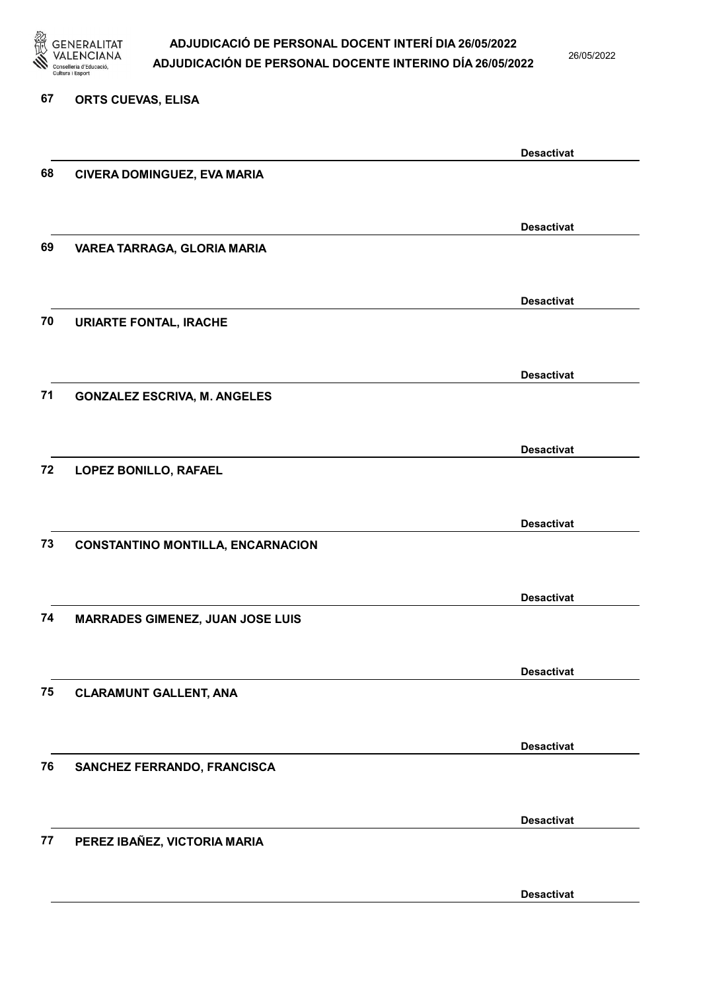

26/05/2022

#### 67 ORTS CUEVAS, ELISA

|    |                                          | <b>Desactivat</b> |
|----|------------------------------------------|-------------------|
| 68 | CIVERA DOMINGUEZ, EVA MARIA              |                   |
|    |                                          |                   |
|    |                                          | <b>Desactivat</b> |
| 69 | VAREA TARRAGA, GLORIA MARIA              |                   |
|    |                                          |                   |
|    |                                          |                   |
|    |                                          | <b>Desactivat</b> |
| 70 | <b>URIARTE FONTAL, IRACHE</b>            |                   |
|    |                                          |                   |
|    |                                          | <b>Desactivat</b> |
| 71 | <b>GONZALEZ ESCRIVA, M. ANGELES</b>      |                   |
|    |                                          |                   |
|    |                                          | <b>Desactivat</b> |
| 72 | LOPEZ BONILLO, RAFAEL                    |                   |
|    |                                          |                   |
|    |                                          |                   |
|    |                                          | <b>Desactivat</b> |
| 73 | <b>CONSTANTINO MONTILLA, ENCARNACION</b> |                   |
|    |                                          |                   |
|    |                                          | <b>Desactivat</b> |
| 74 | <b>MARRADES GIMENEZ, JUAN JOSE LUIS</b>  |                   |
|    |                                          |                   |
|    |                                          | <b>Desactivat</b> |
| 75 | <b>CLARAMUNT GALLENT, ANA</b>            |                   |
|    |                                          |                   |
|    |                                          |                   |
|    |                                          | <b>Desactivat</b> |
| 76 | SANCHEZ FERRANDO, FRANCISCA              |                   |
|    |                                          |                   |
|    |                                          | <b>Desactivat</b> |
| 77 | PEREZ IBAÑEZ, VICTORIA MARIA             |                   |
|    |                                          |                   |
|    |                                          |                   |
|    |                                          | <b>Desactivat</b> |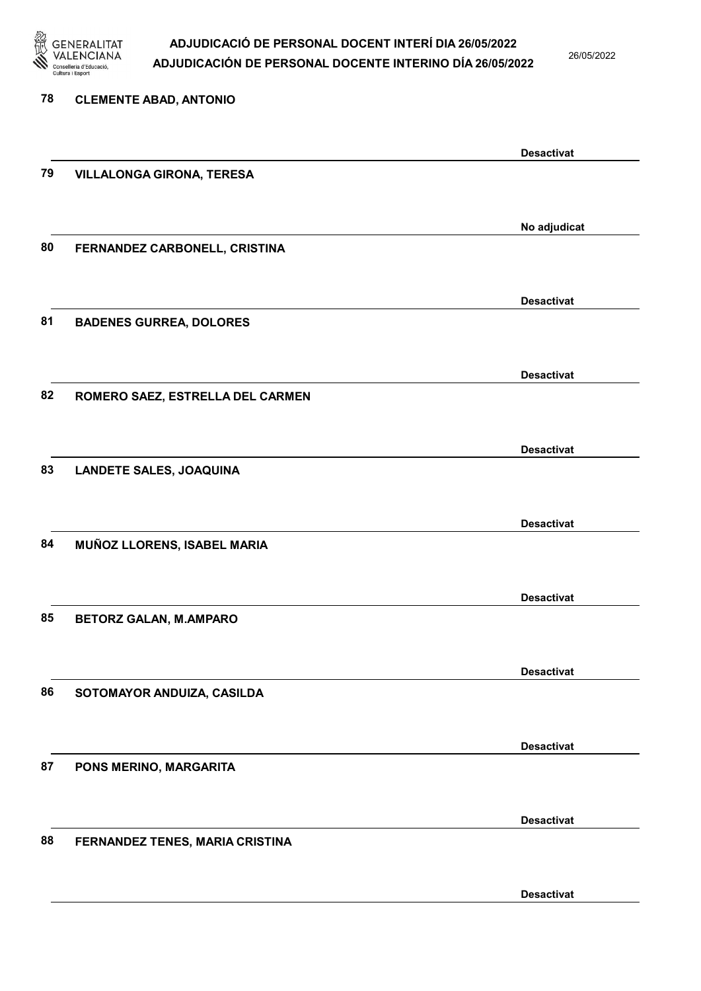

26/05/2022

| 78 | <b>CLEMENTE ABAD, ANTONIO</b>    |                   |
|----|----------------------------------|-------------------|
|    |                                  | <b>Desactivat</b> |
| 79 | <b>VILLALONGA GIRONA, TERESA</b> |                   |
|    |                                  | No adjudicat      |
| 80 | FERNANDEZ CARBONELL, CRISTINA    |                   |
|    |                                  | <b>Desactivat</b> |
| 81 | <b>BADENES GURREA, DOLORES</b>   |                   |
|    |                                  | <b>Desactivat</b> |
| 82 | ROMERO SAEZ, ESTRELLA DEL CARMEN |                   |
|    |                                  |                   |
| 83 | <b>LANDETE SALES, JOAQUINA</b>   | <b>Desactivat</b> |
|    |                                  |                   |
|    |                                  | <b>Desactivat</b> |
| 84 | MUÑOZ LLORENS, ISABEL MARIA      |                   |
|    |                                  | <b>Desactivat</b> |
| 85 | <b>BETORZ GALAN, M.AMPARO</b>    |                   |
|    |                                  | <b>Desactivat</b> |
| 86 | SOTOMAYOR ANDUIZA, CASILDA       |                   |
|    |                                  | <b>Desactivat</b> |
| 87 | PONS MERINO, MARGARITA           |                   |
|    |                                  |                   |
| 88 | FERNANDEZ TENES, MARIA CRISTINA  | <b>Desactivat</b> |
|    |                                  |                   |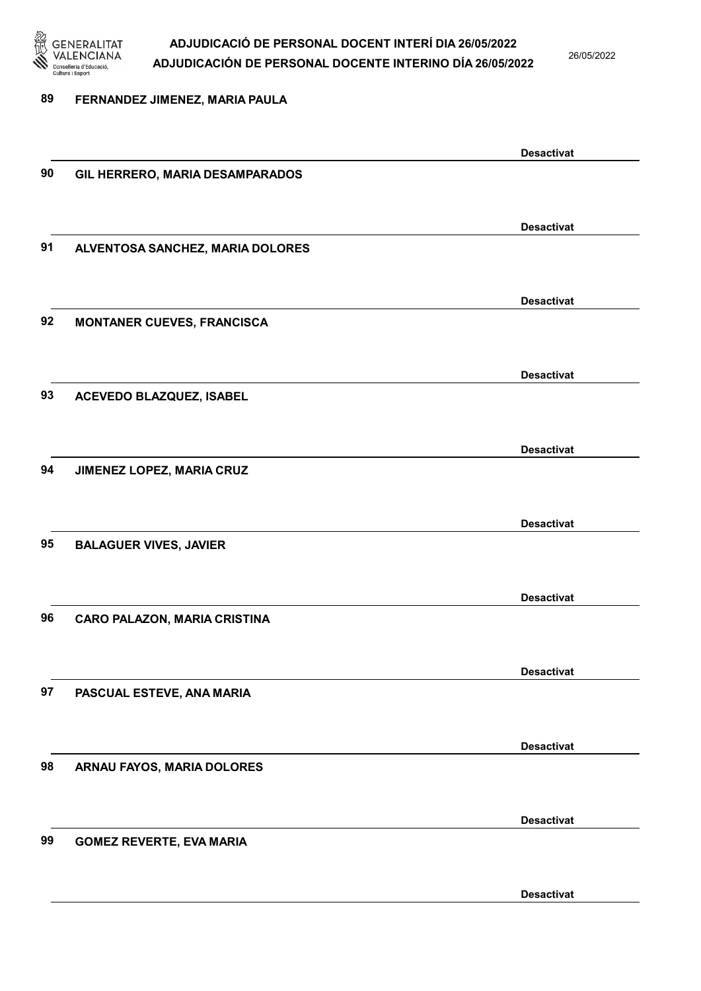

26/05/2022

#### 89 FERNANDEZ JIMENEZ, MARIA PAULA

Desactivat 90 GIL HERRERO, MARIA DESAMPARADOS Desactivat 91 ALVENTOSA SANCHEZ, MARIA DOLORES Desactivat 92 MONTANER CUEVES, FRANCISCA Desactivat 93 ACEVEDO BLAZQUEZ, ISABEL Desactivat 94 JIMENEZ LOPEZ, MARIA CRUZ Desactivat 95 BALAGUER VIVES, JAVIER Desactivat 96 CARO PALAZON, MARIA CRISTINA Desactivat 97 PASCUAL ESTEVE, ANA MARIA Desactivat 98 ARNAU FAYOS, MARIA DOLORES Desactivat 99 GOMEZ REVERTE, EVA MARIA Desactivat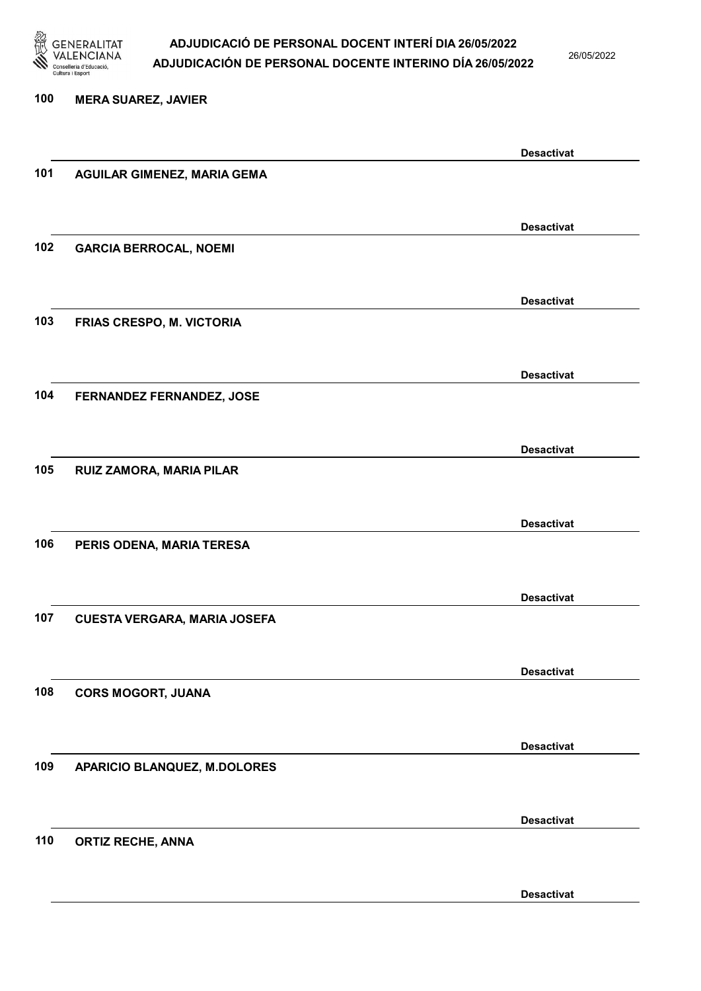

26/05/2022

### 100 MERA SUAREZ, JAVIER Desactivat 101 AGUILAR GIMENEZ, MARIA GEMA Desactivat 102 GARCIA BERROCAL, NOEMI Desactivat 103 FRIAS CRESPO, M. VICTORIA Desactivat 104 FERNANDEZ FERNANDEZ, JOSE Desactivat 105 RUIZ ZAMORA, MARIA PILAR Desactivat 106 PERIS ODENA, MARIA TERESA Desactivat 107 CUESTA VERGARA, MARIA JOSEFA Desactivat 108 CORS MOGORT, JUANA Desactivat 109 APARICIO BLANQUEZ, M.DOLORES

110 ORTIZ RECHE, ANNA

Desactivat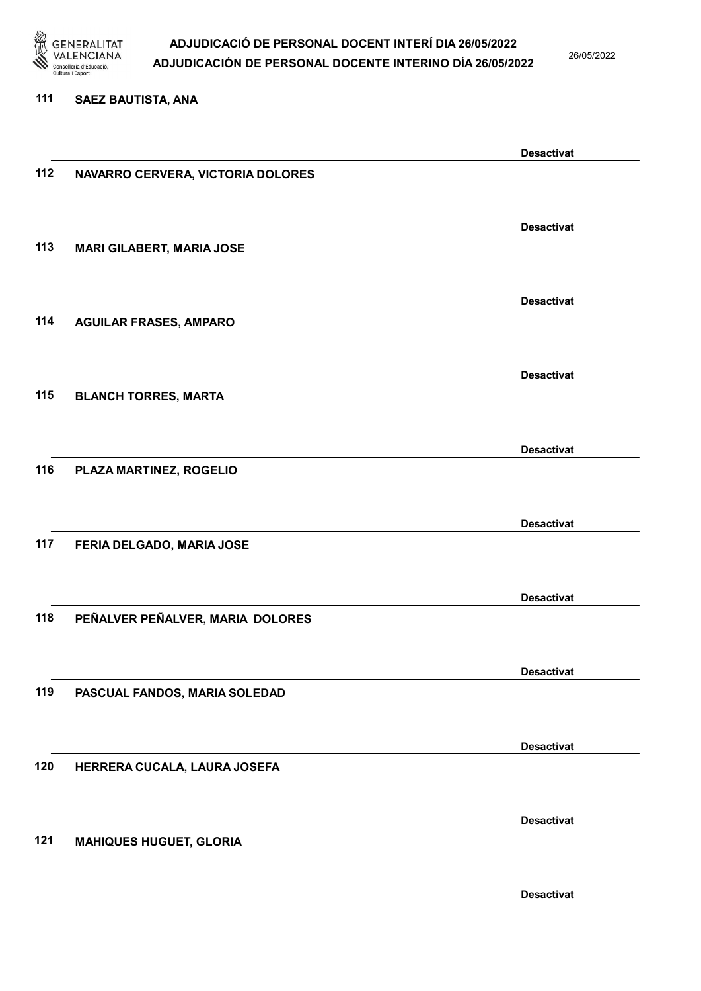

26/05/2022

#### 111 SAEZ BAUTISTA, ANA

|     |                                   | <b>Desactivat</b> |
|-----|-----------------------------------|-------------------|
| 112 | NAVARRO CERVERA, VICTORIA DOLORES |                   |
|     |                                   |                   |
|     |                                   |                   |
|     |                                   | <b>Desactivat</b> |
| 113 | <b>MARI GILABERT, MARIA JOSE</b>  |                   |
|     |                                   |                   |
|     |                                   |                   |
|     |                                   | <b>Desactivat</b> |
| 114 | <b>AGUILAR FRASES, AMPARO</b>     |                   |
|     |                                   |                   |
|     |                                   |                   |
|     |                                   | <b>Desactivat</b> |
| 115 |                                   |                   |
|     | <b>BLANCH TORRES, MARTA</b>       |                   |
|     |                                   |                   |
|     |                                   | <b>Desactivat</b> |
|     |                                   |                   |
| 116 | PLAZA MARTINEZ, ROGELIO           |                   |
|     |                                   |                   |
|     |                                   | <b>Desactivat</b> |
|     |                                   |                   |
| 117 | FERIA DELGADO, MARIA JOSE         |                   |
|     |                                   |                   |
|     |                                   | <b>Desactivat</b> |
|     |                                   |                   |
| 118 | PEÑALVER PEÑALVER, MARIA DOLORES  |                   |
|     |                                   |                   |
|     |                                   | <b>Desactivat</b> |
|     |                                   |                   |
| 119 | PASCUAL FANDOS, MARIA SOLEDAD     |                   |
|     |                                   |                   |
|     |                                   |                   |
|     |                                   | <b>Desactivat</b> |
| 120 | HERRERA CUCALA, LAURA JOSEFA      |                   |
|     |                                   |                   |
|     |                                   |                   |
|     |                                   | <b>Desactivat</b> |
| 121 | <b>MAHIQUES HUGUET, GLORIA</b>    |                   |
|     |                                   |                   |
|     |                                   |                   |
|     |                                   | <b>Desactivat</b> |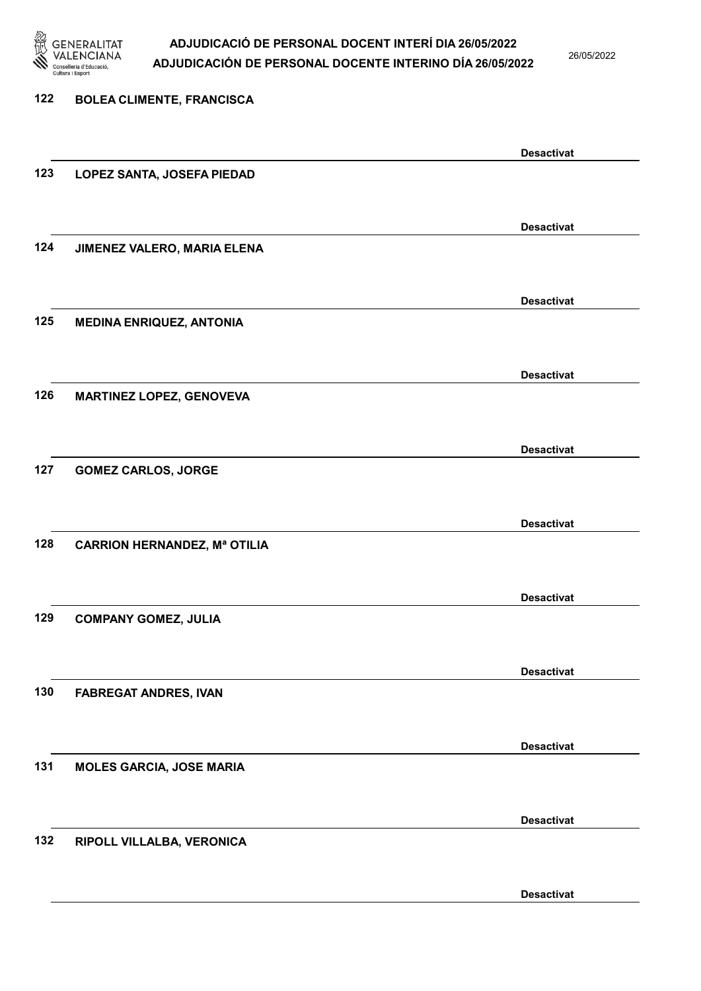

26/05/2022

| 122 | <b>BOLEA CLIMENTE, FRANCISCA</b>    |                   |
|-----|-------------------------------------|-------------------|
|     |                                     |                   |
|     |                                     | <b>Desactivat</b> |
| 123 | LOPEZ SANTA, JOSEFA PIEDAD          |                   |
|     |                                     |                   |
|     |                                     | <b>Desactivat</b> |
| 124 | JIMENEZ VALERO, MARIA ELENA         |                   |
|     |                                     |                   |
|     |                                     | <b>Desactivat</b> |
| 125 | <b>MEDINA ENRIQUEZ, ANTONIA</b>     |                   |
|     |                                     |                   |
|     |                                     | <b>Desactivat</b> |
| 126 | <b>MARTINEZ LOPEZ, GENOVEVA</b>     |                   |
|     |                                     |                   |
| 127 |                                     | <b>Desactivat</b> |
|     | <b>GOMEZ CARLOS, JORGE</b>          |                   |
|     |                                     |                   |
| 128 | <b>CARRION HERNANDEZ, Mª OTILIA</b> | <b>Desactivat</b> |
|     |                                     |                   |
|     |                                     | <b>Desactivat</b> |
| 129 | <b>COMPANY GOMEZ, JULIA</b>         |                   |
|     |                                     |                   |
|     |                                     | <b>Desactivat</b> |
| 130 | <b>FABREGAT ANDRES, IVAN</b>        |                   |
|     |                                     |                   |
|     |                                     | <b>Desactivat</b> |
| 131 | <b>MOLES GARCIA, JOSE MARIA</b>     |                   |
|     |                                     |                   |
|     |                                     | <b>Desactivat</b> |
| 132 | RIPOLL VILLALBA, VERONICA           |                   |
|     |                                     |                   |
|     |                                     |                   |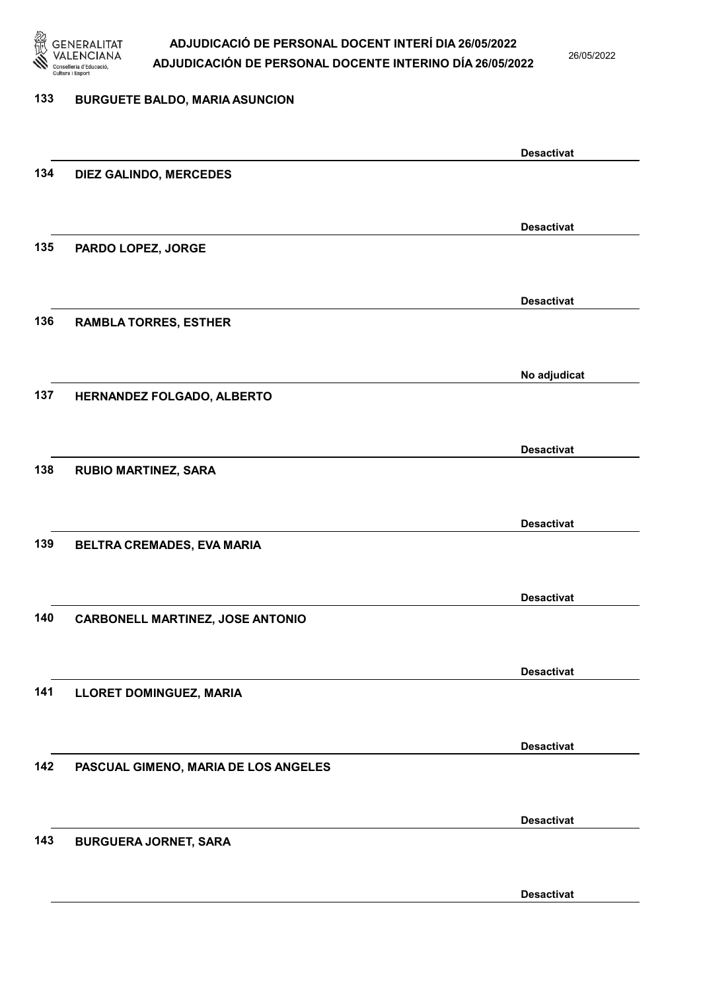

26/05/2022

#### 133 BURGUETE BALDO, MARIA ASUNCION

Desactivat 134 DIEZ GALINDO, MERCEDES Desactivat 135 PARDO LOPEZ, JORGE Desactivat 136 RAMBLA TORRES, ESTHER No adjudicat 137 HERNANDEZ FOLGADO, ALBERTO Desactivat 138 RUBIO MARTINEZ, SARA Desactivat 139 BELTRA CREMADES, EVA MARIA Desactivat 140 CARBONELL MARTINEZ, JOSE ANTONIO Desactivat 141 LLORET DOMINGUEZ, MARIA Desactivat 142 PASCUAL GIMENO, MARIA DE LOS ANGELES Desactivat 143 BURGUERA JORNET, SARA Desactivat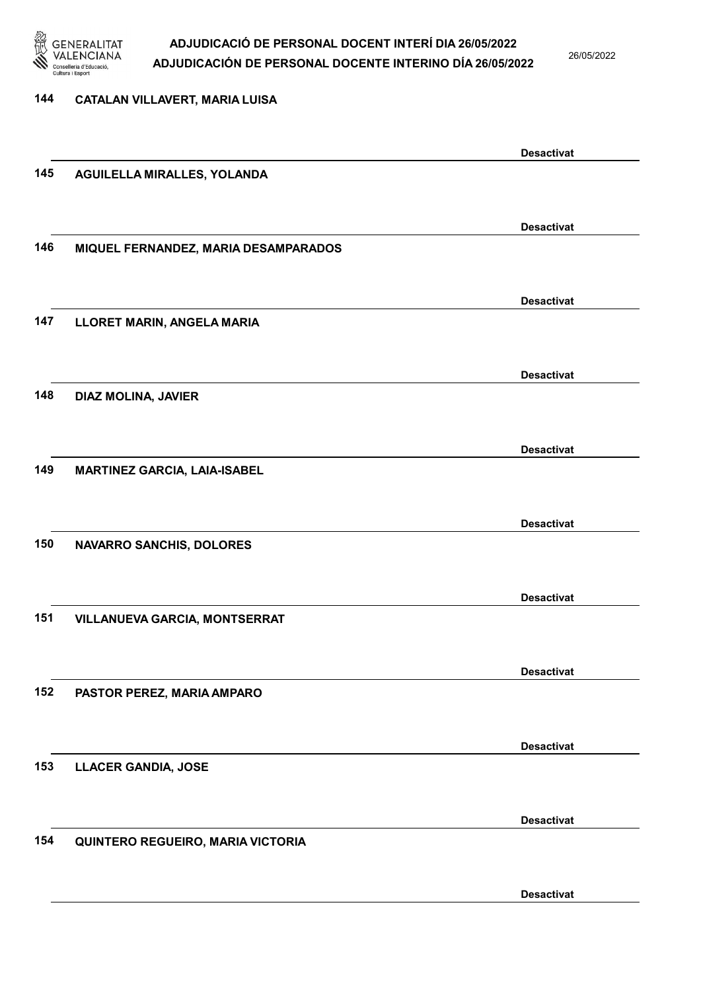

26/05/2022

### 144 CATALAN VILLAVERT, MARIA LUISA Desactivat 145 AGUILELLA MIRALLES, YOLANDA Desactivat 146 MIQUEL FERNANDEZ, MARIA DESAMPARADOS Desactivat 147 LLORET MARIN, ANGELA MARIA Desactivat 148 DIAZ MOLINA, JAVIER Desactivat 149 MARTINEZ GARCIA, LAIA-ISABEL Desactivat 150 NAVARRO SANCHIS, DOLORES Desactivat 151 VILLANUEVA GARCIA, MONTSERRAT Desactivat

152 PASTOR PEREZ, MARIA AMPARO

153 LLACER GANDIA, JOSE

154 QUINTERO REGUEIRO, MARIA VICTORIA

Desactivat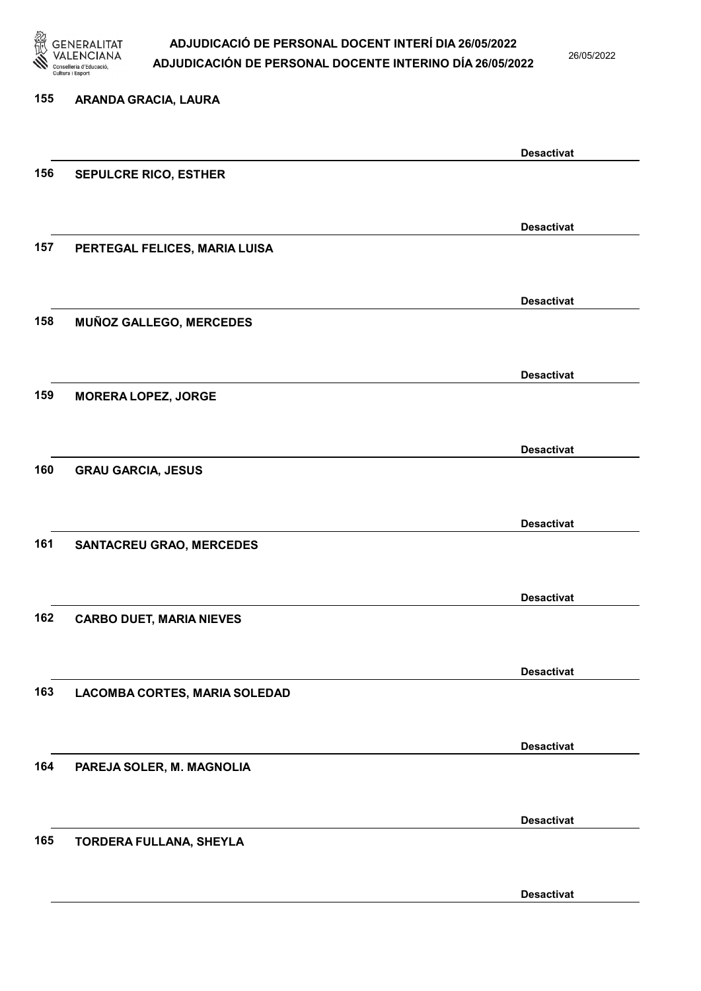

26/05/2022

| 155 | ARANDA GRACIA, LAURA            |                   |
|-----|---------------------------------|-------------------|
|     |                                 | <b>Desactivat</b> |
| 156 | SEPULCRE RICO, ESTHER           |                   |
|     |                                 | <b>Desactivat</b> |
| 157 | PERTEGAL FELICES, MARIA LUISA   |                   |
|     |                                 | <b>Desactivat</b> |
| 158 | MUÑOZ GALLEGO, MERCEDES         |                   |
|     |                                 | <b>Desactivat</b> |
| 159 | <b>MORERA LOPEZ, JORGE</b>      |                   |
|     |                                 | <b>Desactivat</b> |
| 160 | <b>GRAU GARCIA, JESUS</b>       |                   |
|     |                                 | <b>Desactivat</b> |
| 161 | <b>SANTACREU GRAO, MERCEDES</b> |                   |
|     |                                 | <b>Desactivat</b> |
| 162 | <b>CARBO DUET, MARIA NIEVES</b> |                   |
|     |                                 | <b>Desactivat</b> |
| 163 | LACOMBA CORTES, MARIA SOLEDAD   |                   |
|     |                                 | <b>Desactivat</b> |
| 164 | PAREJA SOLER, M. MAGNOLIA       |                   |
|     |                                 | <b>Desactivat</b> |
| 165 | TORDERA FULLANA, SHEYLA         |                   |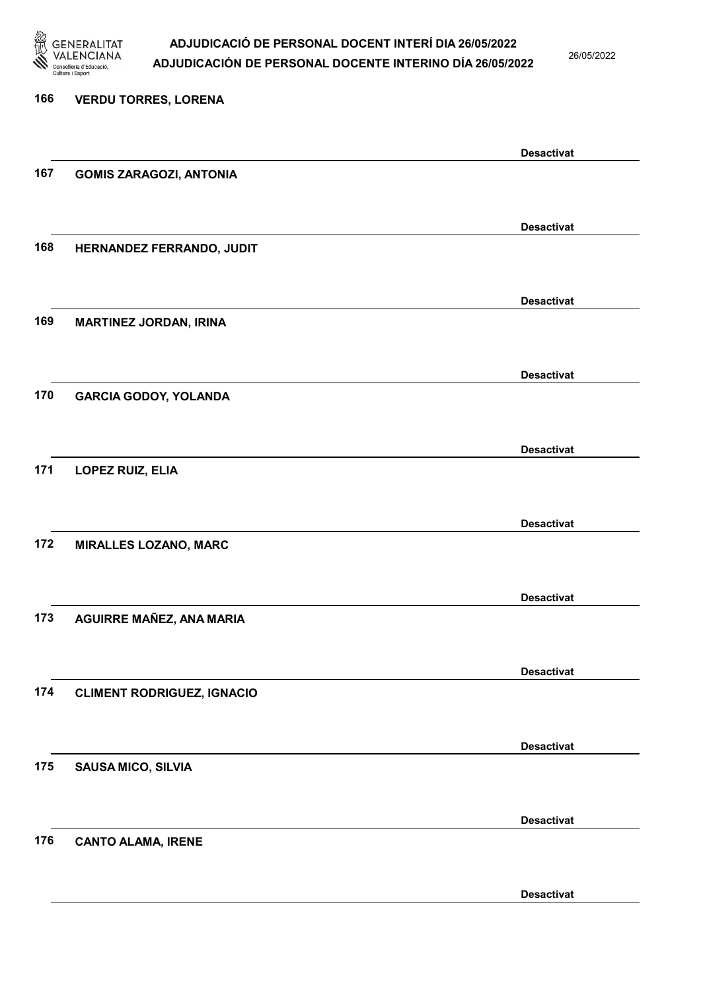

26/05/2022

### 166 VERDU TORRES, LORENA Desactivat 167 GOMIS ZARAGOZI, ANTONIA Desactivat 168 HERNANDEZ FERRANDO, JUDIT Desactivat 169 MARTINEZ JORDAN, IRINA Desactivat 170 GARCIA GODOY, YOLANDA Desactivat 171 LOPEZ RUIZ, ELIA Desactivat 172 MIRALLES LOZANO, MARC Desactivat 173 AGUIRRE MAÑEZ, ANA MARIA Desactivat 174 CLIMENT RODRIGUEZ, IGNACIO Desactivat 175 SAUSA MICO, SILVIA Desactivat 176 CANTO ALAMA, IRENE Desactivat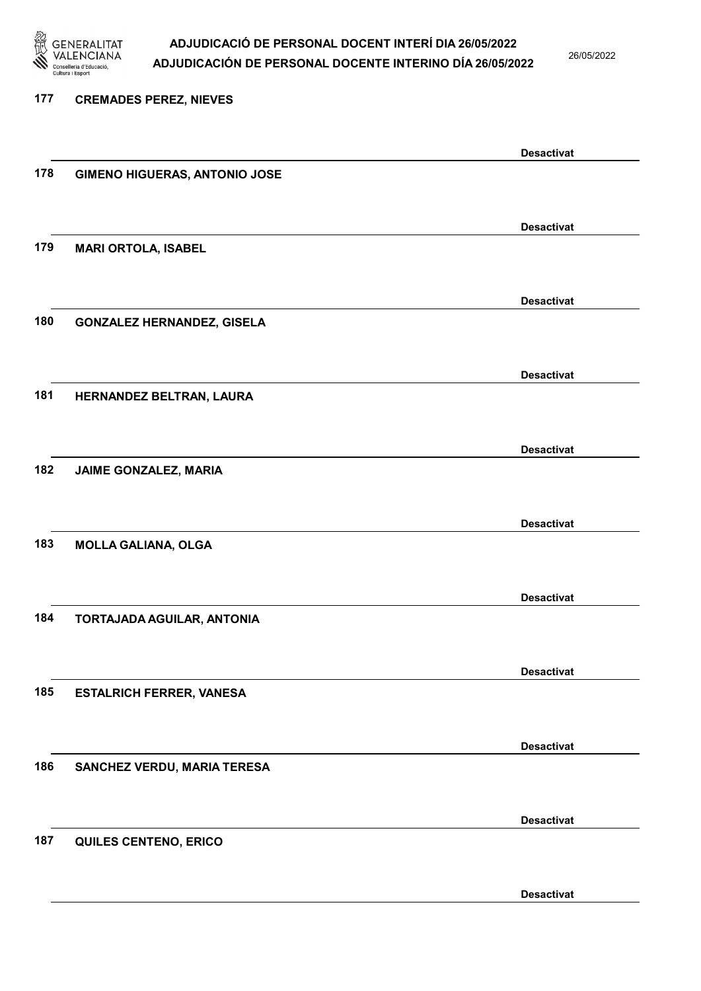

26/05/2022

| 177 | <b>CREMADES PEREZ, NIEVES</b>        |                   |
|-----|--------------------------------------|-------------------|
|     |                                      | <b>Desactivat</b> |
| 178 | <b>GIMENO HIGUERAS, ANTONIO JOSE</b> |                   |
|     |                                      | <b>Desactivat</b> |
| 179 | <b>MARI ORTOLA, ISABEL</b>           |                   |
|     |                                      | <b>Desactivat</b> |
| 180 | <b>GONZALEZ HERNANDEZ, GISELA</b>    |                   |
|     |                                      | <b>Desactivat</b> |
| 181 | HERNANDEZ BELTRAN, LAURA             |                   |
|     |                                      | <b>Desactivat</b> |
| 182 | JAIME GONZALEZ, MARIA                |                   |
|     |                                      | <b>Desactivat</b> |
| 183 | <b>MOLLA GALIANA, OLGA</b>           |                   |
|     |                                      | <b>Desactivat</b> |
| 184 | TORTAJADA AGUILAR, ANTONIA           |                   |
|     |                                      | <b>Desactivat</b> |
| 185 | <b>ESTALRICH FERRER, VANESA</b>      |                   |
|     |                                      | <b>Desactivat</b> |
| 186 | SANCHEZ VERDU, MARIA TERESA          |                   |
|     |                                      | <b>Desactivat</b> |
| 187 | QUILES CENTENO, ERICO                |                   |
|     |                                      |                   |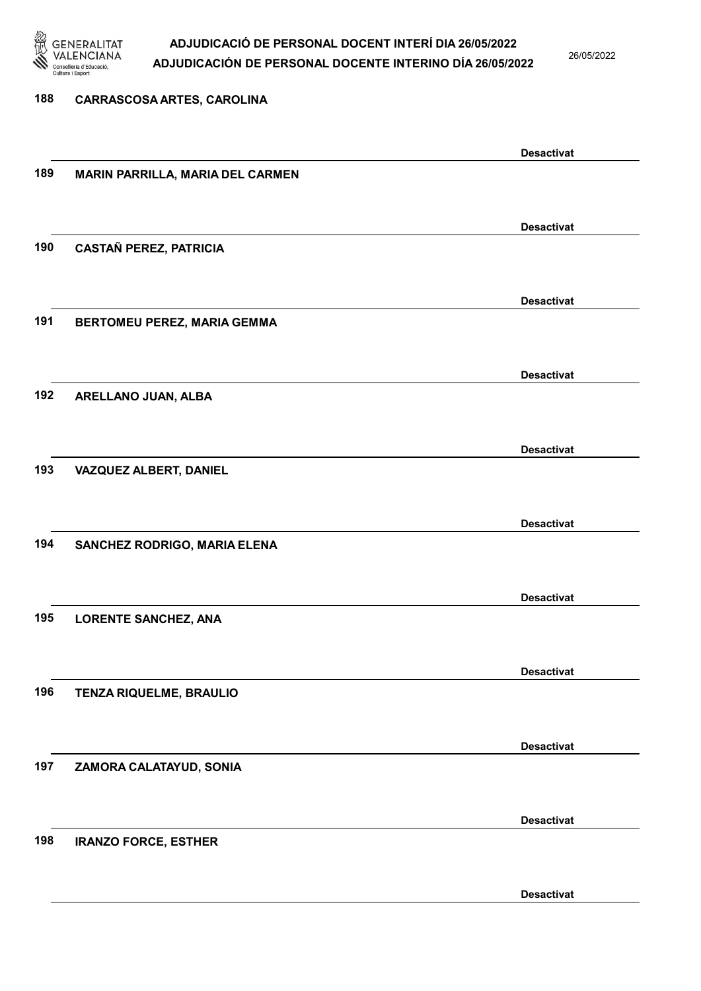

26/05/2022

Desactivat

# 188 CARRASCOSA ARTES, CAROLINA Desactivat 189 MARIN PARRILLA, MARIA DEL CARMEN Desactivat 190 CASTAÑ PEREZ, PATRICIA Desactivat 191 BERTOMEU PEREZ, MARIA GEMMA Desactivat 192 ARELLANO JUAN, ALBA Desactivat 193 VAZQUEZ ALBERT, DANIEL Desactivat 194 SANCHEZ RODRIGO, MARIA ELENA Desactivat 195 LORENTE SANCHEZ, ANA Desactivat 196 TENZA RIQUELME, BRAULIO Desactivat 197 ZAMORA CALATAYUD, SONIA Desactivat 198 IRANZO FORCE, ESTHER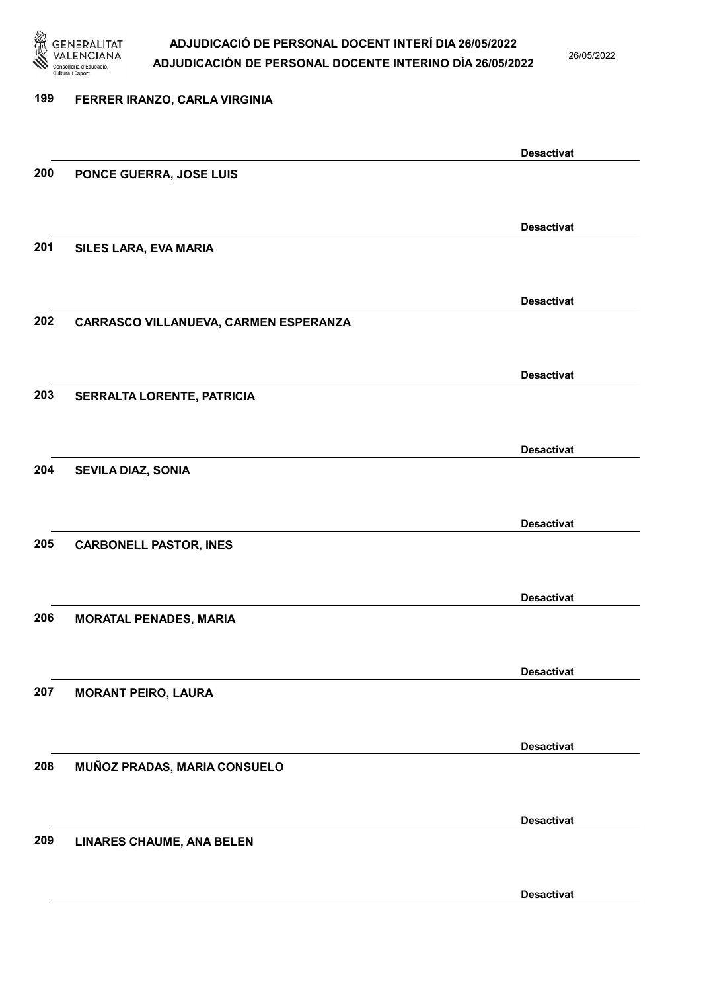

26/05/2022

Desactivat

# 199 FERRER IRANZO, CARLA VIRGINIA Desactivat 200 PONCE GUERRA, JOSE LUIS Desactivat 201 SILES LARA, EVA MARIA Desactivat 202 CARRASCO VILLANUEVA, CARMEN ESPERANZA Desactivat 203 SERRALTA LORENTE, PATRICIA Desactivat 204 SEVILA DIAZ, SONIA Desactivat 205 CARBONELL PASTOR, INES Desactivat 206 MORATAL PENADES, MARIA Desactivat 207 MORANT PEIRO, LAURA Desactivat 208 MUÑOZ PRADAS, MARIA CONSUELO Desactivat 209 LINARES CHAUME, ANA BELEN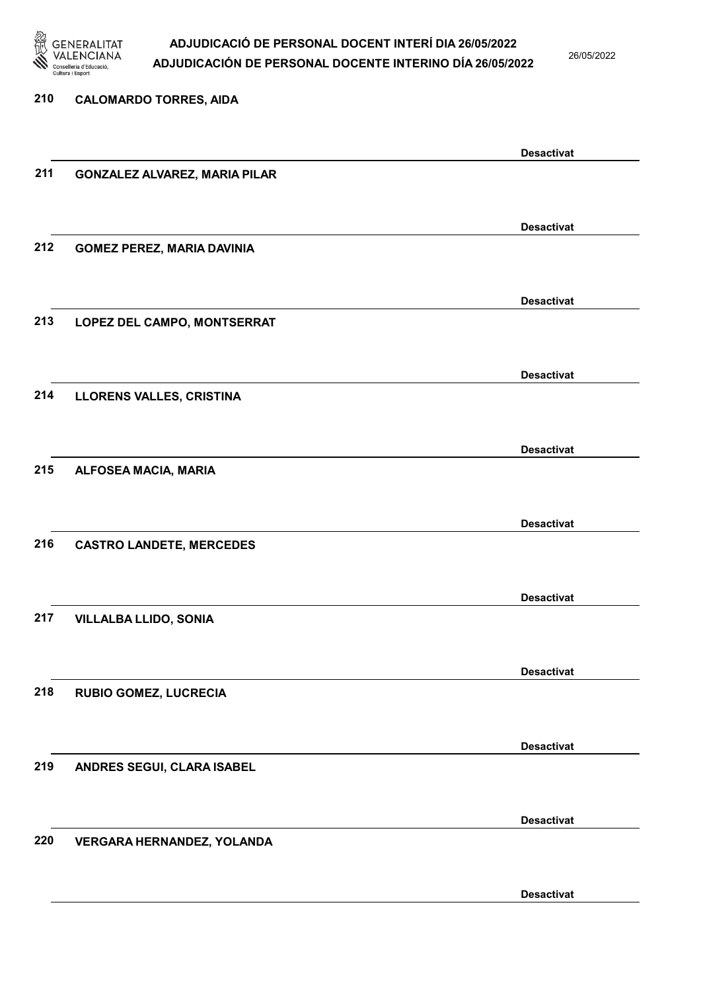

26/05/2022

| 210 | <b>CALOMARDO TORRES, AIDA</b>        |                   |
|-----|--------------------------------------|-------------------|
|     |                                      |                   |
|     |                                      | <b>Desactivat</b> |
| 211 | <b>GONZALEZ ALVAREZ, MARIA PILAR</b> |                   |
|     |                                      |                   |
|     |                                      | <b>Desactivat</b> |
| 212 | <b>GOMEZ PEREZ, MARIA DAVINIA</b>    |                   |
|     |                                      |                   |
|     |                                      | <b>Desactivat</b> |
| 213 | LOPEZ DEL CAMPO, MONTSERRAT          |                   |
|     |                                      |                   |
|     |                                      | <b>Desactivat</b> |
| 214 | LLORENS VALLES, CRISTINA             |                   |
|     |                                      |                   |
| 215 | ALFOSEA MACIA, MARIA                 | <b>Desactivat</b> |
|     |                                      |                   |
|     |                                      | <b>Desactivat</b> |
| 216 | <b>CASTRO LANDETE, MERCEDES</b>      |                   |
|     |                                      |                   |
|     |                                      | <b>Desactivat</b> |
| 217 | <b>VILLALBA LLIDO, SONIA</b>         |                   |
|     |                                      |                   |
|     |                                      | <b>Desactivat</b> |
| 218 | <b>RUBIO GOMEZ, LUCRECIA</b>         |                   |
|     |                                      |                   |
|     |                                      | <b>Desactivat</b> |
| 219 | ANDRES SEGUI, CLARA ISABEL           |                   |
|     |                                      |                   |
|     |                                      | <b>Desactivat</b> |
| 220 | VERGARA HERNANDEZ, YOLANDA           |                   |
|     |                                      |                   |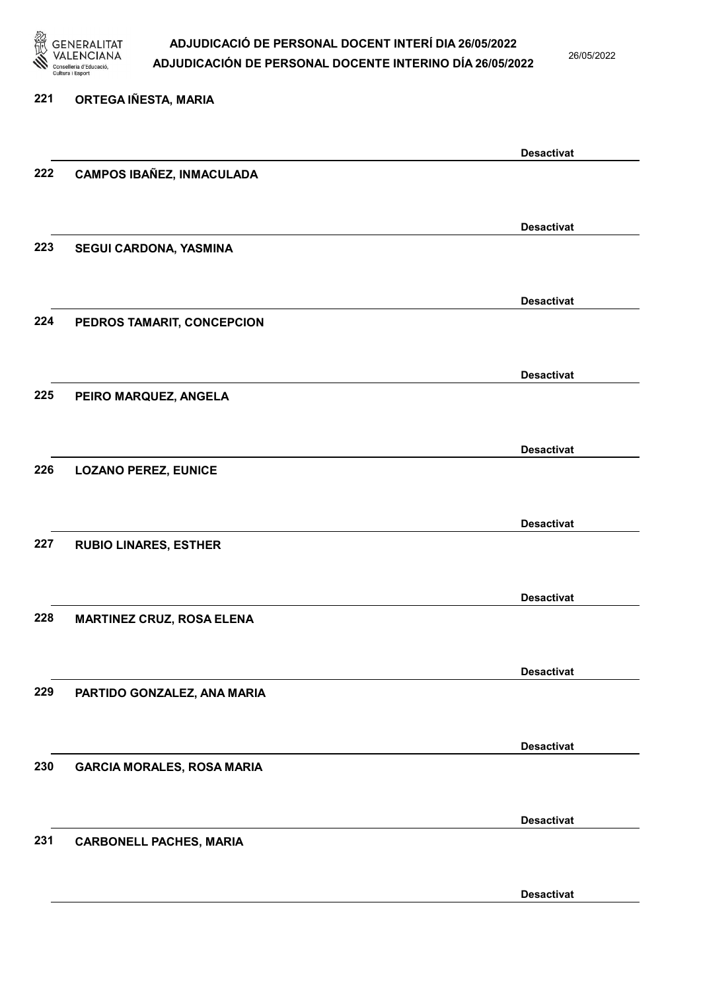

221 ORTEGA IÑESTA, MARIA

### ADJUDICACIÓ DE PERSONAL DOCENT INTERÍ DIA 26/05/2022 ADJUDICACIÓN DE PERSONAL DOCENTE INTERINO DÍA 26/05/2022

26/05/2022

### Desactivat 222 CAMPOS IBAÑEZ, INMACULADA Desactivat 223 SEGUI CARDONA, YASMINA Desactivat 224 PEDROS TAMARIT, CONCEPCION Desactivat 225 PEIRO MARQUEZ, ANGELA Desactivat 226 LOZANO PEREZ, EUNICE Desactivat 227 RUBIO LINARES, ESTHER Desactivat 228 MARTINEZ CRUZ, ROSA ELENA Desactivat 229 PARTIDO GONZALEZ, ANA MARIA Desactivat 230 GARCIA MORALES, ROSA MARIA Desactivat 231 CARBONELL PACHES, MARIA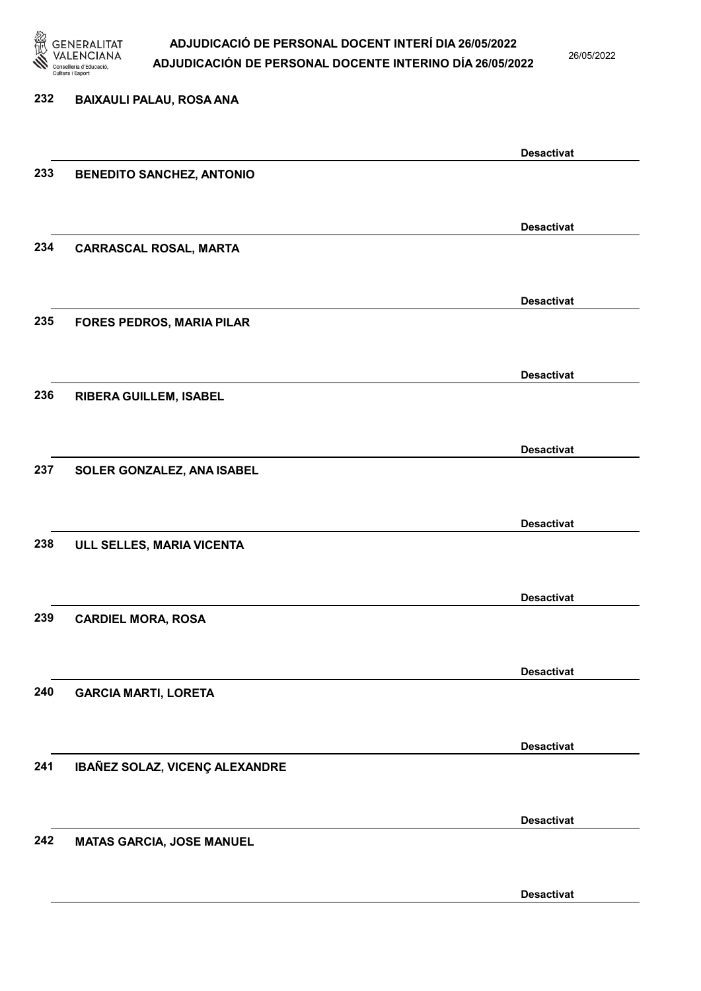

26/05/2022

| 232 | <b>BAIXAULI PALAU, ROSA ANA</b>  |                   |
|-----|----------------------------------|-------------------|
|     |                                  | <b>Desactivat</b> |
| 233 | <b>BENEDITO SANCHEZ, ANTONIO</b> |                   |
|     |                                  | <b>Desactivat</b> |
| 234 | <b>CARRASCAL ROSAL, MARTA</b>    |                   |
|     |                                  | <b>Desactivat</b> |
| 235 | <b>FORES PEDROS, MARIA PILAR</b> |                   |
|     |                                  | <b>Desactivat</b> |
| 236 | <b>RIBERA GUILLEM, ISABEL</b>    |                   |
|     |                                  | <b>Desactivat</b> |
| 237 | SOLER GONZALEZ, ANA ISABEL       |                   |
|     |                                  | <b>Desactivat</b> |
| 238 | ULL SELLES, MARIA VICENTA        |                   |
|     |                                  | <b>Desactivat</b> |
| 239 | <b>CARDIEL MORA, ROSA</b>        |                   |
|     |                                  | <b>Desactivat</b> |
| 240 | <b>GARCIA MARTI, LORETA</b>      |                   |
| 241 |                                  | <b>Desactivat</b> |
|     | IBAÑEZ SOLAZ, VICENÇ ALEXANDRE   |                   |
| 242 | <b>MATAS GARCIA, JOSE MANUEL</b> | <b>Desactivat</b> |
|     |                                  |                   |
|     |                                  | <b>Desactivat</b> |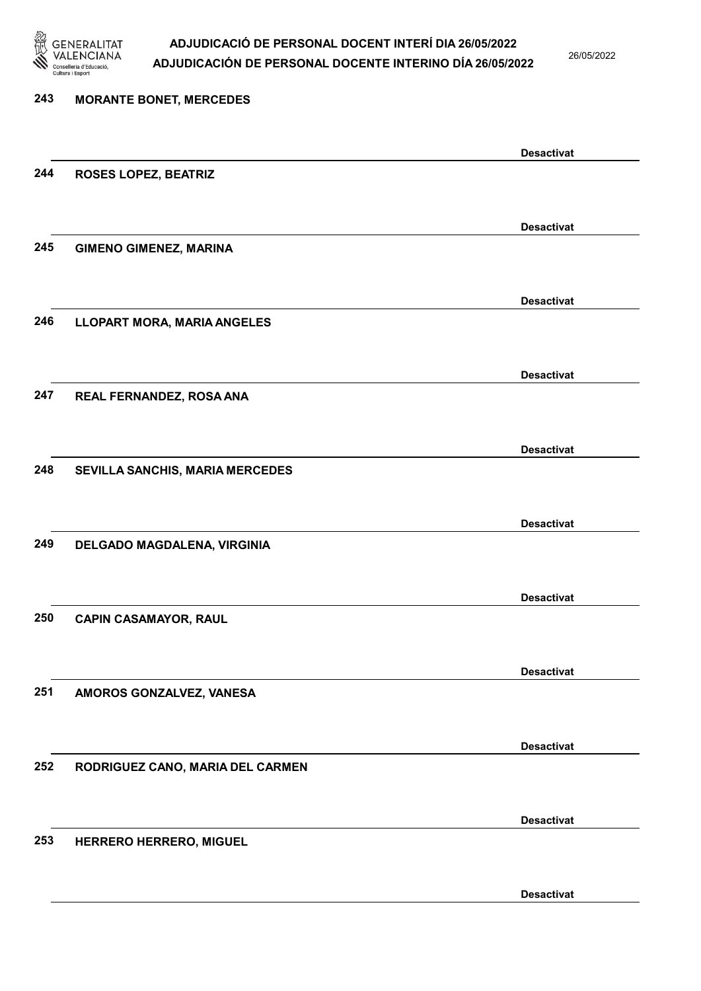

26/05/2022

| 243 | <b>MORANTE BONET, MERCEDES</b>     |                   |
|-----|------------------------------------|-------------------|
|     |                                    |                   |
|     |                                    | <b>Desactivat</b> |
| 244 | <b>ROSES LOPEZ, BEATRIZ</b>        |                   |
|     |                                    |                   |
|     |                                    | <b>Desactivat</b> |
| 245 | <b>GIMENO GIMENEZ, MARINA</b>      |                   |
|     |                                    |                   |
|     |                                    |                   |
|     |                                    | <b>Desactivat</b> |
| 246 | <b>LLOPART MORA, MARIA ANGELES</b> |                   |
|     |                                    |                   |
|     |                                    | <b>Desactivat</b> |
| 247 | REAL FERNANDEZ, ROSA ANA           |                   |
|     |                                    |                   |
|     |                                    |                   |
|     |                                    | <b>Desactivat</b> |
| 248 | SEVILLA SANCHIS, MARIA MERCEDES    |                   |
|     |                                    |                   |
|     |                                    | <b>Desactivat</b> |
| 249 | DELGADO MAGDALENA, VIRGINIA        |                   |
|     |                                    |                   |
|     |                                    |                   |
|     |                                    | <b>Desactivat</b> |
| 250 | <b>CAPIN CASAMAYOR, RAUL</b>       |                   |
|     |                                    |                   |
|     |                                    | <b>Desactivat</b> |
| 251 | AMOROS GONZALVEZ, VANESA           |                   |
|     |                                    |                   |
|     |                                    |                   |
|     |                                    | <b>Desactivat</b> |
| 252 | RODRIGUEZ CANO, MARIA DEL CARMEN   |                   |
|     |                                    |                   |
|     |                                    | <b>Desactivat</b> |
| 253 | HERRERO HERRERO, MIGUEL            |                   |
|     |                                    |                   |
|     |                                    |                   |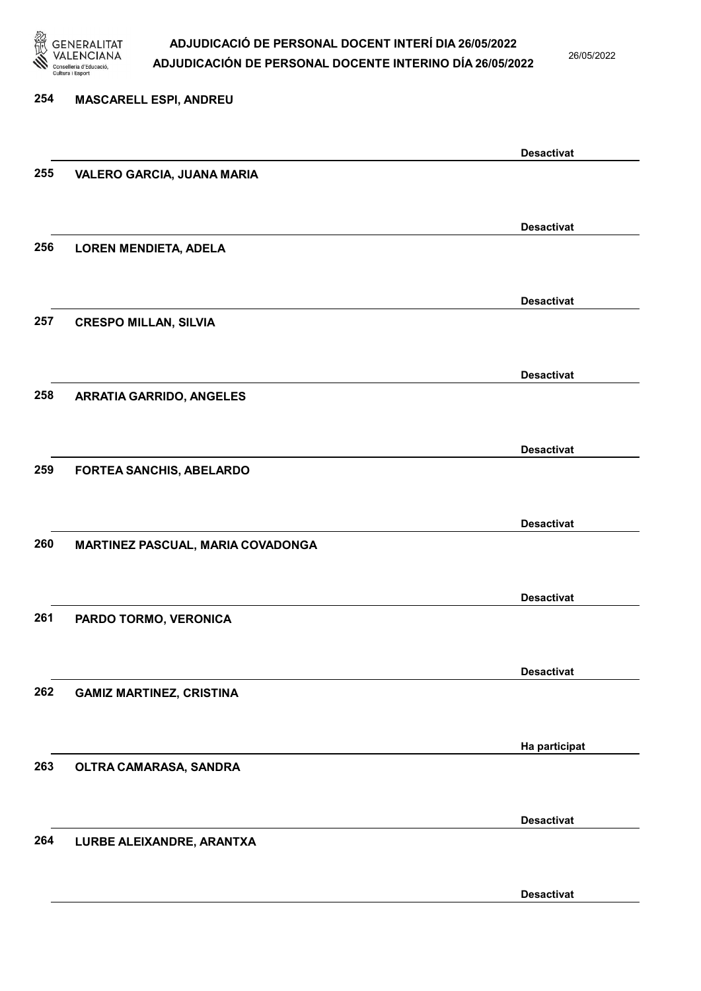

26/05/2022

Desactivat

## 254 MASCARELL ESPI, ANDREU Desactivat 255 VALERO GARCIA, JUANA MARIA Desactivat 256 LOREN MENDIETA, ADELA Desactivat 257 CRESPO MILLAN, SILVIA Desactivat 258 ARRATIA GARRIDO, ANGELES Desactivat 259 FORTEA SANCHIS, ABELARDO Desactivat 260 MARTINEZ PASCUAL, MARIA COVADONGA Desactivat 261 PARDO TORMO, VERONICA Desactivat 262 GAMIZ MARTINEZ, CRISTINA Ha participat 263 OLTRA CAMARASA, SANDRA Desactivat 264 LURBE ALEIXANDRE, ARANTXA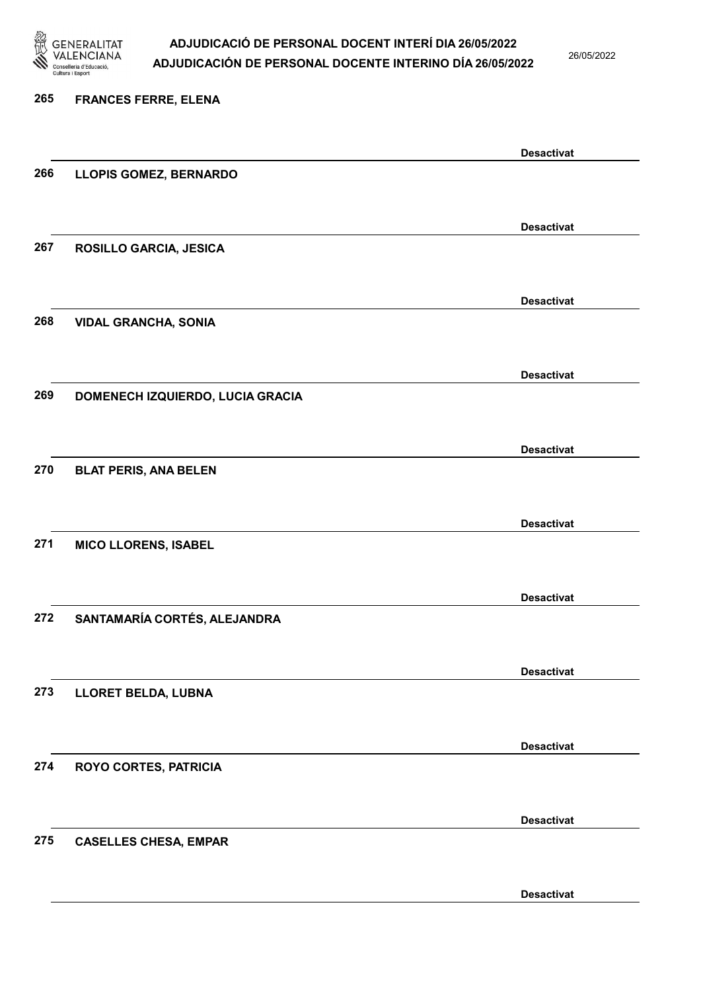

26/05/2022

#### 265 FRANCES FERRE, ELENA

|     |                                  | <b>Desactivat</b> |
|-----|----------------------------------|-------------------|
| 266 | LLOPIS GOMEZ, BERNARDO           |                   |
|     |                                  |                   |
|     |                                  | <b>Desactivat</b> |
| 267 | ROSILLO GARCIA, JESICA           |                   |
|     |                                  |                   |
|     |                                  | <b>Desactivat</b> |
| 268 | <b>VIDAL GRANCHA, SONIA</b>      |                   |
|     |                                  |                   |
|     |                                  | <b>Desactivat</b> |
| 269 | DOMENECH IZQUIERDO, LUCIA GRACIA |                   |
|     |                                  |                   |
|     |                                  |                   |
| 270 | <b>BLAT PERIS, ANA BELEN</b>     | <b>Desactivat</b> |
|     |                                  |                   |
|     |                                  |                   |
|     |                                  | <b>Desactivat</b> |
| 271 | <b>MICO LLORENS, ISABEL</b>      |                   |
|     |                                  |                   |
|     |                                  | <b>Desactivat</b> |
| 272 | SANTAMARÍA CORTÉS, ALEJANDRA     |                   |
|     |                                  |                   |
|     |                                  | <b>Desactivat</b> |
| 273 | LLORET BELDA, LUBNA              |                   |
|     |                                  |                   |
|     |                                  | <b>Desactivat</b> |
| 274 | <b>ROYO CORTES, PATRICIA</b>     |                   |
|     |                                  |                   |
|     |                                  | <b>Desactivat</b> |
| 275 | <b>CASELLES CHESA, EMPAR</b>     |                   |
|     |                                  |                   |
|     |                                  | <b>Desactivat</b> |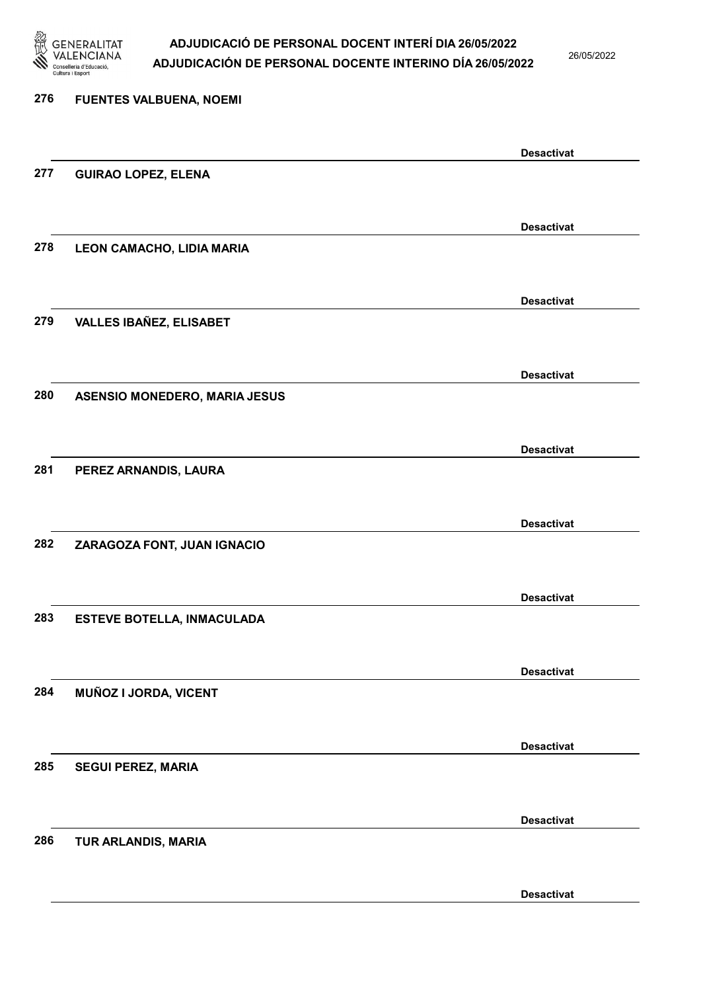

26/05/2022

| 276 | <b>FUENTES VALBUENA, NOEMI</b>       |                   |
|-----|--------------------------------------|-------------------|
|     |                                      | <b>Desactivat</b> |
| 277 | <b>GUIRAO LOPEZ, ELENA</b>           |                   |
|     |                                      | <b>Desactivat</b> |
| 278 | LEON CAMACHO, LIDIA MARIA            |                   |
|     |                                      | <b>Desactivat</b> |
| 279 | <b>VALLES IBAÑEZ, ELISABET</b>       |                   |
|     |                                      | <b>Desactivat</b> |
| 280 | <b>ASENSIO MONEDERO, MARIA JESUS</b> |                   |
|     |                                      | <b>Desactivat</b> |
| 281 | PEREZ ARNANDIS, LAURA                |                   |
|     |                                      | <b>Desactivat</b> |
| 282 | ZARAGOZA FONT, JUAN IGNACIO          |                   |
|     |                                      | <b>Desactivat</b> |
| 283 | <b>ESTEVE BOTELLA, INMACULADA</b>    |                   |
|     |                                      | <b>Desactivat</b> |
| 284 | MUÑOZ I JORDA, VICENT                |                   |
|     |                                      | <b>Desactivat</b> |
| 285 | <b>SEGUI PEREZ, MARIA</b>            |                   |
|     |                                      | <b>Desactivat</b> |
| 286 | TUR ARLANDIS, MARIA                  |                   |
|     |                                      | <b>Desactivat</b> |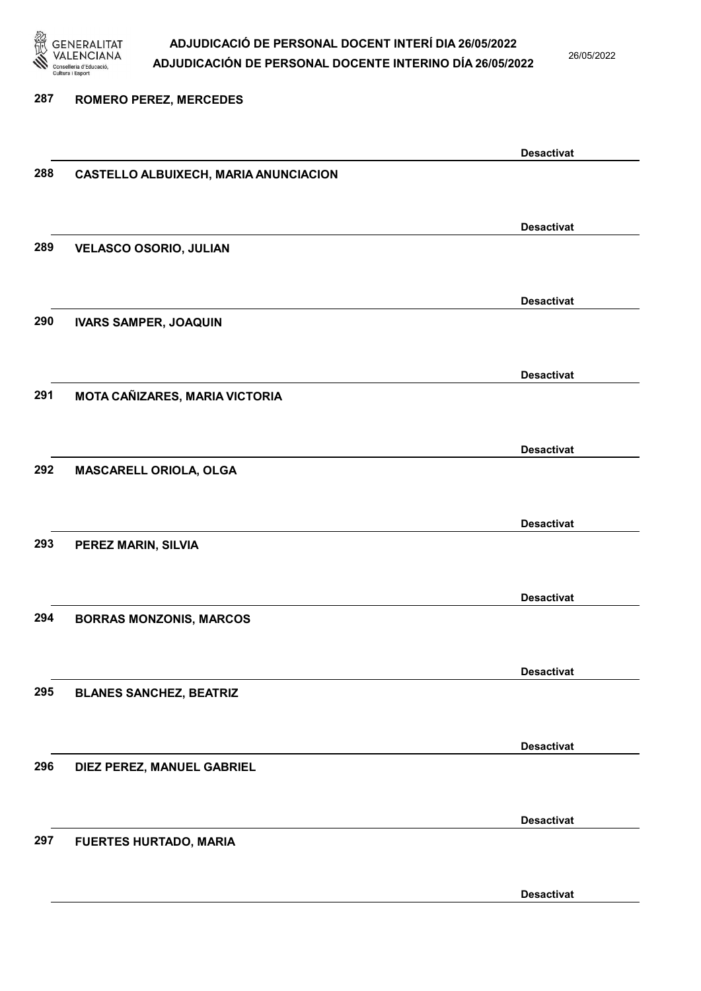

26/05/2022

#### 287 ROMERO PEREZ, MERCEDES

|     |                                              | <b>Desactivat</b> |
|-----|----------------------------------------------|-------------------|
| 288 | <b>CASTELLO ALBUIXECH, MARIA ANUNCIACION</b> |                   |
|     |                                              |                   |
|     |                                              |                   |
|     |                                              | <b>Desactivat</b> |
| 289 | <b>VELASCO OSORIO, JULIAN</b>                |                   |
|     |                                              |                   |
|     |                                              | <b>Desactivat</b> |
| 290 |                                              |                   |
|     | <b>IVARS SAMPER, JOAQUIN</b>                 |                   |
|     |                                              |                   |
|     |                                              | <b>Desactivat</b> |
| 291 | MOTA CAÑIZARES, MARIA VICTORIA               |                   |
|     |                                              |                   |
|     |                                              |                   |
|     |                                              | <b>Desactivat</b> |
| 292 | MASCARELL ORIOLA, OLGA                       |                   |
|     |                                              |                   |
|     |                                              | <b>Desactivat</b> |
| 293 |                                              |                   |
|     | PEREZ MARIN, SILVIA                          |                   |
|     |                                              |                   |
|     |                                              | <b>Desactivat</b> |
| 294 | <b>BORRAS MONZONIS, MARCOS</b>               |                   |
|     |                                              |                   |
|     |                                              |                   |
|     |                                              | <b>Desactivat</b> |
| 295 | <b>BLANES SANCHEZ, BEATRIZ</b>               |                   |
|     |                                              |                   |
|     |                                              | <b>Desactivat</b> |
| 296 | DIEZ PEREZ, MANUEL GABRIEL                   |                   |
|     |                                              |                   |
|     |                                              |                   |
|     |                                              | <b>Desactivat</b> |
| 297 | <b>FUERTES HURTADO, MARIA</b>                |                   |
|     |                                              |                   |
|     |                                              |                   |
|     |                                              | <b>Desactivat</b> |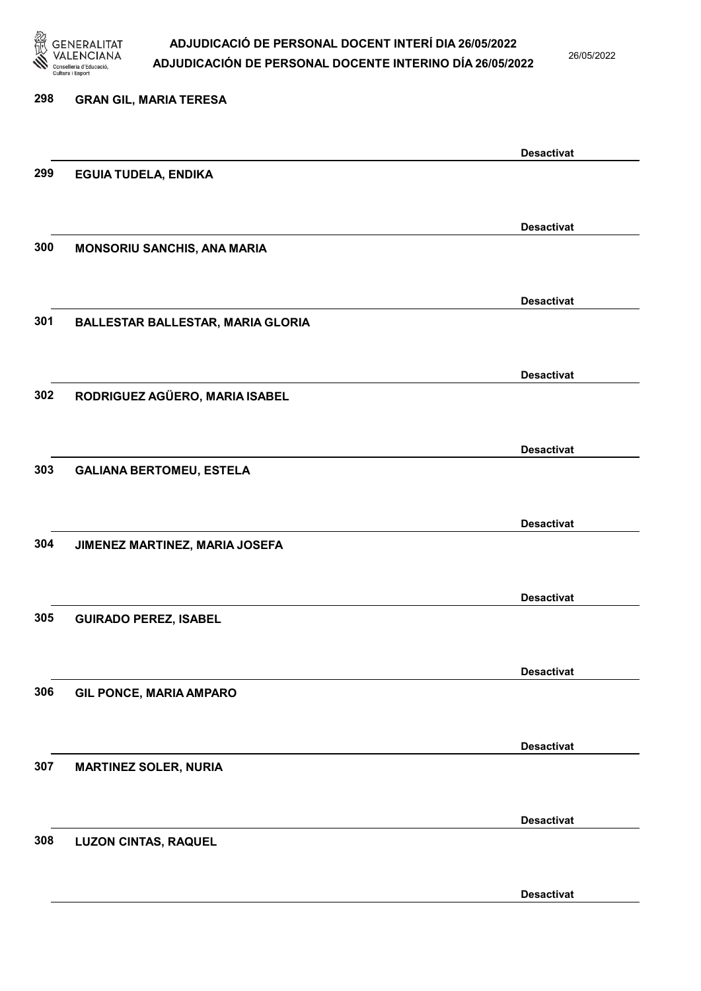

26/05/2022

| 298 | <b>GRAN GIL, MARIA TERESA</b>            |                   |
|-----|------------------------------------------|-------------------|
|     |                                          | <b>Desactivat</b> |
| 299 | <b>EGUIA TUDELA, ENDIKA</b>              |                   |
|     |                                          |                   |
|     |                                          | <b>Desactivat</b> |
| 300 | MONSORIU SANCHIS, ANA MARIA              |                   |
|     |                                          | <b>Desactivat</b> |
| 301 | <b>BALLESTAR BALLESTAR, MARIA GLORIA</b> |                   |
|     |                                          | <b>Desactivat</b> |
| 302 | RODRIGUEZ AGÜERO, MARIA ISABEL           |                   |
|     |                                          |                   |
|     |                                          | <b>Desactivat</b> |
| 303 | <b>GALIANA BERTOMEU, ESTELA</b>          |                   |
|     |                                          |                   |
|     |                                          | <b>Desactivat</b> |
| 304 | JIMENEZ MARTINEZ, MARIA JOSEFA           |                   |
|     |                                          |                   |
|     |                                          | <b>Desactivat</b> |
| 305 | <b>GUIRADO PEREZ, ISABEL</b>             |                   |
|     |                                          | <b>Desactivat</b> |
| 306 | <b>GIL PONCE, MARIA AMPARO</b>           |                   |
|     |                                          |                   |
|     |                                          | <b>Desactivat</b> |
| 307 | <b>MARTINEZ SOLER, NURIA</b>             |                   |
|     |                                          |                   |
| 308 |                                          | <b>Desactivat</b> |
|     | <b>LUZON CINTAS, RAQUEL</b>              |                   |
|     |                                          |                   |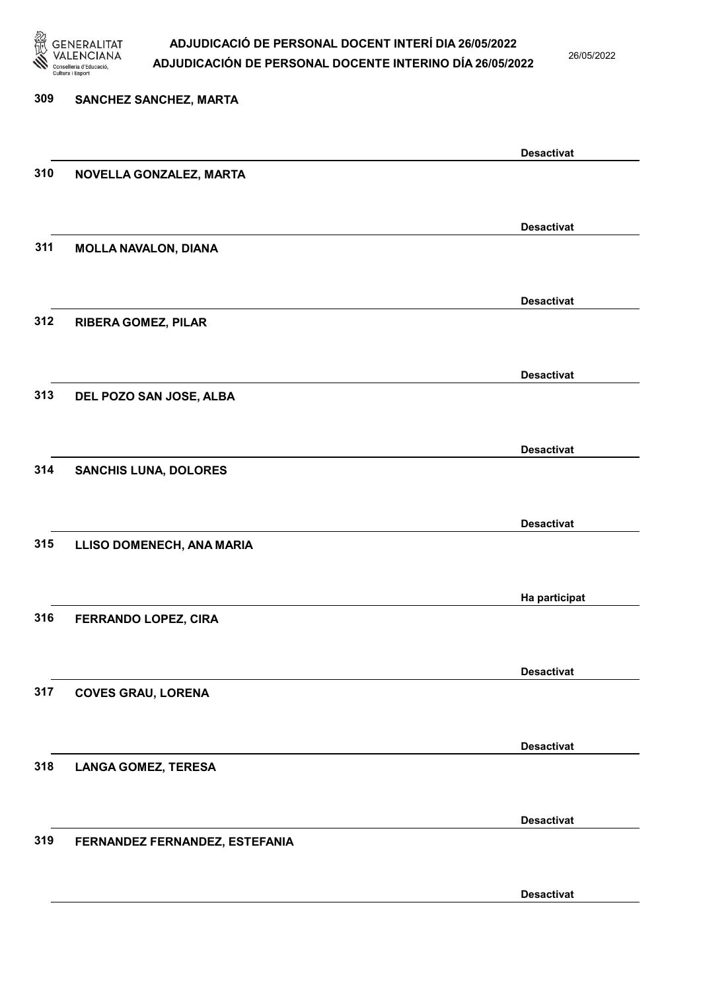

26/05/2022

Desactivat

## 309 SANCHEZ SANCHEZ, MARTA Desactivat 310 NOVELLA GONZALEZ, MARTA Desactivat 311 MOLLA NAVALON, DIANA Desactivat 312 RIBERA GOMEZ, PILAR Desactivat 313 DEL POZO SAN JOSE, ALBA Desactivat 314 SANCHIS LUNA, DOLORES Desactivat 315 LLISO DOMENECH, ANA MARIA Ha participat 316 FERRANDO LOPEZ, CIRA Desactivat 317 COVES GRAU, LORENA Desactivat 318 LANGA GOMEZ, TERESA Desactivat 319 FERNANDEZ FERNANDEZ, ESTEFANIA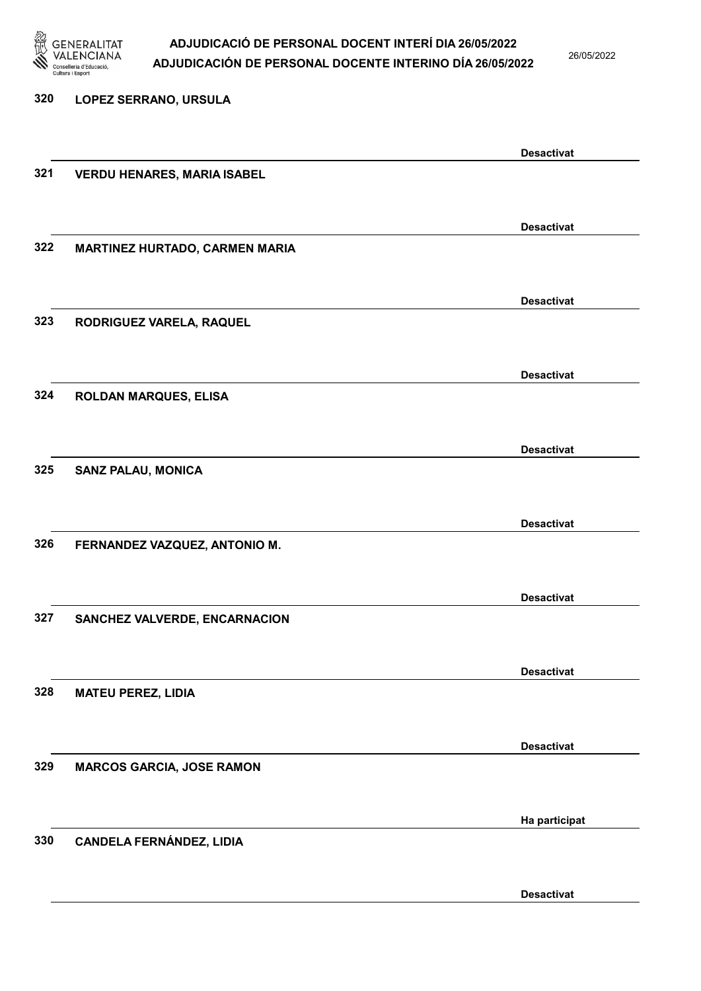

26/05/2022

Desactivat

## 320 LOPEZ SERRANO, URSULA Desactivat 321 VERDU HENARES, MARIA ISABEL Desactivat 322 MARTINEZ HURTADO, CARMEN MARIA Desactivat 323 RODRIGUEZ VARELA, RAQUEL Desactivat 324 ROLDAN MARQUES, ELISA Desactivat 325 SANZ PALAU, MONICA Desactivat 326 FERNANDEZ VAZQUEZ, ANTONIO M. Desactivat 327 SANCHEZ VALVERDE, ENCARNACION Desactivat 328 MATEU PEREZ, LIDIA Desactivat 329 MARCOS GARCIA, JOSE RAMON Ha participat 330 CANDELA FERNÁNDEZ, LIDIA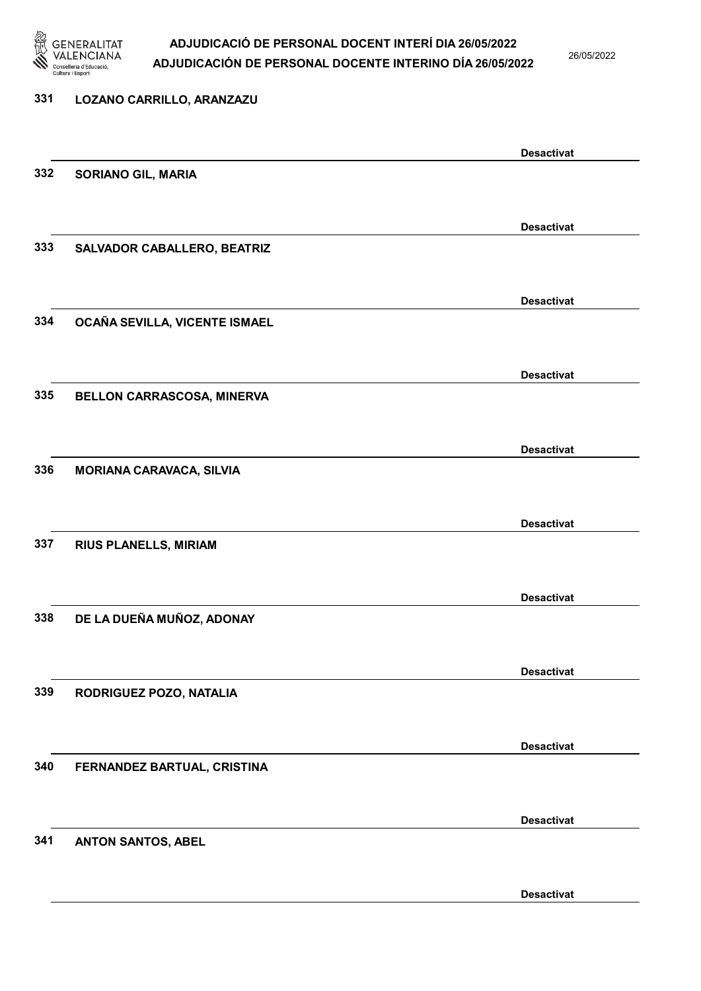

26/05/2022

#### 331 LOZANO CARRILLO, ARANZAZU

|     |                                 | <b>Desactivat</b> |
|-----|---------------------------------|-------------------|
| 332 | <b>SORIANO GIL, MARIA</b>       |                   |
|     |                                 |                   |
|     |                                 |                   |
|     |                                 | <b>Desactivat</b> |
| 333 | SALVADOR CABALLERO, BEATRIZ     |                   |
|     |                                 |                   |
|     |                                 | <b>Desactivat</b> |
| 334 | OCAÑA SEVILLA, VICENTE ISMAEL   |                   |
|     |                                 |                   |
|     |                                 |                   |
|     |                                 | <b>Desactivat</b> |
| 335 | BELLON CARRASCOSA, MINERVA      |                   |
|     |                                 |                   |
|     |                                 |                   |
|     |                                 | <b>Desactivat</b> |
| 336 | <b>MORIANA CARAVACA, SILVIA</b> |                   |
|     |                                 |                   |
|     |                                 | <b>Desactivat</b> |
| 337 | <b>RIUS PLANELLS, MIRIAM</b>    |                   |
|     |                                 |                   |
|     |                                 |                   |
|     |                                 | <b>Desactivat</b> |
| 338 | DE LA DUEÑA MUÑOZ, ADONAY       |                   |
|     |                                 |                   |
|     |                                 | <b>Desactivat</b> |
|     |                                 |                   |
| 339 | RODRIGUEZ POZO, NATALIA         |                   |
|     |                                 |                   |
|     |                                 | <b>Desactivat</b> |
| 340 | FERNANDEZ BARTUAL, CRISTINA     |                   |
|     |                                 |                   |
|     |                                 |                   |
|     |                                 | <b>Desactivat</b> |
| 341 | <b>ANTON SANTOS, ABEL</b>       |                   |
|     |                                 |                   |
|     |                                 |                   |
|     |                                 | <b>Desactivat</b> |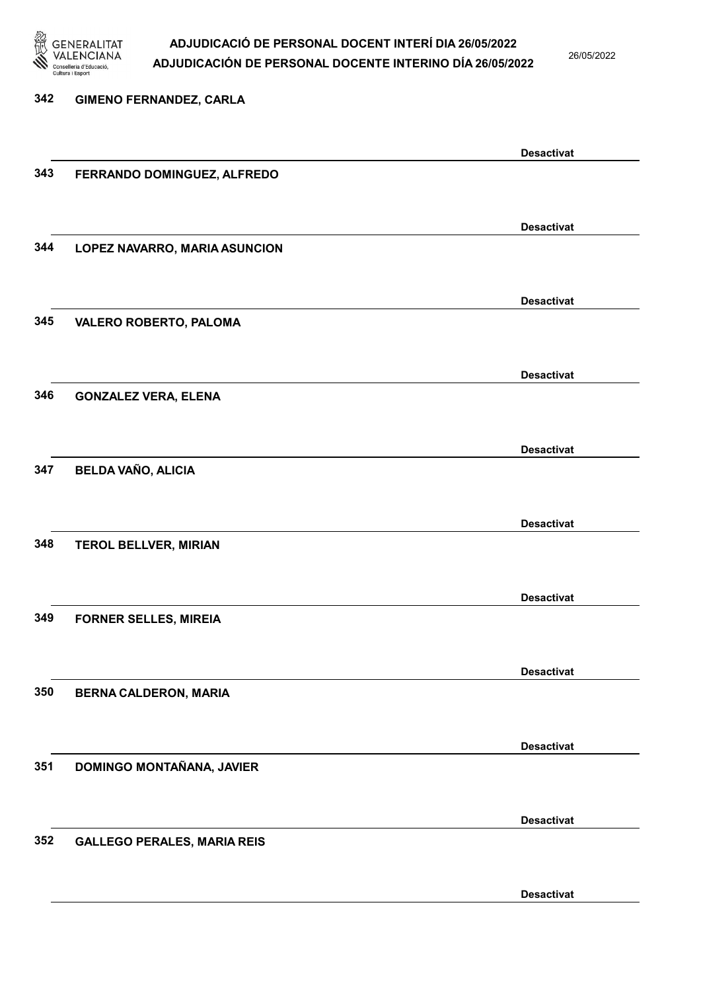

26/05/2022

Desactivat

## 342 GIMENO FERNANDEZ, CARLA Desactivat 343 FERRANDO DOMINGUEZ, ALFREDO Desactivat 344 LOPEZ NAVARRO, MARIA ASUNCION Desactivat 345 VALERO ROBERTO, PALOMA Desactivat 346 GONZALEZ VERA, ELENA Desactivat 347 BELDA VAÑO, ALICIA Desactivat 348 TEROL BELLVER, MIRIAN Desactivat 349 FORNER SELLES, MIREIA Desactivat 350 BERNA CALDERON, MARIA Desactivat 351 DOMINGO MONTAÑANA, JAVIER Desactivat 352 GALLEGO PERALES, MARIA REIS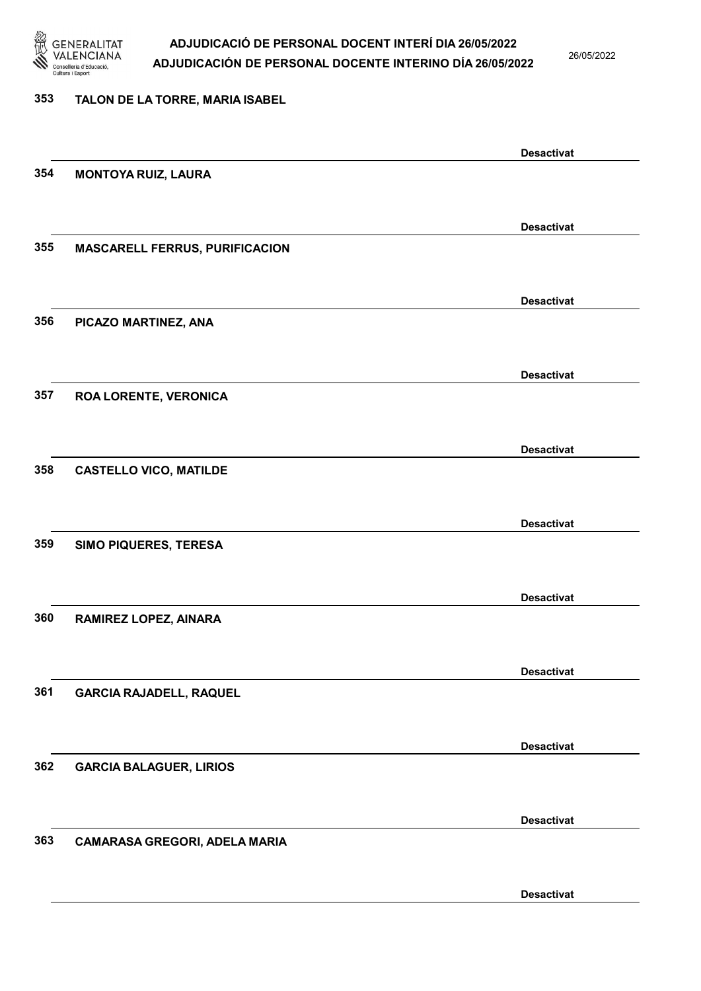

26/05/2022

#### 353 TALON DE LA TORRE, MARIA ISABEL

|     |                                       | <b>Desactivat</b> |
|-----|---------------------------------------|-------------------|
| 354 | <b>MONTOYA RUIZ, LAURA</b>            |                   |
|     |                                       |                   |
|     |                                       | <b>Desactivat</b> |
| 355 | <b>MASCARELL FERRUS, PURIFICACION</b> |                   |
|     |                                       |                   |
|     |                                       |                   |
|     |                                       | <b>Desactivat</b> |
| 356 | PICAZO MARTINEZ, ANA                  |                   |
|     |                                       |                   |
|     |                                       | <b>Desactivat</b> |
| 357 | <b>ROA LORENTE, VERONICA</b>          |                   |
|     |                                       |                   |
|     |                                       | <b>Desactivat</b> |
| 358 | <b>CASTELLO VICO, MATILDE</b>         |                   |
|     |                                       |                   |
|     |                                       |                   |
|     |                                       | <b>Desactivat</b> |
| 359 | SIMO PIQUERES, TERESA                 |                   |
|     |                                       |                   |
|     |                                       | <b>Desactivat</b> |
| 360 | RAMIREZ LOPEZ, AINARA                 |                   |
|     |                                       |                   |
|     |                                       | <b>Desactivat</b> |
| 361 | <b>GARCIA RAJADELL, RAQUEL</b>        |                   |
|     |                                       |                   |
|     |                                       |                   |
| 362 |                                       | <b>Desactivat</b> |
|     | <b>GARCIA BALAGUER, LIRIOS</b>        |                   |
|     |                                       |                   |
|     |                                       | <b>Desactivat</b> |
| 363 | CAMARASA GREGORI, ADELA MARIA         |                   |
|     |                                       |                   |
|     |                                       | <b>Desactivat</b> |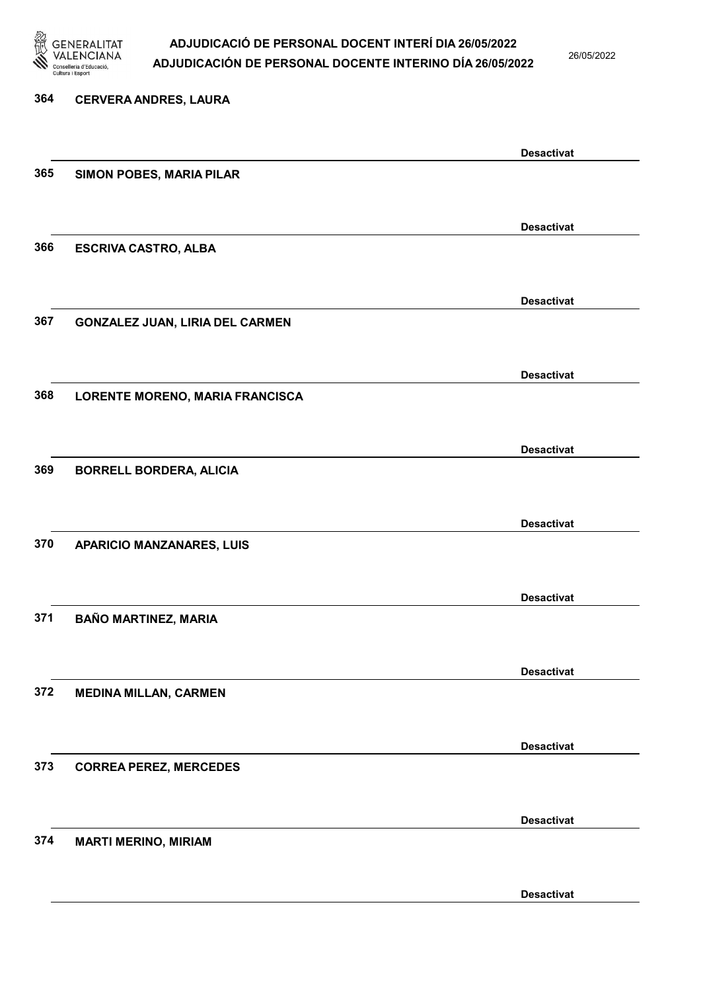

26/05/2022

Desactivat

# 364 CERVERA ANDRES, LAURA Desactivat 365 SIMON POBES, MARIA PILAR Desactivat 366 ESCRIVA CASTRO, ALBA Desactivat 367 GONZALEZ JUAN, LIRIA DEL CARMEN Desactivat 368 LORENTE MORENO, MARIA FRANCISCA Desactivat 369 BORRELL BORDERA, ALICIA Desactivat 370 APARICIO MANZANARES, LUIS Desactivat 371 BAÑO MARTINEZ, MARIA Desactivat 372 MEDINA MILLAN, CARMEN Desactivat 373 CORREA PEREZ, MERCEDES Desactivat 374 MARTI MERINO, MIRIAM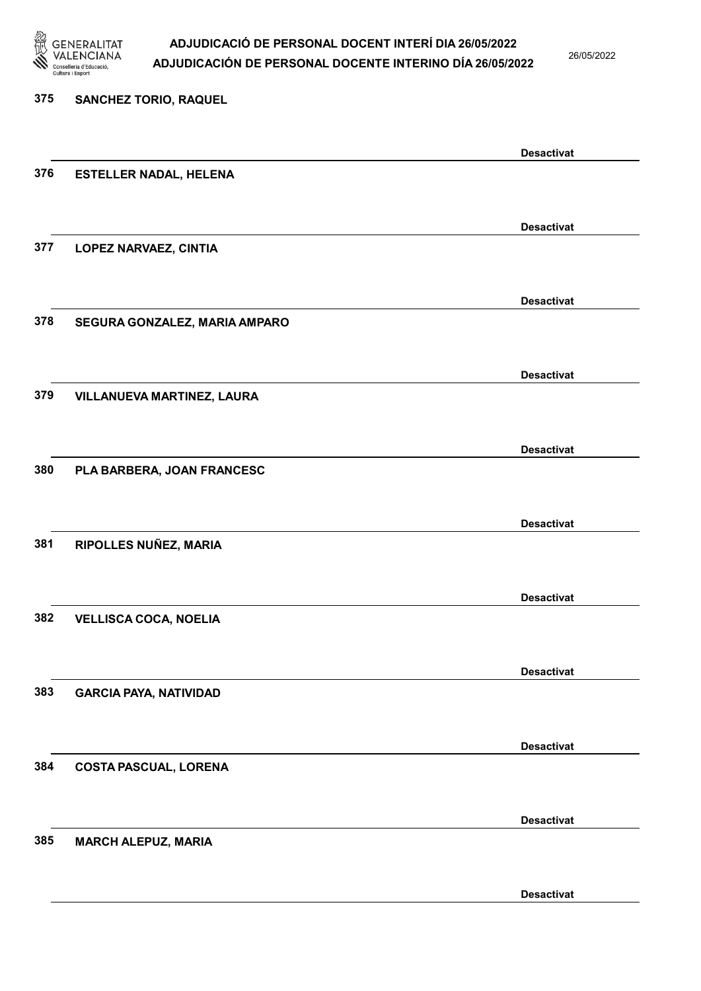

26/05/2022

Desactivat

# 375 SANCHEZ TORIO, RAQUEL Desactivat 376 ESTELLER NADAL, HELENA Desactivat 377 LOPEZ NARVAEZ, CINTIA Desactivat 378 SEGURA GONZALEZ, MARIA AMPARO Desactivat 379 VILLANUEVA MARTINEZ, LAURA Desactivat 380 PLA BARBERA, JOAN FRANCESC Desactivat 381 RIPOLLES NUÑEZ, MARIA Desactivat 382 VELLISCA COCA, NOELIA Desactivat 383 GARCIA PAYA, NATIVIDAD Desactivat 384 COSTA PASCUAL, LORENA Desactivat 385 MARCH ALEPUZ, MARIA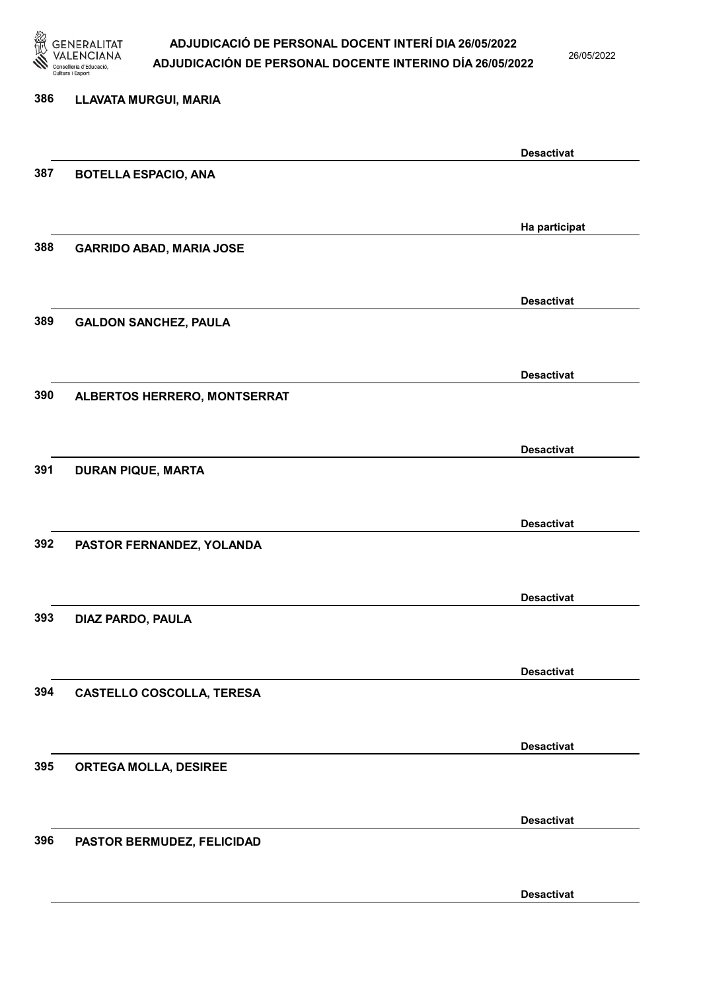

26/05/2022

Desactivat

# 386 LLAVATA MURGUI, MARIA Desactivat 387 BOTELLA ESPACIO, ANA Ha participat 388 GARRIDO ABAD, MARIA JOSE Desactivat 389 GALDON SANCHEZ, PAULA Desactivat 390 ALBERTOS HERRERO, MONTSERRAT Desactivat 391 DURAN PIQUE, MARTA Desactivat 392 PASTOR FERNANDEZ, YOLANDA Desactivat 393 DIAZ PARDO, PAULA Desactivat 394 CASTELLO COSCOLLA, TERESA Desactivat 395 ORTEGA MOLLA, DESIREE Desactivat 396 PASTOR BERMUDEZ, FELICIDAD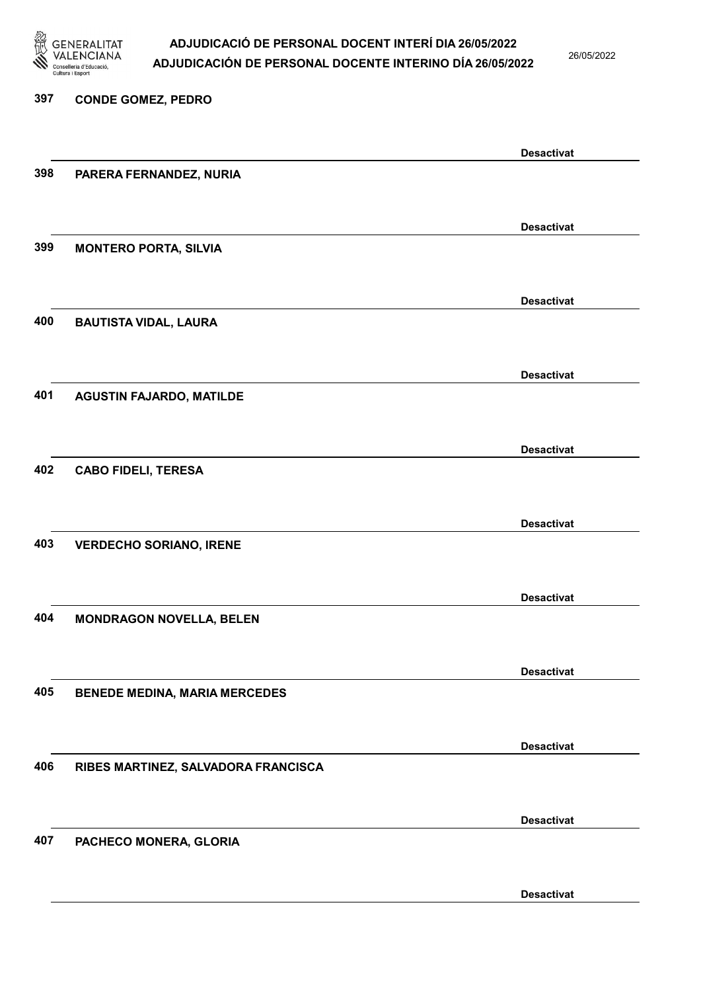

26/05/2022

#### 397 CONDE GOMEZ, PEDRO

|     |                                      | <b>Desactivat</b> |
|-----|--------------------------------------|-------------------|
| 398 | PARERA FERNANDEZ, NURIA              |                   |
|     |                                      |                   |
|     |                                      |                   |
|     |                                      | <b>Desactivat</b> |
| 399 | <b>MONTERO PORTA, SILVIA</b>         |                   |
|     |                                      |                   |
|     |                                      |                   |
|     |                                      | <b>Desactivat</b> |
| 400 | <b>BAUTISTA VIDAL, LAURA</b>         |                   |
|     |                                      |                   |
|     |                                      | <b>Desactivat</b> |
|     |                                      |                   |
| 401 | <b>AGUSTIN FAJARDO, MATILDE</b>      |                   |
|     |                                      |                   |
|     |                                      | <b>Desactivat</b> |
| 402 | <b>CABO FIDELI, TERESA</b>           |                   |
|     |                                      |                   |
|     |                                      |                   |
|     |                                      | <b>Desactivat</b> |
| 403 | <b>VERDECHO SORIANO, IRENE</b>       |                   |
|     |                                      |                   |
|     |                                      |                   |
|     |                                      | <b>Desactivat</b> |
| 404 | <b>MONDRAGON NOVELLA, BELEN</b>      |                   |
|     |                                      |                   |
|     |                                      |                   |
|     |                                      | <b>Desactivat</b> |
| 405 | <b>BENEDE MEDINA, MARIA MERCEDES</b> |                   |
|     |                                      |                   |
|     |                                      | <b>Desactivat</b> |
| 406 |                                      |                   |
|     | RIBES MARTINEZ, SALVADORA FRANCISCA  |                   |
|     |                                      |                   |
|     |                                      | <b>Desactivat</b> |
| 407 | PACHECO MONERA, GLORIA               |                   |
|     |                                      |                   |
|     |                                      |                   |
|     |                                      | <b>Desactivat</b> |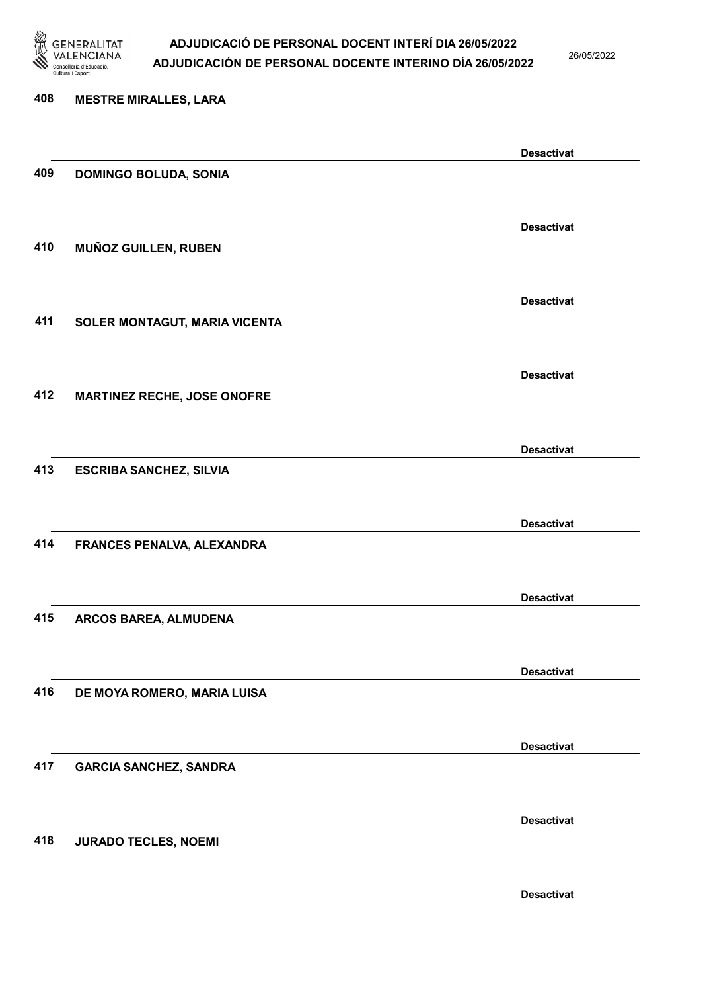

26/05/2022

Desactivat

# 408 MESTRE MIRALLES, LARA Desactivat 409 DOMINGO BOLUDA, SONIA Desactivat 410 MUÑOZ GUILLEN, RUBEN Desactivat 411 SOLER MONTAGUT, MARIA VICENTA Desactivat 412 MARTINEZ RECHE, JOSE ONOFRE Desactivat 413 ESCRIBA SANCHEZ, SILVIA Desactivat 414 FRANCES PENALVA, ALEXANDRA Desactivat 415 ARCOS BAREA, ALMUDENA Desactivat 416 DE MOYA ROMERO, MARIA LUISA Desactivat 417 GARCIA SANCHEZ, SANDRA Desactivat 418 JURADO TECLES, NOEMI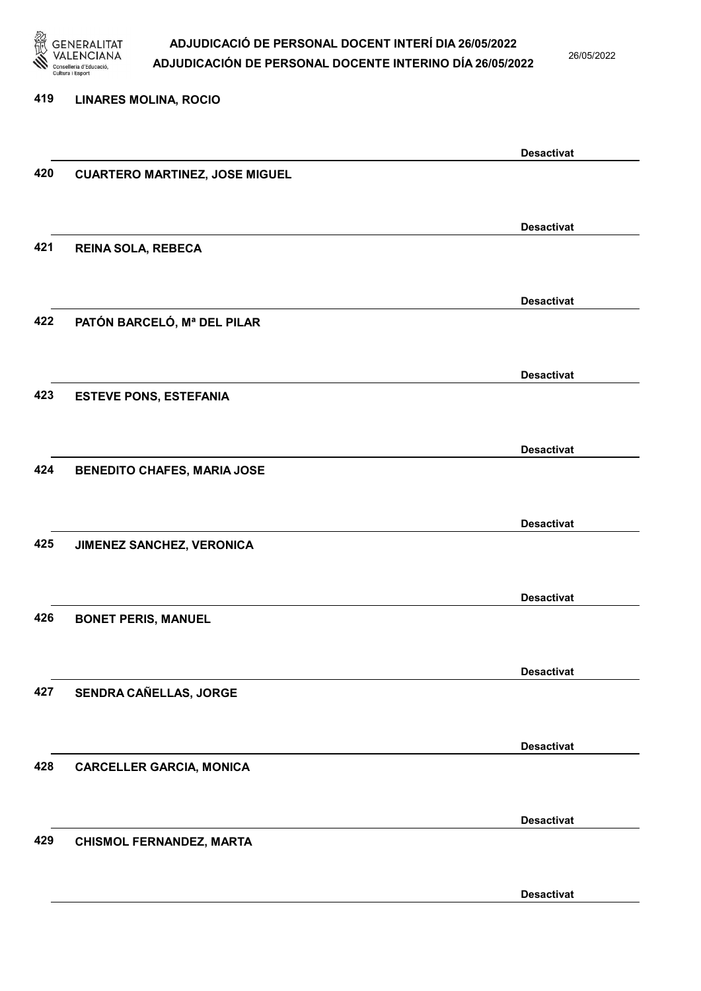

26/05/2022

Desactivat

# 419 LINARES MOLINA, ROCIO Desactivat 420 CUARTERO MARTINEZ, JOSE MIGUEL Desactivat 421 REINA SOLA, REBECA Desactivat 422 PATÓN BARCELÓ, Mª DEL PILAR Desactivat 423 ESTEVE PONS, ESTEFANIA Desactivat 424 BENEDITO CHAFES, MARIA JOSE Desactivat 425 JIMENEZ SANCHEZ, VERONICA Desactivat 426 BONET PERIS, MANUEL Desactivat 427 SENDRA CAÑELLAS, JORGE Desactivat 428 CARCELLER GARCIA, MONICA Desactivat 429 CHISMOL FERNANDEZ, MARTA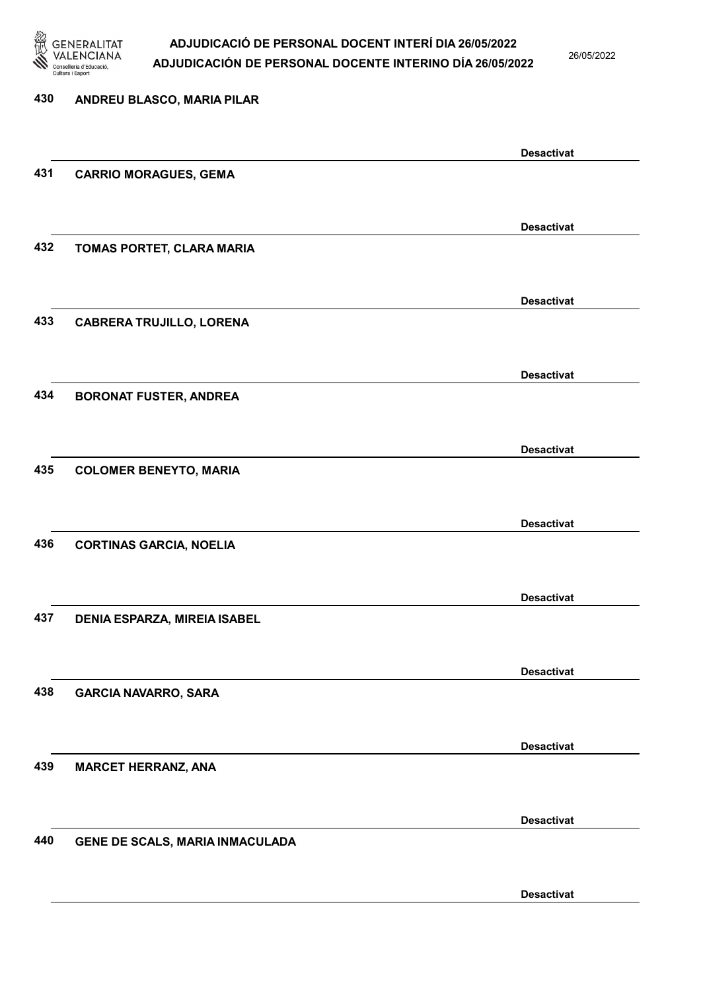

26/05/2022

### 430 ANDREU BLASCO, MARIA PILAR Desactivat 431 CARRIO MORAGUES, GEMA Desactivat 432 TOMAS PORTET, CLARA MARIA Desactivat 433 CABRERA TRUJILLO, LORENA Desactivat 434 BORONAT FUSTER, ANDREA Desactivat 435 COLOMER BENEYTO, MARIA Desactivat 436 CORTINAS GARCIA, NOELIA Desactivat 437 DENIA ESPARZA, MIREIA ISABEL Desactivat 438 GARCIA NAVARRO, SARA Desactivat 439 MARCET HERRANZ, ANA Desactivat 440 GENE DE SCALS, MARIA INMACULADA Desactivat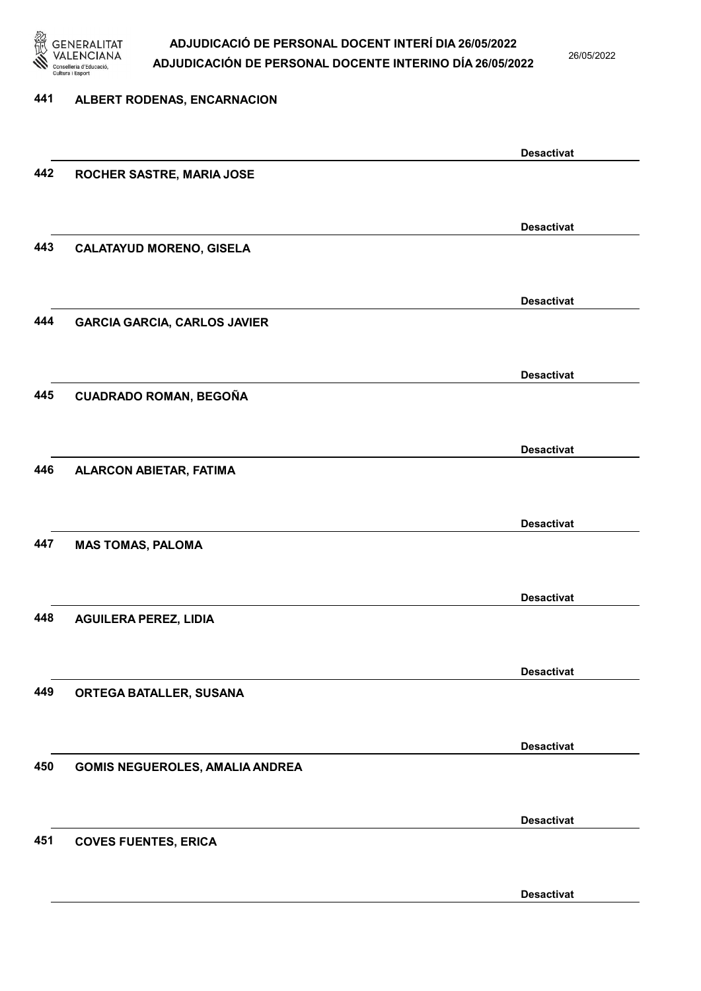

26/05/2022

### 441 ALBERT RODENAS, ENCARNACION Desactivat 442 ROCHER SASTRE, MARIA JOSE Desactivat 443 CALATAYUD MORENO, GISELA Desactivat 444 GARCIA GARCIA, CARLOS JAVIER Desactivat 445 CUADRADO ROMAN, BEGOÑA Desactivat 446 ALARCON ABIETAR, FATIMA Desactivat 447 MAS TOMAS, PALOMA Desactivat 448 AGUILERA PEREZ, LIDIA Desactivat 449 ORTEGA BATALLER, SUSANA Desactivat 450 GOMIS NEGUEROLES, AMALIA ANDREA Desactivat 451 COVES FUENTES, ERICA Desactivat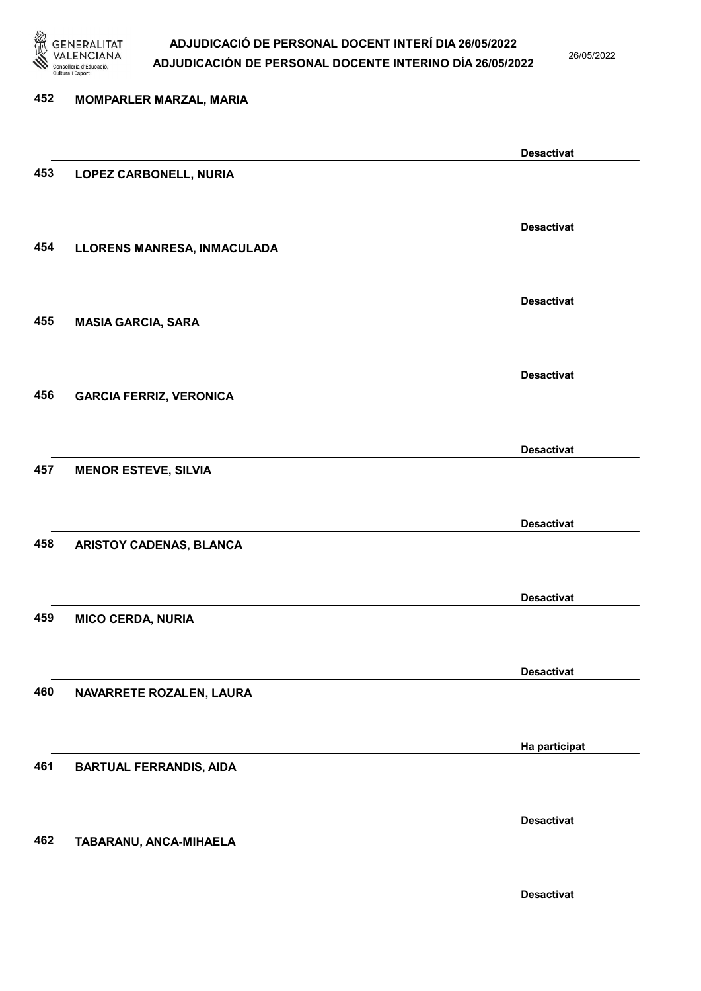

26/05/2022

Desactivat

# 452 MOMPARLER MARZAL, MARIA Desactivat 453 LOPEZ CARBONELL, NURIA Desactivat 454 LLORENS MANRESA, INMACULADA Desactivat 455 MASIA GARCIA, SARA Desactivat 456 GARCIA FERRIZ, VERONICA Desactivat 457 MENOR ESTEVE, SILVIA Desactivat 458 ARISTOY CADENAS, BLANCA Desactivat 459 MICO CERDA, NURIA Desactivat 460 NAVARRETE ROZALEN, LAURA Ha participat 461 BARTUAL FERRANDIS, AIDA Desactivat 462 TABARANU, ANCA-MIHAELA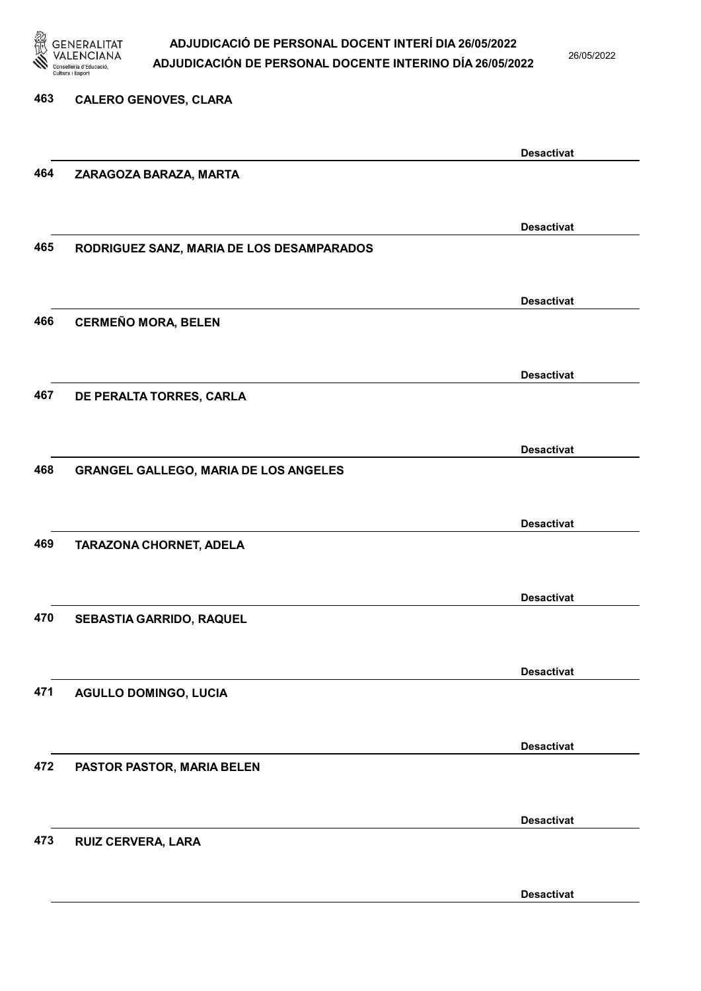

26/05/2022

463 CALERO GENOVES, CLARA Desactivat 464 ZARAGOZA BARAZA, MARTA Desactivat 465 RODRIGUEZ SANZ, MARIA DE LOS DESAMPARADOS Desactivat 466 CERMEÑO MORA, BELEN Desactivat 467 DE PERALTA TORRES, CARLA Desactivat 468 GRANGEL GALLEGO, MARIA DE LOS ANGELES Desactivat 469 TARAZONA CHORNET, ADELA Desactivat 470 SEBASTIA GARRIDO, RAQUEL Desactivat 471 AGULLO DOMINGO, LUCIA Desactivat 472 PASTOR PASTOR, MARIA BELEN Desactivat 473 RUIZ CERVERA, LARA

Desactivat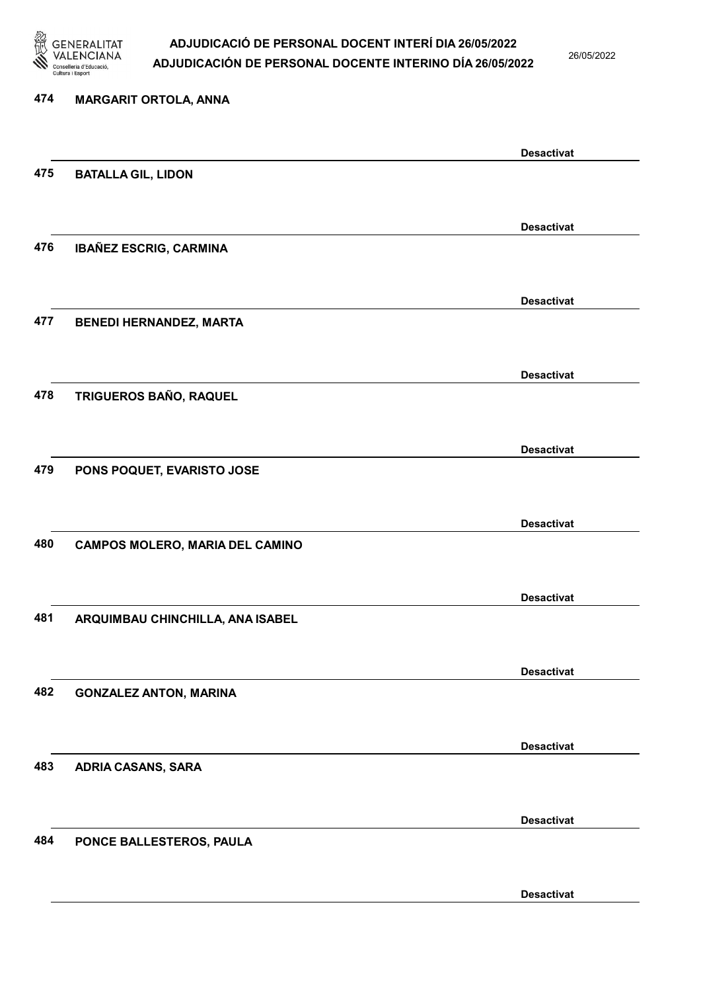

26/05/2022

Desactivat

# 474 MARGARIT ORTOLA, ANNA Desactivat 475 BATALLA GIL, LIDON Desactivat 476 IBAÑEZ ESCRIG, CARMINA Desactivat 477 BENEDI HERNANDEZ, MARTA Desactivat 478 TRIGUEROS BAÑO, RAQUEL Desactivat 479 PONS POQUET, EVARISTO JOSE Desactivat 480 CAMPOS MOLERO, MARIA DEL CAMINO Desactivat 481 ARQUIMBAU CHINCHILLA, ANA ISABEL Desactivat 482 GONZALEZ ANTON, MARINA Desactivat 483 ADRIA CASANS, SARA Desactivat 484 PONCE BALLESTEROS, PAULA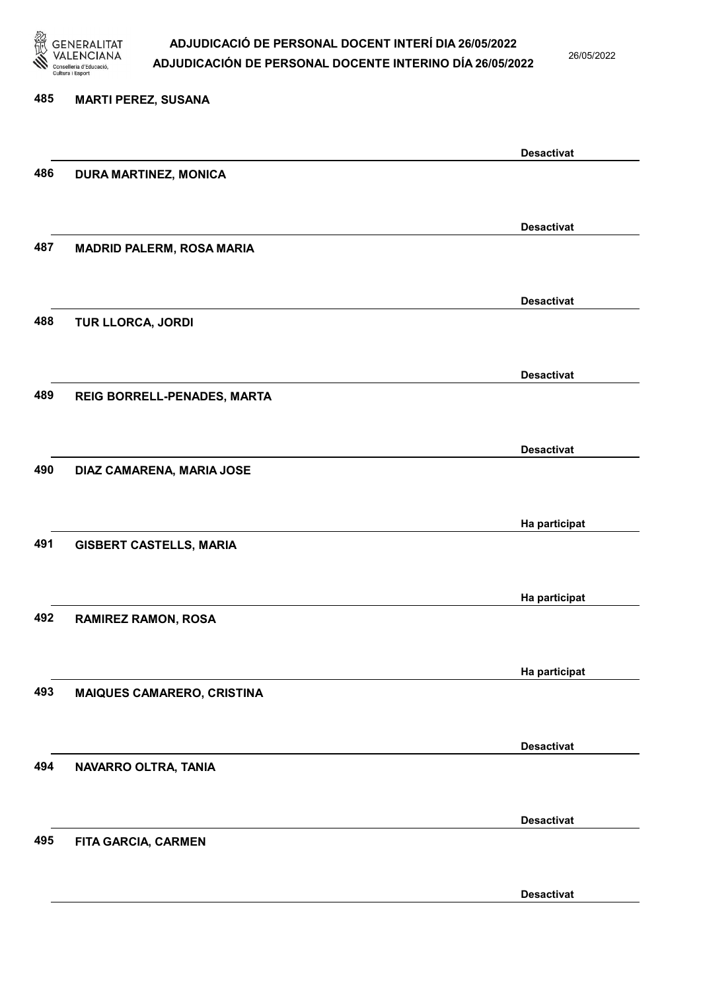

26/05/2022

Desactivat

# 485 MARTI PEREZ, SUSANA Desactivat 486 DURA MARTINEZ, MONICA Desactivat 487 MADRID PALERM, ROSA MARIA Desactivat 488 TUR LLORCA, JORDI Desactivat 489 REIG BORRELL-PENADES, MARTA Desactivat 490 DIAZ CAMARENA, MARIA JOSE Ha participat 491 GISBERT CASTELLS, MARIA Ha participat 492 RAMIREZ RAMON, ROSA Ha participat 493 MAIQUES CAMARERO, CRISTINA Desactivat 494 NAVARRO OLTRA, TANIA Desactivat 495 FITA GARCIA, CARMEN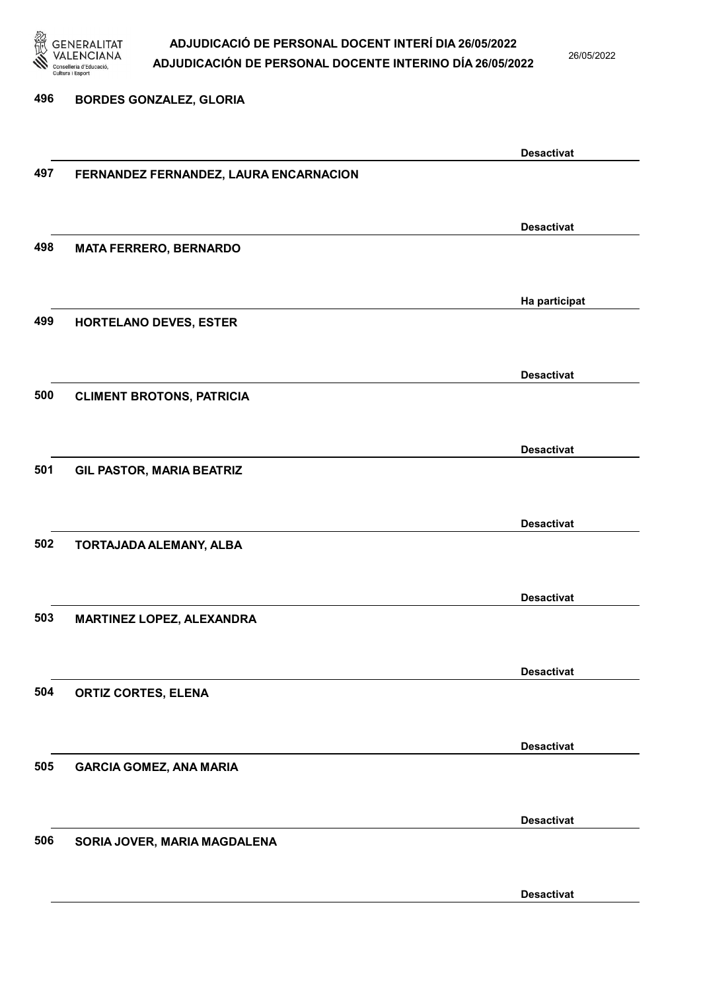

26/05/2022

#### 496 BORDES GONZALEZ, GLORIA

|     |                                        | <b>Desactivat</b> |
|-----|----------------------------------------|-------------------|
| 497 | FERNANDEZ FERNANDEZ, LAURA ENCARNACION |                   |
|     |                                        |                   |
|     |                                        |                   |
|     |                                        | <b>Desactivat</b> |
| 498 | <b>MATA FERRERO, BERNARDO</b>          |                   |
|     |                                        |                   |
|     |                                        | Ha participat     |
| 499 | HORTELANO DEVES, ESTER                 |                   |
|     |                                        |                   |
|     |                                        |                   |
| 500 |                                        | <b>Desactivat</b> |
|     | <b>CLIMENT BROTONS, PATRICIA</b>       |                   |
|     |                                        |                   |
|     |                                        | <b>Desactivat</b> |
| 501 | <b>GIL PASTOR, MARIA BEATRIZ</b>       |                   |
|     |                                        |                   |
|     |                                        | <b>Desactivat</b> |
| 502 |                                        |                   |
|     | TORTAJADA ALEMANY, ALBA                |                   |
|     |                                        |                   |
|     |                                        | <b>Desactivat</b> |
| 503 | MARTINEZ LOPEZ, ALEXANDRA              |                   |
|     |                                        |                   |
|     |                                        | <b>Desactivat</b> |
| 504 |                                        |                   |
|     | <b>ORTIZ CORTES, ELENA</b>             |                   |
|     |                                        |                   |
|     |                                        | <b>Desactivat</b> |
| 505 | <b>GARCIA GOMEZ, ANA MARIA</b>         |                   |
|     |                                        |                   |
|     |                                        |                   |
| 506 |                                        | <b>Desactivat</b> |
|     | SORIA JOVER, MARIA MAGDALENA           |                   |
|     |                                        |                   |
|     |                                        | <b>Desactivat</b> |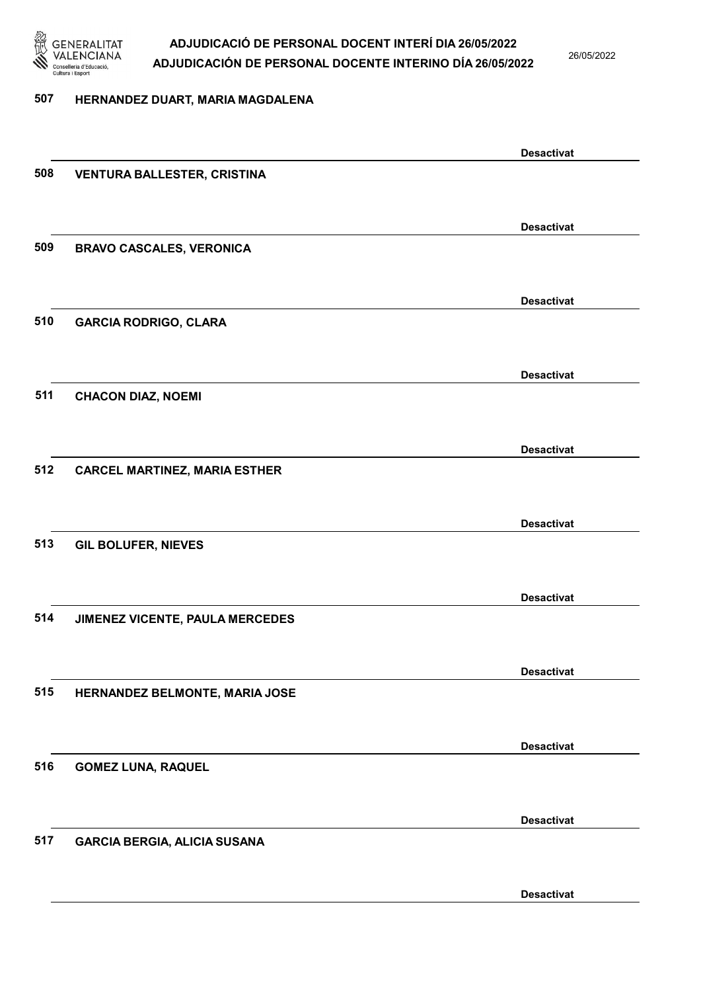

26/05/2022

#### 507 HERNANDEZ DUART, MARIA MAGDALENA

|     |                                      | <b>Desactivat</b> |
|-----|--------------------------------------|-------------------|
| 508 | <b>VENTURA BALLESTER, CRISTINA</b>   |                   |
|     |                                      |                   |
|     |                                      | <b>Desactivat</b> |
| 509 | <b>BRAVO CASCALES, VERONICA</b>      |                   |
|     |                                      |                   |
|     |                                      | <b>Desactivat</b> |
| 510 | <b>GARCIA RODRIGO, CLARA</b>         |                   |
|     |                                      |                   |
|     |                                      |                   |
|     |                                      | <b>Desactivat</b> |
| 511 | <b>CHACON DIAZ, NOEMI</b>            |                   |
|     |                                      |                   |
|     |                                      | <b>Desactivat</b> |
| 512 | <b>CARCEL MARTINEZ, MARIA ESTHER</b> |                   |
|     |                                      |                   |
|     |                                      | <b>Desactivat</b> |
| 513 | <b>GIL BOLUFER, NIEVES</b>           |                   |
|     |                                      |                   |
|     |                                      | <b>Desactivat</b> |
| 514 | JIMENEZ VICENTE, PAULA MERCEDES      |                   |
|     |                                      |                   |
|     |                                      | <b>Desactivat</b> |
| 515 | HERNANDEZ BELMONTE, MARIA JOSE       |                   |
|     |                                      |                   |
|     |                                      |                   |
|     |                                      | <b>Desactivat</b> |
| 516 | <b>GOMEZ LUNA, RAQUEL</b>            |                   |
|     |                                      |                   |
|     |                                      | <b>Desactivat</b> |
| 517 | <b>GARCIA BERGIA, ALICIA SUSANA</b>  |                   |
|     |                                      |                   |
|     |                                      | <b>Desactivat</b> |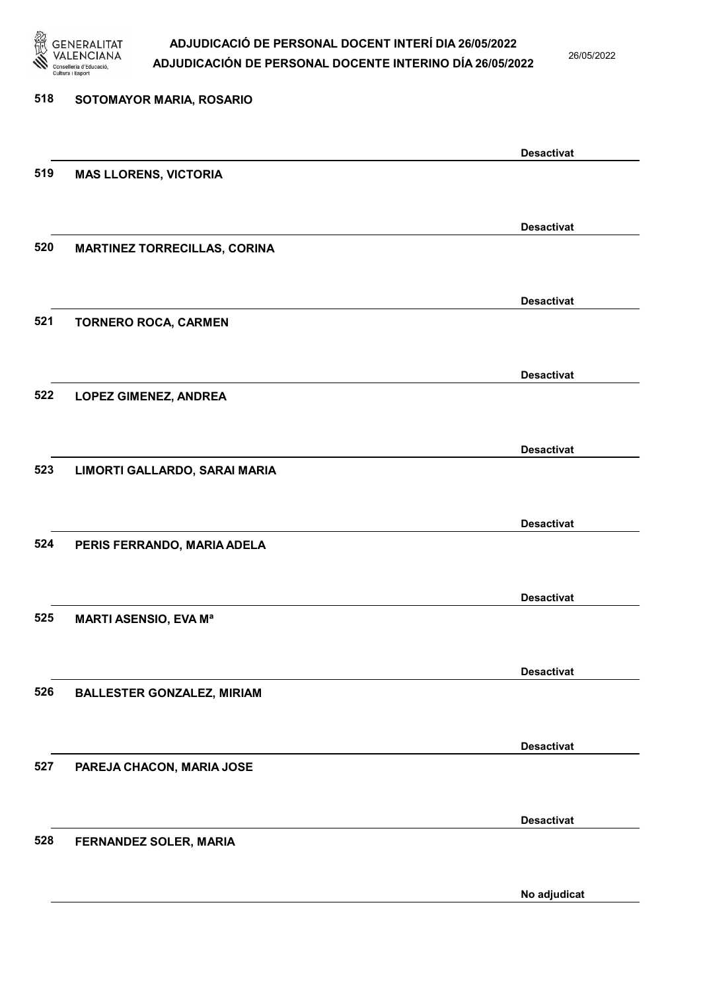

26/05/2022

No adjudicat

# 518 SOTOMAYOR MARIA, ROSARIO Desactivat 519 MAS LLORENS, VICTORIA Desactivat 520 MARTINEZ TORRECILLAS, CORINA Desactivat 521 TORNERO ROCA, CARMEN Desactivat 522 LOPEZ GIMENEZ, ANDREA Desactivat 523 LIMORTI GALLARDO, SARAI MARIA Desactivat 524 PERIS FERRANDO, MARIA ADELA Desactivat 525 MARTI ASENSIO, EVA Mª Desactivat 526 BALLESTER GONZALEZ, MIRIAM Desactivat 527 PAREJA CHACON, MARIA JOSE Desactivat 528 FERNANDEZ SOLER, MARIA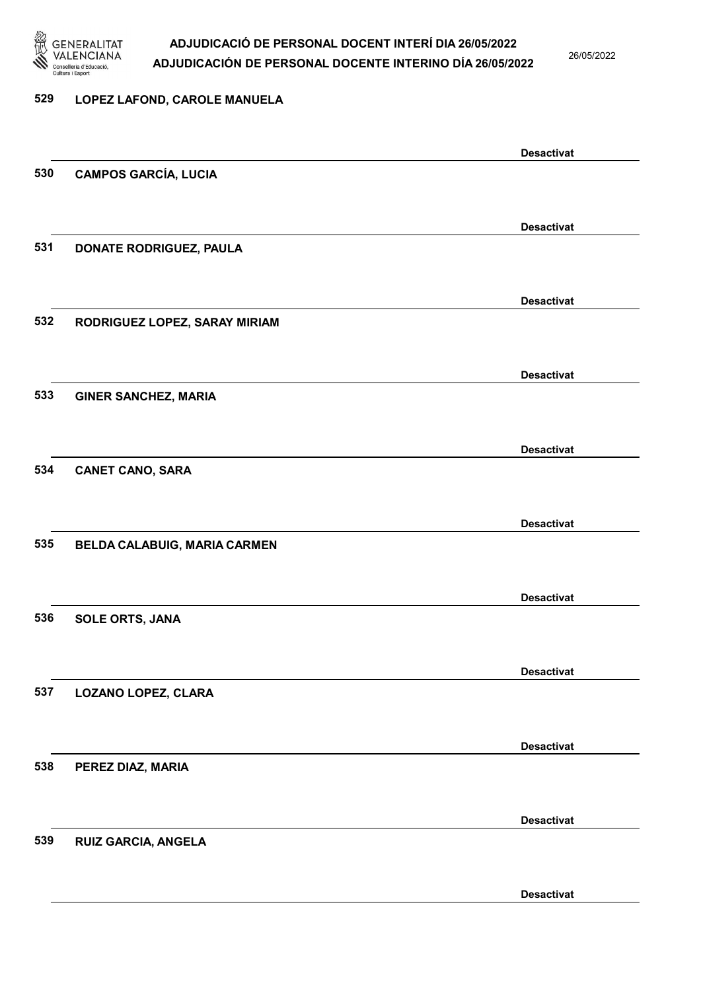

26/05/2022

#### 529 LOPEZ LAFOND, CAROLE MANUELA

|     |                               | <b>Desactivat</b> |
|-----|-------------------------------|-------------------|
| 530 | <b>CAMPOS GARCÍA, LUCIA</b>   |                   |
|     |                               |                   |
|     |                               |                   |
|     |                               | <b>Desactivat</b> |
| 531 | DONATE RODRIGUEZ, PAULA       |                   |
|     |                               |                   |
|     |                               | <b>Desactivat</b> |
| 532 |                               |                   |
|     | RODRIGUEZ LOPEZ, SARAY MIRIAM |                   |
|     |                               |                   |
|     |                               | <b>Desactivat</b> |
| 533 | <b>GINER SANCHEZ, MARIA</b>   |                   |
|     |                               |                   |
|     |                               |                   |
|     |                               | <b>Desactivat</b> |
| 534 | <b>CANET CANO, SARA</b>       |                   |
|     |                               |                   |
|     |                               |                   |
|     |                               | <b>Desactivat</b> |
| 535 | BELDA CALABUIG, MARIA CARMEN  |                   |
|     |                               |                   |
|     |                               |                   |
|     |                               | <b>Desactivat</b> |
| 536 | <b>SOLE ORTS, JANA</b>        |                   |
|     |                               |                   |
|     |                               | <b>Desactivat</b> |
| 537 | <b>LOZANO LOPEZ, CLARA</b>    |                   |
|     |                               |                   |
|     |                               |                   |
|     |                               | <b>Desactivat</b> |
| 538 | PEREZ DIAZ, MARIA             |                   |
|     |                               |                   |
|     |                               |                   |
|     |                               | <b>Desactivat</b> |
| 539 | <b>RUIZ GARCIA, ANGELA</b>    |                   |
|     |                               |                   |
|     |                               |                   |
|     |                               | <b>Desactivat</b> |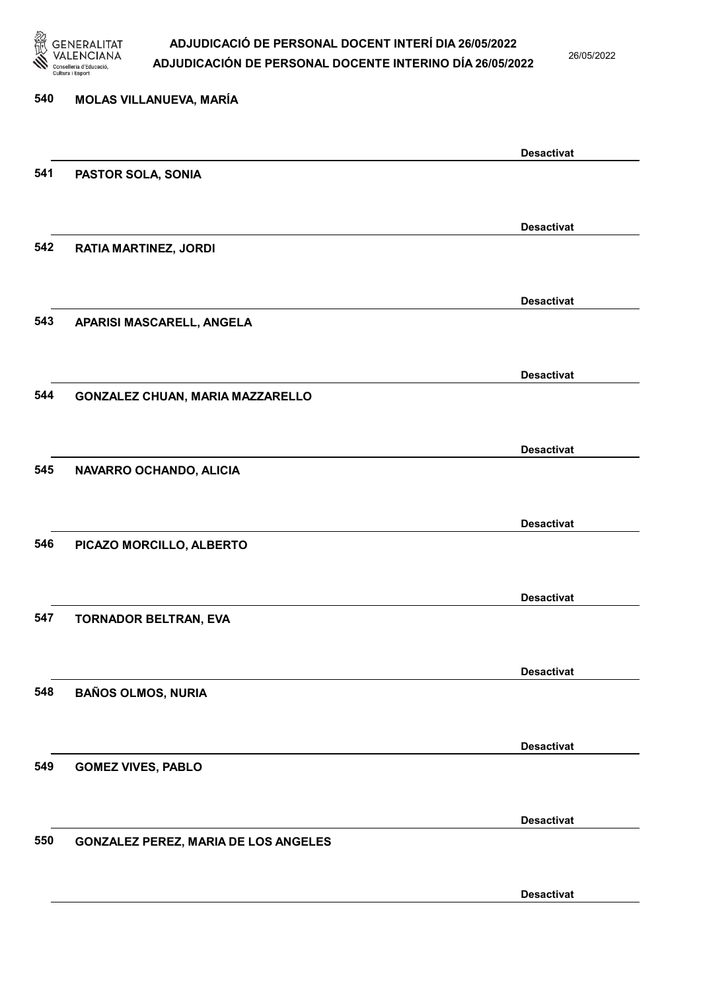

26/05/2022

### 540 MOLAS VILLANUEVA, MARÍA Desactivat 541 PASTOR SOLA, SONIA Desactivat 542 RATIA MARTINEZ, JORDI Desactivat 543 APARISI MASCARELL, ANGELA Desactivat 544 GONZALEZ CHUAN, MARIA MAZZARELLO Desactivat 545 NAVARRO OCHANDO, ALICIA Desactivat 546 PICAZO MORCILLO, ALBERTO Desactivat 547 TORNADOR BELTRAN, EVA Desactivat 548 BAÑOS OLMOS, NURIA Desactivat 549 GOMEZ VIVES, PABLO Desactivat 550 GONZALEZ PEREZ, MARIA DE LOS ANGELES Desactivat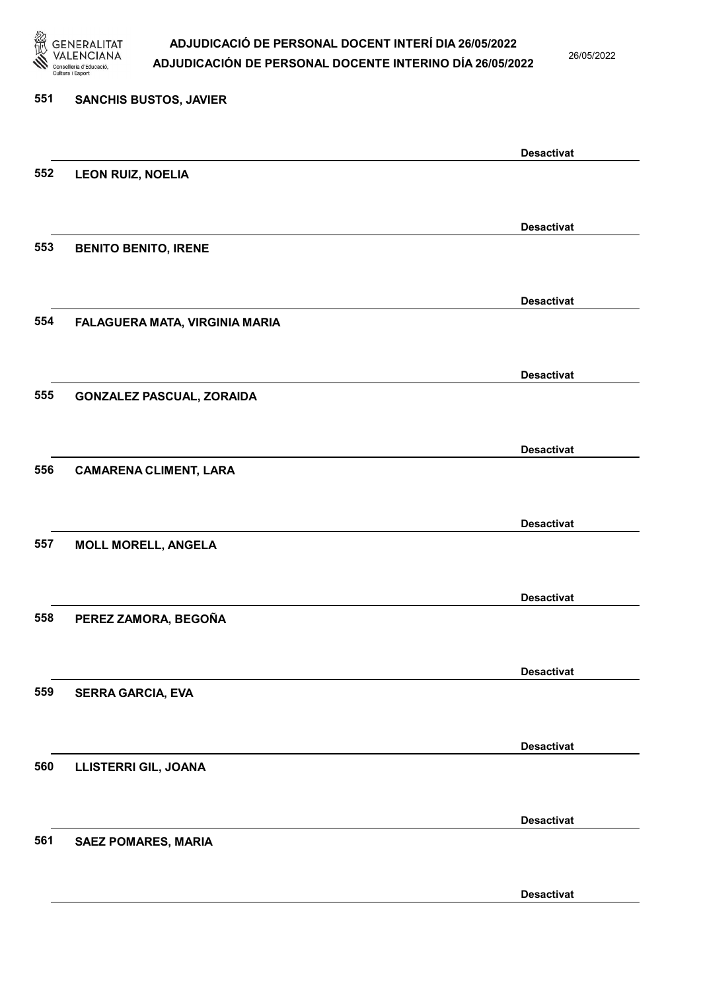

26/05/2022

Desactivat

# 551 SANCHIS BUSTOS, JAVIER Desactivat 552 LEON RUIZ, NOELIA Desactivat 553 BENITO BENITO, IRENE Desactivat 554 FALAGUERA MATA, VIRGINIA MARIA Desactivat 555 GONZALEZ PASCUAL, ZORAIDA Desactivat 556 CAMARENA CLIMENT, LARA Desactivat 557 MOLL MORELL, ANGELA Desactivat 558 PEREZ ZAMORA, BEGOÑA Desactivat 559 SERRA GARCIA, EVA Desactivat 560 LLISTERRI GIL, JOANA Desactivat 561 SAEZ POMARES, MARIA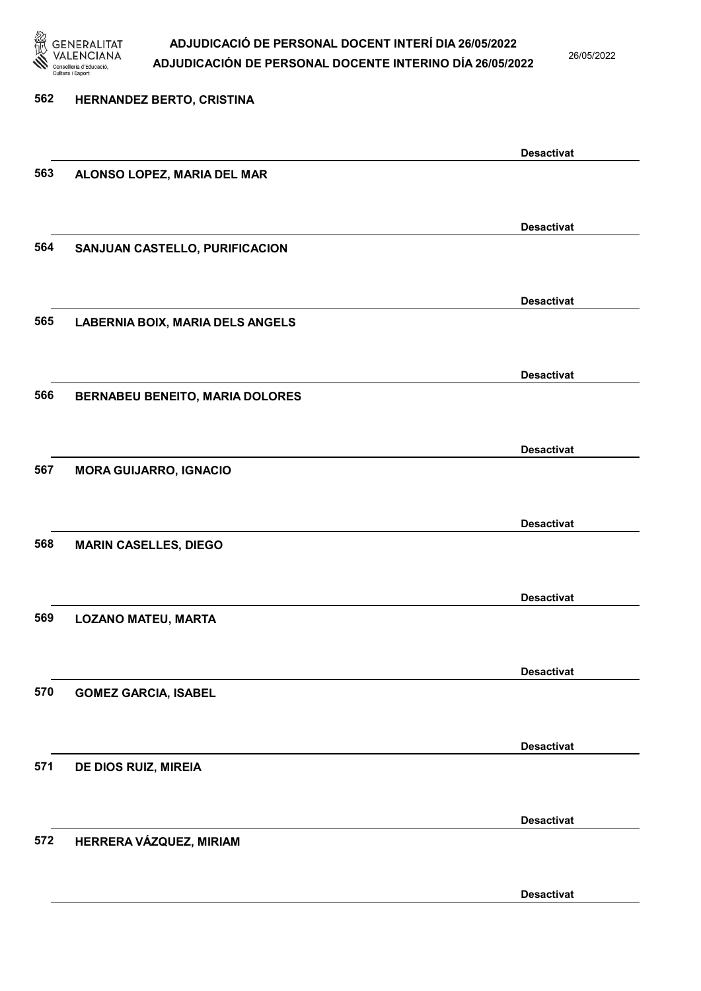

26/05/2022

Desactivat

| 562 | HERNANDEZ BERTO, CRISTINA               |                   |
|-----|-----------------------------------------|-------------------|
|     |                                         |                   |
|     |                                         | <b>Desactivat</b> |
| 563 | ALONSO LOPEZ, MARIA DEL MAR             |                   |
|     |                                         |                   |
|     |                                         | <b>Desactivat</b> |
| 564 | SANJUAN CASTELLO, PURIFICACION          |                   |
|     |                                         |                   |
|     |                                         | <b>Desactivat</b> |
| 565 | <b>LABERNIA BOIX, MARIA DELS ANGELS</b> |                   |
|     |                                         |                   |
|     |                                         | <b>Desactivat</b> |
| 566 | <b>BERNABEU BENEITO, MARIA DOLORES</b>  |                   |
|     |                                         |                   |
| 567 |                                         | <b>Desactivat</b> |
|     | <b>MORA GUIJARRO, IGNACIO</b>           |                   |
|     |                                         |                   |
| 568 | <b>MARIN CASELLES, DIEGO</b>            | <b>Desactivat</b> |
|     |                                         |                   |
|     |                                         | <b>Desactivat</b> |
| 569 | <b>LOZANO MATEU, MARTA</b>              |                   |
|     |                                         |                   |
|     |                                         | <b>Desactivat</b> |
| 570 | <b>GOMEZ GARCIA, ISABEL</b>             |                   |
|     |                                         |                   |
|     |                                         | <b>Desactivat</b> |
| 571 | DE DIOS RUIZ, MIREIA                    |                   |
|     |                                         |                   |
|     |                                         | <b>Desactivat</b> |
| 572 | HERRERA VÁZQUEZ, MIRIAM                 |                   |
|     |                                         |                   |
|     |                                         |                   |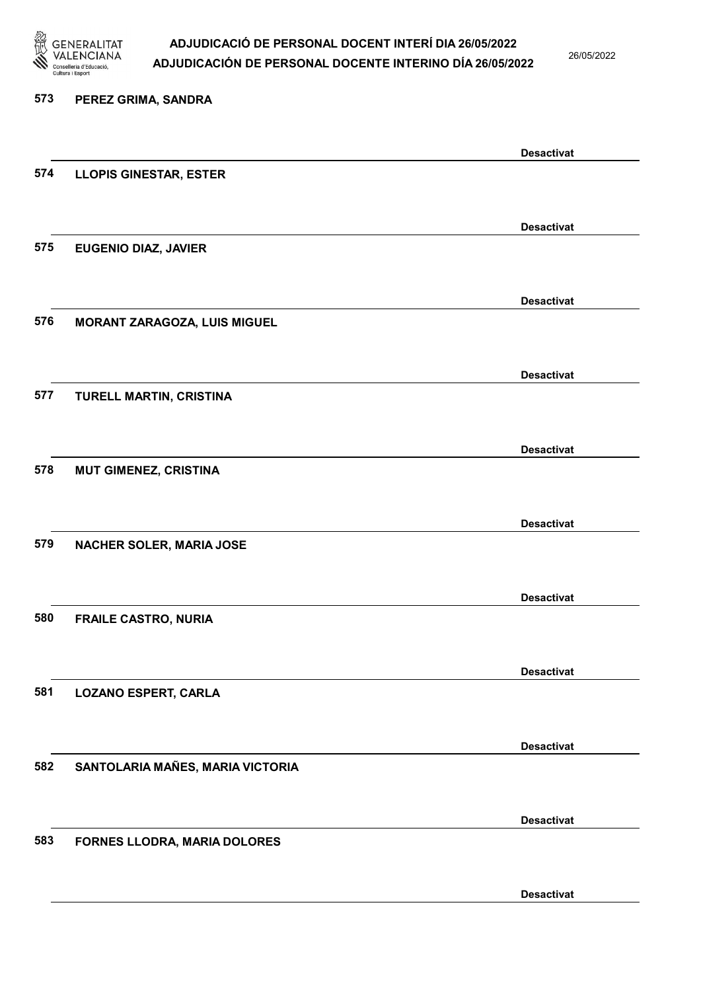

26/05/2022

### 573 PEREZ GRIMA, SANDRA Desactivat 574 LLOPIS GINESTAR, ESTER Desactivat 575 EUGENIO DIAZ, JAVIER Desactivat 576 MORANT ZARAGOZA, LUIS MIGUEL Desactivat 577 TURELL MARTIN, CRISTINA Desactivat 578 MUT GIMENEZ, CRISTINA Desactivat 579 NACHER SOLER, MARIA JOSE Desactivat 580 FRAILE CASTRO, NURIA Desactivat 581 LOZANO ESPERT, CARLA Desactivat 582 SANTOLARIA MAÑES, MARIA VICTORIA Desactivat 583 FORNES LLODRA, MARIA DOLORES Desactivat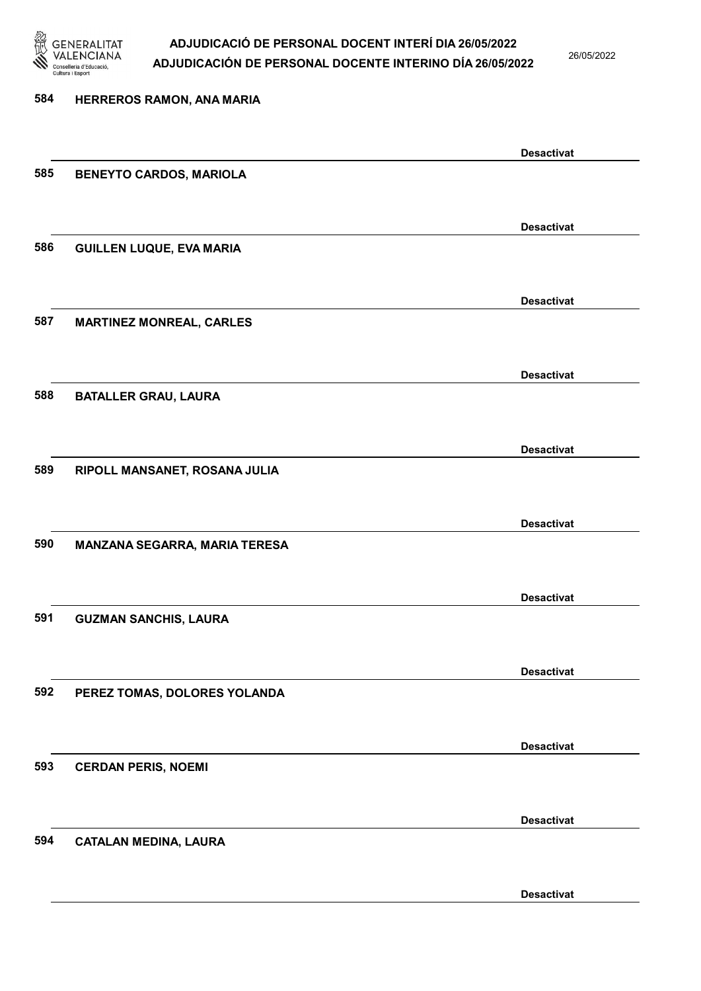

26/05/2022

Desactivat

| 584 | HERREROS RAMON, ANA MARIA       |                   |
|-----|---------------------------------|-------------------|
|     |                                 |                   |
|     |                                 | <b>Desactivat</b> |
| 585 | <b>BENEYTO CARDOS, MARIOLA</b>  |                   |
|     |                                 |                   |
|     |                                 | <b>Desactivat</b> |
| 586 | <b>GUILLEN LUQUE, EVA MARIA</b> |                   |
|     |                                 |                   |
|     |                                 | <b>Desactivat</b> |
| 587 | <b>MARTINEZ MONREAL, CARLES</b> |                   |
|     |                                 |                   |
|     |                                 | <b>Desactivat</b> |
| 588 | <b>BATALLER GRAU, LAURA</b>     |                   |
|     |                                 |                   |
|     |                                 | <b>Desactivat</b> |
| 589 | RIPOLL MANSANET, ROSANA JULIA   |                   |
|     |                                 |                   |
|     |                                 | <b>Desactivat</b> |
| 590 | MANZANA SEGARRA, MARIA TERESA   |                   |
|     |                                 |                   |
| 591 |                                 | <b>Desactivat</b> |
|     | <b>GUZMAN SANCHIS, LAURA</b>    |                   |
|     |                                 |                   |
| 592 | PEREZ TOMAS, DOLORES YOLANDA    | <b>Desactivat</b> |
|     |                                 |                   |
|     |                                 | <b>Desactivat</b> |
| 593 | <b>CERDAN PERIS, NOEMI</b>      |                   |
|     |                                 |                   |
|     |                                 | <b>Desactivat</b> |
| 594 | <b>CATALAN MEDINA, LAURA</b>    |                   |
|     |                                 |                   |
|     |                                 |                   |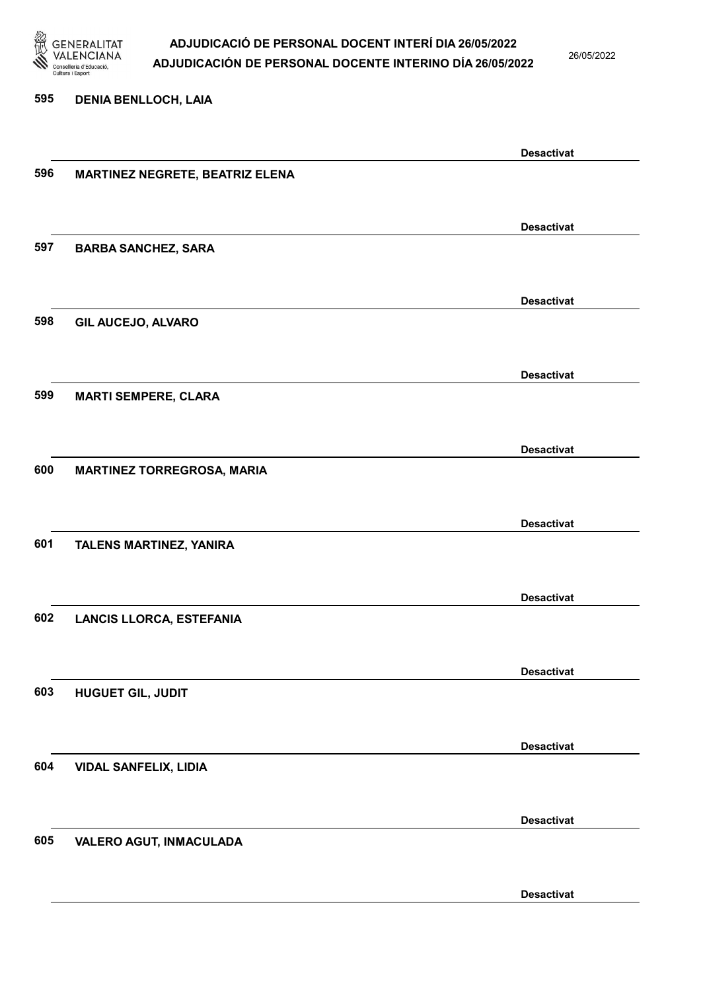

26/05/2022

#### 595 DENIA BENLLOCH, LAIA

|     |                                        | <b>Desactivat</b> |
|-----|----------------------------------------|-------------------|
| 596 | <b>MARTINEZ NEGRETE, BEATRIZ ELENA</b> |                   |
|     |                                        |                   |
|     |                                        |                   |
|     |                                        | <b>Desactivat</b> |
| 597 | <b>BARBA SANCHEZ, SARA</b>             |                   |
|     |                                        |                   |
|     |                                        |                   |
|     |                                        | <b>Desactivat</b> |
| 598 | <b>GIL AUCEJO, ALVARO</b>              |                   |
|     |                                        |                   |
|     |                                        | <b>Desactivat</b> |
| 599 |                                        |                   |
|     | <b>MARTI SEMPERE, CLARA</b>            |                   |
|     |                                        |                   |
|     |                                        | <b>Desactivat</b> |
| 600 | <b>MARTINEZ TORREGROSA, MARIA</b>      |                   |
|     |                                        |                   |
|     |                                        |                   |
|     |                                        | <b>Desactivat</b> |
| 601 | TALENS MARTINEZ, YANIRA                |                   |
|     |                                        |                   |
|     |                                        |                   |
|     |                                        | <b>Desactivat</b> |
| 602 | <b>LANCIS LLORCA, ESTEFANIA</b>        |                   |
|     |                                        |                   |
|     |                                        | <b>Desactivat</b> |
|     |                                        |                   |
| 603 | <b>HUGUET GIL, JUDIT</b>               |                   |
|     |                                        |                   |
|     |                                        | <b>Desactivat</b> |
| 604 | <b>VIDAL SANFELIX, LIDIA</b>           |                   |
|     |                                        |                   |
|     |                                        |                   |
|     |                                        | <b>Desactivat</b> |
| 605 | <b>VALERO AGUT, INMACULADA</b>         |                   |
|     |                                        |                   |
|     |                                        |                   |
|     |                                        | <b>Desactivat</b> |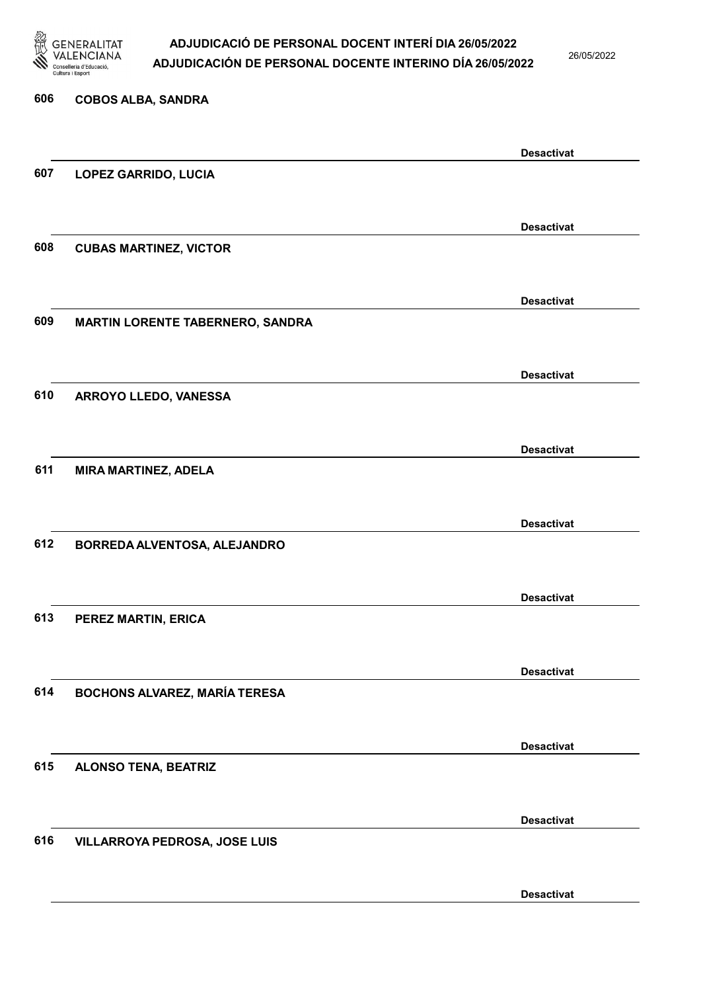

26/05/2022

| 606 | <b>COBOS ALBA, SANDRA</b>               |                   |
|-----|-----------------------------------------|-------------------|
|     |                                         | <b>Desactivat</b> |
| 607 | <b>LOPEZ GARRIDO, LUCIA</b>             |                   |
|     |                                         | <b>Desactivat</b> |
| 608 | <b>CUBAS MARTINEZ, VICTOR</b>           |                   |
|     |                                         | <b>Desactivat</b> |
| 609 | <b>MARTIN LORENTE TABERNERO, SANDRA</b> |                   |
|     |                                         | <b>Desactivat</b> |
| 610 | ARROYO LLEDO, VANESSA                   |                   |
|     |                                         | <b>Desactivat</b> |
| 611 | <b>MIRA MARTINEZ, ADELA</b>             |                   |
|     |                                         | <b>Desactivat</b> |
| 612 | BORREDA ALVENTOSA, ALEJANDRO            |                   |
|     |                                         | <b>Desactivat</b> |
| 613 | PEREZ MARTIN, ERICA                     |                   |
|     |                                         | <b>Desactivat</b> |
| 614 | <b>BOCHONS ALVAREZ, MARÍA TERESA</b>    |                   |
|     |                                         | <b>Desactivat</b> |
| 615 | <b>ALONSO TENA, BEATRIZ</b>             |                   |
|     |                                         | <b>Desactivat</b> |
| 616 | VILLARROYA PEDROSA, JOSE LUIS           |                   |
|     |                                         | <b>Desactivat</b> |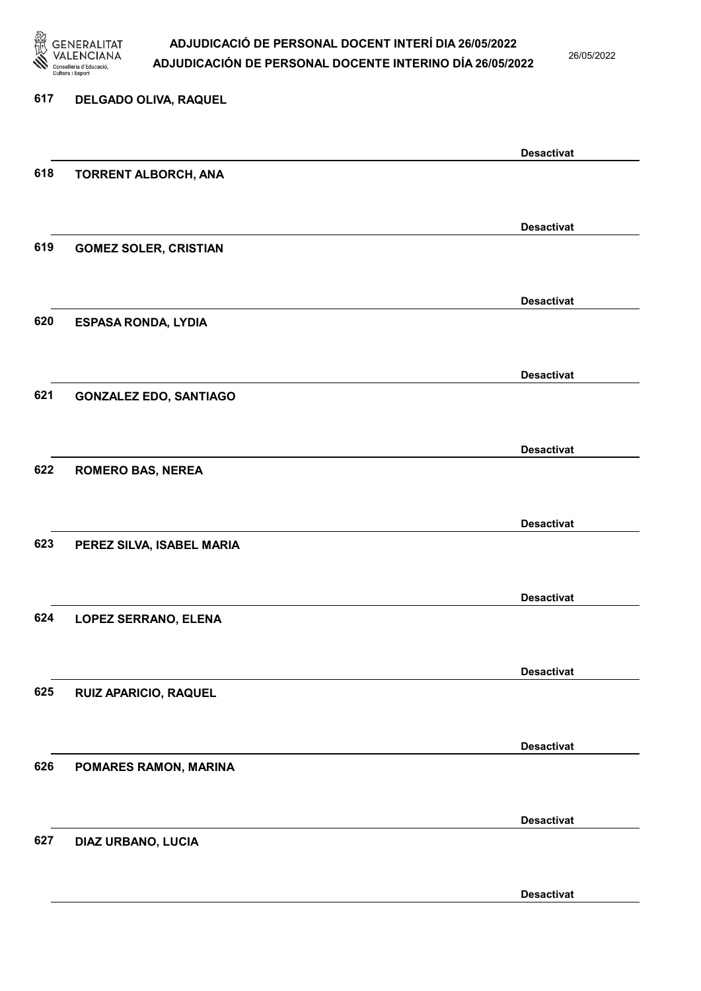

26/05/2022

Desactivat

## 617 DELGADO OLIVA, RAQUEL Desactivat 618 TORRENT ALBORCH, ANA Desactivat 619 GOMEZ SOLER, CRISTIAN Desactivat 620 ESPASA RONDA, LYDIA Desactivat 621 GONZALEZ EDO, SANTIAGO Desactivat 622 ROMERO BAS, NEREA Desactivat 623 PEREZ SILVA, ISABEL MARIA Desactivat 624 LOPEZ SERRANO, ELENA Desactivat 625 RUIZ APARICIO, RAQUEL Desactivat 626 POMARES RAMON, MARINA Desactivat 627 DIAZ URBANO, LUCIA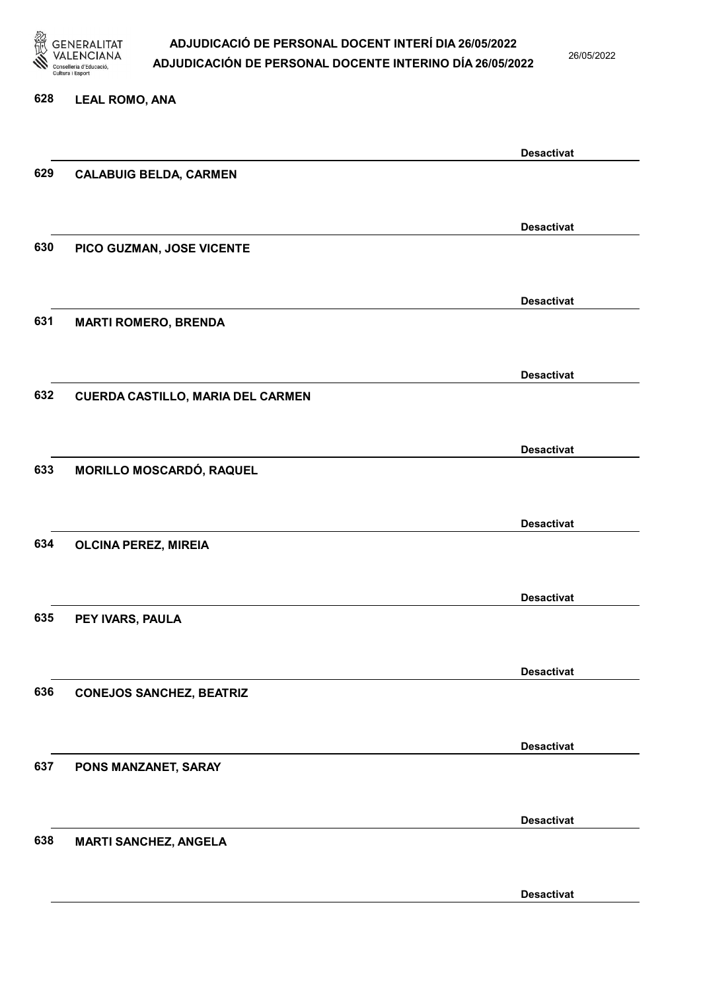

26/05/2022

#### 628 LEAL ROMO, ANA

|     |                                   | <b>Desactivat</b> |
|-----|-----------------------------------|-------------------|
| 629 | <b>CALABUIG BELDA, CARMEN</b>     |                   |
|     |                                   |                   |
|     |                                   |                   |
|     |                                   | <b>Desactivat</b> |
| 630 | PICO GUZMAN, JOSE VICENTE         |                   |
|     |                                   |                   |
|     |                                   |                   |
|     |                                   | <b>Desactivat</b> |
| 631 | <b>MARTI ROMERO, BRENDA</b>       |                   |
|     |                                   |                   |
|     |                                   | <b>Desactivat</b> |
|     |                                   |                   |
| 632 | CUERDA CASTILLO, MARIA DEL CARMEN |                   |
|     |                                   |                   |
|     |                                   | <b>Desactivat</b> |
| 633 | MORILLO MOSCARDÓ, RAQUEL          |                   |
|     |                                   |                   |
|     |                                   |                   |
|     |                                   | <b>Desactivat</b> |
| 634 | <b>OLCINA PEREZ, MIREIA</b>       |                   |
|     |                                   |                   |
|     |                                   |                   |
|     |                                   | <b>Desactivat</b> |
| 635 | PEY IVARS, PAULA                  |                   |
|     |                                   |                   |
|     |                                   | <b>Desactivat</b> |
| 636 |                                   |                   |
|     | <b>CONEJOS SANCHEZ, BEATRIZ</b>   |                   |
|     |                                   |                   |
|     |                                   | <b>Desactivat</b> |
| 637 | PONS MANZANET, SARAY              |                   |
|     |                                   |                   |
|     |                                   |                   |
|     |                                   | <b>Desactivat</b> |
| 638 | <b>MARTI SANCHEZ, ANGELA</b>      |                   |
|     |                                   |                   |
|     |                                   |                   |
|     |                                   | <b>Desactivat</b> |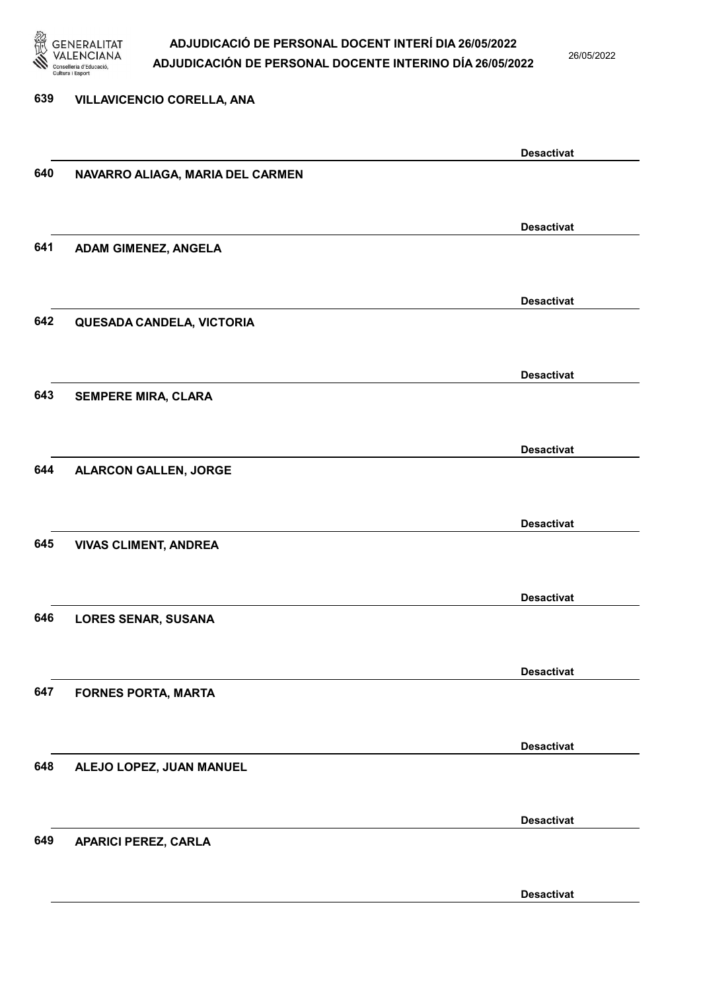

26/05/2022

### 639 VILLAVICENCIO CORELLA, ANA Desactivat 640 NAVARRO ALIAGA, MARIA DEL CARMEN Desactivat 641 ADAM GIMENEZ, ANGELA Desactivat 642 QUESADA CANDELA, VICTORIA Desactivat 643 SEMPERE MIRA, CLARA Desactivat 644 ALARCON GALLEN, JORGE Desactivat 645 VIVAS CLIMENT, ANDREA Desactivat 646 LORES SENAR, SUSANA Desactivat 647 FORNES PORTA, MARTA Desactivat 648 ALEJO LOPEZ, JUAN MANUEL Desactivat 649 APARICI PEREZ, CARLA Desactivat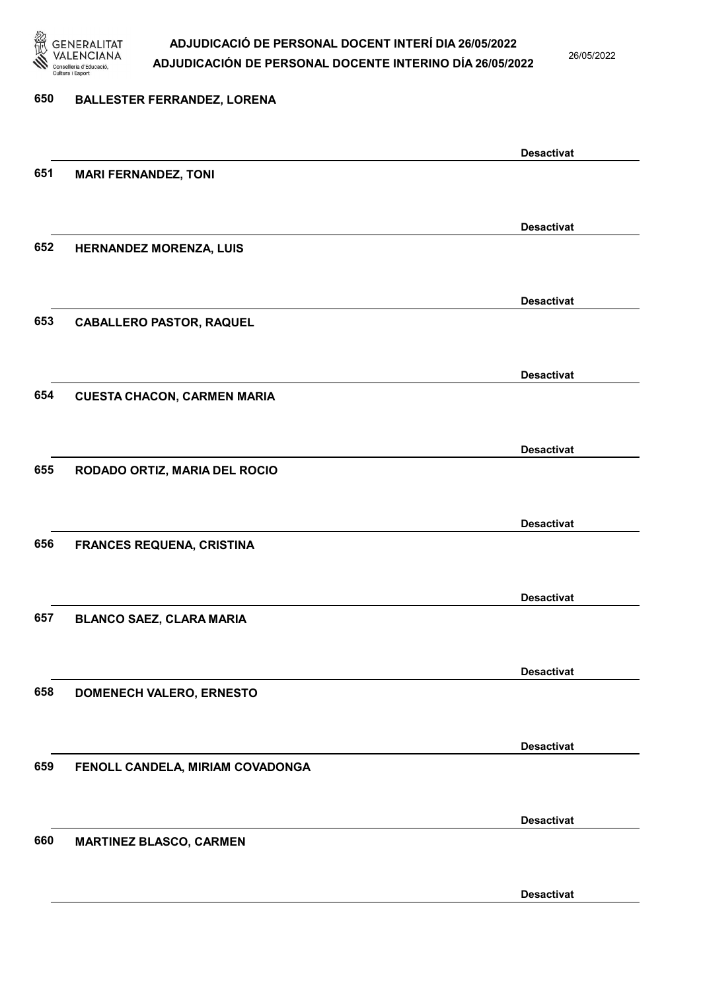

26/05/2022

Desactivat

# 650 BALLESTER FERRANDEZ, LORENA Desactivat 651 MARI FERNANDEZ, TONI Desactivat 652 HERNANDEZ MORENZA, LUIS Desactivat 653 CABALLERO PASTOR, RAQUEL Desactivat 654 CUESTA CHACON, CARMEN MARIA Desactivat 655 RODADO ORTIZ, MARIA DEL ROCIO Desactivat 656 FRANCES REQUENA, CRISTINA Desactivat 657 BLANCO SAEZ, CLARA MARIA Desactivat 658 DOMENECH VALERO, ERNESTO Desactivat 659 FENOLL CANDELA, MIRIAM COVADONGA Desactivat 660 MARTINEZ BLASCO, CARMEN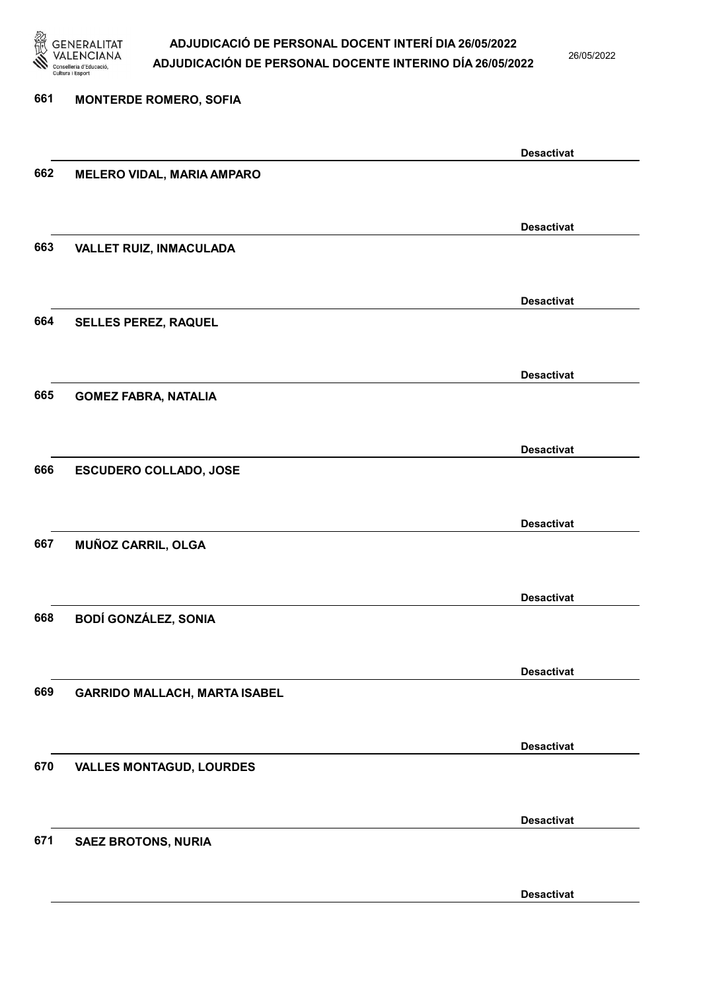

26/05/2022

Desactivat

# 661 MONTERDE ROMERO, SOFIA Desactivat 662 MELERO VIDAL, MARIA AMPARO Desactivat 663 VALLET RUIZ, INMACULADA Desactivat 664 SELLES PEREZ, RAQUEL Desactivat 665 GOMEZ FABRA, NATALIA Desactivat 666 ESCUDERO COLLADO, JOSE Desactivat 667 MUÑOZ CARRIL, OLGA Desactivat 668 BODÍ GONZÁLEZ, SONIA Desactivat 669 GARRIDO MALLACH, MARTA ISABEL Desactivat 670 VALLES MONTAGUD, LOURDES Desactivat 671 SAEZ BROTONS, NURIA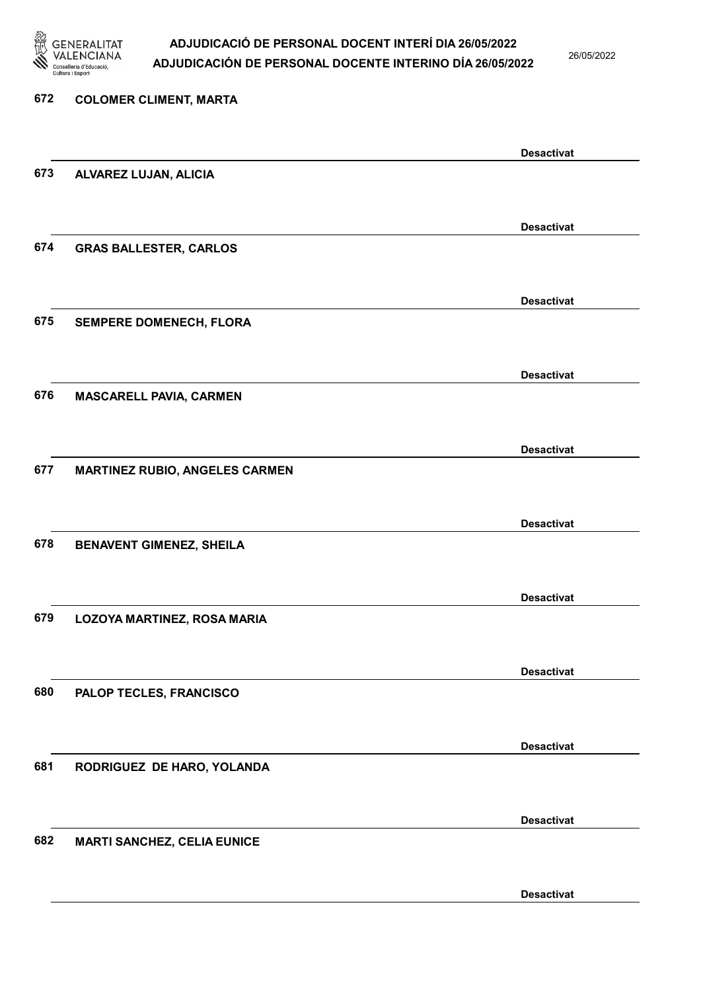

26/05/2022

Desactivat

# 672 COLOMER CLIMENT, MARTA Desactivat 673 ALVAREZ LUJAN, ALICIA Desactivat 674 GRAS BALLESTER, CARLOS Desactivat 675 SEMPERE DOMENECH, FLORA Desactivat 676 MASCARELL PAVIA, CARMEN Desactivat 677 MARTINEZ RUBIO, ANGELES CARMEN Desactivat 678 BENAVENT GIMENEZ, SHEILA Desactivat 679 LOZOYA MARTINEZ, ROSA MARIA Desactivat 680 PALOP TECLES, FRANCISCO Desactivat 681 RODRIGUEZ DE HARO, YOLANDA Desactivat 682 MARTI SANCHEZ, CELIA EUNICE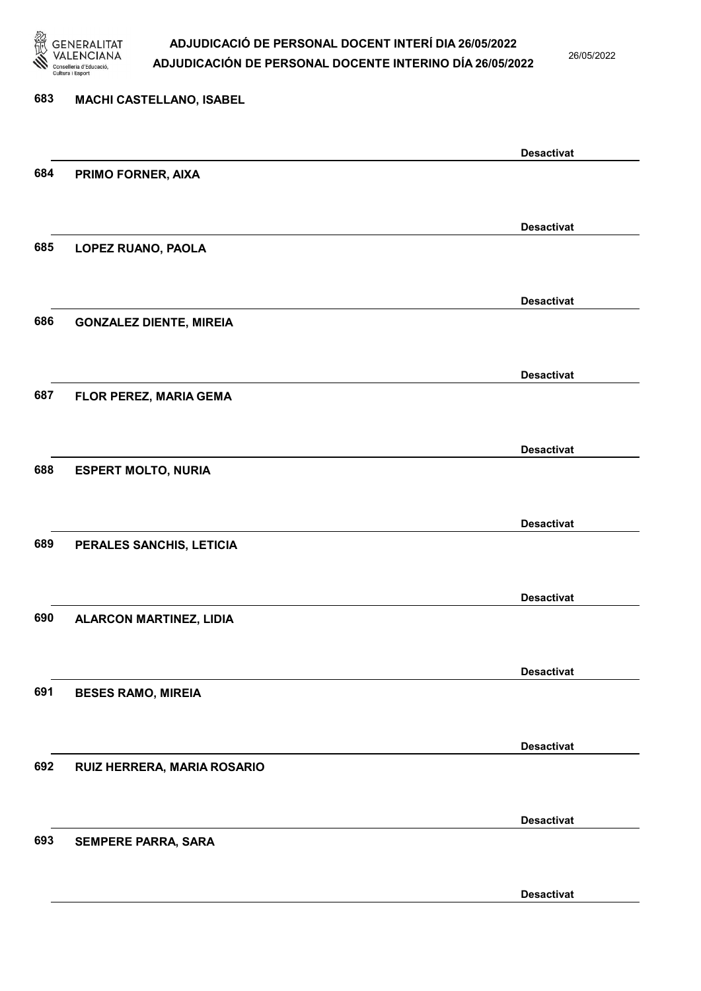

26/05/2022

Desactivat

# 683 MACHI CASTELLANO, ISABEL Desactivat 684 PRIMO FORNER, AIXA Desactivat 685 LOPEZ RUANO, PAOLA Desactivat 686 GONZALEZ DIENTE, MIREIA Desactivat 687 FLOR PEREZ, MARIA GEMA Desactivat 688 ESPERT MOLTO, NURIA Desactivat 689 PERALES SANCHIS, LETICIA Desactivat 690 ALARCON MARTINEZ, LIDIA Desactivat 691 BESES RAMO, MIREIA Desactivat 692 RUIZ HERRERA, MARIA ROSARIO Desactivat 693 SEMPERE PARRA, SARA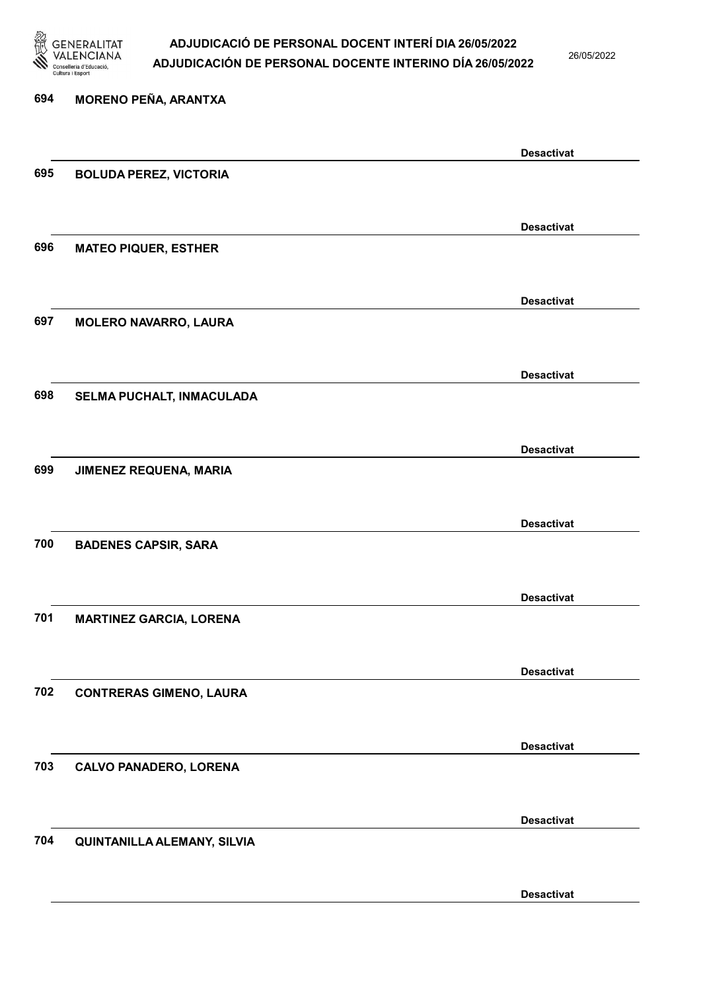

26/05/2022

# 694 MORENO PEÑA, ARANTXA Desactivat 695 BOLUDA PEREZ, VICTORIA Desactivat 696 MATEO PIQUER, ESTHER Desactivat 697 MOLERO NAVARRO, LAURA Desactivat 698 SELMA PUCHALT, INMACULADA Desactivat 699 JIMENEZ REQUENA, MARIA Desactivat 700 BADENES CAPSIR, SARA Desactivat 701 MARTINEZ GARCIA, LORENA Desactivat 702 CONTRERAS GIMENO, LAURA Desactivat 703 CALVO PANADERO, LORENA Desactivat 704 QUINTANILLA ALEMANY, SILVIA

Desactivat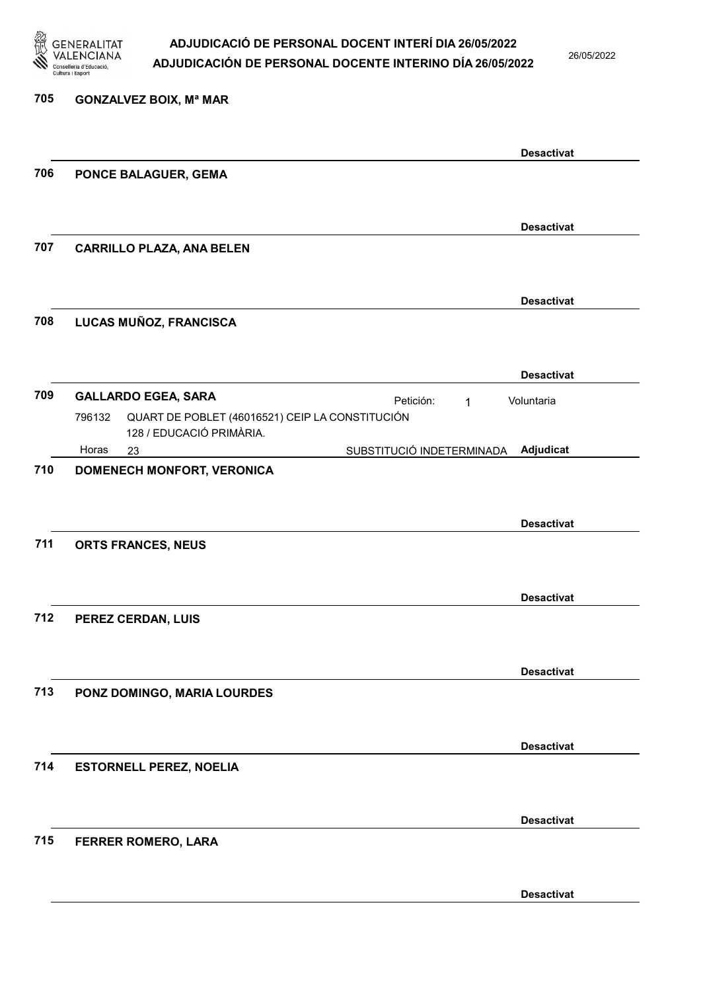

26/05/2022

Desactivat

| 705 | <b>GONZALVEZ BOIX, Mª MAR</b>                                                                                                                                 |
|-----|---------------------------------------------------------------------------------------------------------------------------------------------------------------|
|     | <b>Desactivat</b>                                                                                                                                             |
| 706 | PONCE BALAGUER, GEMA                                                                                                                                          |
|     | <b>Desactivat</b>                                                                                                                                             |
| 707 | <b>CARRILLO PLAZA, ANA BELEN</b>                                                                                                                              |
|     | <b>Desactivat</b>                                                                                                                                             |
| 708 | LUCAS MUÑOZ, FRANCISCA                                                                                                                                        |
|     | <b>Desactivat</b>                                                                                                                                             |
| 709 | <b>GALLARDO EGEA, SARA</b><br>Petición:<br>Voluntaria<br>$\mathbf 1$<br>QUART DE POBLET (46016521) CEIP LA CONSTITUCIÓN<br>796132<br>128 / EDUCACIÓ PRIMÀRIA. |
|     | Adjudicat<br>Horas<br>SUBSTITUCIÓ INDETERMINADA<br>23                                                                                                         |
|     | <b>Desactivat</b>                                                                                                                                             |
| 711 | ORTS FRANCES, NEUS                                                                                                                                            |
| 712 | <b>Desactivat</b><br>PEREZ CERDAN, LUIS                                                                                                                       |
| 713 | <b>Desactivat</b><br>PONZ DOMINGO, MARIA LOURDES                                                                                                              |
|     |                                                                                                                                                               |
| 714 | <b>Desactivat</b><br><b>ESTORNELL PEREZ, NOELIA</b>                                                                                                           |
| 715 | <b>Desactivat</b>                                                                                                                                             |
|     | FERRER ROMERO, LARA                                                                                                                                           |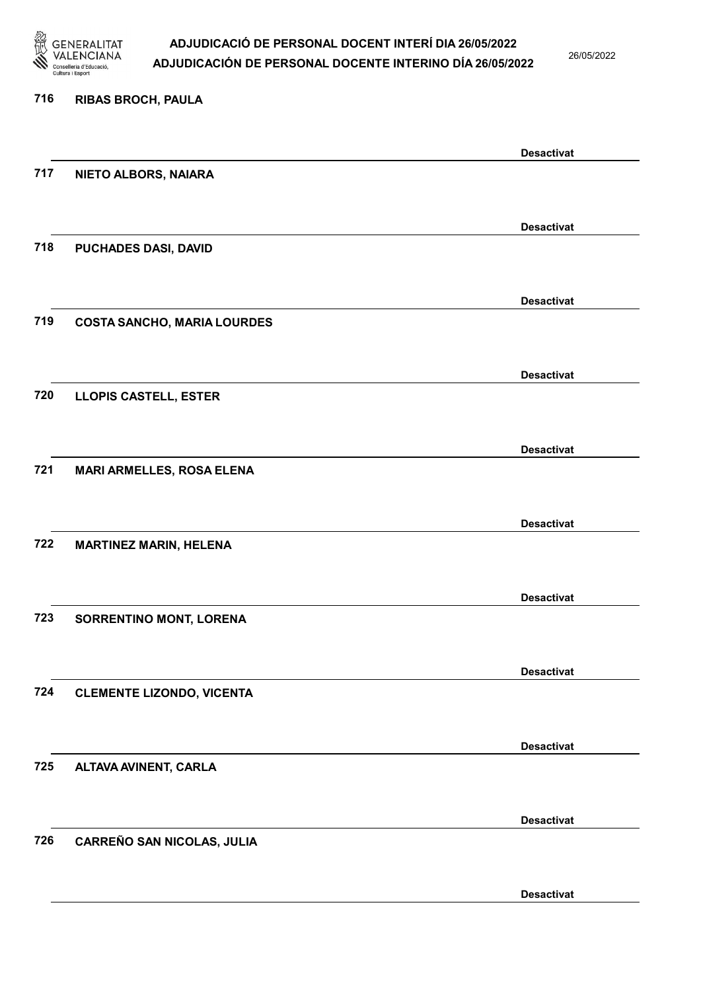

26/05/2022

#### 716 RIBAS BROCH, PAULA

|     |                                    | <b>Desactivat</b> |
|-----|------------------------------------|-------------------|
| 717 | NIETO ALBORS, NAIARA               |                   |
|     |                                    |                   |
|     |                                    | <b>Desactivat</b> |
| 718 | PUCHADES DASI, DAVID               |                   |
|     |                                    |                   |
|     |                                    | <b>Desactivat</b> |
| 719 | <b>COSTA SANCHO, MARIA LOURDES</b> |                   |
|     |                                    |                   |
|     |                                    | <b>Desactivat</b> |
| 720 | <b>LLOPIS CASTELL, ESTER</b>       |                   |
|     |                                    |                   |
|     |                                    | <b>Desactivat</b> |
| 721 | <b>MARI ARMELLES, ROSA ELENA</b>   |                   |
|     |                                    |                   |
|     |                                    | <b>Desactivat</b> |
| 722 | <b>MARTINEZ MARIN, HELENA</b>      |                   |
|     |                                    |                   |
|     |                                    | <b>Desactivat</b> |
| 723 | SORRENTINO MONT, LORENA            |                   |
|     |                                    |                   |
|     |                                    | <b>Desactivat</b> |
| 724 | <b>CLEMENTE LIZONDO, VICENTA</b>   |                   |
|     |                                    |                   |
|     |                                    | <b>Desactivat</b> |
| 725 | ALTAVA AVINENT, CARLA              |                   |
|     |                                    |                   |
|     |                                    | <b>Desactivat</b> |
| 726 | <b>CARREÑO SAN NICOLAS, JULIA</b>  |                   |
|     |                                    |                   |
|     |                                    | <b>Desactivat</b> |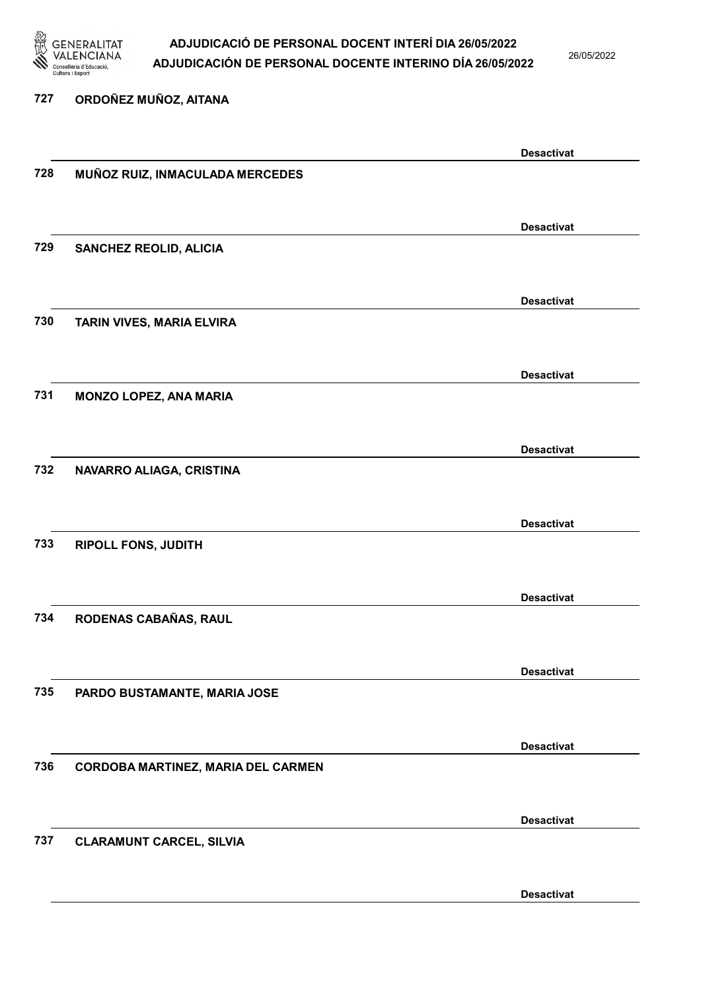

26/05/2022

#### 727 ORDOÑEZ MUÑOZ, AITANA

|     |                                    | <b>Desactivat</b> |
|-----|------------------------------------|-------------------|
| 728 | MUÑOZ RUIZ, INMACULADA MERCEDES    |                   |
|     |                                    |                   |
|     |                                    |                   |
|     |                                    | <b>Desactivat</b> |
| 729 | <b>SANCHEZ REOLID, ALICIA</b>      |                   |
|     |                                    |                   |
|     |                                    |                   |
|     |                                    | <b>Desactivat</b> |
| 730 | TARIN VIVES, MARIA ELVIRA          |                   |
|     |                                    |                   |
|     |                                    | <b>Desactivat</b> |
|     |                                    |                   |
| 731 | <b>MONZO LOPEZ, ANA MARIA</b>      |                   |
|     |                                    |                   |
|     |                                    | <b>Desactivat</b> |
| 732 | NAVARRO ALIAGA, CRISTINA           |                   |
|     |                                    |                   |
|     |                                    |                   |
|     |                                    | <b>Desactivat</b> |
| 733 | <b>RIPOLL FONS, JUDITH</b>         |                   |
|     |                                    |                   |
|     |                                    |                   |
|     |                                    | <b>Desactivat</b> |
| 734 | RODENAS CABAÑAS, RAUL              |                   |
|     |                                    |                   |
|     |                                    |                   |
|     |                                    | <b>Desactivat</b> |
| 735 | PARDO BUSTAMANTE, MARIA JOSE       |                   |
|     |                                    |                   |
|     |                                    | <b>Desactivat</b> |
|     |                                    |                   |
| 736 | CORDOBA MARTINEZ, MARIA DEL CARMEN |                   |
|     |                                    |                   |
|     |                                    | <b>Desactivat</b> |
| 737 | <b>CLARAMUNT CARCEL, SILVIA</b>    |                   |
|     |                                    |                   |
|     |                                    |                   |
|     |                                    | <b>Desactivat</b> |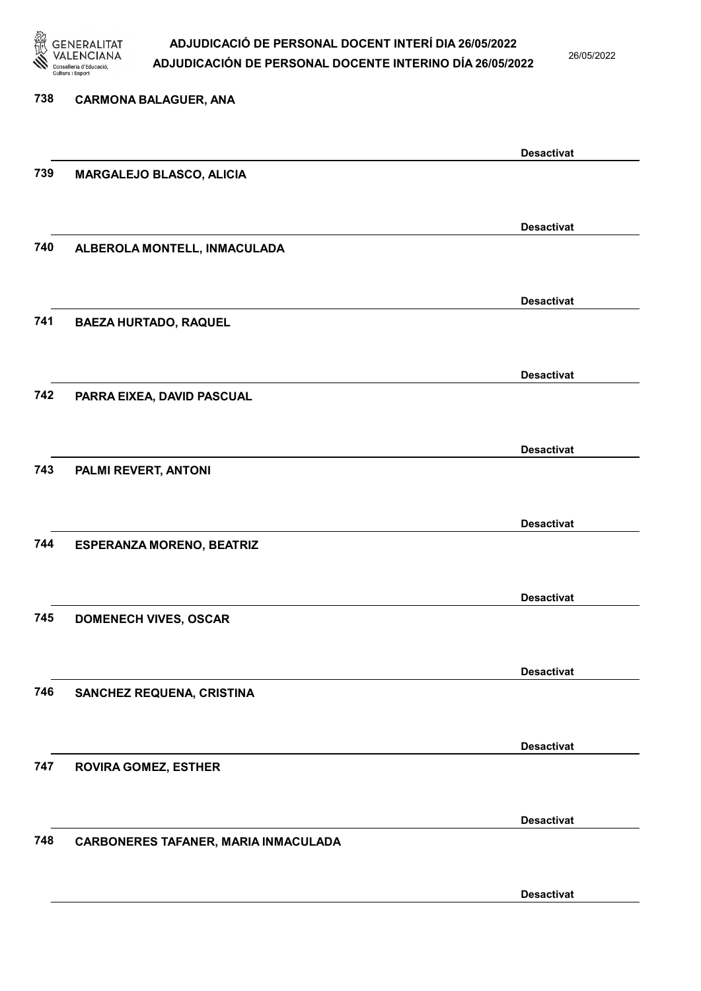

26/05/2022

| 738 | <b>CARMONA BALAGUER, ANA</b>         |                   |
|-----|--------------------------------------|-------------------|
|     |                                      | <b>Desactivat</b> |
| 739 | MARGALEJO BLASCO, ALICIA             |                   |
|     |                                      | <b>Desactivat</b> |
| 740 | ALBEROLA MONTELL, INMACULADA         |                   |
|     |                                      | <b>Desactivat</b> |
| 741 | <b>BAEZA HURTADO, RAQUEL</b>         |                   |
|     |                                      | <b>Desactivat</b> |
| 742 | PARRA EIXEA, DAVID PASCUAL           |                   |
| 743 |                                      | <b>Desactivat</b> |
|     | PALMI REVERT, ANTONI                 |                   |
| 744 | <b>ESPERANZA MORENO, BEATRIZ</b>     | <b>Desactivat</b> |
|     |                                      |                   |
| 745 | <b>DOMENECH VIVES, OSCAR</b>         | <b>Desactivat</b> |
|     |                                      |                   |
| 746 | SANCHEZ REQUENA, CRISTINA            | <b>Desactivat</b> |
|     |                                      |                   |
| 747 | <b>ROVIRA GOMEZ, ESTHER</b>          | <b>Desactivat</b> |
|     |                                      |                   |
| 748 | CARBONERES TAFANER, MARIA INMACULADA | <b>Desactivat</b> |
|     |                                      | <b>Desactivat</b> |
|     |                                      |                   |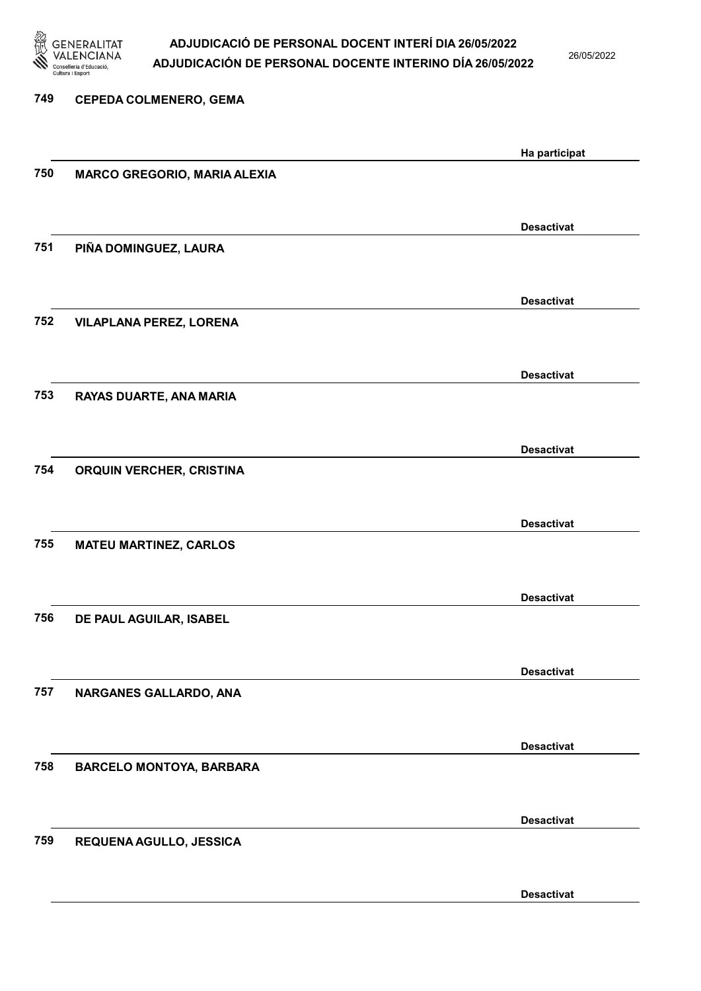

26/05/2022

Desactivat

| 749 | <b>CEPEDA COLMENERO, GEMA</b>       |                   |
|-----|-------------------------------------|-------------------|
|     |                                     |                   |
|     |                                     | Ha participat     |
| 750 | <b>MARCO GREGORIO, MARIA ALEXIA</b> |                   |
|     |                                     |                   |
|     |                                     | <b>Desactivat</b> |
| 751 | PIÑA DOMINGUEZ, LAURA               |                   |
|     |                                     |                   |
|     |                                     |                   |
|     |                                     | <b>Desactivat</b> |
| 752 | <b>VILAPLANA PEREZ, LORENA</b>      |                   |
|     |                                     |                   |
|     |                                     | <b>Desactivat</b> |
| 753 | RAYAS DUARTE, ANA MARIA             |                   |
|     |                                     |                   |
|     |                                     | <b>Desactivat</b> |
| 754 | ORQUIN VERCHER, CRISTINA            |                   |
|     |                                     |                   |
|     |                                     |                   |
|     |                                     | <b>Desactivat</b> |
| 755 | <b>MATEU MARTINEZ, CARLOS</b>       |                   |
|     |                                     |                   |
|     |                                     | <b>Desactivat</b> |
| 756 | DE PAUL AGUILAR, ISABEL             |                   |
|     |                                     |                   |
|     |                                     |                   |
|     |                                     | <b>Desactivat</b> |
| 757 | NARGANES GALLARDO, ANA              |                   |
|     |                                     |                   |
|     |                                     | <b>Desactivat</b> |
| 758 | <b>BARCELO MONTOYA, BARBARA</b>     |                   |
|     |                                     |                   |
|     |                                     | <b>Desactivat</b> |
| 759 |                                     |                   |
|     | REQUENA AGULLO, JESSICA             |                   |
|     |                                     |                   |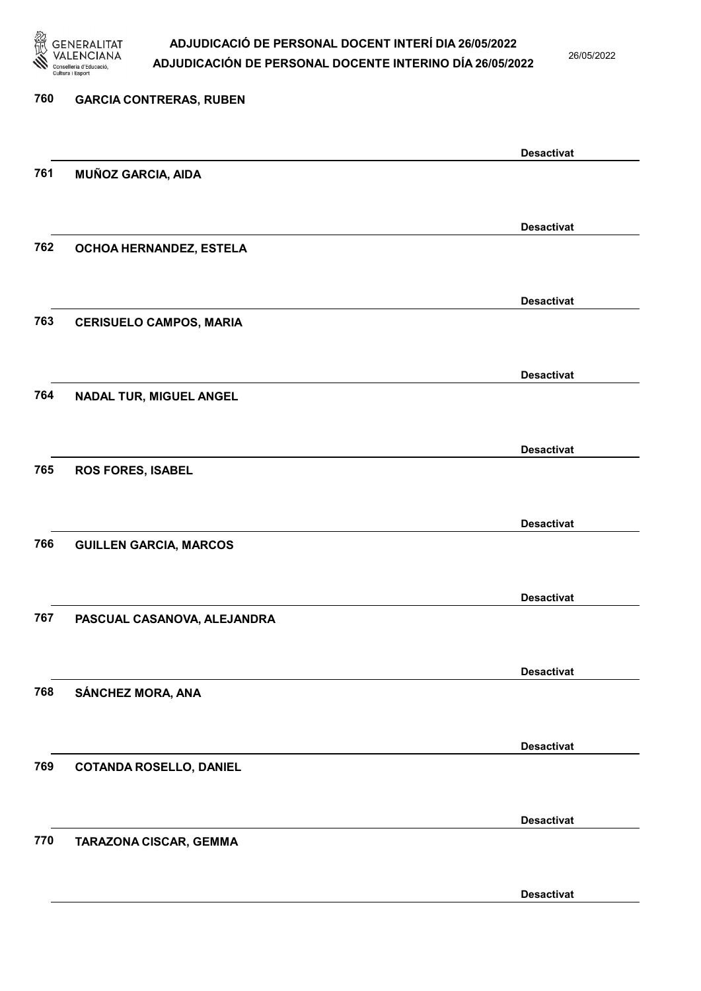

26/05/2022

Desactivat

# 760 GARCIA CONTRERAS, RUBEN Desactivat 761 MUÑOZ GARCIA, AIDA Desactivat 762 OCHOA HERNANDEZ, ESTELA Desactivat 763 CERISUELO CAMPOS, MARIA Desactivat 764 NADAL TUR, MIGUEL ANGEL Desactivat 765 ROS FORES, ISABEL Desactivat 766 GUILLEN GARCIA, MARCOS Desactivat 767 PASCUAL CASANOVA, ALEJANDRA Desactivat 768 SÁNCHEZ MORA, ANA Desactivat 769 COTANDA ROSELLO, DANIEL Desactivat 770 TARAZONA CISCAR, GEMMA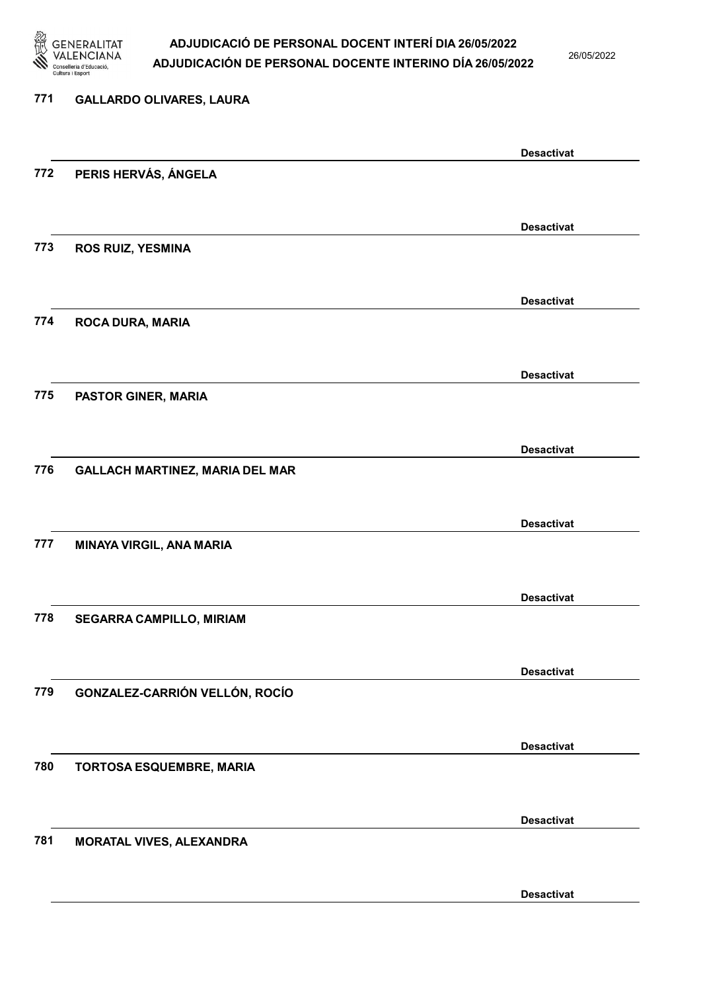

26/05/2022

## 771 GALLARDO OLIVARES, LAURA Desactivat 772 PERIS HERVÁS, ÁNGELA Desactivat 773 ROS RUIZ, YESMINA Desactivat 774 ROCA DURA, MARIA Desactivat 775 PASTOR GINER, MARIA Desactivat 776 GALLACH MARTINEZ, MARIA DEL MAR Desactivat 777 MINAYA VIRGIL, ANA MARIA Desactivat 778 SEGARRA CAMPILLO, MIRIAM Desactivat 779 GONZALEZ-CARRIÓN VELLÓN, ROCÍO Desactivat 780 TORTOSA ESQUEMBRE, MARIA Desactivat 781 MORATAL VIVES, ALEXANDRA

Desactivat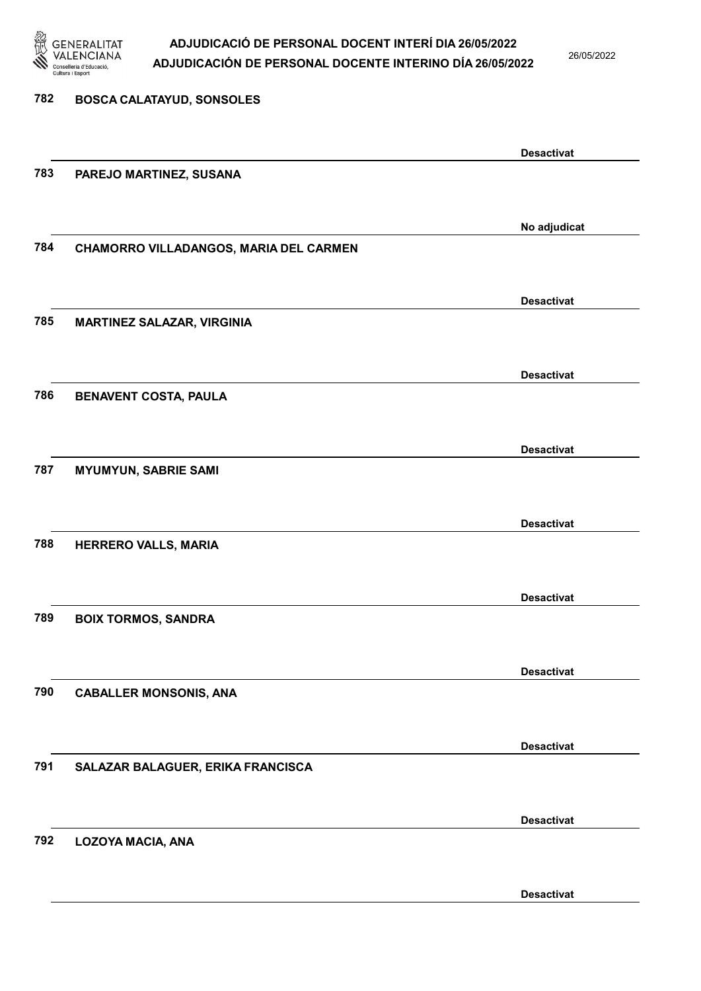

26/05/2022

### 782 BOSCA CALATAYUD, SONSOLES Desactivat 783 PAREJO MARTINEZ, SUSANA No adjudicat 784 CHAMORRO VILLADANGOS, MARIA DEL CARMEN Desactivat 785 MARTINEZ SALAZAR, VIRGINIA Desactivat 786 BENAVENT COSTA, PAULA Desactivat 787 MYUMYUN, SABRIE SAMI Desactivat 788 HERRERO VALLS, MARIA Desactivat 789 BOIX TORMOS, SANDRA Desactivat 790 CABALLER MONSONIS, ANA Desactivat 791 SALAZAR BALAGUER, ERIKA FRANCISCA Desactivat 792 LOZOYA MACIA, ANA Desactivat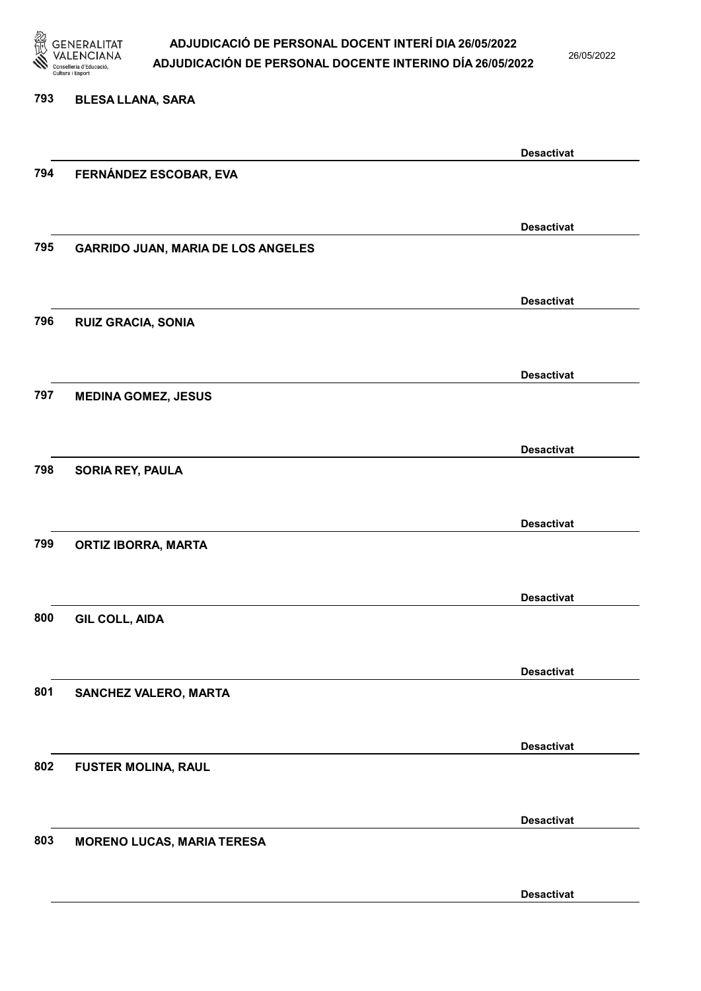

26/05/2022

Desactivat

# 793 BLESA LLANA, SARA Desactivat 794 FERNÁNDEZ ESCOBAR, EVA Desactivat 795 GARRIDO JUAN, MARIA DE LOS ANGELES Desactivat 796 RUIZ GRACIA, SONIA Desactivat 797 MEDINA GOMEZ, JESUS Desactivat 798 SORIA REY, PAULA Desactivat 799 ORTIZ IBORRA, MARTA Desactivat 800 GIL COLL, AIDA Desactivat 801 SANCHEZ VALERO, MARTA Desactivat 802 FUSTER MOLINA, RAUL Desactivat 803 MORENO LUCAS, MARIA TERESA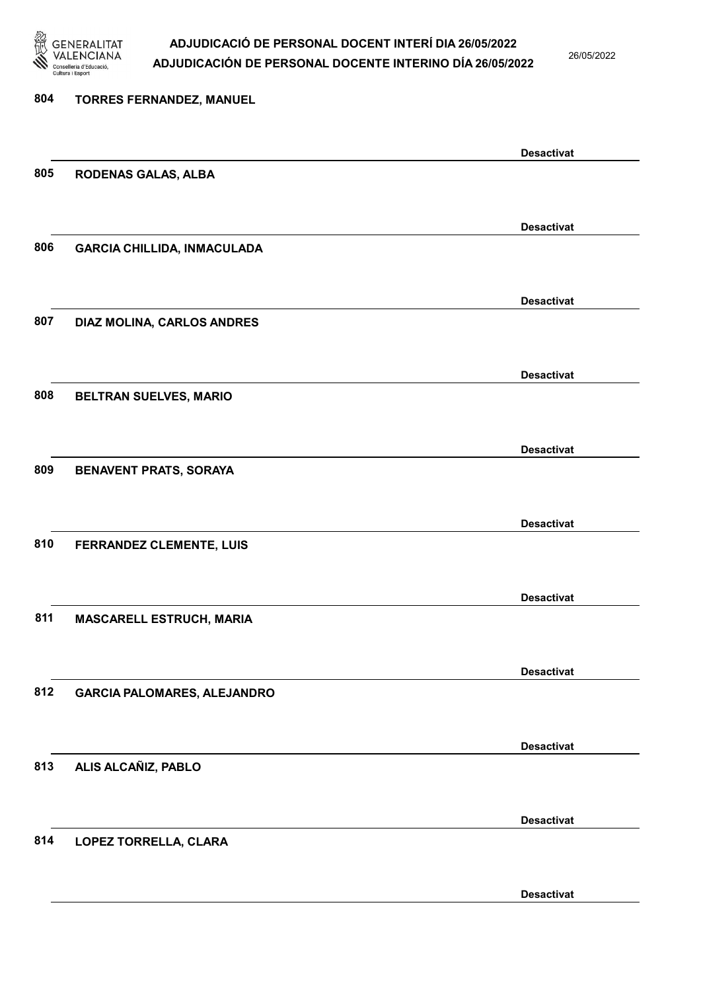

26/05/2022

| 804 | <b>TORRES FERNANDEZ, MANUEL</b>    |                   |
|-----|------------------------------------|-------------------|
|     |                                    |                   |
|     |                                    | <b>Desactivat</b> |
| 805 | <b>RODENAS GALAS, ALBA</b>         |                   |
|     |                                    |                   |
|     |                                    | <b>Desactivat</b> |
| 806 | <b>GARCIA CHILLIDA, INMACULADA</b> |                   |
|     |                                    |                   |
|     |                                    | <b>Desactivat</b> |
| 807 | DIAZ MOLINA, CARLOS ANDRES         |                   |
|     |                                    |                   |
|     |                                    |                   |
| 808 |                                    | <b>Desactivat</b> |
|     | BELTRAN SUELVES, MARIO             |                   |
|     |                                    |                   |
|     |                                    | <b>Desactivat</b> |
| 809 | <b>BENAVENT PRATS, SORAYA</b>      |                   |
|     |                                    |                   |
|     |                                    | <b>Desactivat</b> |
| 810 | FERRANDEZ CLEMENTE, LUIS           |                   |
|     |                                    |                   |
|     |                                    | <b>Desactivat</b> |
| 811 | MASCARELL ESTRUCH, MARIA           |                   |
|     |                                    |                   |
|     |                                    | <b>Desactivat</b> |
| 812 | <b>GARCIA PALOMARES, ALEJANDRO</b> |                   |
|     |                                    |                   |
|     |                                    | <b>Desactivat</b> |
| 813 | ALIS ALCAÑIZ, PABLO                |                   |
|     |                                    |                   |
|     |                                    |                   |
|     |                                    | <b>Desactivat</b> |
| 814 | LOPEZ TORRELLA, CLARA              |                   |
|     |                                    |                   |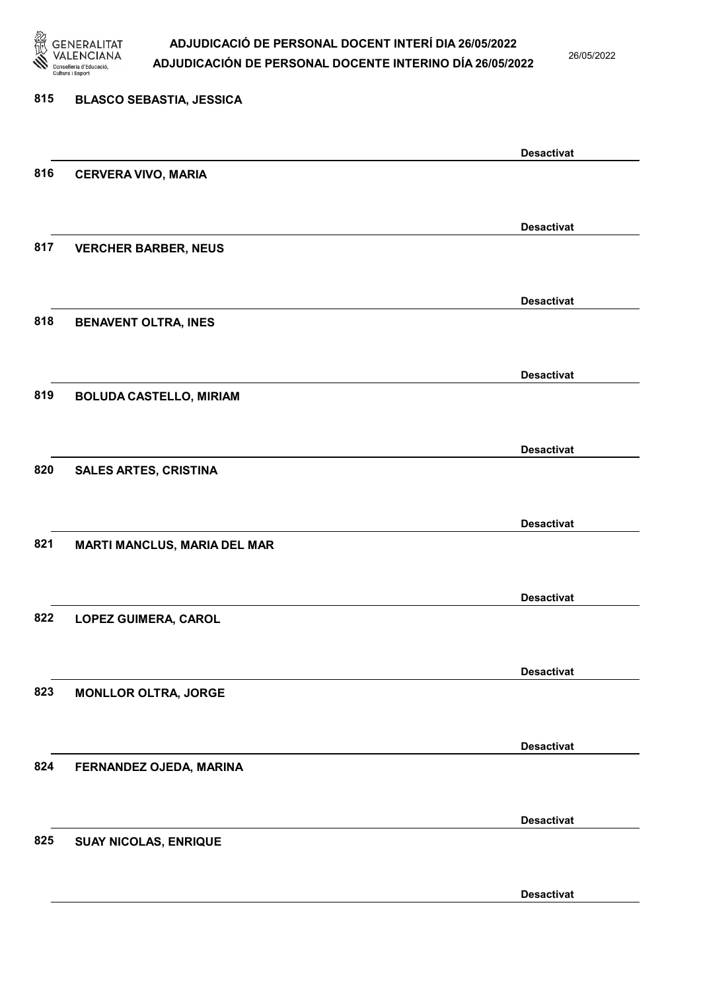

26/05/2022

#### 815 BLASCO SEBASTIA, JESSICA

|     |                                     | <b>Desactivat</b> |
|-----|-------------------------------------|-------------------|
| 816 | <b>CERVERA VIVO, MARIA</b>          |                   |
|     |                                     |                   |
|     |                                     | <b>Desactivat</b> |
| 817 | <b>VERCHER BARBER, NEUS</b>         |                   |
|     |                                     |                   |
|     |                                     | <b>Desactivat</b> |
| 818 | <b>BENAVENT OLTRA, INES</b>         |                   |
|     |                                     |                   |
|     |                                     |                   |
| 819 |                                     | <b>Desactivat</b> |
|     | <b>BOLUDA CASTELLO, MIRIAM</b>      |                   |
|     |                                     |                   |
|     |                                     | <b>Desactivat</b> |
| 820 | <b>SALES ARTES, CRISTINA</b>        |                   |
|     |                                     |                   |
|     |                                     | <b>Desactivat</b> |
| 821 | <b>MARTI MANCLUS, MARIA DEL MAR</b> |                   |
|     |                                     |                   |
|     |                                     | <b>Desactivat</b> |
| 822 | LOPEZ GUIMERA, CAROL                |                   |
|     |                                     |                   |
|     |                                     | <b>Desactivat</b> |
| 823 | <b>MONLLOR OLTRA, JORGE</b>         |                   |
|     |                                     |                   |
|     |                                     | <b>Desactivat</b> |
| 824 | FERNANDEZ OJEDA, MARINA             |                   |
|     |                                     |                   |
|     |                                     | <b>Desactivat</b> |
| 825 | <b>SUAY NICOLAS, ENRIQUE</b>        |                   |
|     |                                     |                   |
|     |                                     |                   |
|     |                                     | <b>Desactivat</b> |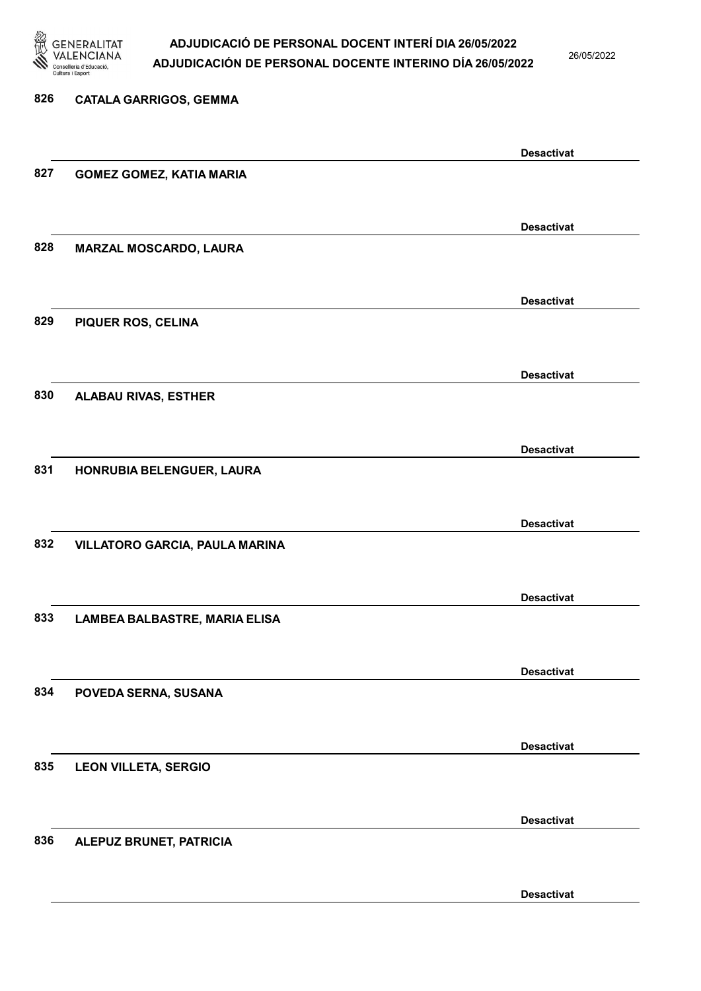

26/05/2022

| 826 | <b>CATALA GARRIGOS, GEMMA</b>   |                   |
|-----|---------------------------------|-------------------|
|     |                                 |                   |
|     |                                 | <b>Desactivat</b> |
| 827 | <b>GOMEZ GOMEZ, KATIA MARIA</b> |                   |
|     |                                 |                   |
|     |                                 | <b>Desactivat</b> |
| 828 | MARZAL MOSCARDO, LAURA          |                   |
|     |                                 |                   |
|     |                                 | <b>Desactivat</b> |
| 829 | PIQUER ROS, CELINA              |                   |
|     |                                 |                   |
|     |                                 | <b>Desactivat</b> |
| 830 | <b>ALABAU RIVAS, ESTHER</b>     |                   |
|     |                                 |                   |
| 831 | HONRUBIA BELENGUER, LAURA       | <b>Desactivat</b> |
|     |                                 |                   |
|     |                                 |                   |
| 832 | VILLATORO GARCIA, PAULA MARINA  | <b>Desactivat</b> |
|     |                                 |                   |
|     |                                 | <b>Desactivat</b> |
| 833 | LAMBEA BALBASTRE, MARIA ELISA   |                   |
|     |                                 |                   |
|     |                                 | <b>Desactivat</b> |
| 834 | POVEDA SERNA, SUSANA            |                   |
|     |                                 |                   |
|     |                                 | <b>Desactivat</b> |
| 835 | <b>LEON VILLETA, SERGIO</b>     |                   |
|     |                                 |                   |
|     |                                 | <b>Desactivat</b> |
| 836 | ALEPUZ BRUNET, PATRICIA         |                   |
|     |                                 |                   |
|     |                                 |                   |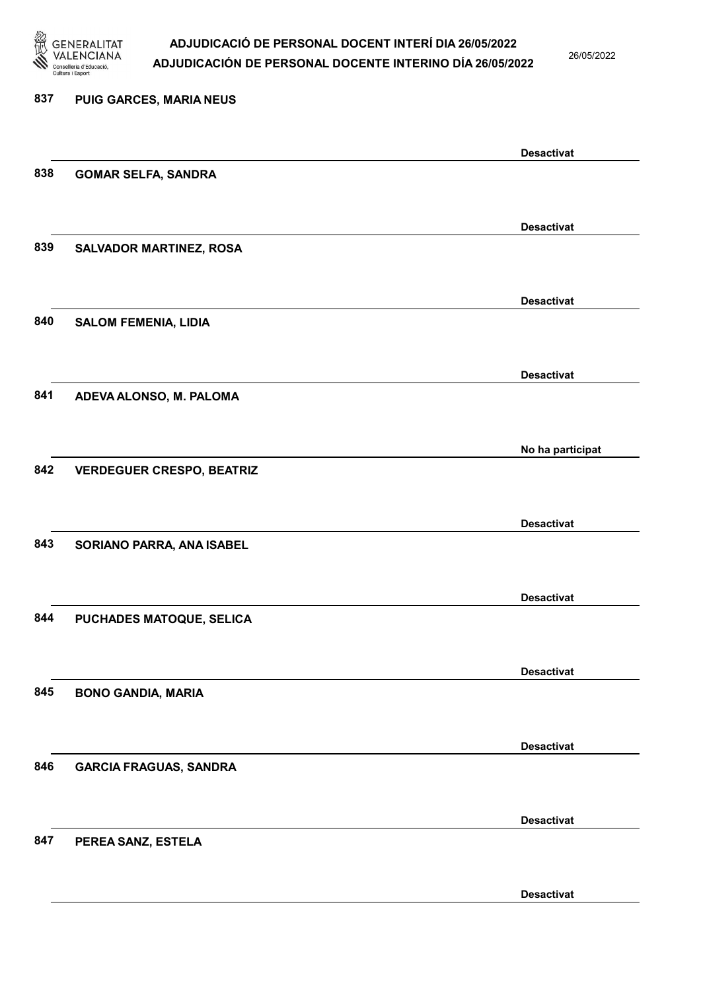

26/05/2022

| 837 | PUIG GARCES, MARIA NEUS          |                   |
|-----|----------------------------------|-------------------|
|     |                                  | <b>Desactivat</b> |
| 838 | <b>GOMAR SELFA, SANDRA</b>       |                   |
|     |                                  | <b>Desactivat</b> |
| 839 | <b>SALVADOR MARTINEZ, ROSA</b>   |                   |
|     |                                  | <b>Desactivat</b> |
| 840 | <b>SALOM FEMENIA, LIDIA</b>      |                   |
|     |                                  | <b>Desactivat</b> |
| 841 | ADEVA ALONSO, M. PALOMA          |                   |
|     |                                  | No ha participat  |
| 842 | <b>VERDEGUER CRESPO, BEATRIZ</b> |                   |
|     |                                  | <b>Desactivat</b> |
| 843 | SORIANO PARRA, ANA ISABEL        |                   |
|     |                                  | <b>Desactivat</b> |
| 844 | PUCHADES MATOQUE, SELICA         |                   |
|     |                                  | <b>Desactivat</b> |
| 845 | <b>BONO GANDIA, MARIA</b>        |                   |
|     |                                  | <b>Desactivat</b> |
| 846 | <b>GARCIA FRAGUAS, SANDRA</b>    |                   |
|     |                                  | <b>Desactivat</b> |
| 847 | PEREA SANZ, ESTELA               |                   |
|     |                                  |                   |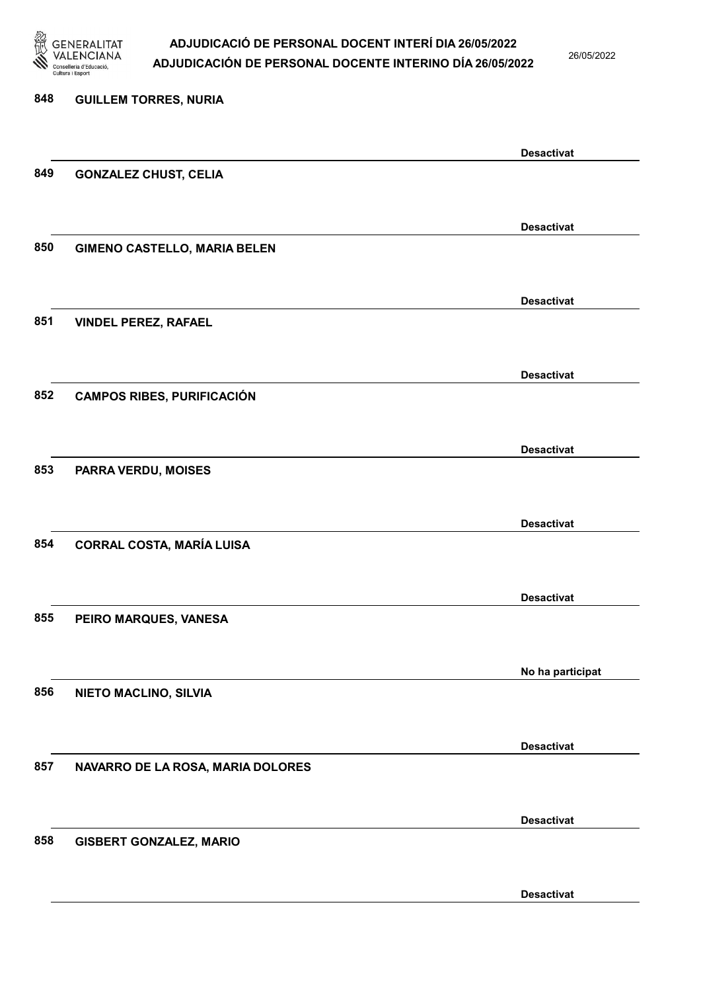

26/05/2022

### 848 GUILLEM TORRES, NURIA Desactivat 849 GONZALEZ CHUST, CELIA Desactivat 850 GIMENO CASTELLO, MARIA BELEN Desactivat 851 VINDEL PEREZ, RAFAEL Desactivat 852 CAMPOS RIBES, PURIFICACIÓN Desactivat 853 PARRA VERDU, MOISES Desactivat 854 CORRAL COSTA, MARÍA LUISA Desactivat 855 PEIRO MARQUES, VANESA No ha participat 856 NIETO MACLINO, SILVIA Desactivat 857 NAVARRO DE LA ROSA, MARIA DOLORES Desactivat 858 GISBERT GONZALEZ, MARIO Desactivat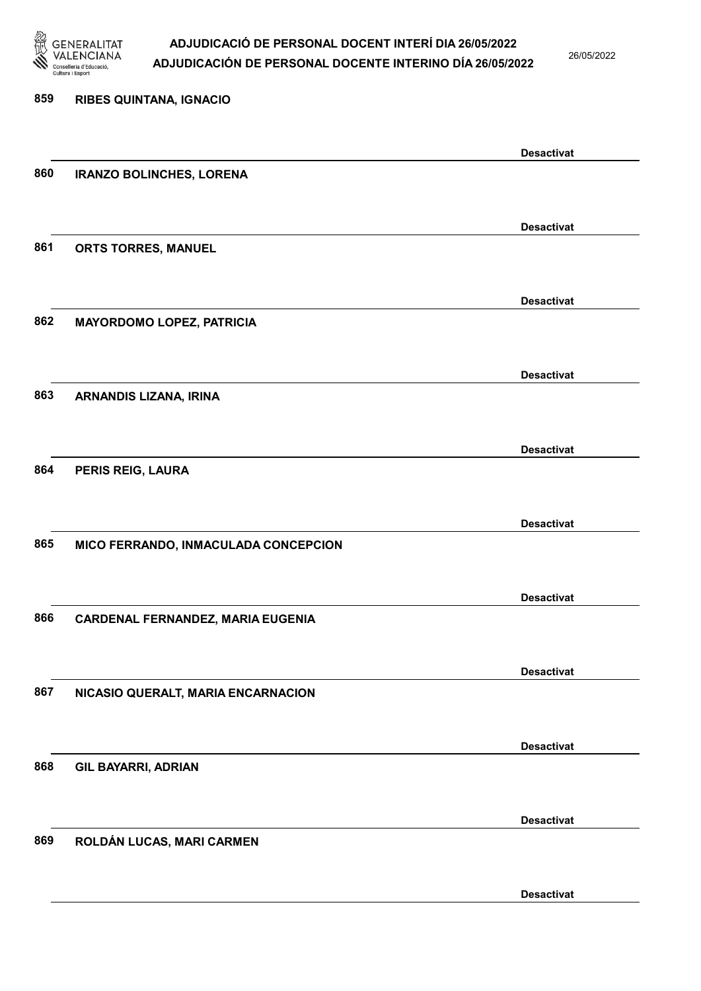

26/05/2022

Desactivat

# 859 RIBES QUINTANA, IGNACIO Desactivat 860 IRANZO BOLINCHES, LORENA Desactivat 861 ORTS TORRES, MANUEL Desactivat 862 MAYORDOMO LOPEZ, PATRICIA Desactivat 863 ARNANDIS LIZANA, IRINA Desactivat 864 PERIS REIG, LAURA Desactivat 865 MICO FERRANDO, INMACULADA CONCEPCION Desactivat 866 CARDENAL FERNANDEZ, MARIA EUGENIA Desactivat 867 NICASIO QUERALT, MARIA ENCARNACION Desactivat 868 GIL BAYARRI, ADRIAN Desactivat 869 ROLDÁN LUCAS, MARI CARMEN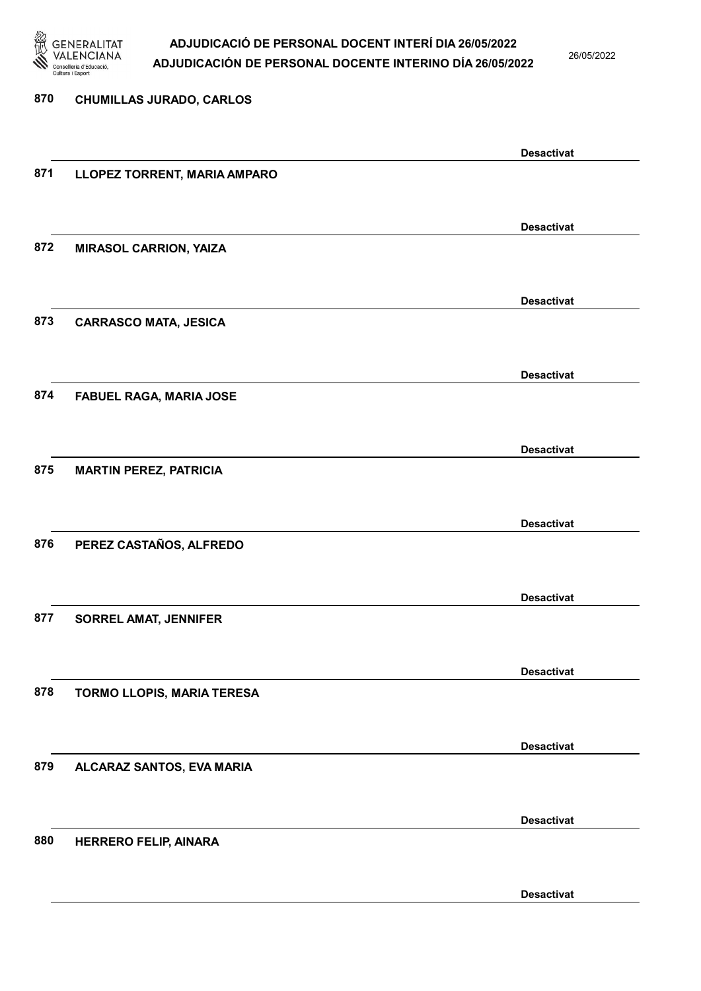

26/05/2022

Desactivat

# 870 CHUMILLAS JURADO, CARLOS Desactivat 871 LLOPEZ TORRENT, MARIA AMPARO Desactivat 872 MIRASOL CARRION, YAIZA Desactivat 873 CARRASCO MATA, JESICA Desactivat 874 FABUEL RAGA, MARIA JOSE Desactivat 875 MARTIN PEREZ, PATRICIA Desactivat 876 PEREZ CASTAÑOS, ALFREDO Desactivat 877 SORREL AMAT, JENNIFER Desactivat 878 TORMO LLOPIS, MARIA TERESA Desactivat 879 ALCARAZ SANTOS, EVA MARIA Desactivat 880 HERRERO FELIP, AINARA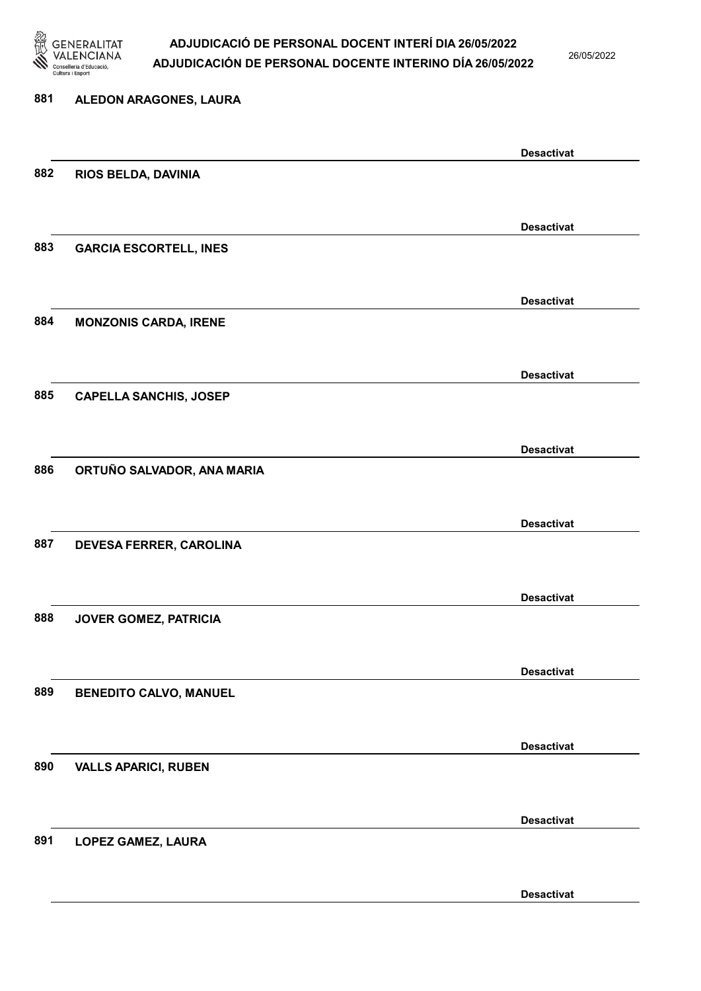

26/05/2022

Desactivat

# 881 ALEDON ARAGONES, LAURA Desactivat 882 RIOS BELDA, DAVINIA Desactivat 883 GARCIA ESCORTELL, INES Desactivat 884 MONZONIS CARDA, IRENE Desactivat 885 CAPELLA SANCHIS, JOSEP Desactivat 886 ORTUÑO SALVADOR, ANA MARIA Desactivat 887 DEVESA FERRER, CAROLINA Desactivat 888 JOVER GOMEZ, PATRICIA Desactivat 889 BENEDITO CALVO, MANUEL Desactivat 890 VALLS APARICI, RUBEN Desactivat 891 LOPEZ GAMEZ, LAURA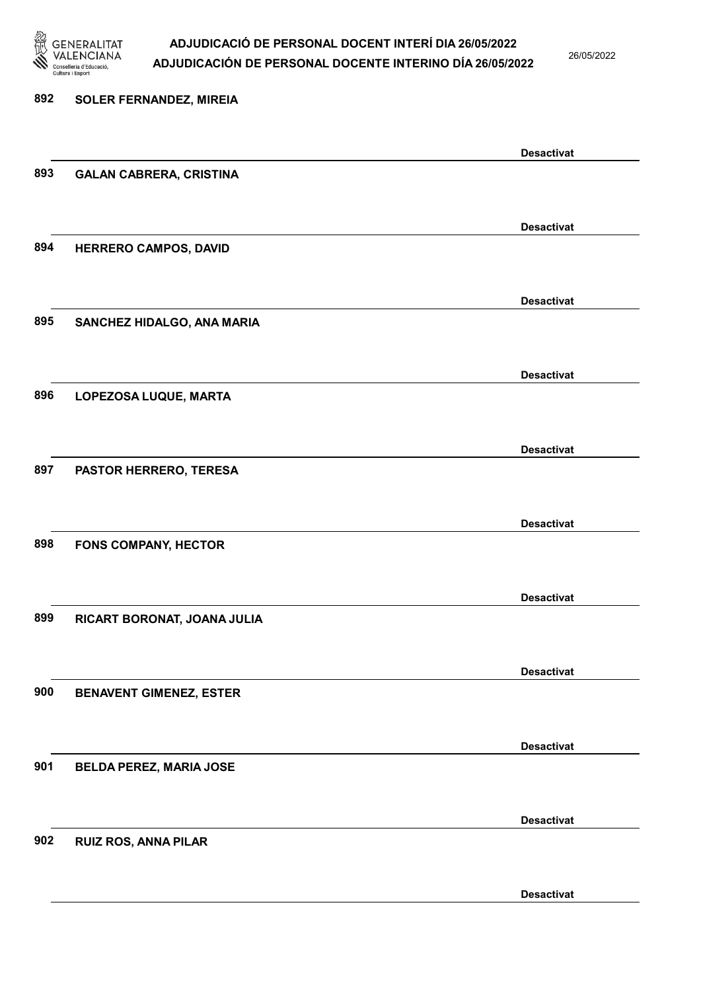

26/05/2022

| 892 | <b>SOLER FERNANDEZ, MIREIA</b> |                   |
|-----|--------------------------------|-------------------|
|     |                                |                   |
|     |                                | <b>Desactivat</b> |
| 893 | <b>GALAN CABRERA, CRISTINA</b> |                   |
|     |                                |                   |
|     |                                | <b>Desactivat</b> |
| 894 | HERRERO CAMPOS, DAVID          |                   |
|     |                                |                   |
|     |                                | <b>Desactivat</b> |
| 895 | SANCHEZ HIDALGO, ANA MARIA     |                   |
|     |                                |                   |
|     |                                | <b>Desactivat</b> |
| 896 | LOPEZOSA LUQUE, MARTA          |                   |
|     |                                |                   |
|     |                                | <b>Desactivat</b> |
| 897 | PASTOR HERRERO, TERESA         |                   |
|     |                                |                   |
|     |                                | <b>Desactivat</b> |
| 898 | <b>FONS COMPANY, HECTOR</b>    |                   |
|     |                                |                   |
|     |                                | <b>Desactivat</b> |
| 899 | RICART BORONAT, JOANA JULIA    |                   |
|     |                                |                   |
|     |                                | <b>Desactivat</b> |
| 900 | <b>BENAVENT GIMENEZ, ESTER</b> |                   |
|     |                                |                   |
|     |                                | <b>Desactivat</b> |
| 901 | <b>BELDA PEREZ, MARIA JOSE</b> |                   |
|     |                                |                   |
|     |                                | <b>Desactivat</b> |
| 902 | <b>RUIZ ROS, ANNA PILAR</b>    |                   |
|     |                                |                   |
|     |                                |                   |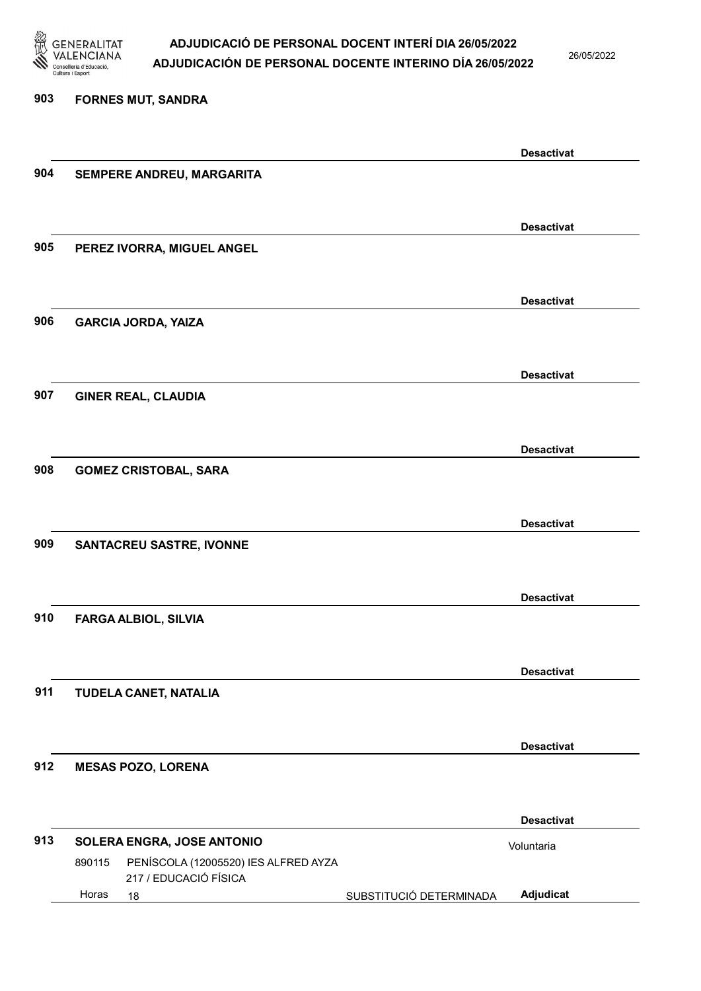

26/05/2022

#### 903 FORNES MUT, SANDRA

| 904 |                                                                         |                         | <b>Desactivat</b> |
|-----|-------------------------------------------------------------------------|-------------------------|-------------------|
|     | SEMPERE ANDREU, MARGARITA                                               |                         |                   |
|     |                                                                         |                         |                   |
|     |                                                                         |                         | <b>Desactivat</b> |
| 905 | PEREZ IVORRA, MIGUEL ANGEL                                              |                         |                   |
|     |                                                                         |                         |                   |
|     |                                                                         |                         |                   |
|     |                                                                         |                         | <b>Desactivat</b> |
| 906 | <b>GARCIA JORDA, YAIZA</b>                                              |                         |                   |
|     |                                                                         |                         |                   |
|     |                                                                         |                         |                   |
|     |                                                                         |                         | <b>Desactivat</b> |
| 907 | <b>GINER REAL, CLAUDIA</b>                                              |                         |                   |
|     |                                                                         |                         |                   |
|     |                                                                         |                         | <b>Desactivat</b> |
| 908 | <b>GOMEZ CRISTOBAL, SARA</b>                                            |                         |                   |
|     |                                                                         |                         |                   |
|     |                                                                         |                         |                   |
|     |                                                                         |                         | <b>Desactivat</b> |
| 909 | <b>SANTACREU SASTRE, IVONNE</b>                                         |                         |                   |
|     |                                                                         |                         |                   |
|     |                                                                         |                         | <b>Desactivat</b> |
| 910 |                                                                         |                         |                   |
|     | <b>FARGA ALBIOL, SILVIA</b>                                             |                         |                   |
|     |                                                                         |                         |                   |
|     |                                                                         |                         | <b>Desactivat</b> |
| 911 | TUDELA CANET, NATALIA                                                   |                         |                   |
|     |                                                                         |                         |                   |
|     |                                                                         |                         |                   |
|     |                                                                         |                         | <b>Desactivat</b> |
| 912 | <b>MESAS POZO, LORENA</b>                                               |                         |                   |
|     |                                                                         |                         |                   |
|     |                                                                         |                         | <b>Desactivat</b> |
| 913 |                                                                         |                         |                   |
|     | SOLERA ENGRA, JOSE ANTONIO                                              |                         | Voluntaria        |
|     | PENÍSCOLA (12005520) IES ALFRED AYZA<br>890115<br>217 / EDUCACIÓ FÍSICA |                         |                   |
|     | Horas<br>18                                                             | SUBSTITUCIÓ DETERMINADA | Adjudicat         |
|     |                                                                         |                         |                   |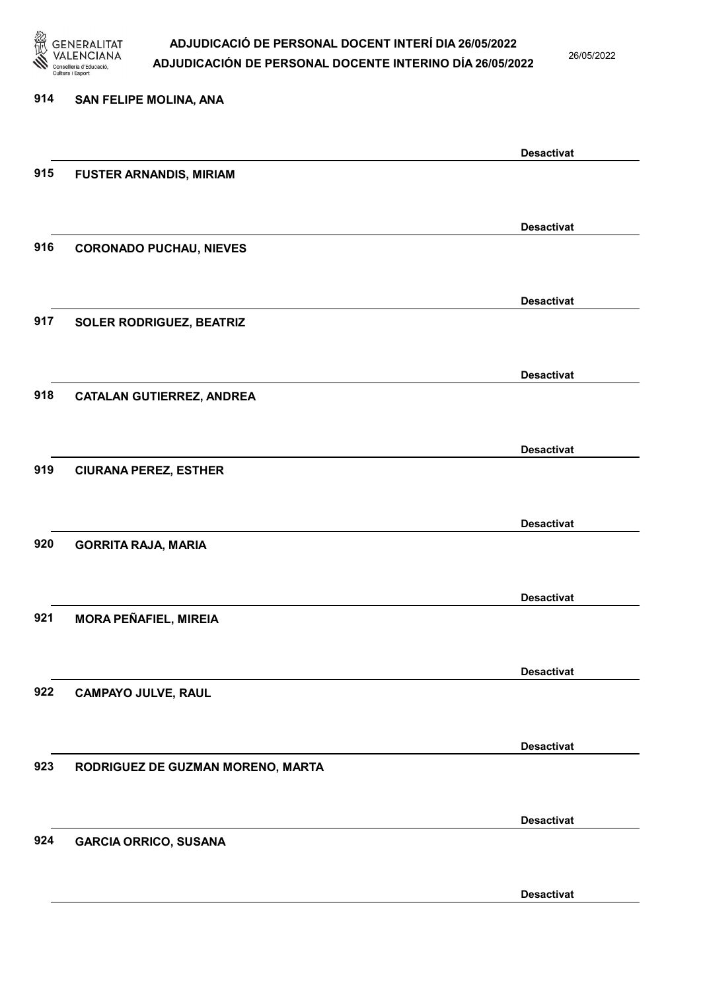

26/05/2022

### 914 SAN FELIPE MOLINA, ANA Desactivat 915 FUSTER ARNANDIS, MIRIAM Desactivat 916 CORONADO PUCHAU, NIEVES Desactivat 917 SOLER RODRIGUEZ, BEATRIZ Desactivat 918 CATALAN GUTIERREZ, ANDREA Desactivat 919 CIURANA PEREZ, ESTHER Desactivat 920 GORRITA RAJA, MARIA Desactivat 921 MORA PEÑAFIEL, MIREIA Desactivat 922 CAMPAYO JULVE, RAUL Desactivat 923 RODRIGUEZ DE GUZMAN MORENO, MARTA Desactivat 924 GARCIA ORRICO, SUSANA Desactivat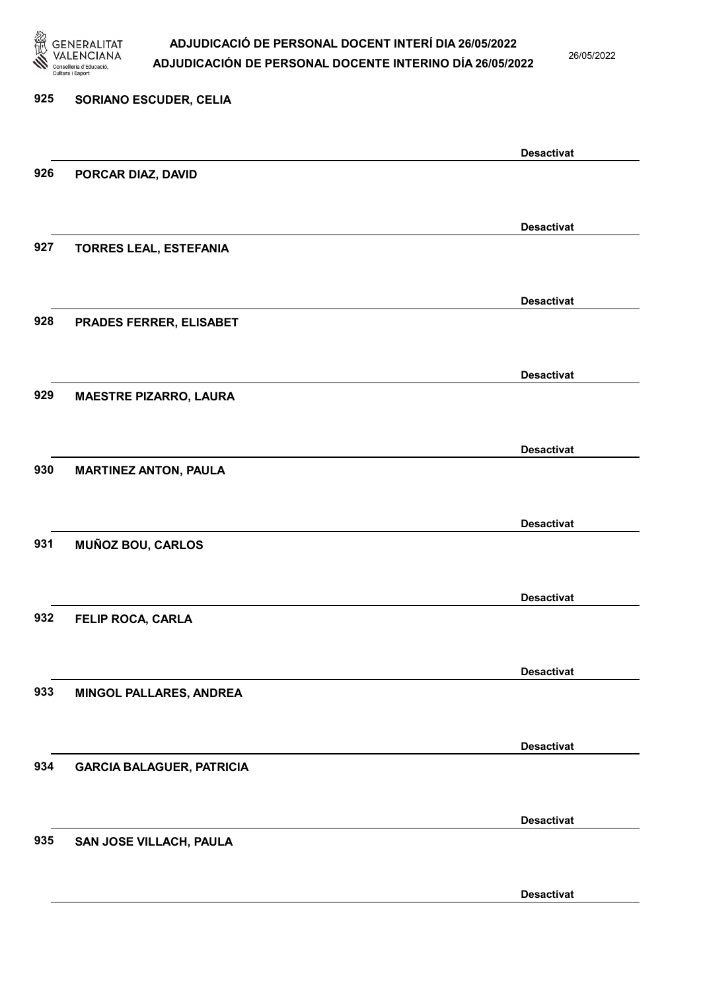

26/05/2022

Desactivat

# 925 SORIANO ESCUDER, CELIA Desactivat 926 PORCAR DIAZ, DAVID Desactivat 927 TORRES LEAL, ESTEFANIA Desactivat 928 PRADES FERRER, ELISABET Desactivat 929 MAESTRE PIZARRO, LAURA Desactivat 930 MARTINEZ ANTON, PAULA Desactivat 931 MUÑOZ BOU, CARLOS Desactivat 932 FELIP ROCA, CARLA Desactivat 933 MINGOL PALLARES, ANDREA Desactivat 934 GARCIA BALAGUER, PATRICIA Desactivat 935 SAN JOSE VILLACH, PAULA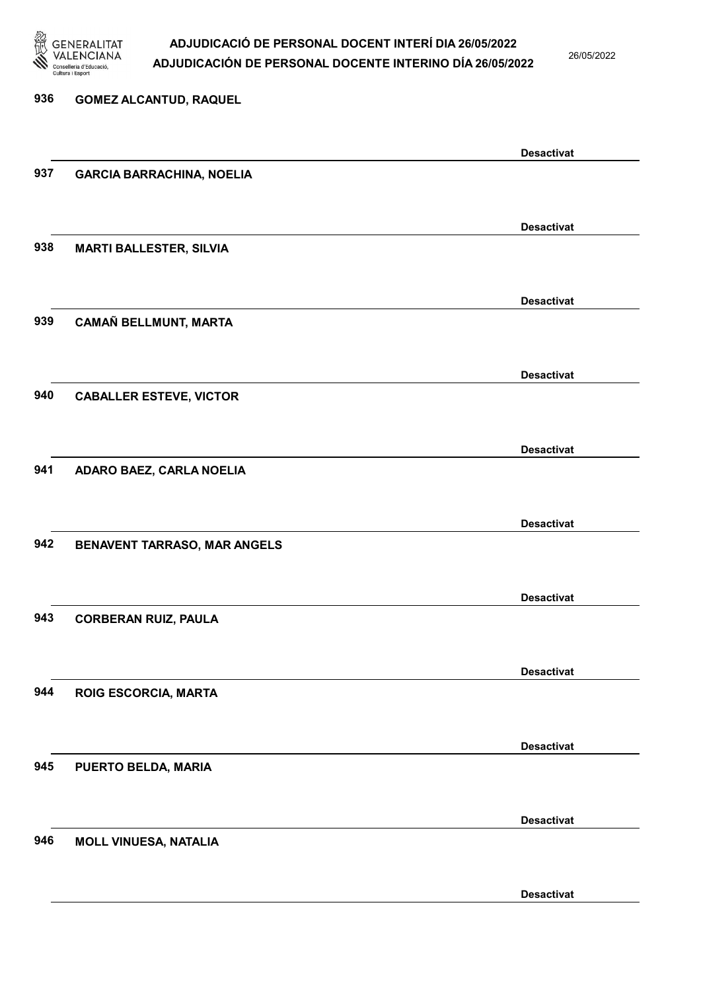

26/05/2022

### 936 GOMEZ ALCANTUD, RAQUEL Desactivat 937 GARCIA BARRACHINA, NOELIA Desactivat 938 MARTI BALLESTER, SILVIA Desactivat 939 CAMAÑ BELLMUNT, MARTA Desactivat 940 CABALLER ESTEVE, VICTOR Desactivat 941 ADARO BAEZ, CARLA NOELIA Desactivat 942 BENAVENT TARRASO, MAR ANGELS Desactivat 943 CORBERAN RUIZ, PAULA Desactivat 944 ROIG ESCORCIA, MARTA Desactivat 945 PUERTO BELDA, MARIA Desactivat 946 MOLL VINUESA, NATALIA Desactivat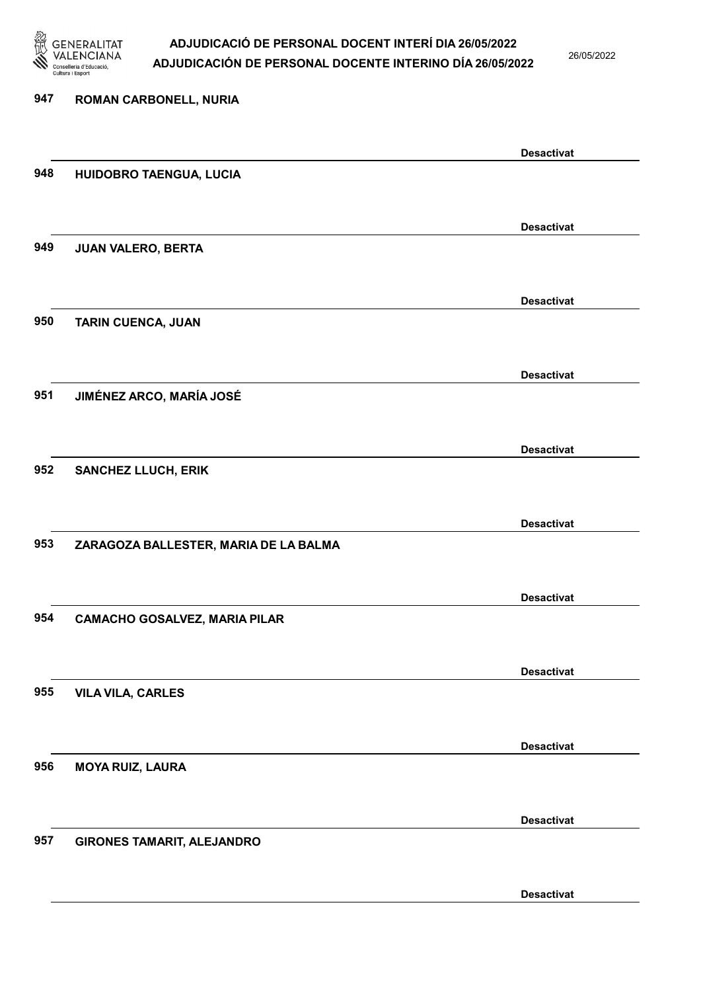

26/05/2022

| 947 | <b>ROMAN CARBONELL, NURIA</b>         |                   |
|-----|---------------------------------------|-------------------|
|     |                                       |                   |
|     |                                       | <b>Desactivat</b> |
| 948 | HUIDOBRO TAENGUA, LUCIA               |                   |
|     |                                       | <b>Desactivat</b> |
| 949 | JUAN VALERO, BERTA                    |                   |
|     |                                       |                   |
|     |                                       | <b>Desactivat</b> |
| 950 | <b>TARIN CUENCA, JUAN</b>             |                   |
|     |                                       |                   |
|     |                                       | <b>Desactivat</b> |
| 951 | JIMÉNEZ ARCO, MARÍA JOSÉ              |                   |
|     |                                       | <b>Desactivat</b> |
| 952 | <b>SANCHEZ LLUCH, ERIK</b>            |                   |
|     |                                       |                   |
|     |                                       | <b>Desactivat</b> |
| 953 | ZARAGOZA BALLESTER, MARIA DE LA BALMA |                   |
|     |                                       |                   |
|     |                                       | <b>Desactivat</b> |
| 954 | <b>CAMACHO GOSALVEZ, MARIA PILAR</b>  |                   |
|     |                                       |                   |
|     |                                       | <b>Desactivat</b> |
| 955 | <b>VILA VILA, CARLES</b>              |                   |
|     |                                       |                   |
|     |                                       | <b>Desactivat</b> |
| 956 | <b>MOYA RUIZ, LAURA</b>               |                   |
|     |                                       |                   |
| 957 | <b>GIRONES TAMARIT, ALEJANDRO</b>     | <b>Desactivat</b> |
|     |                                       |                   |
|     |                                       |                   |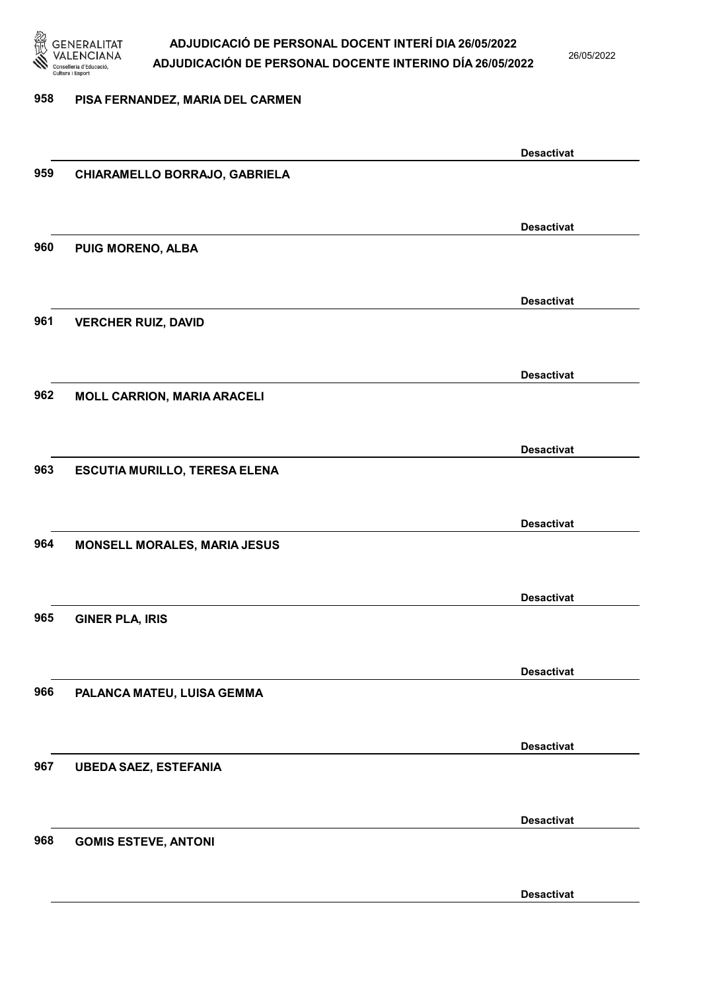

26/05/2022

#### 958 PISA FERNANDEZ, MARIA DEL CARMEN

|     |                                      | <b>Desactivat</b> |
|-----|--------------------------------------|-------------------|
| 959 | CHIARAMELLO BORRAJO, GABRIELA        |                   |
|     |                                      |                   |
|     |                                      |                   |
|     |                                      |                   |
|     |                                      | <b>Desactivat</b> |
| 960 | PUIG MORENO, ALBA                    |                   |
|     |                                      |                   |
|     |                                      |                   |
|     |                                      | <b>Desactivat</b> |
|     |                                      |                   |
| 961 | <b>VERCHER RUIZ, DAVID</b>           |                   |
|     |                                      |                   |
|     |                                      |                   |
|     |                                      | <b>Desactivat</b> |
| 962 | <b>MOLL CARRION, MARIA ARACELI</b>   |                   |
|     |                                      |                   |
|     |                                      |                   |
|     |                                      |                   |
|     |                                      | <b>Desactivat</b> |
| 963 | <b>ESCUTIA MURILLO, TERESA ELENA</b> |                   |
|     |                                      |                   |
|     |                                      |                   |
|     |                                      | <b>Desactivat</b> |
|     |                                      |                   |
| 964 | MONSELL MORALES, MARIA JESUS         |                   |
|     |                                      |                   |
|     |                                      |                   |
|     |                                      | <b>Desactivat</b> |
| 965 | <b>GINER PLA, IRIS</b>               |                   |
|     |                                      |                   |
|     |                                      |                   |
|     |                                      | <b>Desactivat</b> |
|     |                                      |                   |
| 966 | PALANCA MATEU, LUISA GEMMA           |                   |
|     |                                      |                   |
|     |                                      |                   |
|     |                                      | <b>Desactivat</b> |
| 967 | <b>UBEDA SAEZ, ESTEFANIA</b>         |                   |
|     |                                      |                   |
|     |                                      |                   |
|     |                                      |                   |
|     |                                      | <b>Desactivat</b> |
| 968 | <b>GOMIS ESTEVE, ANTONI</b>          |                   |
|     |                                      |                   |
|     |                                      |                   |
|     |                                      | <b>Desactivat</b> |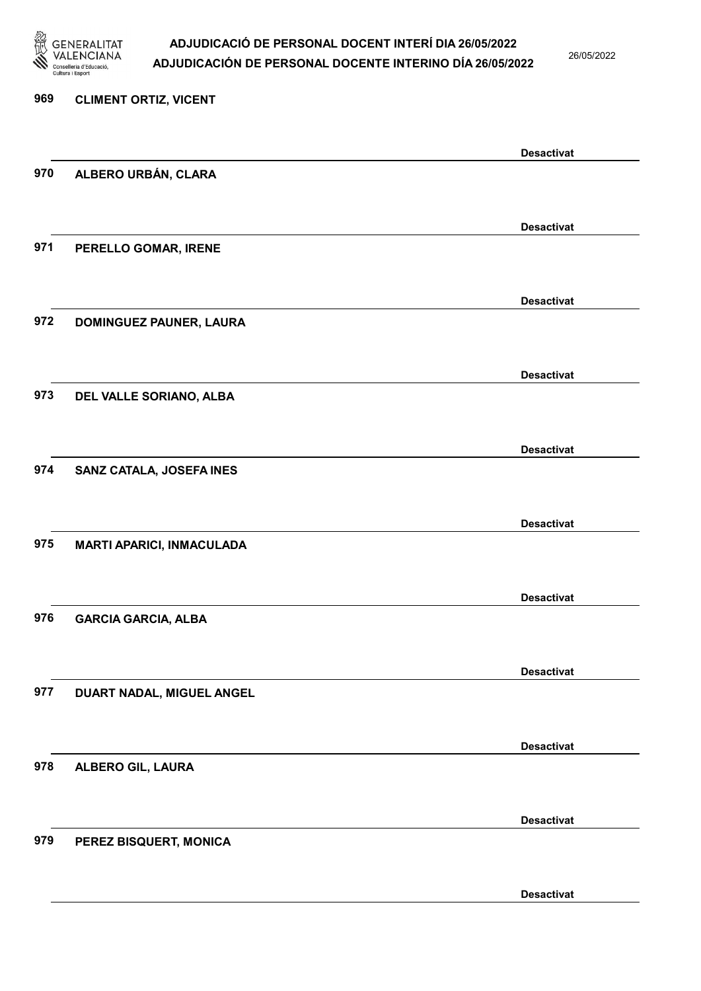

26/05/2022

Desactivat

# 969 CLIMENT ORTIZ, VICENT Desactivat 970 ALBERO URBÁN, CLARA Desactivat 971 PERELLO GOMAR, IRENE Desactivat 972 DOMINGUEZ PAUNER, LAURA Desactivat 973 DEL VALLE SORIANO, ALBA Desactivat 974 SANZ CATALA, JOSEFA INES Desactivat 975 MARTI APARICI, INMACULADA Desactivat 976 GARCIA GARCIA, ALBA Desactivat 977 DUART NADAL, MIGUEL ANGEL Desactivat 978 ALBERO GIL, LAURA Desactivat 979 PEREZ BISQUERT, MONICA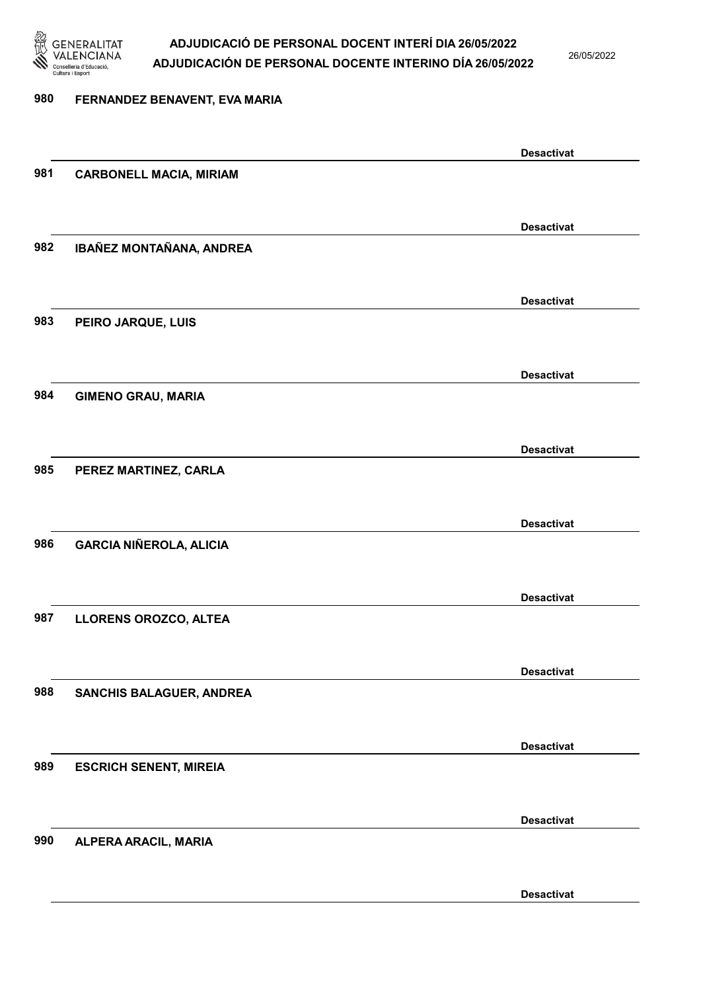

26/05/2022

Desactivat

# 980 FERNANDEZ BENAVENT, EVA MARIA Desactivat 981 CARBONELL MACIA, MIRIAM Desactivat 982 IBAÑEZ MONTAÑANA, ANDREA Desactivat 983 PEIRO JARQUE, LUIS Desactivat 984 GIMENO GRAU, MARIA Desactivat 985 PEREZ MARTINEZ, CARLA Desactivat 986 GARCIA NIÑEROLA, ALICIA Desactivat 987 LLORENS OROZCO, ALTEA Desactivat 988 SANCHIS BALAGUER, ANDREA Desactivat 989 ESCRICH SENENT, MIREIA Desactivat 990 ALPERA ARACIL, MARIA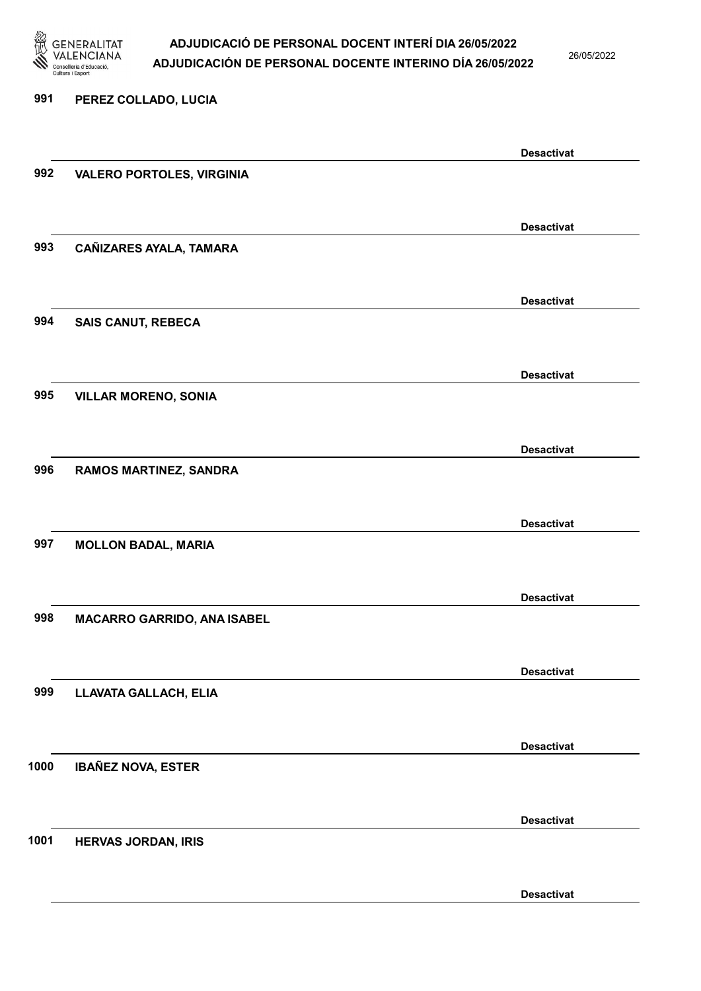

26/05/2022

#### 991 PEREZ COLLADO, LUCIA

|      |                                    | <b>Desactivat</b> |
|------|------------------------------------|-------------------|
| 992  | <b>VALERO PORTOLES, VIRGINIA</b>   |                   |
|      |                                    |                   |
|      |                                    | <b>Desactivat</b> |
| 993  | CAÑIZARES AYALA, TAMARA            |                   |
|      |                                    |                   |
|      |                                    | <b>Desactivat</b> |
| 994  | <b>SAIS CANUT, REBECA</b>          |                   |
|      |                                    |                   |
|      |                                    | <b>Desactivat</b> |
| 995  | <b>VILLAR MORENO, SONIA</b>        |                   |
|      |                                    |                   |
|      |                                    | <b>Desactivat</b> |
| 996  | <b>RAMOS MARTINEZ, SANDRA</b>      |                   |
|      |                                    |                   |
|      |                                    | <b>Desactivat</b> |
| 997  | <b>MOLLON BADAL, MARIA</b>         |                   |
|      |                                    |                   |
|      |                                    | <b>Desactivat</b> |
| 998  | <b>MACARRO GARRIDO, ANA ISABEL</b> |                   |
|      |                                    |                   |
|      |                                    | <b>Desactivat</b> |
| 999  | LLAVATA GALLACH, ELIA              |                   |
|      |                                    |                   |
|      |                                    | <b>Desactivat</b> |
| 1000 | <b>IBAÑEZ NOVA, ESTER</b>          |                   |
|      |                                    |                   |
|      |                                    | <b>Desactivat</b> |
| 1001 | <b>HERVAS JORDAN, IRIS</b>         |                   |
|      |                                    |                   |
|      |                                    | <b>Desactivat</b> |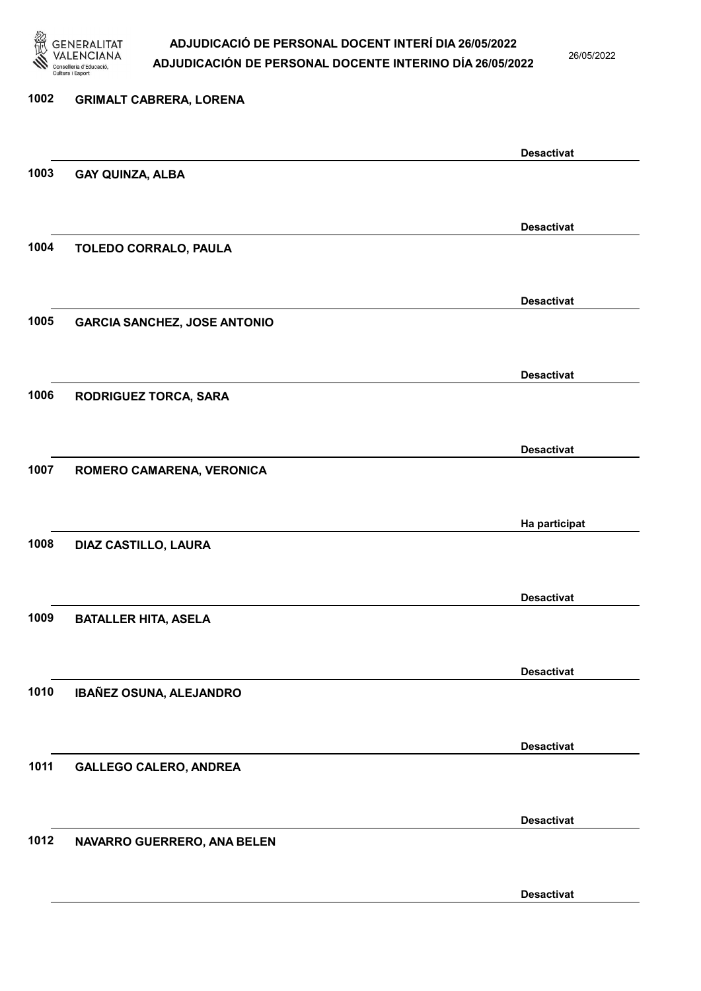

26/05/2022

Desactivat

# 1002 GRIMALT CABRERA, LORENA Desactivat 1003 GAY QUINZA, ALBA Desactivat 1004 TOLEDO CORRALO, PAULA Desactivat 1005 GARCIA SANCHEZ, JOSE ANTONIO Desactivat 1006 RODRIGUEZ TORCA, SARA Desactivat 1007 ROMERO CAMARENA, VERONICA Ha participat 1008 DIAZ CASTILLO, LAURA Desactivat 1009 BATALLER HITA, ASELA Desactivat 1010 IBAÑEZ OSUNA, ALEJANDRO Desactivat 1011 GALLEGO CALERO, ANDREA Desactivat 1012 NAVARRO GUERRERO, ANA BELEN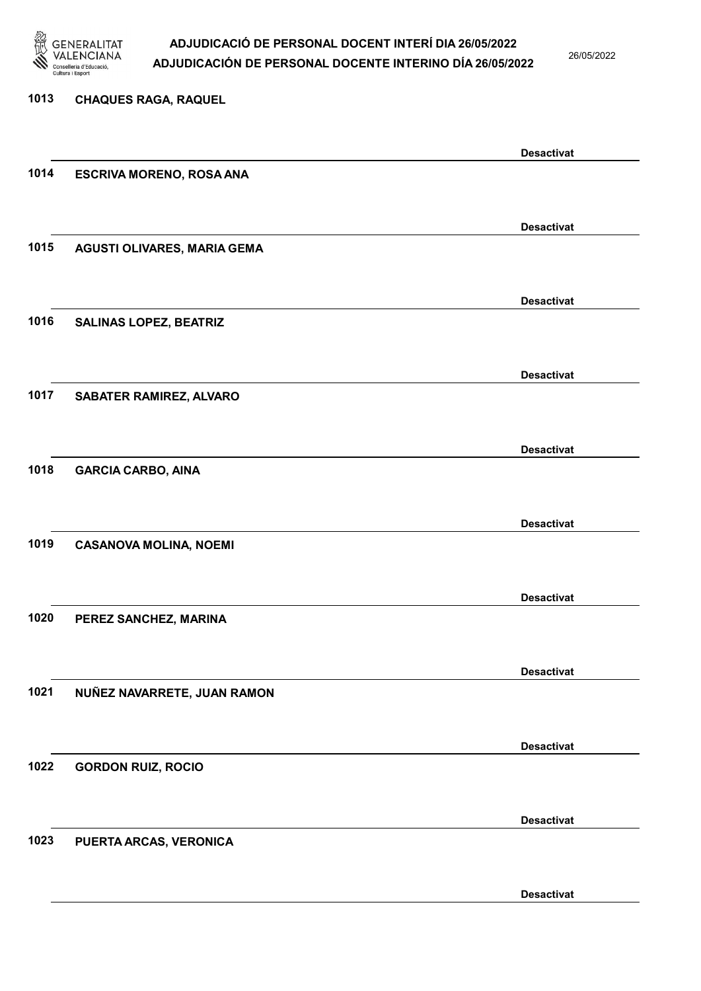

26/05/2022

Desactivat

# 1013 CHAQUES RAGA, RAQUEL Desactivat 1014 ESCRIVA MORENO, ROSA ANA Desactivat 1015 AGUSTI OLIVARES, MARIA GEMA Desactivat 1016 SALINAS LOPEZ, BEATRIZ Desactivat 1017 SABATER RAMIREZ, ALVARO Desactivat 1018 GARCIA CARBO, AINA Desactivat 1019 CASANOVA MOLINA, NOEMI Desactivat 1020 PEREZ SANCHEZ, MARINA Desactivat 1021 NUÑEZ NAVARRETE, JUAN RAMON Desactivat 1022 GORDON RUIZ, ROCIO Desactivat 1023 PUERTA ARCAS, VERONICA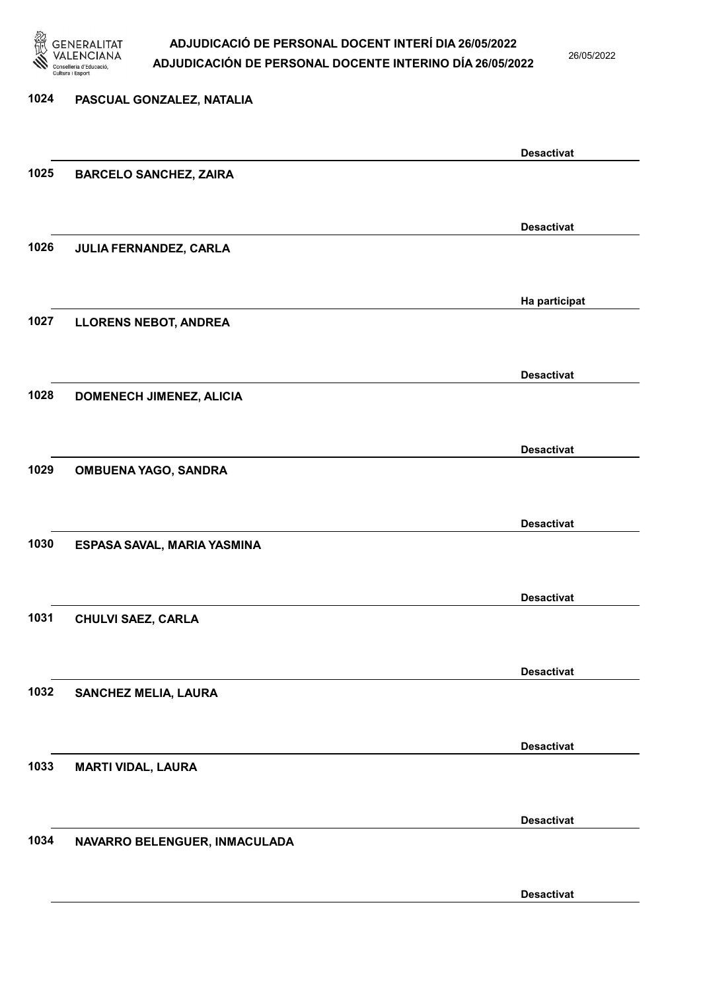

26/05/2022

#### 1024 PASCUAL GONZALEZ, NATALIA

|      |                               | <b>Desactivat</b> |
|------|-------------------------------|-------------------|
| 1025 | <b>BARCELO SANCHEZ, ZAIRA</b> |                   |
|      |                               |                   |
|      |                               | <b>Desactivat</b> |
| 1026 | JULIA FERNANDEZ, CARLA        |                   |
|      |                               |                   |
|      |                               |                   |
|      |                               | Ha participat     |
| 1027 | <b>LLORENS NEBOT, ANDREA</b>  |                   |
|      |                               |                   |
|      |                               | <b>Desactivat</b> |
| 1028 | DOMENECH JIMENEZ, ALICIA      |                   |
|      |                               |                   |
|      |                               | <b>Desactivat</b> |
| 1029 | <b>OMBUENA YAGO, SANDRA</b>   |                   |
|      |                               |                   |
|      |                               |                   |
|      |                               | <b>Desactivat</b> |
| 1030 | ESPASA SAVAL, MARIA YASMINA   |                   |
|      |                               |                   |
|      |                               | <b>Desactivat</b> |
| 1031 | <b>CHULVI SAEZ, CARLA</b>     |                   |
|      |                               |                   |
|      |                               | <b>Desactivat</b> |
| 1032 | <b>SANCHEZ MELIA, LAURA</b>   |                   |
|      |                               |                   |
|      |                               |                   |
|      |                               | <b>Desactivat</b> |
| 1033 | <b>MARTI VIDAL, LAURA</b>     |                   |
|      |                               |                   |
|      |                               | <b>Desactivat</b> |
| 1034 | NAVARRO BELENGUER, INMACULADA |                   |
|      |                               |                   |
|      |                               | <b>Desactivat</b> |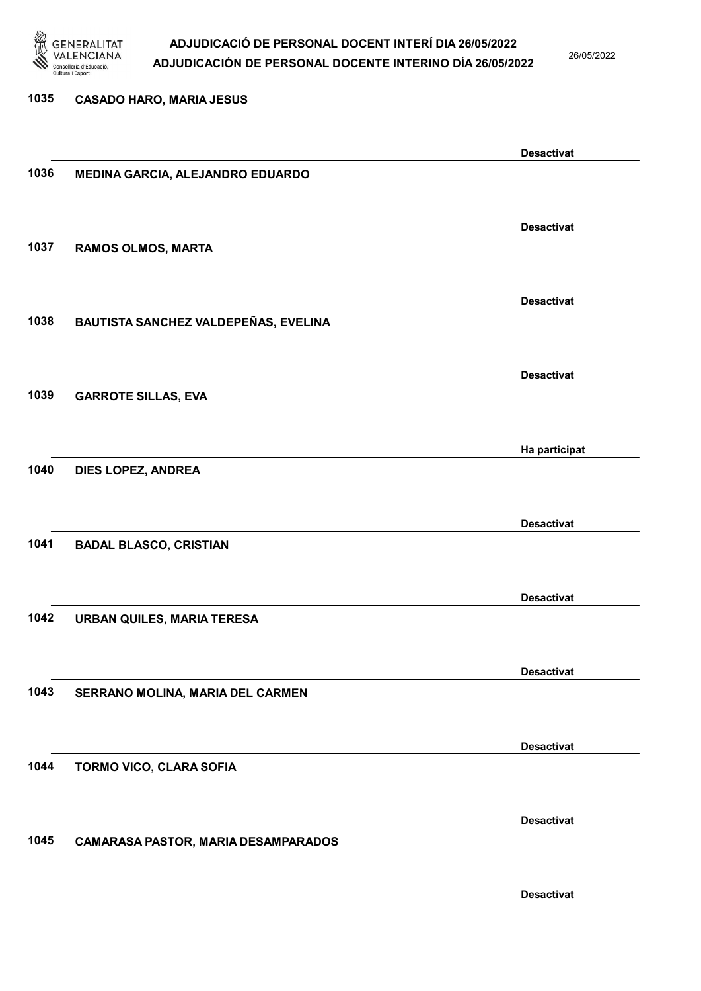

26/05/2022

### 1035 CASADO HARO, MARIA JESUS Desactivat 1036 MEDINA GARCIA, ALEJANDRO EDUARDO Desactivat 1037 RAMOS OLMOS, MARTA Desactivat 1038 BAUTISTA SANCHEZ VALDEPEÑAS, EVELINA Desactivat 1039 GARROTE SILLAS, EVA Ha participat 1040 DIES LOPEZ, ANDREA Desactivat 1041 BADAL BLASCO, CRISTIAN Desactivat 1042 URBAN QUILES, MARIA TERESA Desactivat 1043 SERRANO MOLINA, MARIA DEL CARMEN Desactivat 1044 TORMO VICO, CLARA SOFIA Desactivat 1045 CAMARASA PASTOR, MARIA DESAMPARADOS Desactivat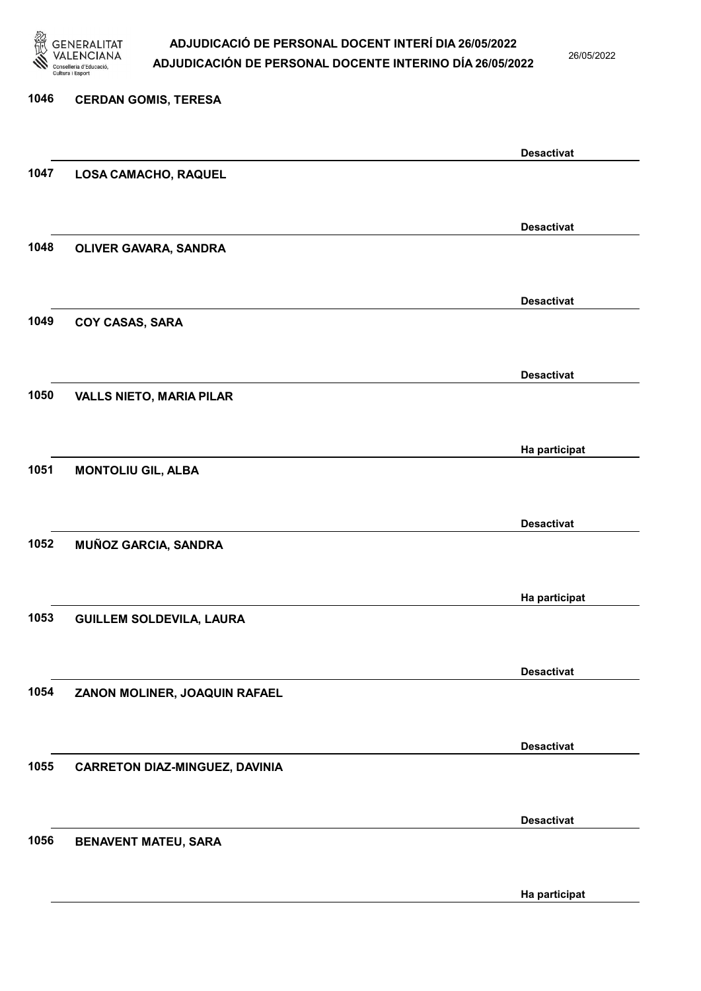

26/05/2022

Ha participat

# 1046 CERDAN GOMIS, TERESA Desactivat 1047 LOSA CAMACHO, RAQUEL Desactivat 1048 OLIVER GAVARA, SANDRA Desactivat 1049 COY CASAS, SARA Desactivat 1050 VALLS NIETO, MARIA PILAR Ha participat 1051 MONTOLIU GIL, ALBA Desactivat 1052 MUÑOZ GARCIA, SANDRA Ha participat 1053 GUILLEM SOLDEVILA, LAURA Desactivat 1054 ZANON MOLINER, JOAQUIN RAFAEL Desactivat 1055 CARRETON DIAZ-MINGUEZ, DAVINIA Desactivat 1056 BENAVENT MATEU, SARA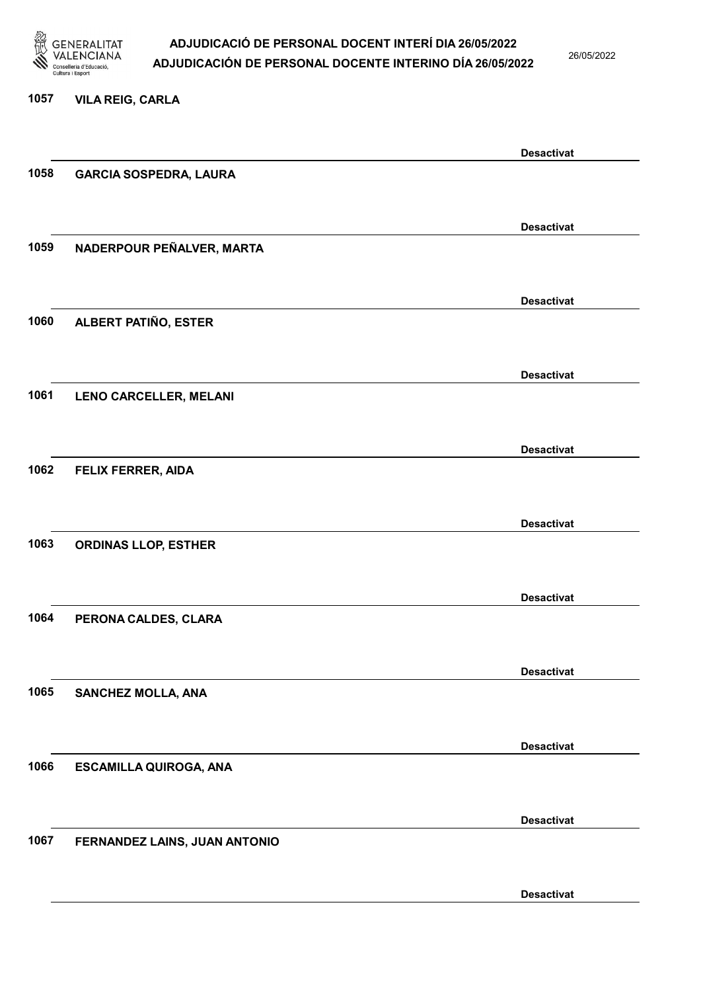

26/05/2022

#### 1057 VILA REIG, CARLA

|      |                               | <b>Desactivat</b> |
|------|-------------------------------|-------------------|
| 1058 | <b>GARCIA SOSPEDRA, LAURA</b> |                   |
|      |                               |                   |
|      |                               | <b>Desactivat</b> |
| 1059 | NADERPOUR PEÑALVER, MARTA     |                   |
|      |                               |                   |
|      |                               |                   |
|      |                               | <b>Desactivat</b> |
| 1060 | ALBERT PATIÑO, ESTER          |                   |
|      |                               |                   |
|      |                               | <b>Desactivat</b> |
| 1061 | LENO CARCELLER, MELANI        |                   |
|      |                               |                   |
|      |                               | <b>Desactivat</b> |
| 1062 | <b>FELIX FERRER, AIDA</b>     |                   |
|      |                               |                   |
|      |                               |                   |
|      |                               | <b>Desactivat</b> |
| 1063 | <b>ORDINAS LLOP, ESTHER</b>   |                   |
|      |                               |                   |
|      |                               | <b>Desactivat</b> |
| 1064 | PERONA CALDES, CLARA          |                   |
|      |                               |                   |
|      |                               | <b>Desactivat</b> |
| 1065 | SANCHEZ MOLLA, ANA            |                   |
|      |                               |                   |
|      |                               |                   |
|      |                               | <b>Desactivat</b> |
| 1066 | <b>ESCAMILLA QUIROGA, ANA</b> |                   |
|      |                               |                   |
|      |                               | <b>Desactivat</b> |
| 1067 | FERNANDEZ LAINS, JUAN ANTONIO |                   |
|      |                               |                   |
|      |                               | <b>Desactivat</b> |
|      |                               |                   |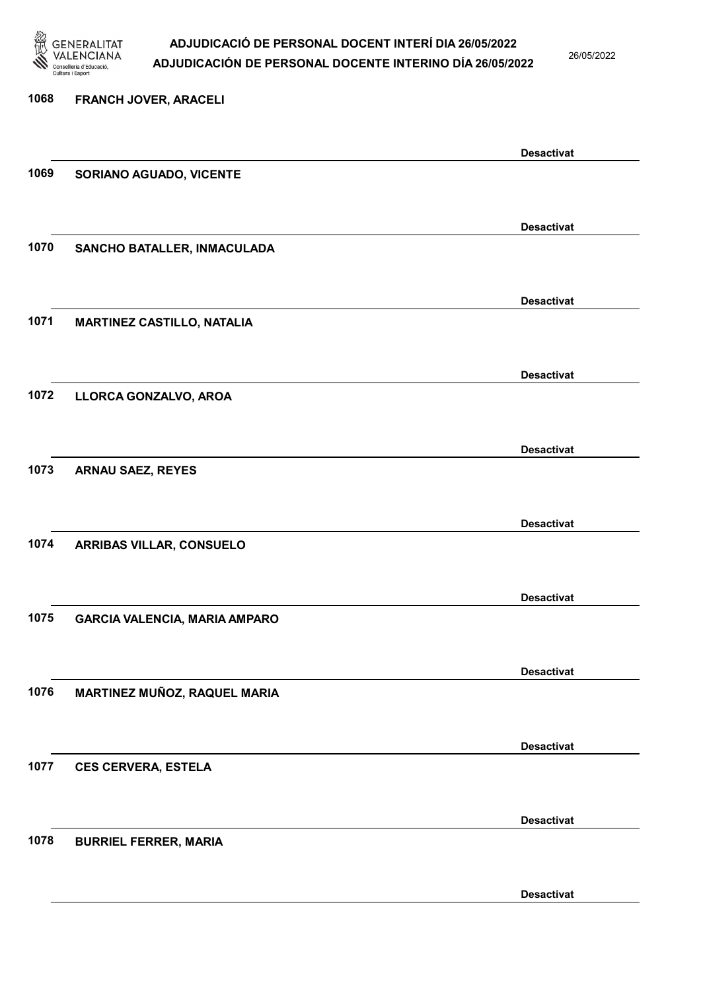

26/05/2022

| 1068 | FRANCH JOVER, ARACELI                |                   |
|------|--------------------------------------|-------------------|
|      |                                      |                   |
|      |                                      | <b>Desactivat</b> |
| 1069 | SORIANO AGUADO, VICENTE              |                   |
|      |                                      |                   |
|      |                                      | <b>Desactivat</b> |
| 1070 | SANCHO BATALLER, INMACULADA          |                   |
|      |                                      |                   |
|      |                                      | <b>Desactivat</b> |
| 1071 | <b>MARTINEZ CASTILLO, NATALIA</b>    |                   |
|      |                                      |                   |
|      |                                      | <b>Desactivat</b> |
| 1072 | LLORCA GONZALVO, AROA                |                   |
|      |                                      |                   |
|      |                                      | <b>Desactivat</b> |
| 1073 | <b>ARNAU SAEZ, REYES</b>             |                   |
|      |                                      |                   |
|      |                                      | <b>Desactivat</b> |
| 1074 | <b>ARRIBAS VILLAR, CONSUELO</b>      |                   |
|      |                                      |                   |
|      |                                      | <b>Desactivat</b> |
| 1075 | <b>GARCIA VALENCIA, MARIA AMPARO</b> |                   |
|      |                                      |                   |
|      |                                      | <b>Desactivat</b> |
| 1076 | MARTINEZ MUÑOZ, RAQUEL MARIA         |                   |
|      |                                      |                   |
|      |                                      | <b>Desactivat</b> |
| 1077 | <b>CES CERVERA, ESTELA</b>           |                   |
|      |                                      |                   |
|      |                                      | <b>Desactivat</b> |
| 1078 | <b>BURRIEL FERRER, MARIA</b>         |                   |
|      |                                      |                   |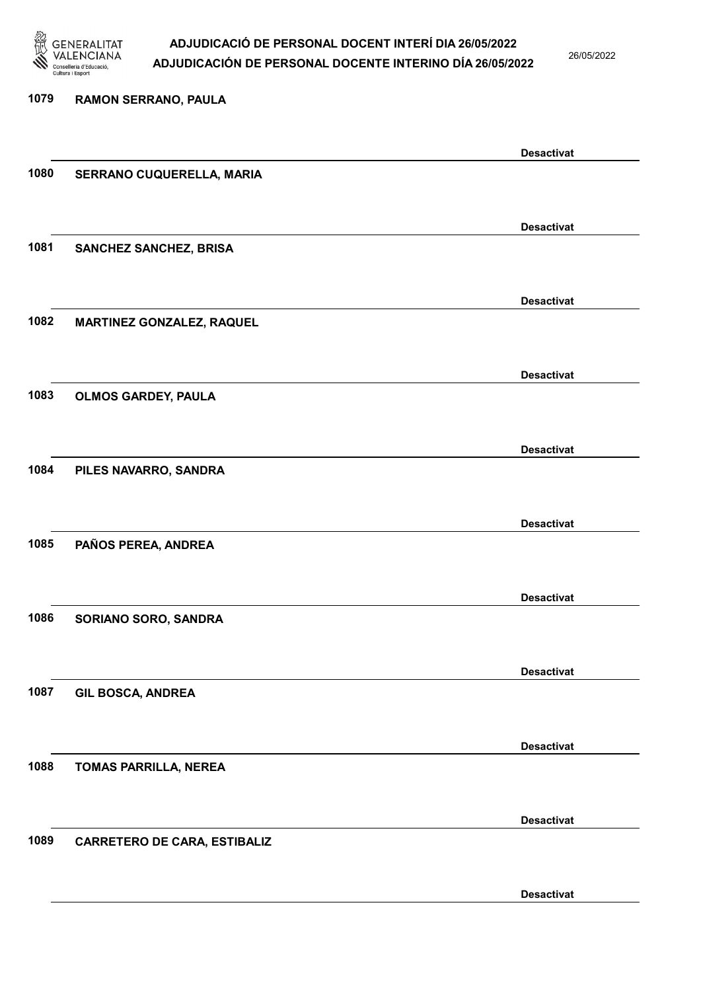

26/05/2022

Desactivat

# 1079 RAMON SERRANO, PAULA Desactivat 1080 SERRANO CUQUERELLA, MARIA Desactivat 1081 SANCHEZ SANCHEZ, BRISA Desactivat 1082 MARTINEZ GONZALEZ, RAQUEL Desactivat 1083 OLMOS GARDEY, PAULA Desactivat 1084 PILES NAVARRO, SANDRA Desactivat 1085 PAÑOS PEREA, ANDREA Desactivat 1086 SORIANO SORO, SANDRA Desactivat 1087 GIL BOSCA, ANDREA Desactivat 1088 TOMAS PARRILLA, NEREA Desactivat 1089 CARRETERO DE CARA, ESTIBALIZ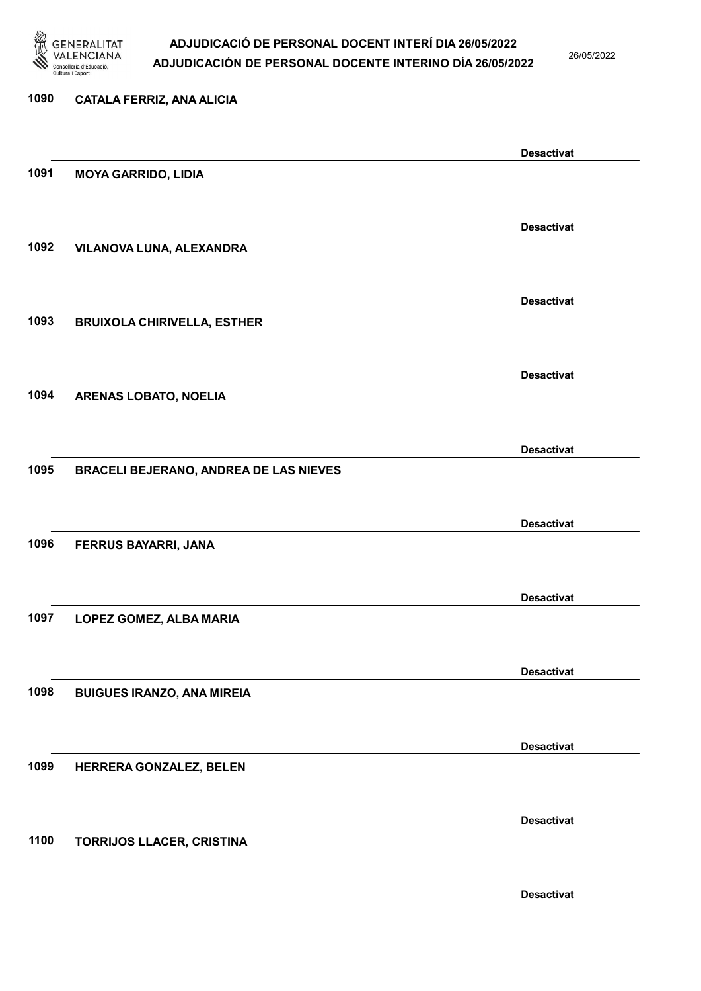

26/05/2022

# 1090 CATALA FERRIZ, ANA ALICIA Desactivat 1091 MOYA GARRIDO, LIDIA Desactivat 1092 VILANOVA LUNA, ALEXANDRA Desactivat 1093 BRUIXOLA CHIRIVELLA, ESTHER Desactivat 1094 ARENAS LOBATO, NOELIA Desactivat 1095 BRACELI BEJERANO, ANDREA DE LAS NIEVES Desactivat 1096 FERRUS BAYARRI, JANA Desactivat 1097 LOPEZ GOMEZ, ALBA MARIA Desactivat 1098 BUIGUES IRANZO, ANA MIREIA Desactivat 1099 HERRERA GONZALEZ, BELEN Desactivat 1100 TORRIJOS LLACER, CRISTINA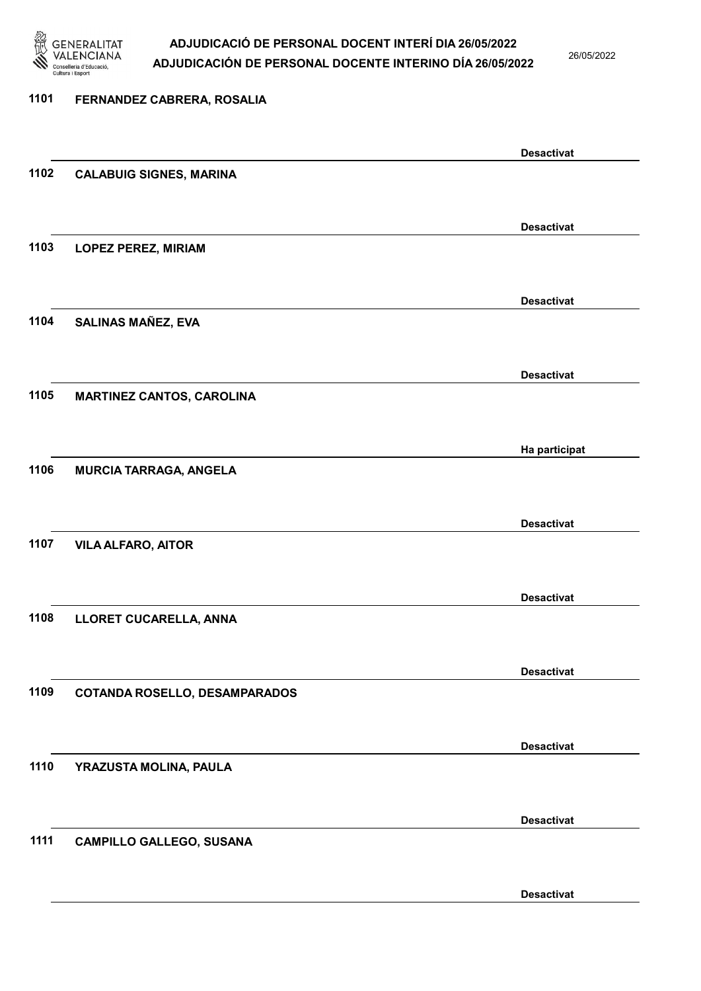

26/05/2022

# 1101 FERNANDEZ CABRERA, ROSALIA Desactivat 1102 CALABUIG SIGNES, MARINA Desactivat 1103 LOPEZ PEREZ, MIRIAM Desactivat 1104 SALINAS MAÑEZ, EVA Desactivat 1105 MARTINEZ CANTOS, CAROLINA Ha participat 1106 MURCIA TARRAGA, ANGELA Desactivat 1107 VILA ALFARO, AITOR Desactivat 1108 LLORET CUCARELLA, ANNA Desactivat 1109 COTANDA ROSELLO, DESAMPARADOS Desactivat 1110 YRAZUSTA MOLINA, PAULA Desactivat 1111 CAMPILLO GALLEGO, SUSANA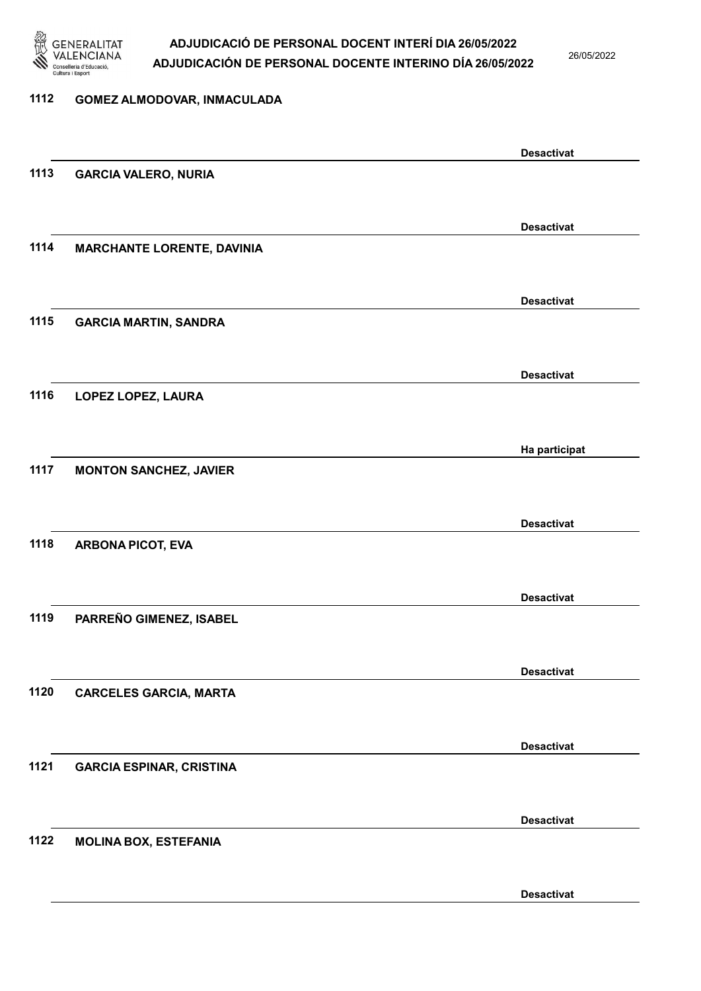

26/05/2022

#### 1112 GOMEZ ALMODOVAR, INMACULADA

|      |                                   | <b>Desactivat</b> |
|------|-----------------------------------|-------------------|
| 1113 | <b>GARCIA VALERO, NURIA</b>       |                   |
|      |                                   |                   |
|      |                                   | <b>Desactivat</b> |
| 1114 | <b>MARCHANTE LORENTE, DAVINIA</b> |                   |
|      |                                   |                   |
|      |                                   |                   |
|      |                                   | <b>Desactivat</b> |
| 1115 | <b>GARCIA MARTIN, SANDRA</b>      |                   |
|      |                                   |                   |
|      |                                   | <b>Desactivat</b> |
| 1116 | LOPEZ LOPEZ, LAURA                |                   |
|      |                                   |                   |
|      |                                   |                   |
|      |                                   | Ha participat     |
| 1117 | <b>MONTON SANCHEZ, JAVIER</b>     |                   |
|      |                                   |                   |
|      |                                   | <b>Desactivat</b> |
| 1118 | <b>ARBONA PICOT, EVA</b>          |                   |
|      |                                   |                   |
|      |                                   | <b>Desactivat</b> |
| 1119 | PARREÑO GIMENEZ, ISABEL           |                   |
|      |                                   |                   |
|      |                                   |                   |
|      |                                   | <b>Desactivat</b> |
| 1120 | <b>CARCELES GARCIA, MARTA</b>     |                   |
|      |                                   |                   |
|      |                                   | <b>Desactivat</b> |
| 1121 | <b>GARCIA ESPINAR, CRISTINA</b>   |                   |
|      |                                   |                   |
|      |                                   |                   |
|      |                                   | <b>Desactivat</b> |
| 1122 | <b>MOLINA BOX, ESTEFANIA</b>      |                   |
|      |                                   |                   |
|      |                                   | <b>Desactivat</b> |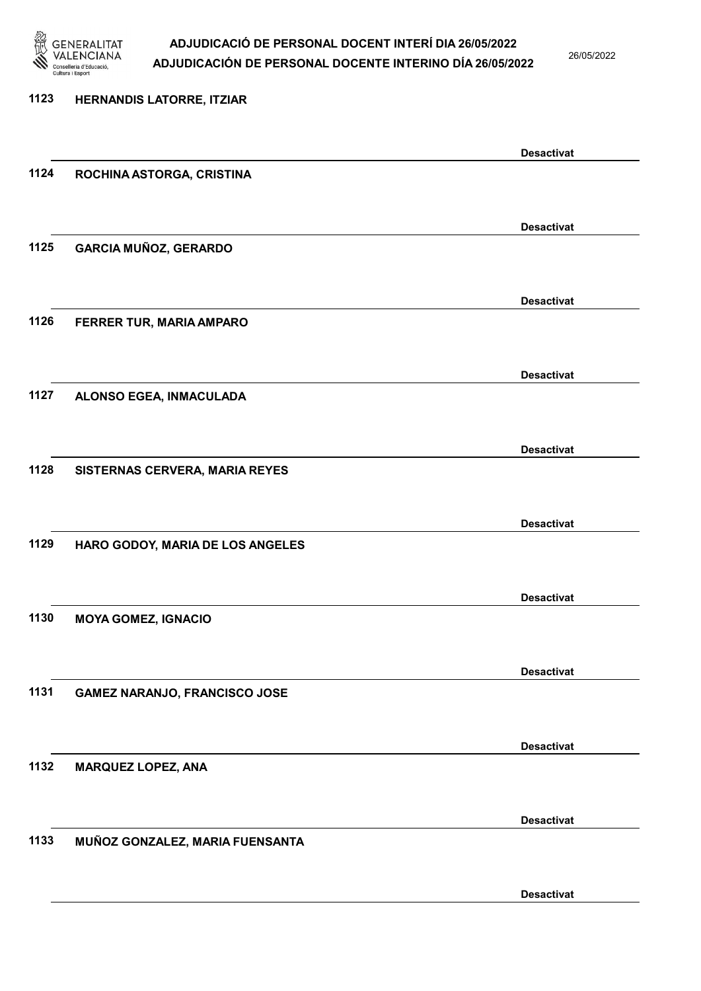

26/05/2022

| 1123 | HERNANDIS LATORRE, ITZIAR            |                   |
|------|--------------------------------------|-------------------|
|      |                                      | <b>Desactivat</b> |
| 1124 | ROCHINA ASTORGA, CRISTINA            |                   |
|      |                                      | <b>Desactivat</b> |
| 1125 | <b>GARCIA MUÑOZ, GERARDO</b>         |                   |
|      |                                      | <b>Desactivat</b> |
| 1126 | FERRER TUR, MARIA AMPARO             |                   |
|      |                                      | <b>Desactivat</b> |
| 1127 | ALONSO EGEA, INMACULADA              |                   |
|      |                                      | <b>Desactivat</b> |
| 1128 | SISTERNAS CERVERA, MARIA REYES       |                   |
|      |                                      | <b>Desactivat</b> |
| 1129 | HARO GODOY, MARIA DE LOS ANGELES     |                   |
|      |                                      | <b>Desactivat</b> |
| 1130 | <b>MOYA GOMEZ, IGNACIO</b>           |                   |
|      |                                      | <b>Desactivat</b> |
| 1131 | <b>GAMEZ NARANJO, FRANCISCO JOSE</b> |                   |
|      |                                      | <b>Desactivat</b> |
| 1132 | <b>MARQUEZ LOPEZ, ANA</b>            |                   |
|      |                                      | <b>Desactivat</b> |
| 1133 | MUÑOZ GONZALEZ, MARIA FUENSANTA      |                   |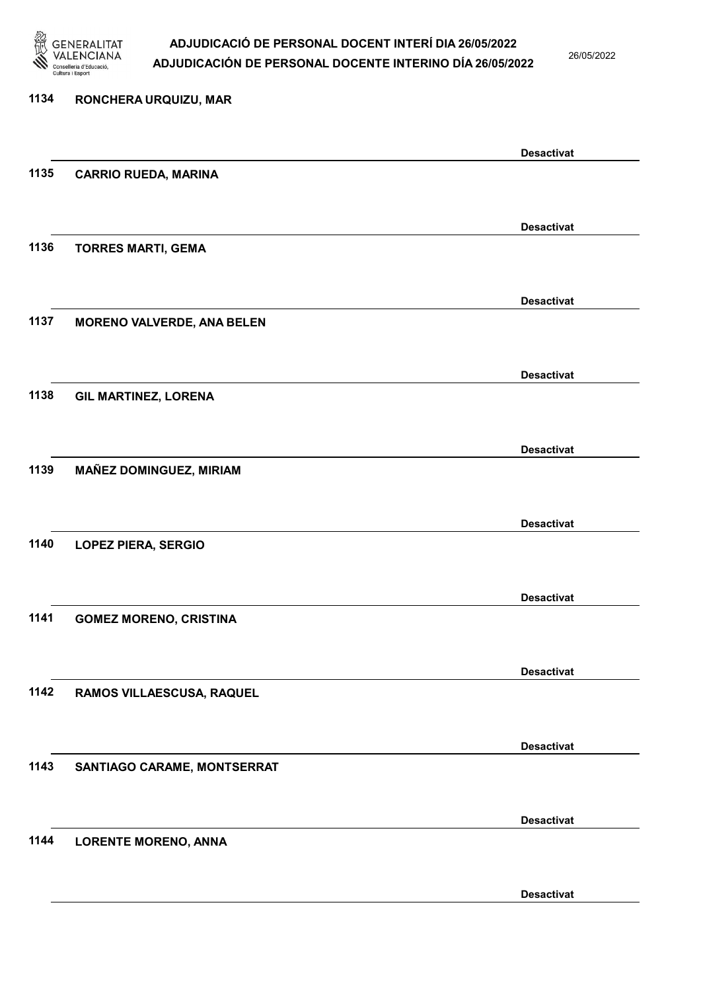

26/05/2022

Desactivat

# 1134 RONCHERA URQUIZU, MAR Desactivat 1135 CARRIO RUEDA, MARINA Desactivat 1136 TORRES MARTI, GEMA Desactivat 1137 MORENO VALVERDE, ANA BELEN Desactivat 1138 GIL MARTINEZ, LORENA Desactivat 1139 MAÑEZ DOMINGUEZ, MIRIAM Desactivat 1140 LOPEZ PIERA, SERGIO Desactivat 1141 GOMEZ MORENO, CRISTINA Desactivat 1142 RAMOS VILLAESCUSA, RAQUEL Desactivat 1143 SANTIAGO CARAME, MONTSERRAT Desactivat 1144 LORENTE MORENO, ANNA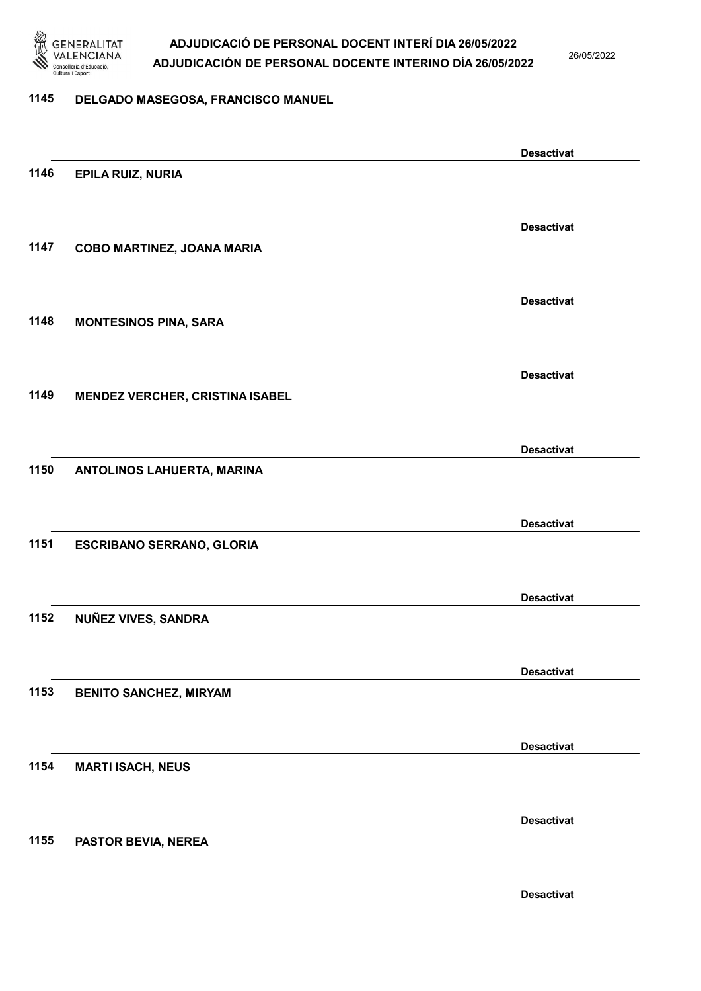

26/05/2022

#### 1145 DELGADO MASEGOSA, FRANCISCO MANUEL

|      |                                        | <b>Desactivat</b> |
|------|----------------------------------------|-------------------|
| 1146 | <b>EPILA RUIZ, NURIA</b>               |                   |
|      |                                        |                   |
|      |                                        | <b>Desactivat</b> |
| 1147 | COBO MARTINEZ, JOANA MARIA             |                   |
|      |                                        |                   |
|      |                                        |                   |
|      |                                        | <b>Desactivat</b> |
| 1148 | <b>MONTESINOS PINA, SARA</b>           |                   |
|      |                                        |                   |
|      |                                        | <b>Desactivat</b> |
| 1149 | <b>MENDEZ VERCHER, CRISTINA ISABEL</b> |                   |
|      |                                        |                   |
|      |                                        |                   |
|      |                                        | <b>Desactivat</b> |
| 1150 | ANTOLINOS LAHUERTA, MARINA             |                   |
|      |                                        |                   |
|      |                                        | <b>Desactivat</b> |
| 1151 | <b>ESCRIBANO SERRANO, GLORIA</b>       |                   |
|      |                                        |                   |
|      |                                        | <b>Desactivat</b> |
| 1152 | NUÑEZ VIVES, SANDRA                    |                   |
|      |                                        |                   |
|      |                                        |                   |
|      |                                        | <b>Desactivat</b> |
| 1153 | <b>BENITO SANCHEZ, MIRYAM</b>          |                   |
|      |                                        |                   |
|      |                                        | <b>Desactivat</b> |
| 1154 | <b>MARTI ISACH, NEUS</b>               |                   |
|      |                                        |                   |
|      |                                        |                   |
|      |                                        | <b>Desactivat</b> |
| 1155 | PASTOR BEVIA, NEREA                    |                   |
|      |                                        |                   |
|      |                                        | <b>Desactivat</b> |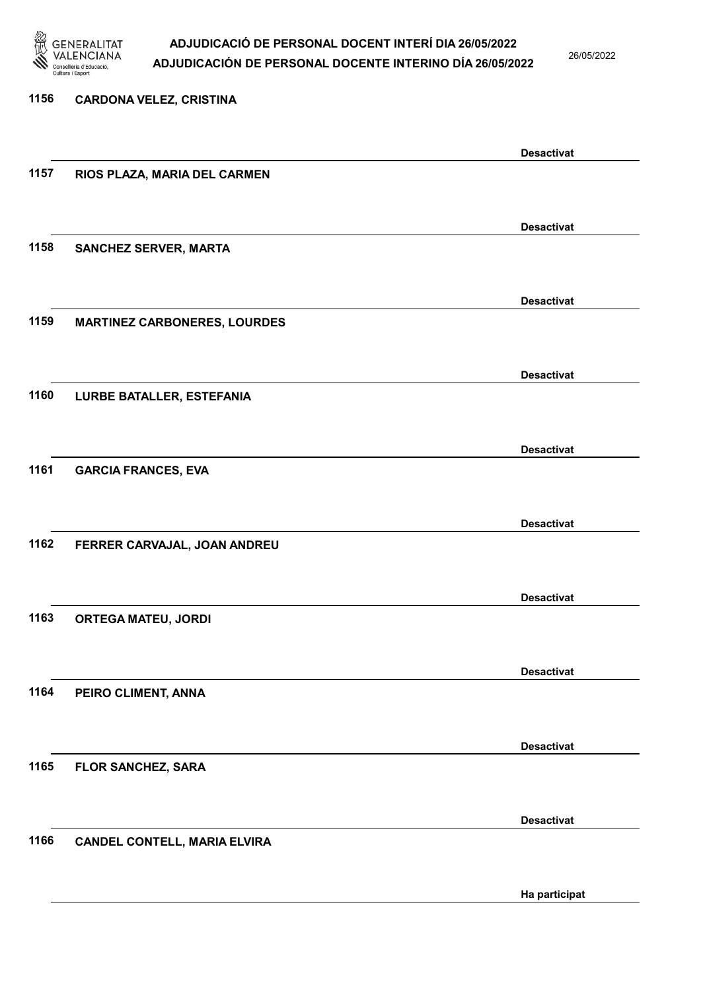

26/05/2022

### 1156 CARDONA VELEZ, CRISTINA Desactivat 1157 RIOS PLAZA, MARIA DEL CARMEN Desactivat 1158 SANCHEZ SERVER, MARTA Desactivat 1159 MARTINEZ CARBONERES, LOURDES Desactivat 1160 LURBE BATALLER, ESTEFANIA Desactivat 1161 GARCIA FRANCES, EVA Desactivat 1162 FERRER CARVAJAL, JOAN ANDREU Desactivat 1163 ORTEGA MATEU, JORDI Desactivat 1164 PEIRO CLIMENT, ANNA Desactivat 1165 FLOR SANCHEZ, SARA Desactivat 1166 CANDEL CONTELL, MARIA ELVIRA Ha participat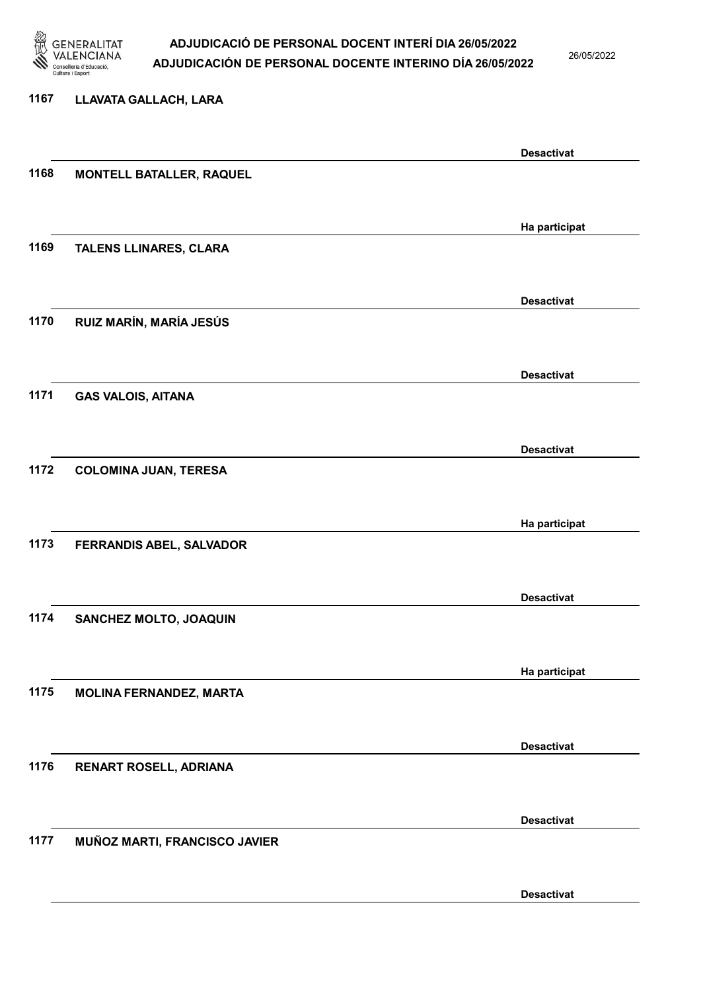

26/05/2022

#### 1167 LLAVATA GALLACH, LARA

|      |                                 | <b>Desactivat</b> |
|------|---------------------------------|-------------------|
| 1168 | <b>MONTELL BATALLER, RAQUEL</b> |                   |
|      |                                 |                   |
|      |                                 |                   |
| 1169 | TALENS LLINARES, CLARA          | Ha participat     |
|      |                                 |                   |
|      |                                 |                   |
|      |                                 | <b>Desactivat</b> |
| 1170 | RUIZ MARÍN, MARÍA JESÚS         |                   |
|      |                                 |                   |
|      |                                 | <b>Desactivat</b> |
| 1171 | <b>GAS VALOIS, AITANA</b>       |                   |
|      |                                 |                   |
|      |                                 |                   |
|      |                                 | <b>Desactivat</b> |
| 1172 | <b>COLOMINA JUAN, TERESA</b>    |                   |
|      |                                 |                   |
|      |                                 | Ha participat     |
| 1173 | FERRANDIS ABEL, SALVADOR        |                   |
|      |                                 |                   |
|      |                                 |                   |
| 1174 |                                 | <b>Desactivat</b> |
|      | SANCHEZ MOLTO, JOAQUIN          |                   |
|      |                                 |                   |
|      |                                 | Ha participat     |
| 1175 | <b>MOLINA FERNANDEZ, MARTA</b>  |                   |
|      |                                 |                   |
|      |                                 | <b>Desactivat</b> |
| 1176 | RENART ROSELL, ADRIANA          |                   |
|      |                                 |                   |
|      |                                 |                   |
|      |                                 | <b>Desactivat</b> |
| 1177 | MUÑOZ MARTI, FRANCISCO JAVIER   |                   |
|      |                                 |                   |
|      |                                 | <b>Desactivat</b> |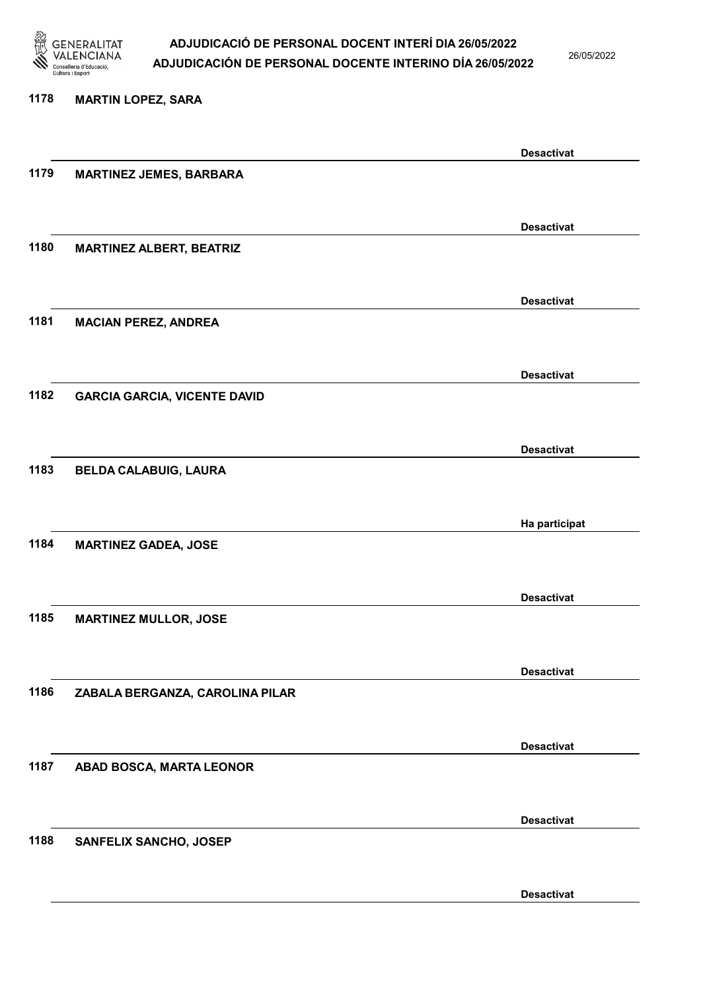

26/05/2022

Desactivat

# 1178 MARTIN LOPEZ, SARA Desactivat 1179 MARTINEZ JEMES, BARBARA Desactivat 1180 MARTINEZ ALBERT, BEATRIZ Desactivat 1181 MACIAN PEREZ, ANDREA Desactivat 1182 GARCIA GARCIA, VICENTE DAVID Desactivat 1183 BELDA CALABUIG, LAURA Ha participat 1184 MARTINEZ GADEA, JOSE Desactivat 1185 MARTINEZ MULLOR, JOSE Desactivat 1186 ZABALA BERGANZA, CAROLINA PILAR Desactivat 1187 ABAD BOSCA, MARTA LEONOR Desactivat 1188 SANFELIX SANCHO, JOSEP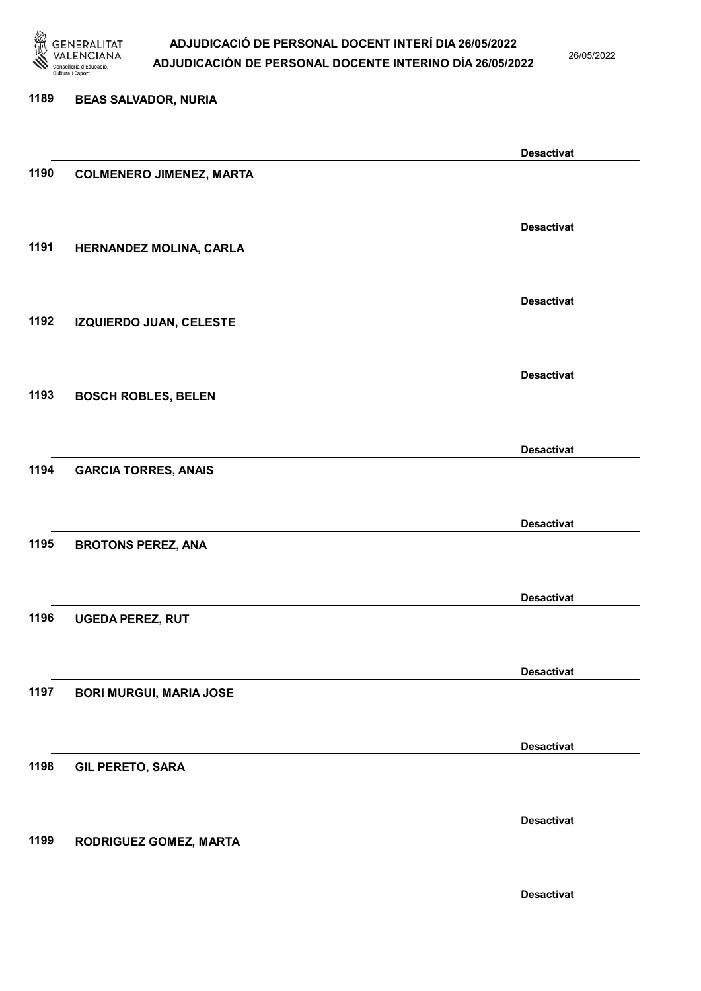

26/05/2022

Desactivat

# 1189 BEAS SALVADOR, NURIA Desactivat 1190 COLMENERO JIMENEZ, MARTA Desactivat 1191 HERNANDEZ MOLINA, CARLA Desactivat 1192 IZQUIERDO JUAN, CELESTE Desactivat 1193 BOSCH ROBLES, BELEN Desactivat 1194 GARCIA TORRES, ANAIS Desactivat 1195 BROTONS PEREZ, ANA Desactivat 1196 UGEDA PEREZ, RUT Desactivat 1197 BORI MURGUI, MARIA JOSE Desactivat 1198 GIL PERETO, SARA Desactivat 1199 RODRIGUEZ GOMEZ, MARTA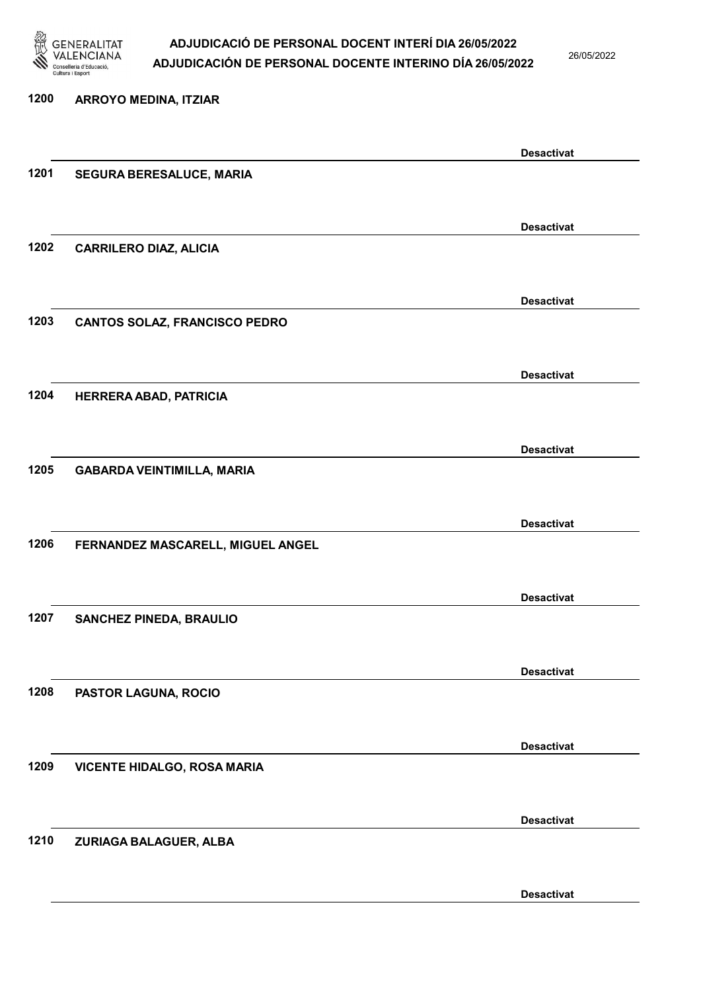

26/05/2022

# 1200 ARROYO MEDINA, ITZIAR Desactivat 1201 SEGURA BERESALUCE, MARIA Desactivat 1202 CARRILERO DIAZ, ALICIA Desactivat 1203 CANTOS SOLAZ, FRANCISCO PEDRO Desactivat 1204 HERRERA ABAD, PATRICIA Desactivat 1205 GABARDA VEINTIMILLA, MARIA Desactivat 1206 FERNANDEZ MASCARELL, MIGUEL ANGEL Desactivat 1207 SANCHEZ PINEDA, BRAULIO Desactivat 1208 PASTOR LAGUNA, ROCIO Desactivat 1209 VICENTE HIDALGO, ROSA MARIA Desactivat 1210 ZURIAGA BALAGUER, ALBA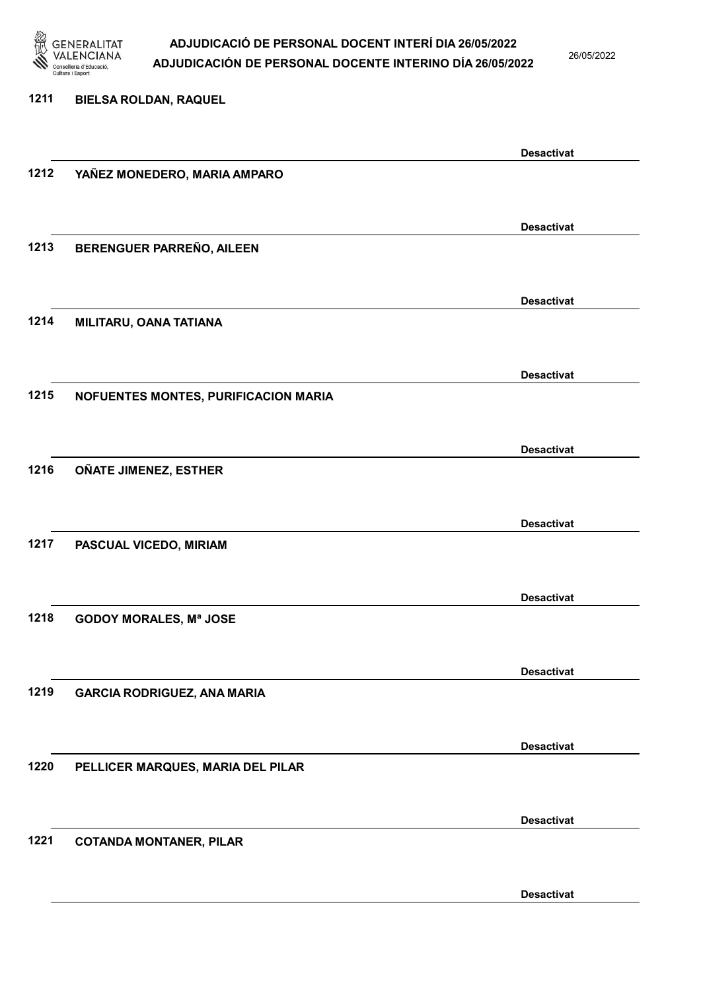

26/05/2022

Desactivat

1211 BIELSA ROLDAN, RAQUEL Desactivat 1212 YAÑEZ MONEDERO, MARIA AMPARO Desactivat 1213 BERENGUER PARREÑO, AILEEN Desactivat 1214 MILITARU, OANA TATIANA Desactivat 1215 NOFUENTES MONTES, PURIFICACION MARIA Desactivat 1216 OÑATE JIMENEZ, ESTHER Desactivat 1217 PASCUAL VICEDO, MIRIAM Desactivat 1218 GODOY MORALES, Mª JOSE Desactivat 1219 GARCIA RODRIGUEZ, ANA MARIA Desactivat 1220 PELLICER MARQUES, MARIA DEL PILAR Desactivat 1221 COTANDA MONTANER, PILAR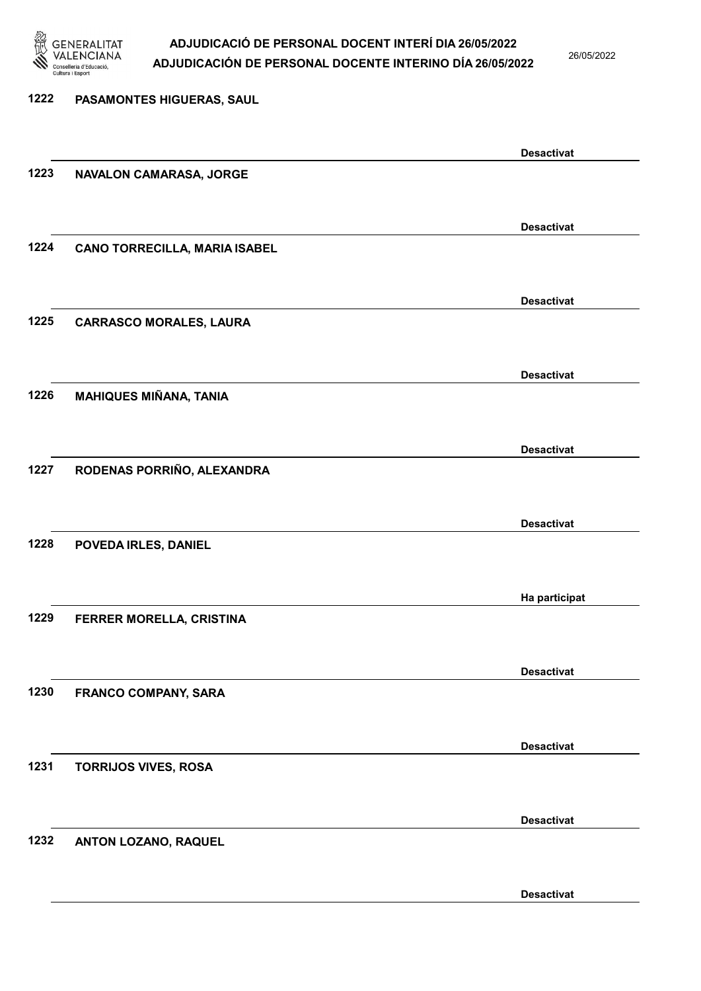

26/05/2022

Desactivat

# 1222 PASAMONTES HIGUERAS, SAUL Desactivat 1223 NAVALON CAMARASA, JORGE Desactivat 1224 CANO TORRECILLA, MARIA ISABEL Desactivat 1225 CARRASCO MORALES, LAURA Desactivat 1226 MAHIQUES MIÑANA, TANIA Desactivat 1227 RODENAS PORRIÑO, ALEXANDRA Desactivat 1228 POVEDA IRLES, DANIEL Ha participat 1229 FERRER MORELLA, CRISTINA Desactivat 1230 FRANCO COMPANY, SARA Desactivat 1231 TORRIJOS VIVES, ROSA Desactivat 1232 ANTON LOZANO, RAQUEL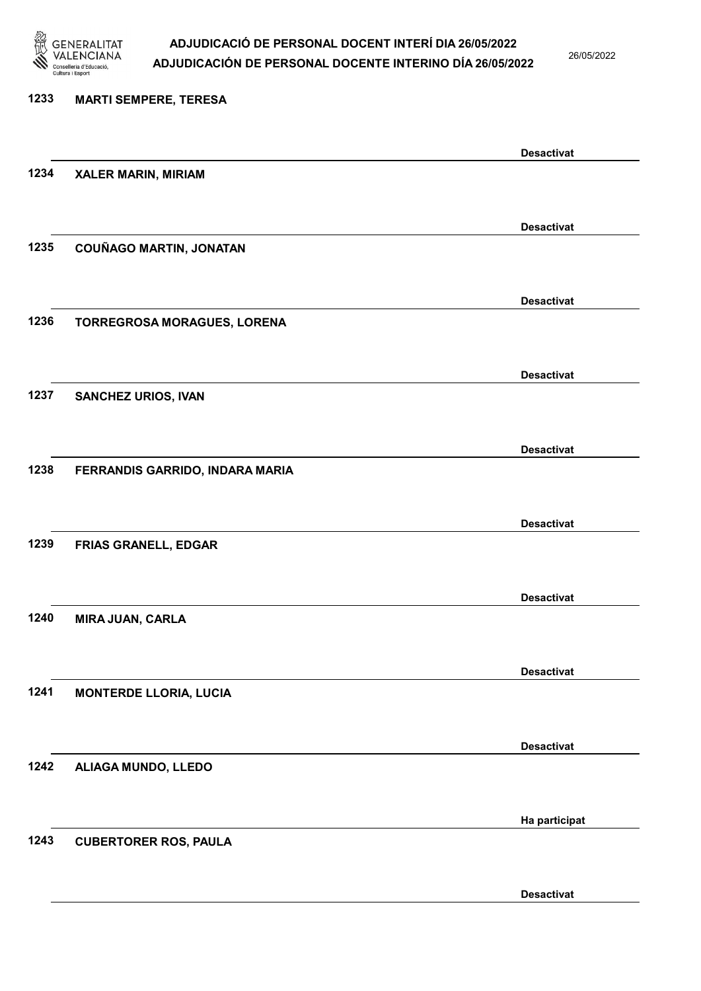

26/05/2022

Desactivat

# 1233 MARTI SEMPERE, TERESA Desactivat 1234 XALER MARIN, MIRIAM Desactivat 1235 COUÑAGO MARTIN, JONATAN Desactivat 1236 TORREGROSA MORAGUES, LORENA Desactivat 1237 SANCHEZ URIOS, IVAN Desactivat 1238 FERRANDIS GARRIDO, INDARA MARIA Desactivat 1239 FRIAS GRANELL, EDGAR Desactivat 1240 MIRA JUAN, CARLA Desactivat 1241 MONTERDE LLORIA, LUCIA Desactivat 1242 ALIAGA MUNDO, LLEDO Ha participat 1243 CUBERTORER ROS, PAULA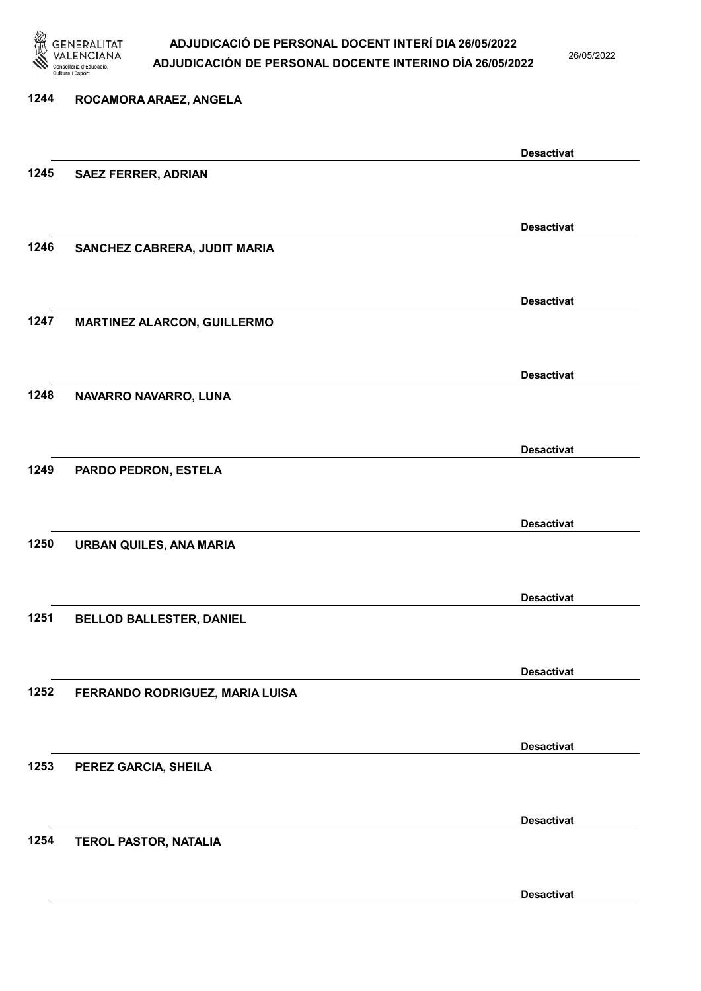

26/05/2022

## 1244 ROCAMORA ARAEZ, ANGELA Desactivat 1245 SAEZ FERRER, ADRIAN Desactivat 1246 SANCHEZ CABRERA, JUDIT MARIA Desactivat 1247 MARTINEZ ALARCON, GUILLERMO Desactivat 1248 NAVARRO NAVARRO, LUNA Desactivat 1249 PARDO PEDRON, ESTELA Desactivat 1250 URBAN QUILES, ANA MARIA Desactivat 1251 BELLOD BALLESTER, DANIEL Desactivat 1252 FERRANDO RODRIGUEZ, MARIA LUISA Desactivat 1253 PEREZ GARCIA, SHEILA Desactivat 1254 TEROL PASTOR, NATALIA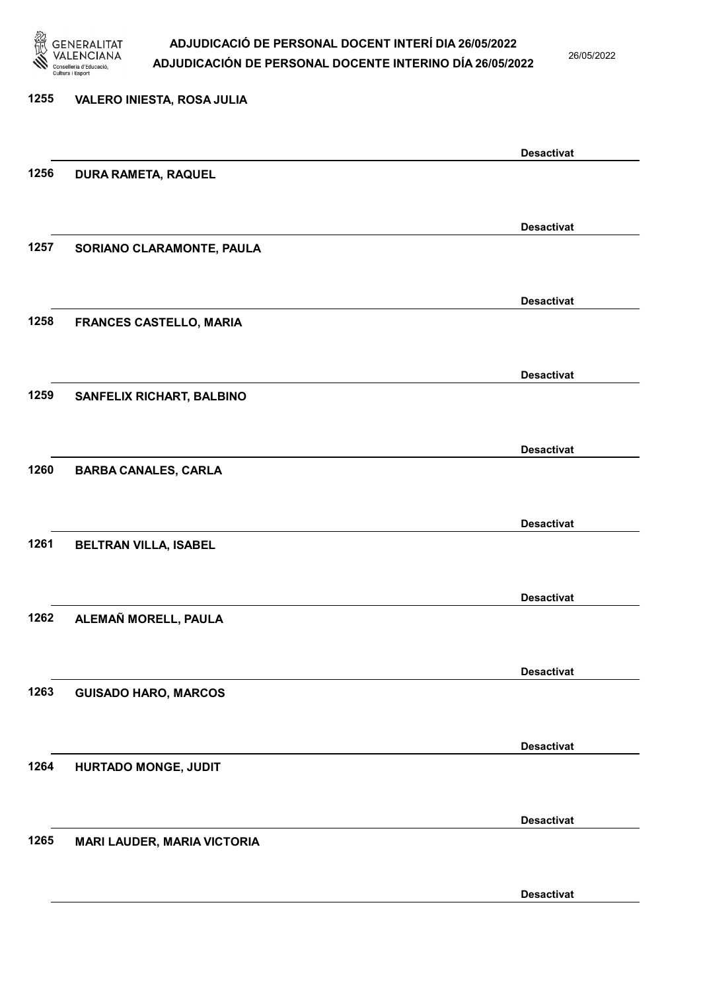

26/05/2022

Desactivat

# 1255 VALERO INIESTA, ROSA JULIA Desactivat 1256 DURA RAMETA, RAQUEL Desactivat 1257 SORIANO CLARAMONTE, PAULA Desactivat 1258 FRANCES CASTELLO, MARIA Desactivat 1259 SANFELIX RICHART, BALBINO Desactivat 1260 BARBA CANALES, CARLA Desactivat 1261 BELTRAN VILLA, ISABEL Desactivat 1262 ALEMAÑ MORELL, PAULA Desactivat 1263 GUISADO HARO, MARCOS Desactivat 1264 HURTADO MONGE, JUDIT Desactivat 1265 MARI LAUDER, MARIA VICTORIA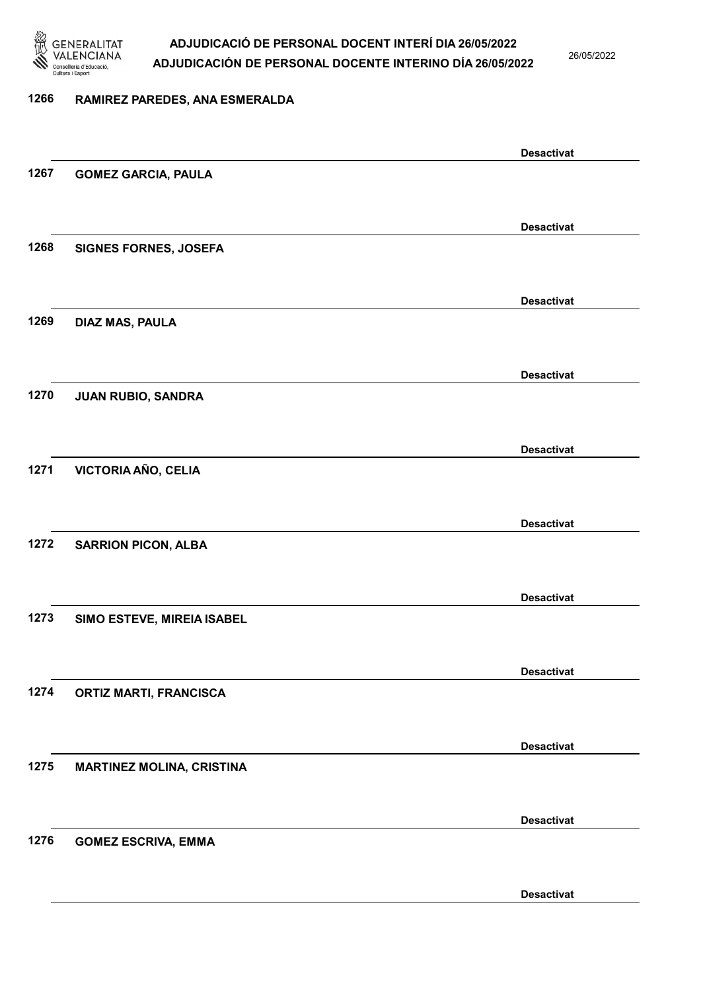

26/05/2022

### 1266 RAMIREZ PAREDES, ANA ESMERALDA

|      |                                  | <b>Desactivat</b> |
|------|----------------------------------|-------------------|
| 1267 | <b>GOMEZ GARCIA, PAULA</b>       |                   |
|      |                                  |                   |
|      |                                  | <b>Desactivat</b> |
| 1268 | <b>SIGNES FORNES, JOSEFA</b>     |                   |
|      |                                  |                   |
|      |                                  | <b>Desactivat</b> |
| 1269 | <b>DIAZ MAS, PAULA</b>           |                   |
|      |                                  |                   |
|      |                                  | <b>Desactivat</b> |
| 1270 | JUAN RUBIO, SANDRA               |                   |
|      |                                  |                   |
|      |                                  | <b>Desactivat</b> |
| 1271 | VICTORIA AÑO, CELIA              |                   |
|      |                                  |                   |
|      |                                  | <b>Desactivat</b> |
| 1272 | <b>SARRION PICON, ALBA</b>       |                   |
|      |                                  |                   |
|      |                                  | <b>Desactivat</b> |
| 1273 | SIMO ESTEVE, MIREIA ISABEL       |                   |
|      |                                  |                   |
|      |                                  | <b>Desactivat</b> |
| 1274 | <b>ORTIZ MARTI, FRANCISCA</b>    |                   |
|      |                                  |                   |
|      |                                  | <b>Desactivat</b> |
| 1275 | <b>MARTINEZ MOLINA, CRISTINA</b> |                   |
|      |                                  |                   |
|      |                                  | <b>Desactivat</b> |
| 1276 | <b>GOMEZ ESCRIVA, EMMA</b>       |                   |
|      |                                  |                   |
|      |                                  | <b>Desactivat</b> |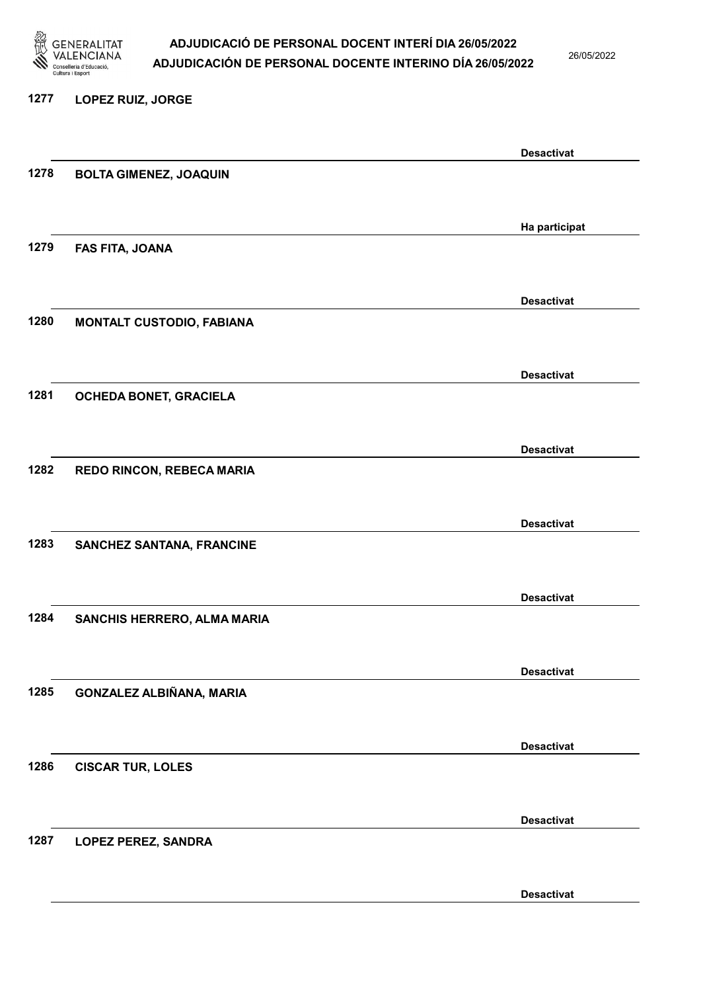

26/05/2022

### 1277 LOPEZ RUIZ, JORGE

|      |                                  | <b>Desactivat</b> |
|------|----------------------------------|-------------------|
| 1278 | <b>BOLTA GIMENEZ, JOAQUIN</b>    |                   |
|      |                                  |                   |
|      |                                  |                   |
|      |                                  | Ha participat     |
| 1279 | FAS FITA, JOANA                  |                   |
|      |                                  |                   |
|      |                                  |                   |
|      |                                  |                   |
|      |                                  | <b>Desactivat</b> |
| 1280 | <b>MONTALT CUSTODIO, FABIANA</b> |                   |
|      |                                  |                   |
|      |                                  |                   |
|      |                                  | <b>Desactivat</b> |
| 1281 | OCHEDA BONET, GRACIELA           |                   |
|      |                                  |                   |
|      |                                  |                   |
|      |                                  |                   |
|      |                                  | <b>Desactivat</b> |
| 1282 | REDO RINCON, REBECA MARIA        |                   |
|      |                                  |                   |
|      |                                  |                   |
|      |                                  | <b>Desactivat</b> |
| 1283 | <b>SANCHEZ SANTANA, FRANCINE</b> |                   |
|      |                                  |                   |
|      |                                  |                   |
|      |                                  | <b>Desactivat</b> |
|      |                                  |                   |
| 1284 | SANCHIS HERRERO, ALMA MARIA      |                   |
|      |                                  |                   |
|      |                                  |                   |
|      |                                  | <b>Desactivat</b> |
| 1285 | GONZALEZ ALBIÑANA, MARIA         |                   |
|      |                                  |                   |
|      |                                  |                   |
|      |                                  | <b>Desactivat</b> |
| 1286 |                                  |                   |
|      | <b>CISCAR TUR, LOLES</b>         |                   |
|      |                                  |                   |
|      |                                  |                   |
|      |                                  | <b>Desactivat</b> |
| 1287 | LOPEZ PEREZ, SANDRA              |                   |
|      |                                  |                   |
|      |                                  |                   |
|      |                                  | <b>Desactivat</b> |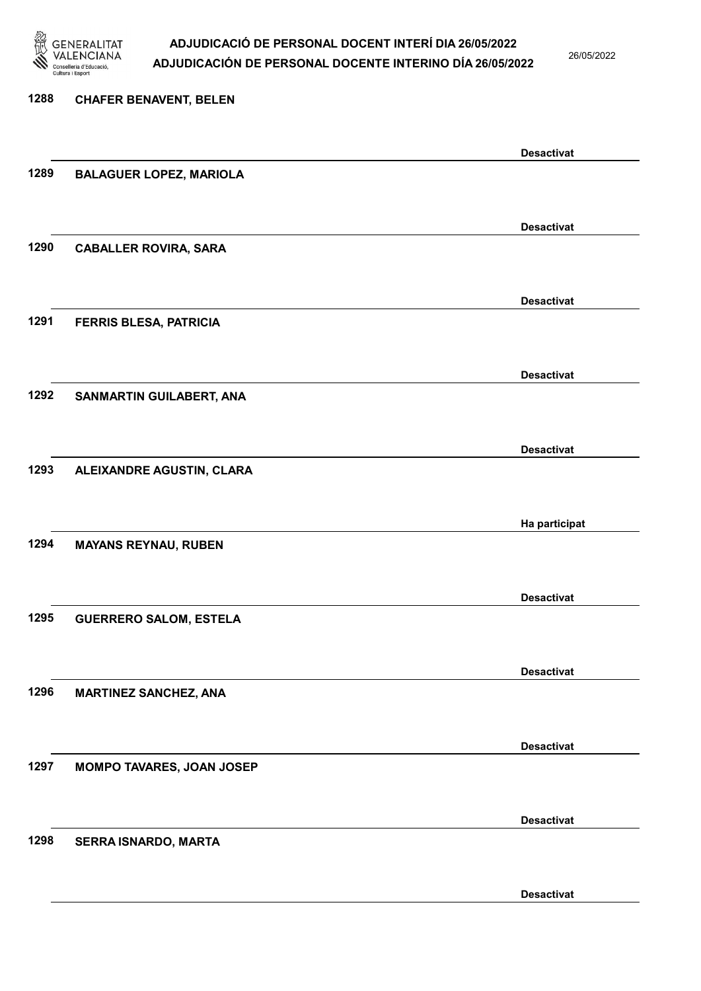

26/05/2022

Desactivat

# 1288 CHAFER BENAVENT, BELEN Desactivat 1289 BALAGUER LOPEZ, MARIOLA Desactivat 1290 CABALLER ROVIRA, SARA Desactivat 1291 FERRIS BLESA, PATRICIA Desactivat 1292 SANMARTIN GUILABERT, ANA Desactivat 1293 ALEIXANDRE AGUSTIN, CLARA Ha participat 1294 MAYANS REYNAU, RUBEN Desactivat 1295 GUERRERO SALOM, ESTELA Desactivat 1296 MARTINEZ SANCHEZ, ANA Desactivat 1297 MOMPO TAVARES, JOAN JOSEP Desactivat 1298 SERRA ISNARDO, MARTA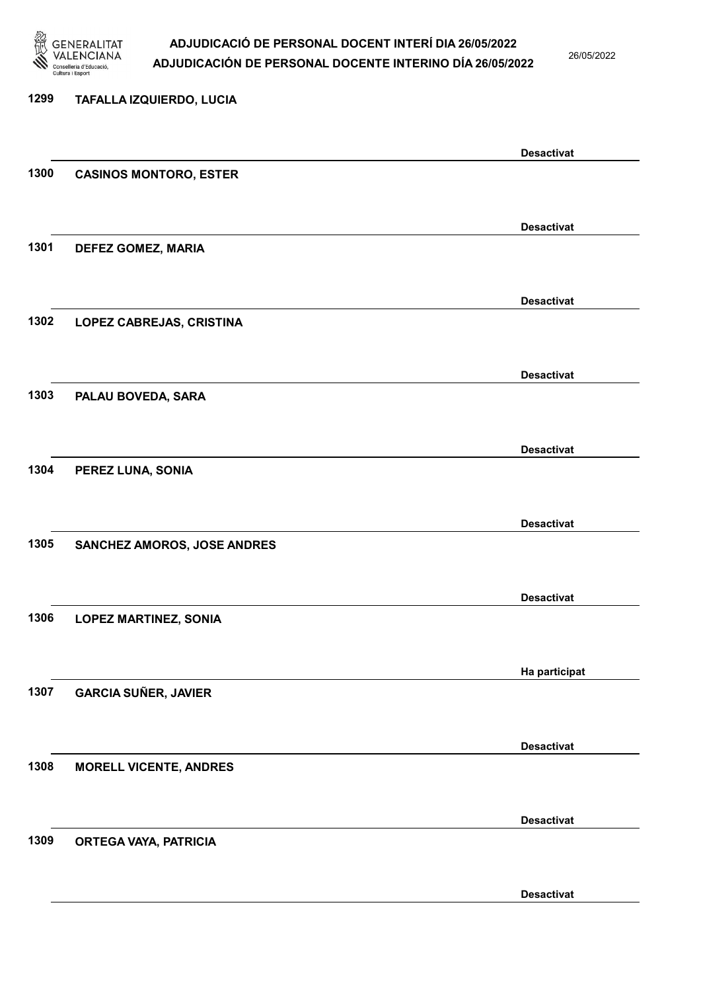

26/05/2022

| 1299 | TAFALLA IZQUIERDO, LUCIA        |                   |
|------|---------------------------------|-------------------|
|      |                                 | <b>Desactivat</b> |
| 1300 | <b>CASINOS MONTORO, ESTER</b>   |                   |
|      |                                 | <b>Desactivat</b> |
| 1301 | DEFEZ GOMEZ, MARIA              |                   |
|      |                                 | <b>Desactivat</b> |
| 1302 | <b>LOPEZ CABREJAS, CRISTINA</b> |                   |
|      |                                 | <b>Desactivat</b> |
| 1303 | PALAU BOVEDA, SARA              |                   |
|      |                                 | <b>Desactivat</b> |
| 1304 | PEREZ LUNA, SONIA               |                   |
|      |                                 | <b>Desactivat</b> |
| 1305 | SANCHEZ AMOROS, JOSE ANDRES     |                   |
|      |                                 | <b>Desactivat</b> |
| 1306 | <b>LOPEZ MARTINEZ, SONIA</b>    |                   |
|      |                                 | Ha participat     |
| 1307 | <b>GARCIA SUÑER, JAVIER</b>     |                   |
|      |                                 | <b>Desactivat</b> |
| 1308 | <b>MORELL VICENTE, ANDRES</b>   |                   |
|      |                                 | <b>Desactivat</b> |
| 1309 | ORTEGA VAYA, PATRICIA           |                   |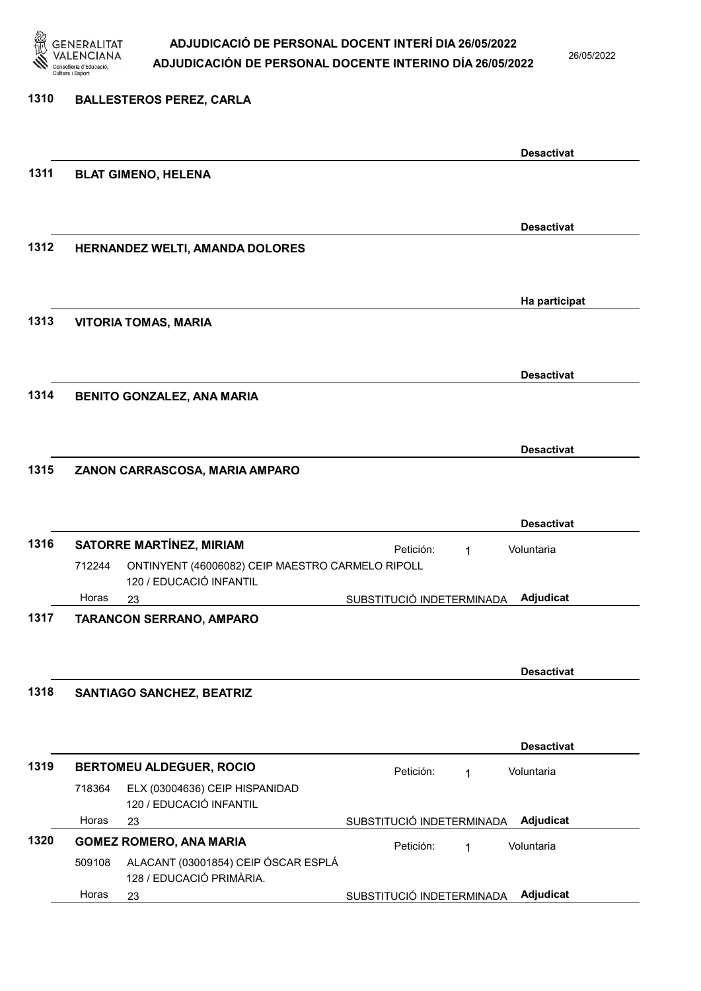

26/05/2022

### 1310 BALLESTEROS PEREZ, CARLA

|      |        |                                                  |                           |   | <b>Desactivat</b> |
|------|--------|--------------------------------------------------|---------------------------|---|-------------------|
| 1311 |        | <b>BLAT GIMENO, HELENA</b>                       |                           |   |                   |
|      |        |                                                  |                           |   |                   |
|      |        |                                                  |                           |   | <b>Desactivat</b> |
| 1312 |        | HERNANDEZ WELTI, AMANDA DOLORES                  |                           |   |                   |
|      |        |                                                  |                           |   |                   |
|      |        |                                                  |                           |   | Ha participat     |
| 1313 |        | <b>VITORIA TOMAS, MARIA</b>                      |                           |   |                   |
|      |        |                                                  |                           |   |                   |
|      |        |                                                  |                           |   | <b>Desactivat</b> |
| 1314 |        | <b>BENITO GONZALEZ, ANA MARIA</b>                |                           |   |                   |
|      |        |                                                  |                           |   |                   |
|      |        |                                                  |                           |   | <b>Desactivat</b> |
| 1315 |        | ZANON CARRASCOSA, MARIA AMPARO                   |                           |   |                   |
|      |        |                                                  |                           |   |                   |
|      |        |                                                  |                           |   | <b>Desactivat</b> |
| 1316 |        | <b>SATORRE MARTÍNEZ, MIRIAM</b>                  | Petición:                 | 1 | Voluntaria        |
|      | 712244 | ONTINYENT (46006082) CEIP MAESTRO CARMELO RIPOLL |                           |   |                   |
|      | Horas  | 120 / EDUCACIÓ INFANTIL<br>23                    | SUBSTITUCIÓ INDETERMINADA |   | Adjudicat         |
| 1317 |        | <b>TARANCON SERRANO, AMPARO</b>                  |                           |   |                   |
|      |        |                                                  |                           |   |                   |
|      |        |                                                  |                           |   | <b>Desactivat</b> |
| 1318 |        | <b>SANTIAGO SANCHEZ, BEATRIZ</b>                 |                           |   |                   |
|      |        |                                                  |                           |   |                   |
|      |        |                                                  |                           |   | <b>Desactivat</b> |
| 1319 |        | <b>BERTOMEU ALDEGUER, ROCIO</b>                  | Petición:                 | 1 | Voluntaria        |
|      | 718364 | ELX (03004636) CEIP HISPANIDAD                   |                           |   |                   |
|      | Horas  | 120 / EDUCACIÓ INFANTIL<br>23                    | SUBSTITUCIÓ INDETERMINADA |   | Adjudicat         |
| 1320 |        | <b>GOMEZ ROMERO, ANA MARIA</b>                   | Petición:                 | 1 | Voluntaria        |
|      | 509108 | ALACANT (03001854) CEIP ÓSCAR ESPLÁ              |                           |   |                   |
|      | Horas  | 128 / EDUCACIÓ PRIMÀRIA.<br>23                   | SUBSTITUCIÓ INDETERMINADA |   | Adjudicat         |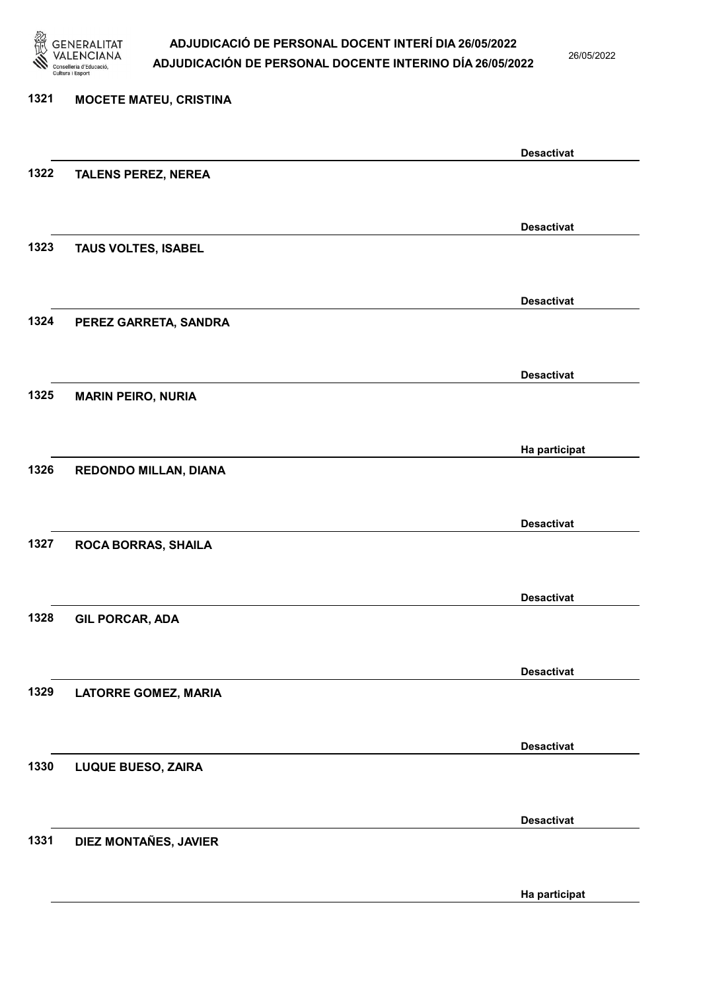

26/05/2022

## 1321 MOCETE MATEU, CRISTINA Desactivat 1322 TALENS PEREZ, NEREA Desactivat 1323 TAUS VOLTES, ISABEL Desactivat 1324 PEREZ GARRETA, SANDRA Desactivat 1325 MARIN PEIRO, NURIA Ha participat 1326 REDONDO MILLAN, DIANA Desactivat 1327 ROCA BORRAS, SHAILA Desactivat 1328 GIL PORCAR, ADA Desactivat 1329 LATORRE GOMEZ, MARIA Desactivat 1330 LUQUE BUESO, ZAIRA Desactivat 1331 DIEZ MONTAÑES, JAVIER Ha participat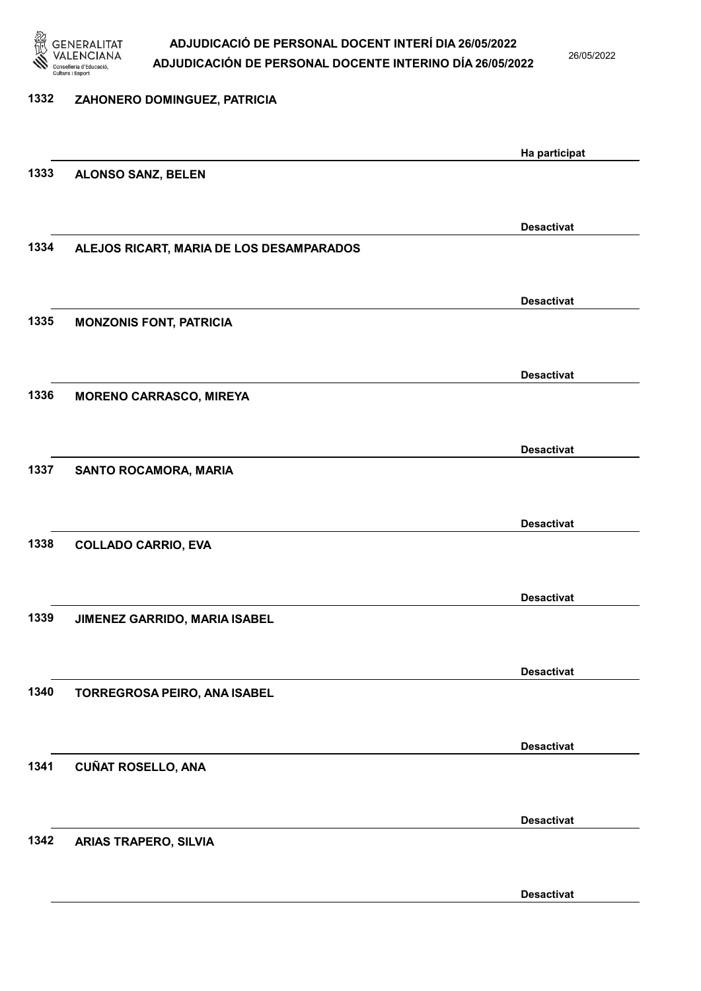

26/05/2022

| 1332 | ZAHONERO DOMINGUEZ, PATRICIA             |                   |
|------|------------------------------------------|-------------------|
|      |                                          |                   |
|      |                                          | Ha participat     |
| 1333 | <b>ALONSO SANZ, BELEN</b>                |                   |
|      |                                          |                   |
|      |                                          | <b>Desactivat</b> |
| 1334 | ALEJOS RICART, MARIA DE LOS DESAMPARADOS |                   |
|      |                                          |                   |
|      |                                          | <b>Desactivat</b> |
| 1335 | <b>MONZONIS FONT, PATRICIA</b>           |                   |
|      |                                          |                   |
|      |                                          | <b>Desactivat</b> |
| 1336 | <b>MORENO CARRASCO, MIREYA</b>           |                   |
|      |                                          |                   |
|      |                                          | <b>Desactivat</b> |
| 1337 | SANTO ROCAMORA, MARIA                    |                   |
|      |                                          |                   |
|      |                                          | <b>Desactivat</b> |
| 1338 | <b>COLLADO CARRIO, EVA</b>               |                   |
|      |                                          |                   |
|      |                                          | <b>Desactivat</b> |
| 1339 | <b>JIMENEZ GARRIDO, MARIA ISABEL</b>     |                   |
|      |                                          |                   |
|      |                                          | <b>Desactivat</b> |
| 1340 | TORREGROSA PEIRO, ANA ISABEL             |                   |
|      |                                          |                   |
|      |                                          | <b>Desactivat</b> |
| 1341 | <b>CUÑAT ROSELLO, ANA</b>                |                   |
|      |                                          |                   |
|      |                                          | <b>Desactivat</b> |
| 1342 | <b>ARIAS TRAPERO, SILVIA</b>             |                   |
|      |                                          |                   |
|      |                                          |                   |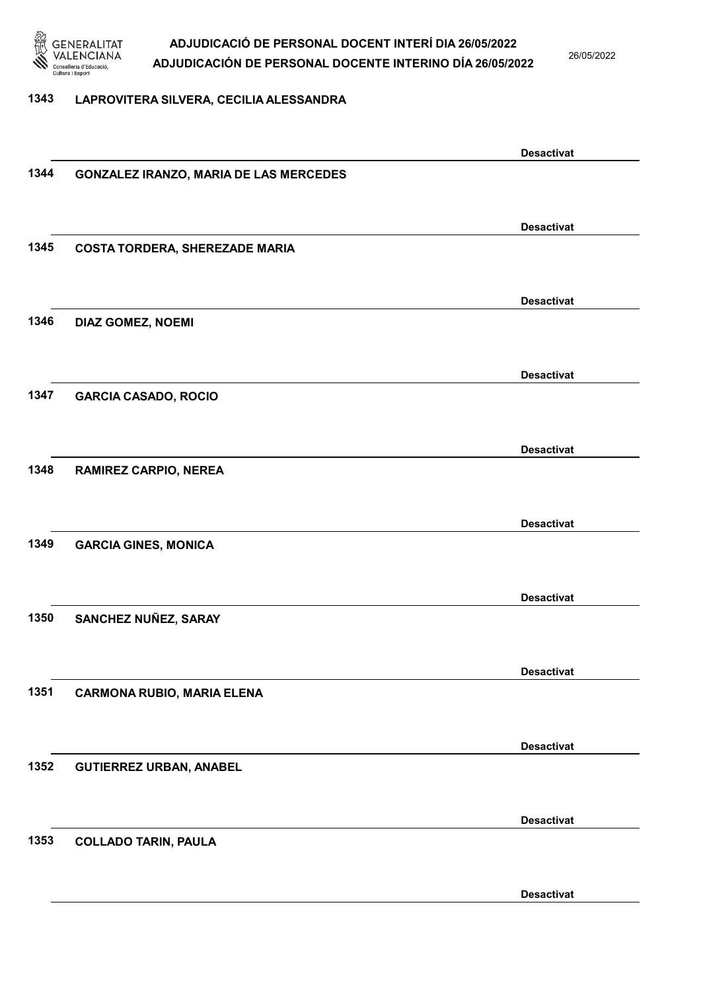

26/05/2022

### 1343 LAPROVITERA SILVERA, CECILIA ALESSANDRA

|      |                                               | <b>Desactivat</b> |
|------|-----------------------------------------------|-------------------|
| 1344 | <b>GONZALEZ IRANZO, MARIA DE LAS MERCEDES</b> |                   |
|      |                                               |                   |
|      |                                               | <b>Desactivat</b> |
| 1345 | <b>COSTA TORDERA, SHEREZADE MARIA</b>         |                   |
|      |                                               |                   |
|      |                                               |                   |
| 1346 |                                               | <b>Desactivat</b> |
|      | DIAZ GOMEZ, NOEMI                             |                   |
|      |                                               |                   |
|      |                                               | <b>Desactivat</b> |
| 1347 | <b>GARCIA CASADO, ROCIO</b>                   |                   |
|      |                                               |                   |
|      |                                               | <b>Desactivat</b> |
| 1348 | <b>RAMIREZ CARPIO, NEREA</b>                  |                   |
|      |                                               |                   |
|      |                                               | <b>Desactivat</b> |
| 1349 | <b>GARCIA GINES, MONICA</b>                   |                   |
|      |                                               |                   |
|      |                                               |                   |
|      |                                               | <b>Desactivat</b> |
| 1350 | SANCHEZ NUÑEZ, SARAY                          |                   |
|      |                                               |                   |
|      |                                               | <b>Desactivat</b> |
| 1351 | <b>CARMONA RUBIO, MARIA ELENA</b>             |                   |
|      |                                               |                   |
|      |                                               | <b>Desactivat</b> |
| 1352 | <b>GUTIERREZ URBAN, ANABEL</b>                |                   |
|      |                                               |                   |
|      |                                               | <b>Desactivat</b> |
| 1353 | <b>COLLADO TARIN, PAULA</b>                   |                   |
|      |                                               |                   |
|      |                                               |                   |
|      |                                               | <b>Desactivat</b> |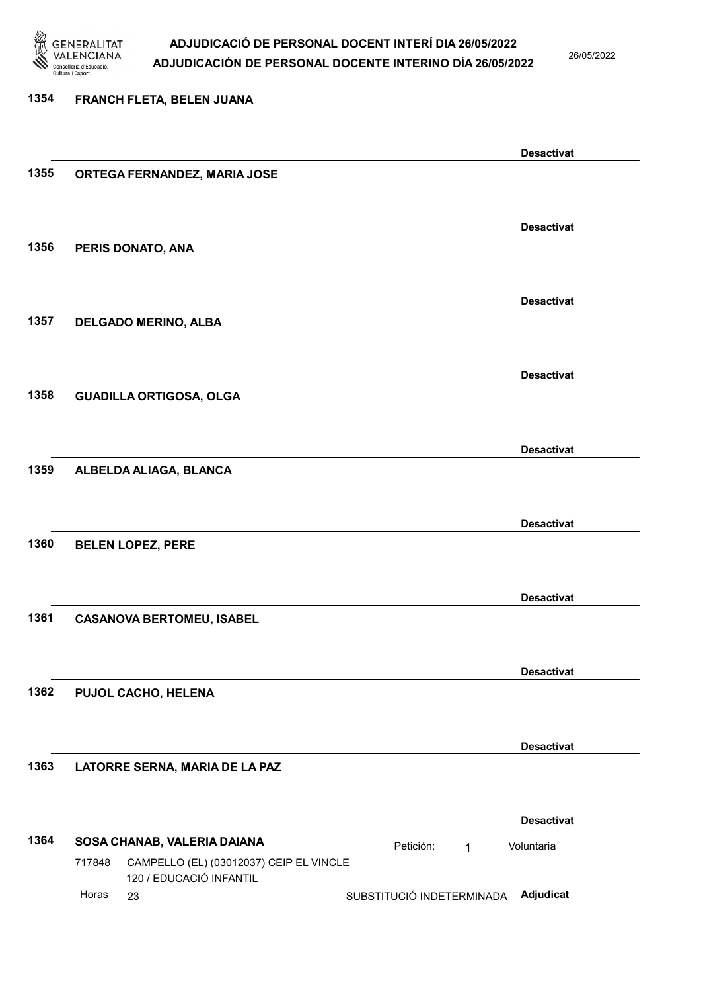

26/05/2022

## 1354 FRANCH FLETA, BELEN JUANA Desactivat 1355 ORTEGA FERNANDEZ, MARIA JOSE Desactivat 1356 PERIS DONATO, ANA Desactivat 1357 DELGADO MERINO, ALBA Desactivat 1358 GUADILLA ORTIGOSA, OLGA Desactivat 1359 ALBELDA ALIAGA, BLANCA Desactivat 1360 BELEN LOPEZ, PERE Desactivat 1361 CASANOVA BERTOMEU, ISABEL Desactivat 1362 PUJOL CACHO, HELENA Desactivat 1363 LATORRE SERNA, MARIA DE LA PAZ Desactivat 1364 SOSA CHANAB, VALERIA DAIANA **Petición:** 1 23 SUBSTITUCIÓ INDETERMINADA Adjudicat CAMPELLO (EL) (03012037) CEIP EL VINCLE 120 / EDUCACIÓ INFANTIL Voluntaria 717848 Horas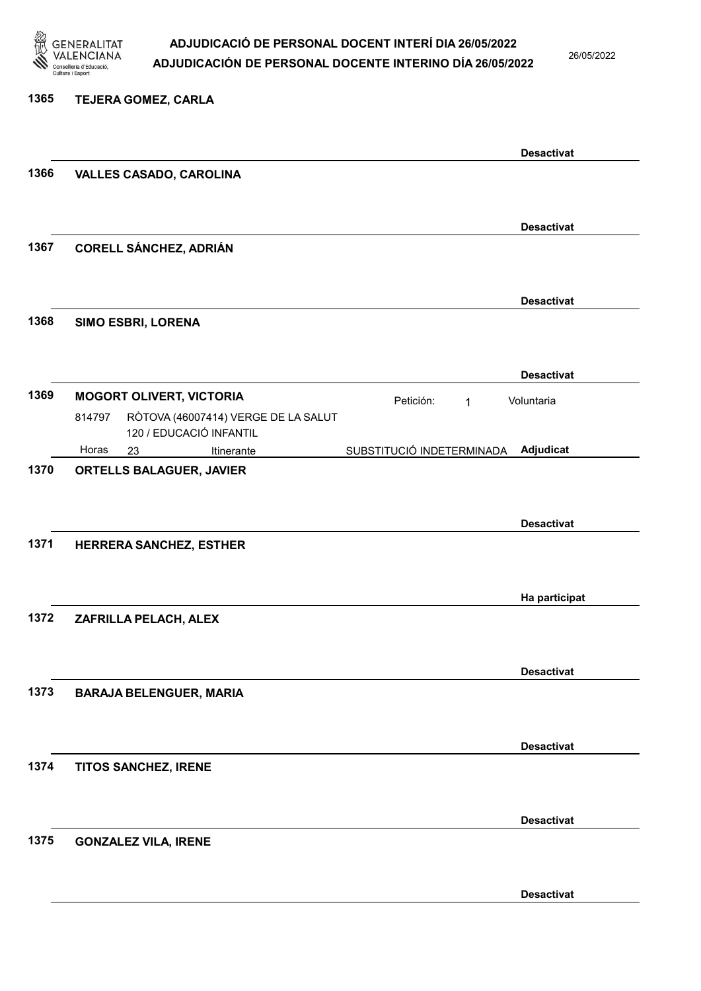

26/05/2022

### 1365 TEJERA GOMEZ, CARLA

|      |                                               |                           | <b>Desactivat</b> |
|------|-----------------------------------------------|---------------------------|-------------------|
| 1366 | <b>VALLES CASADO, CAROLINA</b>                |                           |                   |
|      |                                               |                           |                   |
|      |                                               |                           |                   |
| 1367 |                                               |                           | <b>Desactivat</b> |
|      | <b>CORELL SÁNCHEZ, ADRIÁN</b>                 |                           |                   |
|      |                                               |                           |                   |
|      |                                               |                           | <b>Desactivat</b> |
| 1368 | SIMO ESBRI, LORENA                            |                           |                   |
|      |                                               |                           |                   |
|      |                                               |                           | <b>Desactivat</b> |
| 1369 | <b>MOGORT OLIVERT, VICTORIA</b>               |                           |                   |
|      | RÒTOVA (46007414) VERGE DE LA SALUT<br>814797 | Petición:<br>1            | Voluntaria        |
|      | 120 / EDUCACIÓ INFANTIL                       |                           |                   |
|      | Horas<br>Itinerante<br>23                     | SUBSTITUCIÓ INDETERMINADA | Adjudicat         |
| 1370 | <b>ORTELLS BALAGUER, JAVIER</b>               |                           |                   |
|      |                                               |                           |                   |
|      |                                               |                           | <b>Desactivat</b> |
| 1371 | HERRERA SANCHEZ, ESTHER                       |                           |                   |
|      |                                               |                           |                   |
|      |                                               |                           |                   |
|      |                                               |                           | Ha participat     |
| 1372 | ZAFRILLA PELACH, ALEX                         |                           |                   |
|      |                                               |                           |                   |
|      |                                               |                           | <b>Desactivat</b> |
| 1373 | <b>BARAJA BELENGUER, MARIA</b>                |                           |                   |
|      |                                               |                           |                   |
|      |                                               |                           |                   |
|      |                                               |                           | <b>Desactivat</b> |
| 1374 | TITOS SANCHEZ, IRENE                          |                           |                   |
|      |                                               |                           |                   |
|      |                                               |                           | <b>Desactivat</b> |
| 1375 | <b>GONZALEZ VILA, IRENE</b>                   |                           |                   |
|      |                                               |                           |                   |
|      |                                               |                           |                   |
|      |                                               |                           | <b>Desactivat</b> |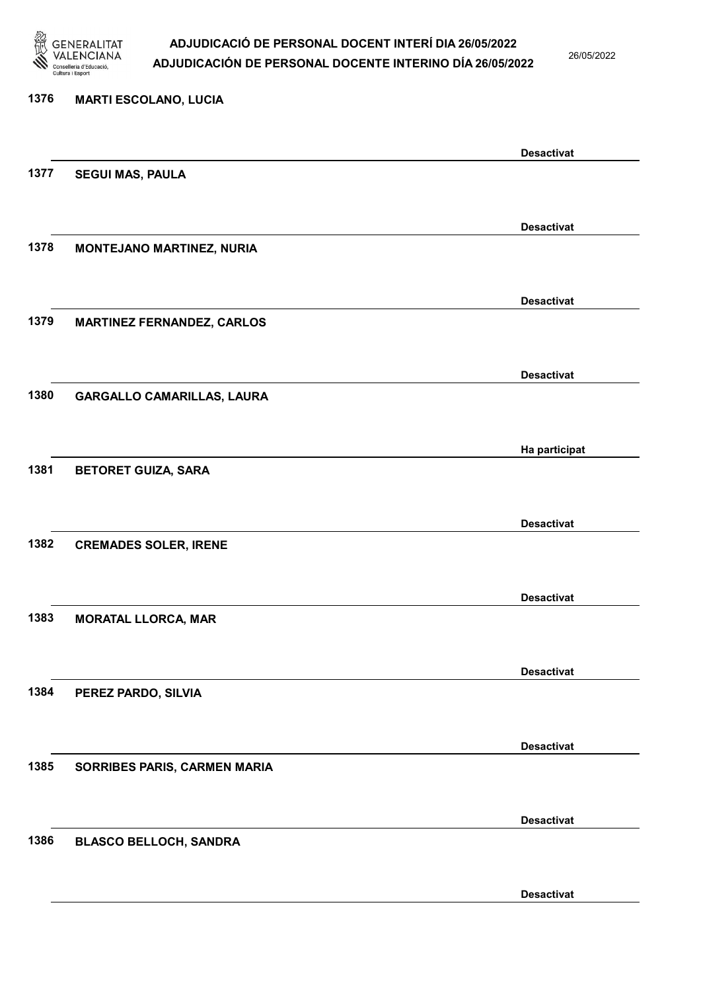

26/05/2022

Desactivat

# 1376 MARTI ESCOLANO, LUCIA Desactivat 1377 SEGUI MAS, PAULA Desactivat 1378 MONTEJANO MARTINEZ, NURIA Desactivat 1379 MARTINEZ FERNANDEZ, CARLOS Desactivat 1380 GARGALLO CAMARILLAS, LAURA Ha participat 1381 BETORET GUIZA, SARA Desactivat 1382 CREMADES SOLER, IRENE Desactivat 1383 MORATAL LLORCA, MAR Desactivat 1384 PEREZ PARDO, SILVIA Desactivat 1385 SORRIBES PARIS, CARMEN MARIA Desactivat 1386 BLASCO BELLOCH, SANDRA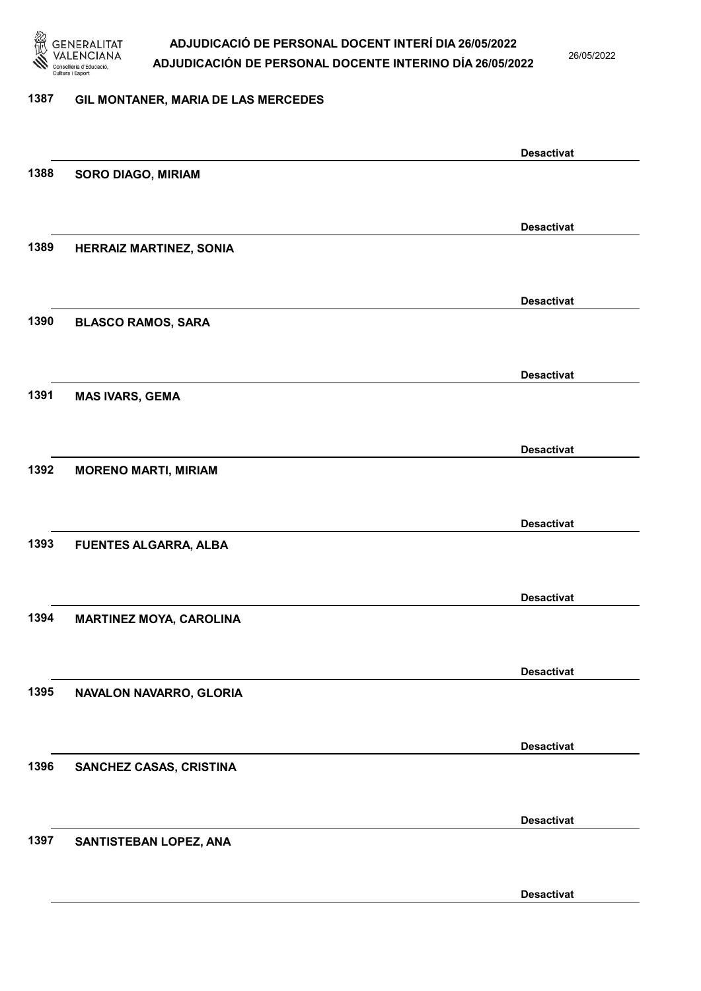

26/05/2022

### 1387 GIL MONTANER, MARIA DE LAS MERCEDES

|      |                                | <b>Desactivat</b> |
|------|--------------------------------|-------------------|
| 1388 | <b>SORO DIAGO, MIRIAM</b>      |                   |
|      |                                |                   |
|      |                                | <b>Desactivat</b> |
| 1389 | <b>HERRAIZ MARTINEZ, SONIA</b> |                   |
|      |                                |                   |
|      |                                | <b>Desactivat</b> |
| 1390 | <b>BLASCO RAMOS, SARA</b>      |                   |
|      |                                |                   |
|      |                                | <b>Desactivat</b> |
| 1391 | <b>MAS IVARS, GEMA</b>         |                   |
|      |                                | <b>Desactivat</b> |
| 1392 | <b>MORENO MARTI, MIRIAM</b>    |                   |
|      |                                |                   |
|      |                                | <b>Desactivat</b> |
| 1393 | <b>FUENTES ALGARRA, ALBA</b>   |                   |
|      |                                |                   |
|      |                                | <b>Desactivat</b> |
| 1394 | <b>MARTINEZ MOYA, CAROLINA</b> |                   |
|      |                                |                   |
|      |                                | <b>Desactivat</b> |
| 1395 | NAVALON NAVARRO, GLORIA        |                   |
|      |                                | <b>Desactivat</b> |
| 1396 | SANCHEZ CASAS, CRISTINA        |                   |
|      |                                |                   |
|      |                                | <b>Desactivat</b> |
| 1397 | SANTISTEBAN LOPEZ, ANA         |                   |
|      |                                |                   |
|      |                                | <b>Desactivat</b> |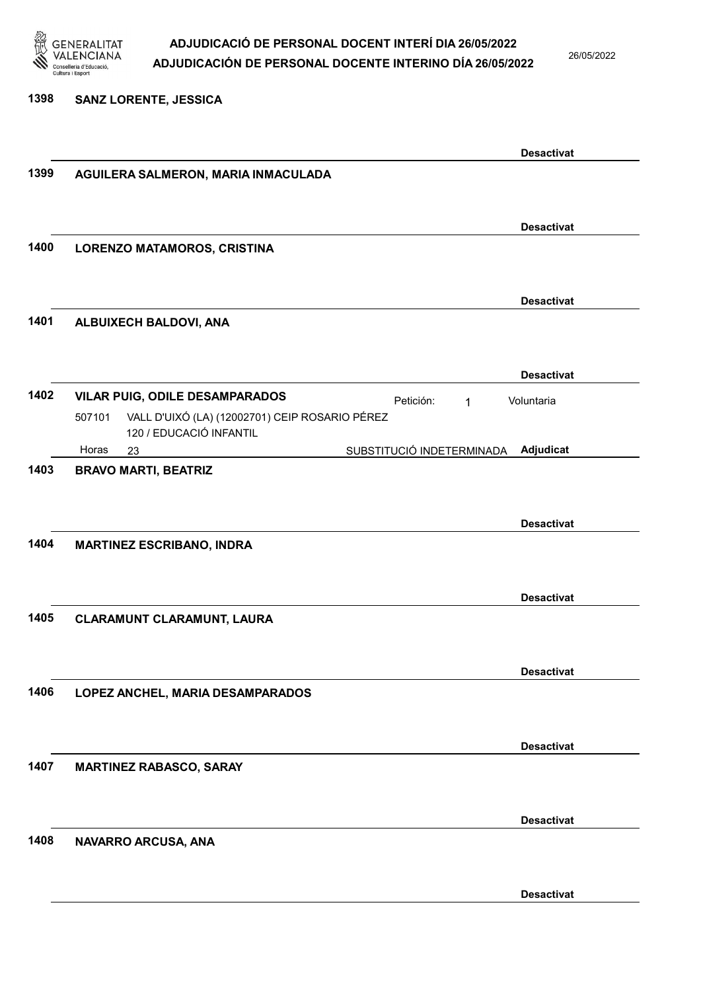

1398 SANZ LORENTE, JESSICA

### ADJUDICACIÓ DE PERSONAL DOCENT INTERÍ DIA 26/05/2022 ADJUDICACIÓN DE PERSONAL DOCENTE INTERINO DÍA 26/05/2022

26/05/2022

### Desactivat 1399 AGUILERA SALMERON, MARIA INMACULADA Desactivat 1400 LORENZO MATAMOROS, CRISTINA Desactivat 1401 ALBUIXECH BALDOVI, ANA Desactivat 1402 VILAR PUIG, ODILE DESAMPARADOS Petición: 1 23 SUBSTITUCIÓ INDETERMINADA VALL D'UIXÓ (LA) (12002701) CEIP ROSARIO PÉREZ 120 / EDUCACIÓ INFANTIL Adjudicat Voluntaria 507101 Horas 1403 BRAVO MARTI, BEATRIZ Desactivat 1404 MARTINEZ ESCRIBANO, INDRA Desactivat 1405 CLARAMUNT CLARAMUNT, LAURA Desactivat 1406 LOPEZ ANCHEL, MARIA DESAMPARADOS Desactivat 1407 MARTINEZ RABASCO, SARAY Desactivat 1408 NAVARRO ARCUSA, ANA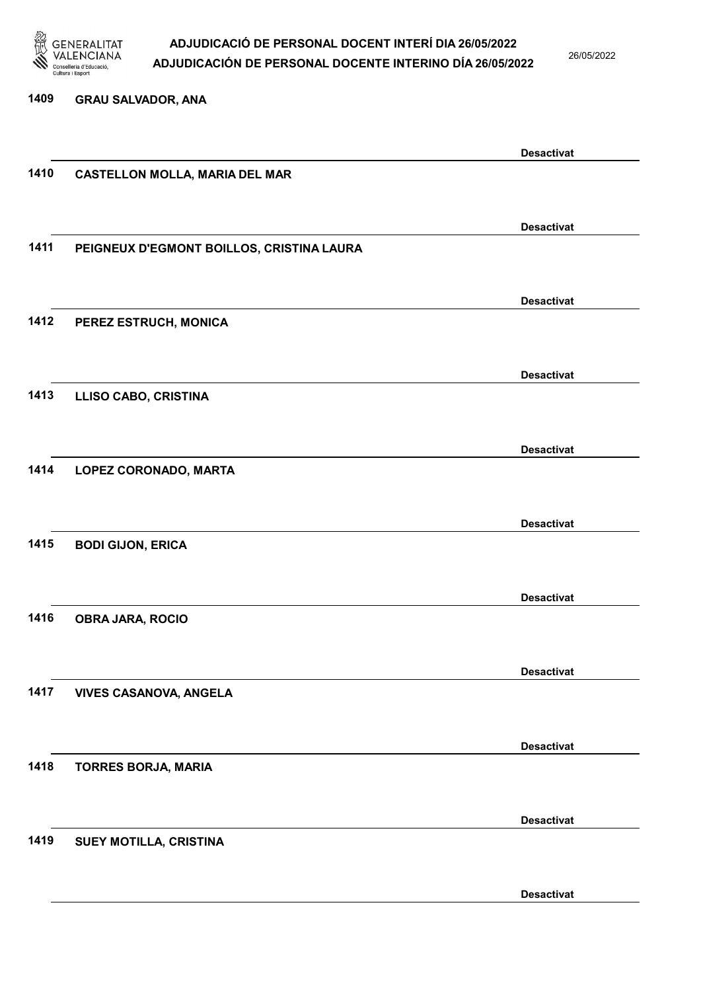

26/05/2022

### 1409 GRAU SALVADOR, ANA

|      |                                           | <b>Desactivat</b> |
|------|-------------------------------------------|-------------------|
| 1410 | <b>CASTELLON MOLLA, MARIA DEL MAR</b>     |                   |
|      |                                           |                   |
|      |                                           |                   |
|      |                                           | <b>Desactivat</b> |
| 1411 | PEIGNEUX D'EGMONT BOILLOS, CRISTINA LAURA |                   |
|      |                                           |                   |
|      |                                           | <b>Desactivat</b> |
| 1412 | PEREZ ESTRUCH, MONICA                     |                   |
|      |                                           |                   |
|      |                                           |                   |
|      |                                           | <b>Desactivat</b> |
| 1413 | <b>LLISO CABO, CRISTINA</b>               |                   |
|      |                                           |                   |
|      |                                           | <b>Desactivat</b> |
| 1414 | LOPEZ CORONADO, MARTA                     |                   |
|      |                                           |                   |
|      |                                           |                   |
|      |                                           | <b>Desactivat</b> |
| 1415 | <b>BODI GIJON, ERICA</b>                  |                   |
|      |                                           |                   |
|      |                                           |                   |
| 1416 |                                           | <b>Desactivat</b> |
|      | <b>OBRA JARA, ROCIO</b>                   |                   |
|      |                                           |                   |
|      |                                           | <b>Desactivat</b> |
| 1417 | <b>VIVES CASANOVA, ANGELA</b>             |                   |
|      |                                           |                   |
|      |                                           |                   |
|      |                                           | <b>Desactivat</b> |
| 1418 | <b>TORRES BORJA, MARIA</b>                |                   |
|      |                                           |                   |
|      |                                           | <b>Desactivat</b> |
| 1419 | SUEY MOTILLA, CRISTINA                    |                   |
|      |                                           |                   |
|      |                                           |                   |
|      |                                           | <b>Desactivat</b> |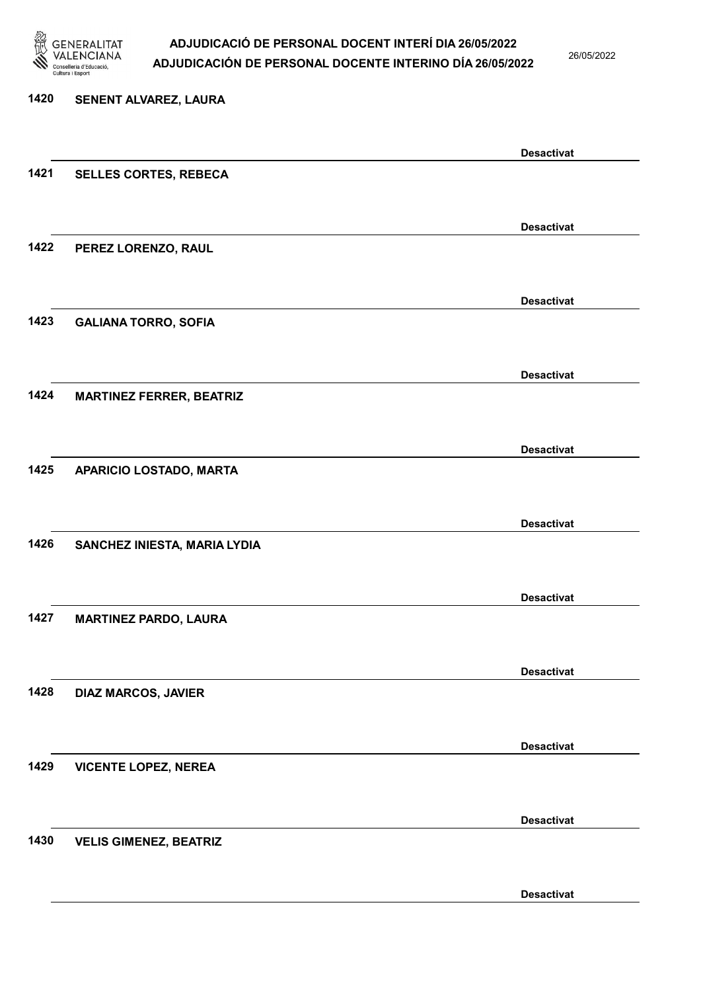

26/05/2022

Desactivat

# 1420 SENENT ALVAREZ, LAURA Desactivat 1421 SELLES CORTES, REBECA Desactivat 1422 PEREZ LORENZO, RAUL Desactivat 1423 GALIANA TORRO, SOFIA Desactivat 1424 MARTINEZ FERRER, BEATRIZ Desactivat 1425 APARICIO LOSTADO, MARTA Desactivat 1426 SANCHEZ INIESTA, MARIA LYDIA Desactivat 1427 MARTINEZ PARDO, LAURA Desactivat 1428 DIAZ MARCOS, JAVIER Desactivat 1429 VICENTE LOPEZ, NEREA Desactivat 1430 VELIS GIMENEZ, BEATRIZ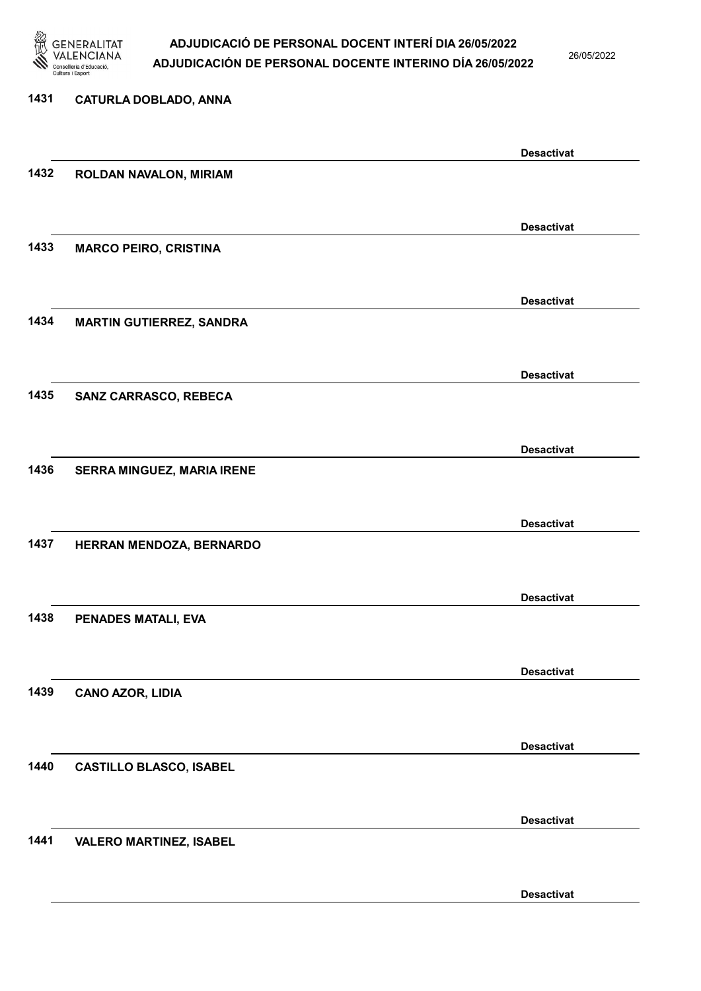

26/05/2022

### 1431 CATURLA DOBLADO, ANNA

|      |                                 | <b>Desactivat</b> |
|------|---------------------------------|-------------------|
| 1432 | ROLDAN NAVALON, MIRIAM          |                   |
|      |                                 |                   |
|      |                                 | <b>Desactivat</b> |
| 1433 | <b>MARCO PEIRO, CRISTINA</b>    |                   |
|      |                                 |                   |
|      |                                 | <b>Desactivat</b> |
| 1434 | <b>MARTIN GUTIERREZ, SANDRA</b> |                   |
|      |                                 |                   |
|      |                                 | <b>Desactivat</b> |
| 1435 | SANZ CARRASCO, REBECA           |                   |
|      |                                 |                   |
|      |                                 | <b>Desactivat</b> |
| 1436 | SERRA MINGUEZ, MARIA IRENE      |                   |
|      |                                 |                   |
|      |                                 | <b>Desactivat</b> |
| 1437 | HERRAN MENDOZA, BERNARDO        |                   |
|      |                                 |                   |
|      |                                 | <b>Desactivat</b> |
| 1438 | PENADES MATALI, EVA             |                   |
|      |                                 |                   |
|      |                                 | <b>Desactivat</b> |
| 1439 | <b>CANO AZOR, LIDIA</b>         |                   |
|      |                                 |                   |
|      |                                 | <b>Desactivat</b> |
| 1440 | <b>CASTILLO BLASCO, ISABEL</b>  |                   |
|      |                                 |                   |
|      |                                 | <b>Desactivat</b> |
| 1441 | <b>VALERO MARTINEZ, ISABEL</b>  |                   |
|      |                                 |                   |
|      |                                 | <b>Desactivat</b> |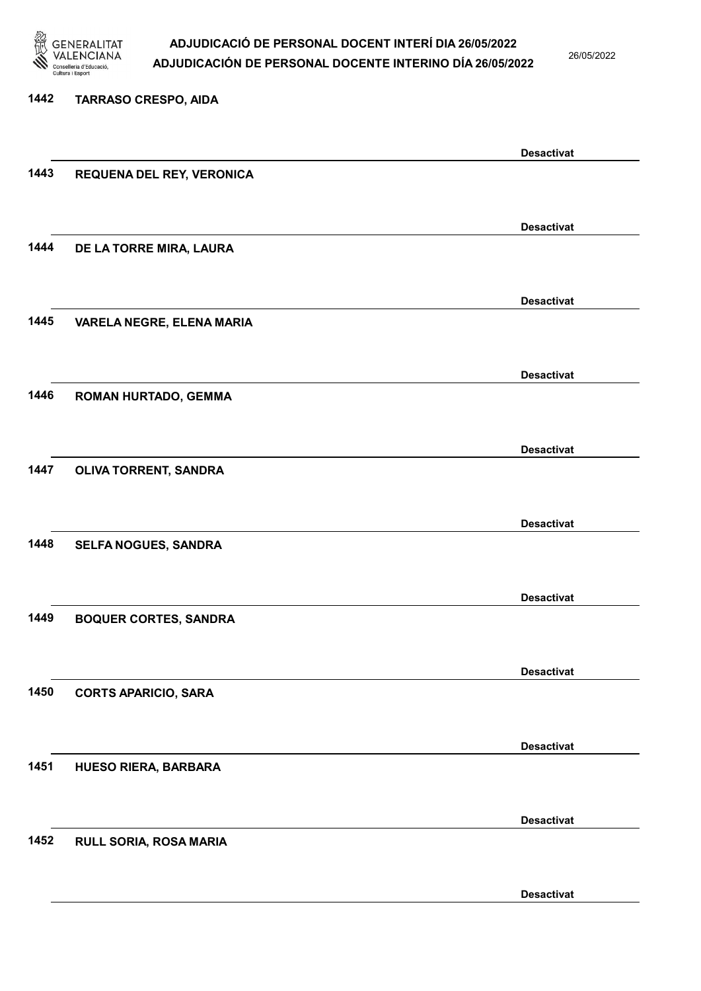

26/05/2022

Desactivat

## 1442 TARRASO CRESPO, AIDA Desactivat 1443 REQUENA DEL REY, VERONICA Desactivat 1444 DE LA TORRE MIRA, LAURA Desactivat 1445 VARELA NEGRE, ELENA MARIA Desactivat 1446 ROMAN HURTADO, GEMMA Desactivat 1447 OLIVA TORRENT, SANDRA Desactivat 1448 SELFA NOGUES, SANDRA Desactivat 1449 BOQUER CORTES, SANDRA Desactivat 1450 CORTS APARICIO, SARA Desactivat 1451 HUESO RIERA, BARBARA Desactivat 1452 RULL SORIA, ROSA MARIA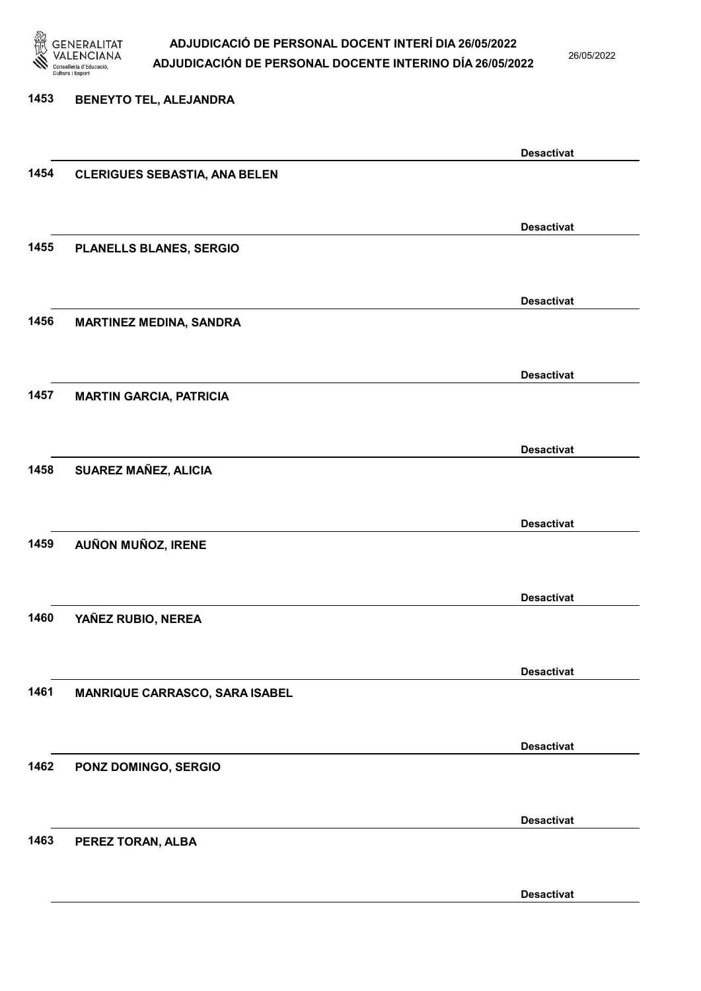

26/05/2022

Desactivat

1453 BENEYTO TEL, ALEJANDRA Desactivat 1454 CLERIGUES SEBASTIA, ANA BELEN Desactivat 1455 PLANELLS BLANES, SERGIO Desactivat 1456 MARTINEZ MEDINA, SANDRA Desactivat 1457 MARTIN GARCIA, PATRICIA Desactivat 1458 SUAREZ MAÑEZ, ALICIA Desactivat 1459 AUÑON MUÑOZ, IRENE Desactivat 1460 YAÑEZ RUBIO, NEREA Desactivat 1461 MANRIQUE CARRASCO, SARA ISABEL Desactivat 1462 PONZ DOMINGO, SERGIO Desactivat 1463 PEREZ TORAN, ALBA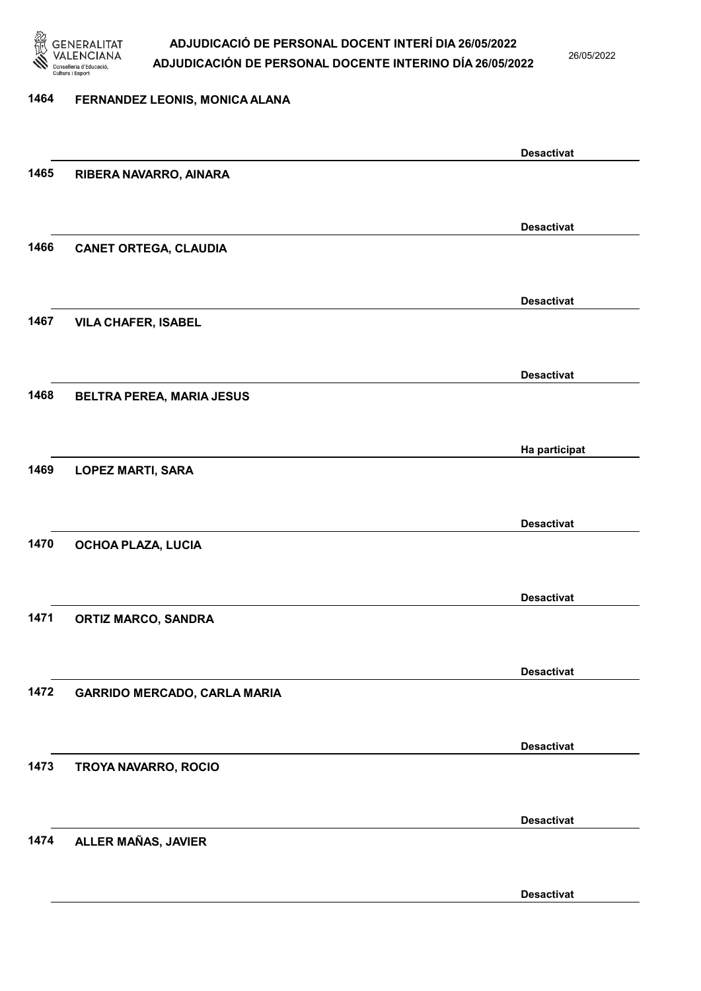

26/05/2022

### 1464 FERNANDEZ LEONIS, MONICA ALANA

|      |                                     | <b>Desactivat</b> |
|------|-------------------------------------|-------------------|
| 1465 | RIBERA NAVARRO, AINARA              |                   |
|      |                                     |                   |
|      |                                     | <b>Desactivat</b> |
| 1466 | <b>CANET ORTEGA, CLAUDIA</b>        |                   |
|      |                                     |                   |
|      |                                     |                   |
| 1467 | <b>VILA CHAFER, ISABEL</b>          | <b>Desactivat</b> |
|      |                                     |                   |
|      |                                     |                   |
|      |                                     | <b>Desactivat</b> |
| 1468 | BELTRA PEREA, MARIA JESUS           |                   |
|      |                                     |                   |
|      |                                     | Ha participat     |
| 1469 | <b>LOPEZ MARTI, SARA</b>            |                   |
|      |                                     |                   |
|      |                                     | <b>Desactivat</b> |
| 1470 | OCHOA PLAZA, LUCIA                  |                   |
|      |                                     |                   |
|      |                                     | <b>Desactivat</b> |
| 1471 | <b>ORTIZ MARCO, SANDRA</b>          |                   |
|      |                                     |                   |
|      |                                     | <b>Desactivat</b> |
| 1472 | <b>GARRIDO MERCADO, CARLA MARIA</b> |                   |
|      |                                     |                   |
|      |                                     | <b>Desactivat</b> |
| 1473 | TROYA NAVARRO, ROCIO                |                   |
|      |                                     |                   |
|      |                                     |                   |
|      |                                     | <b>Desactivat</b> |
| 1474 | ALLER MAÑAS, JAVIER                 |                   |
|      |                                     |                   |
|      |                                     | <b>Desactivat</b> |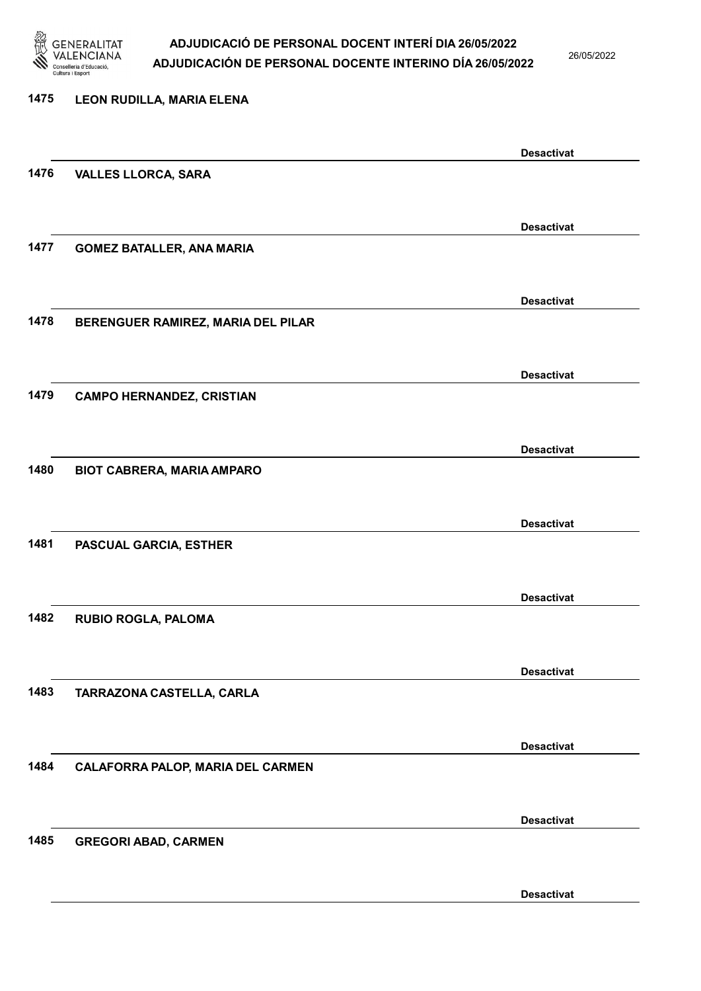

26/05/2022

## 1475 LEON RUDILLA, MARIA ELENA Desactivat 1476 VALLES LLORCA, SARA Desactivat 1477 GOMEZ BATALLER, ANA MARIA Desactivat 1478 BERENGUER RAMIREZ, MARIA DEL PILAR Desactivat 1479 CAMPO HERNANDEZ, CRISTIAN Desactivat 1480 BIOT CABRERA, MARIA AMPARO Desactivat 1481 PASCUAL GARCIA, ESTHER Desactivat 1482 RUBIO ROGLA, PALOMA Desactivat 1483 TARRAZONA CASTELLA, CARLA Desactivat 1484 CALAFORRA PALOP, MARIA DEL CARMEN Desactivat 1485 GREGORI ABAD, CARMEN Desactivat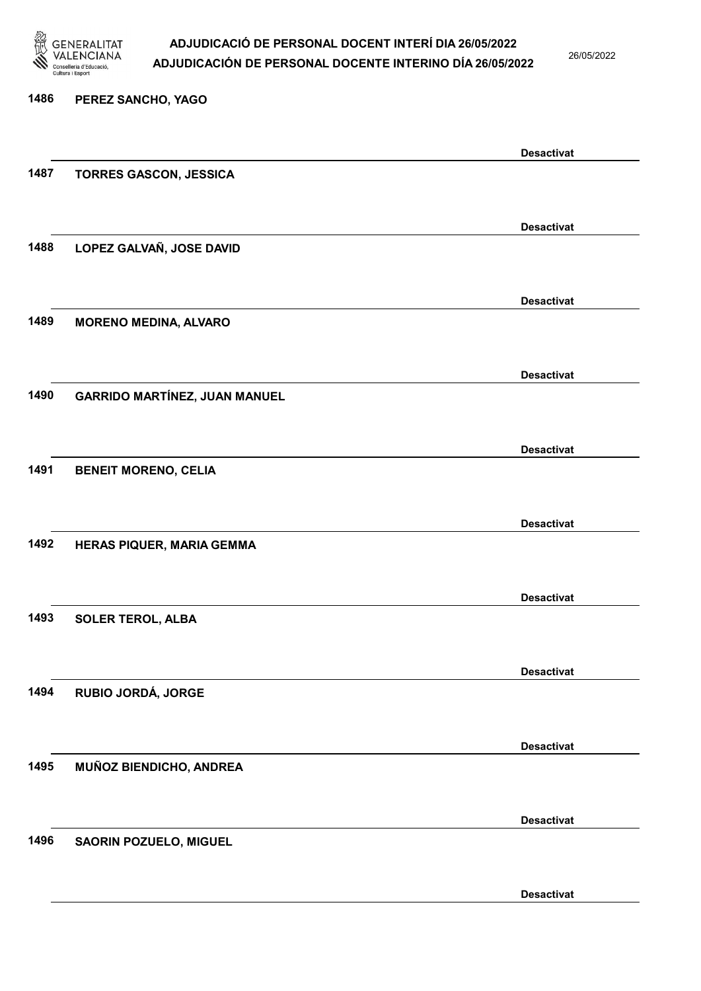

26/05/2022

## 1486 PEREZ SANCHO, YAGO Desactivat 1487 TORRES GASCON, JESSICA Desactivat 1488 LOPEZ GALVAÑ, JOSE DAVID Desactivat 1489 MORENO MEDINA, ALVARO Desactivat 1490 GARRIDO MARTÍNEZ, JUAN MANUEL Desactivat 1491 BENEIT MORENO, CELIA Desactivat 1492 HERAS PIQUER, MARIA GEMMA Desactivat 1493 SOLER TEROL, ALBA Desactivat 1494 RUBIO JORDÁ, JORGE Desactivat 1495 MUÑOZ BIENDICHO, ANDREA Desactivat 1496 SAORIN POZUELO, MIGUEL Desactivat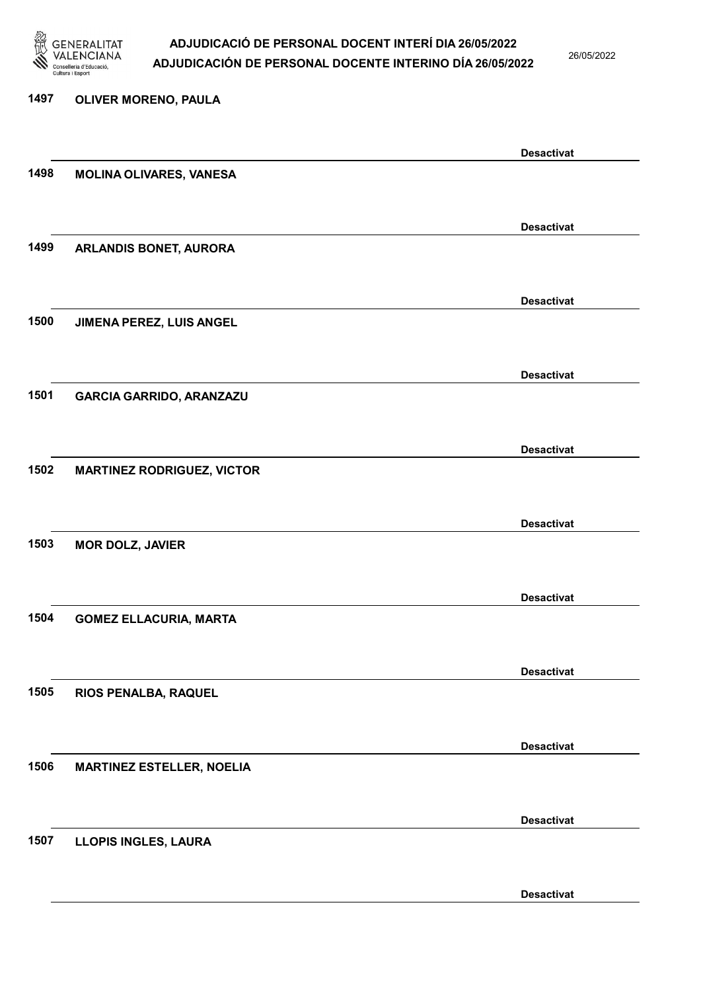

1497 OLIVER MORENO, PAULA

### ADJUDICACIÓ DE PERSONAL DOCENT INTERÍ DIA 26/05/2022 ADJUDICACIÓN DE PERSONAL DOCENTE INTERINO DÍA 26/05/2022

26/05/2022

## Desactivat 1498 MOLINA OLIVARES, VANESA Desactivat 1499 ARLANDIS BONET, AURORA Desactivat 1500 JIMENA PEREZ, LUIS ANGEL Desactivat 1501 GARCIA GARRIDO, ARANZAZU Desactivat 1502 MARTINEZ RODRIGUEZ, VICTOR Desactivat 1503 MOR DOLZ, JAVIER Desactivat 1504 GOMEZ ELLACURIA, MARTA Desactivat 1505 RIOS PENALBA, RAQUEL Desactivat 1506 MARTINEZ ESTELLER, NOELIA Desactivat 1507 LLOPIS INGLES, LAURA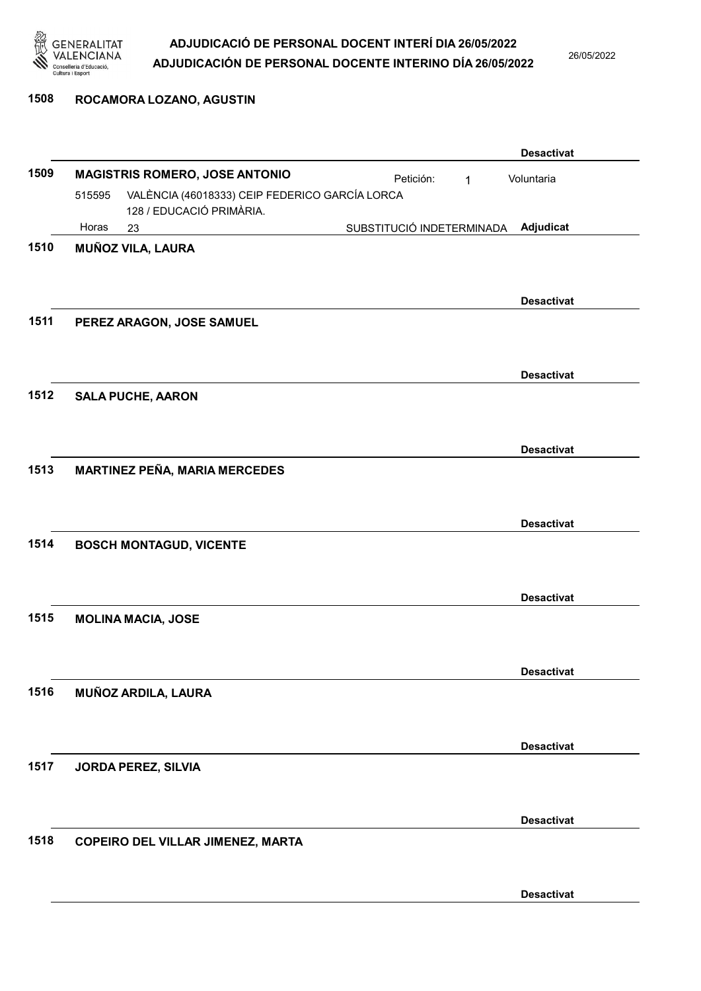

### 1508 ROCAMORA LOZANO, AGUSTIN

|      |        |                                                                            |                           |              | <b>Desactivat</b> |
|------|--------|----------------------------------------------------------------------------|---------------------------|--------------|-------------------|
| 1509 |        | <b>MAGISTRIS ROMERO, JOSE ANTONIO</b>                                      | Petición:                 | $\mathbf{1}$ | Voluntaria        |
|      | 515595 | VALÈNCIA (46018333) CEIP FEDERICO GARCÍA LORCA<br>128 / EDUCACIÓ PRIMÀRIA. |                           |              |                   |
|      | Horas  | 23                                                                         | SUBSTITUCIÓ INDETERMINADA |              | Adjudicat         |
| 1510 |        | <b>MUÑOZ VILA, LAURA</b>                                                   |                           |              |                   |
|      |        |                                                                            |                           |              |                   |
|      |        |                                                                            |                           |              | <b>Desactivat</b> |
| 1511 |        | PEREZ ARAGON, JOSE SAMUEL                                                  |                           |              |                   |
|      |        |                                                                            |                           |              |                   |
|      |        |                                                                            |                           |              |                   |
|      |        |                                                                            |                           |              | <b>Desactivat</b> |
| 1512 |        | <b>SALA PUCHE, AARON</b>                                                   |                           |              |                   |
|      |        |                                                                            |                           |              |                   |
|      |        |                                                                            |                           |              | <b>Desactivat</b> |
| 1513 |        | <b>MARTINEZ PEÑA, MARIA MERCEDES</b>                                       |                           |              |                   |
|      |        |                                                                            |                           |              |                   |
|      |        |                                                                            |                           |              | <b>Desactivat</b> |
| 1514 |        | <b>BOSCH MONTAGUD, VICENTE</b>                                             |                           |              |                   |
|      |        |                                                                            |                           |              |                   |
|      |        |                                                                            |                           |              | <b>Desactivat</b> |
| 1515 |        | <b>MOLINA MACIA, JOSE</b>                                                  |                           |              |                   |
|      |        |                                                                            |                           |              |                   |
|      |        |                                                                            |                           |              |                   |
| 1516 |        |                                                                            |                           |              | <b>Desactivat</b> |
|      |        | MUÑOZ ARDILA, LAURA                                                        |                           |              |                   |
|      |        |                                                                            |                           |              |                   |
|      |        |                                                                            |                           |              | <b>Desactivat</b> |
| 1517 |        | JORDA PEREZ, SILVIA                                                        |                           |              |                   |
|      |        |                                                                            |                           |              |                   |
|      |        |                                                                            |                           |              | <b>Desactivat</b> |
| 1518 |        | <b>COPEIRO DEL VILLAR JIMENEZ, MARTA</b>                                   |                           |              |                   |
|      |        |                                                                            |                           |              |                   |
|      |        |                                                                            |                           |              | <b>Desactivat</b> |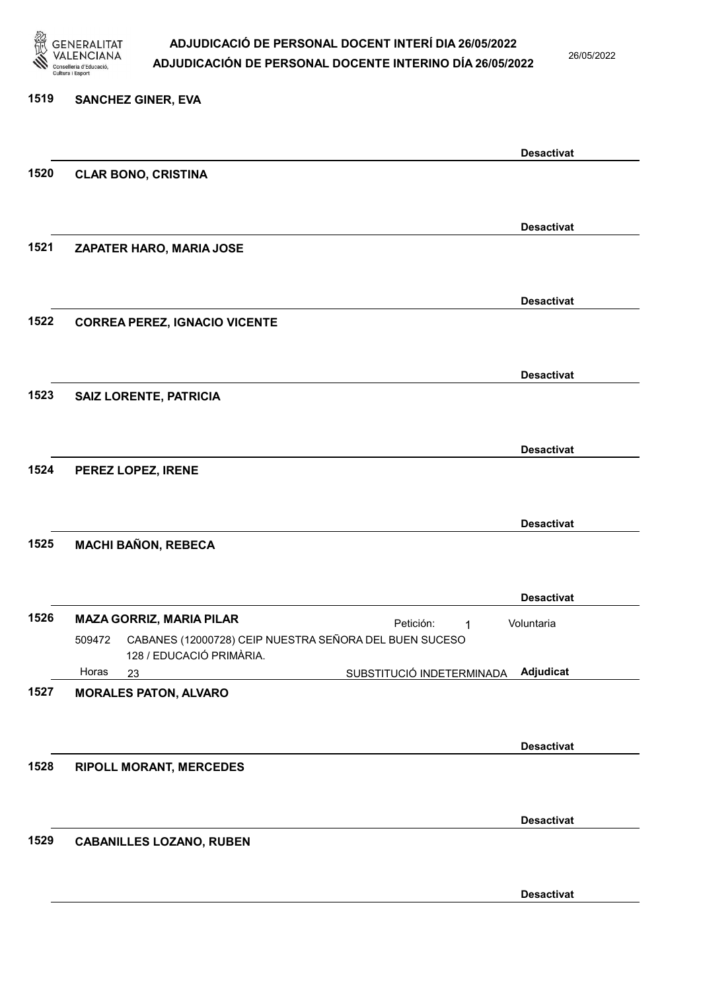

26/05/2022

### 1519 SANCHEZ GINER, EVA

|      |                                                                  |                           | <b>Desactivat</b> |
|------|------------------------------------------------------------------|---------------------------|-------------------|
| 1520 | <b>CLAR BONO, CRISTINA</b>                                       |                           |                   |
|      |                                                                  |                           |                   |
|      |                                                                  |                           | <b>Desactivat</b> |
| 1521 | ZAPATER HARO, MARIA JOSE                                         |                           |                   |
|      |                                                                  |                           |                   |
|      |                                                                  |                           |                   |
|      |                                                                  |                           | <b>Desactivat</b> |
| 1522 | <b>CORREA PEREZ, IGNACIO VICENTE</b>                             |                           |                   |
|      |                                                                  |                           |                   |
|      |                                                                  |                           |                   |
|      |                                                                  |                           | <b>Desactivat</b> |
| 1523 | <b>SAIZ LORENTE, PATRICIA</b>                                    |                           |                   |
|      |                                                                  |                           |                   |
|      |                                                                  |                           | <b>Desactivat</b> |
| 1524 | PEREZ LOPEZ, IRENE                                               |                           |                   |
|      |                                                                  |                           |                   |
|      |                                                                  |                           |                   |
|      |                                                                  |                           | <b>Desactivat</b> |
| 1525 | <b>MACHI BAÑON, REBECA</b>                                       |                           |                   |
|      |                                                                  |                           |                   |
|      |                                                                  |                           | <b>Desactivat</b> |
| 1526 | <b>MAZA GORRIZ, MARIA PILAR</b>                                  | Petición:                 | Voluntaria        |
|      | CABANES (12000728) CEIP NUESTRA SEÑORA DEL BUEN SUCESO<br>509472 | $\mathbf 1$               |                   |
|      | 128 / EDUCACIÓ PRIMÀRIA.                                         |                           |                   |
|      | Horas<br>23                                                      | SUBSTITUCIÓ INDETERMINADA | Adjudicat         |
| 1527 | <b>MORALES PATON, ALVARO</b>                                     |                           |                   |
|      |                                                                  |                           |                   |
|      |                                                                  |                           | <b>Desactivat</b> |
| 1528 |                                                                  |                           |                   |
|      | <b>RIPOLL MORANT, MERCEDES</b>                                   |                           |                   |
|      |                                                                  |                           |                   |
|      |                                                                  |                           | <b>Desactivat</b> |
| 1529 | <b>CABANILLES LOZANO, RUBEN</b>                                  |                           |                   |
|      |                                                                  |                           |                   |
|      |                                                                  |                           |                   |
|      |                                                                  |                           | <b>Desactivat</b> |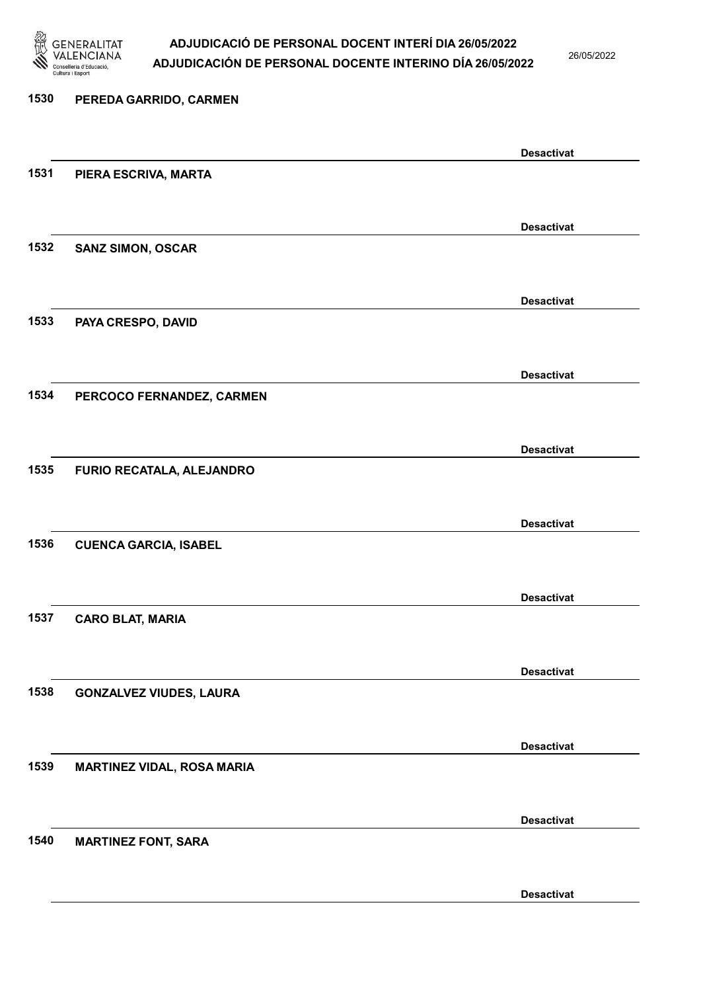

26/05/2022

## 1530 PEREDA GARRIDO, CARMEN Desactivat 1531 PIERA ESCRIVA, MARTA Desactivat 1532 SANZ SIMON, OSCAR Desactivat 1533 PAYA CRESPO, DAVID Desactivat 1534 PERCOCO FERNANDEZ, CARMEN Desactivat 1535 FURIO RECATALA, ALEJANDRO Desactivat 1536 CUENCA GARCIA, ISABEL Desactivat 1537 CARO BLAT, MARIA Desactivat 1538 GONZALVEZ VIUDES, LAURA Desactivat 1539 MARTINEZ VIDAL, ROSA MARIA Desactivat 1540 MARTINEZ FONT, SARA Desactivat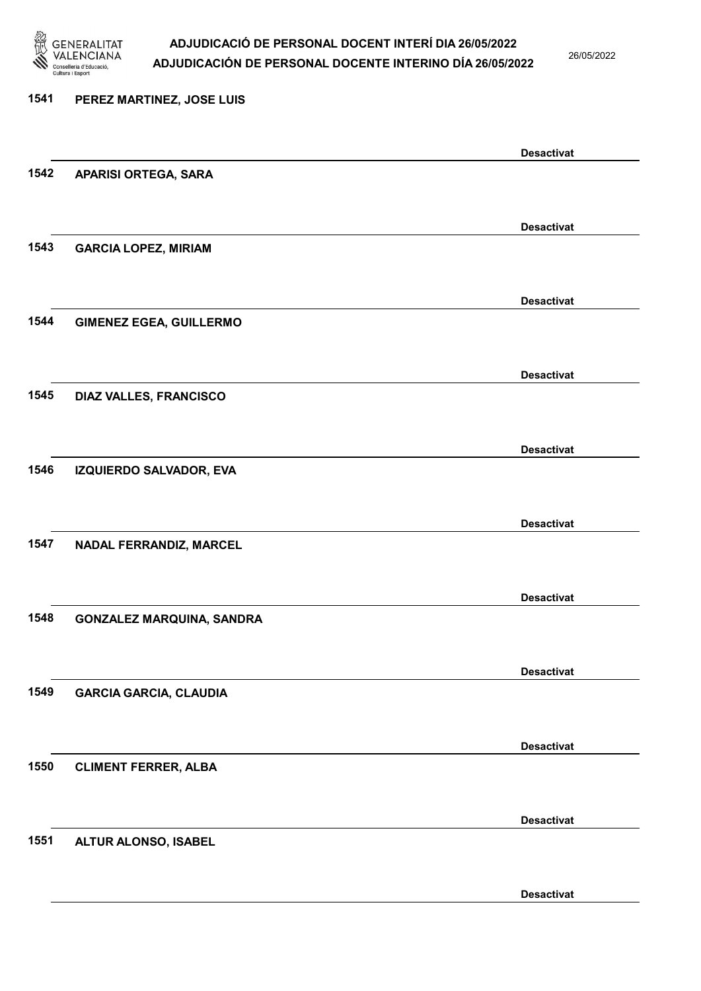

26/05/2022

Desactivat

# 1541 PEREZ MARTINEZ, JOSE LUIS Desactivat 1542 APARISI ORTEGA, SARA Desactivat 1543 GARCIA LOPEZ, MIRIAM Desactivat 1544 GIMENEZ EGEA, GUILLERMO Desactivat 1545 DIAZ VALLES, FRANCISCO Desactivat 1546 IZQUIERDO SALVADOR, EVA Desactivat 1547 NADAL FERRANDIZ, MARCEL Desactivat 1548 GONZALEZ MARQUINA, SANDRA Desactivat 1549 GARCIA GARCIA, CLAUDIA Desactivat 1550 CLIMENT FERRER, ALBA Desactivat 1551 ALTUR ALONSO, ISABEL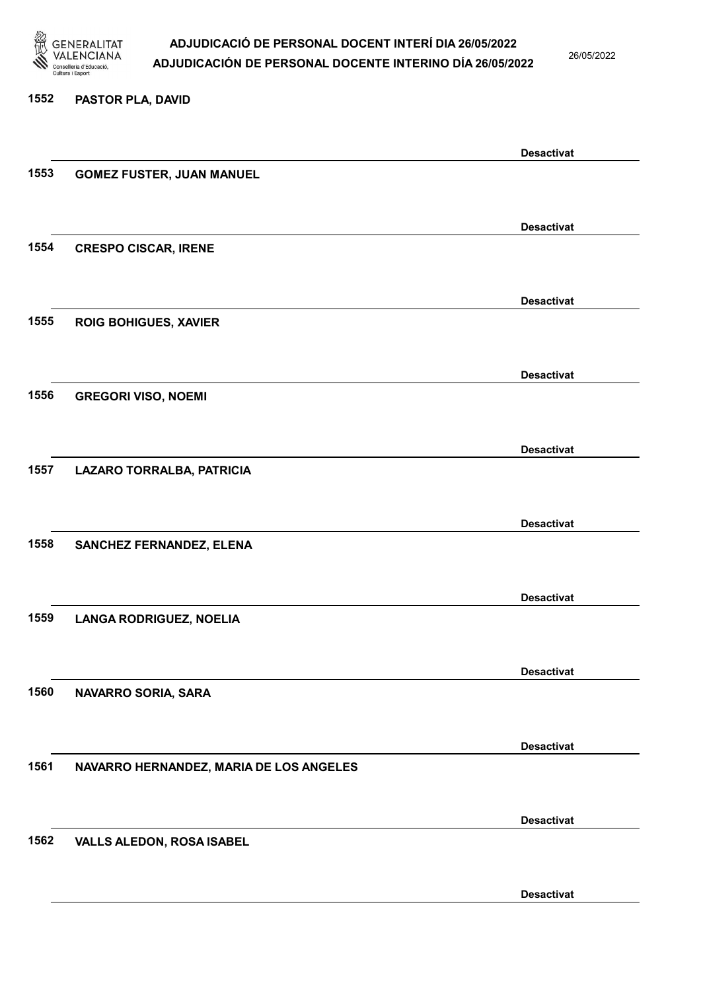

26/05/2022

### 1552 PASTOR PLA, DAVID

|      |                                         | <b>Desactivat</b> |
|------|-----------------------------------------|-------------------|
| 1553 | <b>GOMEZ FUSTER, JUAN MANUEL</b>        |                   |
|      |                                         |                   |
|      |                                         | <b>Desactivat</b> |
| 1554 | <b>CRESPO CISCAR, IRENE</b>             |                   |
|      |                                         |                   |
|      |                                         |                   |
|      |                                         | <b>Desactivat</b> |
| 1555 | <b>ROIG BOHIGUES, XAVIER</b>            |                   |
|      |                                         |                   |
|      |                                         | <b>Desactivat</b> |
| 1556 | <b>GREGORI VISO, NOEMI</b>              |                   |
|      |                                         |                   |
|      |                                         | <b>Desactivat</b> |
| 1557 | LAZARO TORRALBA, PATRICIA               |                   |
|      |                                         |                   |
|      |                                         | <b>Desactivat</b> |
| 1558 | SANCHEZ FERNANDEZ, ELENA                |                   |
|      |                                         |                   |
|      |                                         |                   |
|      |                                         | <b>Desactivat</b> |
| 1559 | <b>LANGA RODRIGUEZ, NOELIA</b>          |                   |
|      |                                         |                   |
|      |                                         | <b>Desactivat</b> |
| 1560 | NAVARRO SORIA, SARA                     |                   |
|      |                                         |                   |
|      |                                         | <b>Desactivat</b> |
| 1561 | NAVARRO HERNANDEZ, MARIA DE LOS ANGELES |                   |
|      |                                         |                   |
|      |                                         |                   |
| 1562 |                                         | <b>Desactivat</b> |
|      | <b>VALLS ALEDON, ROSA ISABEL</b>        |                   |
|      |                                         |                   |
|      |                                         | <b>Desactivat</b> |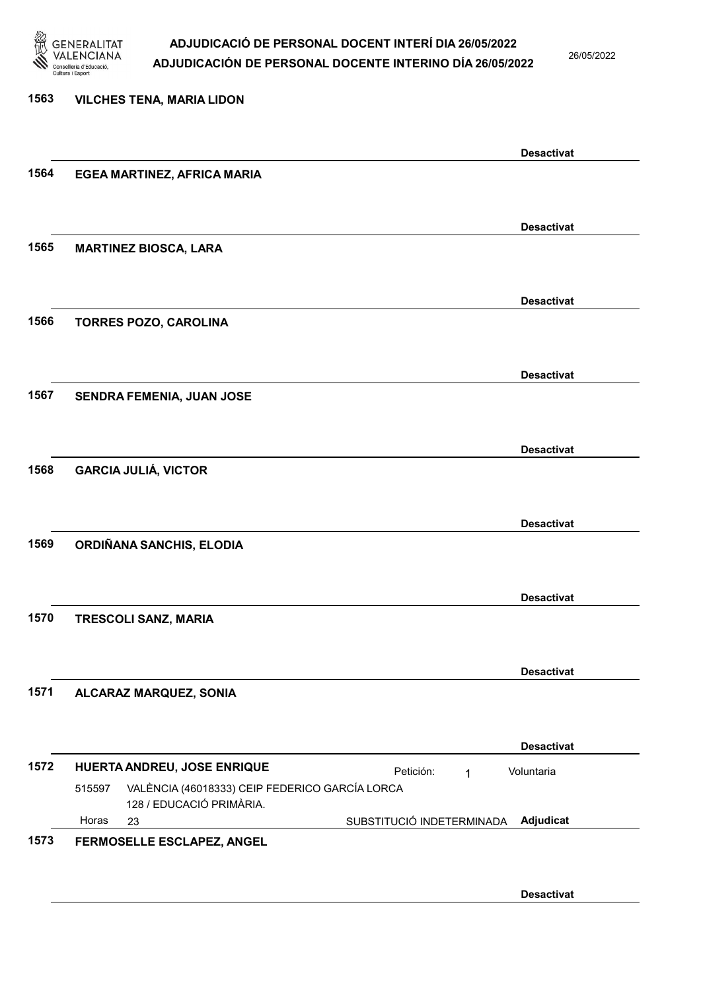

26/05/2022

## 1563 VILCHES TENA, MARIA LIDON Desactivat 1564 EGEA MARTINEZ, AFRICA MARIA Desactivat 1565 MARTINEZ BIOSCA, LARA Desactivat 1566 TORRES POZO, CAROLINA Desactivat 1567 SENDRA FEMENIA, JUAN JOSE Desactivat 1568 GARCIA JULIÁ, VICTOR Desactivat 1569 ORDIÑANA SANCHIS, ELODIA Desactivat 1570 TRESCOLI SANZ, MARIA Desactivat 1571 ALCARAZ MARQUEZ, SONIA Desactivat 1572 HUERTA ANDREU, JOSE ENRIQUE **Petición:** 1 23 SUBSTITUCIÓ INDETERMINADA VALÈNCIA (46018333) CEIP FEDERICO GARCÍA LORCA 128 / EDUCACIÓ PRIMÀRIA. Adjudicat Voluntaria 515597 Horas 1573 FERMOSELLE ESCLAPEZ, ANGEL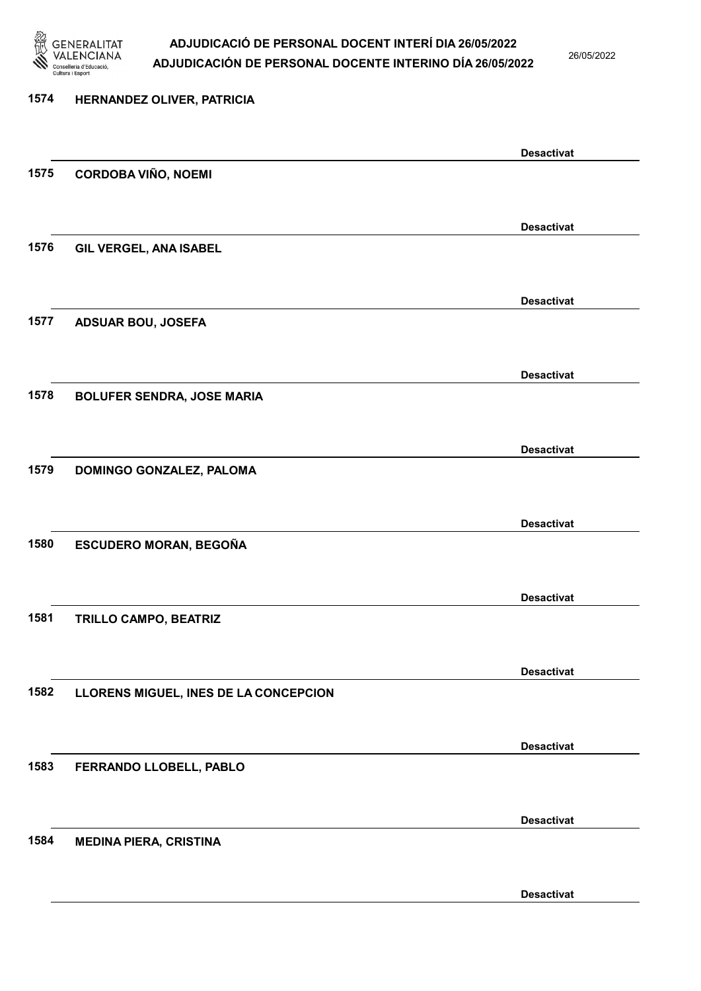

26/05/2022

| 1574 | HERNANDEZ OLIVER, PATRICIA            |                   |
|------|---------------------------------------|-------------------|
|      |                                       | <b>Desactivat</b> |
| 1575 | <b>CORDOBA VIÑO, NOEMI</b>            |                   |
|      |                                       | <b>Desactivat</b> |
| 1576 | GIL VERGEL, ANA ISABEL                |                   |
|      |                                       | <b>Desactivat</b> |
| 1577 | <b>ADSUAR BOU, JOSEFA</b>             |                   |
|      |                                       | <b>Desactivat</b> |
| 1578 | <b>BOLUFER SENDRA, JOSE MARIA</b>     |                   |
|      |                                       | <b>Desactivat</b> |
| 1579 | DOMINGO GONZALEZ, PALOMA              |                   |
|      |                                       | <b>Desactivat</b> |
| 1580 | ESCUDERO MORAN, BEGOÑA                |                   |
|      |                                       | <b>Desactivat</b> |
| 1581 | TRILLO CAMPO, BEATRIZ                 |                   |
|      |                                       | <b>Desactivat</b> |
| 1582 | LLORENS MIGUEL, INES DE LA CONCEPCION |                   |
|      |                                       | <b>Desactivat</b> |
| 1583 | FERRANDO LLOBELL, PABLO               |                   |
|      |                                       | <b>Desactivat</b> |
| 1584 | <b>MEDINA PIERA, CRISTINA</b>         |                   |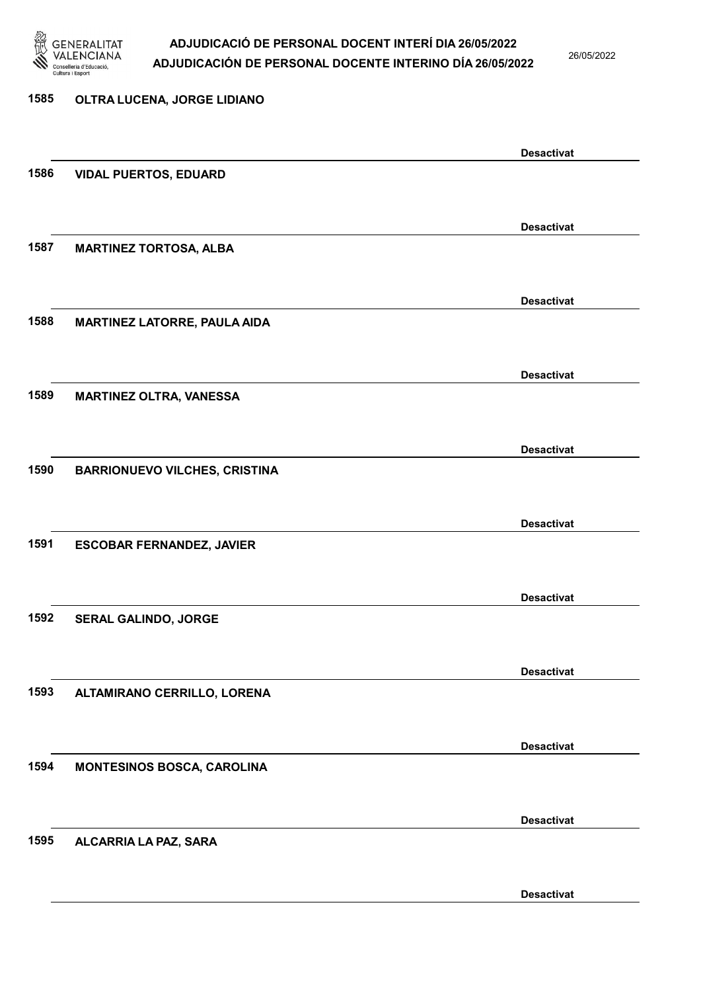

26/05/2022

# 1585 OLTRA LUCENA, JORGE LIDIANO Desactivat 1586 VIDAL PUERTOS, EDUARD Desactivat 1587 MARTINEZ TORTOSA, ALBA Desactivat 1588 MARTINEZ LATORRE, PAULA AIDA Desactivat 1589 MARTINEZ OLTRA, VANESSA Desactivat 1590 BARRIONUEVO VILCHES, CRISTINA Desactivat 1591 ESCOBAR FERNANDEZ, JAVIER Desactivat 1592 SERAL GALINDO, JORGE Desactivat 1593 ALTAMIRANO CERRILLO, LORENA Desactivat 1594 MONTESINOS BOSCA, CAROLINA Desactivat 1595 ALCARRIA LA PAZ, SARA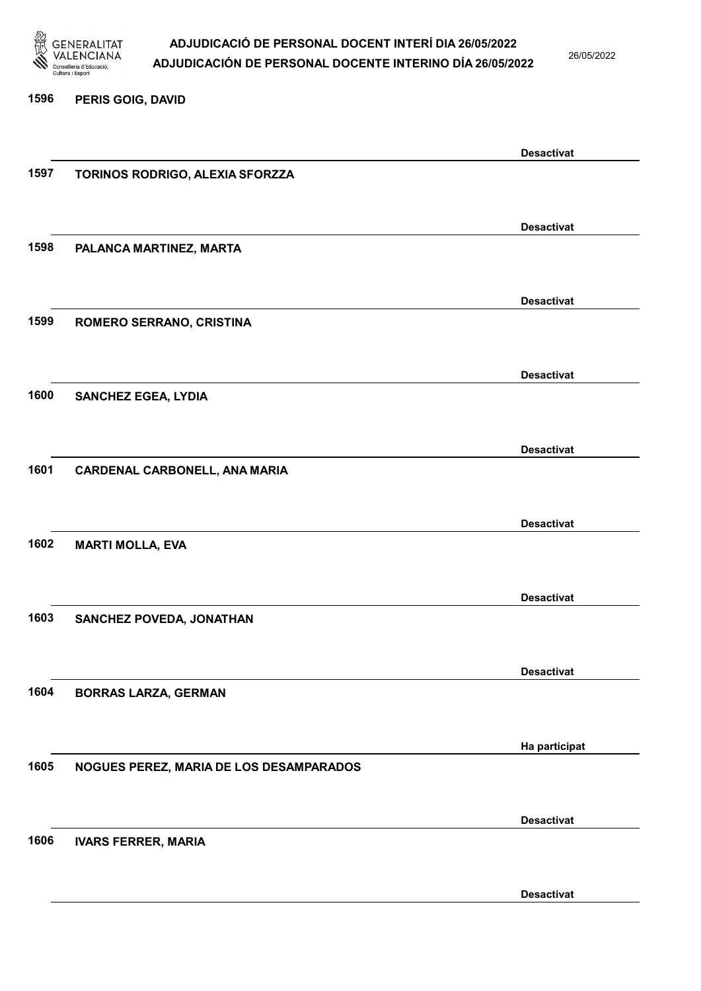

26/05/2022

### 1596 PERIS GOIG, DAVID

|      |                                         | <b>Desactivat</b> |
|------|-----------------------------------------|-------------------|
| 1597 | TORINOS RODRIGO, ALEXIA SFORZZA         |                   |
|      |                                         |                   |
|      |                                         |                   |
|      |                                         | <b>Desactivat</b> |
| 1598 | PALANCA MARTINEZ, MARTA                 |                   |
|      |                                         |                   |
|      |                                         | <b>Desactivat</b> |
| 1599 |                                         |                   |
|      | ROMERO SERRANO, CRISTINA                |                   |
|      |                                         |                   |
|      |                                         | <b>Desactivat</b> |
| 1600 | <b>SANCHEZ EGEA, LYDIA</b>              |                   |
|      |                                         |                   |
|      |                                         |                   |
|      |                                         | <b>Desactivat</b> |
| 1601 | <b>CARDENAL CARBONELL, ANA MARIA</b>    |                   |
|      |                                         |                   |
|      |                                         |                   |
|      |                                         | <b>Desactivat</b> |
| 1602 | <b>MARTI MOLLA, EVA</b>                 |                   |
|      |                                         |                   |
|      |                                         | <b>Desactivat</b> |
| 1603 | SANCHEZ POVEDA, JONATHAN                |                   |
|      |                                         |                   |
|      |                                         |                   |
|      |                                         | <b>Desactivat</b> |
| 1604 | <b>BORRAS LARZA, GERMAN</b>             |                   |
|      |                                         |                   |
|      |                                         |                   |
|      |                                         | Ha participat     |
| 1605 | NOGUES PEREZ, MARIA DE LOS DESAMPARADOS |                   |
|      |                                         |                   |
|      |                                         | <b>Desactivat</b> |
| 1606 | <b>IVARS FERRER, MARIA</b>              |                   |
|      |                                         |                   |
|      |                                         |                   |
|      |                                         | <b>Desactivat</b> |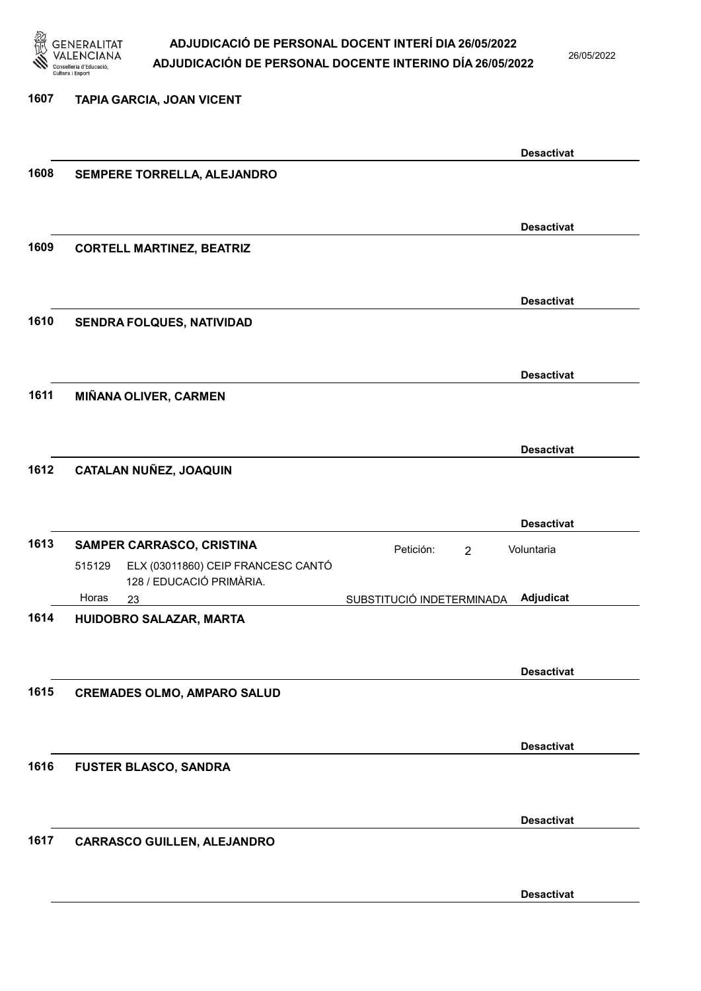

26/05/2022

| 1607 | TAPIA GARCIA, JOAN VICENT                                                |                                           |                   |
|------|--------------------------------------------------------------------------|-------------------------------------------|-------------------|
|      |                                                                          |                                           | <b>Desactivat</b> |
| 1608 | SEMPERE TORRELLA, ALEJANDRO                                              |                                           |                   |
|      |                                                                          |                                           |                   |
|      |                                                                          |                                           | <b>Desactivat</b> |
| 1609 | <b>CORTELL MARTINEZ, BEATRIZ</b>                                         |                                           |                   |
|      |                                                                          |                                           |                   |
| 1610 | SENDRA FOLQUES, NATIVIDAD                                                |                                           | <b>Desactivat</b> |
|      |                                                                          |                                           |                   |
|      |                                                                          |                                           | <b>Desactivat</b> |
| 1611 | MIÑANA OLIVER, CARMEN                                                    |                                           |                   |
|      |                                                                          |                                           |                   |
| 1612 | CATALAN NUÑEZ, JOAQUIN                                                   |                                           | <b>Desactivat</b> |
|      |                                                                          |                                           |                   |
|      |                                                                          |                                           | <b>Desactivat</b> |
| 1613 | SAMPER CARRASCO, CRISTINA                                                | Petición:<br>Voluntaria<br>$\overline{2}$ |                   |
|      | ELX (03011860) CEIP FRANCESC CANTÓ<br>515129<br>128 / EDUCACIÓ PRIMÀRIA. |                                           |                   |
|      | Horas<br>23                                                              | SUBSTITUCIÓ INDETERMINADA                 | Adjudicat         |
| 1614 | HUIDOBRO SALAZAR, MARTA                                                  |                                           |                   |
|      |                                                                          |                                           | <b>Desactivat</b> |
| 1615 | <b>CREMADES OLMO, AMPARO SALUD</b>                                       |                                           |                   |
|      |                                                                          |                                           |                   |
|      |                                                                          |                                           | <b>Desactivat</b> |
| 1616 | <b>FUSTER BLASCO, SANDRA</b>                                             |                                           |                   |
|      |                                                                          |                                           |                   |
| 1617 | <b>CARRASCO GUILLEN, ALEJANDRO</b>                                       |                                           | <b>Desactivat</b> |
|      |                                                                          |                                           |                   |
|      |                                                                          |                                           | <b>Desactivat</b> |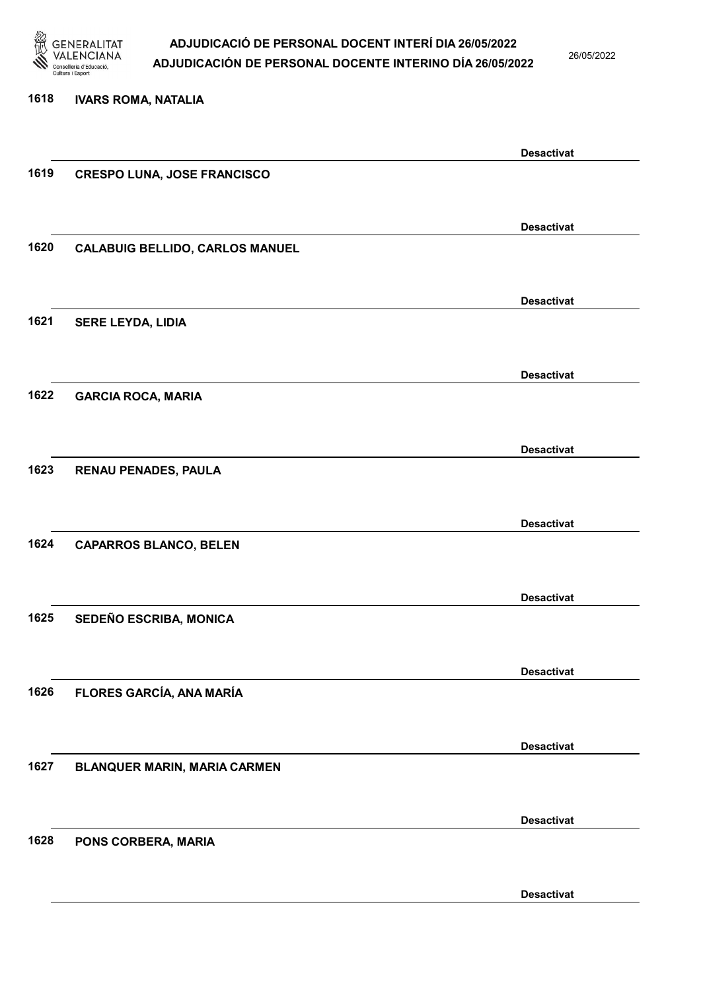

26/05/2022

### 1618 IVARS ROMA, NATALIA Desactivat 1619 CRESPO LUNA, JOSE FRANCISCO Desactivat 1620 CALABUIG BELLIDO, CARLOS MANUEL Desactivat 1621 SERE LEYDA, LIDIA Desactivat 1622 GARCIA ROCA, MARIA Desactivat 1623 RENAU PENADES, PAULA Desactivat 1624 CAPARROS BLANCO, BELEN Desactivat 1625 SEDEÑO ESCRIBA, MONICA Desactivat 1626 FLORES GARCÍA, ANA MARÍA Desactivat 1627 BLANQUER MARIN, MARIA CARMEN Desactivat 1628 PONS CORBERA, MARIA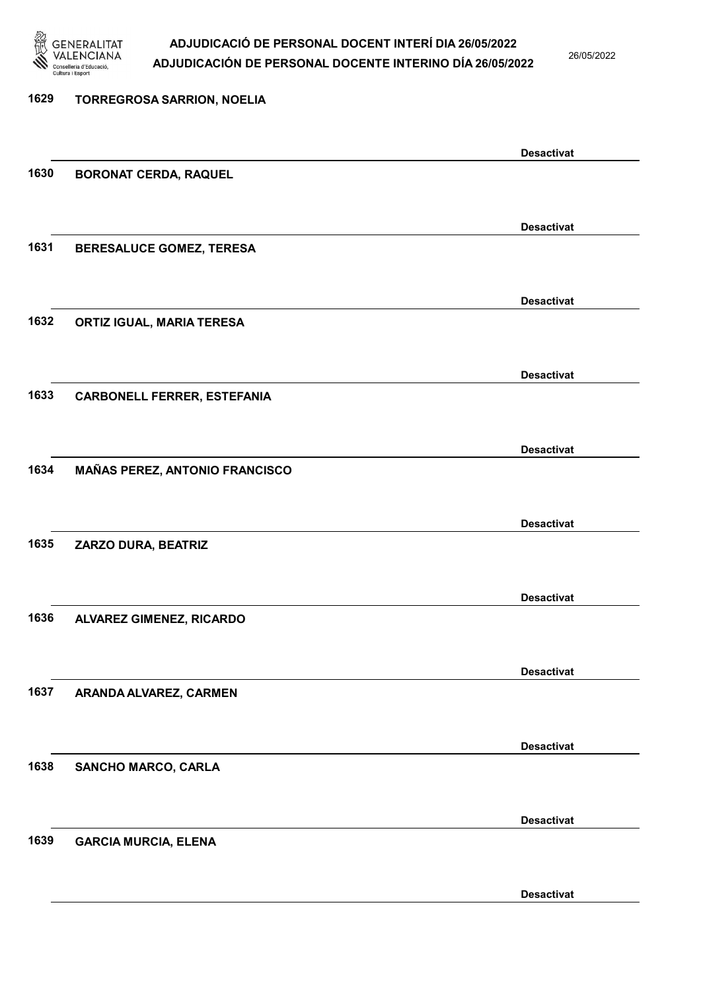

26/05/2022

| 1629 | <b>TORREGROSA SARRION, NOELIA</b>     |                   |
|------|---------------------------------------|-------------------|
|      |                                       |                   |
|      |                                       | <b>Desactivat</b> |
| 1630 | <b>BORONAT CERDA, RAQUEL</b>          |                   |
|      |                                       |                   |
|      |                                       | <b>Desactivat</b> |
| 1631 | <b>BERESALUCE GOMEZ, TERESA</b>       |                   |
|      |                                       |                   |
|      |                                       | <b>Desactivat</b> |
| 1632 | ORTIZ IGUAL, MARIA TERESA             |                   |
|      |                                       |                   |
|      |                                       | <b>Desactivat</b> |
| 1633 | <b>CARBONELL FERRER, ESTEFANIA</b>    |                   |
|      |                                       |                   |
| 1634 |                                       | <b>Desactivat</b> |
|      | <b>MAÑAS PEREZ, ANTONIO FRANCISCO</b> |                   |
|      |                                       |                   |
| 1635 | ZARZO DURA, BEATRIZ                   | <b>Desactivat</b> |
|      |                                       |                   |
|      |                                       | <b>Desactivat</b> |
| 1636 | ALVAREZ GIMENEZ, RICARDO              |                   |
|      |                                       |                   |
|      |                                       | <b>Desactivat</b> |
| 1637 | ARANDA ALVAREZ, CARMEN                |                   |
|      |                                       |                   |
|      |                                       | <b>Desactivat</b> |
| 1638 | <b>SANCHO MARCO, CARLA</b>            |                   |
|      |                                       |                   |
|      |                                       | <b>Desactivat</b> |
| 1639 | <b>GARCIA MURCIA, ELENA</b>           |                   |
|      |                                       |                   |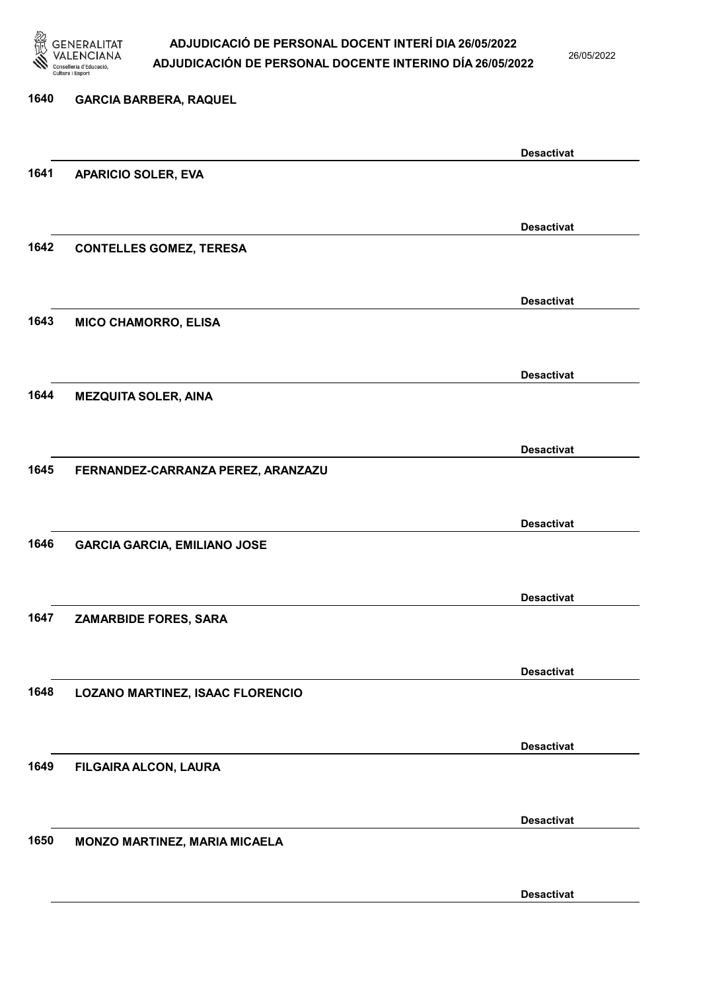

26/05/2022

| 1640 | <b>GARCIA BARBERA, RAQUEL</b>       |                   |
|------|-------------------------------------|-------------------|
|      |                                     | <b>Desactivat</b> |
| 1641 | <b>APARICIO SOLER, EVA</b>          |                   |
|      |                                     | <b>Desactivat</b> |
| 1642 | <b>CONTELLES GOMEZ, TERESA</b>      |                   |
|      |                                     | <b>Desactivat</b> |
| 1643 | <b>MICO CHAMORRO, ELISA</b>         |                   |
|      |                                     | <b>Desactivat</b> |
| 1644 | <b>MEZQUITA SOLER, AINA</b>         |                   |
|      |                                     |                   |
|      |                                     | <b>Desactivat</b> |
| 1645 | FERNANDEZ-CARRANZA PEREZ, ARANZAZU  |                   |
|      |                                     |                   |
| 1646 |                                     | <b>Desactivat</b> |
|      | <b>GARCIA GARCIA, EMILIANO JOSE</b> |                   |
|      |                                     | <b>Desactivat</b> |
| 1647 | ZAMARBIDE FORES, SARA               |                   |
|      |                                     |                   |
|      |                                     | <b>Desactivat</b> |
| 1648 | LOZANO MARTINEZ, ISAAC FLORENCIO    |                   |
|      |                                     |                   |
|      |                                     | <b>Desactivat</b> |
| 1649 | FILGAIRA ALCON, LAURA               |                   |
|      |                                     |                   |
| 1650 | MONZO MARTINEZ, MARIA MICAELA       | <b>Desactivat</b> |
|      |                                     |                   |
|      |                                     |                   |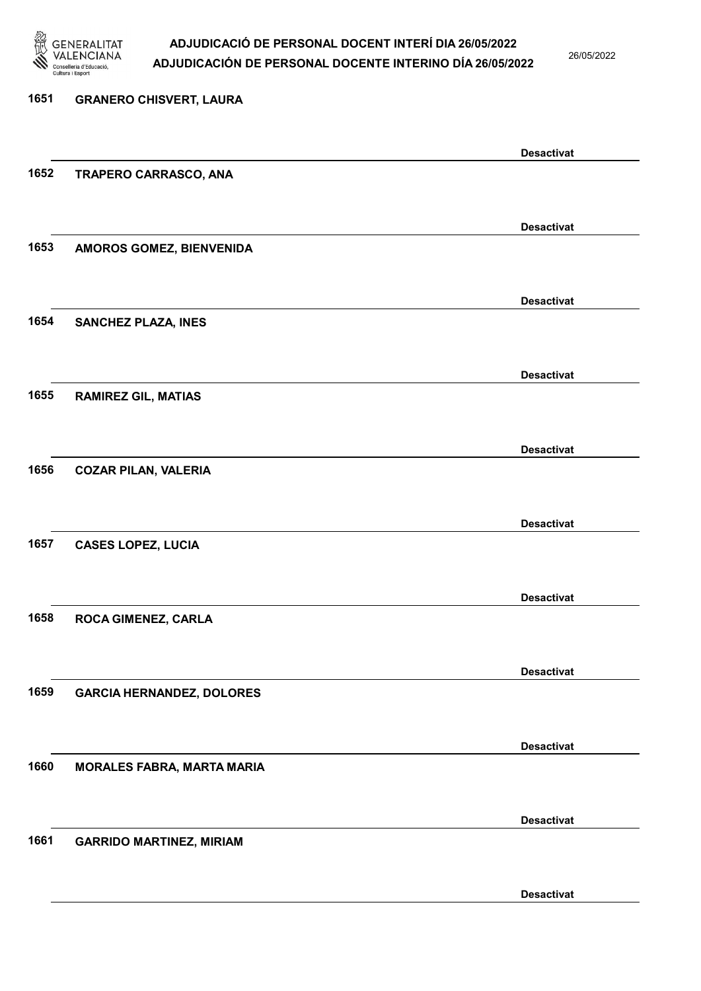

26/05/2022

Desactivat

# 1651 GRANERO CHISVERT, LAURA Desactivat 1652 TRAPERO CARRASCO, ANA Desactivat 1653 AMOROS GOMEZ, BIENVENIDA Desactivat 1654 SANCHEZ PLAZA, INES Desactivat 1655 RAMIREZ GIL, MATIAS Desactivat 1656 COZAR PILAN, VALERIA Desactivat 1657 CASES LOPEZ, LUCIA Desactivat 1658 ROCA GIMENEZ, CARLA Desactivat 1659 GARCIA HERNANDEZ, DOLORES Desactivat 1660 MORALES FABRA, MARTA MARIA Desactivat 1661 GARRIDO MARTINEZ, MIRIAM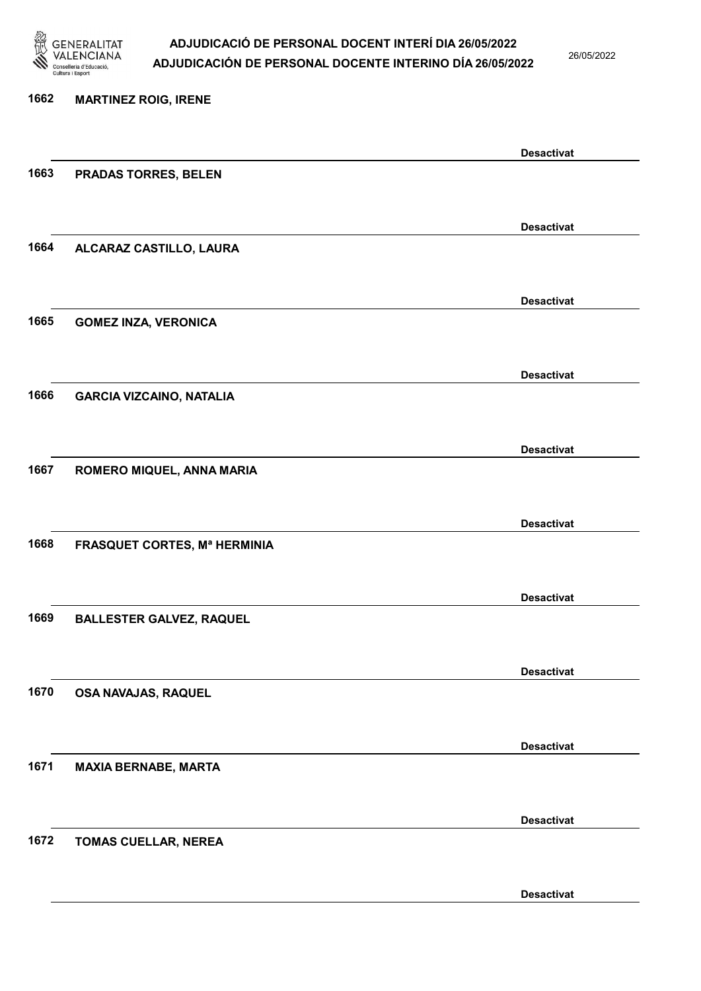

26/05/2022

Desactivat

# 1662 MARTINEZ ROIG, IRENE Desactivat 1663 PRADAS TORRES, BELEN Desactivat 1664 ALCARAZ CASTILLO, LAURA Desactivat 1665 GOMEZ INZA, VERONICA Desactivat 1666 GARCIA VIZCAINO, NATALIA Desactivat 1667 ROMERO MIQUEL, ANNA MARIA Desactivat 1668 FRASQUET CORTES, Mª HERMINIA Desactivat 1669 BALLESTER GALVEZ, RAQUEL Desactivat 1670 OSA NAVAJAS, RAQUEL Desactivat 1671 MAXIA BERNABE, MARTA Desactivat 1672 TOMAS CUELLAR, NEREA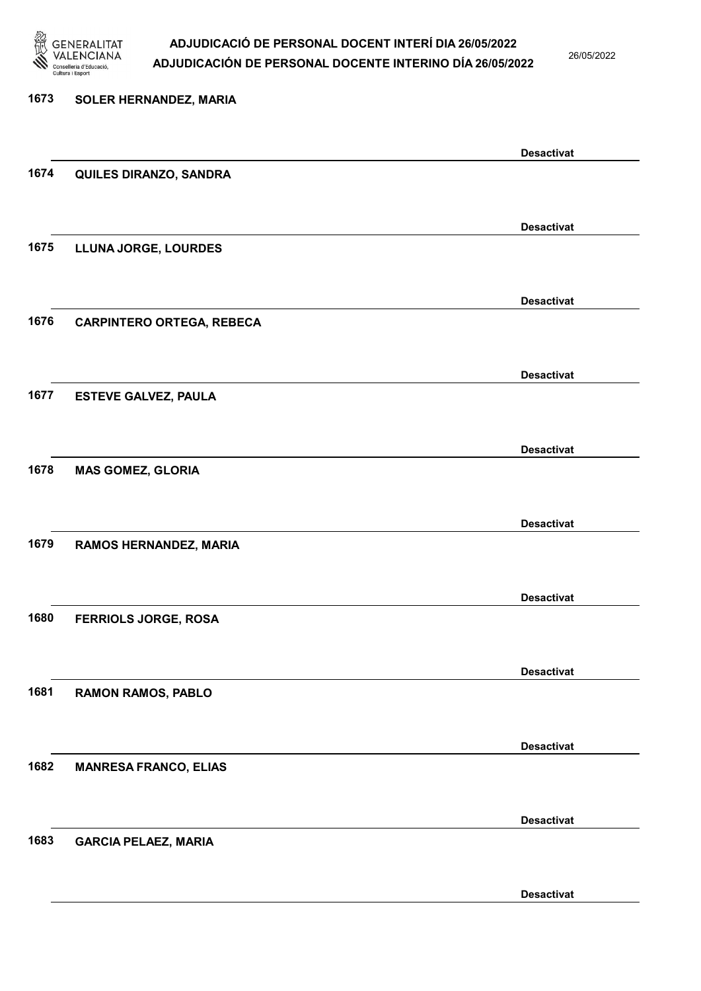

26/05/2022

### 1673 SOLER HERNANDEZ, MARIA Desactivat 1674 QUILES DIRANZO, SANDRA Desactivat 1675 LLUNA JORGE, LOURDES Desactivat 1676 CARPINTERO ORTEGA, REBECA Desactivat 1677 ESTEVE GALVEZ, PAULA Desactivat 1678 MAS GOMEZ, GLORIA Desactivat 1679 RAMOS HERNANDEZ, MARIA Desactivat 1680 FERRIOLS JORGE, ROSA Desactivat 1681 RAMON RAMOS, PABLO Desactivat 1682 MANRESA FRANCO, ELIAS Desactivat 1683 GARCIA PELAEZ, MARIA Desactivat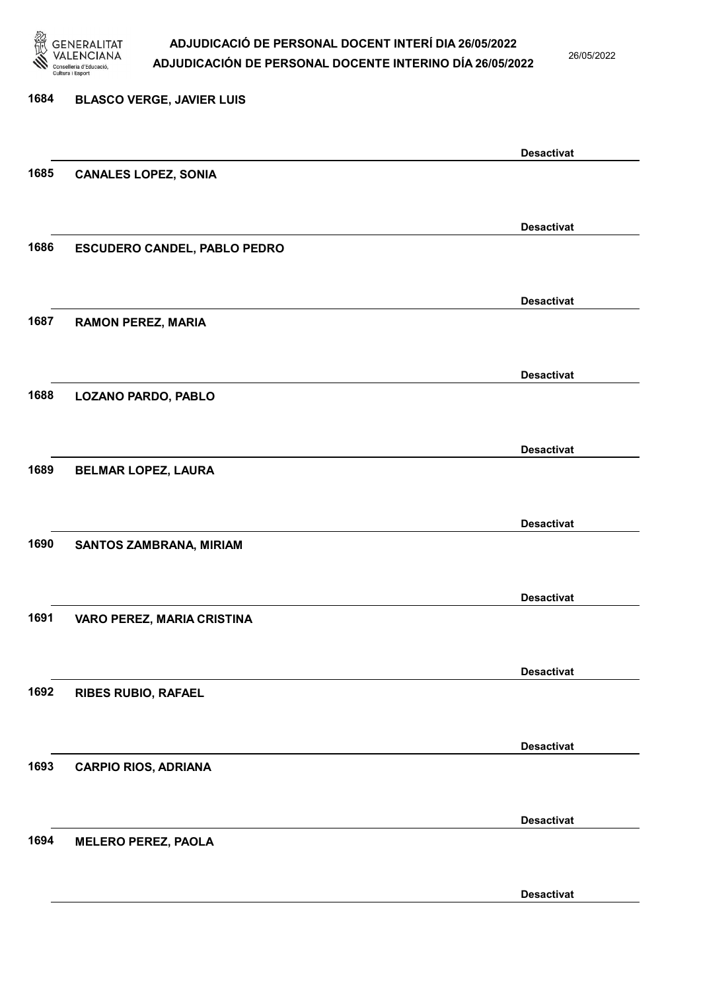

26/05/2022

| 1684 | <b>BLASCO VERGE, JAVIER LUIS</b>    |                   |
|------|-------------------------------------|-------------------|
|      |                                     | <b>Desactivat</b> |
| 1685 | <b>CANALES LOPEZ, SONIA</b>         |                   |
|      |                                     |                   |
|      |                                     | <b>Desactivat</b> |
| 1686 | <b>ESCUDERO CANDEL, PABLO PEDRO</b> |                   |
|      |                                     | <b>Desactivat</b> |
| 1687 | <b>RAMON PEREZ, MARIA</b>           |                   |
|      |                                     |                   |
|      |                                     | <b>Desactivat</b> |
| 1688 | <b>LOZANO PARDO, PABLO</b>          |                   |
|      |                                     | <b>Desactivat</b> |
| 1689 | <b>BELMAR LOPEZ, LAURA</b>          |                   |
|      |                                     |                   |
|      |                                     | <b>Desactivat</b> |
| 1690 | SANTOS ZAMBRANA, MIRIAM             |                   |
|      |                                     |                   |
|      |                                     | <b>Desactivat</b> |
| 1691 | VARO PEREZ, MARIA CRISTINA          |                   |
|      |                                     |                   |
|      |                                     | <b>Desactivat</b> |
| 1692 | <b>RIBES RUBIO, RAFAEL</b>          |                   |
|      |                                     |                   |
|      |                                     | <b>Desactivat</b> |
| 1693 | <b>CARPIO RIOS, ADRIANA</b>         |                   |
|      |                                     | <b>Desactivat</b> |
| 1694 | <b>MELERO PEREZ, PAOLA</b>          |                   |
|      |                                     |                   |
|      |                                     |                   |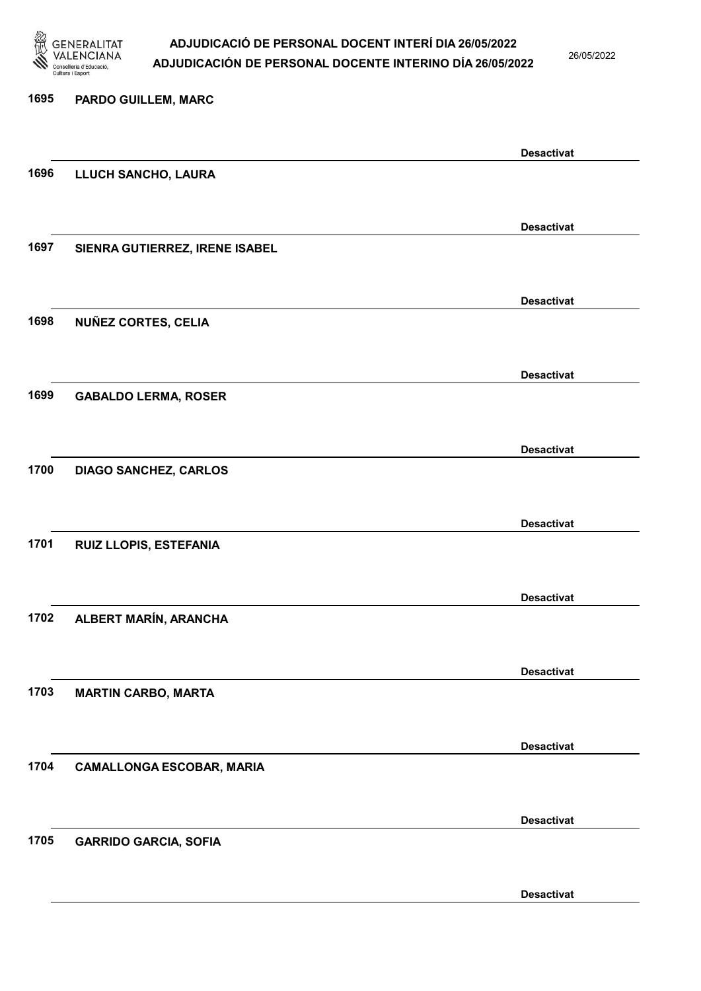

26/05/2022

### 1695 PARDO GUILLEM, MARC Desactivat 1696 LLUCH SANCHO, LAURA Desactivat 1697 SIENRA GUTIERREZ, IRENE ISABEL Desactivat 1698 NUÑEZ CORTES, CELIA Desactivat 1699 GABALDO LERMA, ROSER Desactivat 1700 DIAGO SANCHEZ, CARLOS Desactivat 1701 RUIZ LLOPIS, ESTEFANIA Desactivat 1702 ALBERT MARÍN, ARANCHA Desactivat 1703 MARTIN CARBO, MARTA Desactivat 1704 CAMALLONGA ESCOBAR, MARIA Desactivat 1705 GARRIDO GARCIA, SOFIA Desactivat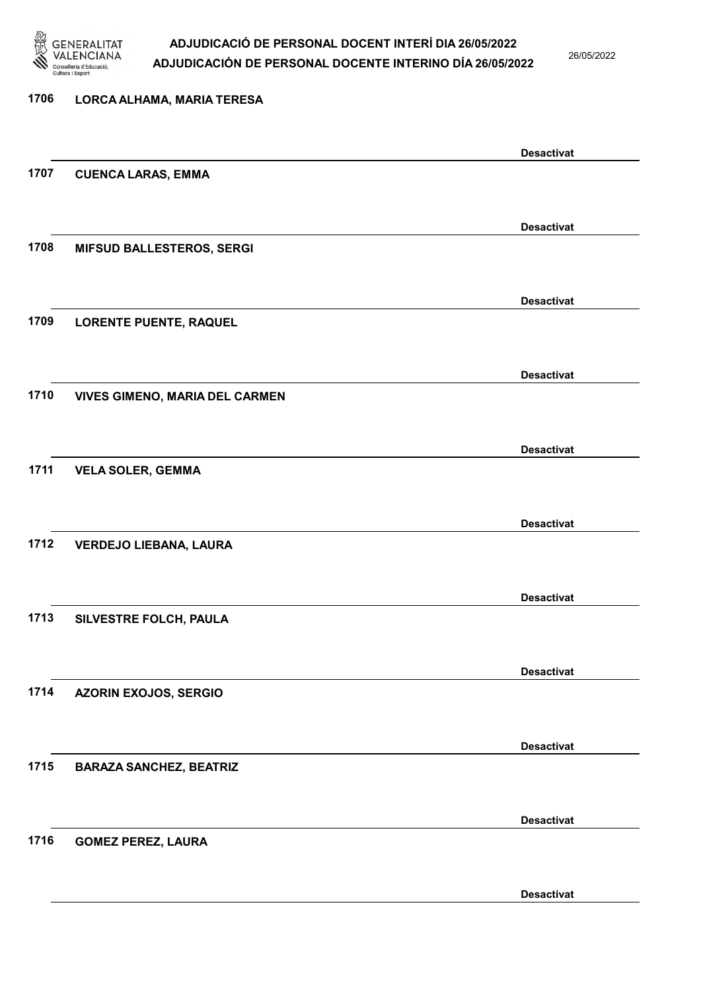

26/05/2022

#### 1706 LORCA ALHAMA, MARIA TERESA

|      |                                       | <b>Desactivat</b> |
|------|---------------------------------------|-------------------|
| 1707 | <b>CUENCA LARAS, EMMA</b>             |                   |
|      |                                       |                   |
|      |                                       |                   |
|      |                                       | <b>Desactivat</b> |
| 1708 | <b>MIFSUD BALLESTEROS, SERGI</b>      |                   |
|      |                                       |                   |
|      |                                       | <b>Desactivat</b> |
| 1709 | <b>LORENTE PUENTE, RAQUEL</b>         |                   |
|      |                                       |                   |
|      |                                       |                   |
|      |                                       | <b>Desactivat</b> |
| 1710 | <b>VIVES GIMENO, MARIA DEL CARMEN</b> |                   |
|      |                                       |                   |
|      |                                       | <b>Desactivat</b> |
| 1711 | <b>VELA SOLER, GEMMA</b>              |                   |
|      |                                       |                   |
|      |                                       |                   |
|      |                                       | <b>Desactivat</b> |
| 1712 | <b>VERDEJO LIEBANA, LAURA</b>         |                   |
|      |                                       |                   |
|      |                                       | <b>Desactivat</b> |
| 1713 | SILVESTRE FOLCH, PAULA                |                   |
|      |                                       |                   |
|      |                                       |                   |
|      |                                       | <b>Desactivat</b> |
| 1714 | <b>AZORIN EXOJOS, SERGIO</b>          |                   |
|      |                                       |                   |
|      |                                       | <b>Desactivat</b> |
| 1715 | <b>BARAZA SANCHEZ, BEATRIZ</b>        |                   |
|      |                                       |                   |
|      |                                       |                   |
|      |                                       | <b>Desactivat</b> |
| 1716 | <b>GOMEZ PEREZ, LAURA</b>             |                   |
|      |                                       |                   |
|      |                                       |                   |
|      |                                       | <b>Desactivat</b> |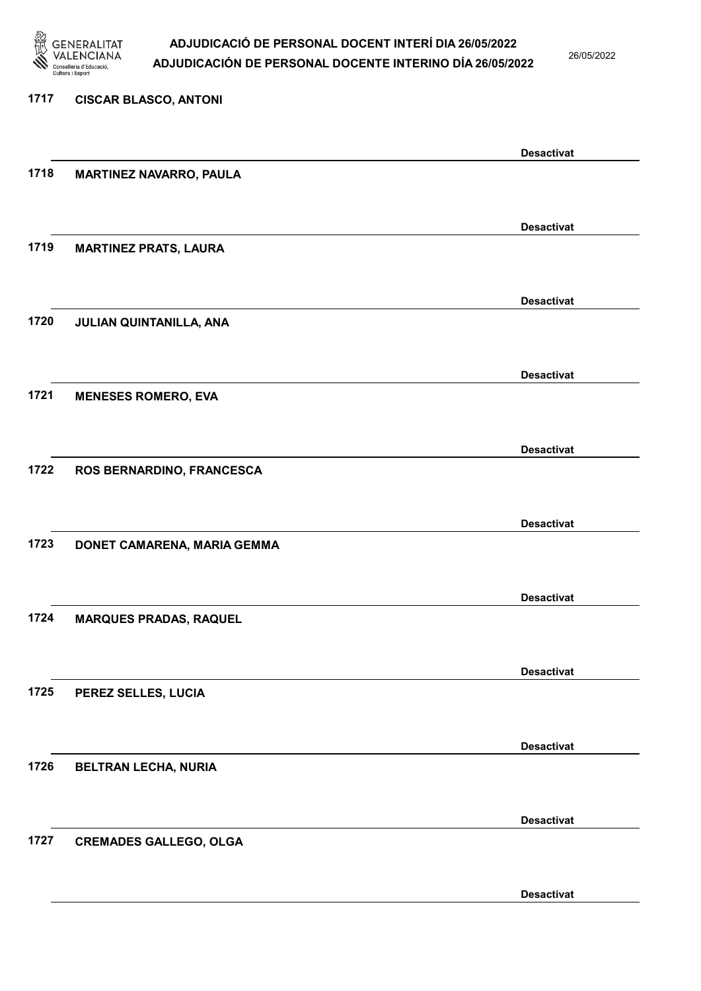

26/05/2022

Desactivat

# 1717 CISCAR BLASCO, ANTONI Desactivat 1718 MARTINEZ NAVARRO, PAULA Desactivat 1719 MARTINEZ PRATS, LAURA Desactivat 1720 JULIAN QUINTANILLA, ANA Desactivat 1721 MENESES ROMERO, EVA Desactivat 1722 ROS BERNARDINO, FRANCESCA Desactivat 1723 DONET CAMARENA, MARIA GEMMA Desactivat 1724 MARQUES PRADAS, RAQUEL Desactivat 1725 PEREZ SELLES, LUCIA Desactivat 1726 BELTRAN LECHA, NURIA Desactivat 1727 CREMADES GALLEGO, OLGA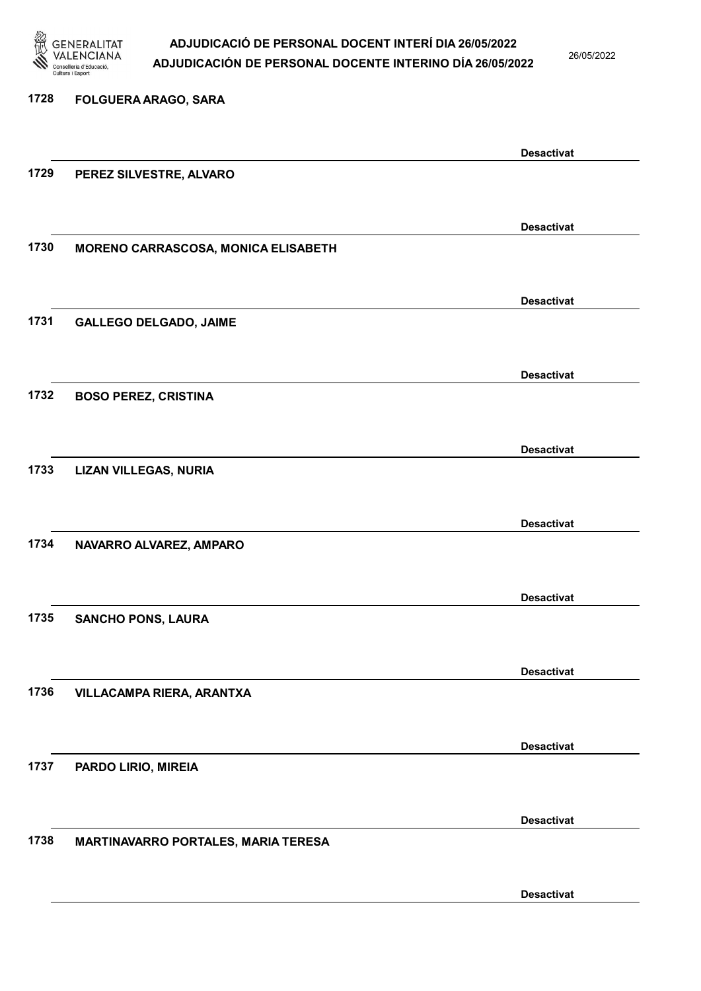

26/05/2022

#### 1728 FOLGUERA ARAGO, SARA

|      |                                     | <b>Desactivat</b> |
|------|-------------------------------------|-------------------|
| 1729 | PEREZ SILVESTRE, ALVARO             |                   |
|      |                                     |                   |
|      |                                     | <b>Desactivat</b> |
| 1730 | MORENO CARRASCOSA, MONICA ELISABETH |                   |
|      |                                     |                   |
|      |                                     | <b>Desactivat</b> |
| 1731 | <b>GALLEGO DELGADO, JAIME</b>       |                   |
|      |                                     |                   |
|      |                                     | <b>Desactivat</b> |
| 1732 | <b>BOSO PEREZ, CRISTINA</b>         |                   |
|      |                                     |                   |
|      |                                     | <b>Desactivat</b> |
| 1733 | <b>LIZAN VILLEGAS, NURIA</b>        |                   |
|      |                                     |                   |
|      |                                     | <b>Desactivat</b> |
| 1734 | NAVARRO ALVAREZ, AMPARO             |                   |
|      |                                     |                   |
|      |                                     | <b>Desactivat</b> |
| 1735 | <b>SANCHO PONS, LAURA</b>           |                   |
|      |                                     |                   |
|      |                                     | <b>Desactivat</b> |
| 1736 | VILLACAMPA RIERA, ARANTXA           |                   |
|      |                                     |                   |
|      |                                     | <b>Desactivat</b> |
| 1737 | PARDO LIRIO, MIREIA                 |                   |
|      |                                     |                   |
|      |                                     |                   |
| 1738 | MARTINAVARRO PORTALES, MARIA TERESA | <b>Desactivat</b> |
|      |                                     |                   |
|      |                                     |                   |
|      |                                     | <b>Desactivat</b> |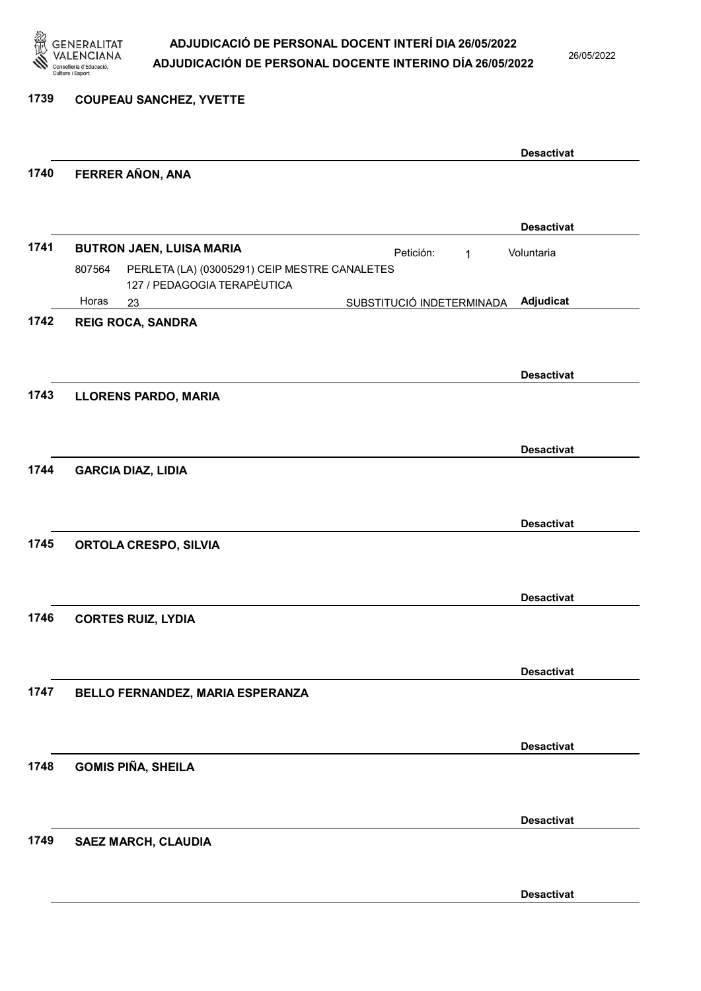

26/05/2022

#### 1739 COUPEAU SANCHEZ, YVETTE

|      |                                                                                            |                           |   | <b>Desactivat</b> |
|------|--------------------------------------------------------------------------------------------|---------------------------|---|-------------------|
| 1740 | FERRER AÑON, ANA                                                                           |                           |   |                   |
|      |                                                                                            |                           |   | <b>Desactivat</b> |
| 1741 | <b>BUTRON JAEN, LUISA MARIA</b><br>PERLETA (LA) (03005291) CEIP MESTRE CANALETES<br>807564 | Petición:                 | 1 | Voluntaria        |
|      | 127 / PEDAGOGIA TERAPÈUTICA<br>Horas<br>23                                                 | SUBSTITUCIÓ INDETERMINADA |   | Adjudicat         |
| 1742 | <b>REIG ROCA, SANDRA</b>                                                                   |                           |   |                   |
|      |                                                                                            |                           |   | <b>Desactivat</b> |
| 1743 | <b>LLORENS PARDO, MARIA</b>                                                                |                           |   |                   |
|      |                                                                                            |                           |   | <b>Desactivat</b> |
| 1744 | <b>GARCIA DIAZ, LIDIA</b>                                                                  |                           |   |                   |
|      |                                                                                            |                           |   | <b>Desactivat</b> |
| 1745 | <b>ORTOLA CRESPO, SILVIA</b>                                                               |                           |   |                   |
|      |                                                                                            |                           |   | <b>Desactivat</b> |
| 1746 | <b>CORTES RUIZ, LYDIA</b>                                                                  |                           |   |                   |
|      |                                                                                            |                           |   | <b>Desactivat</b> |
| 1747 | BELLO FERNANDEZ, MARIA ESPERANZA                                                           |                           |   |                   |
|      |                                                                                            |                           |   | <b>Desactivat</b> |
| 1748 | <b>GOMIS PIÑA, SHEILA</b>                                                                  |                           |   |                   |
|      |                                                                                            |                           |   | <b>Desactivat</b> |
| 1749 | <b>SAEZ MARCH, CLAUDIA</b>                                                                 |                           |   |                   |
|      |                                                                                            |                           |   | <b>Desactivat</b> |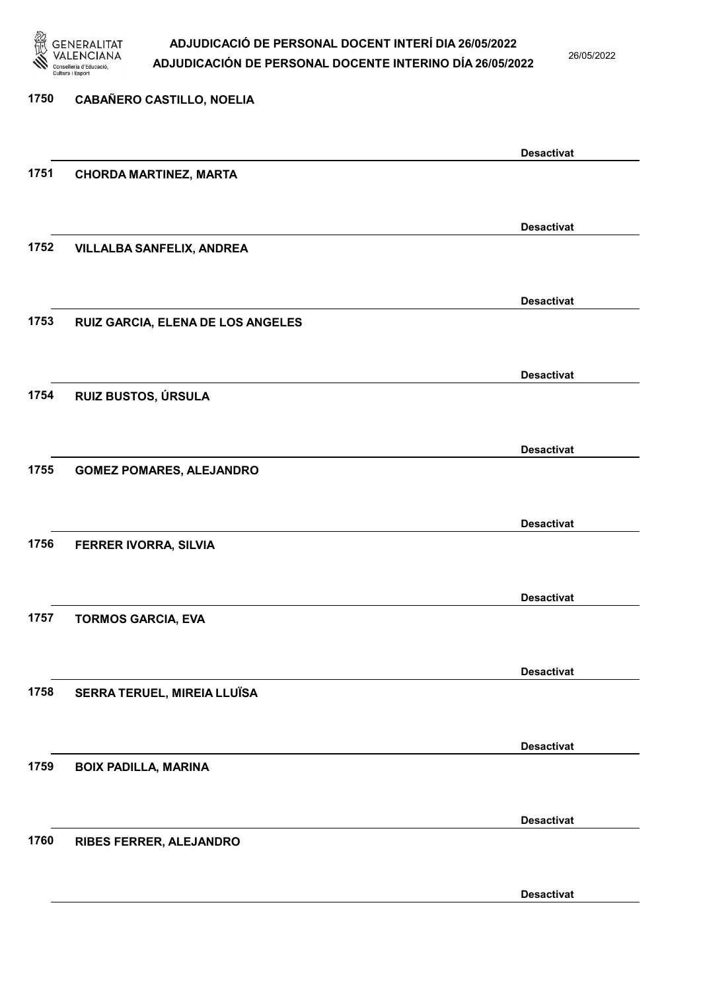

26/05/2022

| <b>Desactivat</b><br>1751<br><b>CHORDA MARTINEZ, MARTA</b><br><b>Desactivat</b><br>1752<br><b>VILLALBA SANFELIX, ANDREA</b><br><b>Desactivat</b><br>1753<br>RUIZ GARCIA, ELENA DE LOS ANGELES<br><b>Desactivat</b><br>1754<br>RUIZ BUSTOS, ÚRSULA<br><b>Desactivat</b><br>1755<br><b>GOMEZ POMARES, ALEJANDRO</b><br><b>Desactivat</b><br>1756<br>FERRER IVORRA, SILVIA<br><b>Desactivat</b><br>1757<br><b>TORMOS GARCIA, EVA</b><br><b>Desactivat</b><br>SERRA TERUEL, MIREIA LLUÏSA<br>1758 | 1750 | <b>CABAÑERO CASTILLO, NOELIA</b> |                   |
|-----------------------------------------------------------------------------------------------------------------------------------------------------------------------------------------------------------------------------------------------------------------------------------------------------------------------------------------------------------------------------------------------------------------------------------------------------------------------------------------------|------|----------------------------------|-------------------|
|                                                                                                                                                                                                                                                                                                                                                                                                                                                                                               |      |                                  |                   |
|                                                                                                                                                                                                                                                                                                                                                                                                                                                                                               |      |                                  |                   |
|                                                                                                                                                                                                                                                                                                                                                                                                                                                                                               |      |                                  |                   |
|                                                                                                                                                                                                                                                                                                                                                                                                                                                                                               |      |                                  |                   |
|                                                                                                                                                                                                                                                                                                                                                                                                                                                                                               |      |                                  |                   |
|                                                                                                                                                                                                                                                                                                                                                                                                                                                                                               |      |                                  |                   |
|                                                                                                                                                                                                                                                                                                                                                                                                                                                                                               |      |                                  |                   |
|                                                                                                                                                                                                                                                                                                                                                                                                                                                                                               |      |                                  |                   |
|                                                                                                                                                                                                                                                                                                                                                                                                                                                                                               |      |                                  |                   |
|                                                                                                                                                                                                                                                                                                                                                                                                                                                                                               |      |                                  |                   |
|                                                                                                                                                                                                                                                                                                                                                                                                                                                                                               |      |                                  |                   |
|                                                                                                                                                                                                                                                                                                                                                                                                                                                                                               |      |                                  |                   |
|                                                                                                                                                                                                                                                                                                                                                                                                                                                                                               |      |                                  |                   |
|                                                                                                                                                                                                                                                                                                                                                                                                                                                                                               |      |                                  |                   |
|                                                                                                                                                                                                                                                                                                                                                                                                                                                                                               |      |                                  |                   |
|                                                                                                                                                                                                                                                                                                                                                                                                                                                                                               |      |                                  |                   |
|                                                                                                                                                                                                                                                                                                                                                                                                                                                                                               |      |                                  |                   |
|                                                                                                                                                                                                                                                                                                                                                                                                                                                                                               |      |                                  |                   |
|                                                                                                                                                                                                                                                                                                                                                                                                                                                                                               |      |                                  |                   |
|                                                                                                                                                                                                                                                                                                                                                                                                                                                                                               |      |                                  |                   |
|                                                                                                                                                                                                                                                                                                                                                                                                                                                                                               |      |                                  |                   |
|                                                                                                                                                                                                                                                                                                                                                                                                                                                                                               |      |                                  |                   |
|                                                                                                                                                                                                                                                                                                                                                                                                                                                                                               |      |                                  |                   |
|                                                                                                                                                                                                                                                                                                                                                                                                                                                                                               |      |                                  |                   |
|                                                                                                                                                                                                                                                                                                                                                                                                                                                                                               |      |                                  | <b>Desactivat</b> |
| 1759<br><b>BOIX PADILLA, MARINA</b>                                                                                                                                                                                                                                                                                                                                                                                                                                                           |      |                                  |                   |
|                                                                                                                                                                                                                                                                                                                                                                                                                                                                                               |      |                                  |                   |
| <b>Desactivat</b>                                                                                                                                                                                                                                                                                                                                                                                                                                                                             |      |                                  |                   |
| 1760<br>RIBES FERRER, ALEJANDRO                                                                                                                                                                                                                                                                                                                                                                                                                                                               |      |                                  |                   |
|                                                                                                                                                                                                                                                                                                                                                                                                                                                                                               |      |                                  |                   |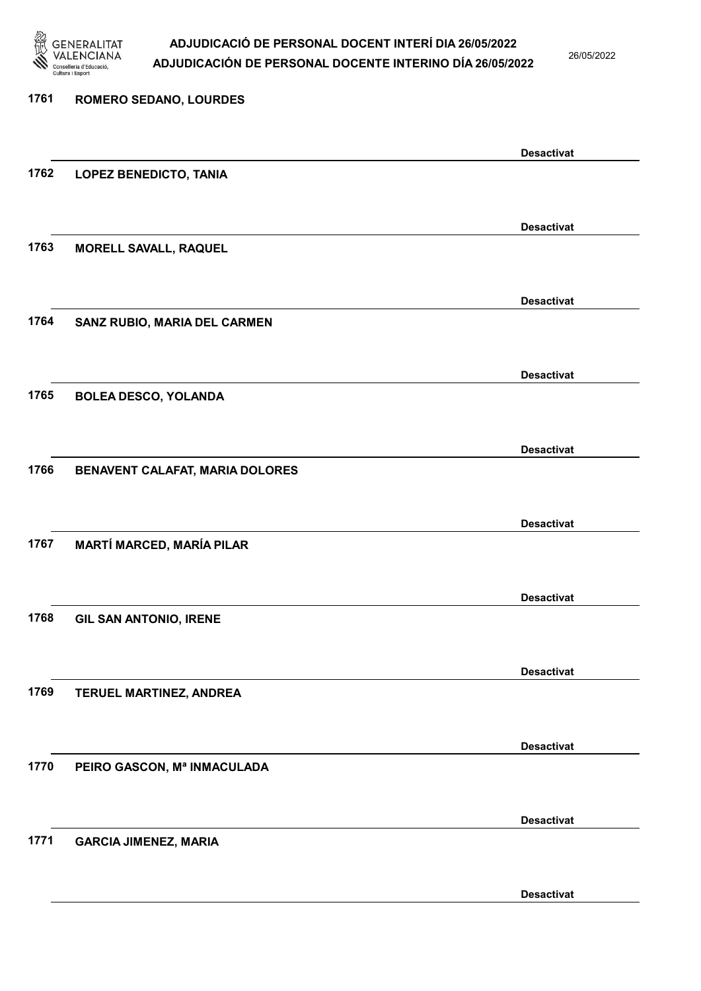

26/05/2022

Desactivat

# 1761 ROMERO SEDANO, LOURDES Desactivat 1762 LOPEZ BENEDICTO, TANIA Desactivat 1763 MORELL SAVALL, RAQUEL Desactivat 1764 SANZ RUBIO, MARIA DEL CARMEN Desactivat 1765 BOLEA DESCO, YOLANDA Desactivat 1766 BENAVENT CALAFAT, MARIA DOLORES Desactivat 1767 MARTÍ MARCED, MARÍA PILAR Desactivat 1768 GIL SAN ANTONIO, IRENE Desactivat 1769 TERUEL MARTINEZ, ANDREA Desactivat 1770 PEIRO GASCON, Mª INMACULADA Desactivat 1771 GARCIA JIMENEZ, MARIA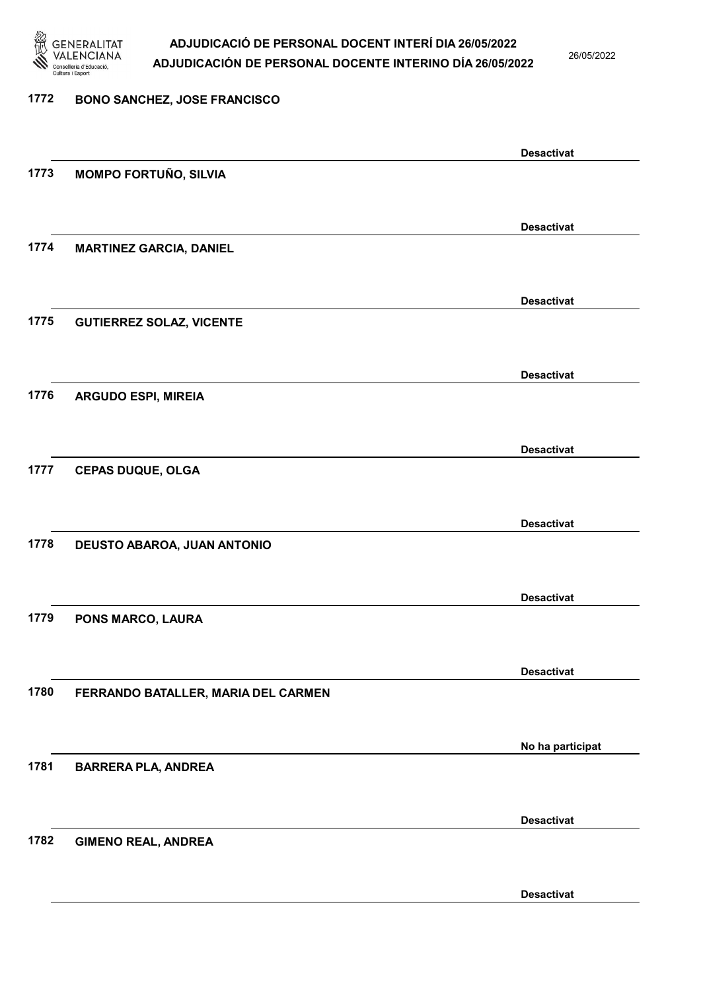

1772 BONO SANCHEZ, JOSE FRANCISCO

### ADJUDICACIÓ DE PERSONAL DOCENT INTERÍ DIA 26/05/2022 ADJUDICACIÓN DE PERSONAL DOCENTE INTERINO DÍA 26/05/2022

26/05/2022

# Desactivat 1773 MOMPO FORTUÑO, SILVIA Desactivat 1774 MARTINEZ GARCIA, DANIEL Desactivat 1775 GUTIERREZ SOLAZ, VICENTE Desactivat 1776 ARGUDO ESPI, MIREIA Desactivat 1777 CEPAS DUQUE, OLGA Desactivat 1778 DEUSTO ABAROA, JUAN ANTONIO Desactivat 1779 PONS MARCO, LAURA Desactivat 1780 FERRANDO BATALLER, MARIA DEL CARMEN No ha participat 1781 BARRERA PLA, ANDREA Desactivat 1782 GIMENO REAL, ANDREA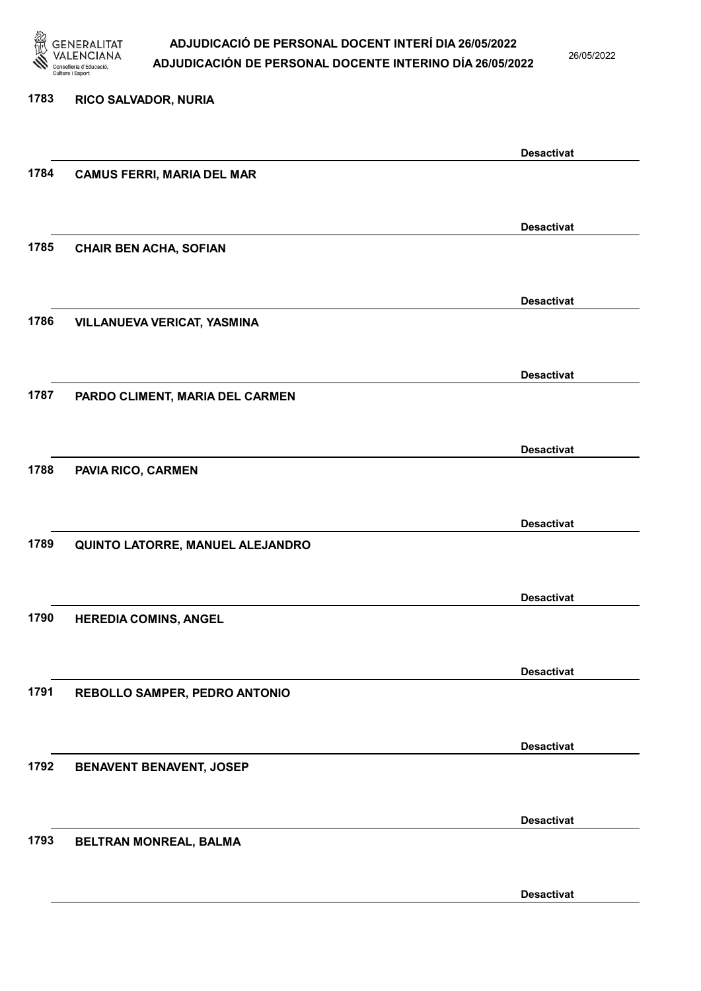

26/05/2022

# 1783 RICO SALVADOR, NURIA Desactivat 1784 CAMUS FERRI, MARIA DEL MAR Desactivat 1785 CHAIR BEN ACHA, SOFIAN Desactivat 1786 VILLANUEVA VERICAT, YASMINA Desactivat 1787 PARDO CLIMENT, MARIA DEL CARMEN Desactivat 1788 PAVIA RICO, CARMEN Desactivat 1789 QUINTO LATORRE, MANUEL ALEJANDRO Desactivat 1790 HEREDIA COMINS, ANGEL Desactivat 1791 REBOLLO SAMPER, PEDRO ANTONIO Desactivat 1792 BENAVENT BENAVENT, JOSEP Desactivat 1793 BELTRAN MONREAL, BALMA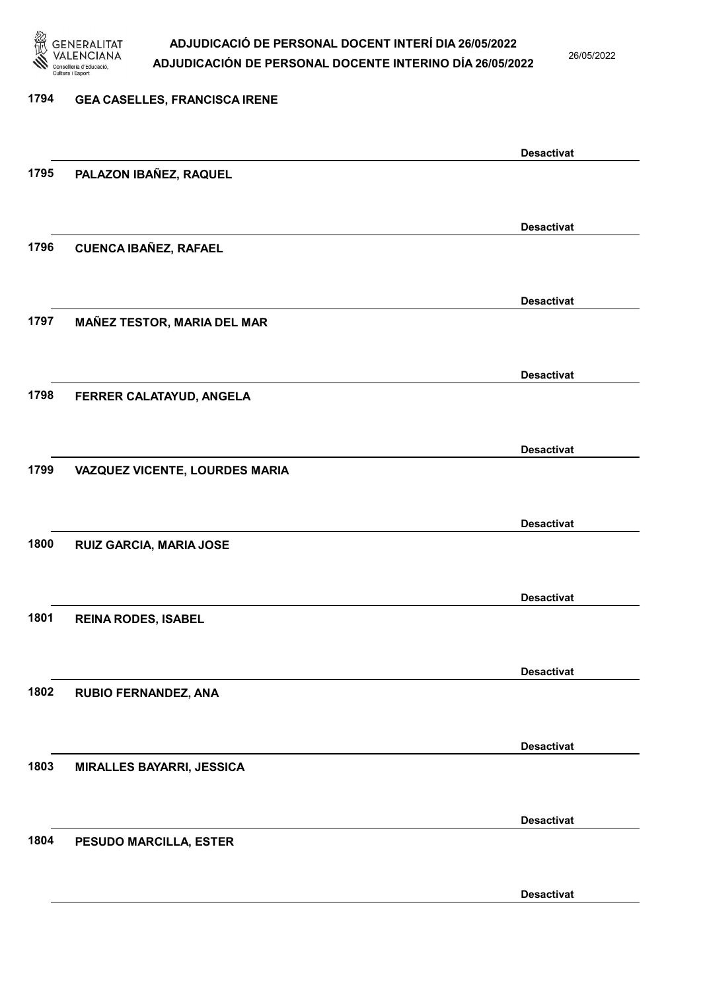

26/05/2022

Desactivat

# 1794 GEA CASELLES, FRANCISCA IRENE Desactivat 1795 PALAZON IBAÑEZ, RAQUEL Desactivat 1796 CUENCA IBAÑEZ, RAFAEL Desactivat 1797 MAÑEZ TESTOR, MARIA DEL MAR Desactivat 1798 FERRER CALATAYUD, ANGELA Desactivat 1799 VAZQUEZ VICENTE, LOURDES MARIA Desactivat 1800 RUIZ GARCIA, MARIA JOSE Desactivat 1801 REINA RODES, ISABEL Desactivat 1802 RUBIO FERNANDEZ, ANA Desactivat 1803 MIRALLES BAYARRI, JESSICA Desactivat 1804 PESUDO MARCILLA, ESTER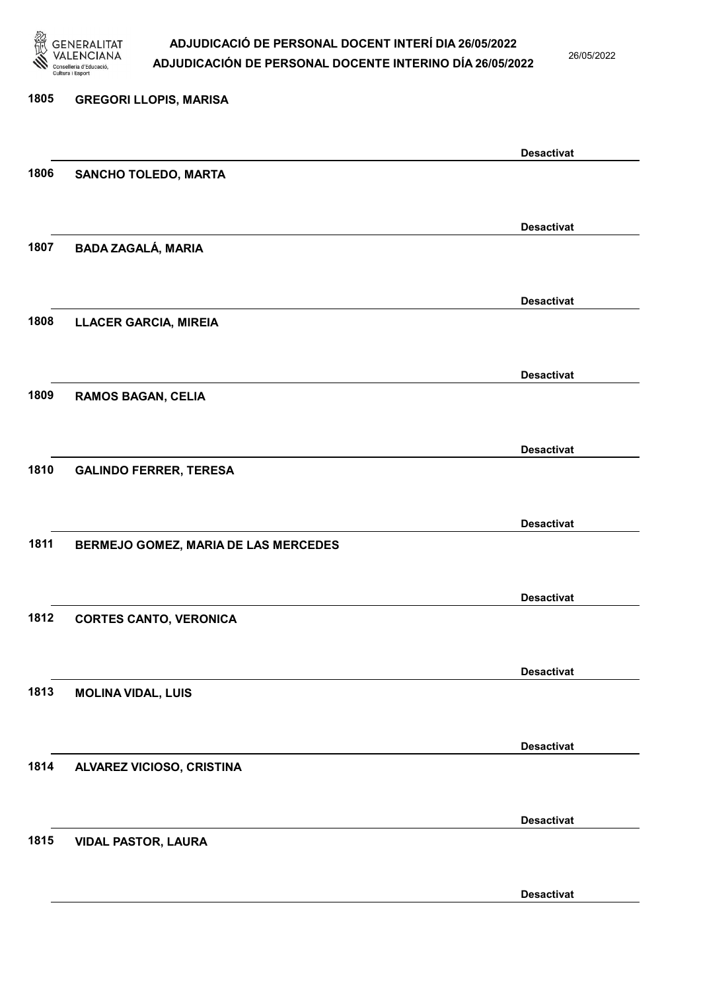

26/05/2022

Desactivat

# 1805 GREGORI LLOPIS, MARISA Desactivat 1806 SANCHO TOLEDO, MARTA Desactivat 1807 BADA ZAGALÁ, MARIA Desactivat 1808 LLACER GARCIA, MIREIA Desactivat 1809 RAMOS BAGAN, CELIA Desactivat 1810 GALINDO FERRER, TERESA Desactivat 1811 BERMEJO GOMEZ, MARIA DE LAS MERCEDES Desactivat 1812 CORTES CANTO, VERONICA Desactivat 1813 MOLINA VIDAL, LUIS Desactivat 1814 ALVAREZ VICIOSO, CRISTINA Desactivat 1815 VIDAL PASTOR, LAURA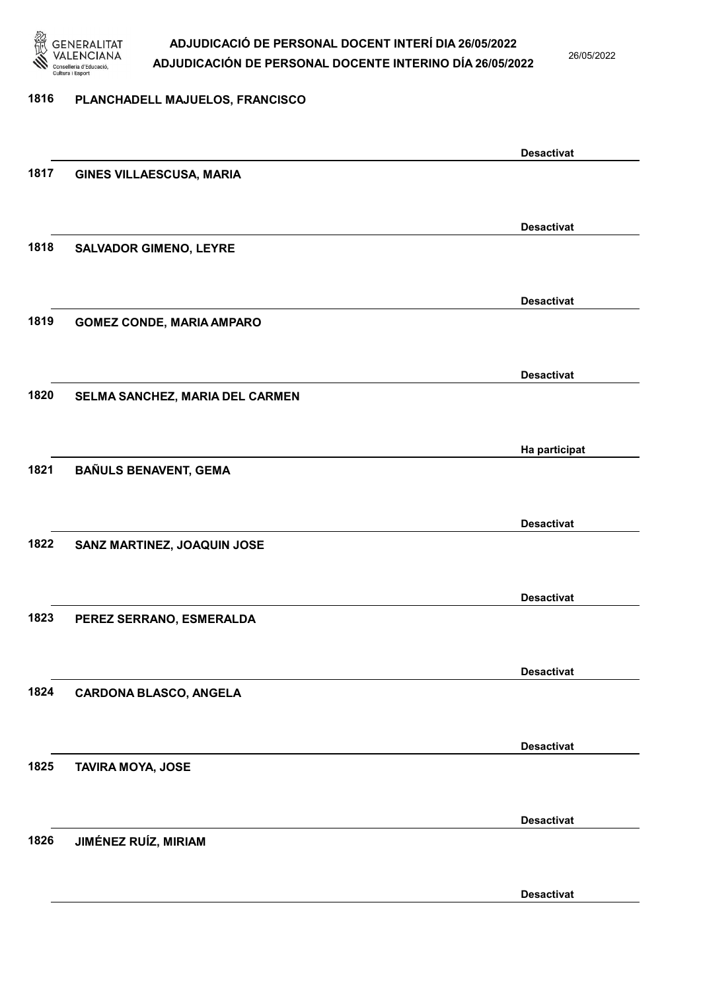

26/05/2022

#### 1816 PLANCHADELL MAJUELOS, FRANCISCO

|      |                                  | <b>Desactivat</b> |
|------|----------------------------------|-------------------|
| 1817 | GINES VILLAESCUSA, MARIA         |                   |
|      |                                  |                   |
|      |                                  | <b>Desactivat</b> |
| 1818 | <b>SALVADOR GIMENO, LEYRE</b>    |                   |
|      |                                  |                   |
|      |                                  |                   |
|      |                                  | <b>Desactivat</b> |
| 1819 | <b>GOMEZ CONDE, MARIA AMPARO</b> |                   |
|      |                                  |                   |
|      |                                  | <b>Desactivat</b> |
| 1820 | SELMA SANCHEZ, MARIA DEL CARMEN  |                   |
|      |                                  |                   |
|      |                                  | Ha participat     |
| 1821 | BAÑULS BENAVENT, GEMA            |                   |
|      |                                  |                   |
|      |                                  |                   |
|      |                                  | <b>Desactivat</b> |
| 1822 | SANZ MARTINEZ, JOAQUIN JOSE      |                   |
|      |                                  |                   |
|      |                                  | <b>Desactivat</b> |
| 1823 | PEREZ SERRANO, ESMERALDA         |                   |
|      |                                  |                   |
|      |                                  | <b>Desactivat</b> |
| 1824 | <b>CARDONA BLASCO, ANGELA</b>    |                   |
|      |                                  |                   |
|      |                                  | <b>Desactivat</b> |
| 1825 | <b>TAVIRA MOYA, JOSE</b>         |                   |
|      |                                  |                   |
|      |                                  |                   |
|      |                                  | <b>Desactivat</b> |
| 1826 | <b>JIMÉNEZ RUÍZ, MIRIAM</b>      |                   |
|      |                                  |                   |
|      |                                  | <b>Desactivat</b> |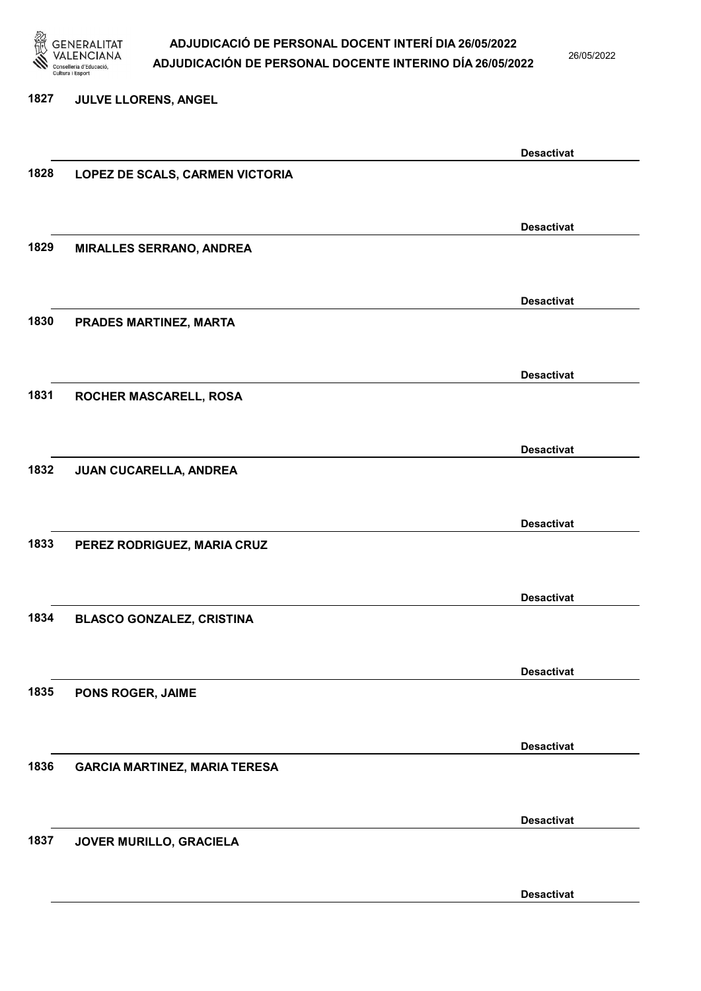

26/05/2022

#### 1827 JULVE LLORENS, ANGEL

|      |                                      | <b>Desactivat</b> |
|------|--------------------------------------|-------------------|
| 1828 | LOPEZ DE SCALS, CARMEN VICTORIA      |                   |
|      |                                      |                   |
|      |                                      | <b>Desactivat</b> |
| 1829 | <b>MIRALLES SERRANO, ANDREA</b>      |                   |
|      |                                      |                   |
|      |                                      | <b>Desactivat</b> |
| 1830 | PRADES MARTINEZ, MARTA               |                   |
|      |                                      |                   |
|      |                                      |                   |
|      |                                      | <b>Desactivat</b> |
| 1831 | ROCHER MASCARELL, ROSA               |                   |
|      |                                      |                   |
|      |                                      | <b>Desactivat</b> |
| 1832 | JUAN CUCARELLA, ANDREA               |                   |
|      |                                      |                   |
|      |                                      | <b>Desactivat</b> |
| 1833 | PEREZ RODRIGUEZ, MARIA CRUZ          |                   |
|      |                                      |                   |
|      |                                      | <b>Desactivat</b> |
| 1834 | <b>BLASCO GONZALEZ, CRISTINA</b>     |                   |
|      |                                      |                   |
|      |                                      | <b>Desactivat</b> |
| 1835 | PONS ROGER, JAIME                    |                   |
|      |                                      |                   |
|      |                                      |                   |
| 1836 |                                      | <b>Desactivat</b> |
|      | <b>GARCIA MARTINEZ, MARIA TERESA</b> |                   |
|      |                                      |                   |
|      |                                      | <b>Desactivat</b> |
| 1837 | JOVER MURILLO, GRACIELA              |                   |
|      |                                      |                   |
|      |                                      | <b>Desactivat</b> |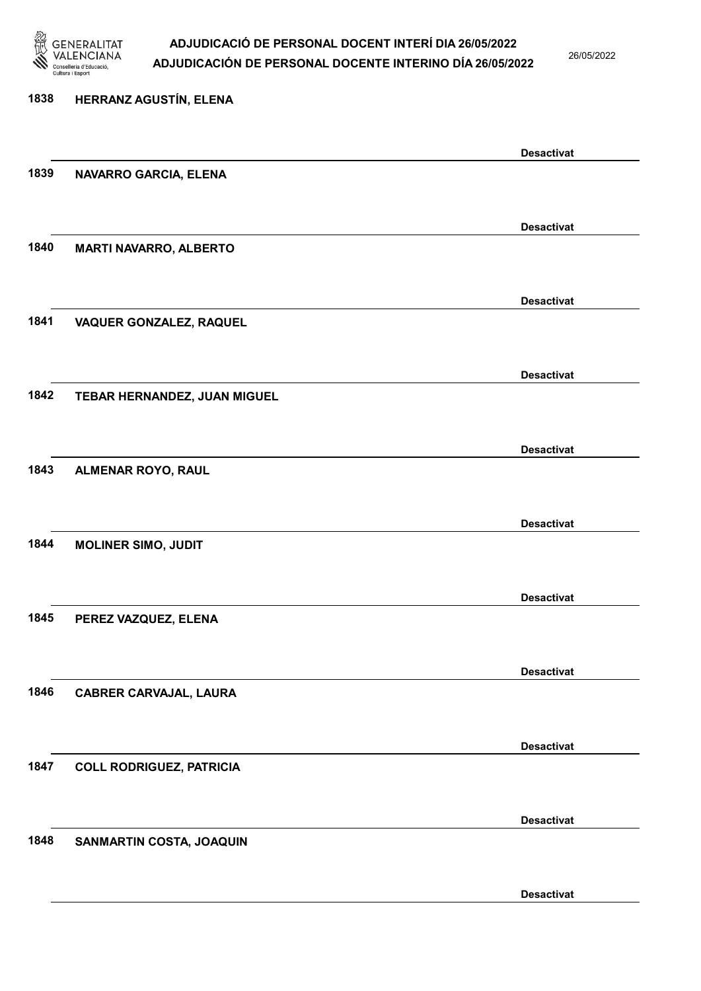

26/05/2022

Desactivat

# 1838 HERRANZ AGUSTÍN, ELENA Desactivat 1839 NAVARRO GARCIA, ELENA Desactivat 1840 MARTI NAVARRO, ALBERTO Desactivat 1841 VAQUER GONZALEZ, RAQUEL Desactivat 1842 TEBAR HERNANDEZ, JUAN MIGUEL Desactivat 1843 ALMENAR ROYO, RAUL Desactivat 1844 MOLINER SIMO, JUDIT Desactivat 1845 PEREZ VAZQUEZ, ELENA Desactivat 1846 CABRER CARVAJAL, LAURA Desactivat 1847 COLL RODRIGUEZ, PATRICIA Desactivat 1848 SANMARTIN COSTA, JOAQUIN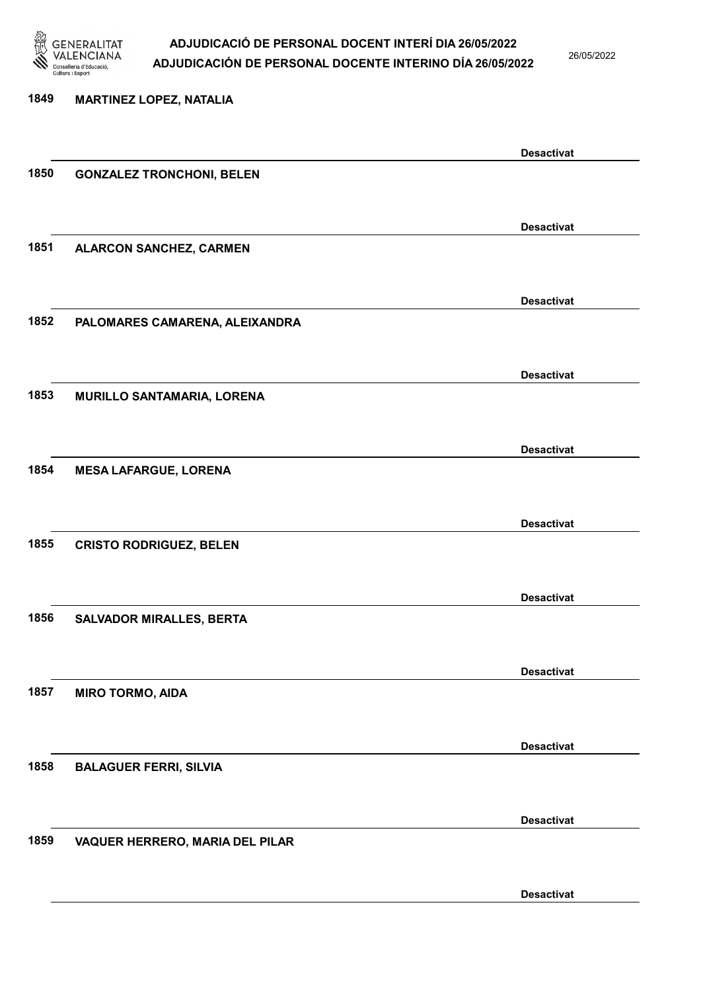

26/05/2022

### 1849 MARTINEZ LOPEZ, NATALIA Desactivat 1850 GONZALEZ TRONCHONI, BELEN Desactivat 1851 ALARCON SANCHEZ, CARMEN Desactivat 1852 PALOMARES CAMARENA, ALEIXANDRA Desactivat 1853 MURILLO SANTAMARIA, LORENA Desactivat 1854 MESA LAFARGUE, LORENA Desactivat 1855 CRISTO RODRIGUEZ, BELEN Desactivat 1856 SALVADOR MIRALLES, BERTA Desactivat 1857 MIRO TORMO, AIDA Desactivat 1858 BALAGUER FERRI, SILVIA Desactivat 1859 VAQUER HERRERO, MARIA DEL PILAR Desactivat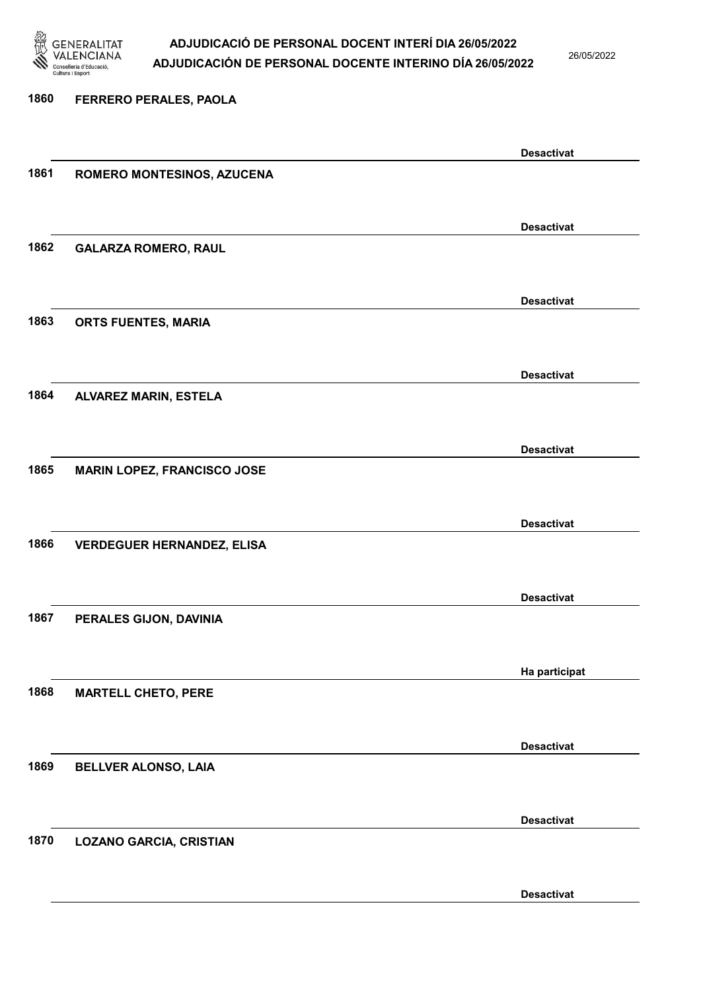

26/05/2022

Desactivat

1860 FERRERO PERALES, PAOLA Desactivat 1861 ROMERO MONTESINOS, AZUCENA Desactivat 1862 GALARZA ROMERO, RAUL Desactivat 1863 ORTS FUENTES, MARIA Desactivat 1864 ALVAREZ MARIN, ESTELA Desactivat 1865 MARIN LOPEZ, FRANCISCO JOSE Desactivat 1866 VERDEGUER HERNANDEZ, ELISA Desactivat 1867 PERALES GIJON, DAVINIA Ha participat 1868 MARTELL CHETO, PERE Desactivat 1869 BELLVER ALONSO, LAIA Desactivat 1870 LOZANO GARCIA, CRISTIAN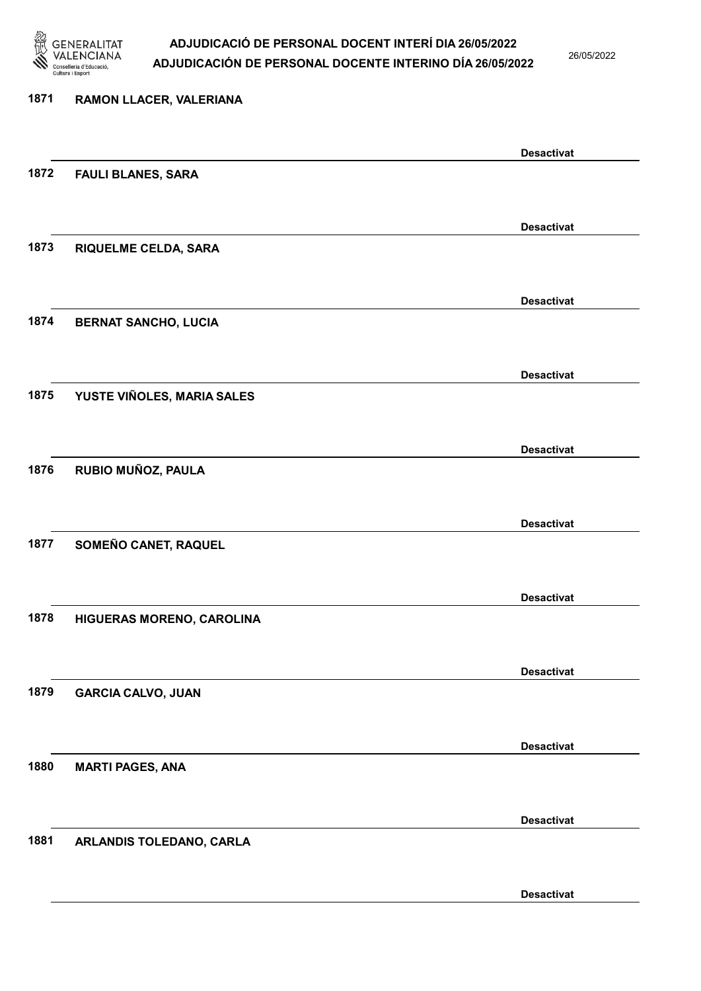

26/05/2022

| 1871 | RAMON LLACER, VALERIANA     |                   |
|------|-----------------------------|-------------------|
|      |                             | <b>Desactivat</b> |
| 1872 | <b>FAULI BLANES, SARA</b>   |                   |
|      |                             | <b>Desactivat</b> |
| 1873 | <b>RIQUELME CELDA, SARA</b> |                   |
|      |                             | <b>Desactivat</b> |
| 1874 | <b>BERNAT SANCHO, LUCIA</b> |                   |
|      |                             | <b>Desactivat</b> |
| 1875 | YUSTE VIÑOLES, MARIA SALES  |                   |
|      |                             | <b>Desactivat</b> |
| 1876 | RUBIO MUÑOZ, PAULA          |                   |
|      |                             | <b>Desactivat</b> |
| 1877 | SOMEÑO CANET, RAQUEL        |                   |
|      |                             | <b>Desactivat</b> |
| 1878 | HIGUERAS MORENO, CAROLINA   |                   |
|      |                             | <b>Desactivat</b> |
| 1879 | <b>GARCIA CALVO, JUAN</b>   |                   |
|      |                             | <b>Desactivat</b> |
| 1880 | <b>MARTI PAGES, ANA</b>     |                   |
|      |                             | <b>Desactivat</b> |
| 1881 | ARLANDIS TOLEDANO, CARLA    |                   |
|      |                             |                   |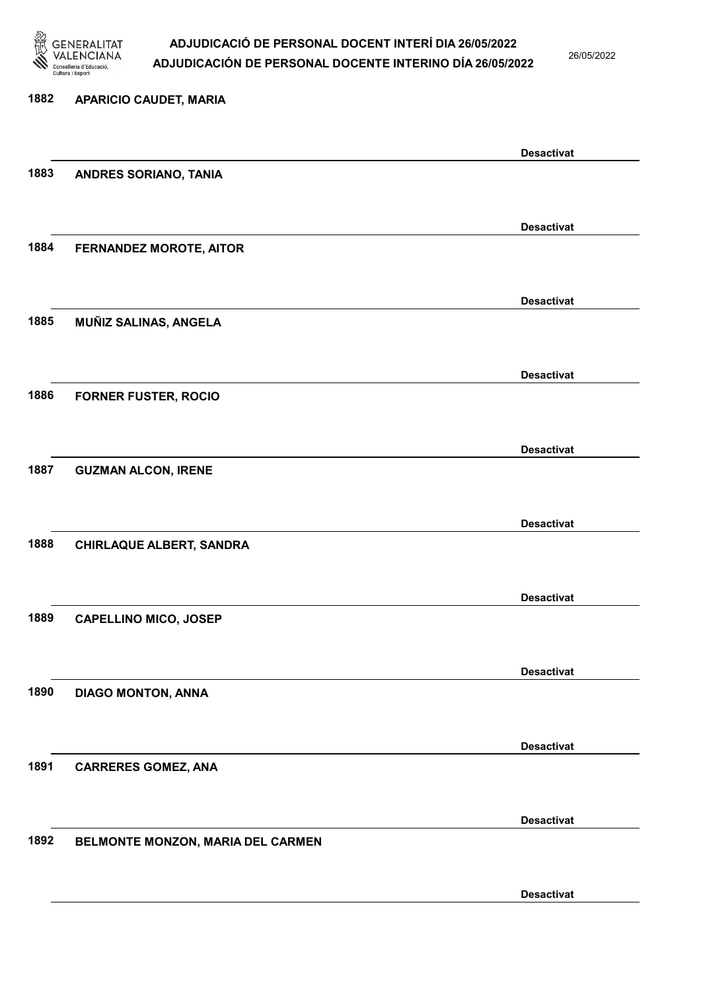

26/05/2022

### 1882 APARICIO CAUDET, MARIA Desactivat 1883 ANDRES SORIANO, TANIA Desactivat 1884 FERNANDEZ MOROTE, AITOR Desactivat 1885 MUÑIZ SALINAS, ANGELA Desactivat 1886 FORNER FUSTER, ROCIO Desactivat 1887 GUZMAN ALCON, IRENE Desactivat 1888 CHIRLAQUE ALBERT, SANDRA Desactivat 1889 CAPELLINO MICO, JOSEP Desactivat 1890 DIAGO MONTON, ANNA Desactivat 1891 CARRERES GOMEZ, ANA Desactivat 1892 BELMONTE MONZON, MARIA DEL CARMEN Desactivat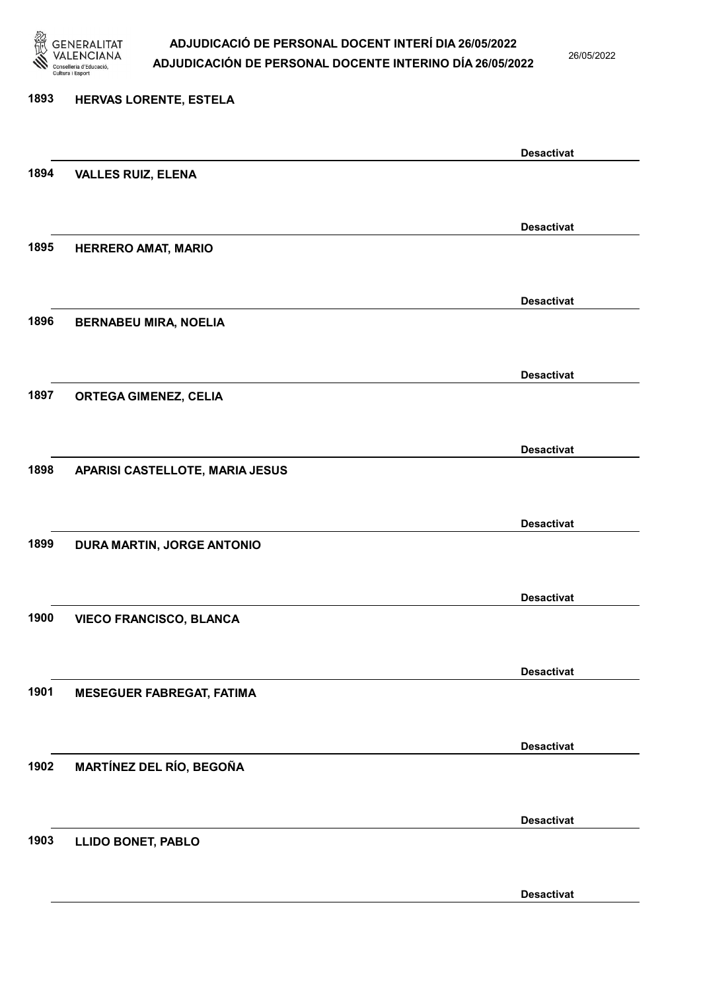

26/05/2022

#### 1893 HERVAS LORENTE, ESTELA

|      |                                  | <b>Desactivat</b> |
|------|----------------------------------|-------------------|
| 1894 | <b>VALLES RUIZ, ELENA</b>        |                   |
|      |                                  |                   |
|      |                                  | <b>Desactivat</b> |
| 1895 | <b>HERRERO AMAT, MARIO</b>       |                   |
|      |                                  |                   |
|      |                                  |                   |
|      |                                  | <b>Desactivat</b> |
| 1896 | <b>BERNABEU MIRA, NOELIA</b>     |                   |
|      |                                  |                   |
|      |                                  | <b>Desactivat</b> |
| 1897 | <b>ORTEGA GIMENEZ, CELIA</b>     |                   |
|      |                                  |                   |
|      |                                  | <b>Desactivat</b> |
| 1898 | APARISI CASTELLOTE, MARIA JESUS  |                   |
|      |                                  |                   |
|      |                                  |                   |
|      |                                  | <b>Desactivat</b> |
| 1899 | DURA MARTIN, JORGE ANTONIO       |                   |
|      |                                  |                   |
|      |                                  | <b>Desactivat</b> |
| 1900 | <b>VIECO FRANCISCO, BLANCA</b>   |                   |
|      |                                  |                   |
|      |                                  | <b>Desactivat</b> |
| 1901 | <b>MESEGUER FABREGAT, FATIMA</b> |                   |
|      |                                  |                   |
|      |                                  |                   |
|      |                                  | <b>Desactivat</b> |
| 1902 | MARTÍNEZ DEL RÍO, BEGOÑA         |                   |
|      |                                  |                   |
|      |                                  | <b>Desactivat</b> |
| 1903 | <b>LLIDO BONET, PABLO</b>        |                   |
|      |                                  |                   |
|      |                                  | <b>Desactivat</b> |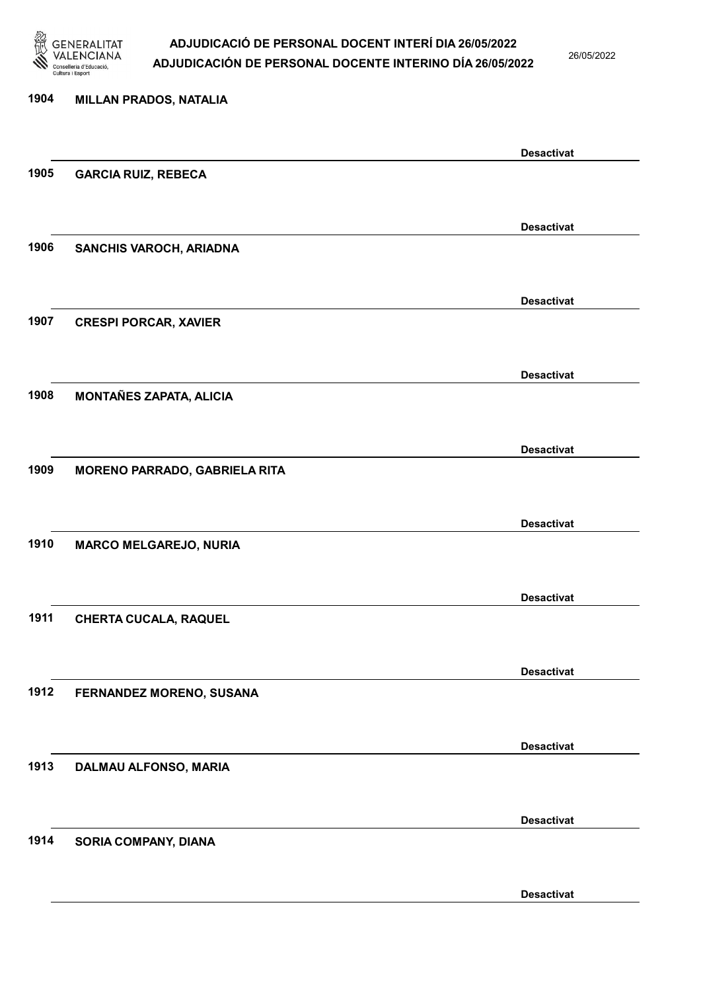

26/05/2022

Desactivat

# 1904 MILLAN PRADOS, NATALIA Desactivat 1905 GARCIA RUIZ, REBECA Desactivat 1906 SANCHIS VAROCH, ARIADNA Desactivat 1907 CRESPI PORCAR, XAVIER Desactivat 1908 MONTAÑES ZAPATA, ALICIA Desactivat 1909 MORENO PARRADO, GABRIELA RITA Desactivat 1910 MARCO MELGAREJO, NURIA Desactivat 1911 CHERTA CUCALA, RAQUEL Desactivat 1912 FERNANDEZ MORENO, SUSANA Desactivat 1913 DALMAU ALFONSO, MARIA Desactivat 1914 SORIA COMPANY, DIANA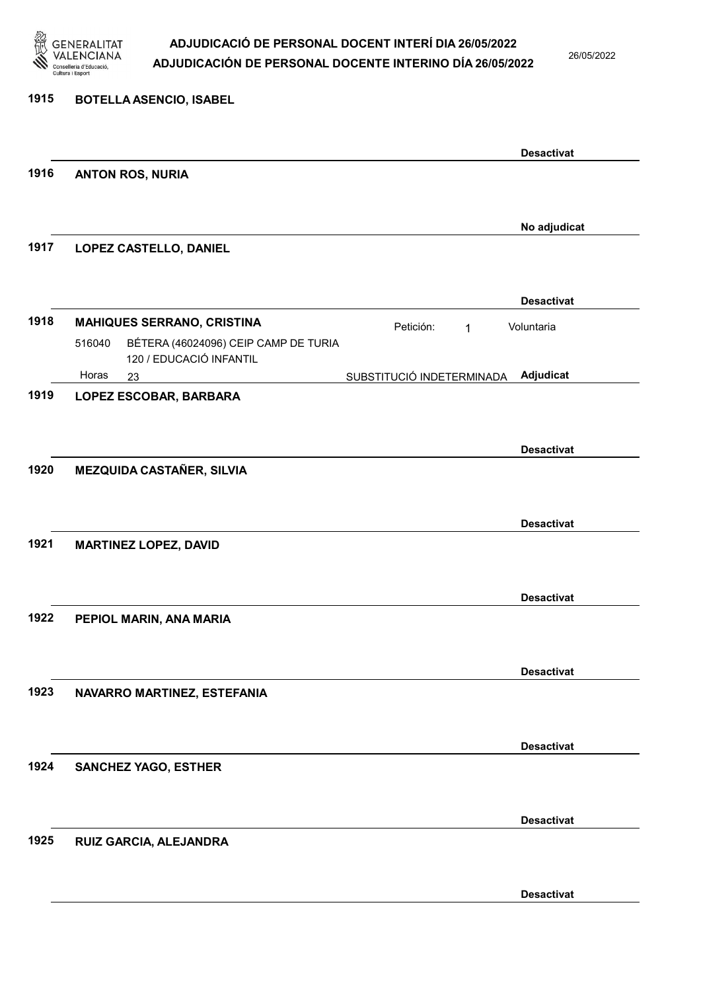

26/05/2022

| 1915 | <b>BOTELLA ASENCIO, ISABEL</b>                                            |                           |                                 |
|------|---------------------------------------------------------------------------|---------------------------|---------------------------------|
|      |                                                                           |                           | <b>Desactivat</b>               |
| 1916 | <b>ANTON ROS, NURIA</b>                                                   |                           |                                 |
|      |                                                                           |                           |                                 |
| 1917 | LOPEZ CASTELLO, DANIEL                                                    |                           | No adjudicat                    |
|      |                                                                           |                           |                                 |
| 1918 | <b>MAHIQUES SERRANO, CRISTINA</b>                                         | Petición:<br>$\mathbf{1}$ | <b>Desactivat</b><br>Voluntaria |
|      | BÉTERA (46024096) CEIP CAMP DE TURIA<br>516040<br>120 / EDUCACIÓ INFANTIL |                           |                                 |
|      | Horas<br>23                                                               | SUBSTITUCIÓ INDETERMINADA | Adjudicat                       |
| 1919 | LOPEZ ESCOBAR, BARBARA                                                    |                           |                                 |
|      |                                                                           |                           |                                 |
|      |                                                                           |                           | <b>Desactivat</b>               |
| 1920 | <b>MEZQUIDA CASTAÑER, SILVIA</b>                                          |                           |                                 |
|      |                                                                           |                           |                                 |
|      |                                                                           |                           | <b>Desactivat</b>               |
| 1921 | <b>MARTINEZ LOPEZ, DAVID</b>                                              |                           |                                 |
|      |                                                                           |                           |                                 |
|      |                                                                           |                           | <b>Desactivat</b>               |
| 1922 | PEPIOL MARIN, ANA MARIA                                                   |                           |                                 |
|      |                                                                           |                           |                                 |
|      |                                                                           |                           | <b>Desactivat</b>               |
| 1923 | NAVARRO MARTINEZ, ESTEFANIA                                               |                           |                                 |
|      |                                                                           |                           |                                 |
|      |                                                                           |                           | <b>Desactivat</b>               |
| 1924 | <b>SANCHEZ YAGO, ESTHER</b>                                               |                           |                                 |
|      |                                                                           |                           |                                 |
| 1925 | RUIZ GARCIA, ALEJANDRA                                                    |                           | <b>Desactivat</b>               |
|      |                                                                           |                           |                                 |
|      |                                                                           |                           |                                 |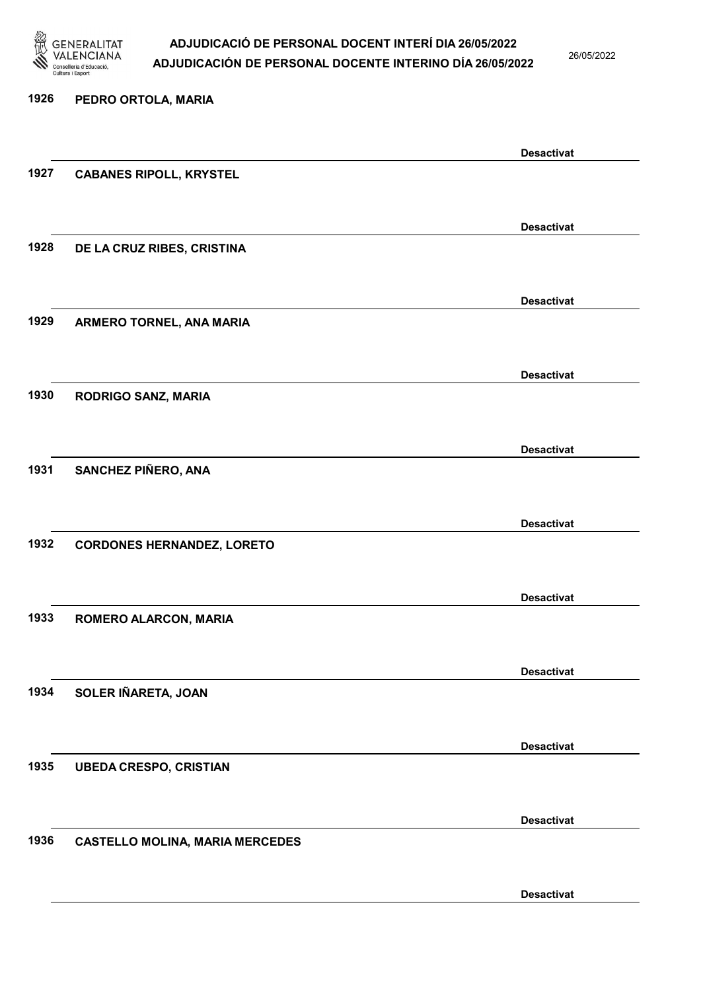

26/05/2022

### 1926 PEDRO ORTOLA, MARIA Desactivat 1927 CABANES RIPOLL, KRYSTEL Desactivat 1928 DE LA CRUZ RIBES, CRISTINA Desactivat 1929 ARMERO TORNEL, ANA MARIA Desactivat 1930 RODRIGO SANZ, MARIA Desactivat 1931 SANCHEZ PIÑERO, ANA Desactivat 1932 CORDONES HERNANDEZ, LORETO Desactivat 1933 ROMERO ALARCON, MARIA Desactivat 1934 SOLER IÑARETA, JOAN Desactivat 1935 UBEDA CRESPO, CRISTIAN Desactivat 1936 CASTELLO MOLINA, MARIA MERCEDES Desactivat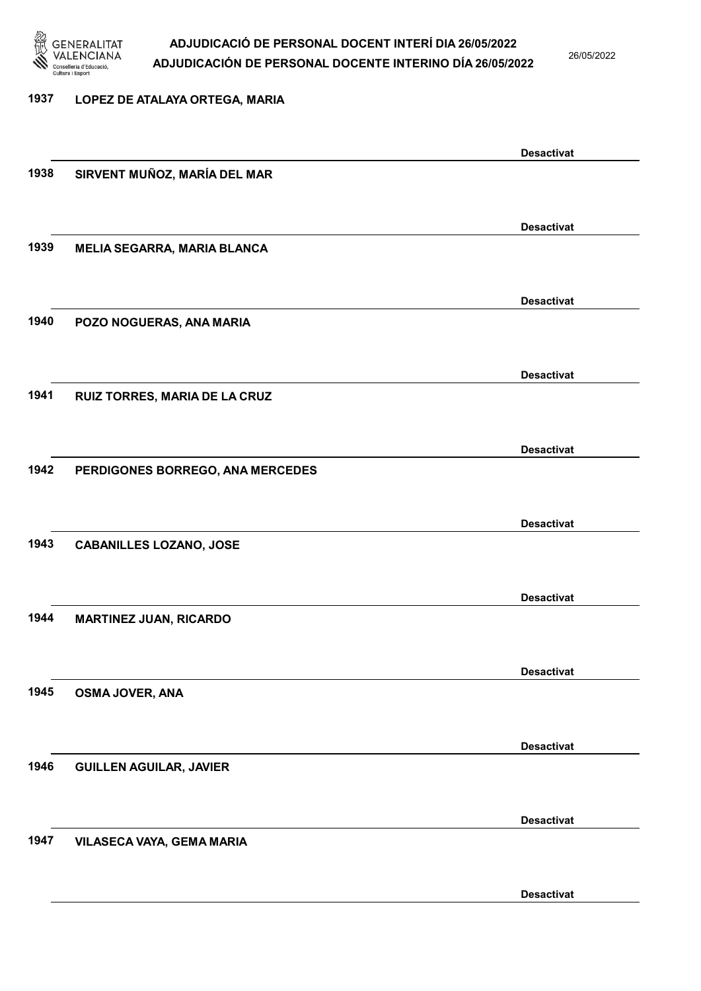

26/05/2022

Desactivat

### 1937 LOPEZ DE ATALAYA ORTEGA, MARIA

1938 SIRVENT MUÑOZ, MARÍA DEL MAR

1939 MELIA SEGARRA, MARIA BLANCA

1940 POZO NOGUERAS, ANA MARIA

1941 RUIZ TORRES, MARIA DE LA CRUZ

1942 PERDIGONES BORREGO, ANA MERCEDES

1943 CABANILLES LOZANO, JOSE

1944 MARTINEZ JUAN, RICARDO

1945 OSMA JOVER, ANA

1946 GUILLEN AGUILAR, JAVIER

1947 VILASECA VAYA, GEMA MARIA

Desactivat Desactivat Desactivat Desactivat Desactivat Desactivat Desactivat Desactivat

Desactivat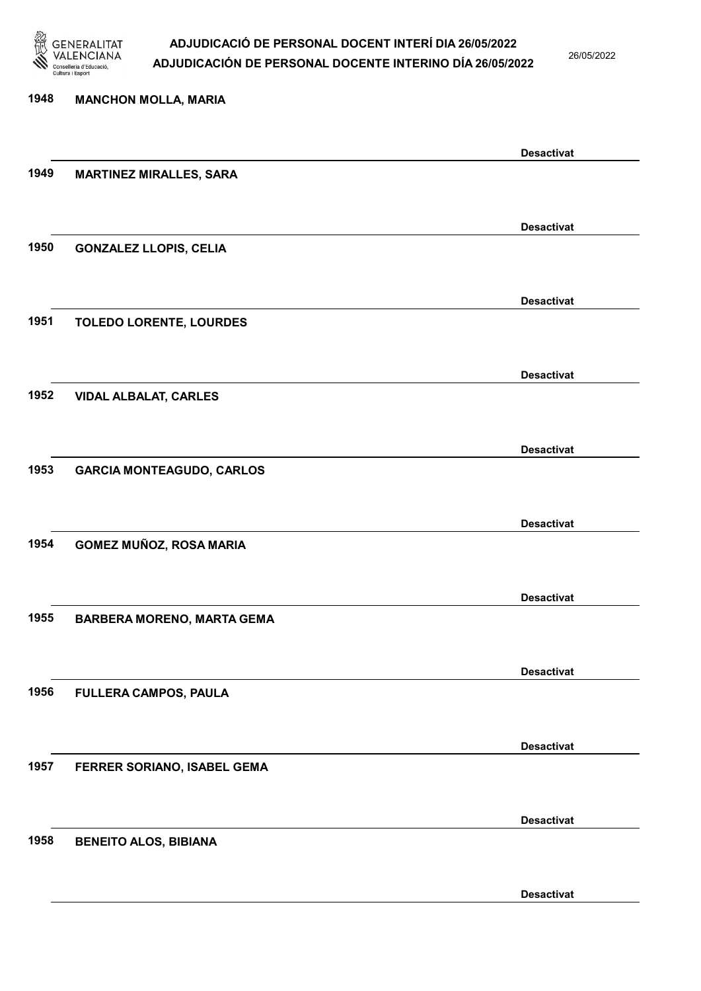

26/05/2022

Desactivat

# 1948 MANCHON MOLLA, MARIA Desactivat 1949 MARTINEZ MIRALLES, SARA Desactivat 1950 GONZALEZ LLOPIS, CELIA Desactivat 1951 TOLEDO LORENTE, LOURDES Desactivat 1952 VIDAL ALBALAT, CARLES Desactivat 1953 GARCIA MONTEAGUDO, CARLOS Desactivat 1954 GOMEZ MUÑOZ, ROSA MARIA Desactivat 1955 BARBERA MORENO, MARTA GEMA Desactivat 1956 FULLERA CAMPOS, PAULA Desactivat 1957 FERRER SORIANO, ISABEL GEMA Desactivat 1958 BENEITO ALOS, BIBIANA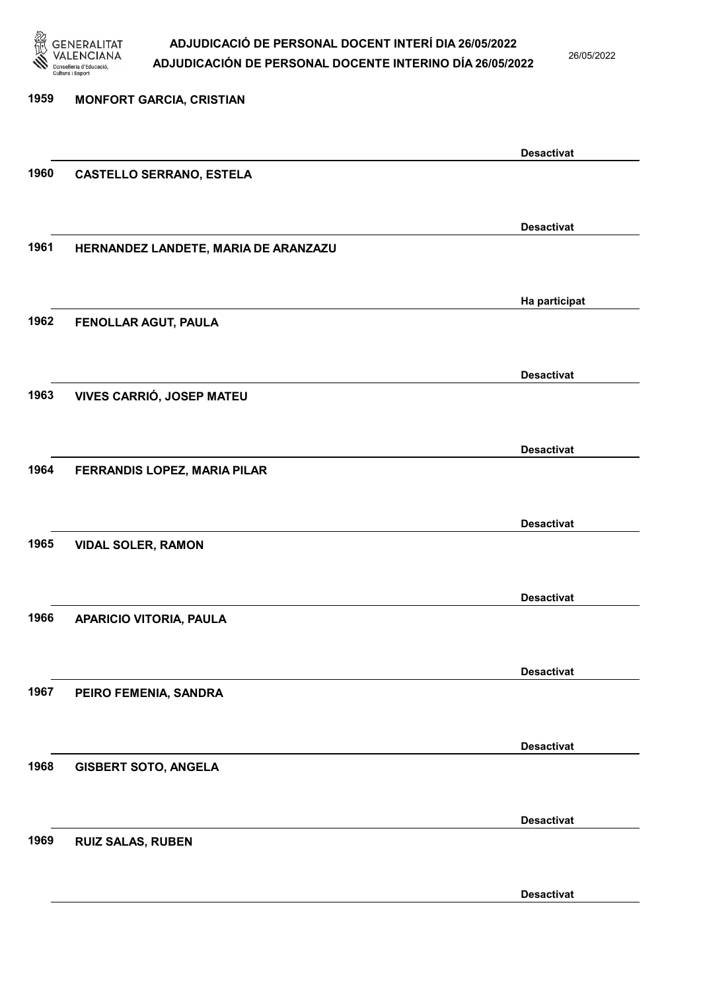

26/05/2022

| 1959 | <b>MONFORT GARCIA, CRISTIAN</b>      |                   |
|------|--------------------------------------|-------------------|
|      |                                      |                   |
|      |                                      | <b>Desactivat</b> |
| 1960 | <b>CASTELLO SERRANO, ESTELA</b>      |                   |
|      |                                      |                   |
|      |                                      | <b>Desactivat</b> |
| 1961 | HERNANDEZ LANDETE, MARIA DE ARANZAZU |                   |
|      |                                      |                   |
|      |                                      | Ha participat     |
| 1962 | FENOLLAR AGUT, PAULA                 |                   |
|      |                                      |                   |
| 1963 | VIVES CARRIÓ, JOSEP MATEU            | <b>Desactivat</b> |
|      |                                      |                   |
|      |                                      |                   |
| 1964 | FERRANDIS LOPEZ, MARIA PILAR         | <b>Desactivat</b> |
|      |                                      |                   |
|      |                                      | <b>Desactivat</b> |
| 1965 | <b>VIDAL SOLER, RAMON</b>            |                   |
|      |                                      |                   |
|      |                                      | <b>Desactivat</b> |
| 1966 | APARICIO VITORIA, PAULA              |                   |
|      |                                      |                   |
|      |                                      | <b>Desactivat</b> |
| 1967 | PEIRO FEMENIA, SANDRA                |                   |
|      |                                      |                   |
|      |                                      | <b>Desactivat</b> |
| 1968 | <b>GISBERT SOTO, ANGELA</b>          |                   |
|      |                                      |                   |
| 1969 |                                      | <b>Desactivat</b> |
|      | <b>RUIZ SALAS, RUBEN</b>             |                   |
|      |                                      |                   |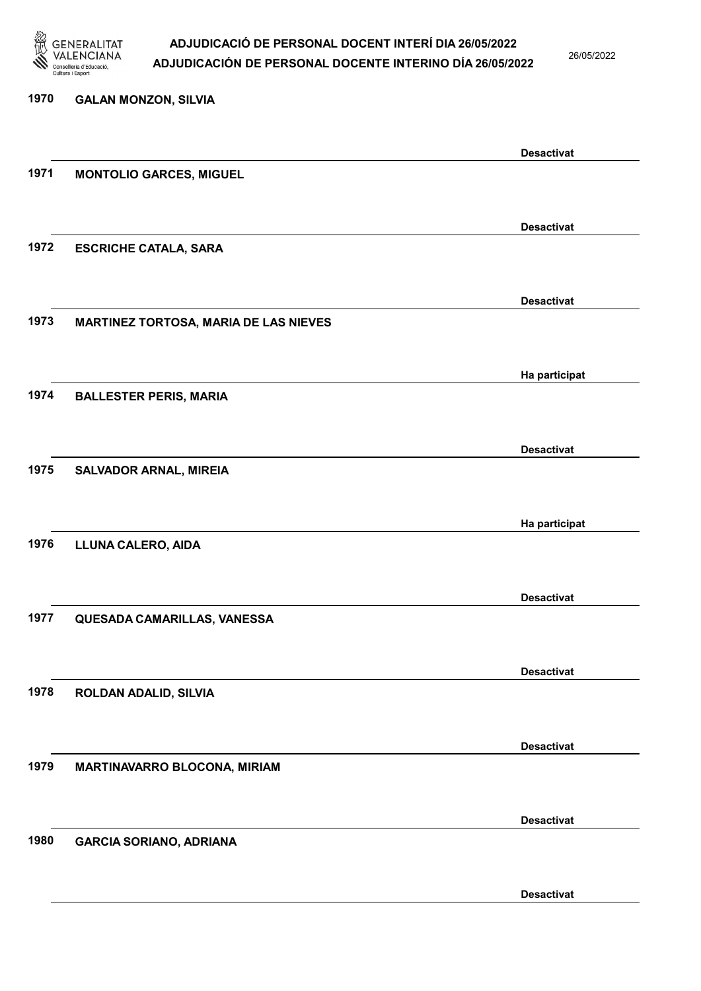

26/05/2022

| 1970 | <b>GALAN MONZON, SILVIA</b>                  |                   |
|------|----------------------------------------------|-------------------|
|      |                                              | <b>Desactivat</b> |
| 1971 | <b>MONTOLIO GARCES, MIGUEL</b>               |                   |
|      |                                              |                   |
| 1972 | <b>ESCRICHE CATALA, SARA</b>                 | <b>Desactivat</b> |
|      |                                              |                   |
| 1973 | <b>MARTINEZ TORTOSA, MARIA DE LAS NIEVES</b> | <b>Desactivat</b> |
|      |                                              |                   |
|      |                                              | Ha participat     |
| 1974 | <b>BALLESTER PERIS, MARIA</b>                |                   |
|      |                                              | <b>Desactivat</b> |
| 1975 | <b>SALVADOR ARNAL, MIREIA</b>                |                   |
|      |                                              | Ha participat     |
| 1976 | LLUNA CALERO, AIDA                           |                   |
|      |                                              | <b>Desactivat</b> |
| 1977 | QUESADA CAMARILLAS, VANESSA                  |                   |
|      |                                              |                   |
| 1978 | ROLDAN ADALID, SILVIA                        | <b>Desactivat</b> |
|      |                                              |                   |
| 1979 | MARTINAVARRO BLOCONA, MIRIAM                 | <b>Desactivat</b> |
|      |                                              |                   |
| 1980 | <b>GARCIA SORIANO, ADRIANA</b>               | <b>Desactivat</b> |
|      |                                              |                   |
|      |                                              |                   |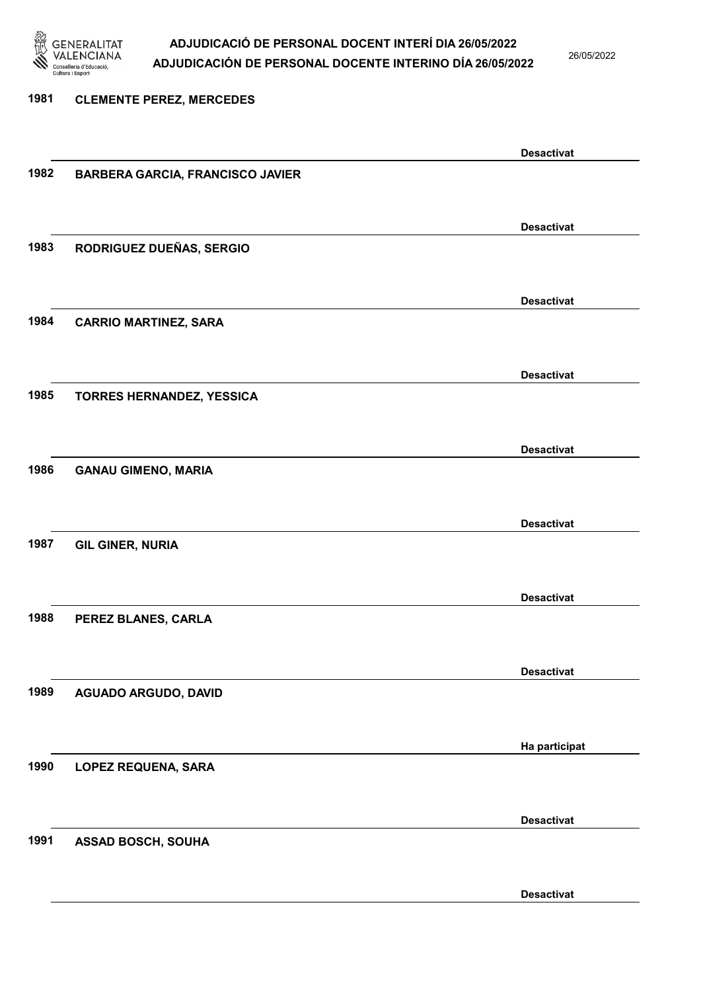

26/05/2022

### 1981 CLEMENTE PEREZ, MERCEDES Desactivat 1982 BARBERA GARCIA, FRANCISCO JAVIER Desactivat 1983 RODRIGUEZ DUEÑAS, SERGIO Desactivat 1984 CARRIO MARTINEZ, SARA Desactivat 1985 TORRES HERNANDEZ, YESSICA Desactivat 1986 GANAU GIMENO, MARIA Desactivat 1987 GIL GINER, NURIA Desactivat 1988 PEREZ BLANES, CARLA Desactivat 1989 AGUADO ARGUDO, DAVID Ha participat 1990 LOPEZ REQUENA, SARA Desactivat 1991 ASSAD BOSCH, SOUHA Desactivat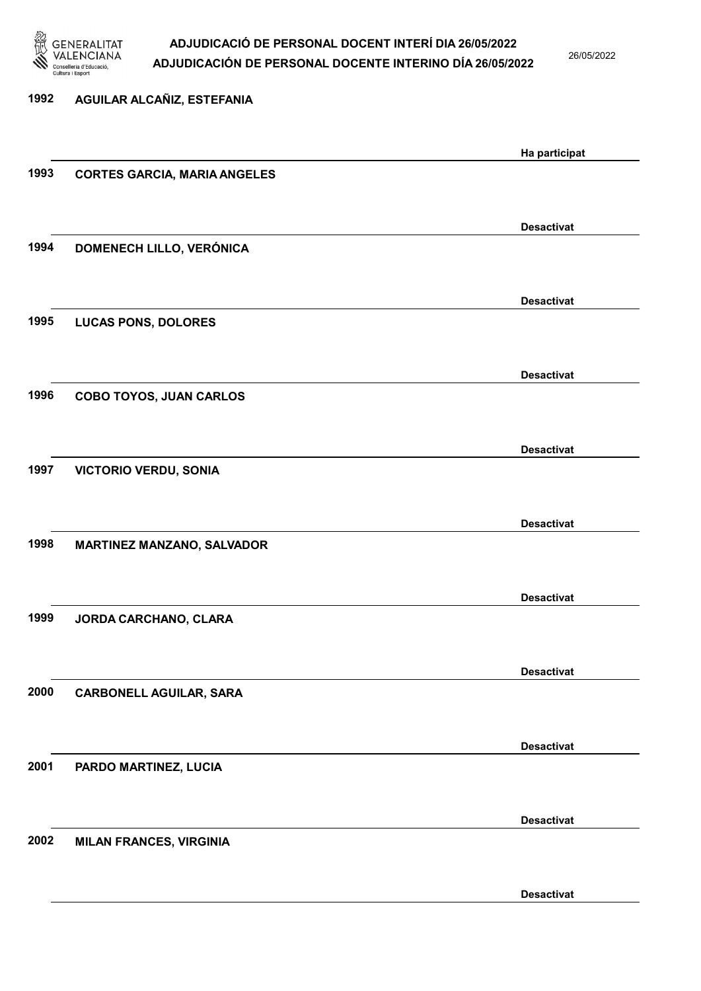

26/05/2022

Desactivat

# 1992 AGUILAR ALCAÑIZ, ESTEFANIA Ha participat 1993 CORTES GARCIA, MARIA ANGELES Desactivat 1994 DOMENECH LILLO, VERÓNICA Desactivat 1995 LUCAS PONS, DOLORES Desactivat 1996 COBO TOYOS, JUAN CARLOS Desactivat 1997 VICTORIO VERDU, SONIA Desactivat 1998 MARTINEZ MANZANO, SALVADOR Desactivat 1999 JORDA CARCHANO, CLARA Desactivat 2000 CARBONELL AGUILAR, SARA Desactivat 2001 PARDO MARTINEZ, LUCIA Desactivat 2002 MILAN FRANCES, VIRGINIA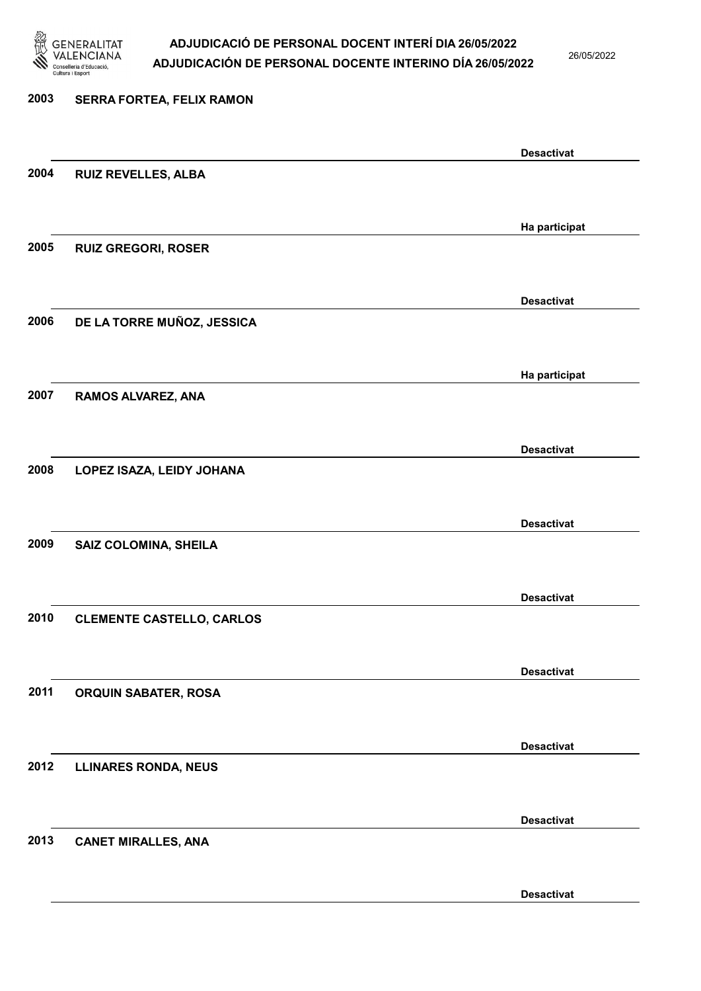

26/05/2022

Desactivat

# 2003 SERRA FORTEA, FELIX RAMON Desactivat 2004 RUIZ REVELLES, ALBA Ha participat 2005 RUIZ GREGORI, ROSER Desactivat 2006 DE LA TORRE MUÑOZ, JESSICA Ha participat 2007 RAMOS ALVAREZ, ANA Desactivat 2008 LOPEZ ISAZA, LEIDY JOHANA Desactivat 2009 SAIZ COLOMINA, SHEILA Desactivat 2010 CLEMENTE CASTELLO, CARLOS Desactivat 2011 ORQUIN SABATER, ROSA Desactivat 2012 LLINARES RONDA, NEUS Desactivat 2013 CANET MIRALLES, ANA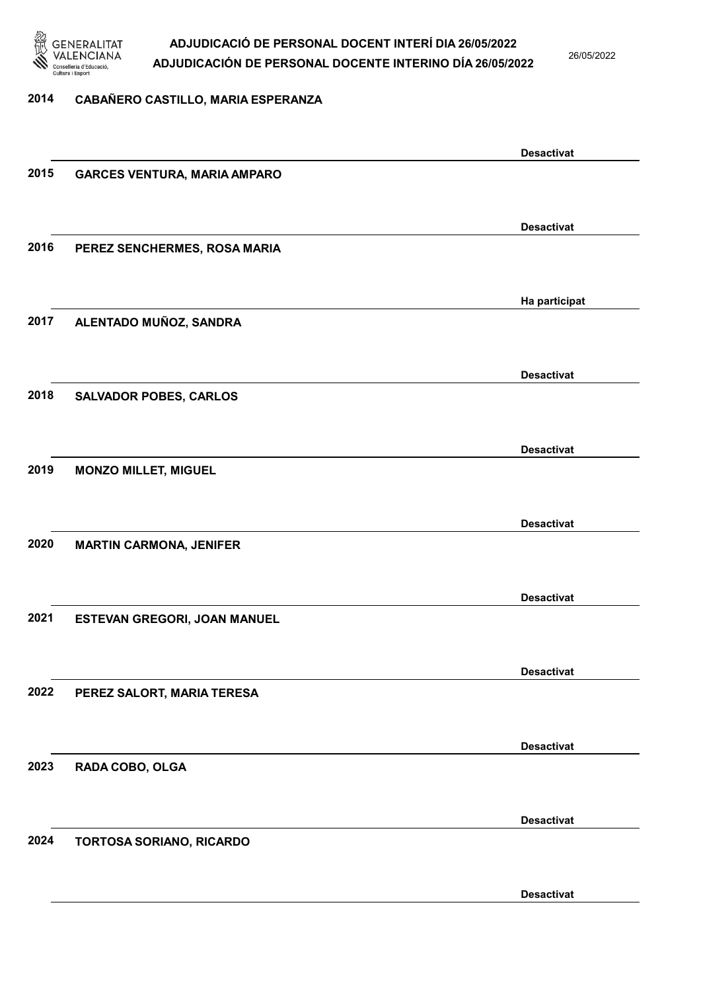

26/05/2022

#### 2014 CABAÑERO CASTILLO, MARIA ESPERANZA

|      |                                     | <b>Desactivat</b> |
|------|-------------------------------------|-------------------|
| 2015 | <b>GARCES VENTURA, MARIA AMPARO</b> |                   |
|      |                                     |                   |
|      |                                     | <b>Desactivat</b> |
| 2016 | PEREZ SENCHERMES, ROSA MARIA        |                   |
|      |                                     |                   |
|      |                                     |                   |
|      |                                     | Ha participat     |
| 2017 | ALENTADO MUÑOZ, SANDRA              |                   |
|      |                                     |                   |
|      |                                     | <b>Desactivat</b> |
| 2018 | <b>SALVADOR POBES, CARLOS</b>       |                   |
|      |                                     |                   |
|      |                                     | <b>Desactivat</b> |
| 2019 | <b>MONZO MILLET, MIGUEL</b>         |                   |
|      |                                     |                   |
|      |                                     |                   |
|      |                                     | <b>Desactivat</b> |
| 2020 | <b>MARTIN CARMONA, JENIFER</b>      |                   |
|      |                                     |                   |
|      |                                     | <b>Desactivat</b> |
| 2021 | ESTEVAN GREGORI, JOAN MANUEL        |                   |
|      |                                     |                   |
|      |                                     | <b>Desactivat</b> |
| 2022 | PEREZ SALORT, MARIA TERESA          |                   |
|      |                                     |                   |
|      |                                     |                   |
|      |                                     | <b>Desactivat</b> |
| 2023 | RADA COBO, OLGA                     |                   |
|      |                                     |                   |
|      |                                     | <b>Desactivat</b> |
| 2024 | TORTOSA SORIANO, RICARDO            |                   |
|      |                                     |                   |
|      |                                     | <b>Desactivat</b> |
|      |                                     |                   |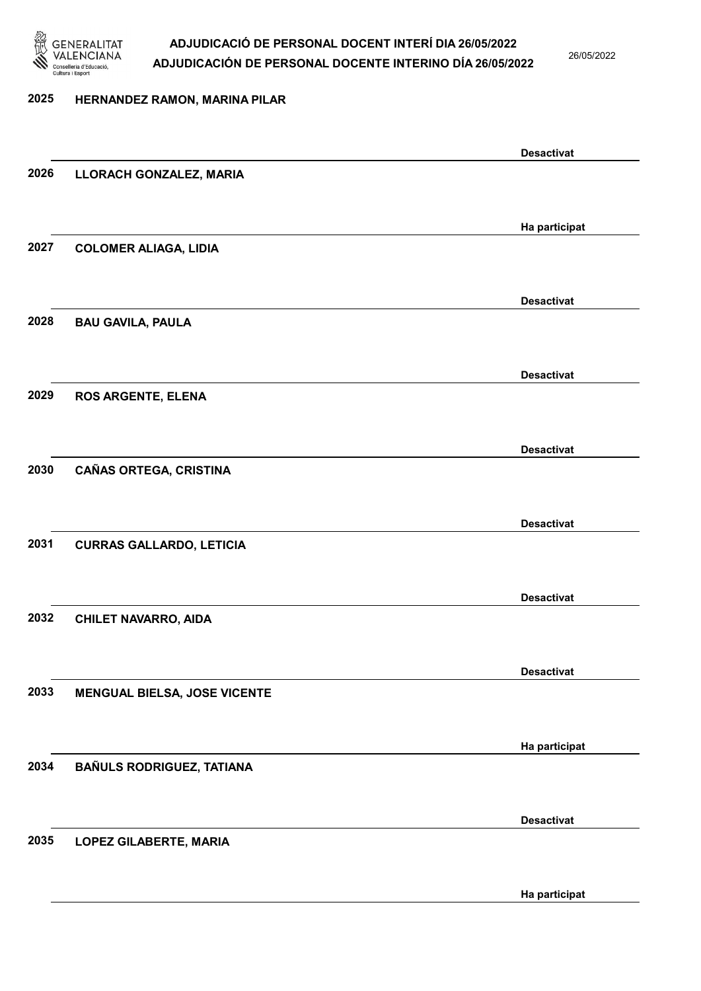

26/05/2022

#### 2025 HERNANDEZ RAMON, MARINA PILAR

|      |                                     | <b>Desactivat</b> |
|------|-------------------------------------|-------------------|
| 2026 | LLORACH GONZALEZ, MARIA             |                   |
|      |                                     |                   |
|      |                                     | Ha participat     |
| 2027 | <b>COLOMER ALIAGA, LIDIA</b>        |                   |
|      |                                     |                   |
|      |                                     |                   |
|      |                                     | <b>Desactivat</b> |
| 2028 | <b>BAU GAVILA, PAULA</b>            |                   |
|      |                                     |                   |
|      |                                     | <b>Desactivat</b> |
| 2029 | <b>ROS ARGENTE, ELENA</b>           |                   |
|      |                                     |                   |
|      |                                     | <b>Desactivat</b> |
| 2030 | <b>CAÑAS ORTEGA, CRISTINA</b>       |                   |
|      |                                     |                   |
|      |                                     |                   |
|      |                                     | <b>Desactivat</b> |
| 2031 | <b>CURRAS GALLARDO, LETICIA</b>     |                   |
|      |                                     |                   |
|      |                                     | <b>Desactivat</b> |
| 2032 | <b>CHILET NAVARRO, AIDA</b>         |                   |
|      |                                     |                   |
|      |                                     | <b>Desactivat</b> |
| 2033 | <b>MENGUAL BIELSA, JOSE VICENTE</b> |                   |
|      |                                     |                   |
|      |                                     |                   |
|      |                                     | Ha participat     |
| 2034 | <b>BAÑULS RODRIGUEZ, TATIANA</b>    |                   |
|      |                                     |                   |
|      |                                     | <b>Desactivat</b> |
| 2035 | <b>LOPEZ GILABERTE, MARIA</b>       |                   |
|      |                                     |                   |
|      |                                     | Ha participat     |
|      |                                     |                   |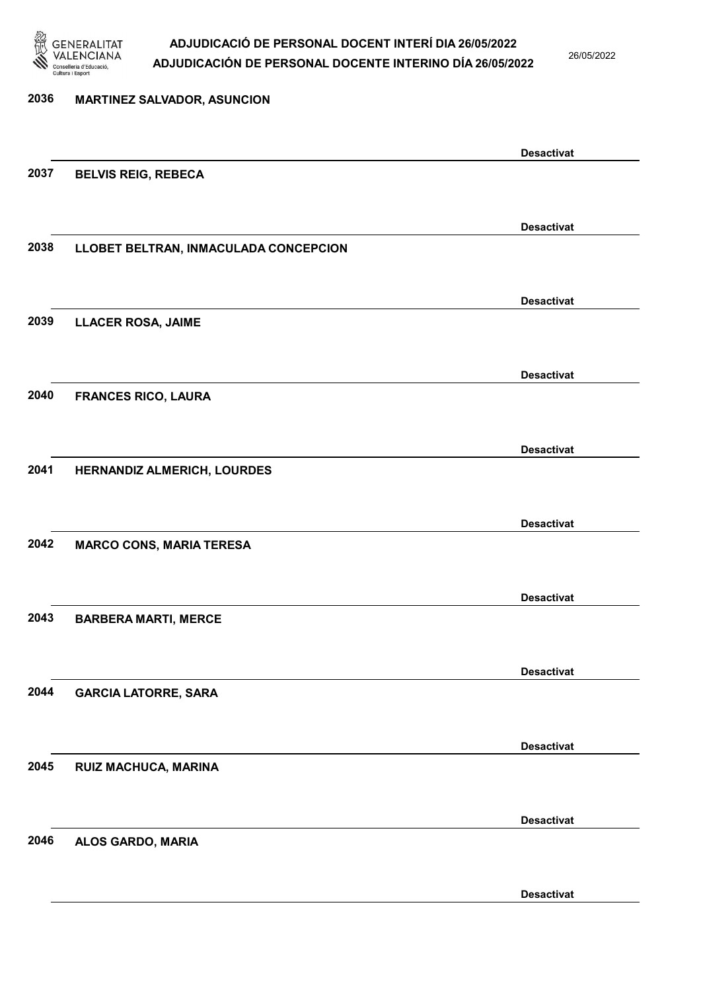

26/05/2022

| 2036 | <b>MARTINEZ SALVADOR, ASUNCION</b>    |                   |
|------|---------------------------------------|-------------------|
|      |                                       |                   |
|      |                                       | <b>Desactivat</b> |
| 2037 | <b>BELVIS REIG, REBECA</b>            |                   |
|      |                                       |                   |
|      |                                       | <b>Desactivat</b> |
| 2038 | LLOBET BELTRAN, INMACULADA CONCEPCION |                   |
|      |                                       |                   |
|      |                                       | <b>Desactivat</b> |
| 2039 | <b>LLACER ROSA, JAIME</b>             |                   |
|      |                                       |                   |
|      |                                       | <b>Desactivat</b> |
| 2040 | <b>FRANCES RICO, LAURA</b>            |                   |
|      |                                       |                   |
|      |                                       | <b>Desactivat</b> |
| 2041 | HERNANDIZ ALMERICH, LOURDES           |                   |
|      |                                       |                   |
|      |                                       | <b>Desactivat</b> |
| 2042 | <b>MARCO CONS, MARIA TERESA</b>       |                   |
|      |                                       |                   |
|      |                                       | <b>Desactivat</b> |
| 2043 | <b>BARBERA MARTI, MERCE</b>           |                   |
|      |                                       |                   |
|      |                                       | <b>Desactivat</b> |
| 2044 | <b>GARCIA LATORRE, SARA</b>           |                   |
|      |                                       |                   |
|      |                                       |                   |
| 2045 | RUIZ MACHUCA, MARINA                  | <b>Desactivat</b> |
|      |                                       |                   |
|      |                                       |                   |
| 2046 |                                       | <b>Desactivat</b> |
|      | ALOS GARDO, MARIA                     |                   |
|      |                                       |                   |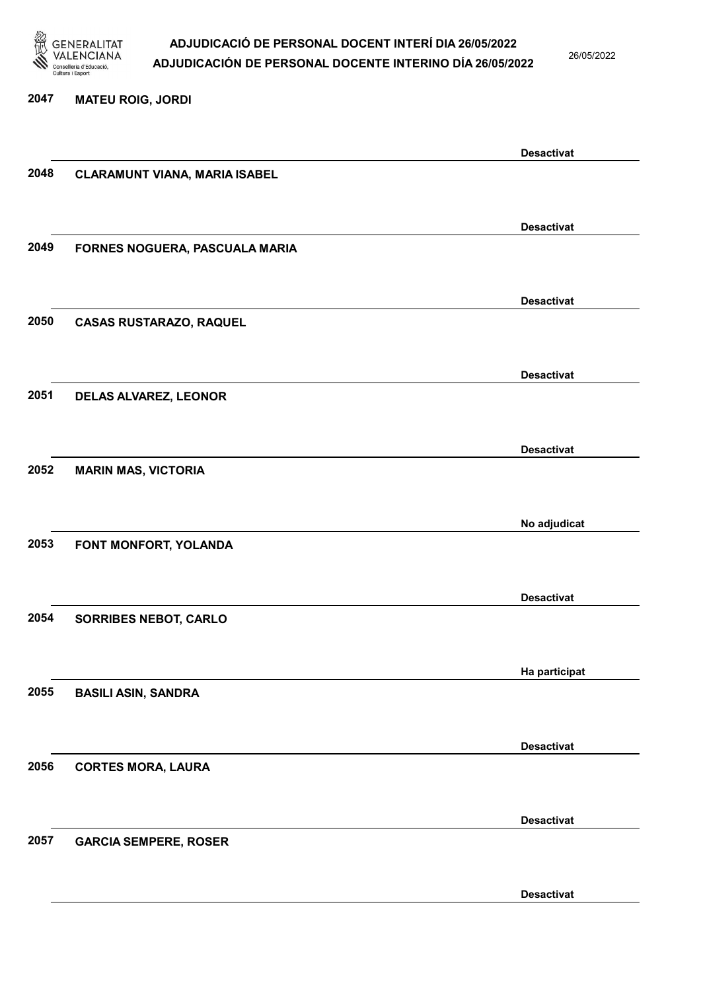

26/05/2022

#### 2047 MATEU ROIG, JORDI

|      |                                      | <b>Desactivat</b> |
|------|--------------------------------------|-------------------|
| 2048 | <b>CLARAMUNT VIANA, MARIA ISABEL</b> |                   |
|      |                                      |                   |
|      |                                      | <b>Desactivat</b> |
| 2049 | FORNES NOGUERA, PASCUALA MARIA       |                   |
|      |                                      |                   |
|      |                                      |                   |
|      |                                      | <b>Desactivat</b> |
| 2050 | <b>CASAS RUSTARAZO, RAQUEL</b>       |                   |
|      |                                      |                   |
|      |                                      | <b>Desactivat</b> |
| 2051 | DELAS ALVAREZ, LEONOR                |                   |
|      |                                      |                   |
|      |                                      | <b>Desactivat</b> |
| 2052 | <b>MARIN MAS, VICTORIA</b>           |                   |
|      |                                      |                   |
|      |                                      | No adjudicat      |
| 2053 | FONT MONFORT, YOLANDA                |                   |
|      |                                      |                   |
|      |                                      |                   |
|      |                                      | <b>Desactivat</b> |
| 2054 | <b>SORRIBES NEBOT, CARLO</b>         |                   |
|      |                                      |                   |
|      |                                      | Ha participat     |
| 2055 | <b>BASILI ASIN, SANDRA</b>           |                   |
|      |                                      |                   |
|      |                                      | <b>Desactivat</b> |
| 2056 | <b>CORTES MORA, LAURA</b>            |                   |
|      |                                      |                   |
|      |                                      | <b>Desactivat</b> |
| 2057 | <b>GARCIA SEMPERE, ROSER</b>         |                   |
|      |                                      |                   |
|      |                                      |                   |
|      |                                      | <b>Desactivat</b> |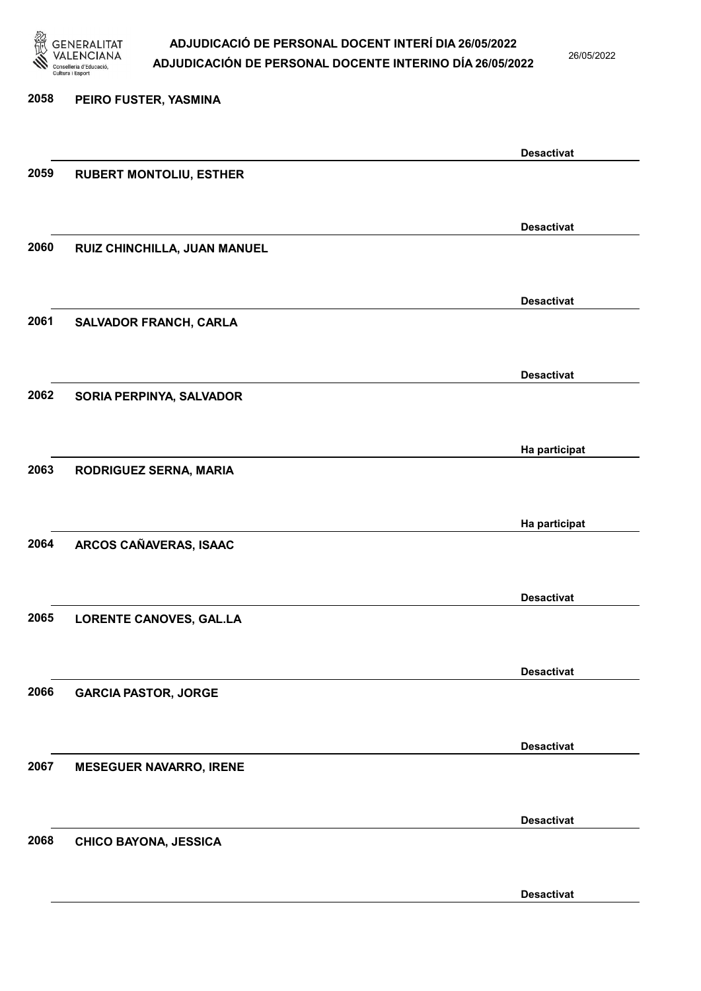

26/05/2022

| 2058 | PEIRO FUSTER, YASMINA          |                   |
|------|--------------------------------|-------------------|
|      |                                |                   |
|      |                                | <b>Desactivat</b> |
| 2059 | <b>RUBERT MONTOLIU, ESTHER</b> |                   |
|      |                                |                   |
|      |                                | <b>Desactivat</b> |
| 2060 | RUIZ CHINCHILLA, JUAN MANUEL   |                   |
|      |                                |                   |
|      |                                | <b>Desactivat</b> |
| 2061 | SALVADOR FRANCH, CARLA         |                   |
|      |                                |                   |
| 2062 |                                | <b>Desactivat</b> |
|      | SORIA PERPINYA, SALVADOR       |                   |
|      |                                |                   |
| 2063 | RODRIGUEZ SERNA, MARIA         | Ha participat     |
|      |                                |                   |
|      |                                | Ha participat     |
| 2064 | ARCOS CAÑAVERAS, ISAAC         |                   |
|      |                                |                   |
|      |                                | <b>Desactivat</b> |
| 2065 | LORENTE CANOVES, GAL.LA        |                   |
|      |                                |                   |
|      |                                | <b>Desactivat</b> |
| 2066 | <b>GARCIA PASTOR, JORGE</b>    |                   |
|      |                                |                   |
|      |                                | <b>Desactivat</b> |
| 2067 | <b>MESEGUER NAVARRO, IRENE</b> |                   |
|      |                                |                   |
|      |                                | <b>Desactivat</b> |
| 2068 | CHICO BAYONA, JESSICA          |                   |
|      |                                |                   |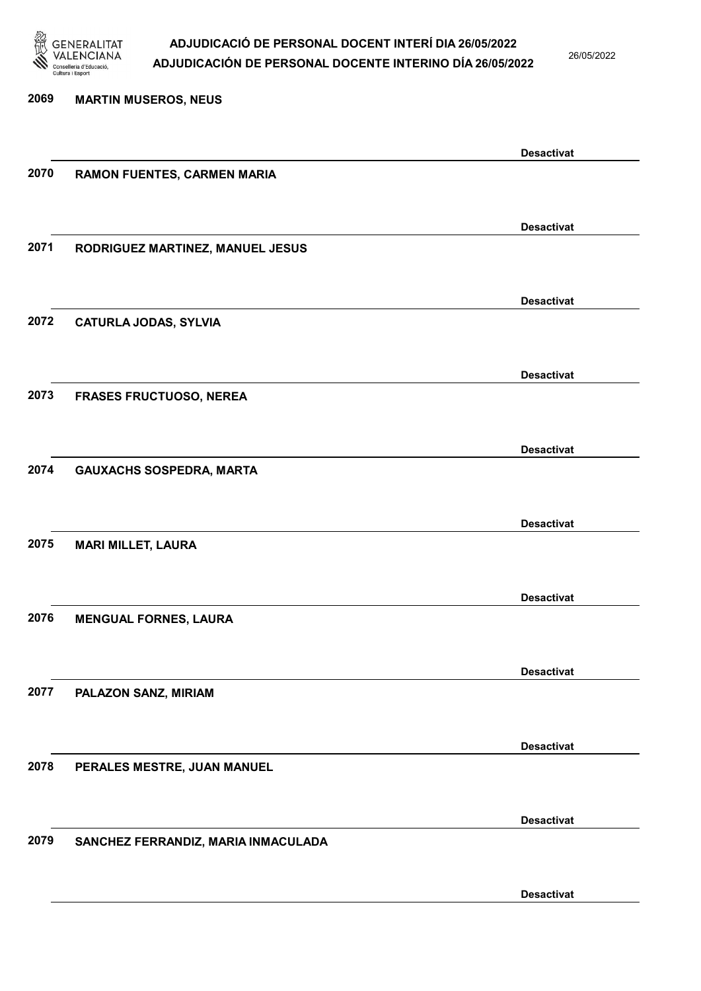

26/05/2022

2069 MARTIN MUSEROS, NEUS Desactivat 2070 RAMON FUENTES, CARMEN MARIA Desactivat 2071 RODRIGUEZ MARTINEZ, MANUEL JESUS Desactivat 2072 CATURLA JODAS, SYLVIA Desactivat 2073 FRASES FRUCTUOSO, NEREA Desactivat 2074 GAUXACHS SOSPEDRA, MARTA Desactivat 2075 MARI MILLET, LAURA Desactivat 2076 MENGUAL FORNES, LAURA Desactivat 2077 PALAZON SANZ, MIRIAM Desactivat 2078 PERALES MESTRE, JUAN MANUEL Desactivat 2079 SANCHEZ FERRANDIZ, MARIA INMACULADA Desactivat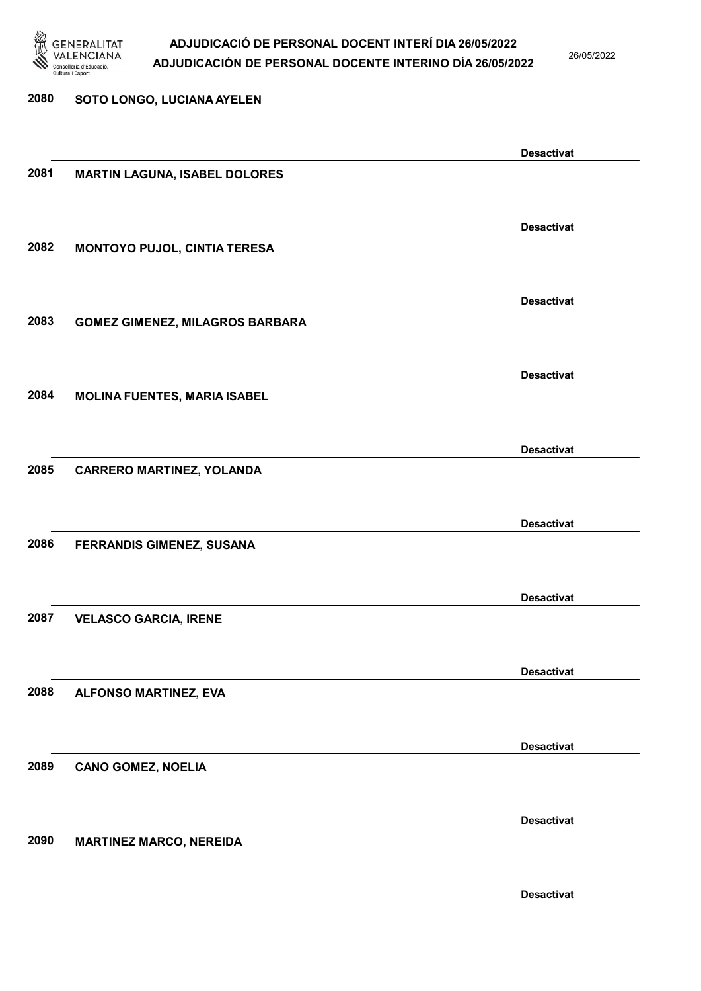

26/05/2022

Desactivat

# 2080 SOTO LONGO, LUCIANA AYELEN Desactivat 2081 MARTIN LAGUNA, ISABEL DOLORES Desactivat 2082 MONTOYO PUJOL, CINTIA TERESA Desactivat 2083 GOMEZ GIMENEZ, MILAGROS BARBARA Desactivat 2084 MOLINA FUENTES, MARIA ISABEL Desactivat 2085 CARRERO MARTINEZ, YOLANDA Desactivat 2086 FERRANDIS GIMENEZ, SUSANA Desactivat 2087 VELASCO GARCIA, IRENE Desactivat 2088 ALFONSO MARTINEZ, EVA Desactivat 2089 CANO GOMEZ, NOELIA Desactivat 2090 MARTINEZ MARCO, NEREIDA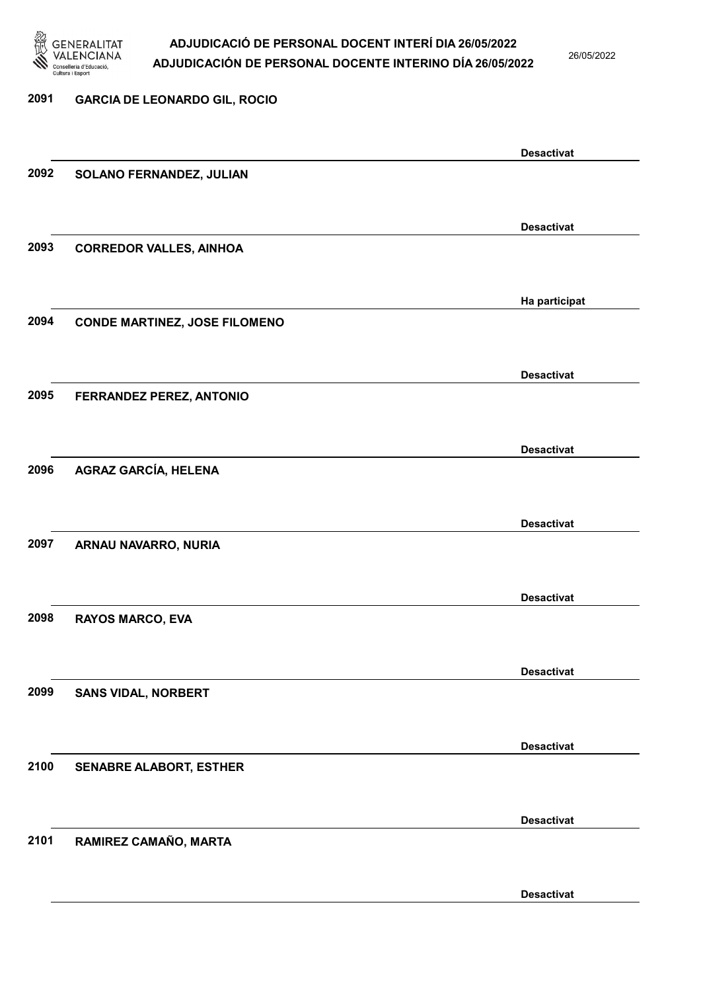

26/05/2022

### 2091 GARCIA DE LEONARDO GIL, ROCIO Desactivat 2092 SOLANO FERNANDEZ, JULIAN Desactivat 2093 CORREDOR VALLES, AINHOA Ha participat 2094 CONDE MARTINEZ, JOSE FILOMENO Desactivat 2095 FERRANDEZ PEREZ, ANTONIO Desactivat 2096 AGRAZ GARCÍA, HELENA Desactivat 2097 ARNAU NAVARRO, NURIA Desactivat 2098 RAYOS MARCO, EVA Desactivat 2099 SANS VIDAL, NORBERT Desactivat 2100 SENABRE ALABORT, ESTHER Desactivat 2101 RAMIREZ CAMAÑO, MARTA Desactivat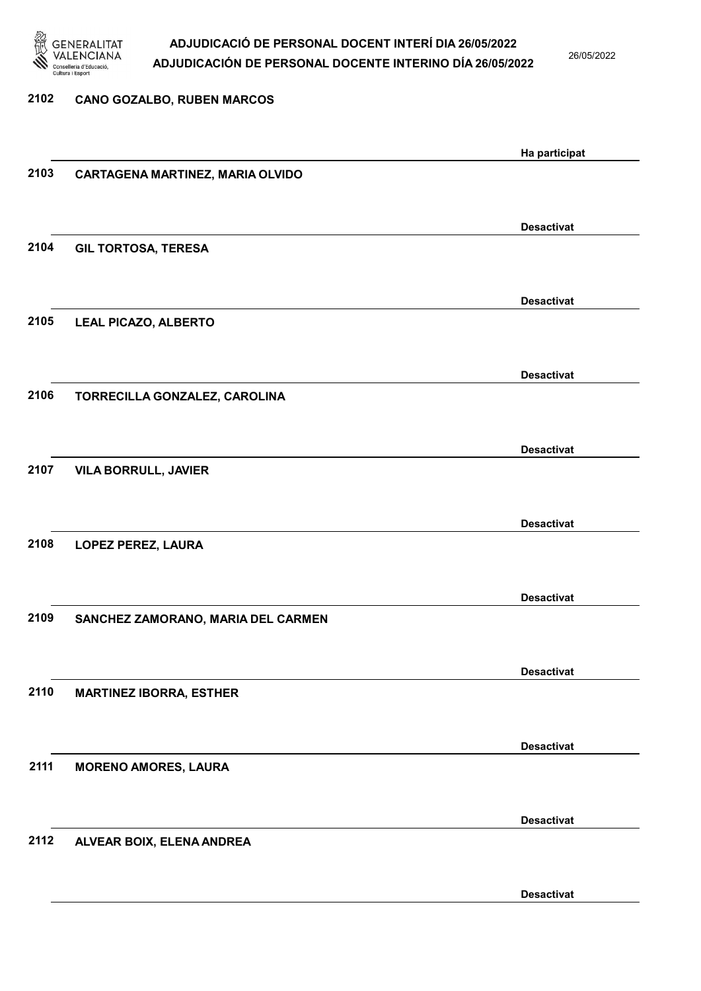

26/05/2022

| 2102 | <b>CANO GOZALBO, RUBEN MARCOS</b>  |                   |
|------|------------------------------------|-------------------|
|      |                                    |                   |
|      |                                    | Ha participat     |
| 2103 | CARTAGENA MARTINEZ, MARIA OLVIDO   |                   |
|      |                                    |                   |
|      |                                    | <b>Desactivat</b> |
| 2104 | <b>GIL TORTOSA, TERESA</b>         |                   |
|      |                                    |                   |
|      |                                    | <b>Desactivat</b> |
| 2105 | LEAL PICAZO, ALBERTO               |                   |
|      |                                    |                   |
|      |                                    | <b>Desactivat</b> |
| 2106 | TORRECILLA GONZALEZ, CAROLINA      |                   |
|      |                                    |                   |
|      |                                    | <b>Desactivat</b> |
| 2107 | <b>VILA BORRULL, JAVIER</b>        |                   |
|      |                                    |                   |
| 2108 | LOPEZ PEREZ, LAURA                 | <b>Desactivat</b> |
|      |                                    |                   |
|      |                                    |                   |
| 2109 | SANCHEZ ZAMORANO, MARIA DEL CARMEN | <b>Desactivat</b> |
|      |                                    |                   |
|      |                                    | <b>Desactivat</b> |
| 2110 | <b>MARTINEZ IBORRA, ESTHER</b>     |                   |
|      |                                    |                   |
|      |                                    | <b>Desactivat</b> |
| 2111 | <b>MORENO AMORES, LAURA</b>        |                   |
|      |                                    |                   |
|      |                                    | <b>Desactivat</b> |
| 2112 | ALVEAR BOIX, ELENA ANDREA          |                   |
|      |                                    |                   |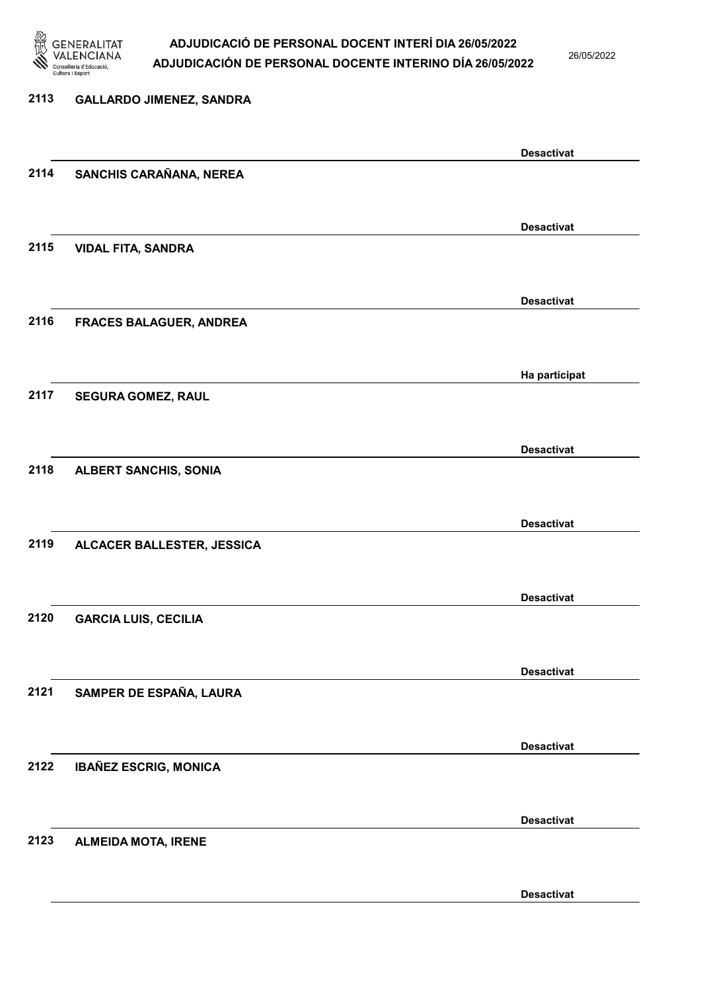

26/05/2022

Desactivat

## 2113 GALLARDO JIMENEZ, SANDRA Desactivat 2114 SANCHIS CARAÑANA, NEREA Desactivat 2115 VIDAL FITA, SANDRA Desactivat 2116 FRACES BALAGUER, ANDREA Ha participat 2117 SEGURA GOMEZ, RAUL Desactivat 2118 ALBERT SANCHIS, SONIA Desactivat 2119 ALCACER BALLESTER, JESSICA Desactivat 2120 GARCIA LUIS, CECILIA Desactivat 2121 SAMPER DE ESPAÑA, LAURA Desactivat 2122 IBAÑEZ ESCRIG, MONICA Desactivat 2123 ALMEIDA MOTA, IRENE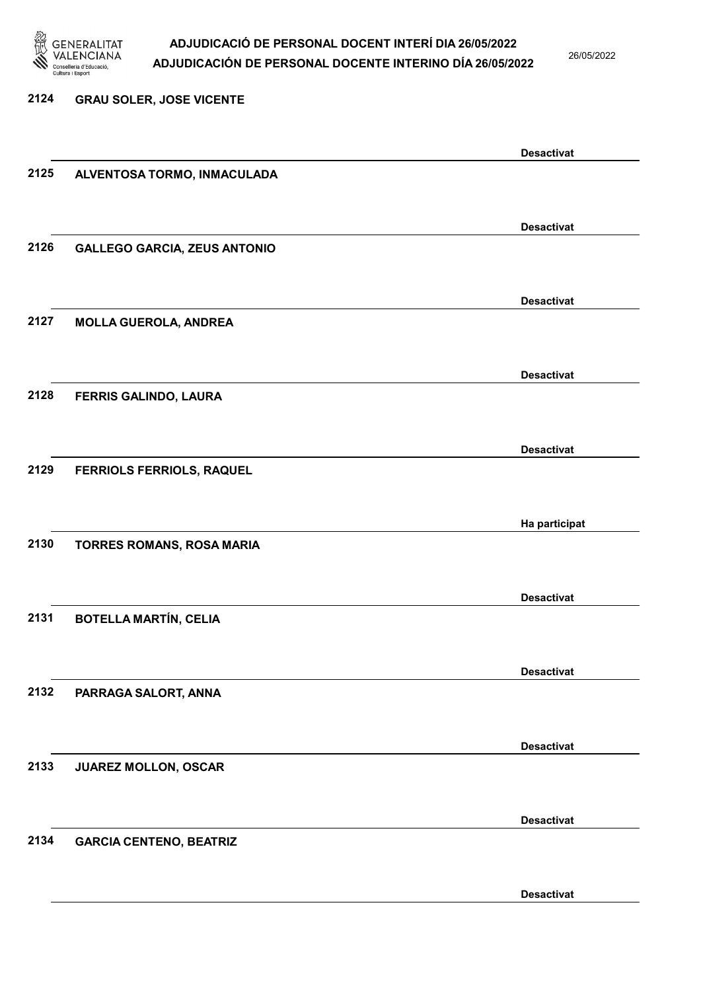

26/05/2022

Desactivat

2124 GRAU SOLER, JOSE VICENTE Desactivat 2125 ALVENTOSA TORMO, INMACULADA Desactivat 2126 GALLEGO GARCIA, ZEUS ANTONIO Desactivat 2127 MOLLA GUEROLA, ANDREA Desactivat 2128 FERRIS GALINDO, LAURA Desactivat 2129 FERRIOLS FERRIOLS, RAQUEL Ha participat 2130 TORRES ROMANS, ROSA MARIA Desactivat 2131 BOTELLA MARTÍN, CELIA Desactivat 2132 PARRAGA SALORT, ANNA Desactivat 2133 JUAREZ MOLLON, OSCAR Desactivat 2134 GARCIA CENTENO, BEATRIZ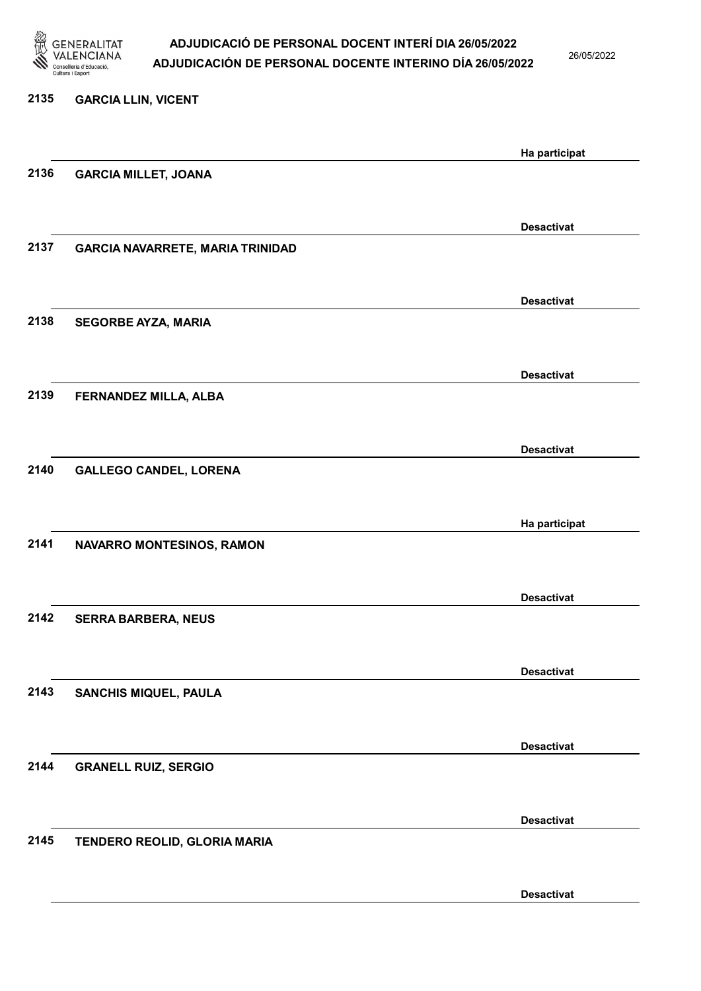

26/05/2022

# 2135 GARCIA LLIN, VICENT Ha participat 2136 GARCIA MILLET, JOANA Desactivat 2137 GARCIA NAVARRETE, MARIA TRINIDAD Desactivat 2138 SEGORBE AYZA, MARIA Desactivat 2139 FERNANDEZ MILLA, ALBA Desactivat 2140 GALLEGO CANDEL, LORENA Ha participat 2141 NAVARRO MONTESINOS, RAMON Desactivat 2142 SERRA BARBERA, NEUS Desactivat 2143 SANCHIS MIQUEL, PAULA Desactivat 2144 GRANELL RUIZ, SERGIO Desactivat 2145 TENDERO REOLID, GLORIA MARIA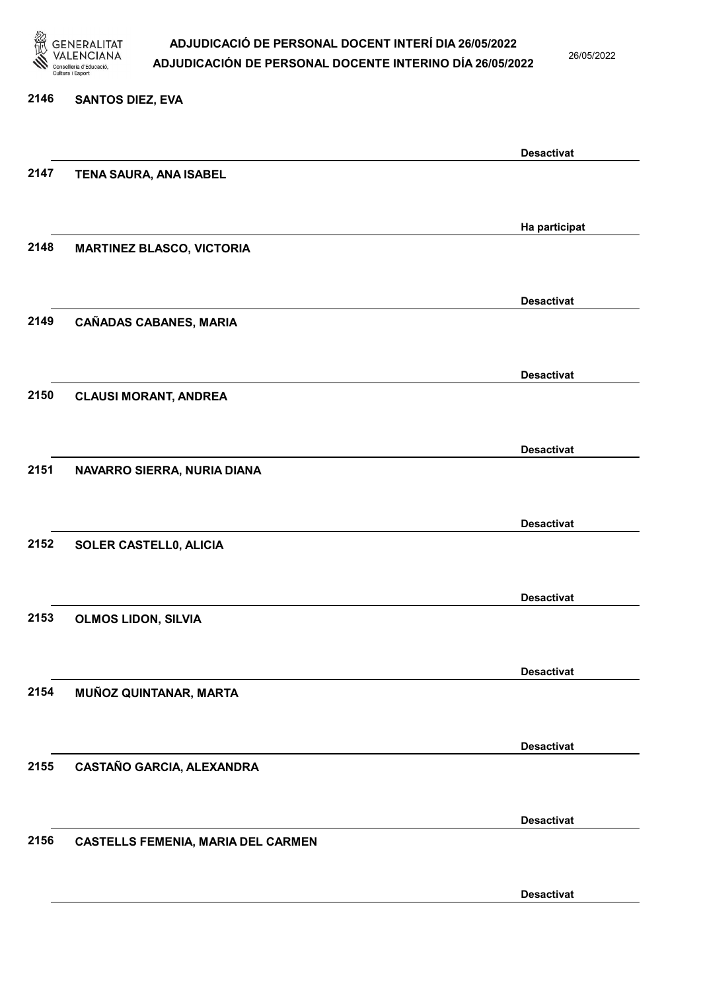

26/05/2022

#### 2146 SANTOS DIEZ, EVA

|      |                                           | <b>Desactivat</b> |
|------|-------------------------------------------|-------------------|
| 2147 | TENA SAURA, ANA ISABEL                    |                   |
|      |                                           |                   |
|      |                                           | Ha participat     |
| 2148 | <b>MARTINEZ BLASCO, VICTORIA</b>          |                   |
|      |                                           |                   |
|      |                                           | <b>Desactivat</b> |
| 2149 | <b>CAÑADAS CABANES, MARIA</b>             |                   |
|      |                                           |                   |
|      |                                           |                   |
| 2150 |                                           | <b>Desactivat</b> |
|      | <b>CLAUSI MORANT, ANDREA</b>              |                   |
|      |                                           |                   |
|      |                                           | <b>Desactivat</b> |
| 2151 | NAVARRO SIERRA, NURIA DIANA               |                   |
|      |                                           |                   |
|      |                                           | <b>Desactivat</b> |
| 2152 | SOLER CASTELL0, ALICIA                    |                   |
|      |                                           |                   |
|      |                                           | <b>Desactivat</b> |
| 2153 | <b>OLMOS LIDON, SILVIA</b>                |                   |
|      |                                           |                   |
|      |                                           | <b>Desactivat</b> |
| 2154 | MUÑOZ QUINTANAR, MARTA                    |                   |
|      |                                           |                   |
|      |                                           | <b>Desactivat</b> |
| 2155 | CASTAÑO GARCIA, ALEXANDRA                 |                   |
|      |                                           |                   |
|      |                                           | <b>Desactivat</b> |
| 2156 | <b>CASTELLS FEMENIA, MARIA DEL CARMEN</b> |                   |
|      |                                           |                   |
|      |                                           |                   |
|      |                                           | <b>Desactivat</b> |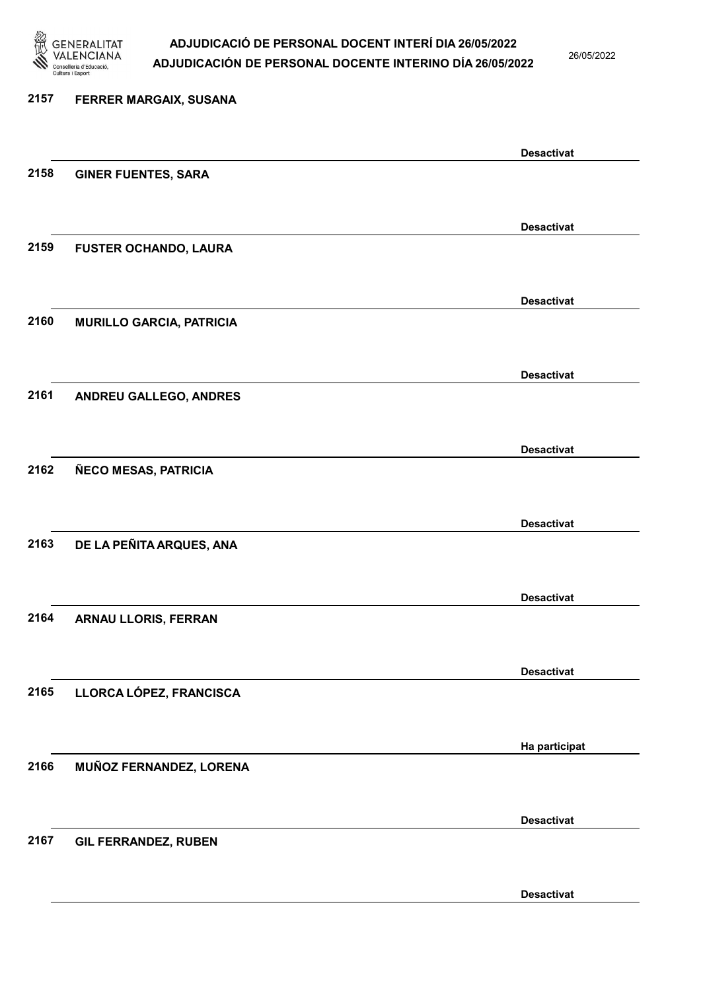

26/05/2022

Desactivat

# 2157 FERRER MARGAIX, SUSANA Desactivat 2158 GINER FUENTES, SARA Desactivat 2159 FUSTER OCHANDO, LAURA Desactivat 2160 MURILLO GARCIA, PATRICIA Desactivat 2161 ANDREU GALLEGO, ANDRES Desactivat 2162 ÑECO MESAS, PATRICIA Desactivat 2163 DE LA PEÑITA ARQUES, ANA Desactivat 2164 ARNAU LLORIS, FERRAN Desactivat 2165 LLORCA LÓPEZ, FRANCISCA Ha participat 2166 MUÑOZ FERNANDEZ, LORENA Desactivat 2167 GIL FERRANDEZ, RUBEN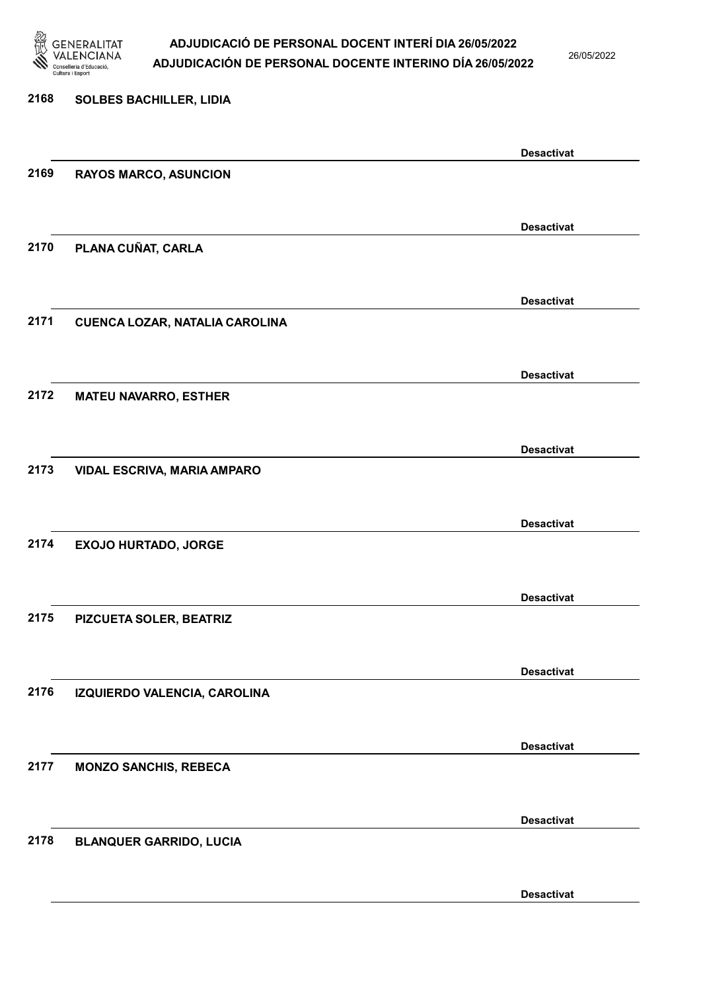

26/05/2022

# 2168 SOLBES BACHILLER, LIDIA Desactivat 2169 RAYOS MARCO, ASUNCION Desactivat 2170 PLANA CUÑAT, CARLA Desactivat 2171 CUENCA LOZAR, NATALIA CAROLINA Desactivat 2172 MATEU NAVARRO, ESTHER Desactivat 2173 VIDAL ESCRIVA, MARIA AMPARO Desactivat 2174 EXOJO HURTADO, JORGE Desactivat 2175 PIZCUETA SOLER, BEATRIZ Desactivat 2176 IZQUIERDO VALENCIA, CAROLINA Desactivat 2177 MONZO SANCHIS, REBECA Desactivat 2178 BLANQUER GARRIDO, LUCIA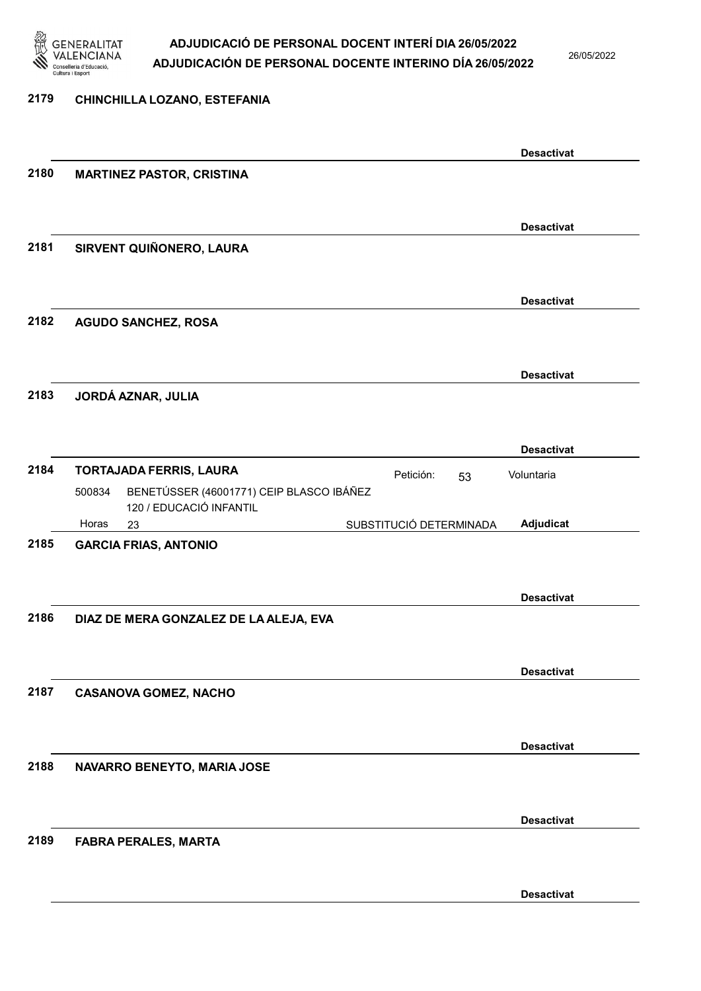

26/05/2022

#### 2179 CHINCHILLA LOZANO, ESTEFANIA

|      |                                                    | <b>Desactivat</b>                    |
|------|----------------------------------------------------|--------------------------------------|
| 2180 | <b>MARTINEZ PASTOR, CRISTINA</b>                   |                                      |
|      |                                                    |                                      |
|      |                                                    |                                      |
|      |                                                    |                                      |
|      |                                                    | <b>Desactivat</b>                    |
| 2181 | SIRVENT QUIÑONERO, LAURA                           |                                      |
|      |                                                    |                                      |
|      |                                                    |                                      |
|      |                                                    | <b>Desactivat</b>                    |
|      |                                                    |                                      |
| 2182 | <b>AGUDO SANCHEZ, ROSA</b>                         |                                      |
|      |                                                    |                                      |
|      |                                                    |                                      |
|      |                                                    | <b>Desactivat</b>                    |
| 2183 | JORDÁ AZNAR, JULIA                                 |                                      |
|      |                                                    |                                      |
|      |                                                    |                                      |
|      |                                                    | <b>Desactivat</b>                    |
|      |                                                    |                                      |
| 2184 | <b>TORTAJADA FERRIS, LAURA</b>                     | Petición:<br>Voluntaria<br>53        |
|      | BENETÚSSER (46001771) CEIP BLASCO IBÁÑEZ<br>500834 |                                      |
|      | 120 / EDUCACIÓ INFANTIL                            |                                      |
|      | Horas<br>23                                        | Adjudicat<br>SUBSTITUCIÓ DETERMINADA |
| 2185 | <b>GARCIA FRIAS, ANTONIO</b>                       |                                      |
|      |                                                    |                                      |
|      |                                                    |                                      |
|      |                                                    | <b>Desactivat</b>                    |
|      |                                                    |                                      |
| 2186 | DIAZ DE MERA GONZALEZ DE LA ALEJA, EVA             |                                      |
|      |                                                    |                                      |
|      |                                                    |                                      |
|      |                                                    | <b>Desactivat</b>                    |
| 2187 | <b>CASANOVA GOMEZ, NACHO</b>                       |                                      |
|      |                                                    |                                      |
|      |                                                    |                                      |
|      |                                                    |                                      |
|      |                                                    | <b>Desactivat</b>                    |
| 2188 | NAVARRO BENEYTO, MARIA JOSE                        |                                      |
|      |                                                    |                                      |
|      |                                                    |                                      |
|      |                                                    | <b>Desactivat</b>                    |
| 2189 | <b>FABRA PERALES, MARTA</b>                        |                                      |
|      |                                                    |                                      |
|      |                                                    |                                      |
|      |                                                    |                                      |
|      |                                                    | <b>Desactivat</b>                    |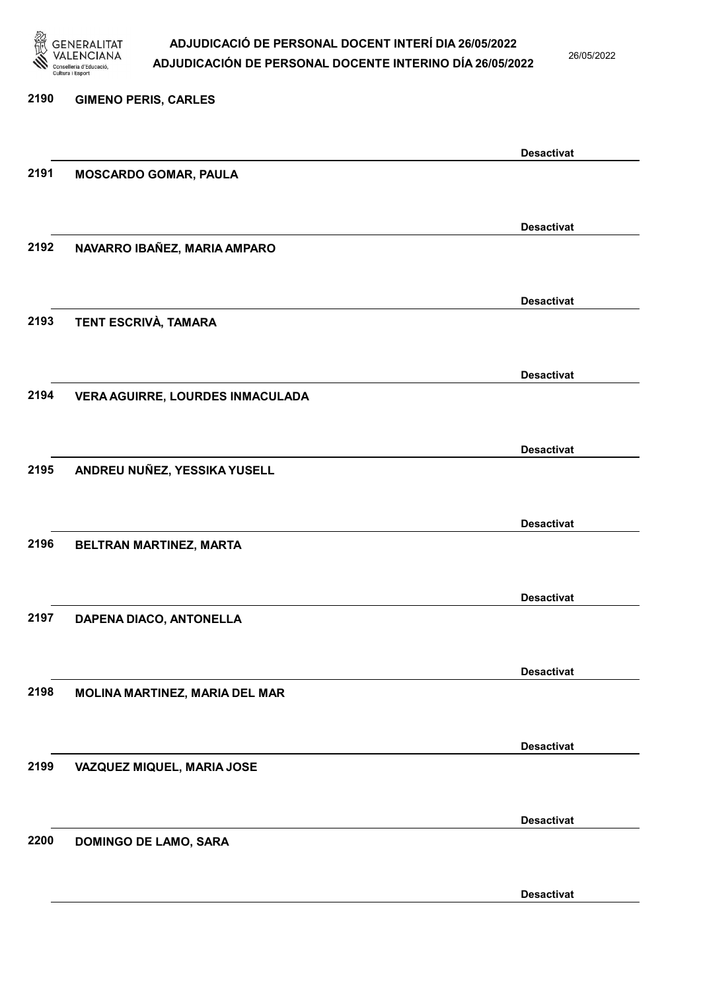

26/05/2022

Desactivat

# 2190 GIMENO PERIS, CARLES Desactivat 2191 MOSCARDO GOMAR, PAULA Desactivat 2192 NAVARRO IBAÑEZ, MARIA AMPARO Desactivat 2193 TENT ESCRIVÀ, TAMARA Desactivat 2194 VERA AGUIRRE, LOURDES INMACULADA Desactivat 2195 ANDREU NUÑEZ, YESSIKA YUSELL Desactivat 2196 BELTRAN MARTINEZ, MARTA Desactivat 2197 DAPENA DIACO, ANTONELLA Desactivat 2198 MOLINA MARTINEZ, MARIA DEL MAR Desactivat 2199 VAZQUEZ MIQUEL, MARIA JOSE Desactivat 2200 DOMINGO DE LAMO, SARA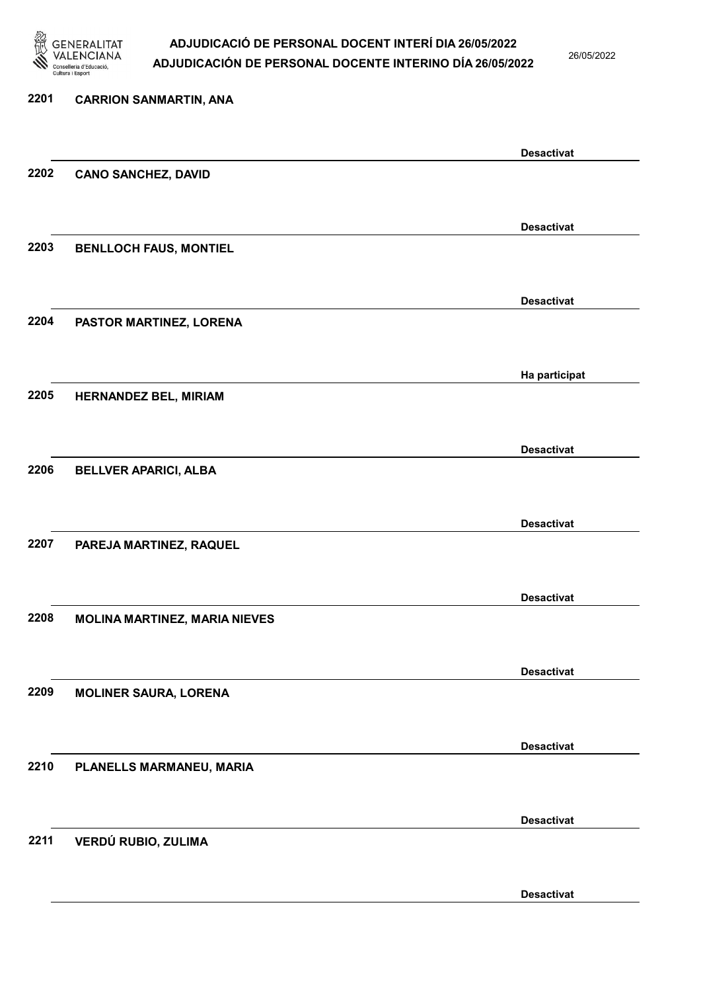

26/05/2022

Desactivat

# 2201 CARRION SANMARTIN, ANA Desactivat 2202 CANO SANCHEZ, DAVID Desactivat 2203 BENLLOCH FAUS, MONTIEL Desactivat 2204 PASTOR MARTINEZ, LORENA Ha participat 2205 HERNANDEZ BEL, MIRIAM Desactivat 2206 BELLVER APARICI, ALBA Desactivat 2207 PAREJA MARTINEZ, RAQUEL Desactivat 2208 MOLINA MARTINEZ, MARIA NIEVES Desactivat 2209 MOLINER SAURA, LORENA Desactivat 2210 PLANELLS MARMANEU, MARIA Desactivat 2211 VERDÚ RUBIO, ZULIMA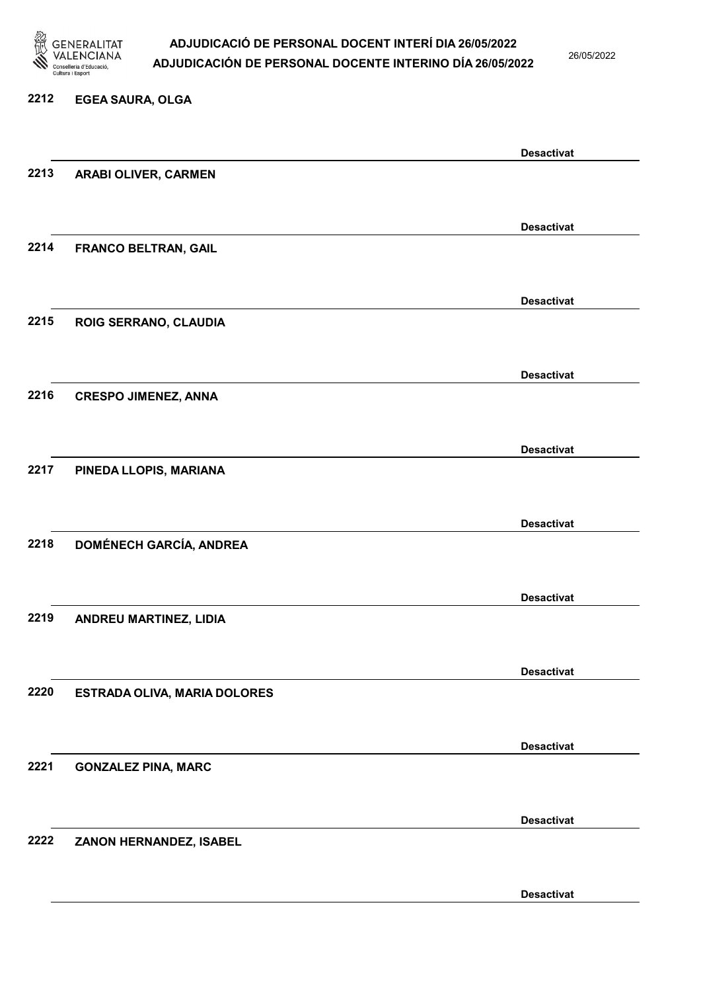

26/05/2022

#### 2212 EGEA SAURA, OLGA

|      |                                | <b>Desactivat</b> |
|------|--------------------------------|-------------------|
| 2213 | <b>ARABI OLIVER, CARMEN</b>    |                   |
|      |                                |                   |
|      |                                | <b>Desactivat</b> |
|      |                                |                   |
| 2214 | <b>FRANCO BELTRAN, GAIL</b>    |                   |
|      |                                |                   |
|      |                                | <b>Desactivat</b> |
| 2215 | ROIG SERRANO, CLAUDIA          |                   |
|      |                                |                   |
|      |                                |                   |
|      |                                | <b>Desactivat</b> |
| 2216 | <b>CRESPO JIMENEZ, ANNA</b>    |                   |
|      |                                |                   |
|      |                                |                   |
|      |                                | <b>Desactivat</b> |
| 2217 | PINEDA LLOPIS, MARIANA         |                   |
|      |                                |                   |
|      |                                |                   |
|      |                                | <b>Desactivat</b> |
| 2218 | <b>DOMÉNECH GARCÍA, ANDREA</b> |                   |
|      |                                |                   |
|      |                                |                   |
|      |                                | <b>Desactivat</b> |
| 2219 | ANDREU MARTINEZ, LIDIA         |                   |
|      |                                |                   |
|      |                                | <b>Desactivat</b> |
| 2220 | ESTRADA OLIVA, MARIA DOLORES   |                   |
|      |                                |                   |
|      |                                |                   |
|      |                                | <b>Desactivat</b> |
| 2221 | <b>GONZALEZ PINA, MARC</b>     |                   |
|      |                                |                   |
|      |                                |                   |
|      |                                | <b>Desactivat</b> |
| 2222 | ZANON HERNANDEZ, ISABEL        |                   |
|      |                                |                   |
|      |                                |                   |
|      |                                | <b>Desactivat</b> |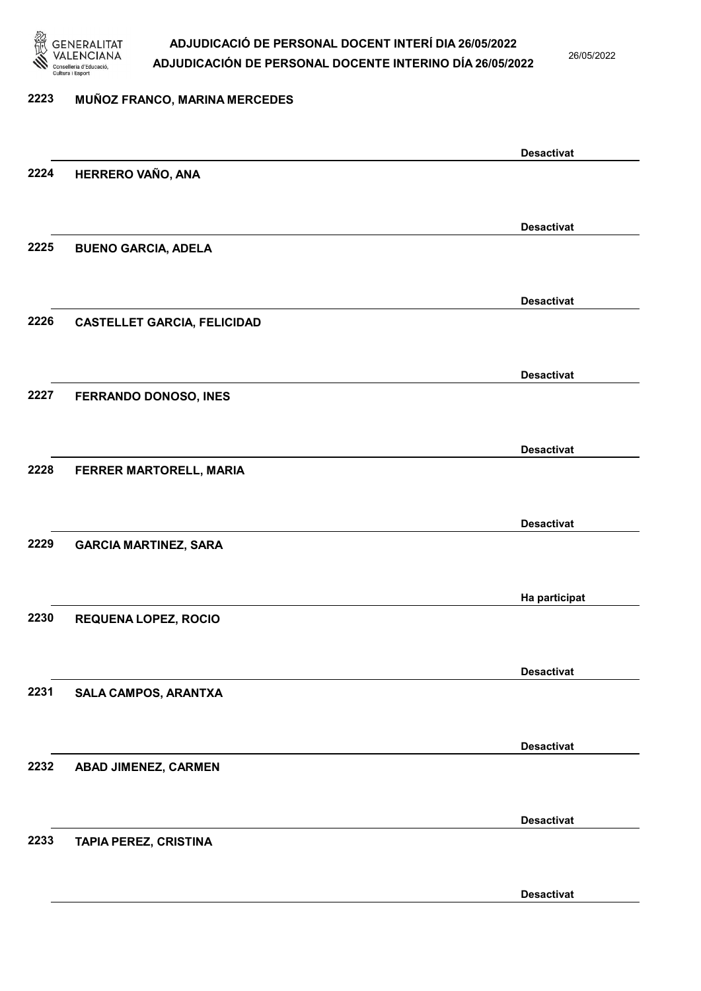

26/05/2022

#### 2223 MUÑOZ FRANCO, MARINA MERCEDES

|      |                                    | <b>Desactivat</b> |
|------|------------------------------------|-------------------|
| 2224 | HERRERO VAÑO, ANA                  |                   |
|      |                                    |                   |
|      |                                    | <b>Desactivat</b> |
| 2225 | <b>BUENO GARCIA, ADELA</b>         |                   |
|      |                                    |                   |
|      |                                    |                   |
|      |                                    | <b>Desactivat</b> |
| 2226 | <b>CASTELLET GARCIA, FELICIDAD</b> |                   |
|      |                                    |                   |
|      |                                    | <b>Desactivat</b> |
| 2227 | FERRANDO DONOSO, INES              |                   |
|      |                                    |                   |
|      |                                    | <b>Desactivat</b> |
| 2228 | FERRER MARTORELL, MARIA            |                   |
|      |                                    |                   |
|      |                                    |                   |
| 2229 |                                    | <b>Desactivat</b> |
|      | <b>GARCIA MARTINEZ, SARA</b>       |                   |
|      |                                    |                   |
|      |                                    | Ha participat     |
| 2230 | <b>REQUENA LOPEZ, ROCIO</b>        |                   |
|      |                                    |                   |
|      |                                    | <b>Desactivat</b> |
| 2231 | SALA CAMPOS, ARANTXA               |                   |
|      |                                    |                   |
|      |                                    | <b>Desactivat</b> |
| 2232 | ABAD JIMENEZ, CARMEN               |                   |
|      |                                    |                   |
|      |                                    |                   |
|      |                                    | <b>Desactivat</b> |
| 2233 | TAPIA PEREZ, CRISTINA              |                   |
|      |                                    |                   |
|      |                                    | <b>Desactivat</b> |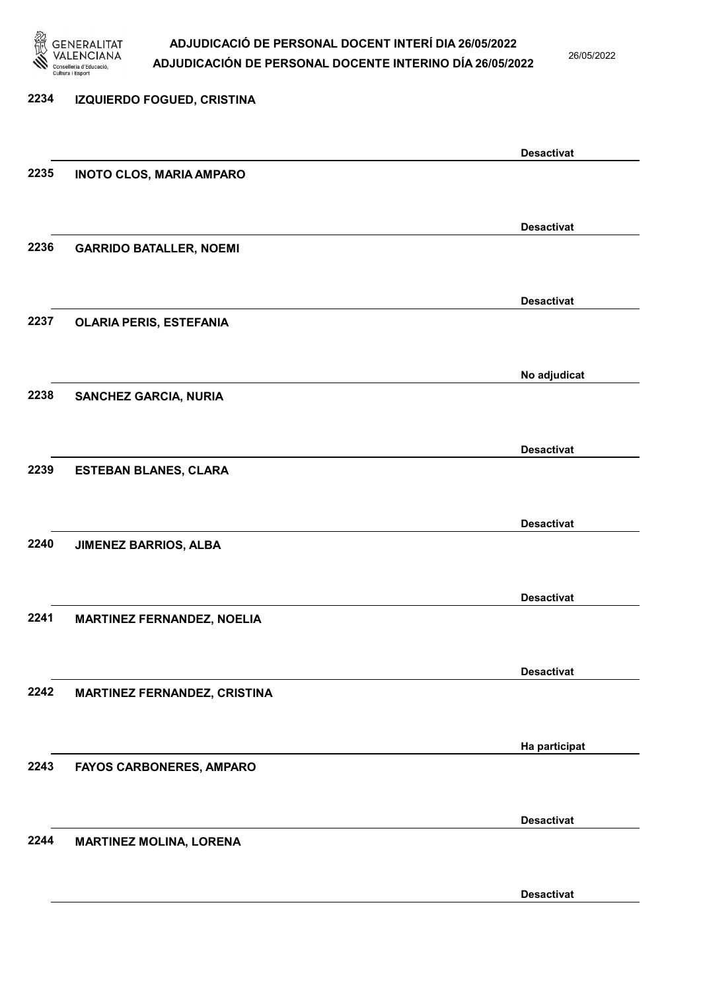

26/05/2022

# 2234 IZQUIERDO FOGUED, CRISTINA Desactivat 2235 INOTO CLOS, MARIA AMPARO Desactivat 2236 GARRIDO BATALLER, NOEMI Desactivat 2237 OLARIA PERIS, ESTEFANIA No adjudicat 2238 SANCHEZ GARCIA, NURIA Desactivat 2239 ESTEBAN BLANES, CLARA Desactivat 2240 JIMENEZ BARRIOS, ALBA Desactivat 2241 MARTINEZ FERNANDEZ, NOELIA Desactivat 2242 MARTINEZ FERNANDEZ, CRISTINA Ha participat 2243 FAYOS CARBONERES, AMPARO Desactivat 2244 MARTINEZ MOLINA, LORENA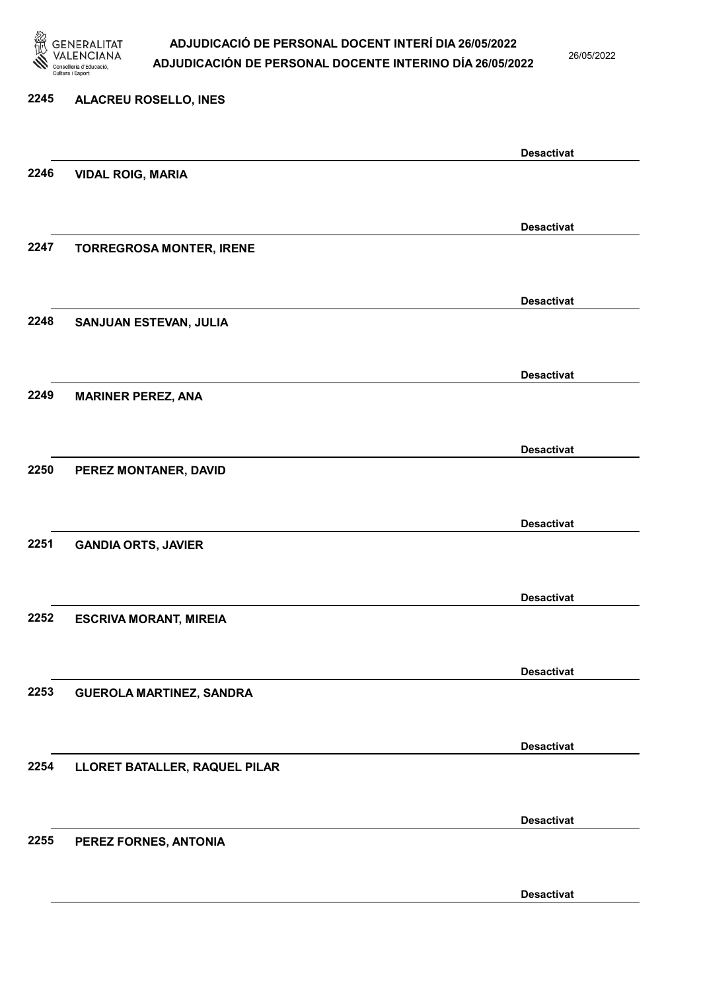

26/05/2022

#### 2245 ALACREU ROSELLO, INES

|      |                                 | <b>Desactivat</b> |
|------|---------------------------------|-------------------|
| 2246 | <b>VIDAL ROIG, MARIA</b>        |                   |
|      |                                 |                   |
|      |                                 | <b>Desactivat</b> |
| 2247 | <b>TORREGROSA MONTER, IRENE</b> |                   |
|      |                                 |                   |
|      |                                 | <b>Desactivat</b> |
| 2248 | SANJUAN ESTEVAN, JULIA          |                   |
|      |                                 |                   |
|      |                                 |                   |
| 2249 |                                 | <b>Desactivat</b> |
|      | <b>MARINER PEREZ, ANA</b>       |                   |
|      |                                 |                   |
|      |                                 | <b>Desactivat</b> |
| 2250 | PEREZ MONTANER, DAVID           |                   |
|      |                                 |                   |
|      |                                 | <b>Desactivat</b> |
| 2251 | <b>GANDIA ORTS, JAVIER</b>      |                   |
|      |                                 |                   |
|      |                                 | <b>Desactivat</b> |
| 2252 | <b>ESCRIVA MORANT, MIREIA</b>   |                   |
|      |                                 |                   |
|      |                                 | <b>Desactivat</b> |
| 2253 | <b>GUEROLA MARTINEZ, SANDRA</b> |                   |
|      |                                 |                   |
|      |                                 | <b>Desactivat</b> |
| 2254 | LLORET BATALLER, RAQUEL PILAR   |                   |
|      |                                 |                   |
|      |                                 |                   |
|      |                                 | <b>Desactivat</b> |
| 2255 | PEREZ FORNES, ANTONIA           |                   |
|      |                                 |                   |
|      |                                 | <b>Desactivat</b> |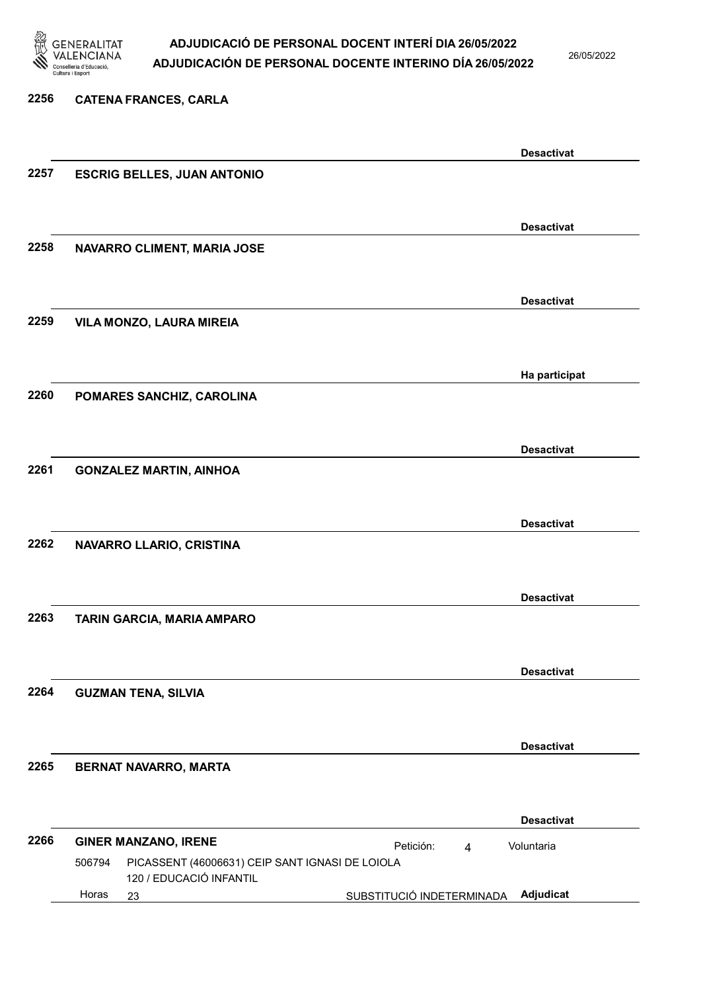

26/05/2022

### 2256 CATENA FRANCES, CARLA Desactivat 2257 ESCRIG BELLES, JUAN ANTONIO Desactivat 2258 NAVARRO CLIMENT, MARIA JOSE Desactivat 2259 VILA MONZO, LAURA MIREIA Ha participat 2260 POMARES SANCHIZ, CAROLINA Desactivat 2261 GONZALEZ MARTIN, AINHOA Desactivat 2262 NAVARRO LLARIO, CRISTINA Desactivat 2263 TARIN GARCIA, MARIA AMPARO Desactivat 2264 GUZMAN TENA, SILVIA Desactivat 2265 BERNAT NAVARRO, MARTA Desactivat 2266 GINER MANZANO, IRENE **Petición:** 4 23 SUBSTITUCIÓ INDETERMINADA Adjudicat PICASSENT (46006631) CEIP SANT IGNASI DE LOIOLA 120 / EDUCACIÓ INFANTIL Voluntaria 506794 Horas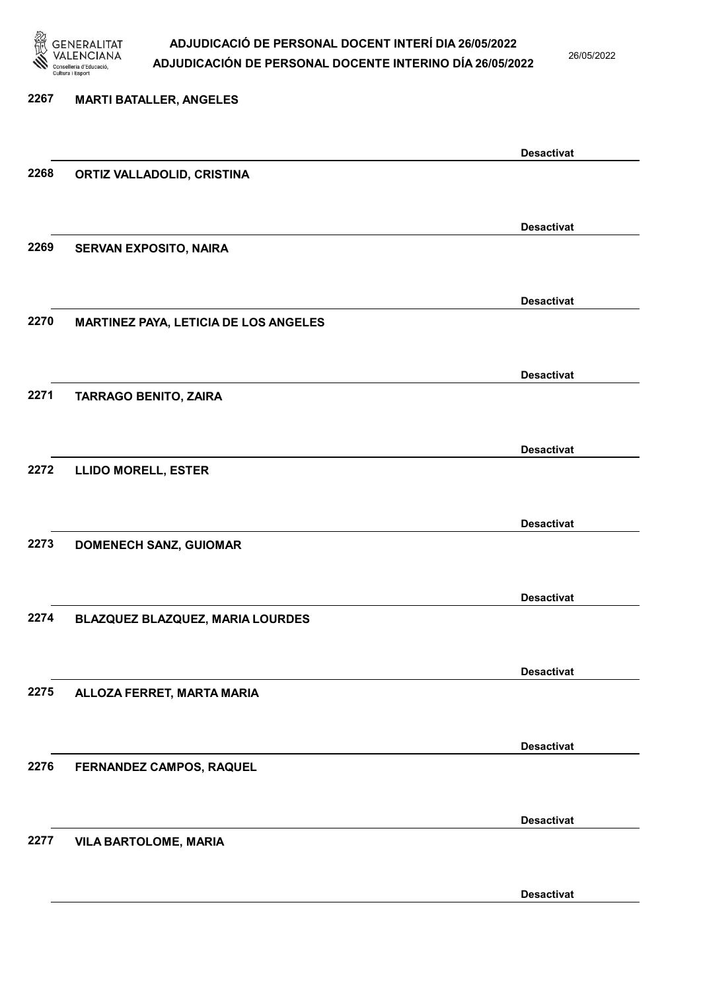

26/05/2022

# 2267 MARTI BATALLER, ANGELES Desactivat 2268 ORTIZ VALLADOLID, CRISTINA Desactivat 2269 SERVAN EXPOSITO, NAIRA Desactivat 2270 MARTINEZ PAYA, LETICIA DE LOS ANGELES Desactivat 2271 TARRAGO BENITO, ZAIRA Desactivat 2272 LLIDO MORELL, ESTER Desactivat 2273 DOMENECH SANZ, GUIOMAR Desactivat 2274 BLAZQUEZ BLAZQUEZ, MARIA LOURDES Desactivat 2275 ALLOZA FERRET, MARTA MARIA Desactivat 2276 FERNANDEZ CAMPOS, RAQUEL Desactivat 2277 VILA BARTOLOME, MARIA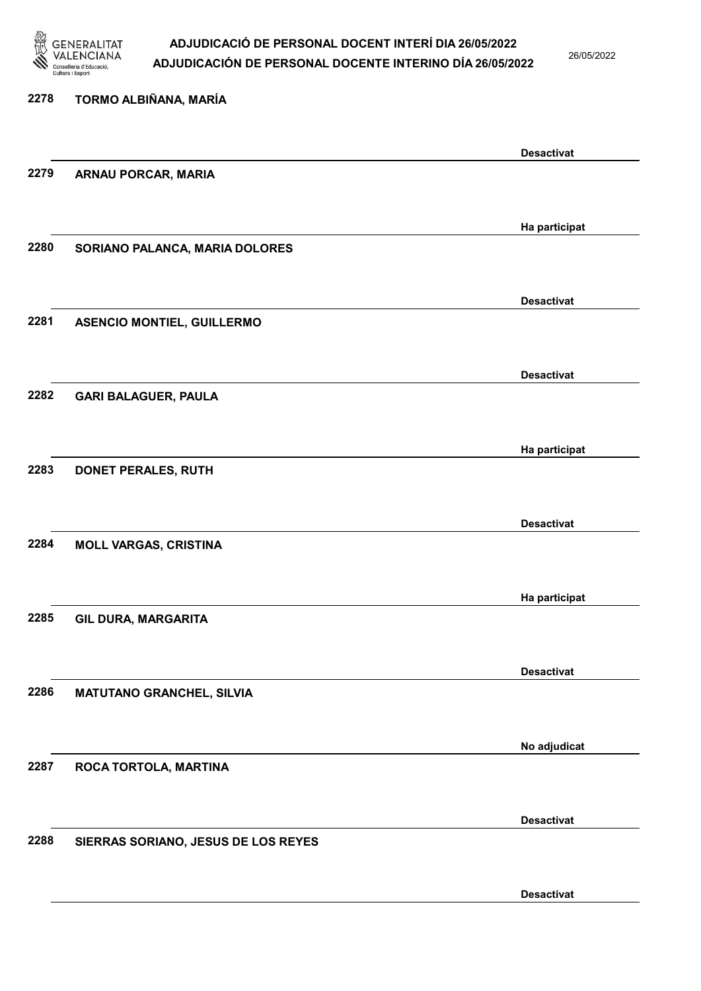

26/05/2022

### 2278 TORMO ALBIÑANA, MARÍA Desactivat 2279 ARNAU PORCAR, MARIA Ha participat 2280 SORIANO PALANCA, MARIA DOLORES Desactivat 2281 ASENCIO MONTIEL, GUILLERMO Desactivat 2282 GARI BALAGUER, PAULA Ha participat 2283 DONET PERALES, RUTH Desactivat 2284 MOLL VARGAS, CRISTINA Ha participat 2285 GIL DURA, MARGARITA Desactivat 2286 MATUTANO GRANCHEL, SILVIA No adjudicat 2287 ROCA TORTOLA, MARTINA Desactivat 2288 SIERRAS SORIANO, JESUS DE LOS REYES Desactivat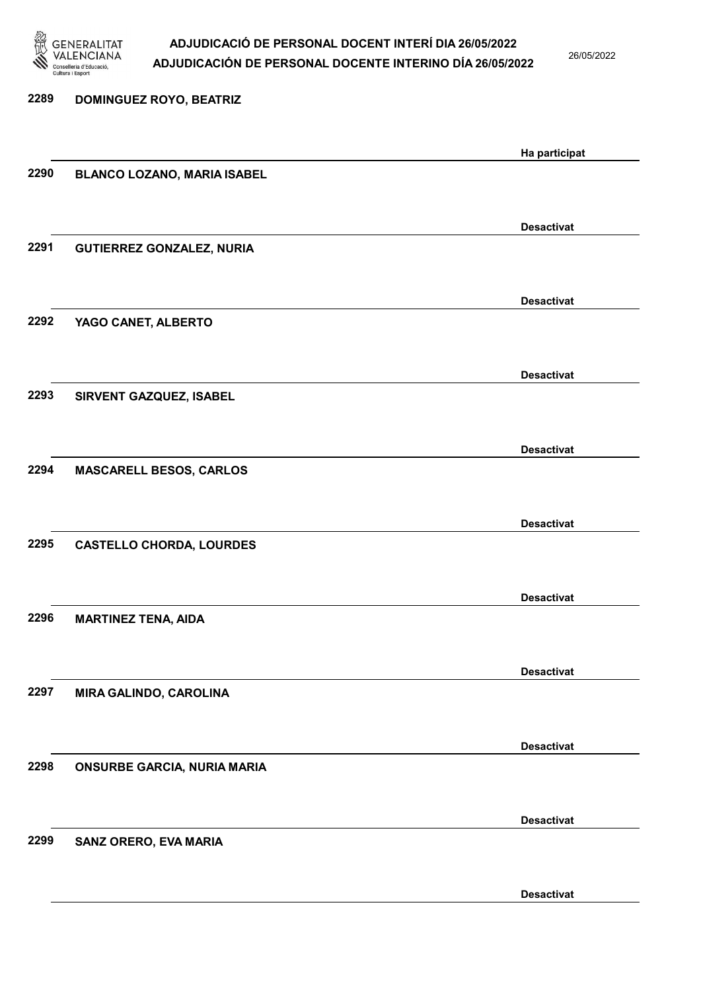

26/05/2022

| 2289 | <b>DOMINGUEZ ROYO, BEATRIZ</b>     |                   |
|------|------------------------------------|-------------------|
|      |                                    | Ha participat     |
| 2290 | <b>BLANCO LOZANO, MARIA ISABEL</b> |                   |
|      |                                    | <b>Desactivat</b> |
| 2291 | <b>GUTIERREZ GONZALEZ, NURIA</b>   |                   |
|      |                                    | <b>Desactivat</b> |
| 2292 | YAGO CANET, ALBERTO                |                   |
|      |                                    | <b>Desactivat</b> |
| 2293 | SIRVENT GAZQUEZ, ISABEL            |                   |
| 2294 | <b>MASCARELL BESOS, CARLOS</b>     | <b>Desactivat</b> |
|      |                                    |                   |
| 2295 | <b>CASTELLO CHORDA, LOURDES</b>    | <b>Desactivat</b> |
|      |                                    |                   |
| 2296 | <b>MARTINEZ TENA, AIDA</b>         | <b>Desactivat</b> |
|      |                                    |                   |
| 2297 | MIRA GALINDO, CAROLINA             | <b>Desactivat</b> |
|      |                                    | <b>Desactivat</b> |
| 2298 | <b>ONSURBE GARCIA, NURIA MARIA</b> |                   |
|      |                                    | <b>Desactivat</b> |
| 2299 | SANZ ORERO, EVA MARIA              |                   |
|      |                                    | <b>Desactivat</b> |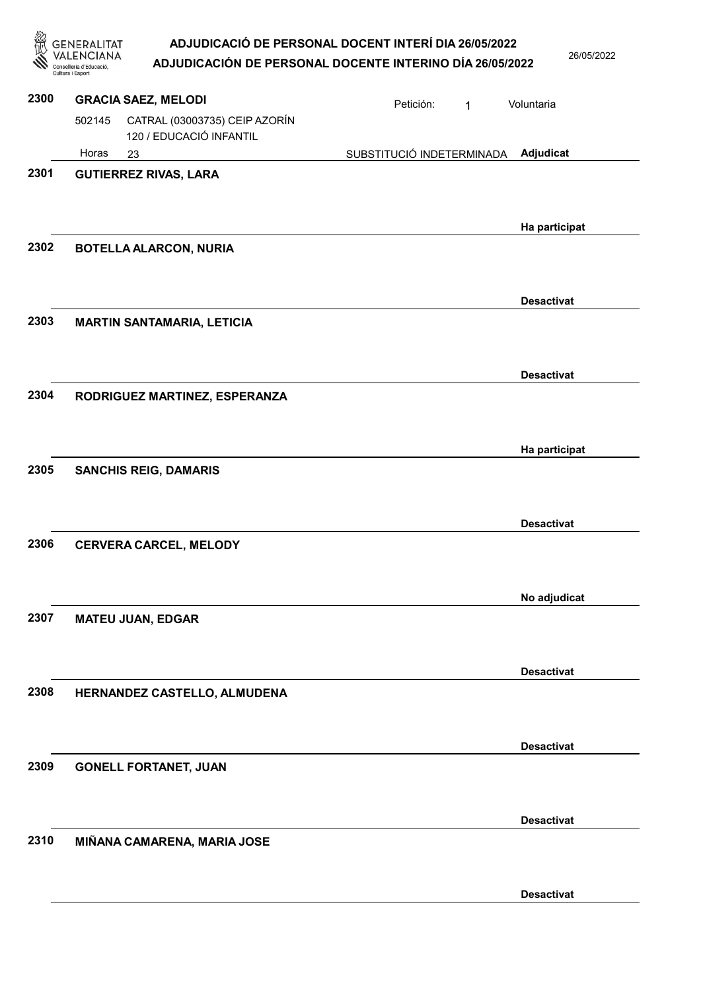|      | ADJUDICACIÓ DE PERSONAL DOCENT INTERÍ DIA 26/05/2022<br>GENERALITAT<br>ADJUDICACIÓN DE PERSONAL DOCENTE INTERINO DÍA 26/05/2022<br>onselleria d'Educació<br>Cultura i Esport |                           |   | 26/05/2022        |
|------|------------------------------------------------------------------------------------------------------------------------------------------------------------------------------|---------------------------|---|-------------------|
| 2300 | <b>GRACIA SAEZ, MELODI</b>                                                                                                                                                   | Petición:                 | 1 | Voluntaria        |
|      | CATRAL (03003735) CEIP AZORÍN<br>502145<br>120 / EDUCACIÓ INFANTIL                                                                                                           |                           |   |                   |
|      | Horas<br>23                                                                                                                                                                  | SUBSTITUCIÓ INDETERMINADA |   | Adjudicat         |
| 2301 | <b>GUTIERREZ RIVAS, LARA</b>                                                                                                                                                 |                           |   | Ha participat     |
| 2302 | <b>BOTELLA ALARCON, NURIA</b>                                                                                                                                                |                           |   |                   |
| 2303 | <b>MARTIN SANTAMARIA, LETICIA</b>                                                                                                                                            |                           |   | <b>Desactivat</b> |
|      |                                                                                                                                                                              |                           |   | <b>Desactivat</b> |
| 2304 | RODRIGUEZ MARTINEZ, ESPERANZA                                                                                                                                                |                           |   |                   |
|      |                                                                                                                                                                              |                           |   | Ha participat     |
| 2305 | <b>SANCHIS REIG, DAMARIS</b>                                                                                                                                                 |                           |   |                   |
| 2306 | <b>CERVERA CARCEL, MELODY</b>                                                                                                                                                |                           |   | <b>Desactivat</b> |
|      |                                                                                                                                                                              |                           |   | No adjudicat      |
| 2307 | <b>MATEU JUAN, EDGAR</b>                                                                                                                                                     |                           |   |                   |
| 2308 | HERNANDEZ CASTELLO, ALMUDENA                                                                                                                                                 |                           |   | <b>Desactivat</b> |
| 2309 | <b>GONELL FORTANET, JUAN</b>                                                                                                                                                 |                           |   | <b>Desactivat</b> |
|      |                                                                                                                                                                              |                           |   | <b>Desactivat</b> |
| 2310 | MIÑANA CAMARENA, MARIA JOSE                                                                                                                                                  |                           |   |                   |
|      |                                                                                                                                                                              |                           |   | <b>Desactivat</b> |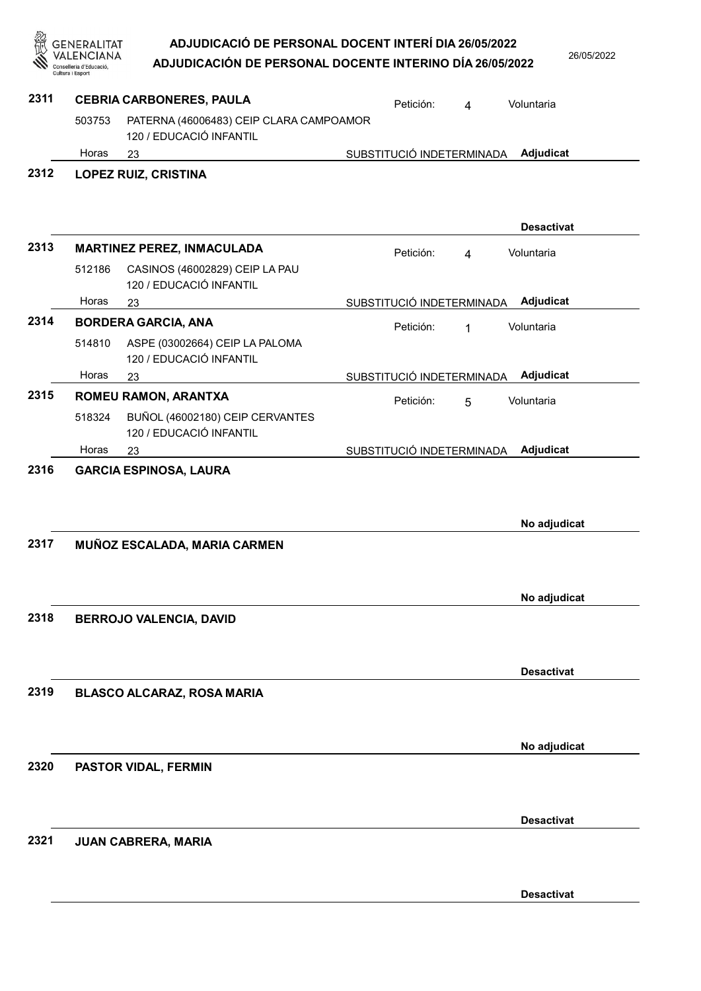|      | GENERALITAT<br>onselleria d'Educació | ADJUDICACIÓ DE PERSONAL DOCENT INTERÍ DIA 26/05/2022<br>ADJUDICACIÓN DE PERSONAL DOCENTE INTERINO DÍA 26/05/2022 |                           |                | 26/05/2022        |
|------|--------------------------------------|------------------------------------------------------------------------------------------------------------------|---------------------------|----------------|-------------------|
| 2311 |                                      | <b>CEBRIA CARBONERES, PAULA</b>                                                                                  | Petición:                 | $\overline{4}$ | Voluntaria        |
|      | 503753                               | PATERNA (46006483) CEIP CLARA CAMPOAMOR<br>120 / EDUCACIÓ INFANTIL                                               |                           |                |                   |
|      | Horas                                | 23                                                                                                               | SUBSTITUCIÓ INDETERMINADA |                | Adjudicat         |
| 2312 |                                      | <b>LOPEZ RUIZ, CRISTINA</b>                                                                                      |                           |                | <b>Desactivat</b> |
| 2313 |                                      | <b>MARTINEZ PEREZ, INMACULADA</b>                                                                                | Petición:                 | $\overline{4}$ | Voluntaria        |
|      | 512186                               | CASINOS (46002829) CEIP LA PAU<br>120 / EDUCACIÓ INFANTIL                                                        |                           |                |                   |
|      | Horas                                | 23                                                                                                               | SUBSTITUCIÓ INDETERMINADA |                | Adjudicat         |
| 2314 | 514810                               | <b>BORDERA GARCIA, ANA</b><br>ASPE (03002664) CEIP LA PALOMA<br>120 / EDUCACIÓ INFANTIL                          | Petición:                 | 1              | Voluntaria        |
|      | Horas                                | 23                                                                                                               | SUBSTITUCIÓ INDETERMINADA |                | Adjudicat         |
| 2315 |                                      | ROMEU RAMON, ARANTXA                                                                                             | Petición:                 | 5              | Voluntaria        |
|      | 518324                               | BUÑOL (46002180) CEIP CERVANTES<br>120 / EDUCACIÓ INFANTIL                                                       |                           |                |                   |
|      | Horas                                | 23                                                                                                               | SUBSTITUCIÓ INDETERMINADA |                | Adjudicat         |
| 2316 |                                      | <b>GARCIA ESPINOSA, LAURA</b>                                                                                    |                           |                | No adjudicat      |
| 2317 |                                      | MUÑOZ ESCALADA, MARIA CARMEN                                                                                     |                           |                |                   |
|      |                                      |                                                                                                                  |                           |                | No adjudicat      |
| 2318 |                                      | <b>BERROJO VALENCIA, DAVID</b>                                                                                   |                           |                |                   |
|      |                                      |                                                                                                                  |                           |                | <b>Desactivat</b> |
| 2319 |                                      | <b>BLASCO ALCARAZ, ROSA MARIA</b>                                                                                |                           |                |                   |
| 2320 |                                      | <b>PASTOR VIDAL, FERMIN</b>                                                                                      |                           |                | No adjudicat      |
|      |                                      |                                                                                                                  |                           |                | <b>Desactivat</b> |
| 2321 |                                      | <b>JUAN CABRERA, MARIA</b>                                                                                       |                           |                |                   |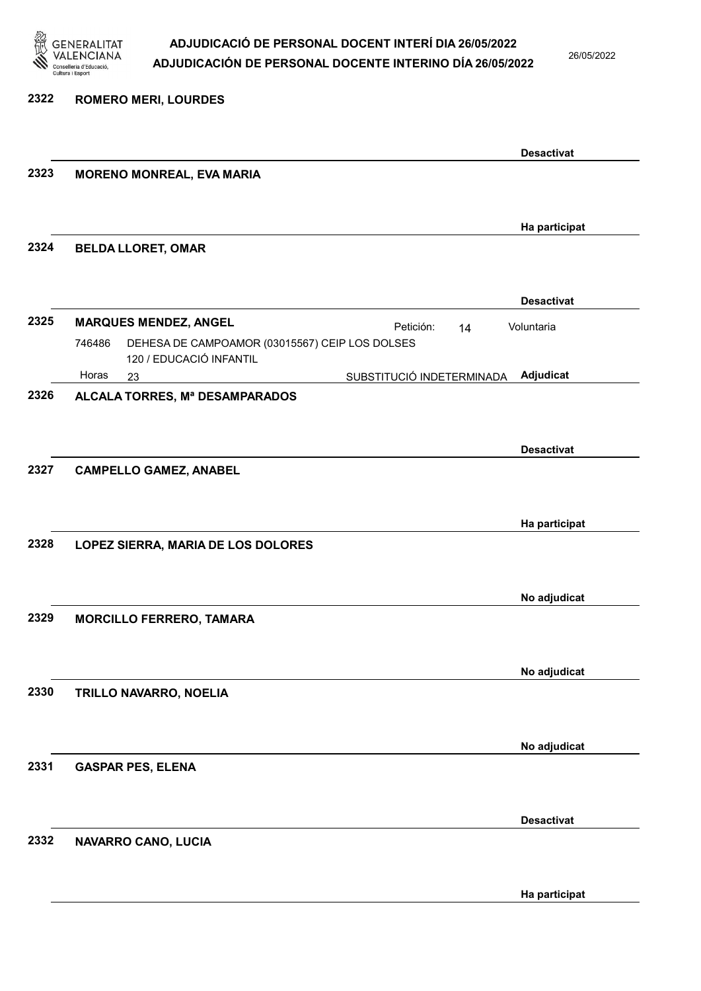

26/05/2022

Ha participat

|              | <b>ROMERO MERI, LOURDES</b>                                                         |                   |
|--------------|-------------------------------------------------------------------------------------|-------------------|
|              |                                                                                     |                   |
|              |                                                                                     | <b>Desactivat</b> |
| 2323         | <b>MORENO MONREAL, EVA MARIA</b>                                                    |                   |
|              |                                                                                     |                   |
| 2324         | <b>BELDA LLORET, OMAR</b>                                                           | Ha participat     |
|              |                                                                                     |                   |
|              |                                                                                     | <b>Desactivat</b> |
| 2325         | <b>MARQUES MENDEZ, ANGEL</b><br>Petición:<br>14                                     | Voluntaria        |
|              | DEHESA DE CAMPOAMOR (03015567) CEIP LOS DOLSES<br>746486<br>120 / EDUCACIÓ INFANTIL |                   |
|              | Horas<br>SUBSTITUCIÓ INDETERMINADA<br>23                                            | Adjudicat         |
| 2326         | ALCALA TORRES, Mª DESAMPARADOS                                                      |                   |
|              |                                                                                     |                   |
|              |                                                                                     | <b>Desactivat</b> |
| 2327         | <b>CAMPELLO GAMEZ, ANABEL</b>                                                       |                   |
|              |                                                                                     |                   |
|              |                                                                                     |                   |
|              |                                                                                     | Ha participat     |
| 2328         | LOPEZ SIERRA, MARIA DE LOS DOLORES                                                  |                   |
|              |                                                                                     |                   |
|              |                                                                                     | No adjudicat      |
|              | <b>MORCILLO FERRERO, TAMARA</b>                                                     |                   |
|              |                                                                                     |                   |
|              |                                                                                     | No adjudicat      |
|              | TRILLO NAVARRO, NOELIA                                                              |                   |
| 2329<br>2330 |                                                                                     |                   |
|              |                                                                                     | No adjudicat      |
|              | <b>GASPAR PES, ELENA</b>                                                            |                   |
| 2331         |                                                                                     |                   |
|              |                                                                                     | <b>Desactivat</b> |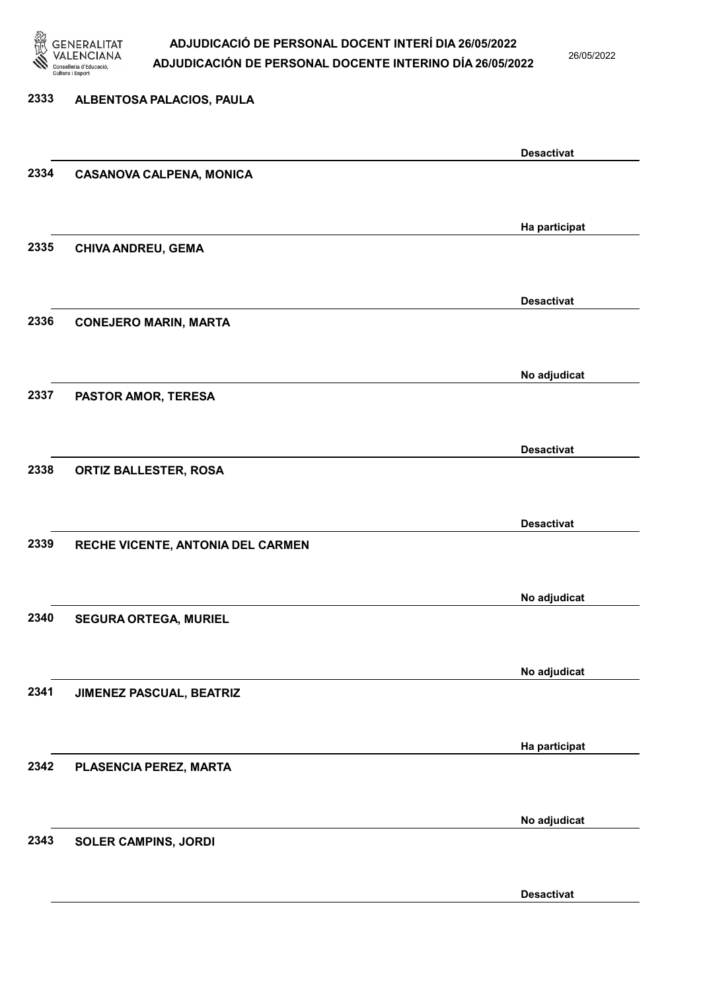

26/05/2022

#### 2333 ALBENTOSA PALACIOS, PAULA

|      |                                   | <b>Desactivat</b> |
|------|-----------------------------------|-------------------|
| 2334 | <b>CASANOVA CALPENA, MONICA</b>   |                   |
|      |                                   |                   |
|      |                                   |                   |
|      |                                   | Ha participat     |
| 2335 | CHIVA ANDREU, GEMA                |                   |
|      |                                   |                   |
|      |                                   | <b>Desactivat</b> |
| 2336 | <b>CONEJERO MARIN, MARTA</b>      |                   |
|      |                                   |                   |
|      |                                   |                   |
|      |                                   | No adjudicat      |
| 2337 | PASTOR AMOR, TERESA               |                   |
|      |                                   |                   |
|      |                                   | <b>Desactivat</b> |
| 2338 | ORTIZ BALLESTER, ROSA             |                   |
|      |                                   |                   |
|      |                                   |                   |
|      |                                   | <b>Desactivat</b> |
| 2339 | RECHE VICENTE, ANTONIA DEL CARMEN |                   |
|      |                                   |                   |
|      |                                   | No adjudicat      |
| 2340 | <b>SEGURA ORTEGA, MURIEL</b>      |                   |
|      |                                   |                   |
|      |                                   |                   |
|      |                                   | No adjudicat      |
| 2341 | JIMENEZ PASCUAL, BEATRIZ          |                   |
|      |                                   |                   |
|      |                                   | Ha participat     |
| 2342 | PLASENCIA PEREZ, MARTA            |                   |
|      |                                   |                   |
|      |                                   |                   |
|      |                                   | No adjudicat      |
| 2343 | <b>SOLER CAMPINS, JORDI</b>       |                   |
|      |                                   |                   |
|      |                                   |                   |
|      |                                   | <b>Desactivat</b> |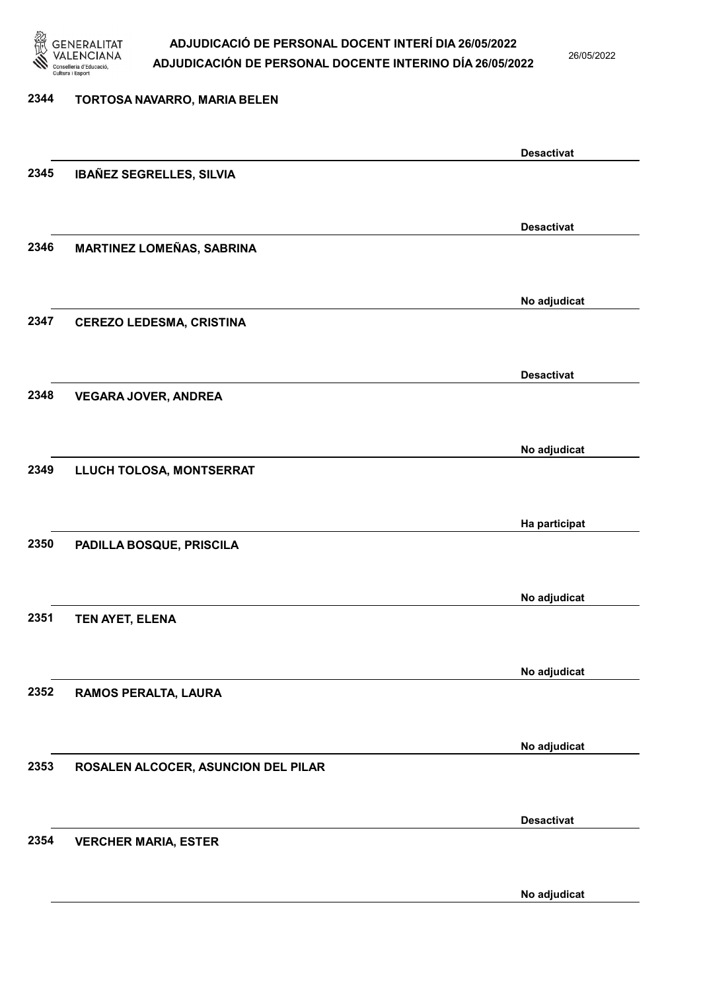

26/05/2022

### 2344 TORTOSA NAVARRO, MARIA BELEN Desactivat 2345 IBAÑEZ SEGRELLES, SILVIA Desactivat 2346 MARTINEZ LOMEÑAS, SABRINA No adjudicat 2347 CEREZO LEDESMA, CRISTINA Desactivat 2348 VEGARA JOVER, ANDREA No adjudicat 2349 LLUCH TOLOSA, MONTSERRAT Ha participat 2350 PADILLA BOSQUE, PRISCILA No adjudicat 2351 TEN AYET, ELENA No adjudicat 2352 RAMOS PERALTA, LAURA No adjudicat 2353 ROSALEN ALCOCER, ASUNCION DEL PILAR Desactivat 2354 VERCHER MARIA, ESTER No adjudicat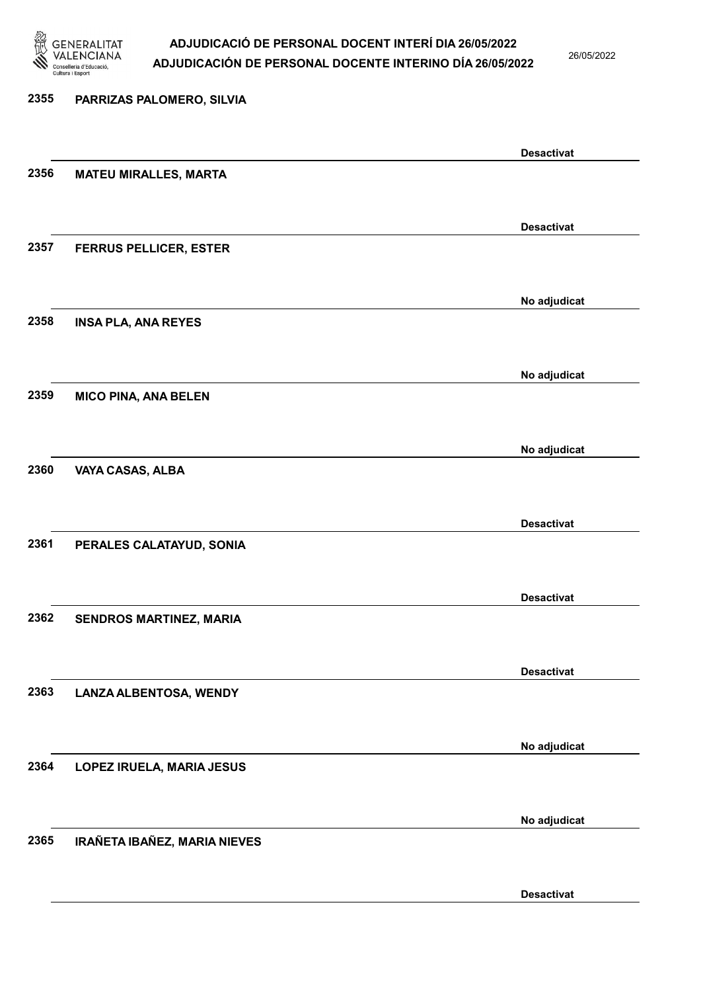

26/05/2022

# 2355 PARRIZAS PALOMERO, SILVIA Desactivat 2356 MATEU MIRALLES, MARTA Desactivat 2357 FERRUS PELLICER, ESTER No adjudicat 2358 INSA PLA, ANA REYES No adjudicat 2359 MICO PINA, ANA BELEN No adjudicat 2360 VAYA CASAS, ALBA Desactivat 2361 PERALES CALATAYUD, SONIA Desactivat 2362 SENDROS MARTINEZ, MARIA Desactivat 2363 LANZA ALBENTOSA, WENDY No adjudicat 2364 LOPEZ IRUELA, MARIA JESUS No adjudicat 2365 IRAÑETA IBAÑEZ, MARIA NIEVES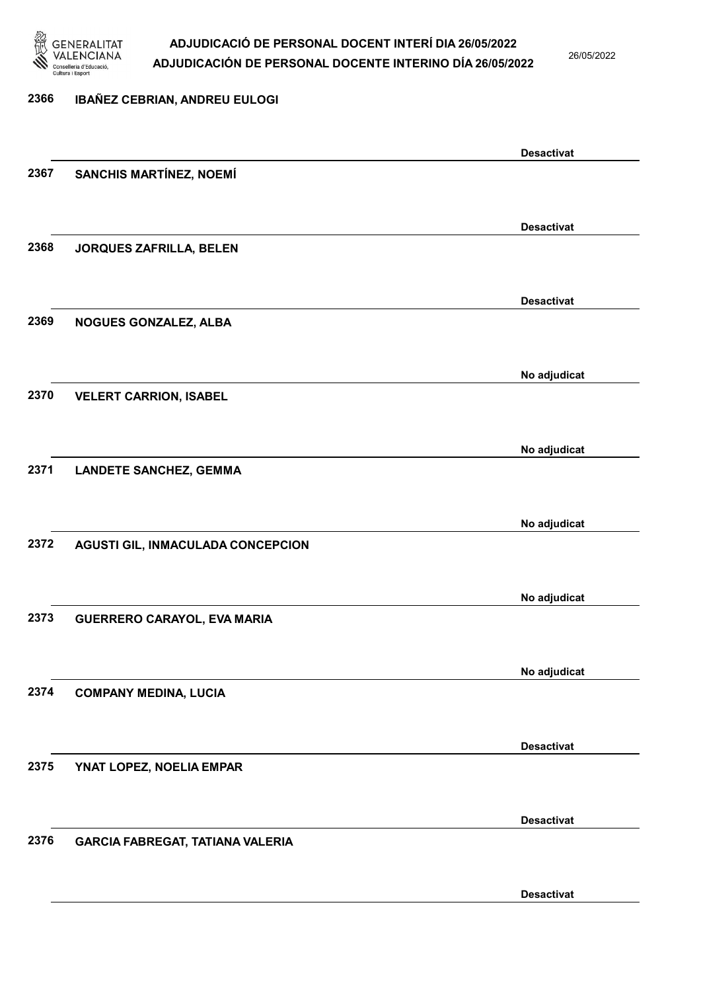

26/05/2022

Desactivat

# 2366 IBAÑEZ CEBRIAN, ANDREU EULOGI Desactivat 2367 SANCHIS MARTÍNEZ, NOEMÍ Desactivat 2368 JORQUES ZAFRILLA, BELEN Desactivat 2369 NOGUES GONZALEZ, ALBA No adjudicat 2370 VELERT CARRION, ISABEL No adjudicat 2371 LANDETE SANCHEZ, GEMMA No adjudicat 2372 AGUSTI GIL, INMACULADA CONCEPCION No adjudicat 2373 GUERRERO CARAYOL, EVA MARIA No adjudicat 2374 COMPANY MEDINA, LUCIA Desactivat 2375 YNAT LOPEZ, NOELIA EMPAR Desactivat 2376 GARCIA FABREGAT, TATIANA VALERIA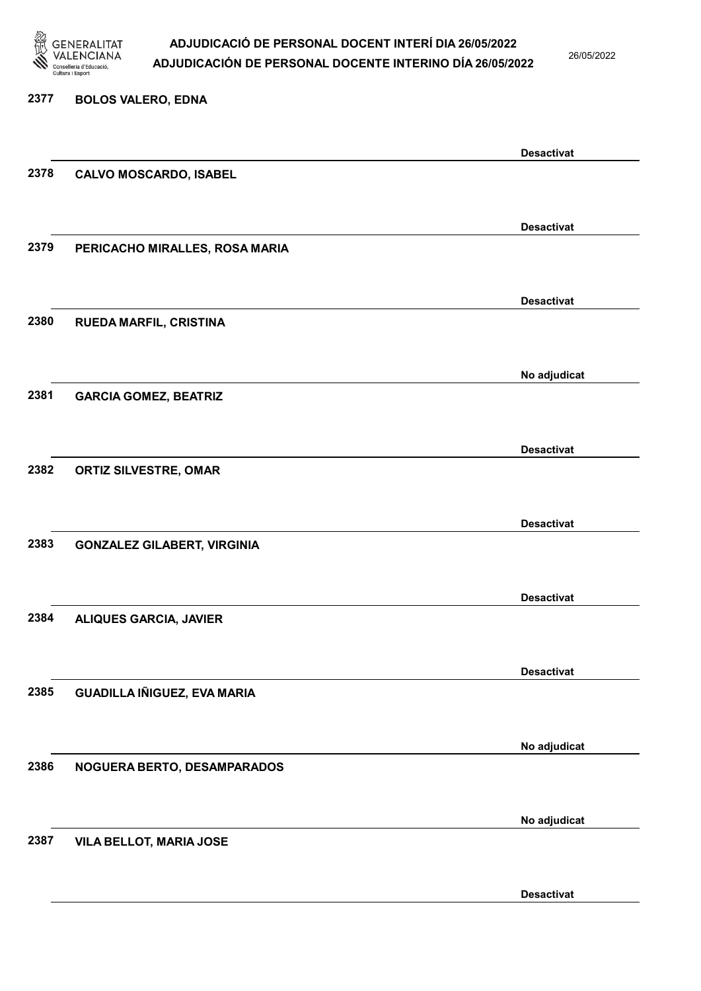

26/05/2022

Desactivat

### 2377 BOLOS VALERO, EDNA

Desactivat 2378 CALVO MOSCARDO, ISABEL Desactivat 2379 PERICACHO MIRALLES, ROSA MARIA Desactivat 2380 RUEDA MARFIL, CRISTINA No adjudicat 2381 GARCIA GOMEZ, BEATRIZ Desactivat 2382 ORTIZ SILVESTRE, OMAR Desactivat 2383 GONZALEZ GILABERT, VIRGINIA Desactivat 2384 ALIQUES GARCIA, JAVIER Desactivat 2385 GUADILLA IÑIGUEZ, EVA MARIA No adjudicat 2386 NOGUERA BERTO, DESAMPARADOS No adjudicat 2387 VILA BELLOT, MARIA JOSE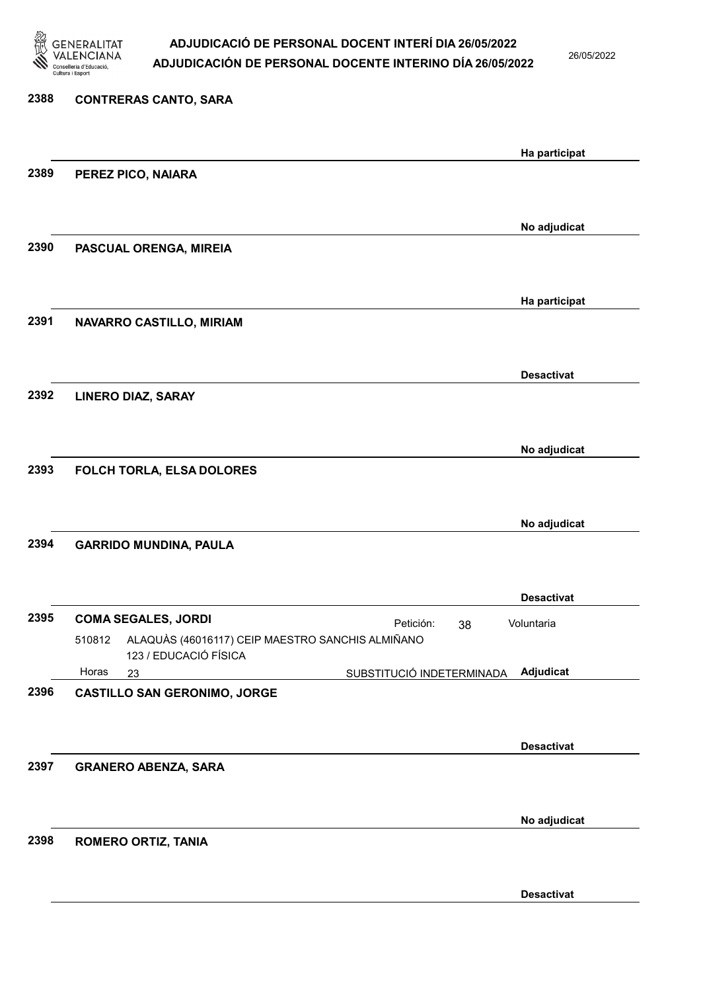

26/05/2022

### 2388 CONTRERAS CANTO, SARA Ha participat 2389 PEREZ PICO, NAIARA No adjudicat 2390 PASCUAL ORENGA, MIREIA Ha participat 2391 NAVARRO CASTILLO, MIRIAM Desactivat 2392 LINERO DIAZ, SARAY No adjudicat 2393 FOLCH TORLA, ELSA DOLORES No adjudicat 2394 GARRIDO MUNDINA, PAULA Desactivat 2395 COMA SEGALES, JORDI **El proportante de la proportante de la proportante de la proportante de la proporta** 23 SUBSTITUCIÓ INDETERMINADA ALAQUÀS (46016117) CEIP MAESTRO SANCHIS ALMIÑANO 123 / EDUCACIÓ FÍSICA Adjudicat Voluntaria 510812 Horas 2396 CASTILLO SAN GERONIMO, JORGE Desactivat 2397 GRANERO ABENZA, SARA No adjudicat 2398 ROMERO ORTIZ, TANIA Desactivat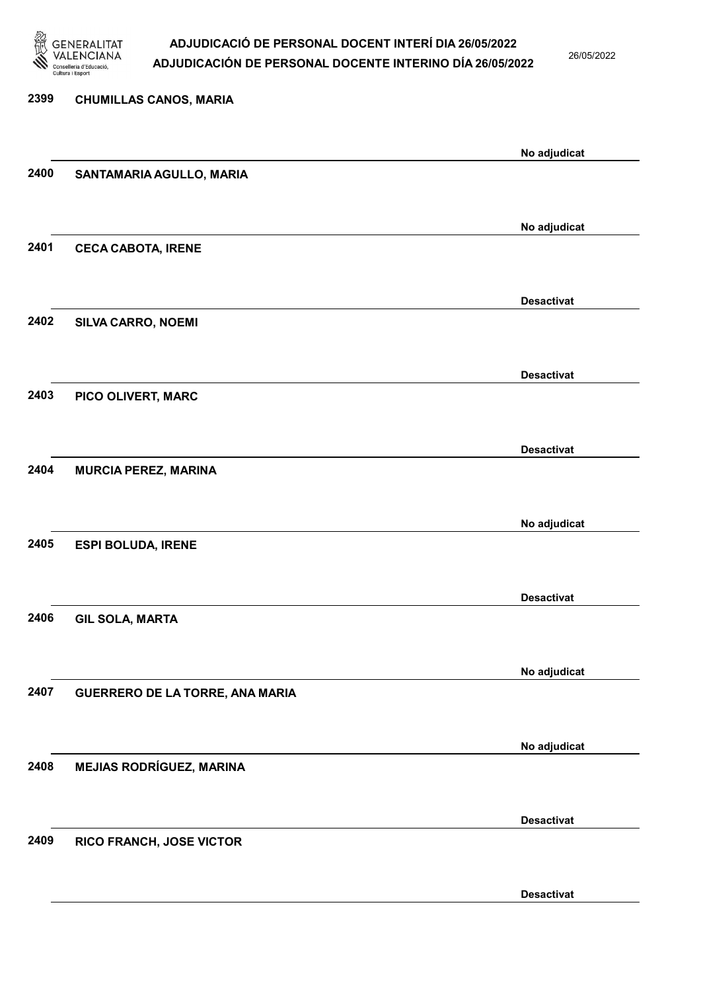

26/05/2022

2399 CHUMILLAS CANOS, MARIA No adjudicat 2400 SANTAMARIA AGULLO, MARIA No adjudicat 2401 CECA CABOTA, IRENE Desactivat 2402 SILVA CARRO, NOEMI Desactivat 2403 PICO OLIVERT, MARC Desactivat 2404 MURCIA PEREZ, MARINA No adjudicat 2405 ESPI BOLUDA, IRENE Desactivat 2406 GIL SOLA, MARTA No adjudicat 2407 GUERRERO DE LA TORRE, ANA MARIA No adjudicat 2408 MEJIAS RODRÍGUEZ, MARINA Desactivat 2409 RICO FRANCH, JOSE VICTOR Desactivat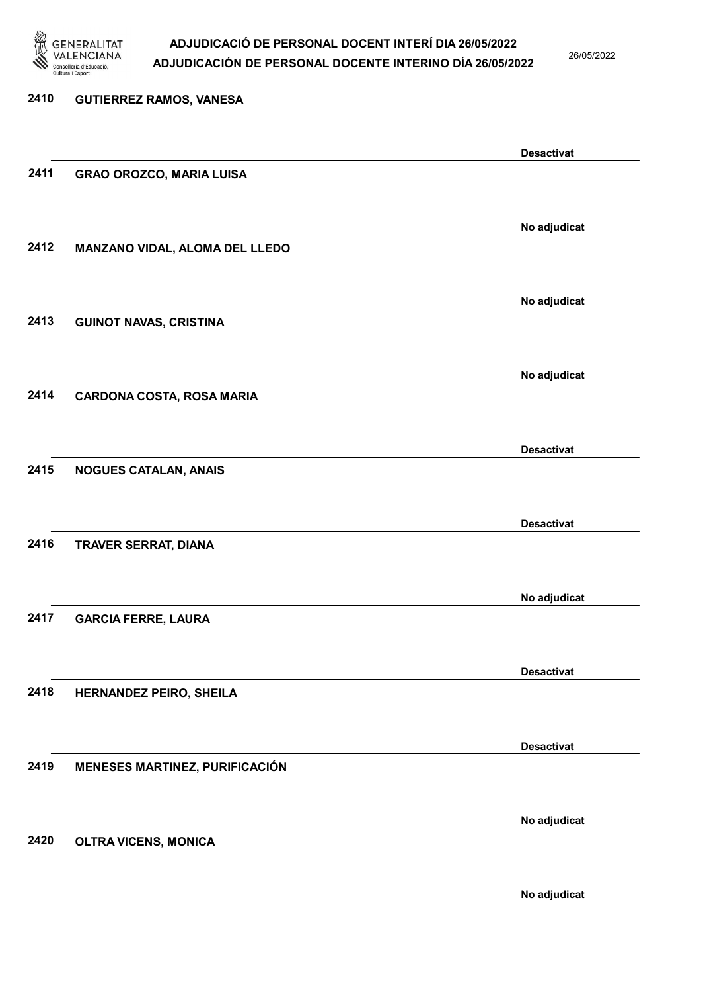

26/05/2022

No adjudicat

| 2410 | <b>GUTIERREZ RAMOS, VANESA</b>   |                   |
|------|----------------------------------|-------------------|
|      |                                  |                   |
|      |                                  | <b>Desactivat</b> |
| 2411 | <b>GRAO OROZCO, MARIA LUISA</b>  |                   |
|      |                                  |                   |
|      |                                  | No adjudicat      |
| 2412 | MANZANO VIDAL, ALOMA DEL LLEDO   |                   |
|      |                                  |                   |
|      |                                  | No adjudicat      |
| 2413 | <b>GUINOT NAVAS, CRISTINA</b>    |                   |
|      |                                  |                   |
|      |                                  | No adjudicat      |
| 2414 | <b>CARDONA COSTA, ROSA MARIA</b> |                   |
|      |                                  |                   |
|      |                                  | <b>Desactivat</b> |
| 2415 | <b>NOGUES CATALAN, ANAIS</b>     |                   |
|      |                                  |                   |
|      |                                  | <b>Desactivat</b> |
| 2416 | TRAVER SERRAT, DIANA             |                   |
|      |                                  |                   |
|      |                                  | No adjudicat      |
| 2417 | <b>GARCIA FERRE, LAURA</b>       |                   |
|      |                                  |                   |
|      |                                  | <b>Desactivat</b> |
| 2418 | <b>HERNANDEZ PEIRO, SHEILA</b>   |                   |
|      |                                  |                   |
|      |                                  | <b>Desactivat</b> |
| 2419 | MENESES MARTINEZ, PURIFICACIÓN   |                   |
|      |                                  |                   |
|      |                                  | No adjudicat      |
| 2420 | <b>OLTRA VICENS, MONICA</b>      |                   |
|      |                                  |                   |
|      |                                  |                   |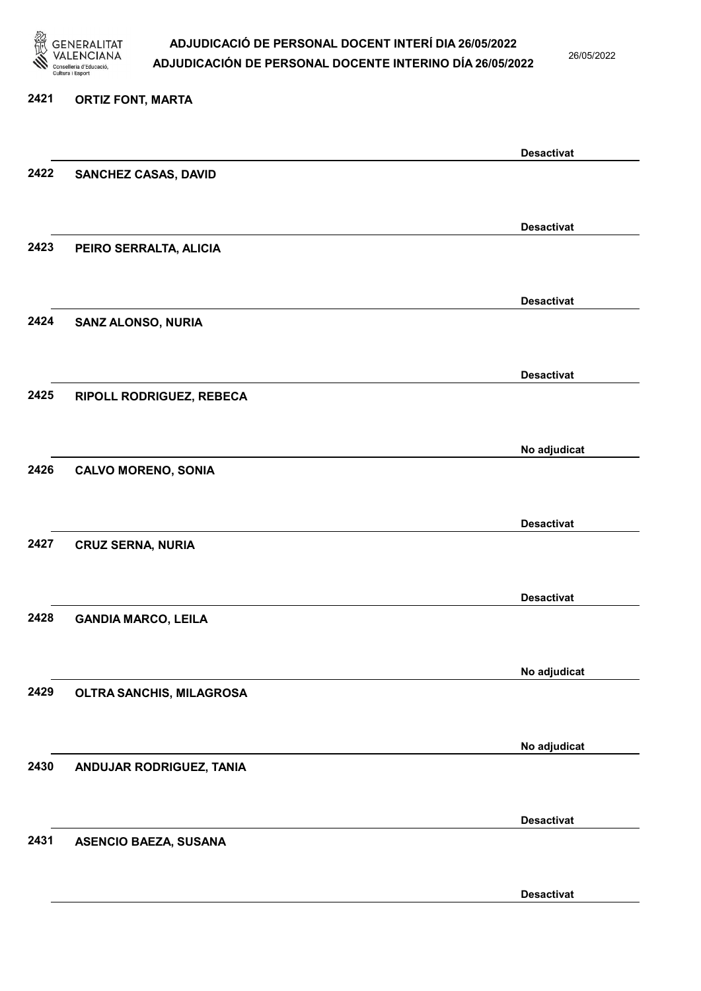

26/05/2022

#### 2421 ORTIZ FONT, MARTA

|      |                              | <b>Desactivat</b> |
|------|------------------------------|-------------------|
| 2422 | SANCHEZ CASAS, DAVID         |                   |
|      |                              |                   |
|      |                              | <b>Desactivat</b> |
| 2423 | PEIRO SERRALTA, ALICIA       |                   |
|      |                              |                   |
|      |                              |                   |
|      |                              | <b>Desactivat</b> |
| 2424 | SANZ ALONSO, NURIA           |                   |
|      |                              |                   |
|      |                              | <b>Desactivat</b> |
| 2425 | RIPOLL RODRIGUEZ, REBECA     |                   |
|      |                              |                   |
|      |                              | No adjudicat      |
| 2426 | <b>CALVO MORENO, SONIA</b>   |                   |
|      |                              |                   |
|      |                              |                   |
|      |                              | <b>Desactivat</b> |
| 2427 | <b>CRUZ SERNA, NURIA</b>     |                   |
|      |                              |                   |
|      |                              | <b>Desactivat</b> |
| 2428 | <b>GANDIA MARCO, LEILA</b>   |                   |
|      |                              |                   |
|      |                              | No adjudicat      |
| 2429 | OLTRA SANCHIS, MILAGROSA     |                   |
|      |                              |                   |
|      |                              |                   |
|      |                              | No adjudicat      |
| 2430 | ANDUJAR RODRIGUEZ, TANIA     |                   |
|      |                              |                   |
|      |                              | <b>Desactivat</b> |
| 2431 | <b>ASENCIO BAEZA, SUSANA</b> |                   |
|      |                              |                   |
|      |                              | <b>Desactivat</b> |
|      |                              |                   |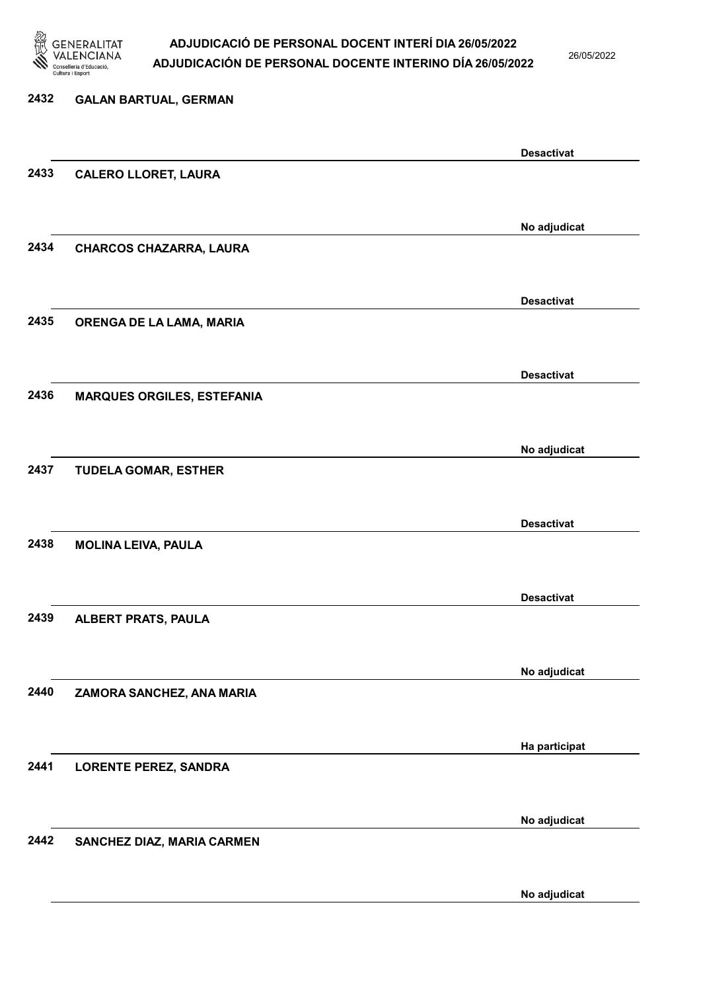

26/05/2022

# 2432 GALAN BARTUAL, GERMAN Desactivat 2433 CALERO LLORET, LAURA No adjudicat 2434 CHARCOS CHAZARRA, LAURA Desactivat 2435 ORENGA DE LA LAMA, MARIA Desactivat 2436 MARQUES ORGILES, ESTEFANIA No adjudicat 2437 TUDELA GOMAR, ESTHER Desactivat 2438 MOLINA LEIVA, PAULA Desactivat 2439 ALBERT PRATS, PAULA No adjudicat 2440 ZAMORA SANCHEZ, ANA MARIA Ha participat 2441 LORENTE PEREZ, SANDRA No adjudicat 2442 SANCHEZ DIAZ, MARIA CARMEN

No adjudicat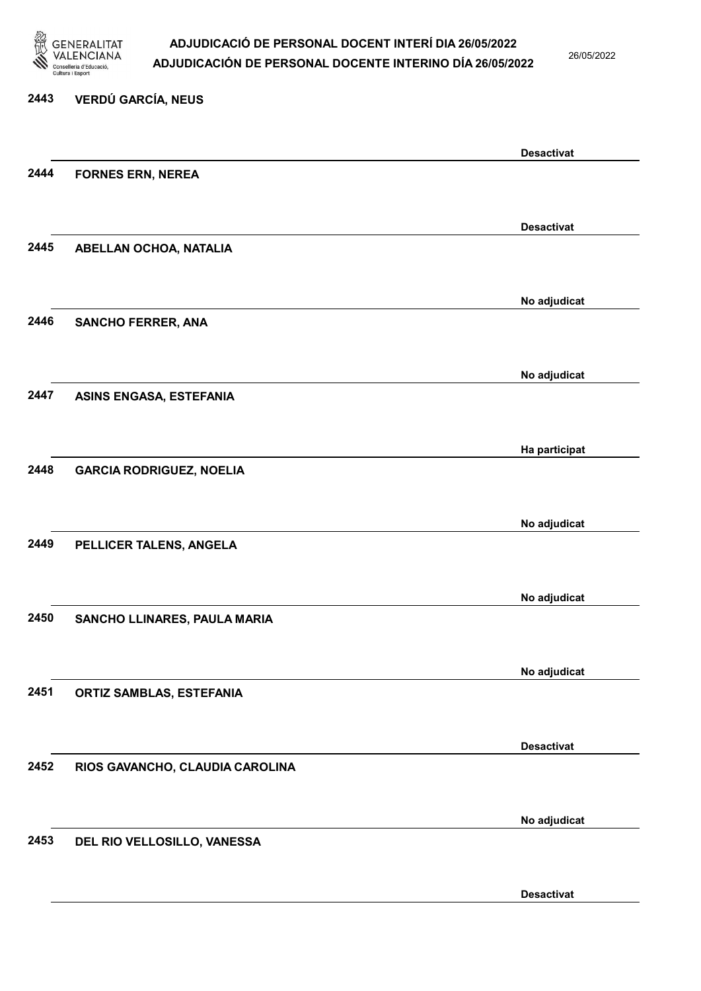

26/05/2022

#### 2443 VERDÚ GARCÍA, NEUS

|      |                                 | <b>Desactivat</b> |
|------|---------------------------------|-------------------|
| 2444 | <b>FORNES ERN, NEREA</b>        |                   |
|      |                                 |                   |
|      |                                 | <b>Desactivat</b> |
| 2445 |                                 |                   |
|      | ABELLAN OCHOA, NATALIA          |                   |
|      |                                 |                   |
|      |                                 | No adjudicat      |
| 2446 | <b>SANCHO FERRER, ANA</b>       |                   |
|      |                                 |                   |
|      |                                 |                   |
| 2447 |                                 | No adjudicat      |
|      | <b>ASINS ENGASA, ESTEFANIA</b>  |                   |
|      |                                 |                   |
|      |                                 | Ha participat     |
| 2448 | <b>GARCIA RODRIGUEZ, NOELIA</b> |                   |
|      |                                 |                   |
|      |                                 |                   |
| 2449 |                                 | No adjudicat      |
|      | PELLICER TALENS, ANGELA         |                   |
|      |                                 |                   |
|      |                                 | No adjudicat      |
| 2450 | SANCHO LLINARES, PAULA MARIA    |                   |
|      |                                 |                   |
|      |                                 |                   |
| 2451 |                                 | No adjudicat      |
|      | <b>ORTIZ SAMBLAS, ESTEFANIA</b> |                   |
|      |                                 |                   |
|      |                                 | <b>Desactivat</b> |
| 2452 | RIOS GAVANCHO, CLAUDIA CAROLINA |                   |
|      |                                 |                   |
|      |                                 |                   |
| 2453 |                                 | No adjudicat      |
|      | DEL RIO VELLOSILLO, VANESSA     |                   |
|      |                                 |                   |
|      |                                 | <b>Desactivat</b> |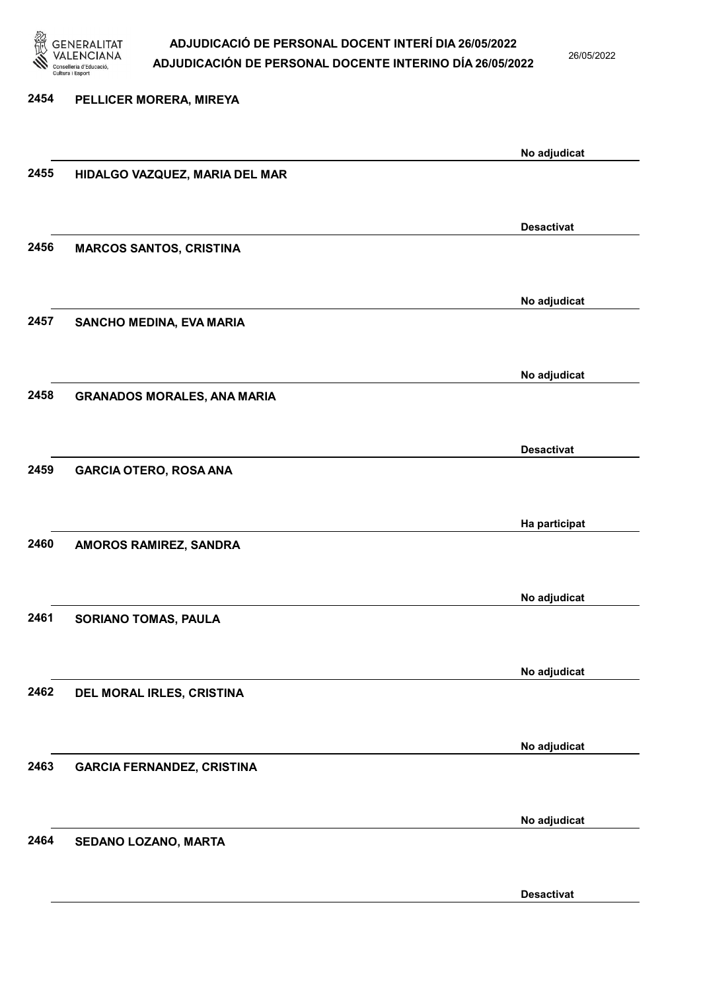

26/05/2022

| 2454 | PELLICER MORERA, MIREYA            |                   |
|------|------------------------------------|-------------------|
|      |                                    |                   |
| 2455 | HIDALGO VAZQUEZ, MARIA DEL MAR     | No adjudicat      |
|      |                                    |                   |
|      |                                    | <b>Desactivat</b> |
| 2456 | <b>MARCOS SANTOS, CRISTINA</b>     |                   |
|      |                                    | No adjudicat      |
| 2457 | SANCHO MEDINA, EVA MARIA           |                   |
|      |                                    | No adjudicat      |
| 2458 | <b>GRANADOS MORALES, ANA MARIA</b> |                   |
|      |                                    |                   |
|      |                                    | <b>Desactivat</b> |
| 2459 | <b>GARCIA OTERO, ROSA ANA</b>      |                   |
|      |                                    |                   |
| 2460 |                                    | Ha participat     |
|      | AMOROS RAMIREZ, SANDRA             |                   |
|      |                                    | No adjudicat      |
| 2461 | <b>SORIANO TOMAS, PAULA</b>        |                   |
|      |                                    |                   |
| 2462 |                                    | No adjudicat      |
|      | DEL MORAL IRLES, CRISTINA          |                   |
|      |                                    | No adjudicat      |
| 2463 | <b>GARCIA FERNANDEZ, CRISTINA</b>  |                   |
|      |                                    |                   |
| 2464 | SEDANO LOZANO, MARTA               | No adjudicat      |
|      |                                    |                   |
|      |                                    |                   |

Desactivat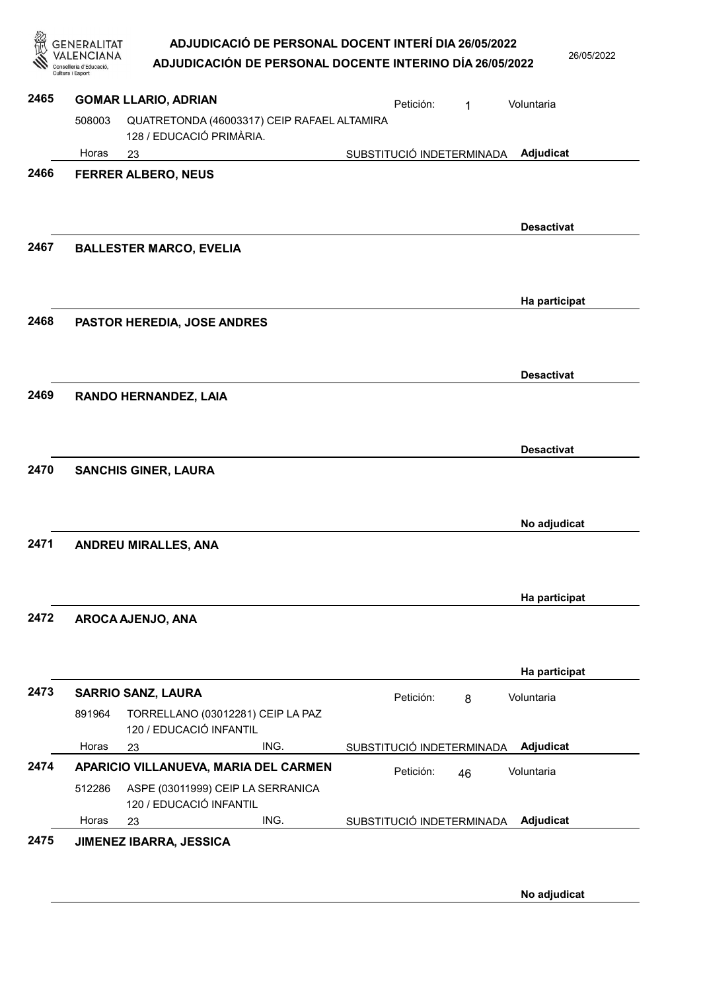2022

|      |                  | ADJUDICACIÓN DE PERSONAL DOCENTE INTERINO DÍA 26/05/2022                   | ADJUDICACIÓ DE PERSONAL DOCENT INTERÍ DIA 26/05/2022 |           |                           |                   | 26/05/20 |
|------|------------------|----------------------------------------------------------------------------|------------------------------------------------------|-----------|---------------------------|-------------------|----------|
| 2465 | Cultura i Esport | <b>GOMAR LLARIO, ADRIAN</b>                                                |                                                      |           |                           |                   |          |
|      | 508003           | QUATRETONDA (46003317) CEIP RAFAEL ALTAMIRA<br>128 / EDUCACIÓ PRIMÀRIA.    |                                                      | Petición: | 1                         | Voluntaria        |          |
|      | Horas            | 23                                                                         |                                                      |           | SUBSTITUCIÓ INDETERMINADA | Adjudicat         |          |
| 2466 |                  | <b>FERRER ALBERO, NEUS</b>                                                 |                                                      |           |                           |                   |          |
| 2467 |                  | <b>BALLESTER MARCO, EVELIA</b>                                             |                                                      |           |                           | <b>Desactivat</b> |          |
|      |                  |                                                                            |                                                      |           |                           | Ha participat     |          |
| 2468 |                  | PASTOR HEREDIA, JOSE ANDRES                                                |                                                      |           |                           |                   |          |
|      |                  |                                                                            |                                                      |           |                           | <b>Desactivat</b> |          |
| 2469 |                  | RANDO HERNANDEZ, LAIA                                                      |                                                      |           |                           | <b>Desactivat</b> |          |
| 2470 |                  | <b>SANCHIS GINER, LAURA</b>                                                |                                                      |           |                           | No adjudicat      |          |
| 2471 |                  | <b>ANDREU MIRALLES, ANA</b>                                                |                                                      |           |                           |                   |          |
| 2472 |                  | AROCA AJENJO, ANA                                                          |                                                      |           |                           | Ha participat     |          |
|      |                  |                                                                            |                                                      |           |                           | Ha participat     |          |
| 2473 |                  | <b>SARRIO SANZ, LAURA</b>                                                  |                                                      | Petición: | 8                         | Voluntaria        |          |
|      | 891964           | TORRELLANO (03012281) CEIP LA PAZ<br>120 / EDUCACIÓ INFANTIL               |                                                      |           |                           |                   |          |
|      | Horas            | 23                                                                         | ING.                                                 |           | SUBSTITUCIÓ INDETERMINADA | Adjudicat         |          |
| 2474 | 512286           | APARICIO VILLANUEVA, MARIA DEL CARMEN<br>ASPE (03011999) CEIP LA SERRANICA |                                                      | Petición: | 46                        | Voluntaria        |          |
|      |                  | 120 / EDUCACIÓ INFANTIL                                                    |                                                      |           |                           |                   |          |
|      | Horas            | 23                                                                         | ING.                                                 |           | SUBSTITUCIÓ INDETERMINADA | Adjudicat         |          |

2475 JIMENEZ IBARRA, JESSICA

No adjudicat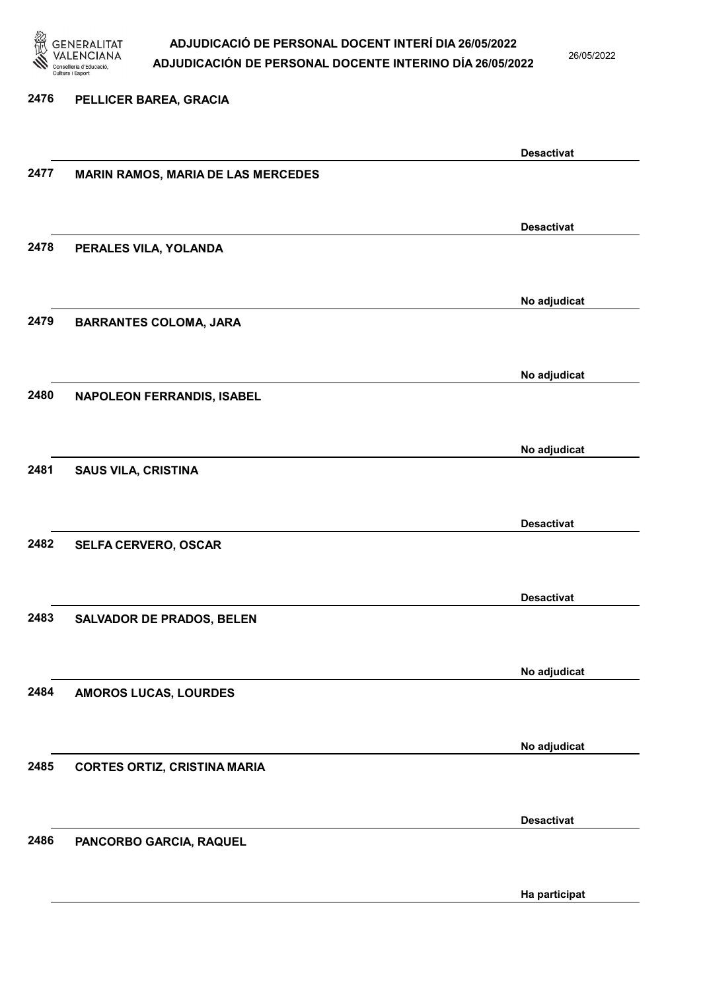

26/05/2022

#### 2476 PELLICER BAREA, GRACIA

|      |                                           | <b>Desactivat</b> |
|------|-------------------------------------------|-------------------|
| 2477 | <b>MARIN RAMOS, MARIA DE LAS MERCEDES</b> |                   |
|      |                                           |                   |
|      |                                           |                   |
|      |                                           | <b>Desactivat</b> |
| 2478 | PERALES VILA, YOLANDA                     |                   |
|      |                                           |                   |
|      |                                           |                   |
|      |                                           | No adjudicat      |
| 2479 | <b>BARRANTES COLOMA, JARA</b>             |                   |
|      |                                           |                   |
|      |                                           |                   |
|      |                                           | No adjudicat      |
| 2480 | <b>NAPOLEON FERRANDIS, ISABEL</b>         |                   |
|      |                                           |                   |
|      |                                           |                   |
|      |                                           | No adjudicat      |
| 2481 | <b>SAUS VILA, CRISTINA</b>                |                   |
|      |                                           |                   |
|      |                                           |                   |
|      |                                           | <b>Desactivat</b> |
| 2482 | SELFA CERVERO, OSCAR                      |                   |
|      |                                           |                   |
|      |                                           |                   |
|      |                                           | <b>Desactivat</b> |
| 2483 | <b>SALVADOR DE PRADOS, BELEN</b>          |                   |
|      |                                           |                   |
|      |                                           | No adjudicat      |
|      |                                           |                   |
| 2484 | AMOROS LUCAS, LOURDES                     |                   |
|      |                                           |                   |
|      |                                           | No adjudicat      |
| 2485 |                                           |                   |
|      | <b>CORTES ORTIZ, CRISTINA MARIA</b>       |                   |
|      |                                           |                   |
|      |                                           | <b>Desactivat</b> |
| 2486 |                                           |                   |
|      | PANCORBO GARCIA, RAQUEL                   |                   |
|      |                                           |                   |
|      |                                           | Ha participat     |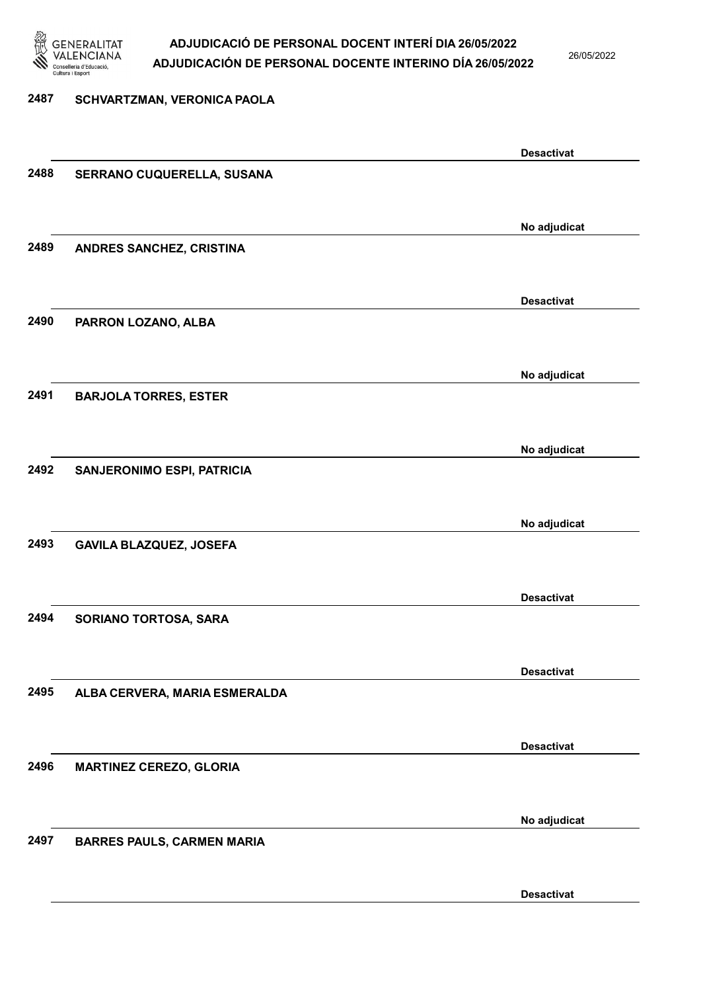

26/05/2022

Desactivat

## 2487 SCHVARTZMAN, VERONICA PAOLA Desactivat 2488 SERRANO CUQUERELLA, SUSANA No adjudicat 2489 ANDRES SANCHEZ, CRISTINA Desactivat 2490 PARRON LOZANO, ALBA No adjudicat 2491 BARJOLA TORRES, ESTER No adjudicat 2492 SANJERONIMO ESPI, PATRICIA No adjudicat 2493 GAVILA BLAZQUEZ, JOSEFA Desactivat 2494 SORIANO TORTOSA, SARA Desactivat 2495 ALBA CERVERA, MARIA ESMERALDA Desactivat 2496 MARTINEZ CEREZO, GLORIA No adjudicat 2497 BARRES PAULS, CARMEN MARIA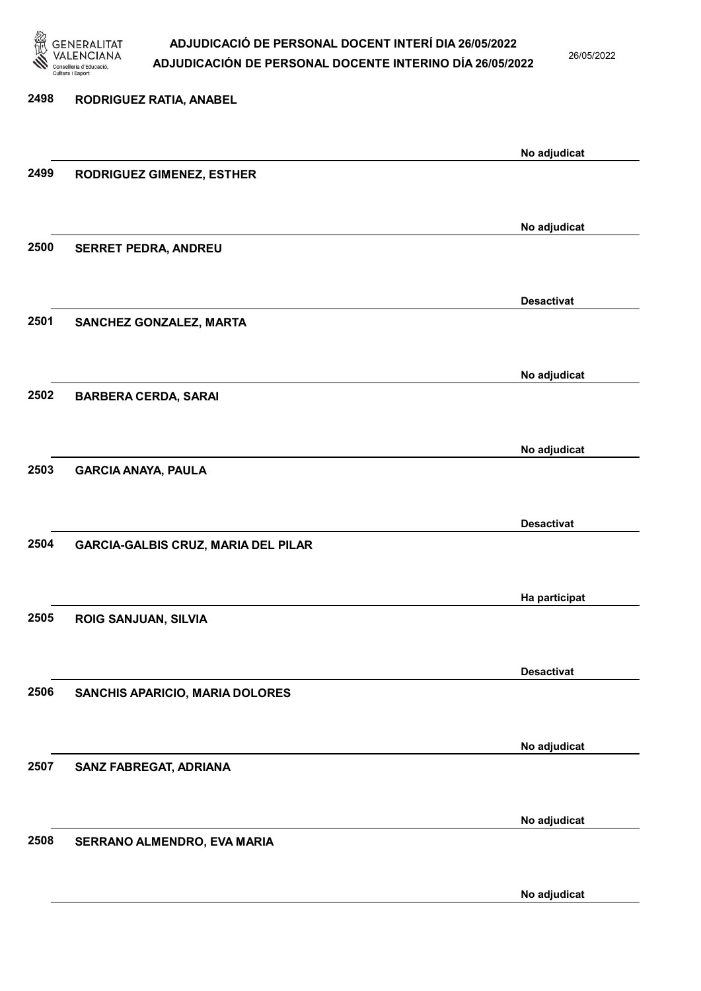

26/05/2022

| 2498 | RODRIGUEZ RATIA, ANABEL                    |                   |
|------|--------------------------------------------|-------------------|
|      |                                            | No adjudicat      |
| 2499 | <b>RODRIGUEZ GIMENEZ, ESTHER</b>           |                   |
|      |                                            | No adjudicat      |
| 2500 | <b>SERRET PEDRA, ANDREU</b>                |                   |
|      |                                            | <b>Desactivat</b> |
| 2501 | SANCHEZ GONZALEZ, MARTA                    |                   |
|      |                                            | No adjudicat      |
| 2502 | <b>BARBERA CERDA, SARAI</b>                |                   |
|      |                                            | No adjudicat      |
| 2503 | <b>GARCIA ANAYA, PAULA</b>                 |                   |
|      |                                            | <b>Desactivat</b> |
| 2504 | <b>GARCIA-GALBIS CRUZ, MARIA DEL PILAR</b> |                   |
|      |                                            | Ha participat     |
| 2505 | ROIG SANJUAN, SILVIA                       |                   |
|      |                                            | <b>Desactivat</b> |
| 2506 | <b>SANCHIS APARICIO, MARIA DOLORES</b>     |                   |
|      |                                            | No adjudicat      |
| 2507 | SANZ FABREGAT, ADRIANA                     |                   |
|      |                                            | No adjudicat      |
| 2508 | SERRANO ALMENDRO, EVA MARIA                |                   |

No adjudicat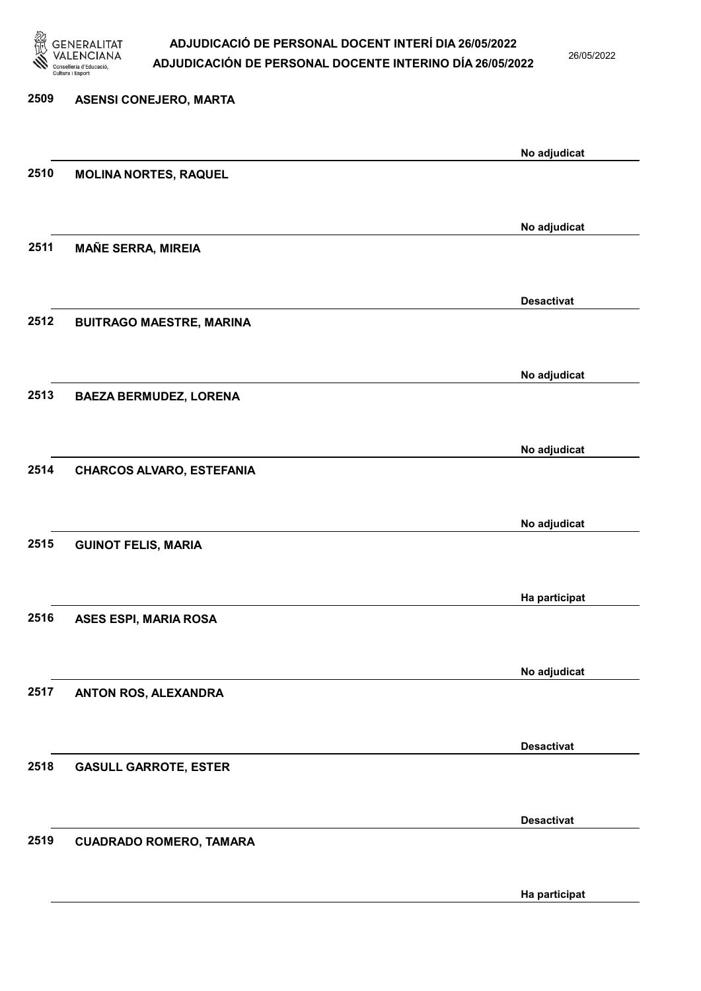

26/05/2022

Ha participat

| 2509 | <b>ASENSI CONEJERO, MARTA</b>    |                   |
|------|----------------------------------|-------------------|
|      |                                  | No adjudicat      |
| 2510 | <b>MOLINA NORTES, RAQUEL</b>     |                   |
|      |                                  | No adjudicat      |
| 2511 | <b>MAÑE SERRA, MIREIA</b>        |                   |
|      |                                  | <b>Desactivat</b> |
| 2512 | <b>BUITRAGO MAESTRE, MARINA</b>  |                   |
|      |                                  | No adjudicat      |
| 2513 | <b>BAEZA BERMUDEZ, LORENA</b>    |                   |
|      |                                  | No adjudicat      |
| 2514 | <b>CHARCOS ALVARO, ESTEFANIA</b> |                   |
|      |                                  | No adjudicat      |
| 2515 | <b>GUINOT FELIS, MARIA</b>       |                   |
|      |                                  | Ha participat     |
| 2516 | ASES ESPI, MARIA ROSA            |                   |
|      |                                  | No adjudicat      |
| 2517 | ANTON ROS, ALEXANDRA             |                   |
|      |                                  | <b>Desactivat</b> |
| 2518 | <b>GASULL GARROTE, ESTER</b>     |                   |
|      |                                  | <b>Desactivat</b> |
| 2519 | <b>CUADRADO ROMERO, TAMARA</b>   |                   |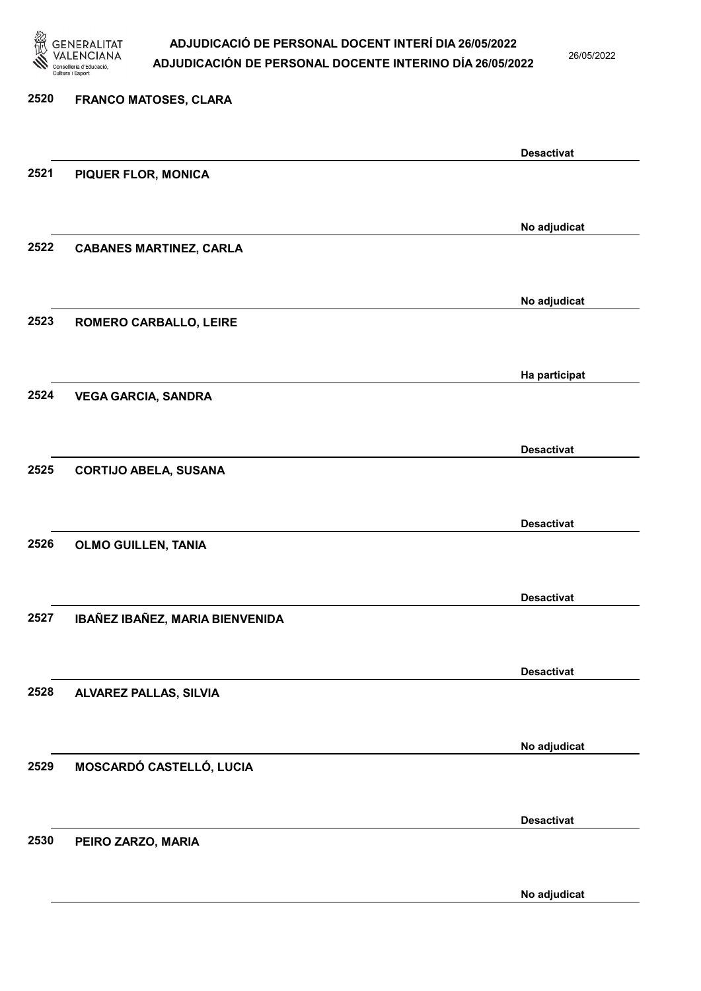

26/05/2022

No adjudicat

# 2520 FRANCO MATOSES, CLARA Desactivat 2521 PIQUER FLOR, MONICA No adjudicat 2522 CABANES MARTINEZ, CARLA No adjudicat 2523 ROMERO CARBALLO, LEIRE Ha participat 2524 VEGA GARCIA, SANDRA Desactivat 2525 CORTIJO ABELA, SUSANA Desactivat 2526 OLMO GUILLEN, TANIA Desactivat 2527 IBAÑEZ IBAÑEZ, MARIA BIENVENIDA Desactivat 2528 ALVAREZ PALLAS, SILVIA No adjudicat 2529 MOSCARDÓ CASTELLÓ, LUCIA Desactivat 2530 PEIRO ZARZO, MARIA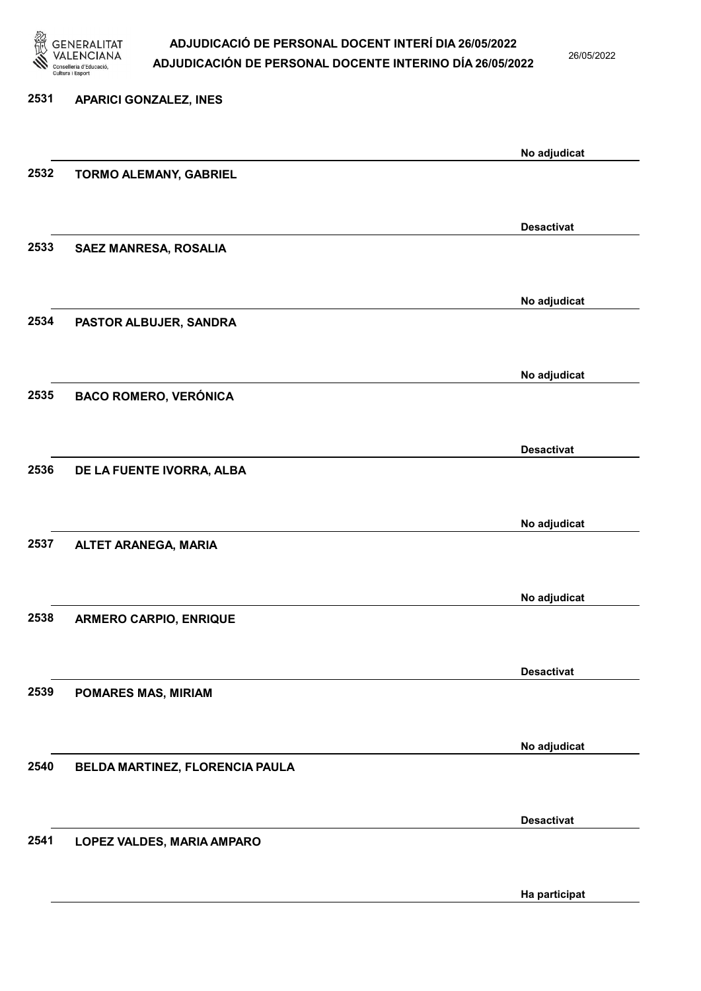

26/05/2022

Ha participat

# 2531 APARICI GONZALEZ, INES No adjudicat 2532 TORMO ALEMANY, GABRIEL Desactivat 2533 SAEZ MANRESA, ROSALIA No adjudicat 2534 PASTOR ALBUJER, SANDRA No adjudicat 2535 BACO ROMERO, VERÓNICA Desactivat 2536 DE LA FUENTE IVORRA, ALBA No adjudicat 2537 ALTET ARANEGA, MARIA No adjudicat 2538 ARMERO CARPIO, ENRIQUE Desactivat 2539 POMARES MAS, MIRIAM No adjudicat 2540 BELDA MARTINEZ, FLORENCIA PAULA Desactivat 2541 LOPEZ VALDES, MARIA AMPARO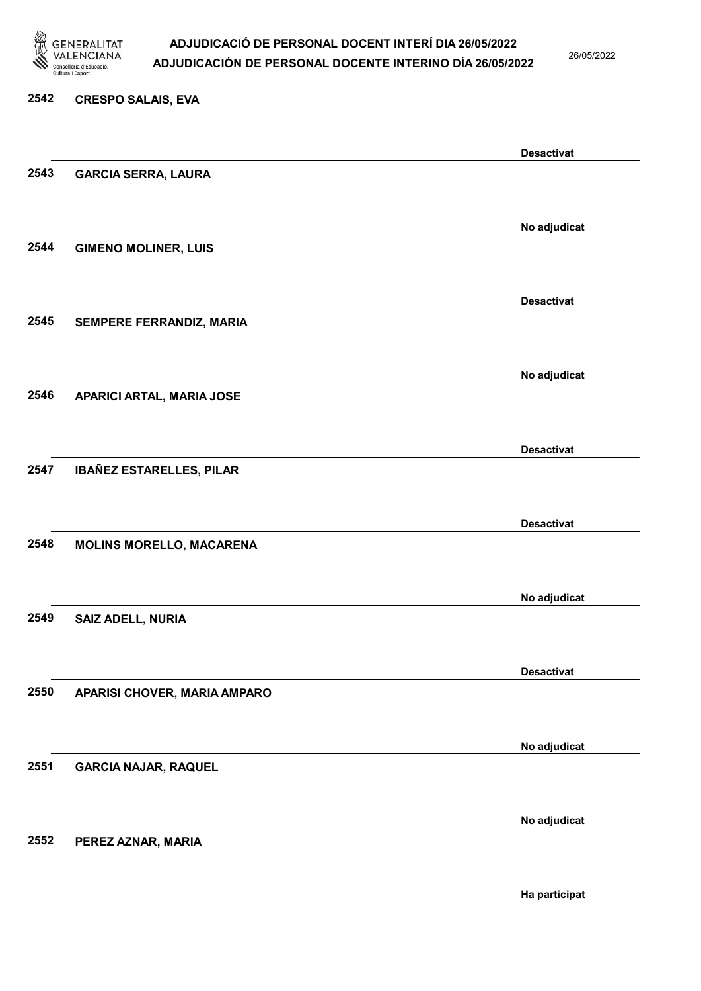

2542 CRESPO SALAIS, EVA

### ADJUDICACIÓ DE PERSONAL DOCENT INTERÍ DIA 26/05/2022 ADJUDICACIÓN DE PERSONAL DOCENTE INTERINO DÍA 26/05/2022

26/05/2022

### Desactivat 2543 GARCIA SERRA, LAURA No adjudicat 2544 GIMENO MOLINER, LUIS Desactivat 2545 SEMPERE FERRANDIZ, MARIA No adjudicat 2546 APARICI ARTAL, MARIA JOSE Desactivat 2547 IBAÑEZ ESTARELLES, PILAR Desactivat 2548 MOLINS MORELLO, MACARENA No adjudicat 2549 SAIZ ADELL, NURIA Desactivat 2550 APARISI CHOVER, MARIA AMPARO No adjudicat 2551 GARCIA NAJAR, RAQUEL No adjudicat 2552 PEREZ AZNAR, MARIA

Ha participat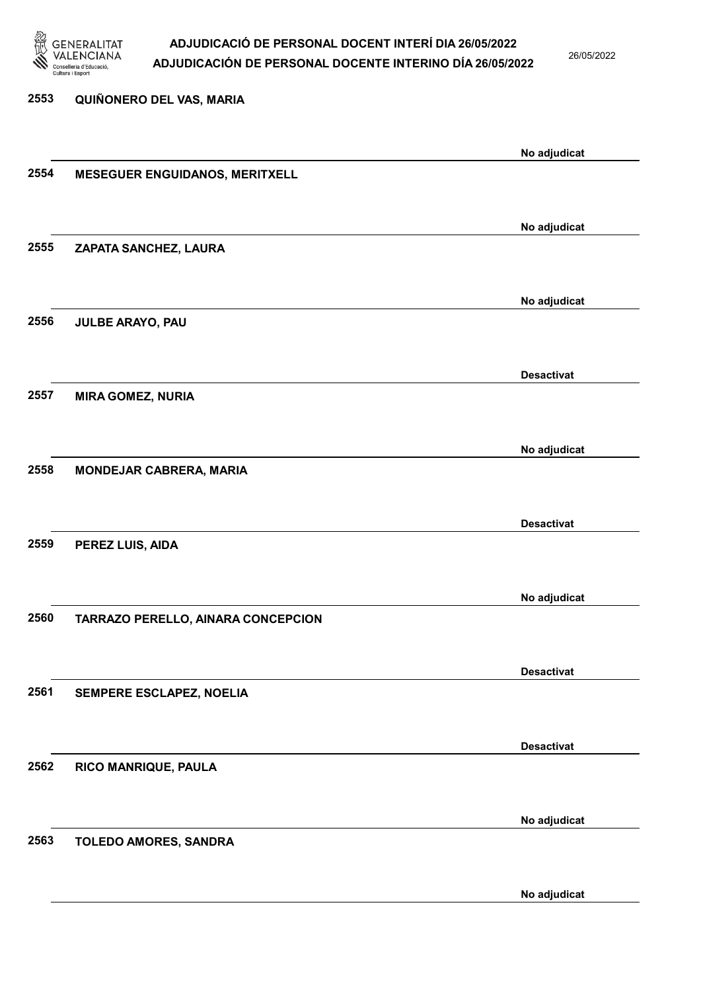

26/05/2022

No adjudicat

## 2553 QUIÑONERO DEL VAS, MARIA No adjudicat 2554 MESEGUER ENGUIDANOS, MERITXELL No adjudicat 2555 ZAPATA SANCHEZ, LAURA No adjudicat 2556 JULBE ARAYO, PAU Desactivat 2557 MIRA GOMEZ, NURIA No adjudicat 2558 MONDEJAR CABRERA, MARIA Desactivat 2559 PEREZ LUIS, AIDA No adjudicat 2560 TARRAZO PERELLO, AINARA CONCEPCION Desactivat 2561 SEMPERE ESCLAPEZ, NOELIA Desactivat 2562 RICO MANRIQUE, PAULA No adjudicat 2563 TOLEDO AMORES, SANDRA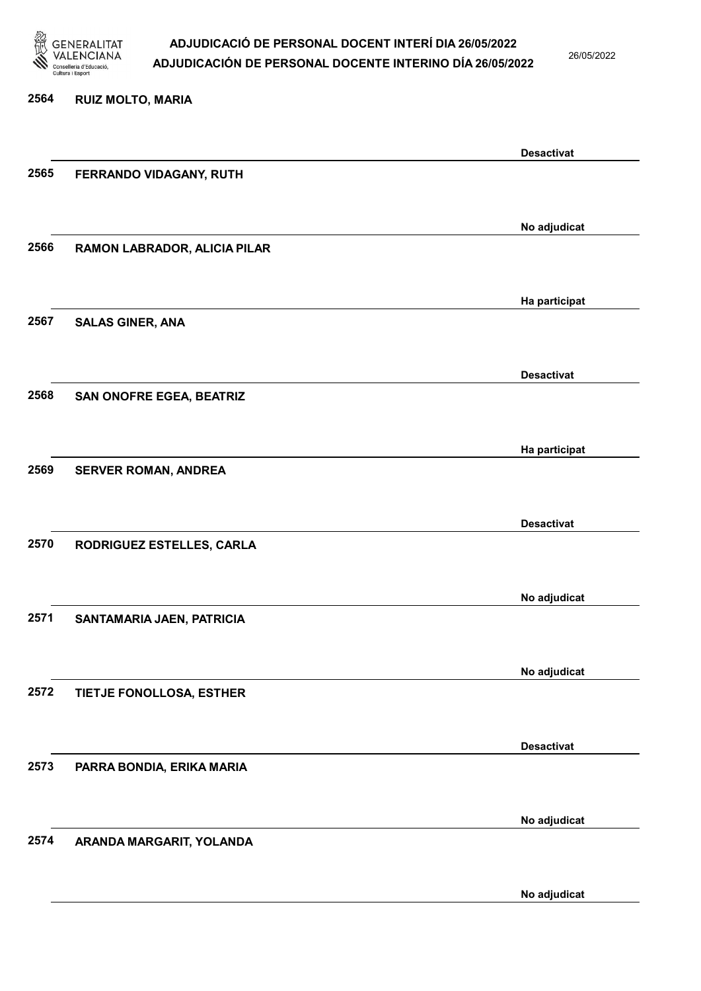

26/05/2022

### 2564 RUIZ MOLTO, MARIA Desactivat 2565 FERRANDO VIDAGANY, RUTH No adjudicat 2566 RAMON LABRADOR, ALICIA PILAR Ha participat 2567 SALAS GINER, ANA Desactivat 2568 SAN ONOFRE EGEA, BEATRIZ Ha participat 2569 SERVER ROMAN, ANDREA Desactivat 2570 RODRIGUEZ ESTELLES, CARLA No adjudicat 2571 SANTAMARIA JAEN, PATRICIA No adjudicat 2572 TIETJE FONOLLOSA, ESTHER Desactivat 2573 PARRA BONDIA, ERIKA MARIA No adjudicat 2574 ARANDA MARGARIT, YOLANDA

No adjudicat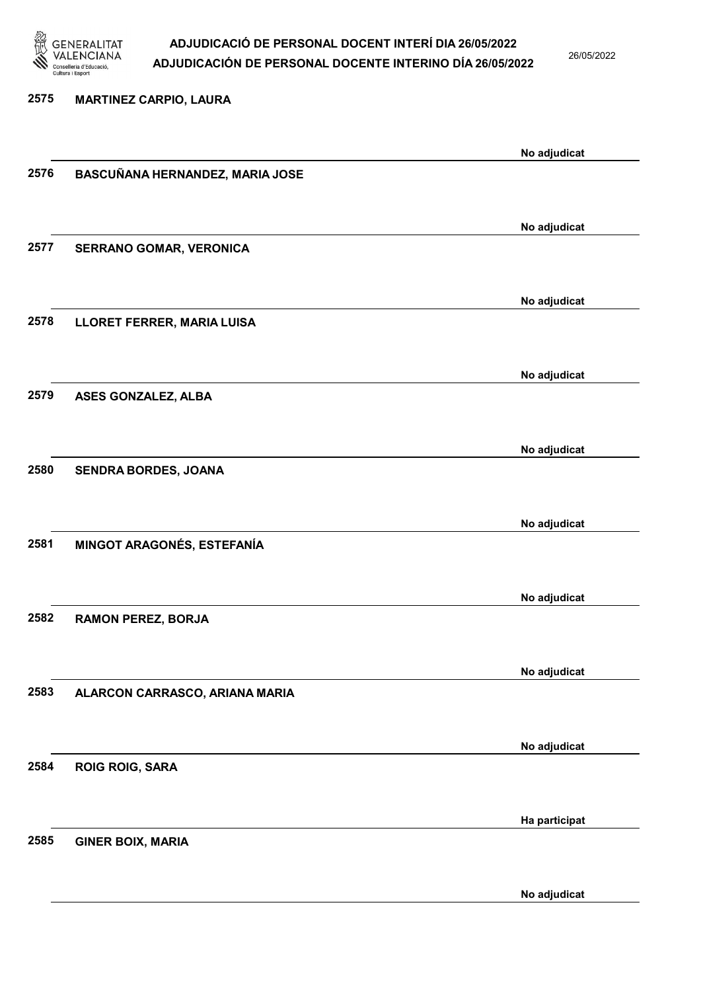

26/05/2022

#### 2575 MARTINEZ CARPIO, LAURA

|      |                                 | No adjudicat  |
|------|---------------------------------|---------------|
| 2576 | BASCUÑANA HERNANDEZ, MARIA JOSE |               |
|      |                                 |               |
|      |                                 | No adjudicat  |
| 2577 | <b>SERRANO GOMAR, VERONICA</b>  |               |
|      |                                 |               |
|      |                                 | No adjudicat  |
| 2578 | LLORET FERRER, MARIA LUISA      |               |
|      |                                 |               |
|      |                                 | No adjudicat  |
| 2579 | ASES GONZALEZ, ALBA             |               |
|      |                                 |               |
|      |                                 | No adjudicat  |
| 2580 | SENDRA BORDES, JOANA            |               |
|      |                                 |               |
|      |                                 | No adjudicat  |
| 2581 | MINGOT ARAGONÉS, ESTEFANÍA      |               |
|      |                                 |               |
| 2582 | <b>RAMON PEREZ, BORJA</b>       | No adjudicat  |
|      |                                 |               |
|      |                                 | No adjudicat  |
| 2583 | ALARCON CARRASCO, ARIANA MARIA  |               |
|      |                                 |               |
|      |                                 | No adjudicat  |
| 2584 | <b>ROIG ROIG, SARA</b>          |               |
|      |                                 |               |
|      |                                 | Ha participat |
| 2585 | <b>GINER BOIX, MARIA</b>        |               |
|      |                                 |               |
|      |                                 | No adjudicat  |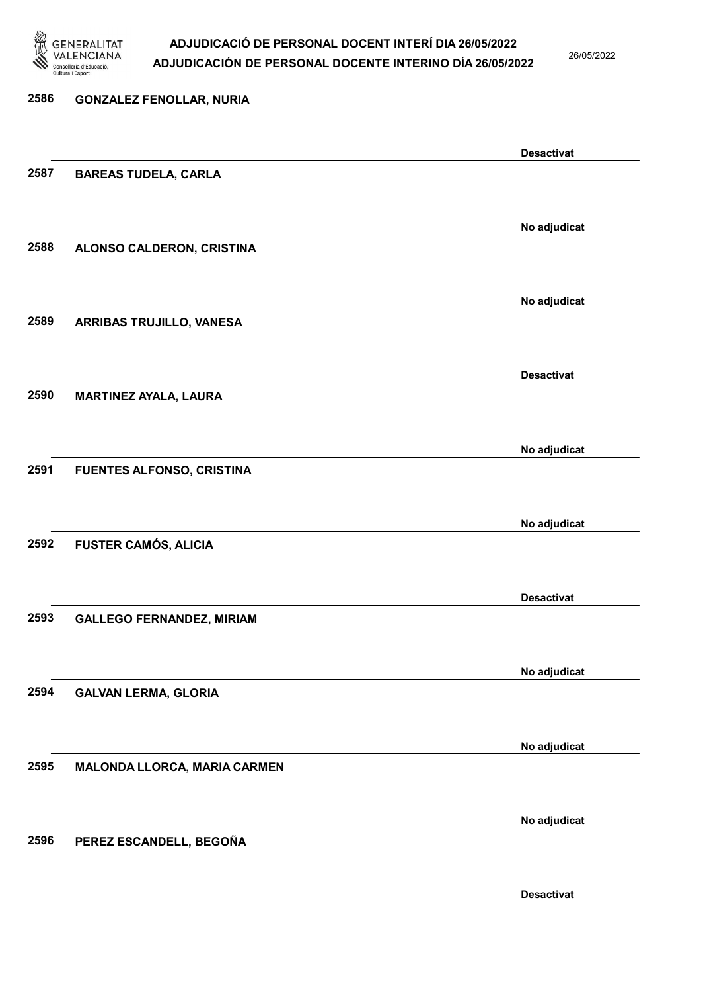

26/05/2022

Desactivat

# 2586 GONZALEZ FENOLLAR, NURIA Desactivat 2587 BAREAS TUDELA, CARLA No adjudicat 2588 ALONSO CALDERON, CRISTINA No adjudicat 2589 ARRIBAS TRUJILLO, VANESA Desactivat 2590 MARTINEZ AYALA, LAURA No adjudicat 2591 FUENTES ALFONSO, CRISTINA No adjudicat 2592 FUSTER CAMÓS, ALICIA Desactivat 2593 GALLEGO FERNANDEZ, MIRIAM No adjudicat 2594 GALVAN LERMA, GLORIA No adjudicat 2595 MALONDA LLORCA, MARIA CARMEN No adjudicat 2596 PEREZ ESCANDELL, BEGOÑA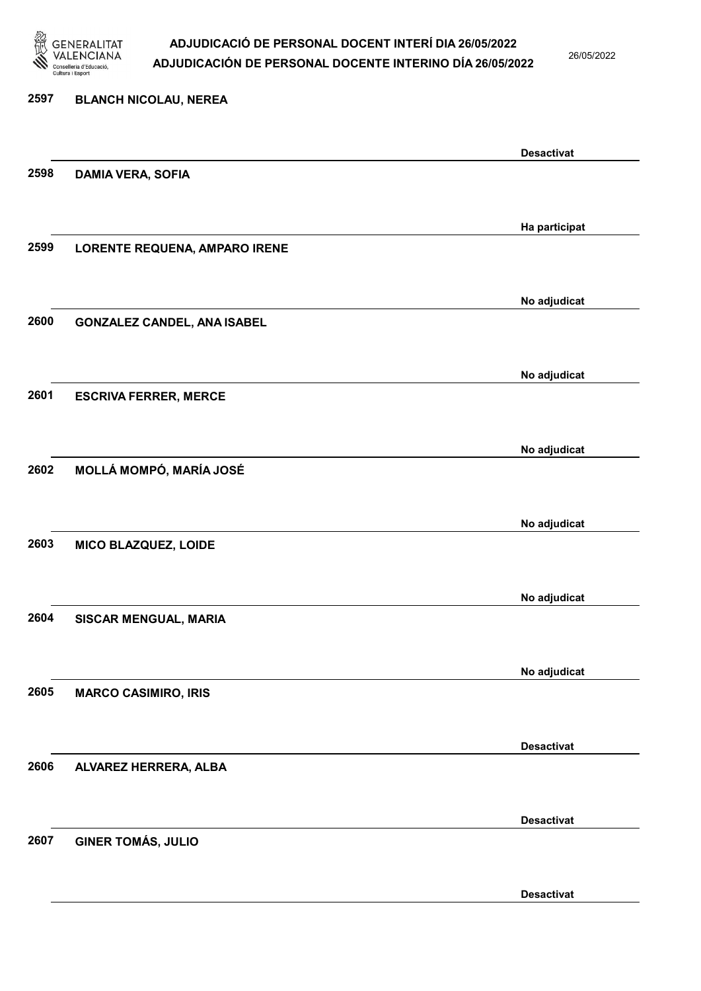

26/05/2022

Desactivat

# 2597 BLANCH NICOLAU, NEREA Desactivat 2598 DAMIA VERA, SOFIA Ha participat 2599 LORENTE REQUENA, AMPARO IRENE No adjudicat 2600 GONZALEZ CANDEL, ANA ISABEL No adjudicat 2601 ESCRIVA FERRER, MERCE No adjudicat 2602 MOLLÁ MOMPÓ, MARÍA JOSÉ No adjudicat 2603 MICO BLAZQUEZ, LOIDE No adjudicat 2604 SISCAR MENGUAL, MARIA No adjudicat 2605 MARCO CASIMIRO, IRIS Desactivat 2606 ALVAREZ HERRERA, ALBA Desactivat 2607 GINER TOMÁS, JULIO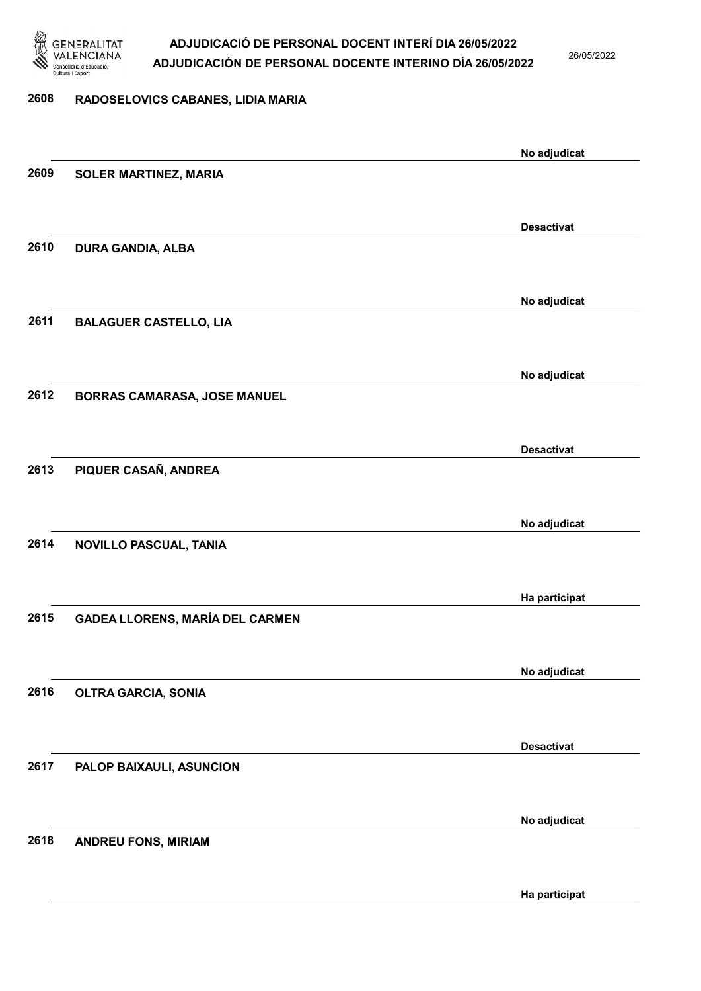

26/05/2022

#### 2608 RADOSELOVICS CABANES, LIDIA MARIA

|      |                                        | No adjudicat      |
|------|----------------------------------------|-------------------|
| 2609 | <b>SOLER MARTINEZ, MARIA</b>           |                   |
|      |                                        |                   |
|      |                                        | <b>Desactivat</b> |
| 2610 | <b>DURA GANDIA, ALBA</b>               |                   |
|      |                                        |                   |
|      |                                        |                   |
|      |                                        | No adjudicat      |
| 2611 | <b>BALAGUER CASTELLO, LIA</b>          |                   |
|      |                                        |                   |
|      |                                        | No adjudicat      |
| 2612 | <b>BORRAS CAMARASA, JOSE MANUEL</b>    |                   |
|      |                                        |                   |
|      |                                        |                   |
|      |                                        | <b>Desactivat</b> |
| 2613 | PIQUER CASAÑ, ANDREA                   |                   |
|      |                                        |                   |
|      |                                        | No adjudicat      |
| 2614 | NOVILLO PASCUAL, TANIA                 |                   |
|      |                                        |                   |
|      |                                        |                   |
|      |                                        | Ha participat     |
| 2615 | <b>GADEA LLORENS, MARÍA DEL CARMEN</b> |                   |
|      |                                        |                   |
|      |                                        | No adjudicat      |
| 2616 | <b>OLTRA GARCIA, SONIA</b>             |                   |
|      |                                        |                   |
|      |                                        | <b>Desactivat</b> |
| 2617 | PALOP BAIXAULI, ASUNCION               |                   |
|      |                                        |                   |
|      |                                        |                   |
|      |                                        | No adjudicat      |
| 2618 | <b>ANDREU FONS, MIRIAM</b>             |                   |
|      |                                        |                   |
|      |                                        | Ha participat     |
|      |                                        |                   |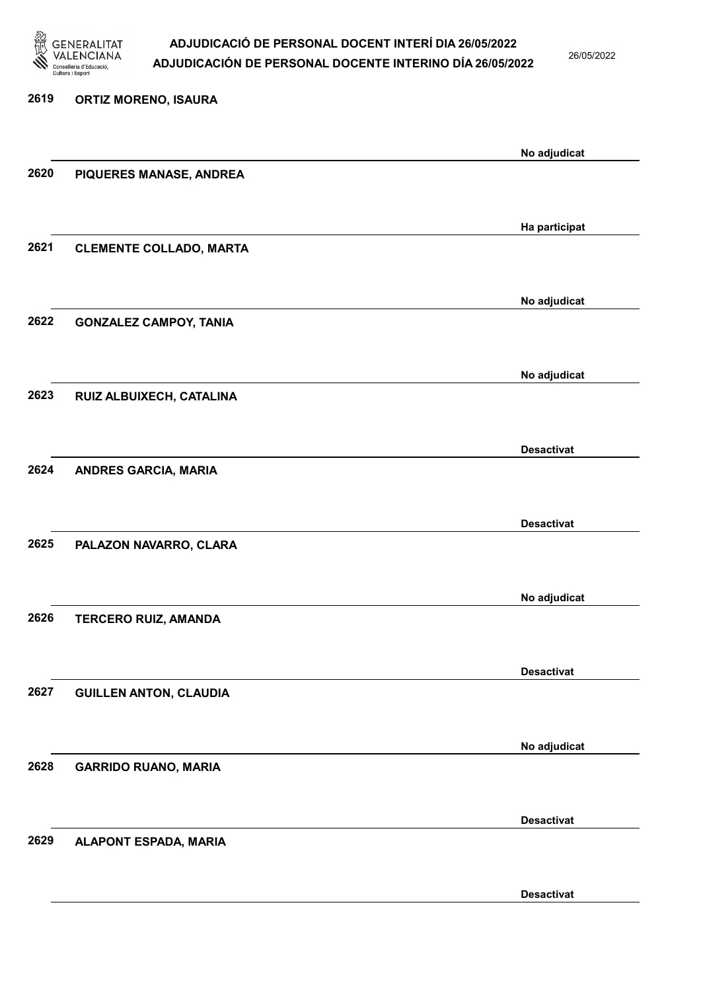

26/05/2022

Desactivat

# 2619 ORTIZ MORENO, ISAURA No adjudicat 2620 PIQUERES MANASE, ANDREA Ha participat 2621 CLEMENTE COLLADO, MARTA No adjudicat 2622 GONZALEZ CAMPOY, TANIA No adjudicat 2623 RUIZ ALBUIXECH, CATALINA Desactivat 2624 ANDRES GARCIA, MARIA Desactivat 2625 PALAZON NAVARRO, CLARA No adjudicat 2626 TERCERO RUIZ, AMANDA Desactivat 2627 GUILLEN ANTON, CLAUDIA No adjudicat 2628 GARRIDO RUANO, MARIA Desactivat 2629 ALAPONT ESPADA, MARIA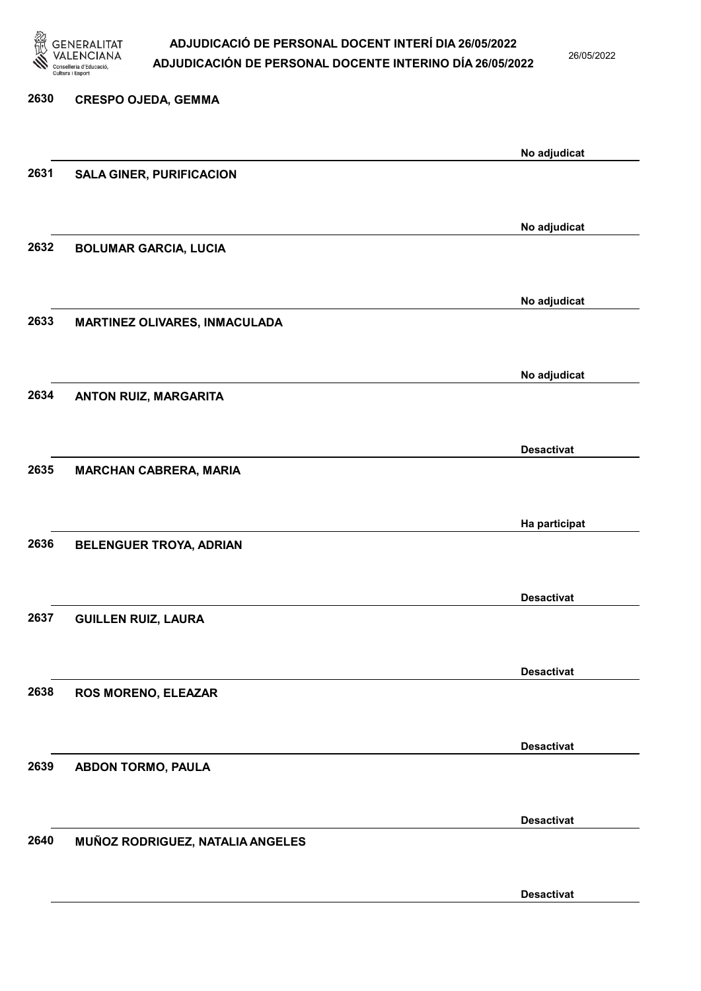

26/05/2022

| 2630 | <b>CRESPO OJEDA, GEMMA</b>           |                   |
|------|--------------------------------------|-------------------|
|      |                                      | No adjudicat      |
| 2631 | <b>SALA GINER, PURIFICACION</b>      |                   |
|      |                                      | No adjudicat      |
| 2632 | <b>BOLUMAR GARCIA, LUCIA</b>         |                   |
| 2633 |                                      | No adjudicat      |
|      | <b>MARTINEZ OLIVARES, INMACULADA</b> |                   |
| 2634 | ANTON RUIZ, MARGARITA                | No adjudicat      |
|      |                                      |                   |
| 2635 | <b>MARCHAN CABRERA, MARIA</b>        | <b>Desactivat</b> |
|      |                                      |                   |
| 2636 | <b>BELENGUER TROYA, ADRIAN</b>       | Ha participat     |
|      |                                      |                   |
| 2637 | <b>GUILLEN RUIZ, LAURA</b>           | <b>Desactivat</b> |
|      |                                      | <b>Desactivat</b> |
| 2638 | ROS MORENO, ELEAZAR                  |                   |
|      |                                      | <b>Desactivat</b> |
| 2639 | <b>ABDON TORMO, PAULA</b>            |                   |
|      |                                      | <b>Desactivat</b> |
| 2640 | MUÑOZ RODRIGUEZ, NATALIA ANGELES     |                   |
|      |                                      | <b>Desactivat</b> |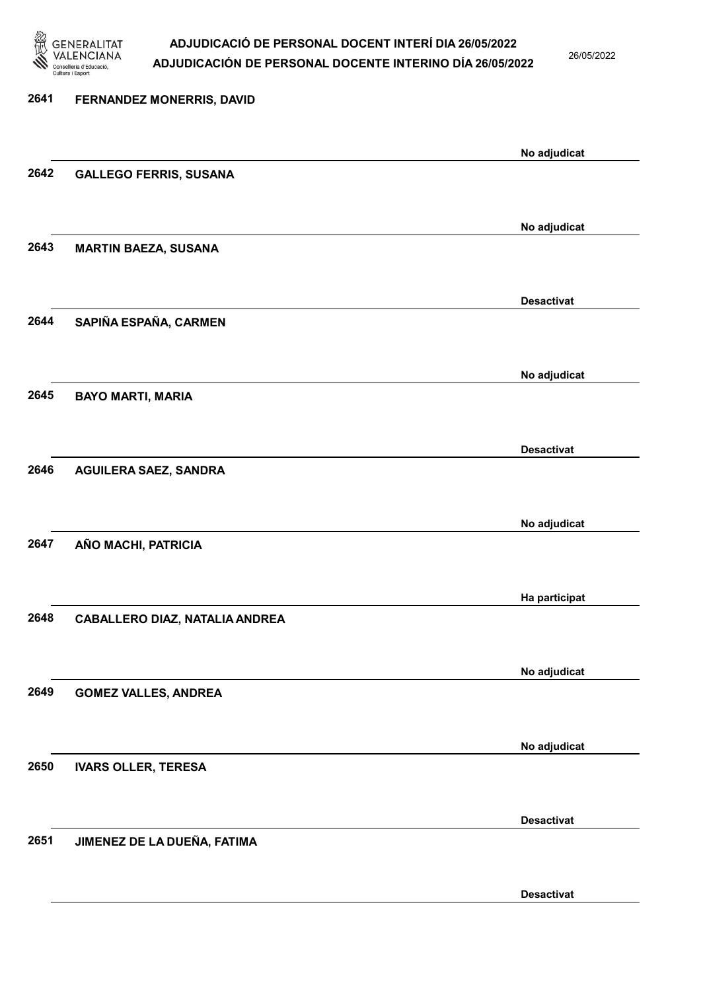

26/05/2022

| 2641 | FERNANDEZ MONERRIS, DAVID             |                   |
|------|---------------------------------------|-------------------|
|      |                                       |                   |
| 2642 | <b>GALLEGO FERRIS, SUSANA</b>         | No adjudicat      |
|      |                                       | No adjudicat      |
| 2643 | <b>MARTIN BAEZA, SUSANA</b>           |                   |
|      |                                       | <b>Desactivat</b> |
| 2644 | SAPIÑA ESPAÑA, CARMEN                 |                   |
|      |                                       | No adjudicat      |
| 2645 | <b>BAYO MARTI, MARIA</b>              |                   |
|      |                                       | <b>Desactivat</b> |
| 2646 | <b>AGUILERA SAEZ, SANDRA</b>          |                   |
|      |                                       | No adjudicat      |
| 2647 | AÑO MACHI, PATRICIA                   |                   |
|      |                                       | Ha participat     |
| 2648 | <b>CABALLERO DIAZ, NATALIA ANDREA</b> |                   |
|      |                                       | No adjudicat      |
| 2649 | <b>GOMEZ VALLES, ANDREA</b>           |                   |
|      |                                       | No adjudicat      |
| 2650 | <b>IVARS OLLER, TERESA</b>            |                   |
|      |                                       | <b>Desactivat</b> |
| 2651 | JIMENEZ DE LA DUEÑA, FATIMA           |                   |

Desactivat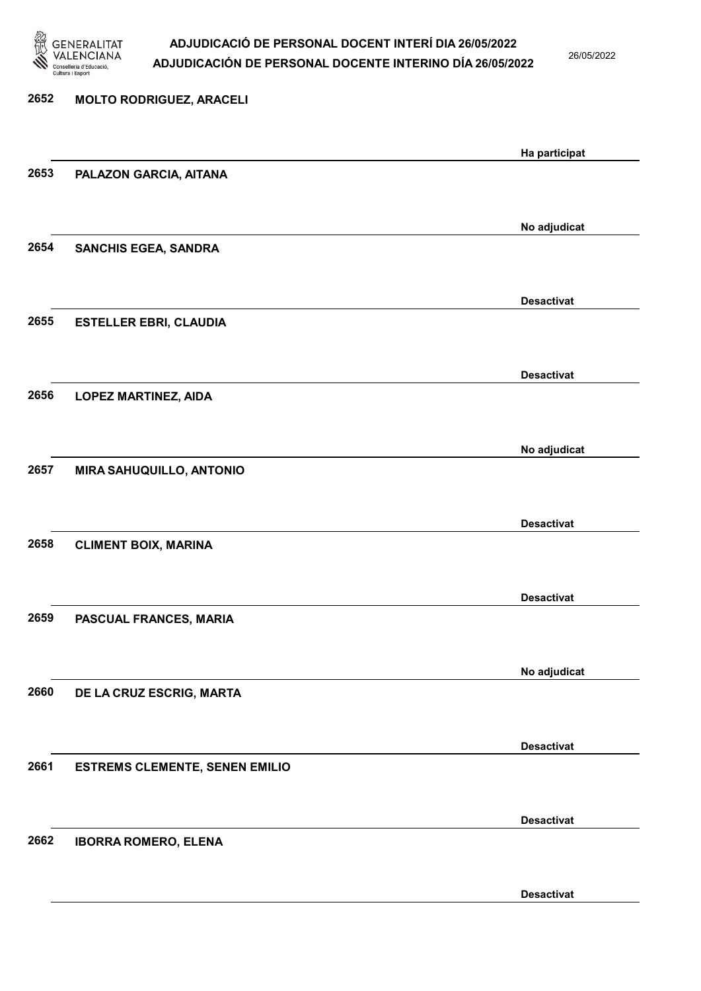

26/05/2022

Desactivat

# 2652 MOLTO RODRIGUEZ, ARACELI Ha participat 2653 PALAZON GARCIA, AITANA No adjudicat 2654 SANCHIS EGEA, SANDRA Desactivat 2655 ESTELLER EBRI, CLAUDIA Desactivat 2656 LOPEZ MARTINEZ, AIDA No adjudicat 2657 MIRA SAHUQUILLO, ANTONIO Desactivat 2658 CLIMENT BOIX, MARINA Desactivat 2659 PASCUAL FRANCES, MARIA No adjudicat 2660 DE LA CRUZ ESCRIG, MARTA Desactivat 2661 ESTREMS CLEMENTE, SENEN EMILIO Desactivat 2662 IBORRA ROMERO, ELENA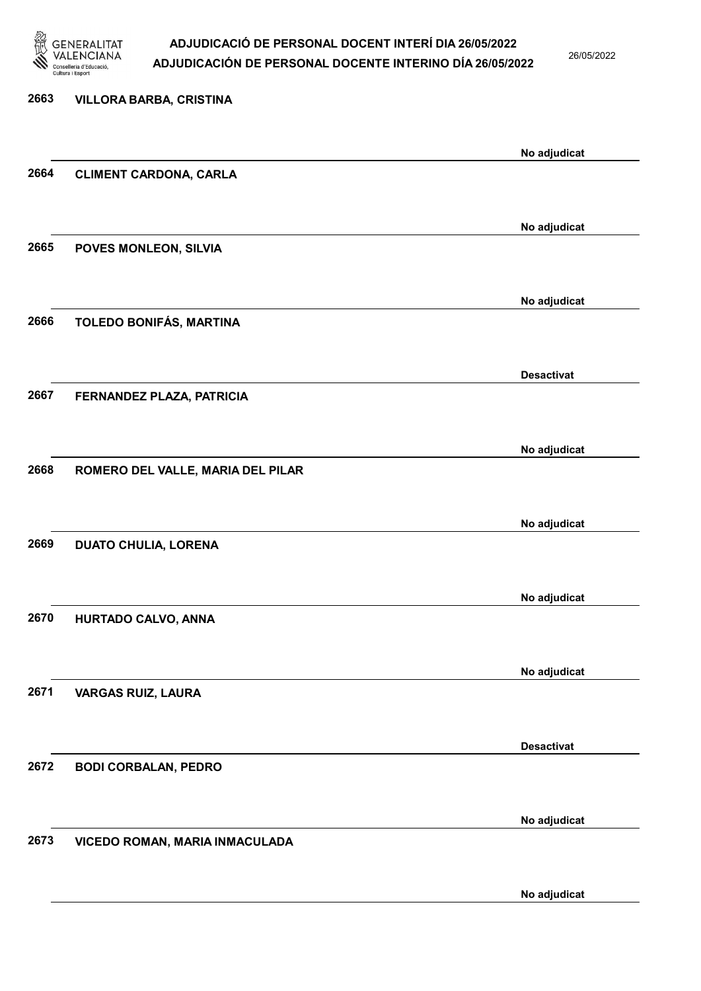

26/05/2022

No adjudicat

# 2663 VILLORA BARBA, CRISTINA No adjudicat 2664 CLIMENT CARDONA, CARLA No adjudicat 2665 POVES MONLEON, SILVIA No adjudicat 2666 TOLEDO BONIFÁS, MARTINA Desactivat 2667 FERNANDEZ PLAZA, PATRICIA No adjudicat 2668 ROMERO DEL VALLE, MARIA DEL PILAR No adjudicat 2669 DUATO CHULIA, LORENA No adjudicat 2670 HURTADO CALVO, ANNA No adjudicat 2671 VARGAS RUIZ, LAURA Desactivat 2672 BODI CORBALAN, PEDRO No adjudicat 2673 VICEDO ROMAN, MARIA INMACULADA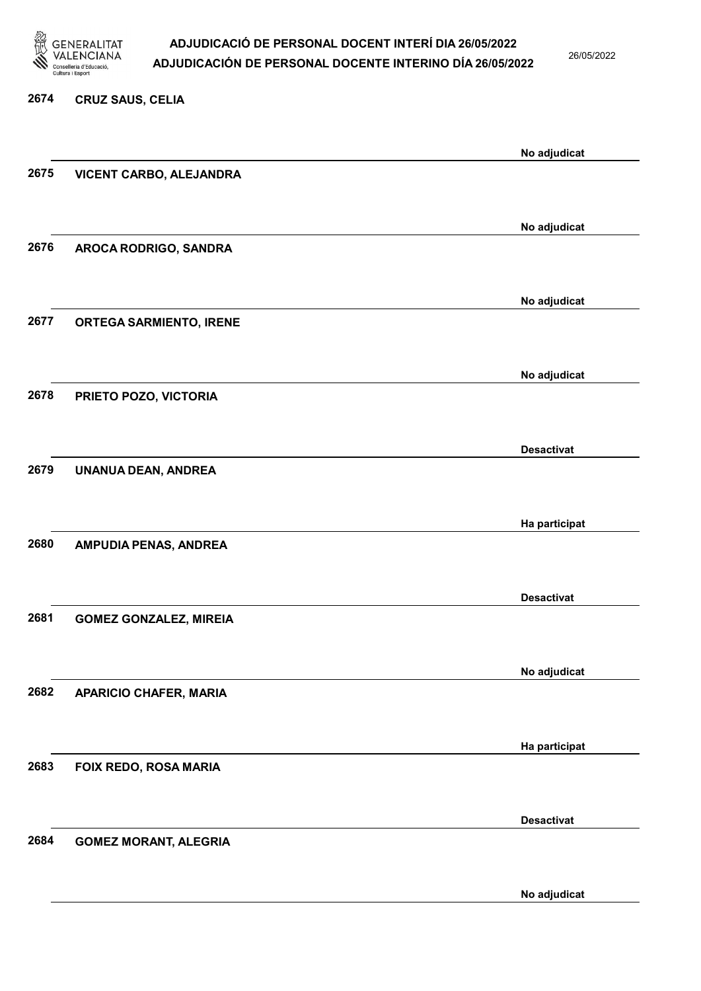

26/05/2022

No adjudicat

### 2674 CRUZ SAUS, CELIA No adjudicat 2675 VICENT CARBO, ALEJANDRA No adjudicat 2676 AROCA RODRIGO, SANDRA No adjudicat 2677 ORTEGA SARMIENTO, IRENE No adjudicat 2678 PRIETO POZO, VICTORIA Desactivat 2679 UNANUA DEAN, ANDREA Ha participat 2680 AMPUDIA PENAS, ANDREA Desactivat 2681 GOMEZ GONZALEZ, MIREIA No adjudicat 2682 APARICIO CHAFER, MARIA Ha participat 2683 FOIX REDO, ROSA MARIA Desactivat 2684 GOMEZ MORANT, ALEGRIA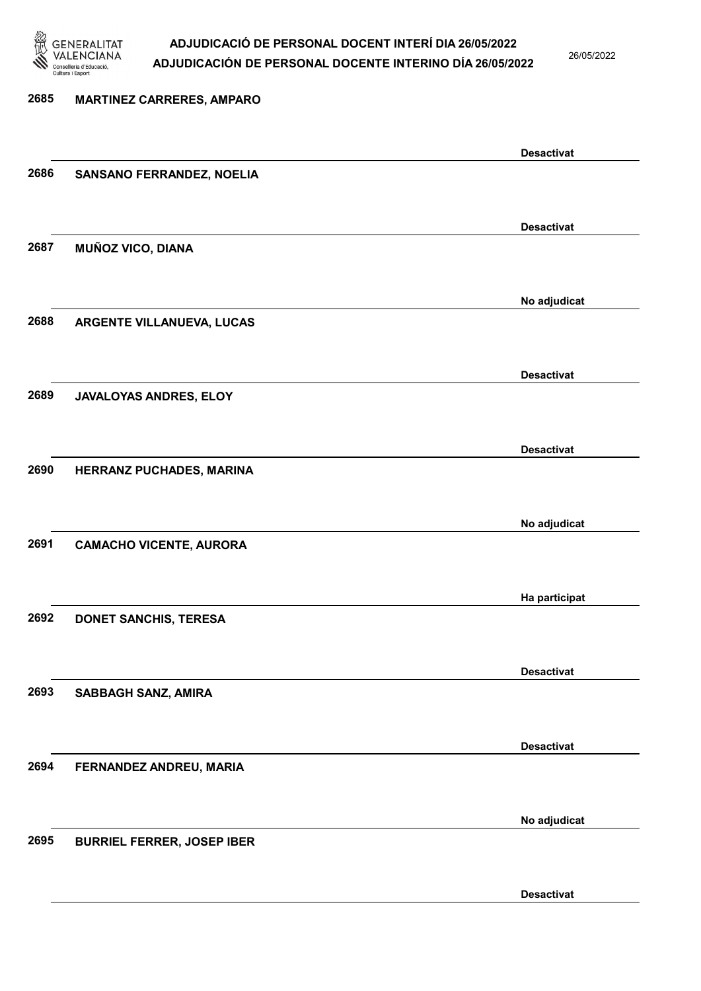

26/05/2022

Desactivat

## 2685 MARTINEZ CARRERES, AMPARO Desactivat 2686 SANSANO FERRANDEZ, NOELIA Desactivat 2687 MUÑOZ VICO, DIANA No adjudicat 2688 ARGENTE VILLANUEVA, LUCAS Desactivat 2689 JAVALOYAS ANDRES, ELOY Desactivat 2690 HERRANZ PUCHADES, MARINA No adjudicat 2691 CAMACHO VICENTE, AURORA Ha participat 2692 DONET SANCHIS, TERESA Desactivat 2693 SABBAGH SANZ, AMIRA Desactivat 2694 FERNANDEZ ANDREU, MARIA No adjudicat 2695 BURRIEL FERRER, JOSEP IBER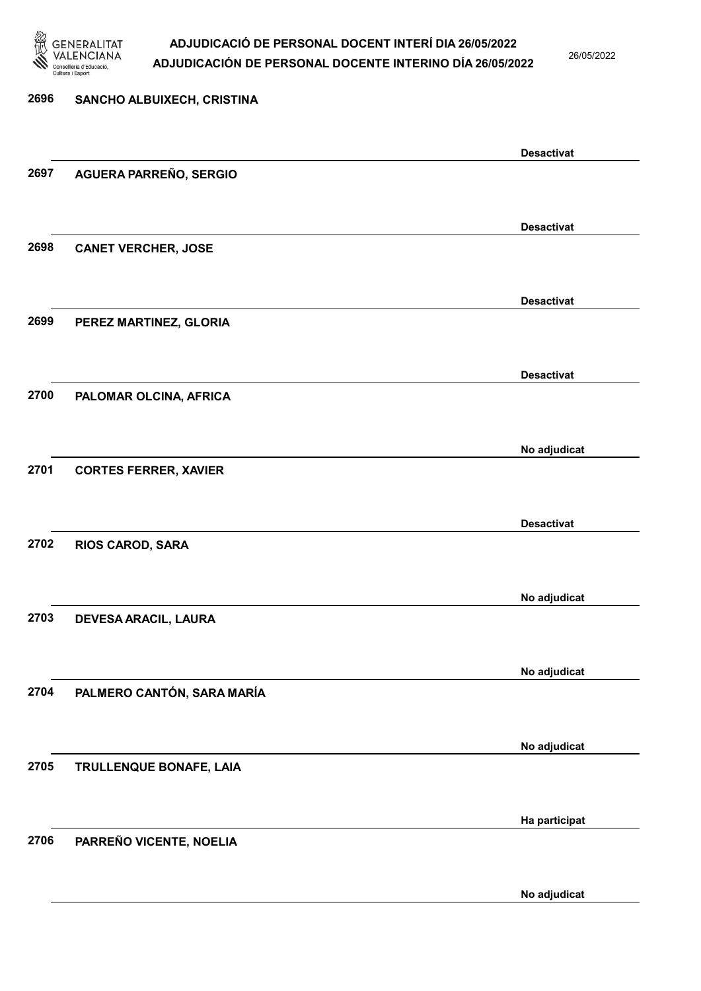

26/05/2022

No adjudicat

## 2696 SANCHO ALBUIXECH, CRISTINA Desactivat 2697 AGUERA PARREÑO, SERGIO Desactivat 2698 CANET VERCHER, JOSE Desactivat 2699 PEREZ MARTINEZ, GLORIA Desactivat 2700 PALOMAR OLCINA, AFRICA No adjudicat 2701 CORTES FERRER, XAVIER Desactivat 2702 RIOS CAROD, SARA No adjudicat 2703 DEVESA ARACIL, LAURA No adjudicat 2704 PALMERO CANTÓN, SARA MARÍA No adjudicat 2705 TRULLENQUE BONAFE, LAIA Ha participat 2706 PARREÑO VICENTE, NOELIA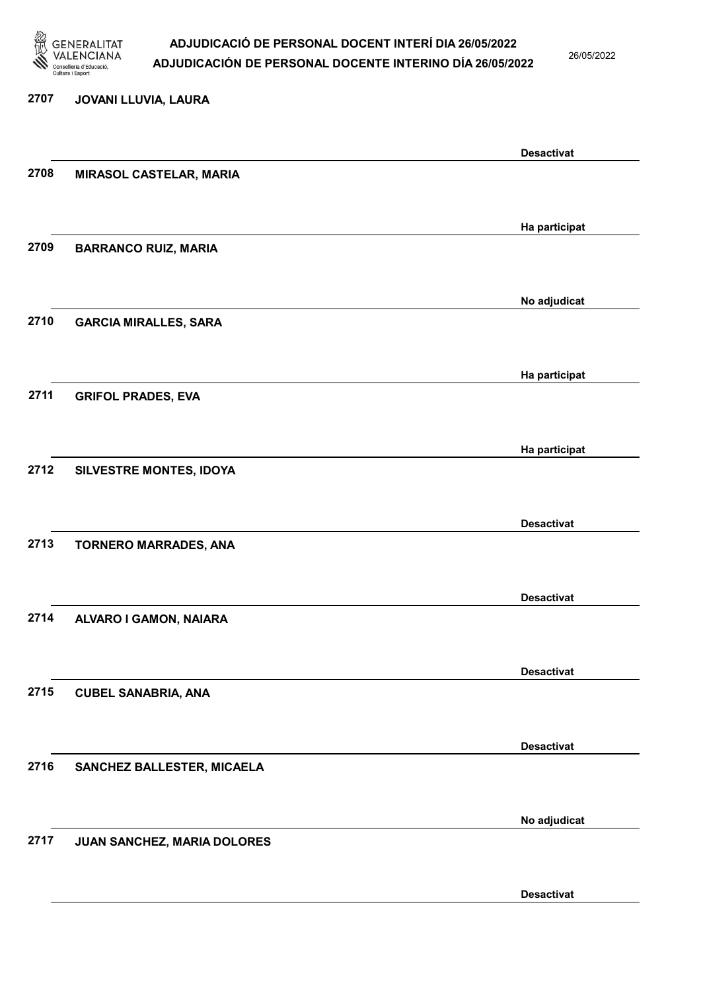

26/05/2022

#### 2707 JOVANI LLUVIA, LAURA

|      |                                | <b>Desactivat</b> |
|------|--------------------------------|-------------------|
| 2708 | <b>MIRASOL CASTELAR, MARIA</b> |                   |
|      |                                |                   |
|      |                                |                   |
|      |                                | Ha participat     |
| 2709 | <b>BARRANCO RUIZ, MARIA</b>    |                   |
|      |                                |                   |
|      |                                |                   |
|      |                                | No adjudicat      |
| 2710 | <b>GARCIA MIRALLES, SARA</b>   |                   |
|      |                                |                   |
|      |                                |                   |
|      |                                | Ha participat     |
| 2711 | <b>GRIFOL PRADES, EVA</b>      |                   |
|      |                                |                   |
|      |                                |                   |
|      |                                | Ha participat     |
| 2712 | SILVESTRE MONTES, IDOYA        |                   |
|      |                                |                   |
|      |                                |                   |
|      |                                | <b>Desactivat</b> |
| 2713 | <b>TORNERO MARRADES, ANA</b>   |                   |
|      |                                |                   |
|      |                                | <b>Desactivat</b> |
|      |                                |                   |
| 2714 | ALVARO I GAMON, NAIARA         |                   |
|      |                                |                   |
|      |                                | <b>Desactivat</b> |
|      |                                |                   |
| 2715 | <b>CUBEL SANABRIA, ANA</b>     |                   |
|      |                                |                   |
|      |                                | <b>Desactivat</b> |
| 2716 |                                |                   |
|      | SANCHEZ BALLESTER, MICAELA     |                   |
|      |                                |                   |
|      |                                | No adjudicat      |
| 2717 |                                |                   |
|      | JUAN SANCHEZ, MARIA DOLORES    |                   |
|      |                                |                   |
|      |                                | <b>Desactivat</b> |
|      |                                |                   |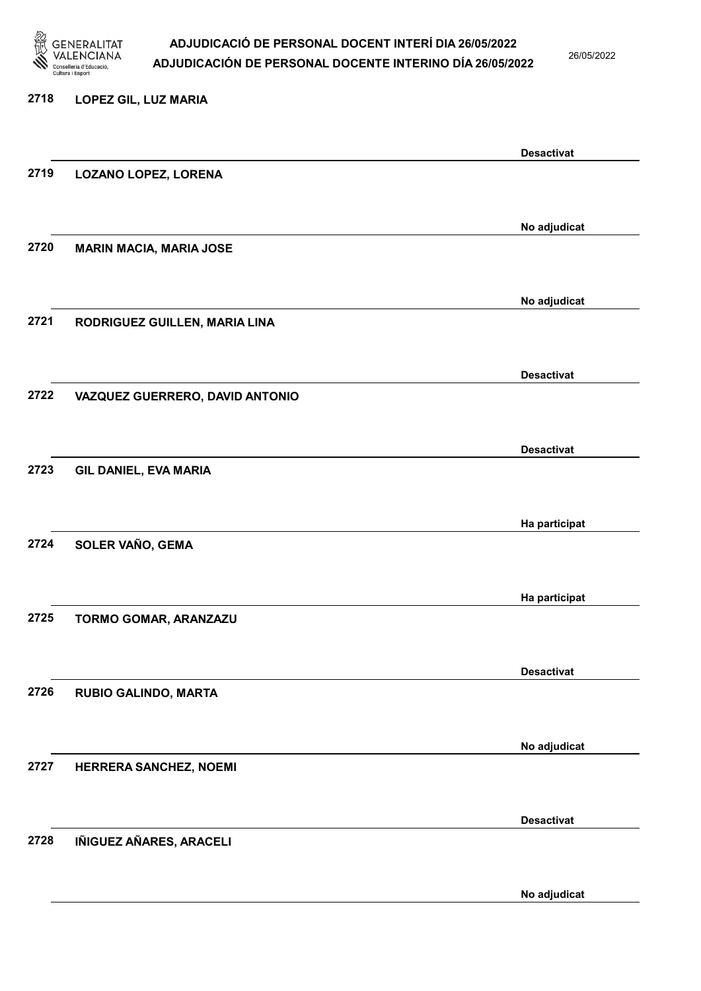

26/05/2022

#### 2718 LOPEZ GIL, LUZ MARIA

|      |                                 | <b>Desactivat</b> |
|------|---------------------------------|-------------------|
| 2719 | <b>LOZANO LOPEZ, LORENA</b>     |                   |
|      |                                 |                   |
|      |                                 | No adjudicat      |
| 2720 | <b>MARIN MACIA, MARIA JOSE</b>  |                   |
|      |                                 |                   |
|      |                                 | No adjudicat      |
| 2721 | RODRIGUEZ GUILLEN, MARIA LINA   |                   |
|      |                                 |                   |
|      |                                 | <b>Desactivat</b> |
| 2722 | VAZQUEZ GUERRERO, DAVID ANTONIO |                   |
|      |                                 |                   |
|      |                                 | <b>Desactivat</b> |
| 2723 | <b>GIL DANIEL, EVA MARIA</b>    |                   |
|      |                                 |                   |
|      |                                 | Ha participat     |
| 2724 | SOLER VAÑO, GEMA                |                   |
|      |                                 |                   |
|      |                                 | Ha participat     |
| 2725 | TORMO GOMAR, ARANZAZU           |                   |
|      |                                 |                   |
| 2726 | RUBIO GALINDO, MARTA            | <b>Desactivat</b> |
|      |                                 |                   |
|      |                                 |                   |
| 2727 | HERRERA SANCHEZ, NOEMI          | No adjudicat      |
|      |                                 |                   |
|      |                                 | <b>Desactivat</b> |
| 2728 | IÑIGUEZ AÑARES, ARACELI         |                   |
|      |                                 |                   |
|      |                                 | No adjudicat      |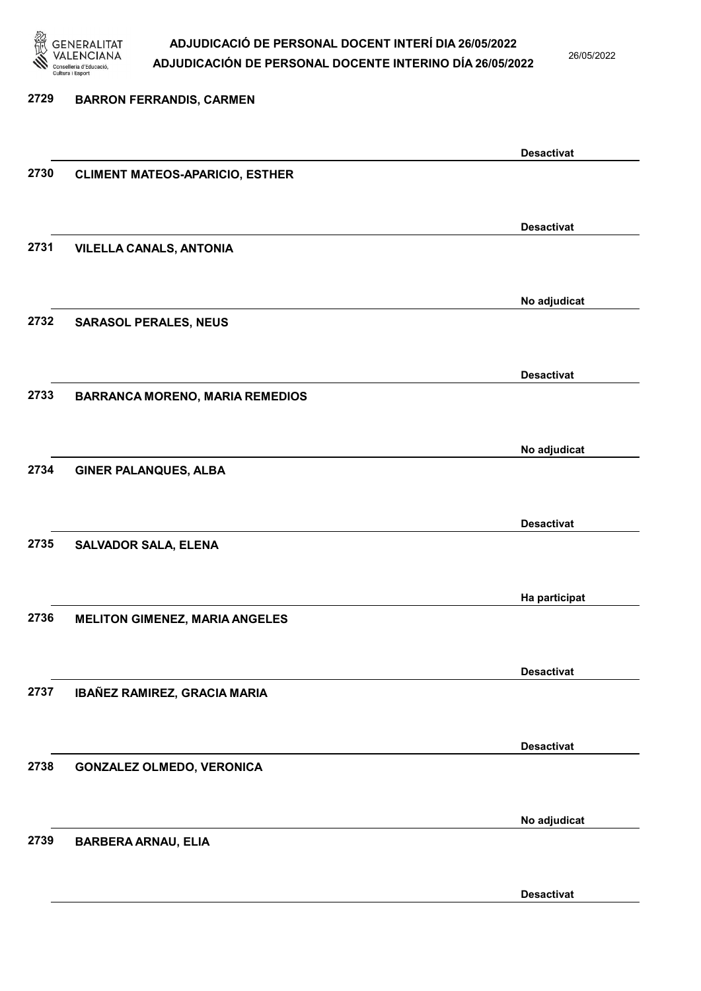

26/05/2022

### 2729 BARRON FERRANDIS, CARMEN Desactivat 2730 CLIMENT MATEOS-APARICIO, ESTHER Desactivat 2731 VILELLA CANALS, ANTONIA No adjudicat 2732 SARASOL PERALES, NEUS Desactivat 2733 BARRANCA MORENO, MARIA REMEDIOS No adjudicat 2734 GINER PALANQUES, ALBA Desactivat 2735 SALVADOR SALA, ELENA Ha participat 2736 MELITON GIMENEZ, MARIA ANGELES Desactivat 2737 IBAÑEZ RAMIREZ, GRACIA MARIA Desactivat 2738 GONZALEZ OLMEDO, VERONICA No adjudicat 2739 BARBERA ARNAU, ELIA

Desactivat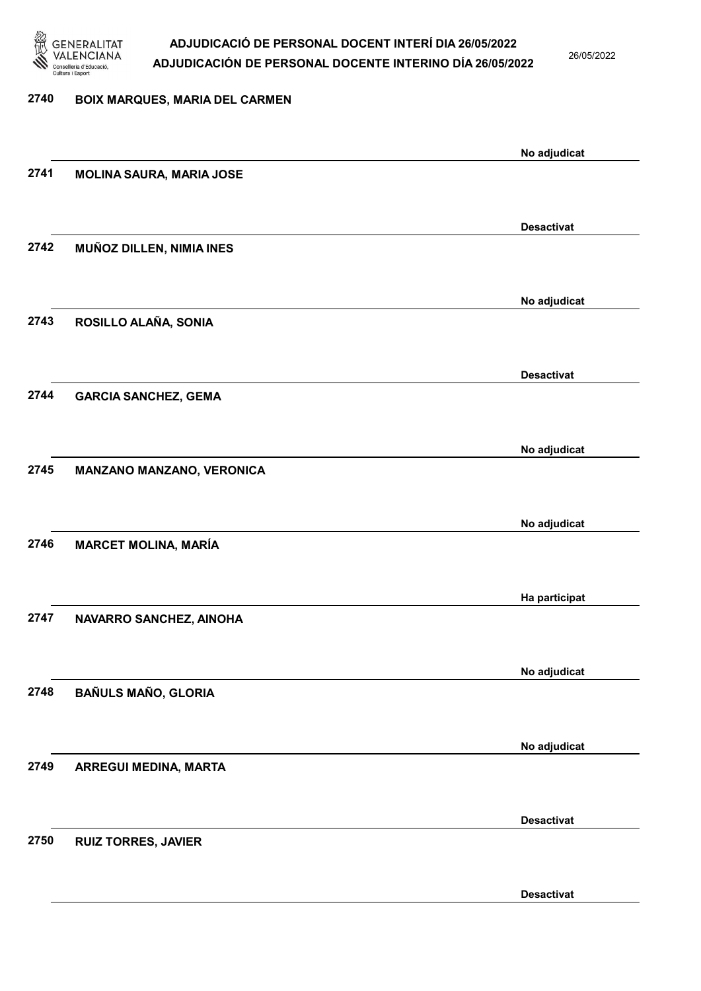

26/05/2022

Desactivat

### 2740 BOIX MARQUES, MARIA DEL CARMEN No adjudicat 2741 MOLINA SAURA, MARIA JOSE Desactivat 2742 MUÑOZ DILLEN, NIMIA INES No adjudicat 2743 ROSILLO ALAÑA, SONIA Desactivat 2744 GARCIA SANCHEZ, GEMA No adjudicat 2745 MANZANO MANZANO, VERONICA No adjudicat 2746 MARCET MOLINA, MARÍA Ha participat 2747 NAVARRO SANCHEZ, AINOHA No adjudicat 2748 BAÑULS MAÑO, GLORIA No adjudicat 2749 ARREGUI MEDINA, MARTA Desactivat 2750 RUIZ TORRES, JAVIER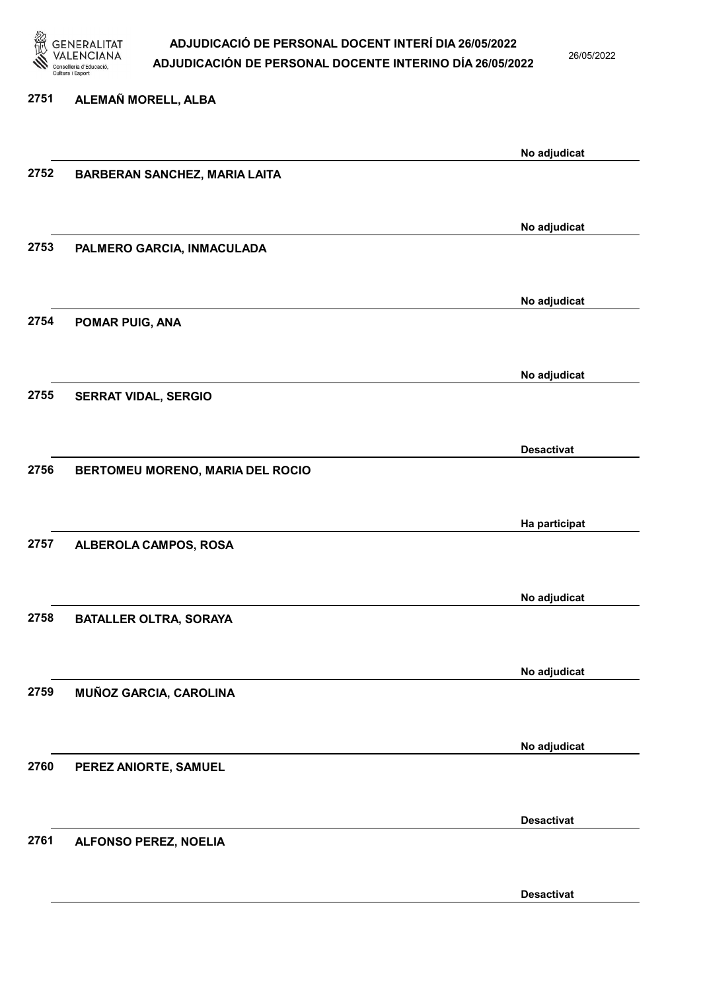

26/05/2022

Desactivat

### 2751 ALEMAÑ MORELL, ALBA No adjudicat 2752 BARBERAN SANCHEZ, MARIA LAITA No adjudicat 2753 PALMERO GARCIA, INMACULADA No adjudicat 2754 POMAR PUIG, ANA No adjudicat 2755 SERRAT VIDAL, SERGIO Desactivat 2756 BERTOMEU MORENO, MARIA DEL ROCIO Ha participat 2757 ALBEROLA CAMPOS, ROSA No adjudicat 2758 BATALLER OLTRA, SORAYA No adjudicat 2759 MUÑOZ GARCIA, CAROLINA No adjudicat 2760 PEREZ ANIORTE, SAMUEL Desactivat 2761 ALFONSO PEREZ, NOELIA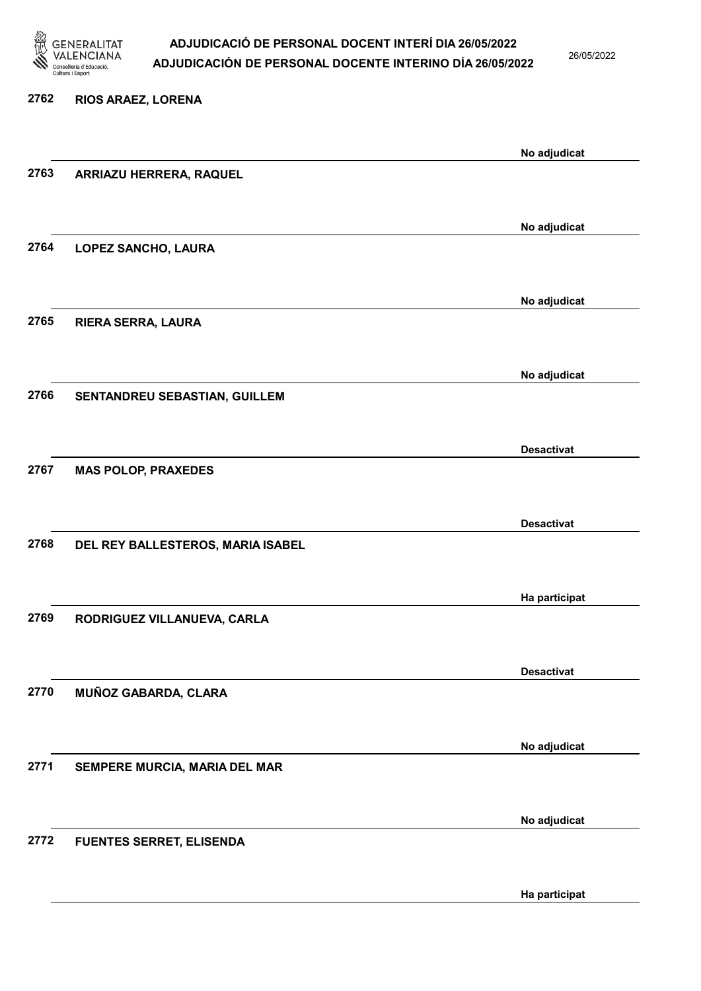

26/05/2022

Ha participat

| 2762 | RIOS ARAEZ, LORENA                |                   |
|------|-----------------------------------|-------------------|
|      |                                   | No adjudicat      |
| 2763 | ARRIAZU HERRERA, RAQUEL           |                   |
|      |                                   | No adjudicat      |
| 2764 | LOPEZ SANCHO, LAURA               |                   |
|      |                                   | No adjudicat      |
| 2765 | <b>RIERA SERRA, LAURA</b>         |                   |
|      |                                   | No adjudicat      |
| 2766 | SENTANDREU SEBASTIAN, GUILLEM     |                   |
|      |                                   | <b>Desactivat</b> |
| 2767 | <b>MAS POLOP, PRAXEDES</b>        |                   |
|      |                                   | <b>Desactivat</b> |
| 2768 | DEL REY BALLESTEROS, MARIA ISABEL |                   |
|      |                                   | Ha participat     |
| 2769 | RODRIGUEZ VILLANUEVA, CARLA       |                   |
|      |                                   | <b>Desactivat</b> |
| 2770 | MUÑOZ GABARDA, CLARA              |                   |
|      |                                   | No adjudicat      |
| 2771 | SEMPERE MURCIA, MARIA DEL MAR     |                   |
|      |                                   | No adjudicat      |
| 2772 | <b>FUENTES SERRET, ELISENDA</b>   |                   |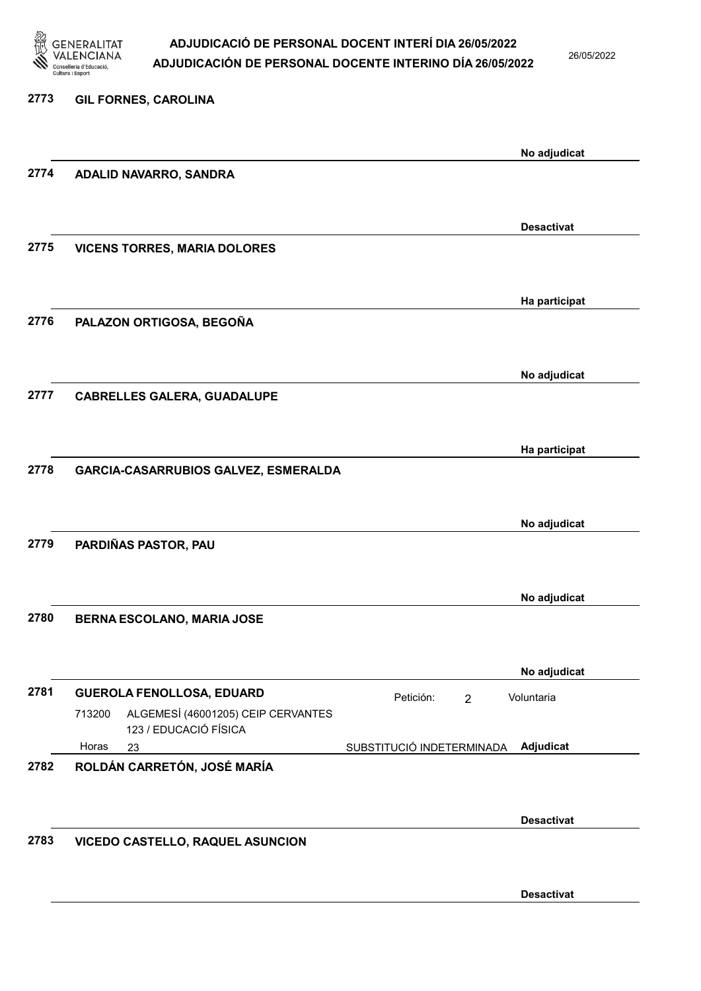

26/05/2022

| 2773 | <b>GIL FORNES, CAROLINA</b>                                           |                           |                |                   |
|------|-----------------------------------------------------------------------|---------------------------|----------------|-------------------|
|      |                                                                       |                           |                | No adjudicat      |
| 2774 | ADALID NAVARRO, SANDRA                                                |                           |                |                   |
|      |                                                                       |                           |                | <b>Desactivat</b> |
| 2775 | <b>VICENS TORRES, MARIA DOLORES</b>                                   |                           |                |                   |
|      |                                                                       |                           |                |                   |
| 2776 | PALAZON ORTIGOSA, BEGOÑA                                              |                           |                | Ha participat     |
|      |                                                                       |                           |                |                   |
| 2777 | <b>CABRELLES GALERA, GUADALUPE</b>                                    |                           |                | No adjudicat      |
|      |                                                                       |                           |                |                   |
| 2778 | GARCIA-CASARRUBIOS GALVEZ, ESMERALDA                                  |                           |                | Ha participat     |
|      |                                                                       |                           |                |                   |
| 2779 | PARDIÑAS PASTOR, PAU                                                  |                           |                | No adjudicat      |
|      |                                                                       |                           |                |                   |
| 2780 | <b>BERNA ESCOLANO, MARIA JOSE</b>                                     |                           |                | No adjudicat      |
|      |                                                                       |                           |                |                   |
|      |                                                                       |                           |                | No adjudicat      |
| 2781 | <b>GUEROLA FENOLLOSA, EDUARD</b>                                      | Petición:                 | $\overline{2}$ | Voluntaria        |
|      | ALGEMESÍ (46001205) CEIP CERVANTES<br>713200<br>123 / EDUCACIÓ FÍSICA |                           |                |                   |
|      | Horas<br>23                                                           | SUBSTITUCIÓ INDETERMINADA |                | Adjudicat         |
| 2782 | ROLDÁN CARRETÓN, JOSÉ MARÍA                                           |                           |                |                   |
|      |                                                                       |                           |                | <b>Desactivat</b> |
| 2783 | VICEDO CASTELLO, RAQUEL ASUNCION                                      |                           |                |                   |
|      |                                                                       |                           |                |                   |

Desactivat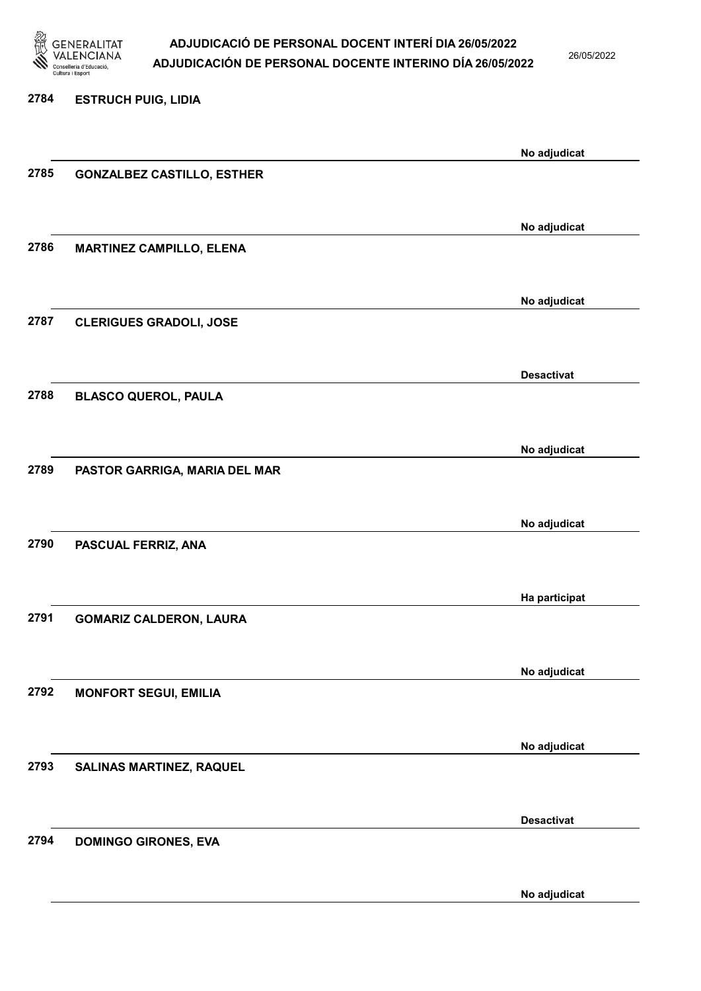

26/05/2022

No adjudicat

# 2784 ESTRUCH PUIG, LIDIA No adjudicat 2785 GONZALBEZ CASTILLO, ESTHER No adjudicat 2786 MARTINEZ CAMPILLO, ELENA No adjudicat 2787 CLERIGUES GRADOLI, JOSE Desactivat 2788 BLASCO QUEROL, PAULA No adjudicat 2789 PASTOR GARRIGA, MARIA DEL MAR No adjudicat 2790 PASCUAL FERRIZ, ANA Ha participat 2791 GOMARIZ CALDERON, LAURA No adjudicat 2792 MONFORT SEGUI, EMILIA No adjudicat 2793 SALINAS MARTINEZ, RAQUEL Desactivat 2794 DOMINGO GIRONES, EVA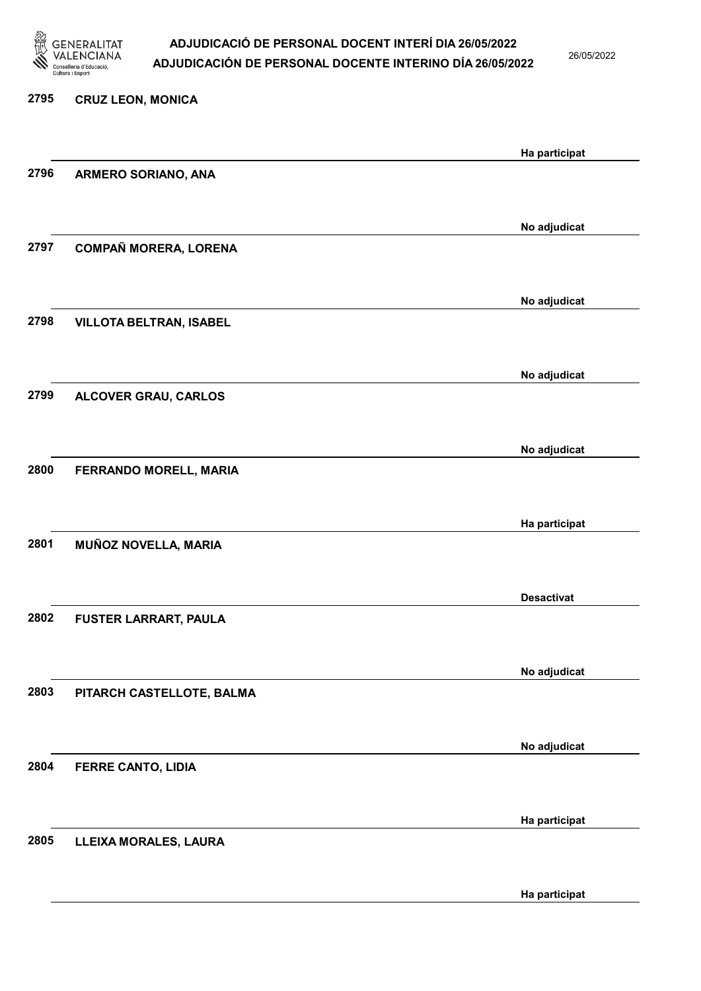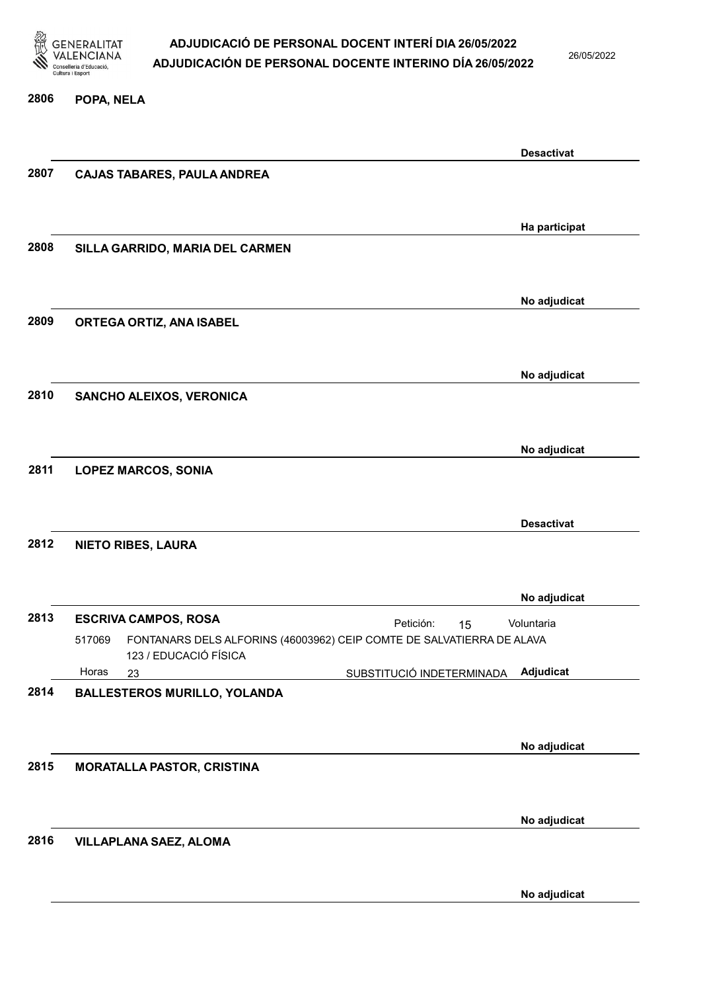

26/05/2022

#### 2806 POPA, NELA

|      |                                                                                 | <b>Desactivat</b> |
|------|---------------------------------------------------------------------------------|-------------------|
| 2807 | <b>CAJAS TABARES, PAULA ANDREA</b>                                              |                   |
|      |                                                                                 |                   |
|      |                                                                                 | Ha participat     |
| 2808 | SILLA GARRIDO, MARIA DEL CARMEN                                                 |                   |
|      |                                                                                 |                   |
|      |                                                                                 | No adjudicat      |
| 2809 | ORTEGA ORTIZ, ANA ISABEL                                                        |                   |
|      |                                                                                 |                   |
|      |                                                                                 | No adjudicat      |
| 2810 | SANCHO ALEIXOS, VERONICA                                                        |                   |
|      |                                                                                 |                   |
| 2811 |                                                                                 | No adjudicat      |
|      | <b>LOPEZ MARCOS, SONIA</b>                                                      |                   |
|      |                                                                                 |                   |
| 2812 | <b>NIETO RIBES, LAURA</b>                                                       | <b>Desactivat</b> |
|      |                                                                                 |                   |
|      |                                                                                 | No adjudicat      |
| 2813 | <b>ESCRIVA CAMPOS, ROSA</b><br>Petición:<br>15                                  | Voluntaria        |
|      | FONTANARS DELS ALFORINS (46003962) CEIP COMTE DE SALVATIERRA DE ALAVA<br>517069 |                   |
|      | 123 / EDUCACIÓ FÍSICA<br>Horas<br>SUBSTITUCIÓ INDETERMINADA<br>23               | Adjudicat         |
| 2814 | <b>BALLESTEROS MURILLO, YOLANDA</b>                                             |                   |
|      |                                                                                 |                   |
|      |                                                                                 | No adjudicat      |
| 2815 | <b>MORATALLA PASTOR, CRISTINA</b>                                               |                   |
|      |                                                                                 |                   |
|      |                                                                                 | No adjudicat      |
| 2816 | <b>VILLAPLANA SAEZ, ALOMA</b>                                                   |                   |
|      |                                                                                 |                   |
|      |                                                                                 | No adjudicat      |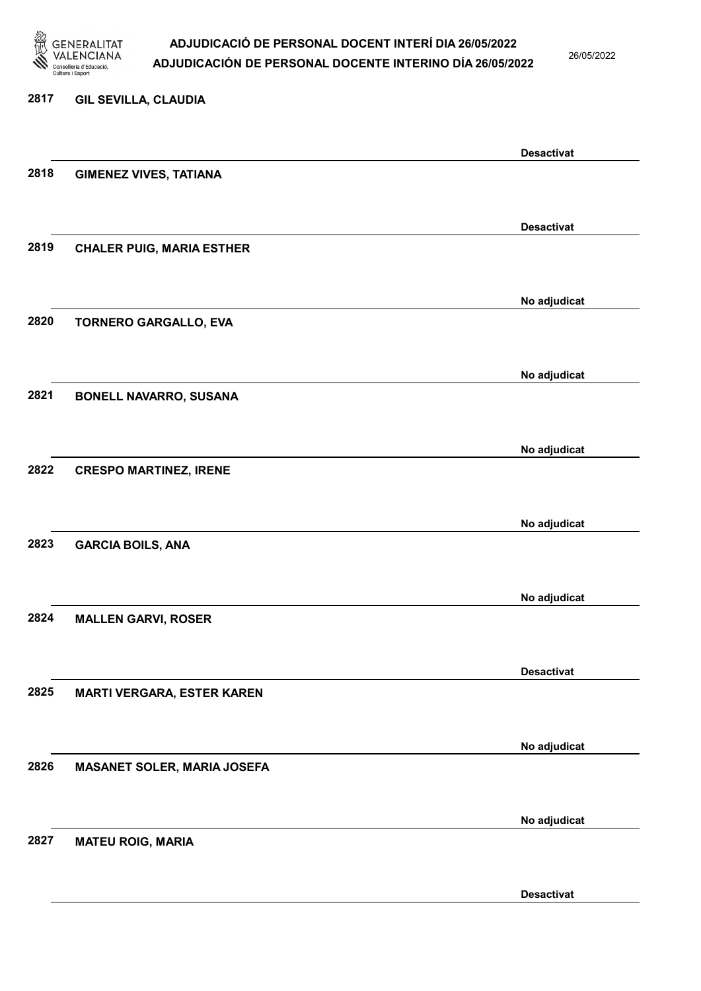

26/05/2022

### 2817 GIL SEVILLA, CLAUDIA

|      |                                    | <b>Desactivat</b> |
|------|------------------------------------|-------------------|
| 2818 | <b>GIMENEZ VIVES, TATIANA</b>      |                   |
|      |                                    |                   |
|      |                                    | <b>Desactivat</b> |
| 2819 | <b>CHALER PUIG, MARIA ESTHER</b>   |                   |
|      |                                    |                   |
|      |                                    |                   |
|      |                                    | No adjudicat      |
| 2820 | <b>TORNERO GARGALLO, EVA</b>       |                   |
|      |                                    |                   |
|      |                                    | No adjudicat      |
| 2821 | <b>BONELL NAVARRO, SUSANA</b>      |                   |
|      |                                    |                   |
|      |                                    |                   |
|      |                                    | No adjudicat      |
| 2822 | <b>CRESPO MARTINEZ, IRENE</b>      |                   |
|      |                                    |                   |
|      |                                    | No adjudicat      |
| 2823 | <b>GARCIA BOILS, ANA</b>           |                   |
|      |                                    |                   |
|      |                                    | No adjudicat      |
| 2824 | <b>MALLEN GARVI, ROSER</b>         |                   |
|      |                                    |                   |
|      |                                    |                   |
|      |                                    | <b>Desactivat</b> |
| 2825 | <b>MARTI VERGARA, ESTER KAREN</b>  |                   |
|      |                                    |                   |
|      |                                    | No adjudicat      |
| 2826 | <b>MASANET SOLER, MARIA JOSEFA</b> |                   |
|      |                                    |                   |
|      |                                    |                   |
|      |                                    | No adjudicat      |
| 2827 | <b>MATEU ROIG, MARIA</b>           |                   |
|      |                                    |                   |
|      |                                    | <b>Desactivat</b> |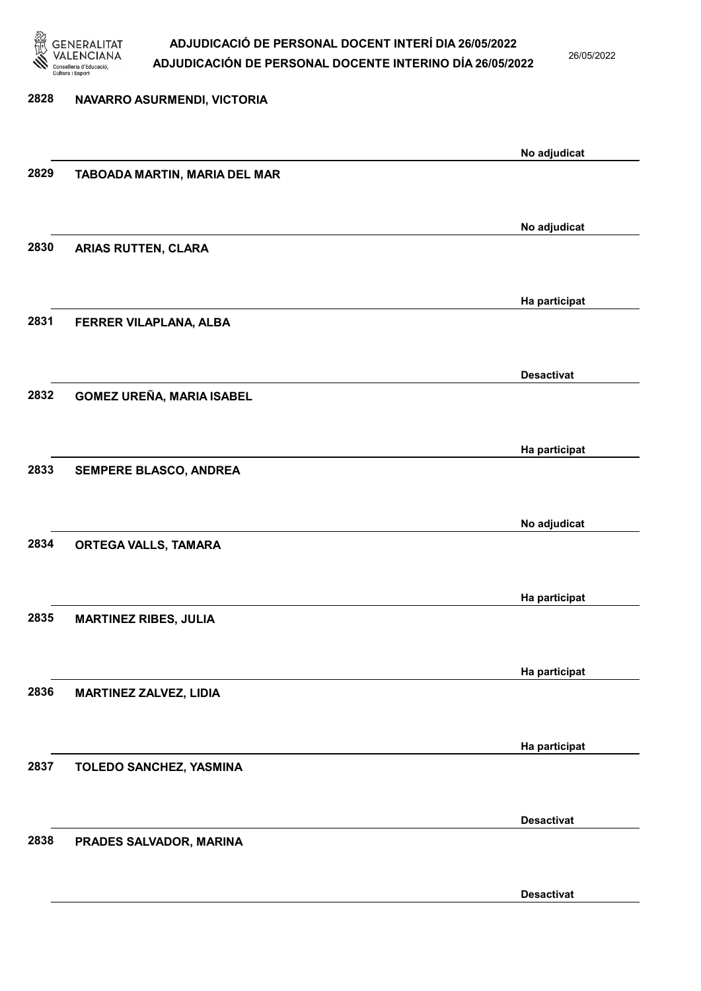

26/05/2022

Desactivat

| 2828 | NAVARRO ASURMENDI, VICTORIA   |                   |
|------|-------------------------------|-------------------|
|      |                               |                   |
| 2829 | TABOADA MARTIN, MARIA DEL MAR | No adjudicat      |
|      |                               |                   |
| 2830 | ARIAS RUTTEN, CLARA           | No adjudicat      |
|      |                               |                   |
|      |                               | Ha participat     |
| 2831 | FERRER VILAPLANA, ALBA        |                   |
|      |                               | <b>Desactivat</b> |
| 2832 | GOMEZ UREÑA, MARIA ISABEL     |                   |
|      |                               |                   |
| 2833 | SEMPERE BLASCO, ANDREA        | Ha participat     |
|      |                               |                   |
|      |                               | No adjudicat      |
| 2834 | ORTEGA VALLS, TAMARA          |                   |
|      |                               |                   |
| 2835 | <b>MARTINEZ RIBES, JULIA</b>  | Ha participat     |
|      |                               |                   |
| 2836 |                               | Ha participat     |
|      | MARTINEZ ZALVEZ, LIDIA        |                   |
|      |                               | Ha participat     |
| 2837 | TOLEDO SANCHEZ, YASMINA       |                   |
|      |                               | <b>Desactivat</b> |
| 2838 | PRADES SALVADOR, MARINA       |                   |
|      |                               |                   |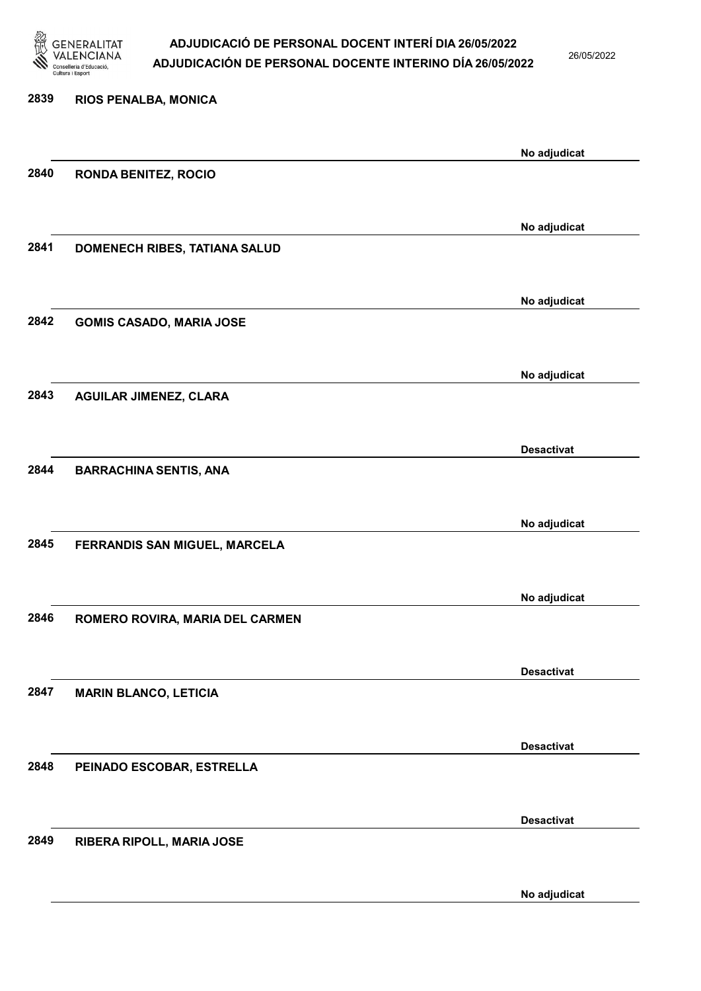

26/05/2022

| 2839 | RIOS PENALBA, MONICA            |                   |
|------|---------------------------------|-------------------|
|      |                                 | No adjudicat      |
| 2840 | <b>RONDA BENITEZ, ROCIO</b>     |                   |
|      |                                 |                   |
|      |                                 | No adjudicat      |
| 2841 | DOMENECH RIBES, TATIANA SALUD   |                   |
|      |                                 |                   |
|      |                                 | No adjudicat      |
| 2842 | <b>GOMIS CASADO, MARIA JOSE</b> |                   |
|      |                                 |                   |
| 2843 | <b>AGUILAR JIMENEZ, CLARA</b>   | No adjudicat      |
|      |                                 |                   |
|      |                                 | <b>Desactivat</b> |
| 2844 | <b>BARRACHINA SENTIS, ANA</b>   |                   |
|      |                                 |                   |
|      |                                 | No adjudicat      |
| 2845 | FERRANDIS SAN MIGUEL, MARCELA   |                   |
|      |                                 |                   |
|      |                                 | No adjudicat      |
| 2846 | ROMERO ROVIRA, MARIA DEL CARMEN |                   |
|      |                                 | <b>Desactivat</b> |
| 2847 | <b>MARIN BLANCO, LETICIA</b>    |                   |
|      |                                 |                   |
|      |                                 | <b>Desactivat</b> |
| 2848 | PEINADO ESCOBAR, ESTRELLA       |                   |
|      |                                 |                   |
|      |                                 | <b>Desactivat</b> |
| 2849 | RIBERA RIPOLL, MARIA JOSE       |                   |
|      |                                 |                   |

No adjudicat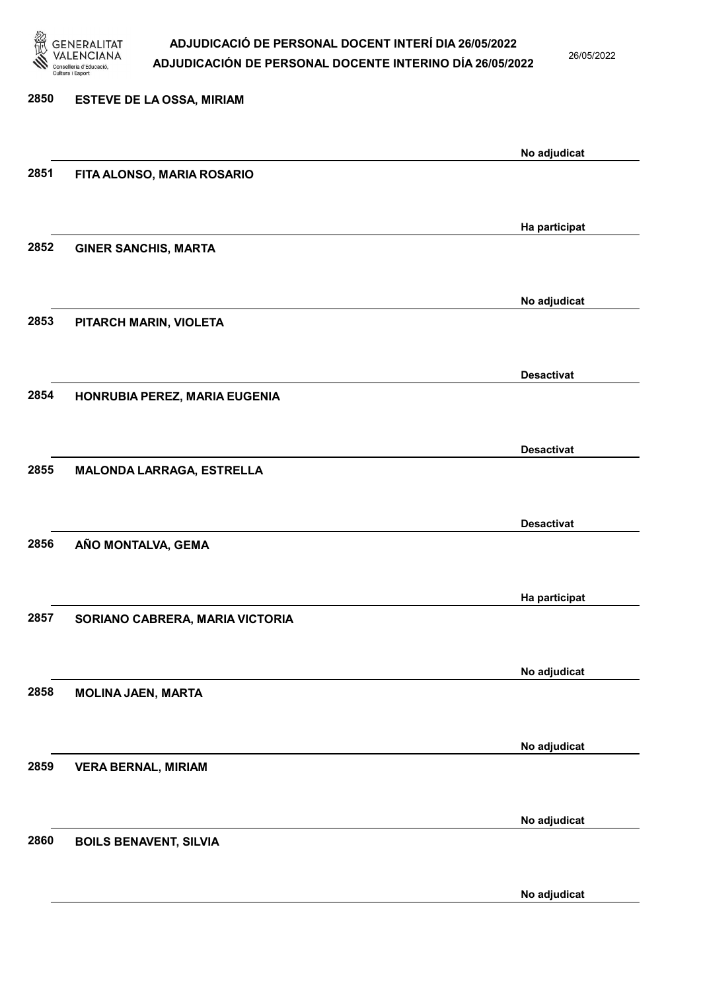

26/05/2022

| 2850 | <b>ESTEVE DE LA OSSA, MIRIAM</b> |                   |
|------|----------------------------------|-------------------|
|      |                                  | No adjudicat      |
| 2851 | FITA ALONSO, MARIA ROSARIO       |                   |
|      |                                  | Ha participat     |
| 2852 | <b>GINER SANCHIS, MARTA</b>      |                   |
|      |                                  | No adjudicat      |
| 2853 | PITARCH MARIN, VIOLETA           |                   |
|      |                                  | <b>Desactivat</b> |
| 2854 | HONRUBIA PEREZ, MARIA EUGENIA    |                   |
|      |                                  | <b>Desactivat</b> |
| 2855 | MALONDA LARRAGA, ESTRELLA        |                   |
|      |                                  | <b>Desactivat</b> |
| 2856 | AÑO MONTALVA, GEMA               |                   |
|      |                                  | Ha participat     |
| 2857 | SORIANO CABRERA, MARIA VICTORIA  |                   |
| 2858 |                                  | No adjudicat      |
|      | <b>MOLINA JAEN, MARTA</b>        |                   |
| 2859 | <b>VERA BERNAL, MIRIAM</b>       | No adjudicat      |
|      |                                  |                   |
| 2860 | <b>BOILS BENAVENT, SILVIA</b>    | No adjudicat      |
|      |                                  |                   |
|      |                                  | No adjudicat      |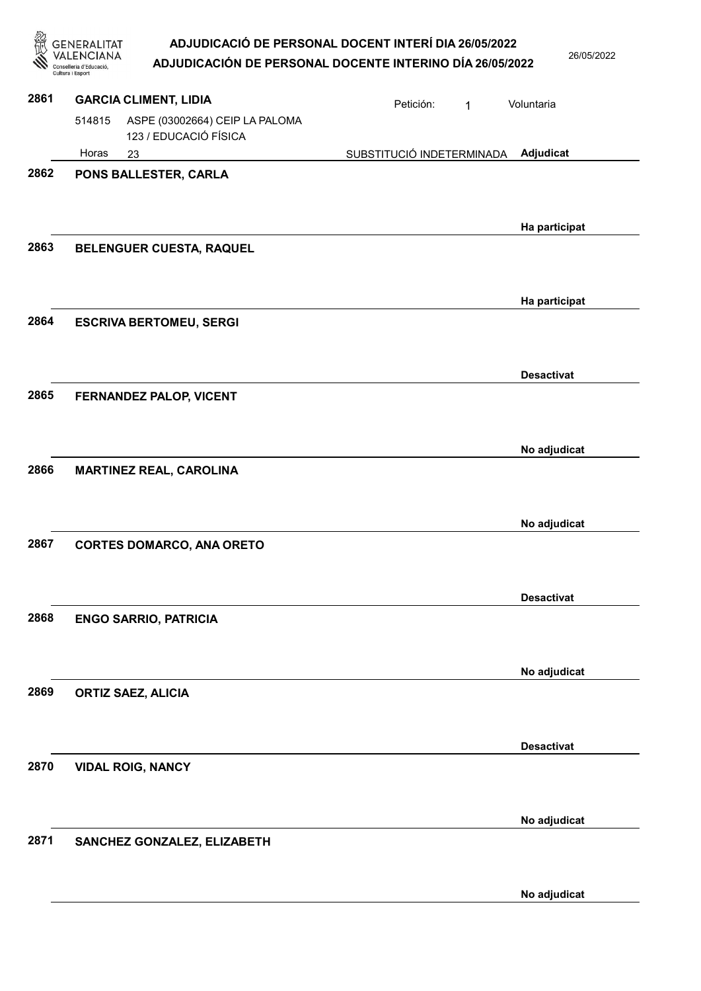| 忽    | GENERALITAT<br>Conselleria d'Educació<br>Cultura i Esport         | ADJUDICACIÓ DE PERSONAL DOCENT INTERÍ DIA 26/05/2022<br>ADJUDICACIÓN DE PERSONAL DOCENTE INTERINO DÍA 26/05/2022 | 26/05/2022        |
|------|-------------------------------------------------------------------|------------------------------------------------------------------------------------------------------------------|-------------------|
| 2861 | <b>GARCIA CLIMENT, LIDIA</b>                                      | Petición:<br>1                                                                                                   | Voluntaria        |
|      | 514815<br>ASPE (03002664) CEIP LA PALOMA<br>123 / EDUCACIÓ FÍSICA |                                                                                                                  |                   |
|      | Horas<br>23                                                       | SUBSTITUCIÓ INDETERMINADA                                                                                        | Adjudicat         |
| 2862 | PONS BALLESTER, CARLA                                             |                                                                                                                  | Ha participat     |
| 2863 | BELENGUER CUESTA, RAQUEL                                          |                                                                                                                  | Ha participat     |
| 2864 | <b>ESCRIVA BERTOMEU, SERGI</b>                                    |                                                                                                                  |                   |
| 2865 | <b>FERNANDEZ PALOP, VICENT</b>                                    |                                                                                                                  | <b>Desactivat</b> |
| 2866 | <b>MARTINEZ REAL, CAROLINA</b>                                    |                                                                                                                  | No adjudicat      |
| 2867 | <b>CORTES DOMARCO, ANA ORETO</b>                                  |                                                                                                                  | No adjudicat      |
| 2868 | <b>ENGO SARRIO, PATRICIA</b>                                      |                                                                                                                  | <b>Desactivat</b> |
| 2869 | <b>ORTIZ SAEZ, ALICIA</b>                                         |                                                                                                                  | No adjudicat      |
| 2870 | <b>VIDAL ROIG, NANCY</b>                                          |                                                                                                                  | <b>Desactivat</b> |
| 2871 | SANCHEZ GONZALEZ, ELIZABETH                                       |                                                                                                                  | No adjudicat      |
|      |                                                                   |                                                                                                                  | No adjudicat      |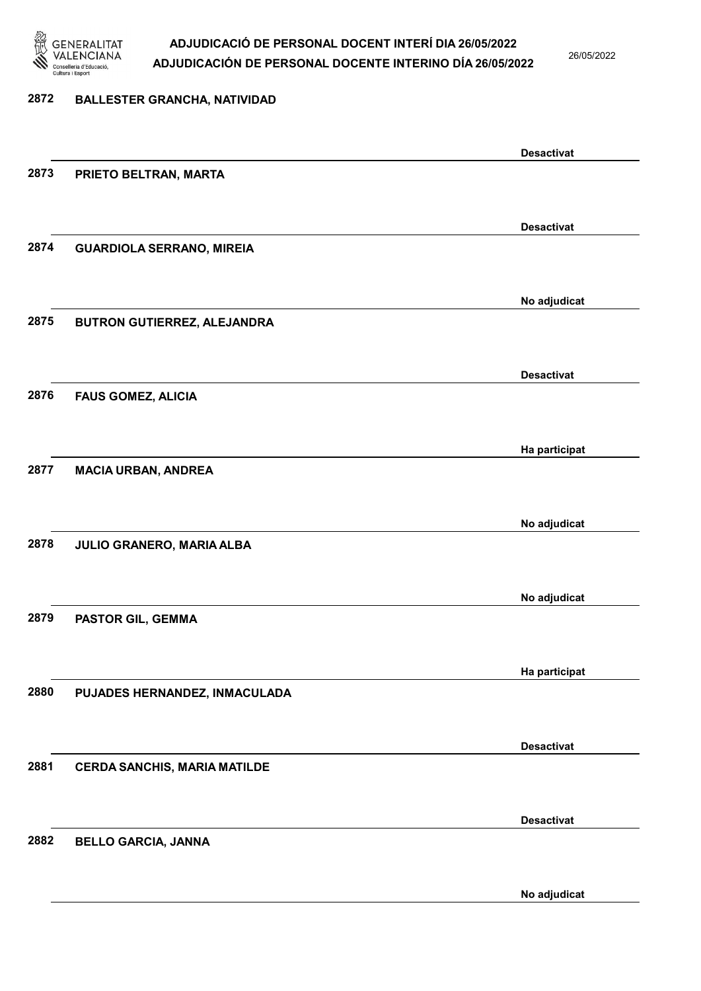

26/05/2022

# 2872 BALLESTER GRANCHA, NATIVIDAD Desactivat 2873 PRIETO BELTRAN, MARTA Desactivat 2874 GUARDIOLA SERRANO, MIREIA No adjudicat 2875 BUTRON GUTIERREZ, ALEJANDRA Desactivat 2876 FAUS GOMEZ, ALICIA Ha participat 2877 MACIA URBAN, ANDREA No adjudicat 2878 JULIO GRANERO, MARIA ALBA No adjudicat 2879 PASTOR GIL, GEMMA Ha participat 2880 PUJADES HERNANDEZ, INMACULADA Desactivat 2881 CERDA SANCHIS, MARIA MATILDE Desactivat 2882 BELLO GARCIA, JANNA

No adjudicat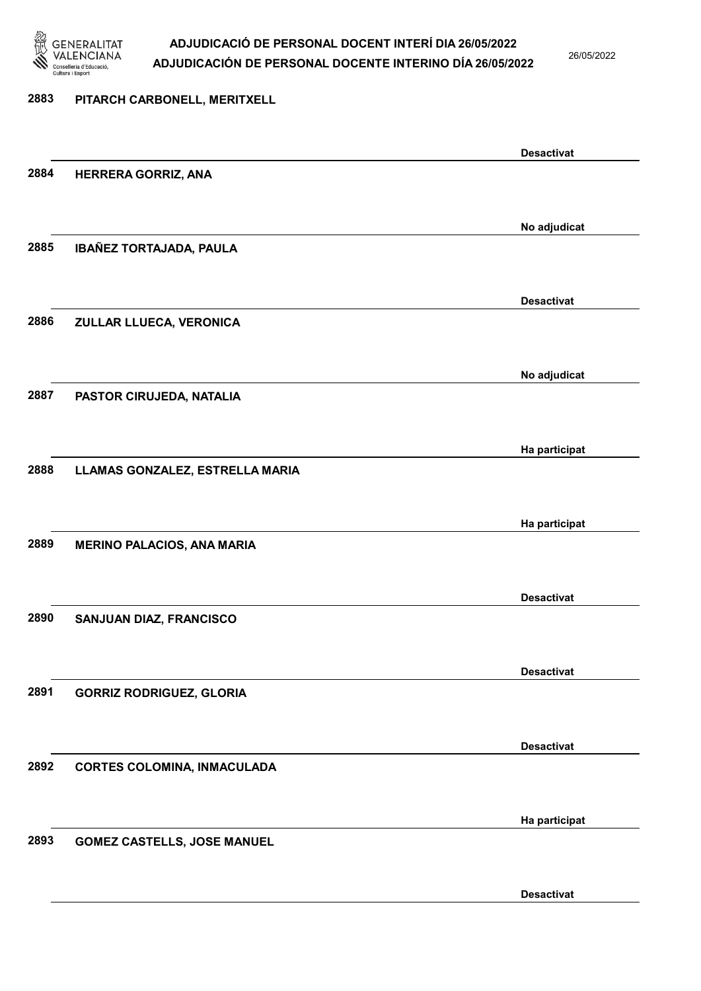

26/05/2022

#### 2883 PITARCH CARBONELL, MERITXELL

|      |                                    | <b>Desactivat</b> |
|------|------------------------------------|-------------------|
| 2884 | <b>HERRERA GORRIZ, ANA</b>         |                   |
|      |                                    |                   |
|      |                                    |                   |
|      |                                    | No adjudicat      |
| 2885 | IBAÑEZ TORTAJADA, PAULA            |                   |
|      |                                    |                   |
|      |                                    |                   |
|      |                                    | <b>Desactivat</b> |
|      |                                    |                   |
| 2886 | ZULLAR LLUECA, VERONICA            |                   |
|      |                                    |                   |
|      |                                    |                   |
|      |                                    | No adjudicat      |
| 2887 | PASTOR CIRUJEDA, NATALIA           |                   |
|      |                                    |                   |
|      |                                    |                   |
|      |                                    | Ha participat     |
| 2888 | LLAMAS GONZALEZ, ESTRELLA MARIA    |                   |
|      |                                    |                   |
|      |                                    |                   |
|      |                                    | Ha participat     |
| 2889 | <b>MERINO PALACIOS, ANA MARIA</b>  |                   |
|      |                                    |                   |
|      |                                    |                   |
|      |                                    | <b>Desactivat</b> |
| 2890 | SANJUAN DIAZ, FRANCISCO            |                   |
|      |                                    |                   |
|      |                                    |                   |
|      |                                    | <b>Desactivat</b> |
|      |                                    |                   |
| 2891 | <b>GORRIZ RODRIGUEZ, GLORIA</b>    |                   |
|      |                                    |                   |
|      |                                    |                   |
|      |                                    | <b>Desactivat</b> |
| 2892 | <b>CORTES COLOMINA, INMACULADA</b> |                   |
|      |                                    |                   |
|      |                                    |                   |
|      |                                    | Ha participat     |
| 2893 | <b>GOMEZ CASTELLS, JOSE MANUEL</b> |                   |
|      |                                    |                   |
|      |                                    |                   |
|      |                                    | <b>Desactivat</b> |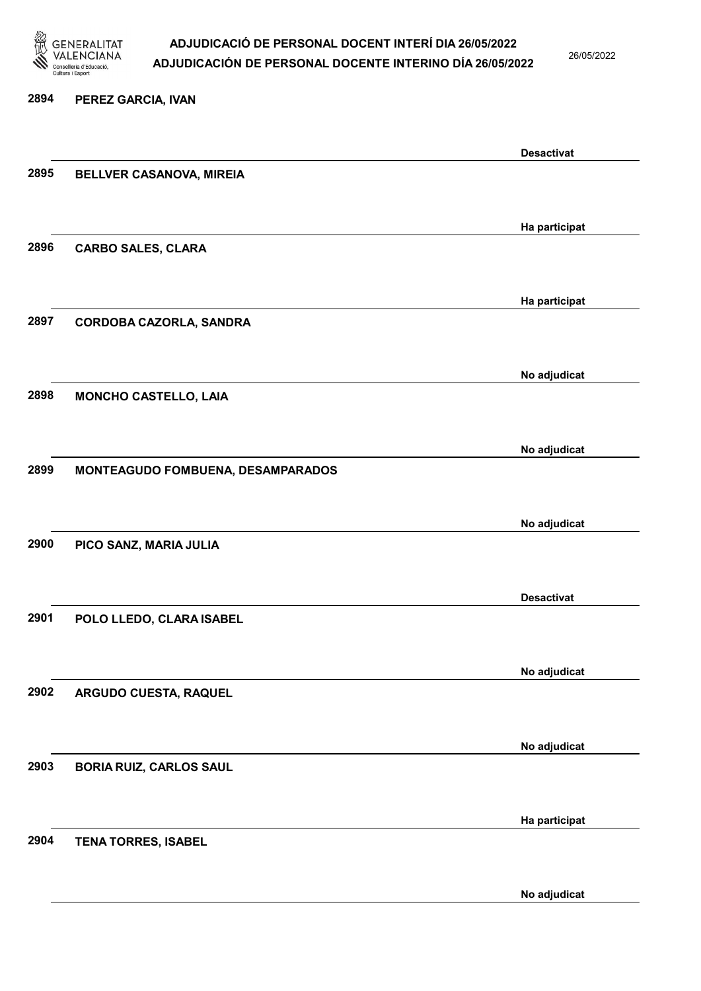

26/05/2022

#### 2894 PEREZ GARCIA, IVAN

|                          | <b>Desactivat</b>                                                                                                                                                                                                   |
|--------------------------|---------------------------------------------------------------------------------------------------------------------------------------------------------------------------------------------------------------------|
| BELLVER CASANOVA, MIREIA |                                                                                                                                                                                                                     |
|                          |                                                                                                                                                                                                                     |
|                          |                                                                                                                                                                                                                     |
|                          | Ha participat                                                                                                                                                                                                       |
|                          |                                                                                                                                                                                                                     |
|                          |                                                                                                                                                                                                                     |
|                          |                                                                                                                                                                                                                     |
|                          | Ha participat                                                                                                                                                                                                       |
|                          |                                                                                                                                                                                                                     |
|                          |                                                                                                                                                                                                                     |
|                          | No adjudicat                                                                                                                                                                                                        |
|                          |                                                                                                                                                                                                                     |
|                          |                                                                                                                                                                                                                     |
|                          |                                                                                                                                                                                                                     |
|                          | No adjudicat                                                                                                                                                                                                        |
|                          |                                                                                                                                                                                                                     |
|                          |                                                                                                                                                                                                                     |
|                          |                                                                                                                                                                                                                     |
|                          | No adjudicat                                                                                                                                                                                                        |
|                          |                                                                                                                                                                                                                     |
|                          |                                                                                                                                                                                                                     |
|                          |                                                                                                                                                                                                                     |
|                          | <b>Desactivat</b>                                                                                                                                                                                                   |
| POLO LLEDO, CLARA ISABEL |                                                                                                                                                                                                                     |
|                          |                                                                                                                                                                                                                     |
|                          |                                                                                                                                                                                                                     |
|                          | No adjudicat                                                                                                                                                                                                        |
| ARGUDO CUESTA, RAQUEL    |                                                                                                                                                                                                                     |
|                          |                                                                                                                                                                                                                     |
|                          |                                                                                                                                                                                                                     |
|                          | No adjudicat                                                                                                                                                                                                        |
|                          |                                                                                                                                                                                                                     |
|                          |                                                                                                                                                                                                                     |
|                          |                                                                                                                                                                                                                     |
|                          | Ha participat                                                                                                                                                                                                       |
|                          |                                                                                                                                                                                                                     |
|                          |                                                                                                                                                                                                                     |
|                          | No adjudicat                                                                                                                                                                                                        |
|                          | <b>CARBO SALES, CLARA</b><br>CORDOBA CAZORLA, SANDRA<br><b>MONCHO CASTELLO, LAIA</b><br>MONTEAGUDO FOMBUENA, DESAMPARADOS<br>PICO SANZ, MARIA JULIA<br><b>BORIA RUIZ, CARLOS SAUL</b><br><b>TENA TORRES, ISABEL</b> |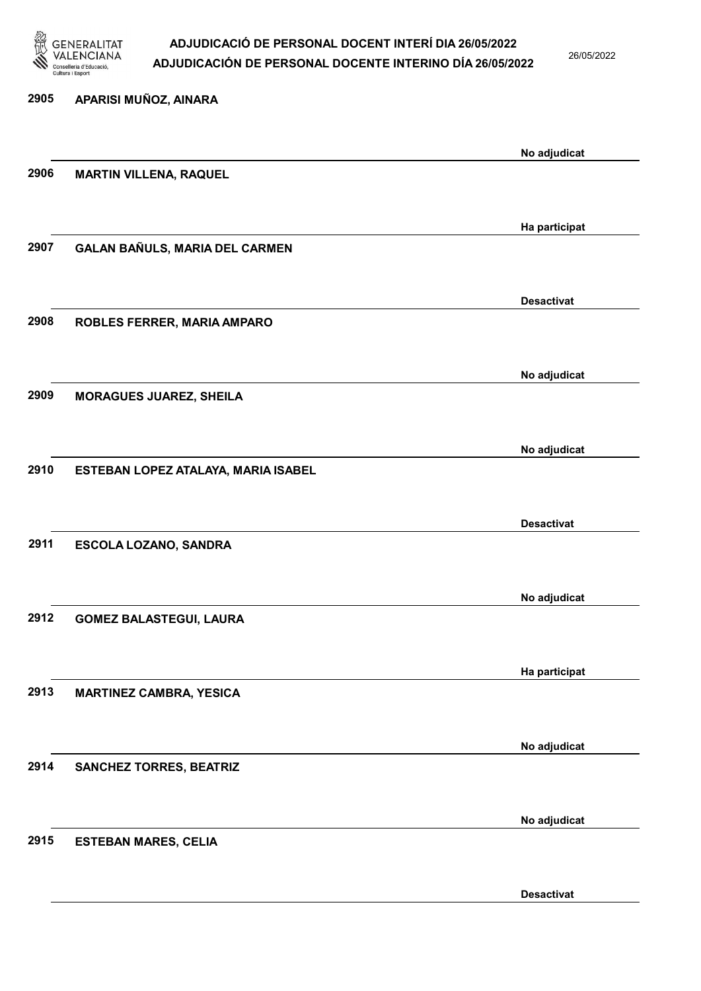

26/05/2022

| 2905 | APARISI MUÑOZ, AINARA               |                   |
|------|-------------------------------------|-------------------|
|      |                                     | No adjudicat      |
| 2906 | <b>MARTIN VILLENA, RAQUEL</b>       |                   |
|      |                                     |                   |
|      |                                     | Ha participat     |
| 2907 | GALAN BAÑULS, MARIA DEL CARMEN      |                   |
|      |                                     | <b>Desactivat</b> |
| 2908 | ROBLES FERRER, MARIA AMPARO         |                   |
|      |                                     |                   |
|      |                                     | No adjudicat      |
| 2909 | <b>MORAGUES JUAREZ, SHEILA</b>      |                   |
|      |                                     |                   |
| 2910 | ESTEBAN LOPEZ ATALAYA, MARIA ISABEL | No adjudicat      |
|      |                                     |                   |
|      |                                     | <b>Desactivat</b> |
| 2911 | ESCOLA LOZANO, SANDRA               |                   |
|      |                                     |                   |
|      |                                     | No adjudicat      |
| 2912 | <b>GOMEZ BALASTEGUI, LAURA</b>      |                   |
|      |                                     | Ha participat     |
| 2913 | <b>MARTINEZ CAMBRA, YESICA</b>      |                   |
|      |                                     |                   |
|      |                                     | No adjudicat      |
| 2914 | <b>SANCHEZ TORRES, BEATRIZ</b>      |                   |
|      |                                     |                   |
| 2915 | <b>ESTEBAN MARES, CELIA</b>         | No adjudicat      |
|      |                                     |                   |
|      |                                     |                   |

Desactivat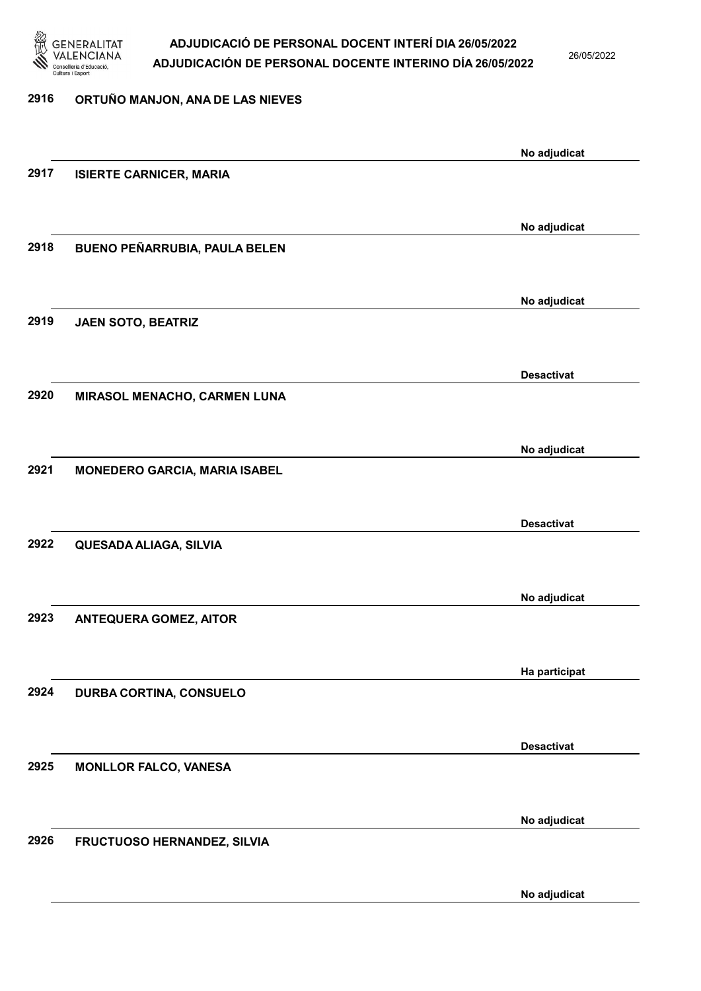

26/05/2022

| 2916 | ORTUÑO MANJON, ANA DE LAS NIEVES     |                   |
|------|--------------------------------------|-------------------|
|      |                                      |                   |
|      |                                      | No adjudicat      |
| 2917 | <b>ISIERTE CARNICER, MARIA</b>       |                   |
|      |                                      |                   |
|      |                                      | No adjudicat      |
| 2918 | BUENO PEÑARRUBIA, PAULA BELEN        |                   |
|      |                                      |                   |
|      |                                      | No adjudicat      |
| 2919 | JAEN SOTO, BEATRIZ                   |                   |
|      |                                      |                   |
|      |                                      | <b>Desactivat</b> |
| 2920 | MIRASOL MENACHO, CARMEN LUNA         |                   |
|      |                                      |                   |
|      |                                      | No adjudicat      |
| 2921 | <b>MONEDERO GARCIA, MARIA ISABEL</b> |                   |
|      |                                      |                   |
|      |                                      | <b>Desactivat</b> |
| 2922 | QUESADA ALIAGA, SILVIA               |                   |
|      |                                      |                   |
|      |                                      | No adjudicat      |
| 2923 | <b>ANTEQUERA GOMEZ, AITOR</b>        |                   |
|      |                                      |                   |
|      |                                      | Ha participat     |
| 2924 | <b>DURBA CORTINA, CONSUELO</b>       |                   |
|      |                                      |                   |
|      |                                      | <b>Desactivat</b> |
| 2925 | <b>MONLLOR FALCO, VANESA</b>         |                   |
|      |                                      |                   |
|      |                                      | No adjudicat      |
| 2926 | FRUCTUOSO HERNANDEZ, SILVIA          |                   |
|      |                                      |                   |

No adjudicat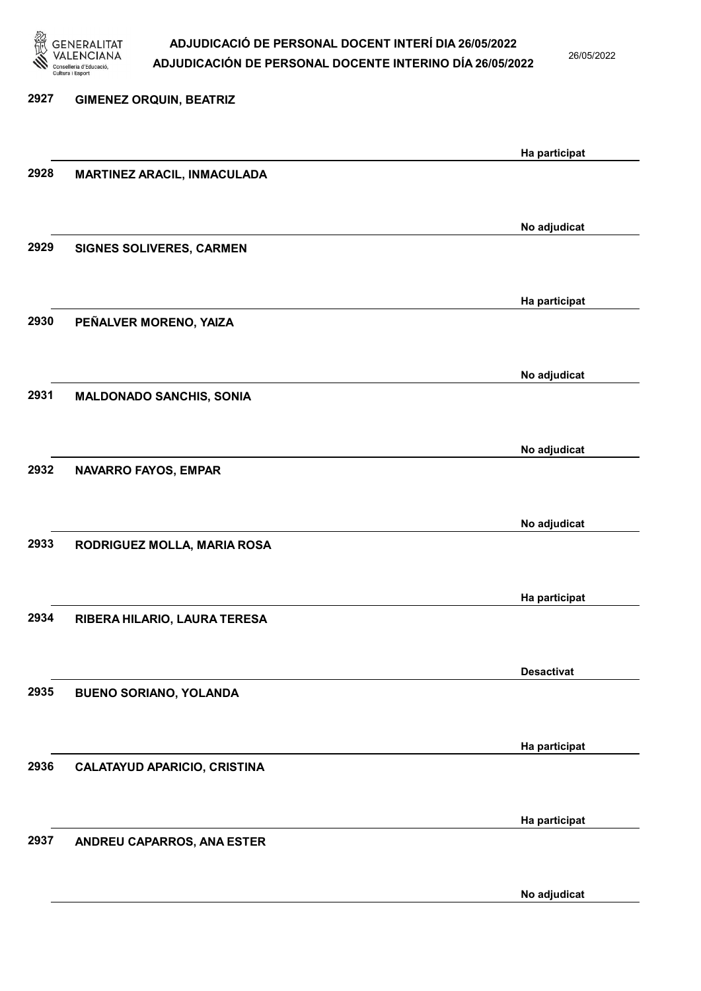

26/05/2022

2927 GIMENEZ ORQUIN, BEATRIZ Ha participat 2928 MARTINEZ ARACIL, INMACULADA No adjudicat 2929 SIGNES SOLIVERES, CARMEN Ha participat 2930 PEÑALVER MORENO, YAIZA No adjudicat 2931 MALDONADO SANCHIS, SONIA No adjudicat 2932 NAVARRO FAYOS, EMPAR No adjudicat 2933 RODRIGUEZ MOLLA, MARIA ROSA Ha participat 2934 RIBERA HILARIO, LAURA TERESA Desactivat 2935 BUENO SORIANO, YOLANDA Ha participat 2936 CALATAYUD APARICIO, CRISTINA Ha participat 2937 ANDREU CAPARROS, ANA ESTER

No adjudicat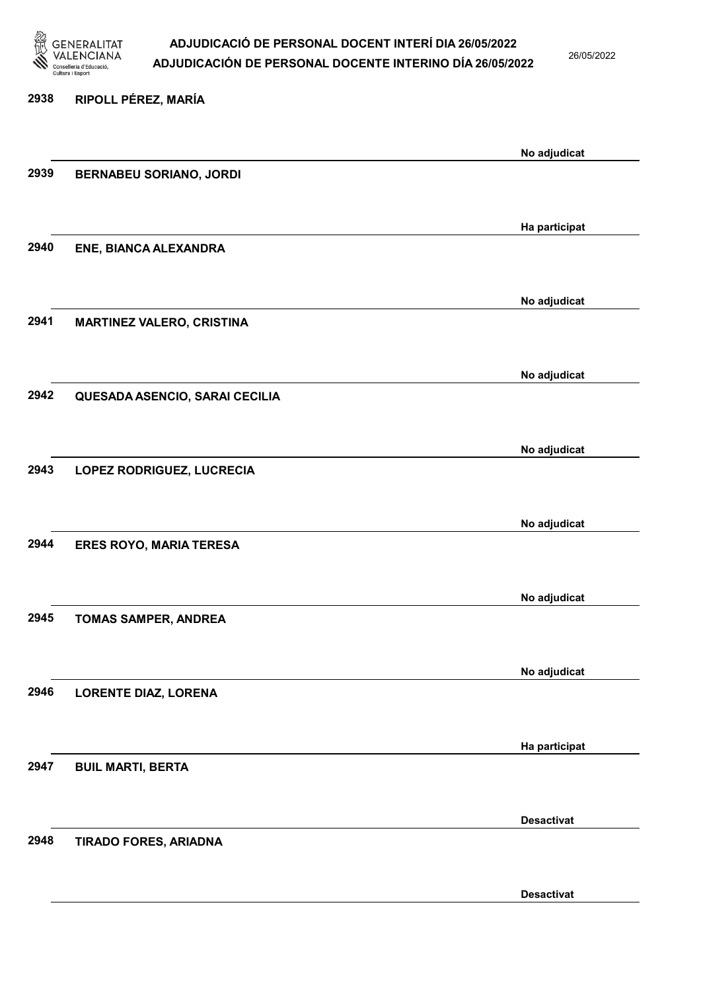

26/05/2022

## 2938 RIPOLL PÉREZ, MARÍA No adjudicat 2939 BERNABEU SORIANO, JORDI Ha participat 2940 ENE, BIANCA ALEXANDRA No adjudicat 2941 MARTINEZ VALERO, CRISTINA No adjudicat 2942 QUESADA ASENCIO, SARAI CECILIA No adjudicat 2943 LOPEZ RODRIGUEZ, LUCRECIA No adjudicat 2944 ERES ROYO, MARIA TERESA No adjudicat 2945 TOMAS SAMPER, ANDREA No adjudicat 2946 LORENTE DIAZ, LORENA Ha participat 2947 BUIL MARTI, BERTA Desactivat 2948 TIRADO FORES, ARIADNA Desactivat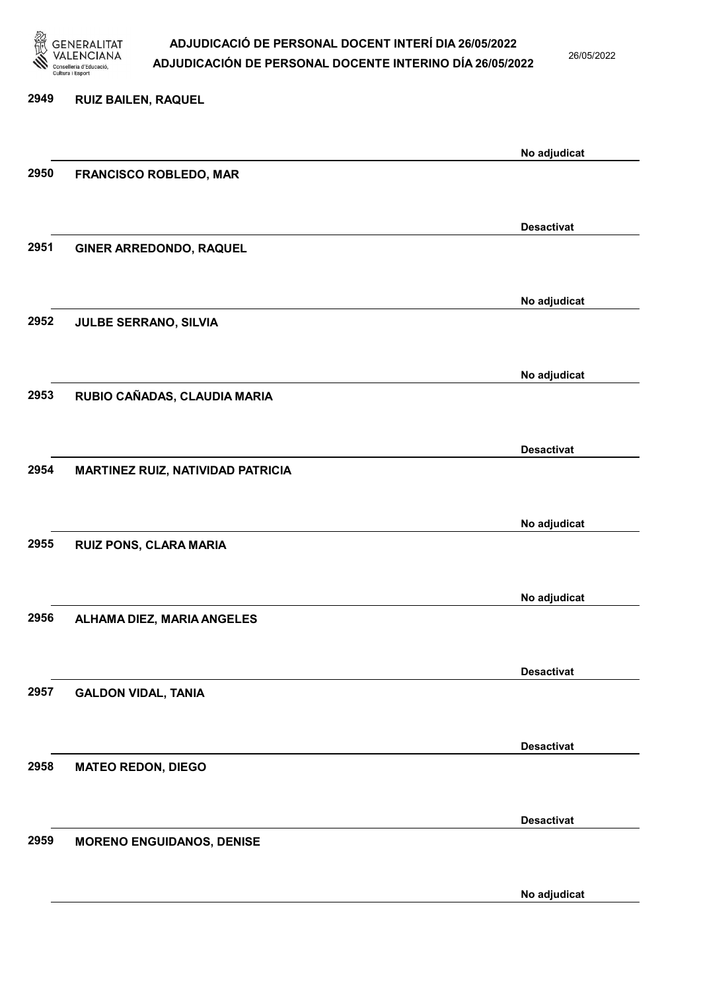

26/05/2022

No adjudicat

# 2949 RUIZ BAILEN, RAQUEL No adjudicat 2950 FRANCISCO ROBLEDO, MAR Desactivat 2951 GINER ARREDONDO, RAQUEL No adjudicat 2952 JULBE SERRANO, SILVIA No adjudicat 2953 RUBIO CAÑADAS, CLAUDIA MARIA Desactivat 2954 MARTINEZ RUIZ, NATIVIDAD PATRICIA No adjudicat 2955 RUIZ PONS, CLARA MARIA No adjudicat 2956 ALHAMA DIEZ, MARIA ANGELES Desactivat 2957 GALDON VIDAL, TANIA Desactivat 2958 MATEO REDON, DIEGO Desactivat 2959 MORENO ENGUIDANOS, DENISE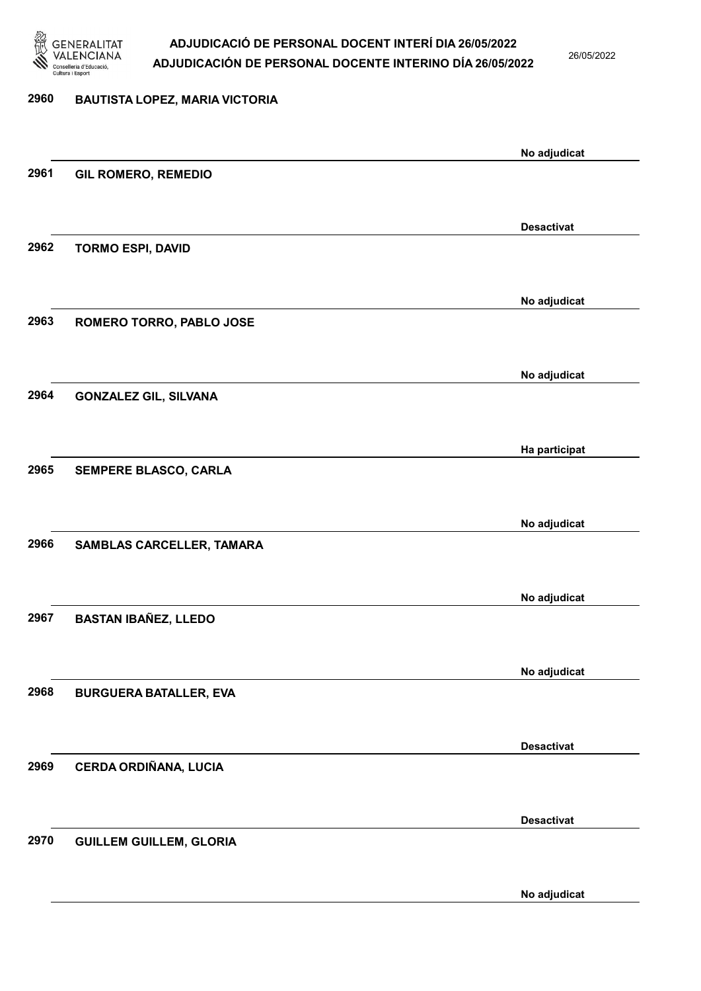

26/05/2022

No adjudicat

# 2960 BAUTISTA LOPEZ, MARIA VICTORIA No adjudicat 2961 GIL ROMERO, REMEDIO Desactivat 2962 TORMO ESPI, DAVID No adjudicat 2963 ROMERO TORRO, PABLO JOSE No adjudicat 2964 GONZALEZ GIL, SILVANA Ha participat 2965 SEMPERE BLASCO, CARLA No adjudicat 2966 SAMBLAS CARCELLER, TAMARA No adjudicat 2967 BASTAN IBAÑEZ, LLEDO No adjudicat 2968 BURGUERA BATALLER, EVA Desactivat 2969 CERDA ORDIÑANA, LUCIA Desactivat 2970 GUILLEM GUILLEM, GLORIA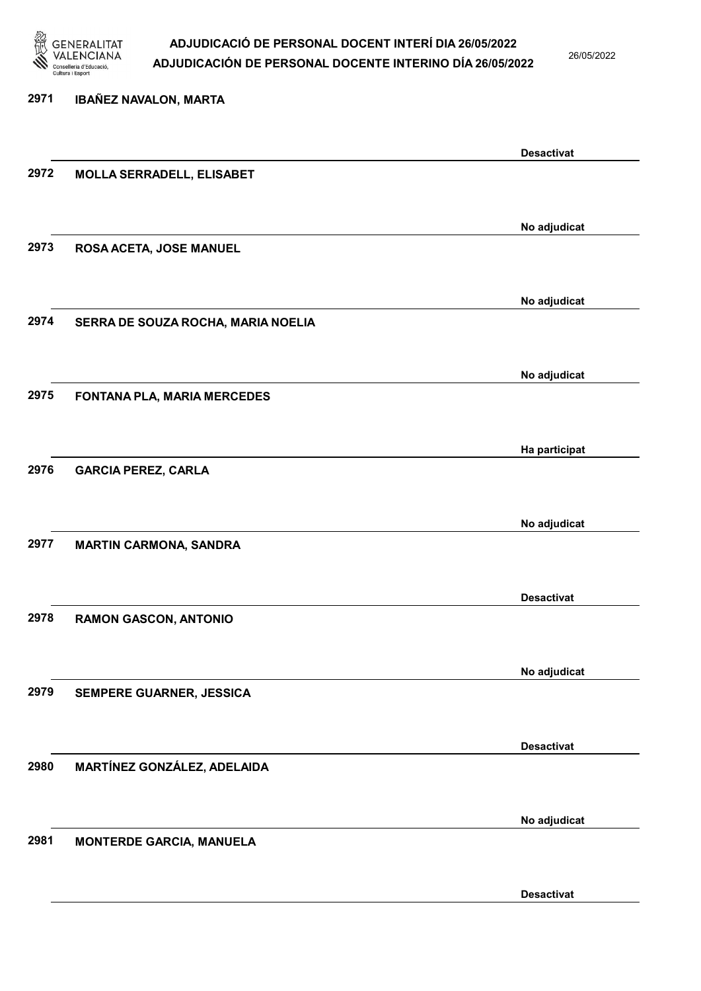

26/05/2022

Desactivat

# 2971 IBAÑEZ NAVALON, MARTA Desactivat 2972 MOLLA SERRADELL, ELISABET No adjudicat 2973 ROSA ACETA, JOSE MANUEL No adjudicat 2974 SERRA DE SOUZA ROCHA, MARIA NOELIA No adjudicat 2975 FONTANA PLA, MARIA MERCEDES Ha participat 2976 GARCIA PEREZ, CARLA No adjudicat 2977 MARTIN CARMONA, SANDRA Desactivat 2978 RAMON GASCON, ANTONIO No adjudicat 2979 SEMPERE GUARNER, JESSICA Desactivat 2980 MARTÍNEZ GONZÁLEZ, ADELAIDA No adjudicat 2981 MONTERDE GARCIA, MANUELA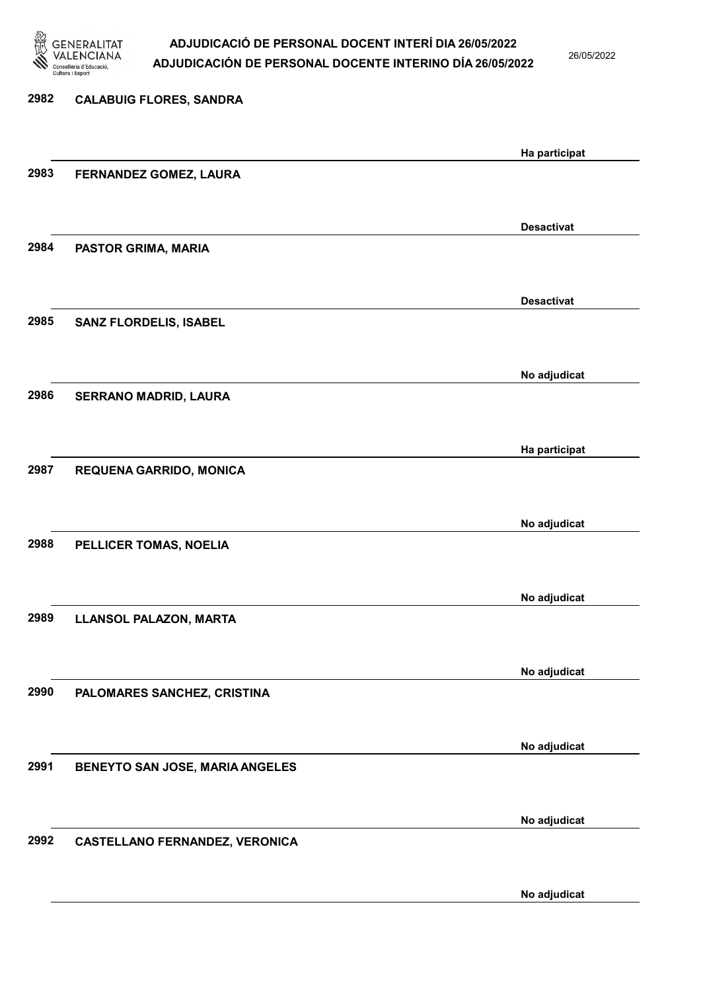

26/05/2022

No adjudicat

# 2982 CALABUIG FLORES, SANDRA Ha participat 2983 FERNANDEZ GOMEZ, LAURA Desactivat 2984 PASTOR GRIMA, MARIA Desactivat 2985 SANZ FLORDELIS, ISABEL No adjudicat 2986 SERRANO MADRID, LAURA Ha participat 2987 REQUENA GARRIDO, MONICA No adjudicat 2988 PELLICER TOMAS, NOELIA No adjudicat 2989 LLANSOL PALAZON, MARTA No adjudicat 2990 PALOMARES SANCHEZ, CRISTINA No adjudicat 2991 BENEYTO SAN JOSE, MARIA ANGELES No adjudicat 2992 CASTELLANO FERNANDEZ, VERONICA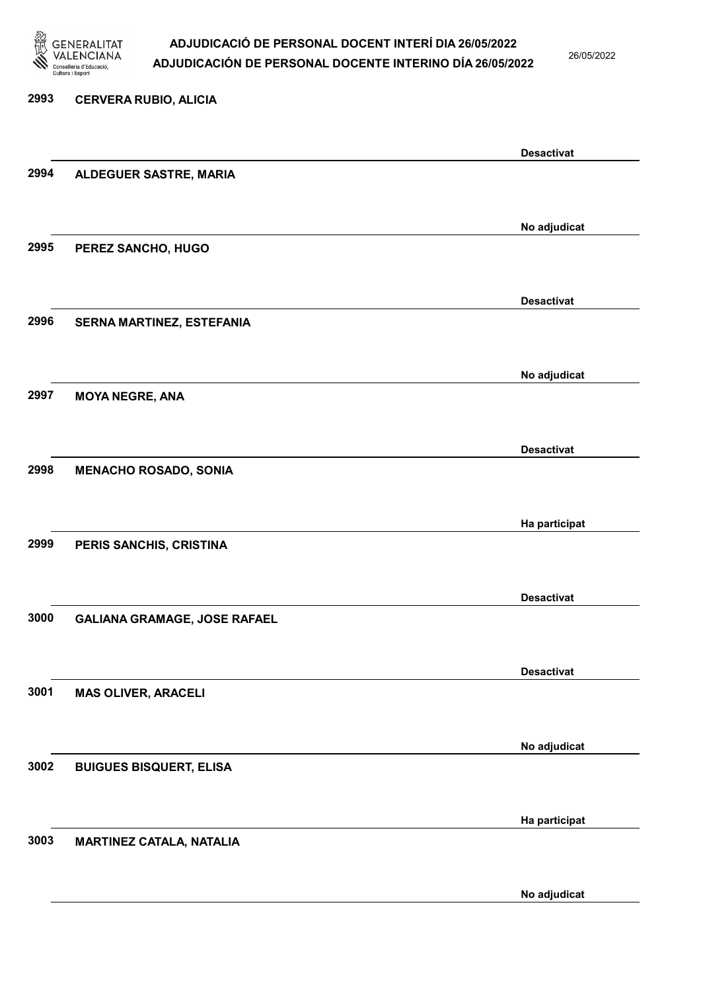

26/05/2022

#### 2993 CERVERA RUBIO, ALICIA

|      |                                     | <b>Desactivat</b> |
|------|-------------------------------------|-------------------|
| 2994 | ALDEGUER SASTRE, MARIA              |                   |
|      |                                     |                   |
|      |                                     | No adjudicat      |
| 2995 | PEREZ SANCHO, HUGO                  |                   |
|      |                                     |                   |
|      |                                     | <b>Desactivat</b> |
| 2996 | SERNA MARTINEZ, ESTEFANIA           |                   |
|      |                                     |                   |
|      |                                     | No adjudicat      |
| 2997 | <b>MOYA NEGRE, ANA</b>              |                   |
|      |                                     |                   |
|      |                                     |                   |
| 2998 | <b>MENACHO ROSADO, SONIA</b>        | <b>Desactivat</b> |
|      |                                     |                   |
|      |                                     |                   |
|      |                                     | Ha participat     |
| 2999 | PERIS SANCHIS, CRISTINA             |                   |
|      |                                     |                   |
|      |                                     | <b>Desactivat</b> |
| 3000 | <b>GALIANA GRAMAGE, JOSE RAFAEL</b> |                   |
|      |                                     |                   |
|      |                                     | <b>Desactivat</b> |
| 3001 | <b>MAS OLIVER, ARACELI</b>          |                   |
|      |                                     |                   |
|      |                                     | No adjudicat      |
| 3002 | <b>BUIGUES BISQUERT, ELISA</b>      |                   |
|      |                                     |                   |
|      |                                     | Ha participat     |
| 3003 | <b>MARTINEZ CATALA, NATALIA</b>     |                   |
|      |                                     |                   |
|      |                                     | No adjudicat      |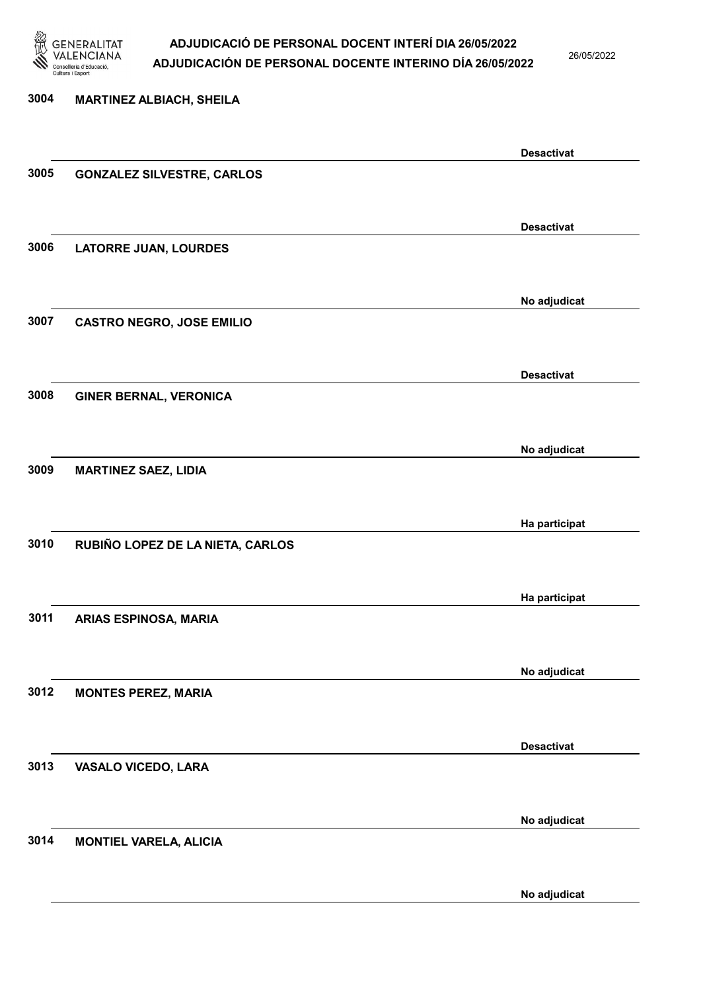

26/05/2022

# 3004 MARTINEZ ALBIACH, SHEILA Desactivat 3005 GONZALEZ SILVESTRE, CARLOS Desactivat 3006 LATORRE JUAN, LOURDES No adjudicat 3007 CASTRO NEGRO, JOSE EMILIO Desactivat 3008 GINER BERNAL, VERONICA No adjudicat 3009 MARTINEZ SAEZ, LIDIA Ha participat 3010 RUBIÑO LOPEZ DE LA NIETA, CARLOS Ha participat 3011 ARIAS ESPINOSA, MARIA No adjudicat 3012 MONTES PEREZ, MARIA Desactivat 3013 VASALO VICEDO, LARA No adjudicat 3014 MONTIEL VARELA, ALICIA

No adjudicat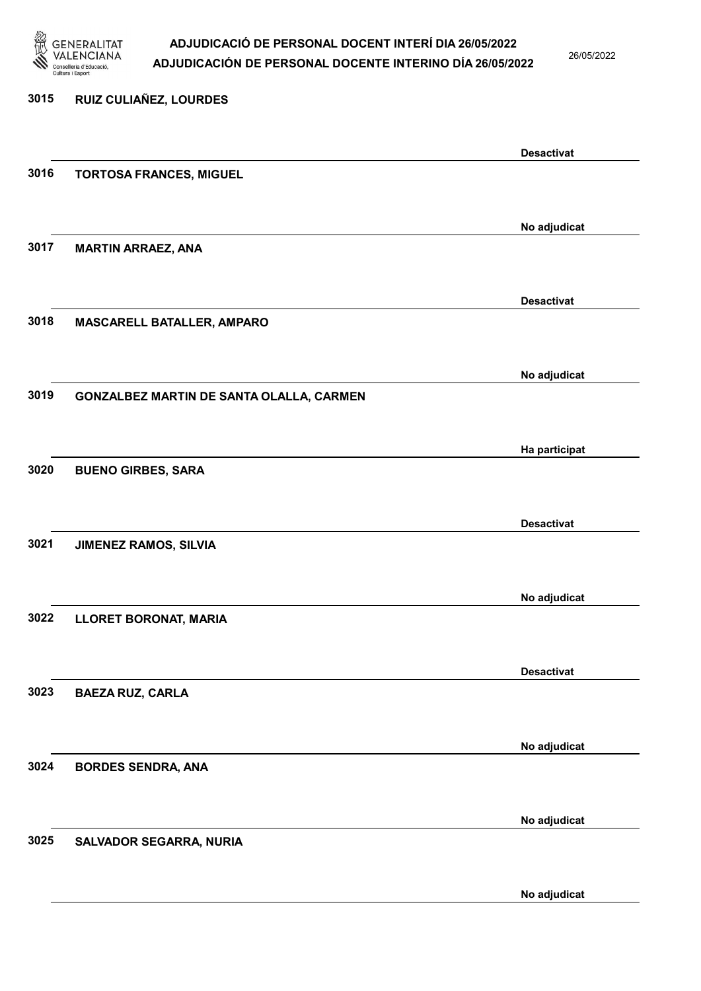

26/05/2022

No adjudicat

# 3015 RUIZ CULIAÑEZ, LOURDES Desactivat 3016 TORTOSA FRANCES, MIGUEL No adjudicat 3017 MARTIN ARRAEZ, ANA Desactivat 3018 MASCARELL BATALLER, AMPARO No adjudicat 3019 GONZALBEZ MARTIN DE SANTA OLALLA, CARMEN Ha participat 3020 BUENO GIRBES, SARA Desactivat 3021 JIMENEZ RAMOS, SILVIA No adjudicat 3022 LLORET BORONAT, MARIA Desactivat 3023 BAEZA RUZ, CARLA No adjudicat 3024 BORDES SENDRA, ANA No adjudicat 3025 SALVADOR SEGARRA, NURIA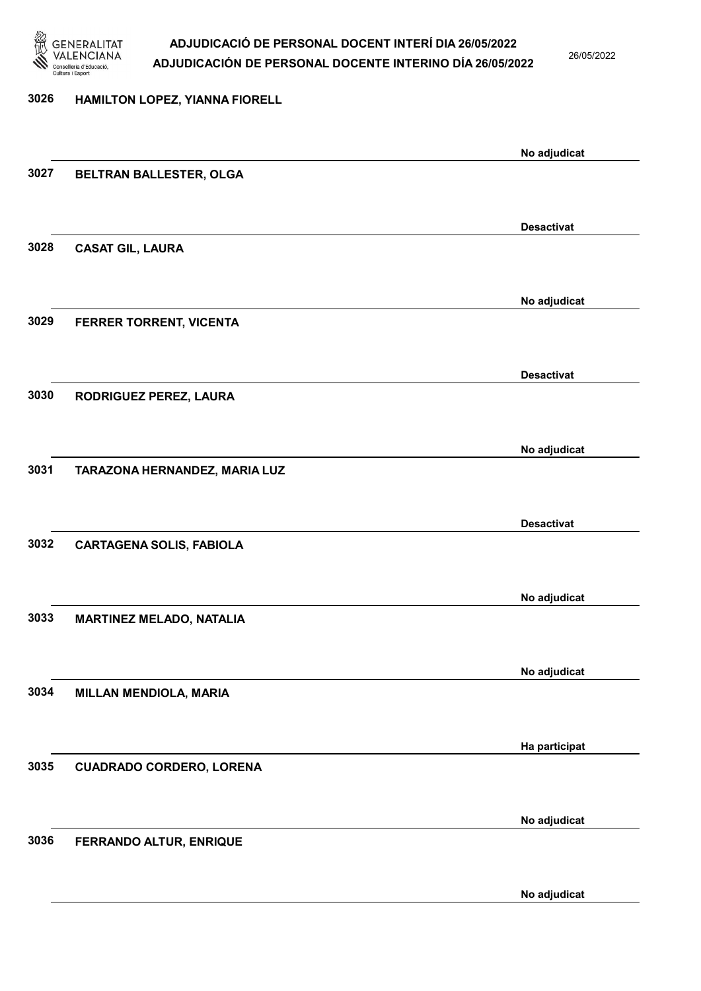

26/05/2022

#### 3026 HAMILTON LOPEZ, YIANNA FIORELL

|                                 | No adjudicat                                                                                                                                    |
|---------------------------------|-------------------------------------------------------------------------------------------------------------------------------------------------|
| BELTRAN BALLESTER, OLGA         |                                                                                                                                                 |
|                                 |                                                                                                                                                 |
|                                 | <b>Desactivat</b>                                                                                                                               |
| <b>CASAT GIL, LAURA</b>         |                                                                                                                                                 |
|                                 |                                                                                                                                                 |
|                                 | No adjudicat                                                                                                                                    |
| FERRER TORRENT, VICENTA         |                                                                                                                                                 |
|                                 |                                                                                                                                                 |
|                                 | <b>Desactivat</b>                                                                                                                               |
|                                 |                                                                                                                                                 |
|                                 |                                                                                                                                                 |
|                                 | No adjudicat                                                                                                                                    |
|                                 |                                                                                                                                                 |
|                                 | <b>Desactivat</b>                                                                                                                               |
| <b>CARTAGENA SOLIS, FABIOLA</b> |                                                                                                                                                 |
|                                 |                                                                                                                                                 |
|                                 | No adjudicat                                                                                                                                    |
| <b>MARTINEZ MELADO, NATALIA</b> |                                                                                                                                                 |
|                                 |                                                                                                                                                 |
|                                 | No adjudicat                                                                                                                                    |
|                                 |                                                                                                                                                 |
|                                 |                                                                                                                                                 |
|                                 | Ha participat                                                                                                                                   |
|                                 |                                                                                                                                                 |
|                                 |                                                                                                                                                 |
|                                 | No adjudicat                                                                                                                                    |
|                                 |                                                                                                                                                 |
|                                 | No adjudicat                                                                                                                                    |
|                                 | RODRIGUEZ PEREZ, LAURA<br>TARAZONA HERNANDEZ, MARIA LUZ<br>MILLAN MENDIOLA, MARIA<br><b>CUADRADO CORDERO, LORENA</b><br>FERRANDO ALTUR, ENRIQUE |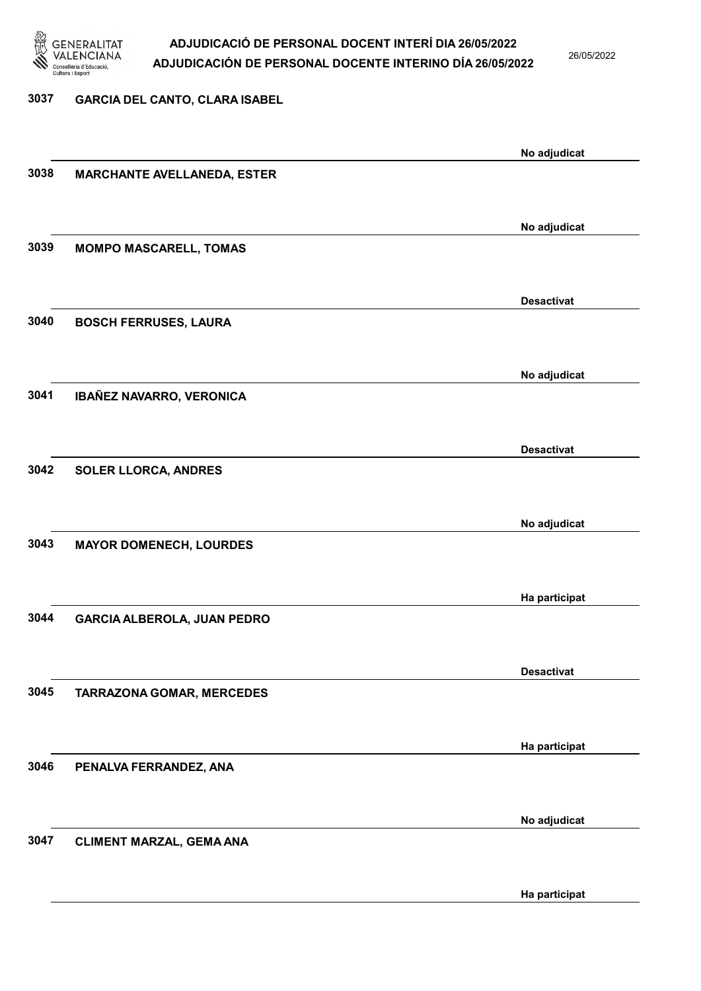

26/05/2022

#### 3037 GARCIA DEL CANTO, CLARA ISABEL

|      |                                    | No adjudicat      |
|------|------------------------------------|-------------------|
| 3038 | <b>MARCHANTE AVELLANEDA, ESTER</b> |                   |
|      |                                    |                   |
|      |                                    |                   |
|      |                                    | No adjudicat      |
| 3039 | <b>MOMPO MASCARELL, TOMAS</b>      |                   |
|      |                                    |                   |
|      |                                    | <b>Desactivat</b> |
| 3040 |                                    |                   |
|      | <b>BOSCH FERRUSES, LAURA</b>       |                   |
|      |                                    |                   |
|      |                                    | No adjudicat      |
| 3041 | IBAÑEZ NAVARRO, VERONICA           |                   |
|      |                                    |                   |
|      |                                    |                   |
|      |                                    | <b>Desactivat</b> |
| 3042 | <b>SOLER LLORCA, ANDRES</b>        |                   |
|      |                                    |                   |
|      |                                    |                   |
| 3043 |                                    | No adjudicat      |
|      | <b>MAYOR DOMENECH, LOURDES</b>     |                   |
|      |                                    |                   |
|      |                                    | Ha participat     |
| 3044 | <b>GARCIA ALBEROLA, JUAN PEDRO</b> |                   |
|      |                                    |                   |
|      |                                    |                   |
|      |                                    | <b>Desactivat</b> |
| 3045 | TARRAZONA GOMAR, MERCEDES          |                   |
|      |                                    |                   |
|      |                                    |                   |
| 3046 |                                    | Ha participat     |
|      | PENALVA FERRANDEZ, ANA             |                   |
|      |                                    |                   |
|      |                                    | No adjudicat      |
| 3047 | <b>CLIMENT MARZAL, GEMA ANA</b>    |                   |
|      |                                    |                   |
|      |                                    |                   |
|      |                                    | Ha participat     |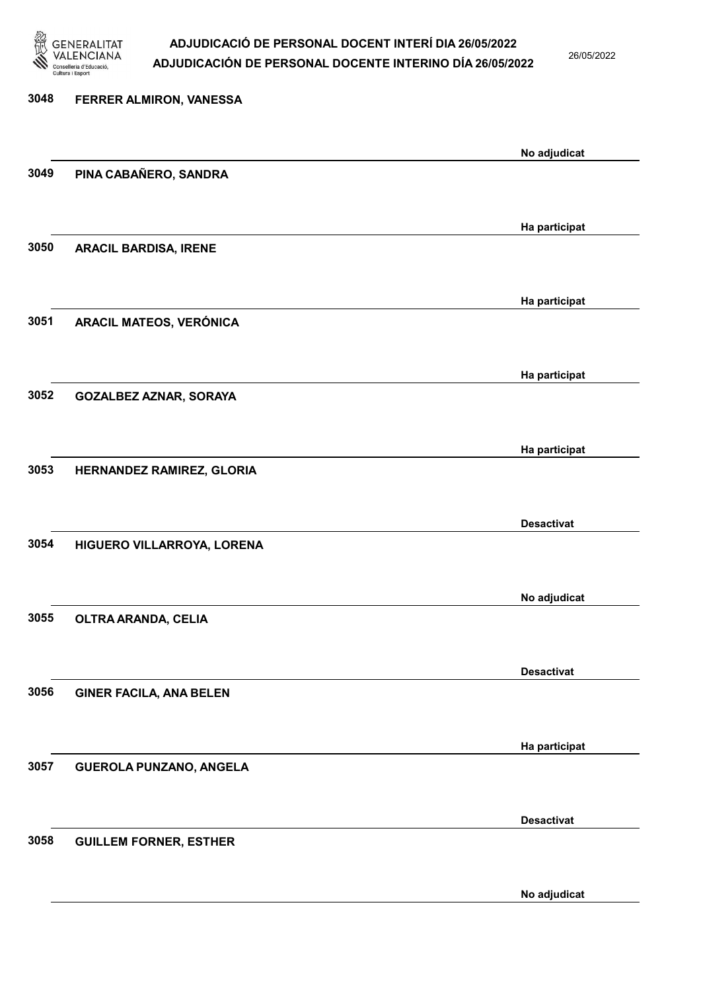

26/05/2022

No adjudicat

# 3048 FERRER ALMIRON, VANESSA No adjudicat 3049 PINA CABAÑERO, SANDRA Ha participat 3050 ARACIL BARDISA, IRENE Ha participat 3051 ARACIL MATEOS, VERÓNICA Ha participat 3052 GOZALBEZ AZNAR, SORAYA Ha participat 3053 HERNANDEZ RAMIREZ, GLORIA Desactivat 3054 HIGUERO VILLARROYA, LORENA No adjudicat 3055 OLTRA ARANDA, CELIA Desactivat 3056 GINER FACILA, ANA BELEN Ha participat 3057 GUEROLA PUNZANO, ANGELA Desactivat 3058 GUILLEM FORNER, ESTHER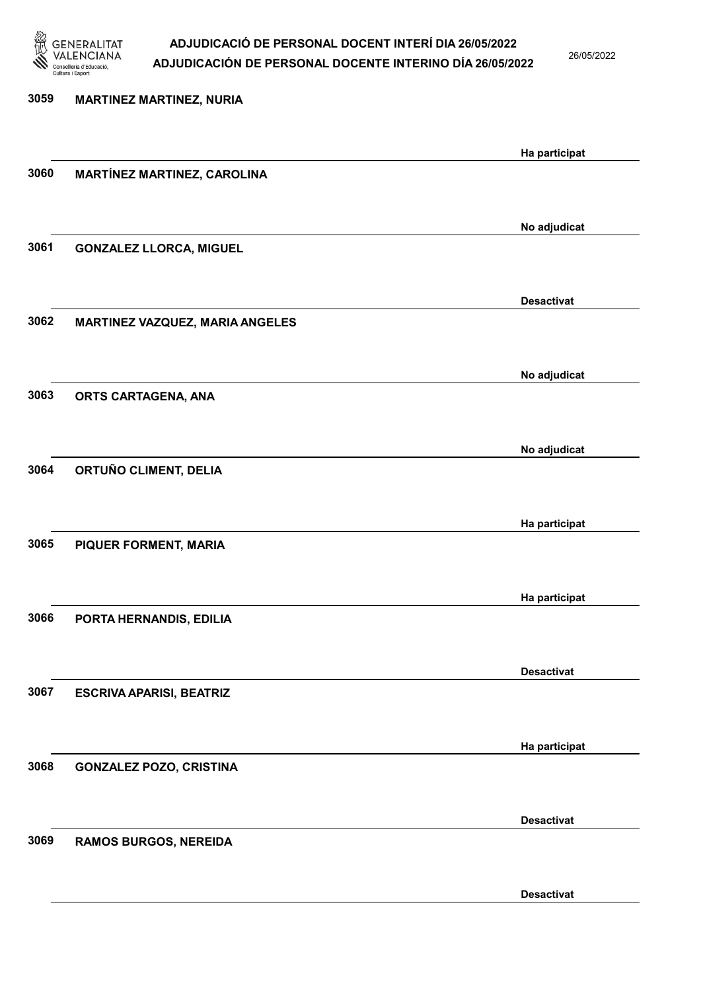

26/05/2022

Desactivat

3059 MARTINEZ MARTINEZ, NURIA Ha participat 3060 MARTÍNEZ MARTINEZ, CAROLINA No adjudicat 3061 GONZALEZ LLORCA, MIGUEL Desactivat 3062 MARTINEZ VAZQUEZ, MARIA ANGELES No adjudicat 3063 ORTS CARTAGENA, ANA No adjudicat 3064 ORTUÑO CLIMENT, DELIA Ha participat 3065 PIQUER FORMENT, MARIA Ha participat 3066 PORTA HERNANDIS, EDILIA Desactivat 3067 ESCRIVA APARISI, BEATRIZ Ha participat 3068 GONZALEZ POZO, CRISTINA Desactivat 3069 RAMOS BURGOS, NEREIDA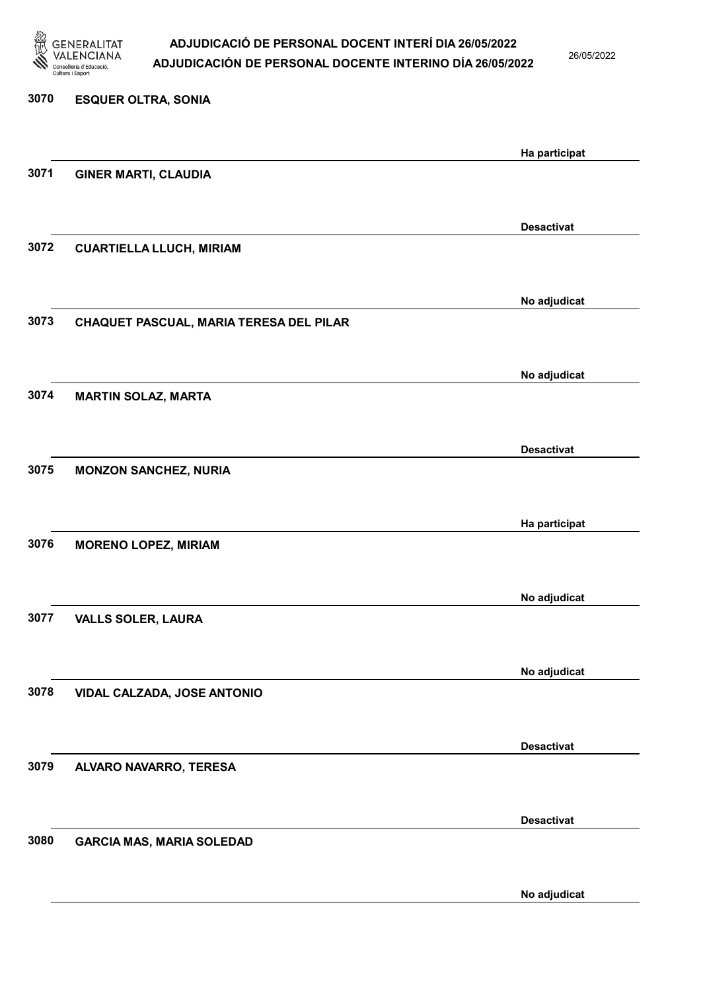

26/05/2022

| 3070 | <b>ESQUER OLTRA, SONIA</b>              |                   |
|------|-----------------------------------------|-------------------|
|      |                                         | Ha participat     |
| 3071 | <b>GINER MARTI, CLAUDIA</b>             |                   |
|      |                                         | <b>Desactivat</b> |
| 3072 | <b>CUARTIELLA LLUCH, MIRIAM</b>         |                   |
|      |                                         | No adjudicat      |
| 3073 | CHAQUET PASCUAL, MARIA TERESA DEL PILAR |                   |
|      |                                         | No adjudicat      |
| 3074 | <b>MARTIN SOLAZ, MARTA</b>              |                   |
| 3075 |                                         | <b>Desactivat</b> |
|      | <b>MONZON SANCHEZ, NURIA</b>            |                   |
| 3076 | <b>MORENO LOPEZ, MIRIAM</b>             | Ha participat     |
|      |                                         |                   |
| 3077 | <b>VALLS SOLER, LAURA</b>               | No adjudicat      |
|      |                                         |                   |
| 3078 | VIDAL CALZADA, JOSE ANTONIO             | No adjudicat      |
|      |                                         |                   |
| 3079 | ALVARO NAVARRO, TERESA                  | <b>Desactivat</b> |
|      |                                         |                   |
| 3080 | <b>GARCIA MAS, MARIA SOLEDAD</b>        | <b>Desactivat</b> |
|      |                                         | No adjudicat      |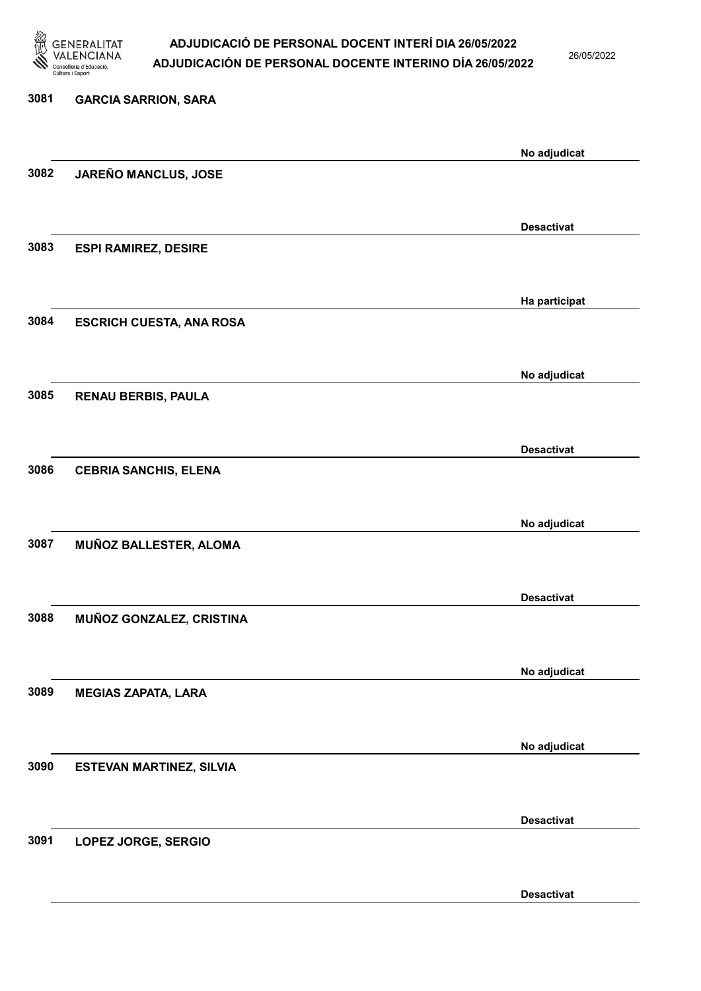

26/05/2022

Desactivat

# 3081 GARCIA SARRION, SARA No adjudicat 3082 JAREÑO MANCLUS, JOSE Desactivat 3083 ESPI RAMIREZ, DESIRE Ha participat 3084 ESCRICH CUESTA, ANA ROSA No adjudicat 3085 RENAU BERBIS, PAULA Desactivat 3086 CEBRIA SANCHIS, ELENA No adjudicat 3087 MUÑOZ BALLESTER, ALOMA Desactivat 3088 MUÑOZ GONZALEZ, CRISTINA No adjudicat 3089 MEGIAS ZAPATA, LARA No adjudicat 3090 ESTEVAN MARTINEZ, SILVIA Desactivat 3091 LOPEZ JORGE, SERGIO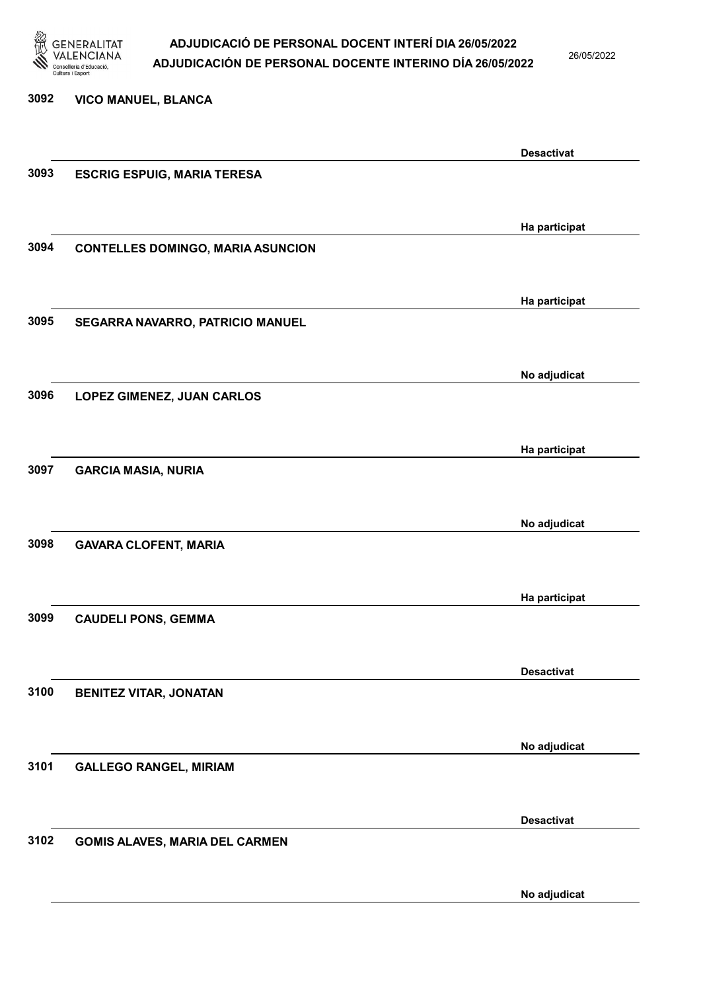

26/05/2022

3092 VICO MANUEL, BLANCA Desactivat 3093 ESCRIG ESPUIG, MARIA TERESA Ha participat 3094 CONTELLES DOMINGO, MARIA ASUNCION Ha participat 3095 SEGARRA NAVARRO, PATRICIO MANUEL No adjudicat 3096 LOPEZ GIMENEZ, JUAN CARLOS Ha participat 3097 GARCIA MASIA, NURIA No adjudicat 3098 GAVARA CLOFENT, MARIA Ha participat 3099 CAUDELI PONS, GEMMA Desactivat 3100 BENITEZ VITAR, JONATAN No adjudicat 3101 GALLEGO RANGEL, MIRIAM Desactivat 3102 GOMIS ALAVES, MARIA DEL CARMEN No adjudicat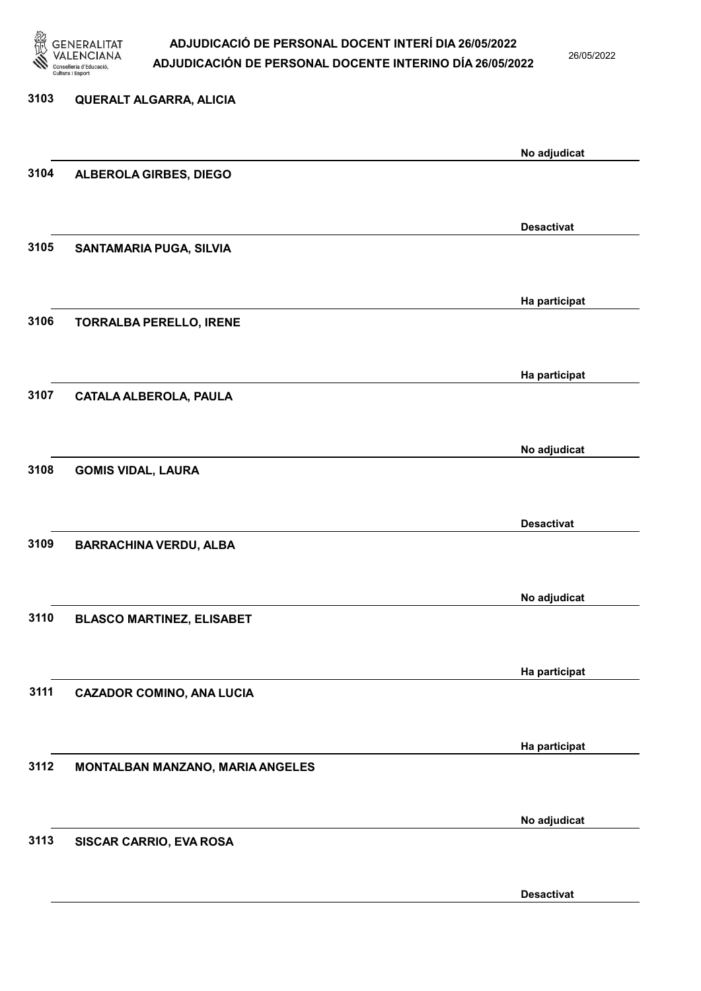

26/05/2022

Desactivat

| 3103 | QUERALT ALGARRA, ALICIA          |                   |
|------|----------------------------------|-------------------|
|      |                                  | No adjudicat      |
| 3104 | ALBEROLA GIRBES, DIEGO           |                   |
|      |                                  |                   |
|      |                                  | <b>Desactivat</b> |
| 3105 | SANTAMARIA PUGA, SILVIA          |                   |
|      |                                  |                   |
| 3106 | <b>TORRALBA PERELLO, IRENE</b>   | Ha participat     |
|      |                                  |                   |
|      |                                  | Ha participat     |
| 3107 | <b>CATALA ALBEROLA, PAULA</b>    |                   |
|      |                                  |                   |
|      |                                  | No adjudicat      |
| 3108 | <b>GOMIS VIDAL, LAURA</b>        |                   |
|      |                                  |                   |
|      |                                  | <b>Desactivat</b> |
| 3109 | <b>BARRACHINA VERDU, ALBA</b>    |                   |
|      |                                  |                   |
| 3110 | <b>BLASCO MARTINEZ, ELISABET</b> | No adjudicat      |
|      |                                  |                   |
|      |                                  | Ha participat     |
| 3111 | <b>CAZADOR COMINO, ANA LUCIA</b> |                   |
|      |                                  |                   |
|      |                                  | Ha participat     |
| 3112 | MONTALBAN MANZANO, MARIA ANGELES |                   |
|      |                                  |                   |
| 3113 | SISCAR CARRIO, EVA ROSA          | No adjudicat      |
|      |                                  |                   |
|      |                                  |                   |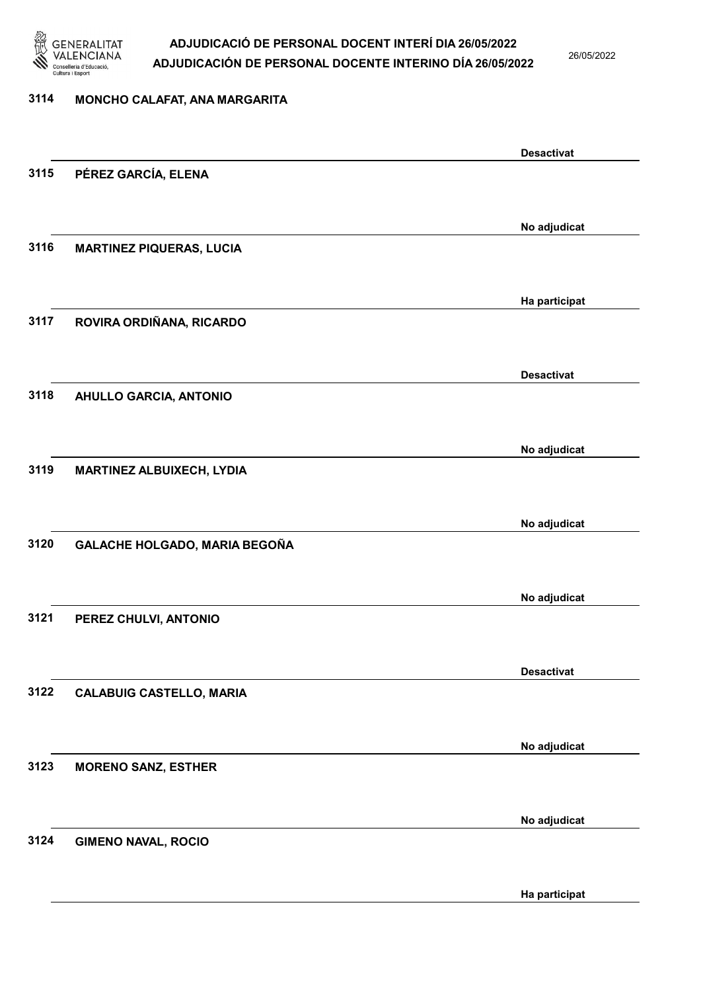

26/05/2022

### 3114 MONCHO CALAFAT, ANA MARGARITA

|      |                                 | <b>Desactivat</b> |
|------|---------------------------------|-------------------|
| 3115 | PÉREZ GARCÍA, ELENA             |                   |
|      |                                 |                   |
|      |                                 | No adjudicat      |
| 3116 | <b>MARTINEZ PIQUERAS, LUCIA</b> |                   |
|      |                                 |                   |
|      |                                 |                   |
|      |                                 | Ha participat     |
| 3117 | ROVIRA ORDIÑANA, RICARDO        |                   |
|      |                                 |                   |
|      |                                 | <b>Desactivat</b> |
| 3118 | <b>AHULLO GARCIA, ANTONIO</b>   |                   |
|      |                                 |                   |
|      |                                 | No adjudicat      |
| 3119 | MARTINEZ ALBUIXECH, LYDIA       |                   |
|      |                                 |                   |
|      |                                 |                   |
|      |                                 | No adjudicat      |
| 3120 | GALACHE HOLGADO, MARIA BEGOÑA   |                   |
|      |                                 |                   |
|      |                                 | No adjudicat      |
| 3121 | PEREZ CHULVI, ANTONIO           |                   |
|      |                                 |                   |
|      |                                 | <b>Desactivat</b> |
| 3122 | <b>CALABUIG CASTELLO, MARIA</b> |                   |
|      |                                 |                   |
|      |                                 |                   |
| 3123 | <b>MORENO SANZ, ESTHER</b>      | No adjudicat      |
|      |                                 |                   |
|      |                                 |                   |
|      |                                 | No adjudicat      |
| 3124 | <b>GIMENO NAVAL, ROCIO</b>      |                   |
|      |                                 |                   |
|      |                                 | Ha participat     |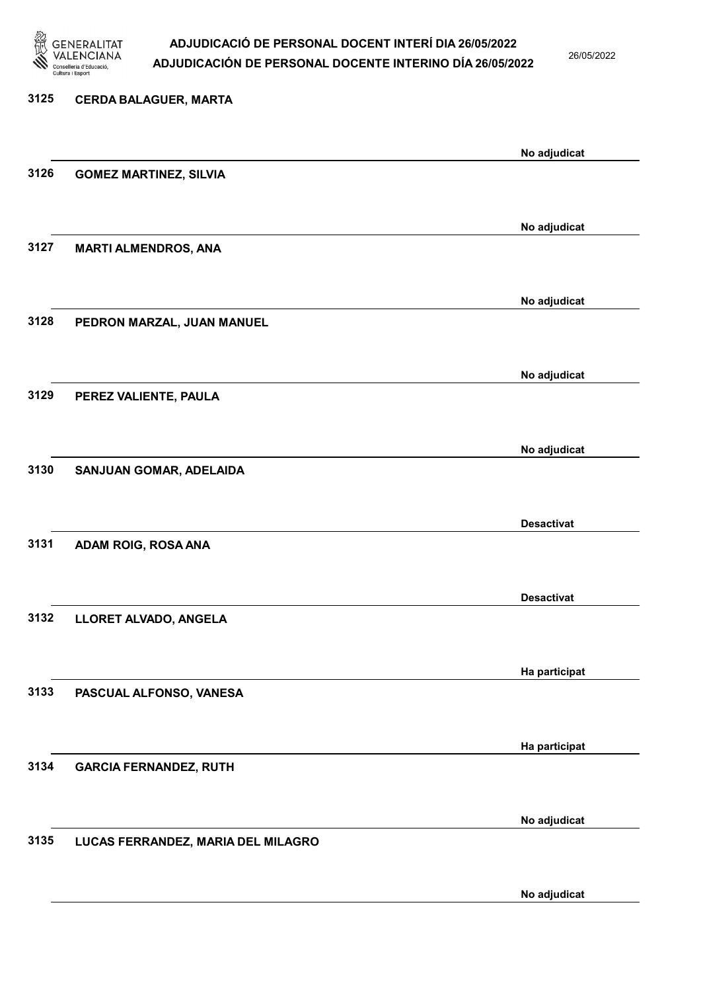

26/05/2022

No adjudicat

# 3125 CERDA BALAGUER, MARTA No adjudicat 3126 GOMEZ MARTINEZ, SILVIA No adjudicat 3127 MARTI ALMENDROS, ANA No adjudicat 3128 PEDRON MARZAL, JUAN MANUEL No adjudicat 3129 PEREZ VALIENTE, PAULA No adjudicat 3130 SANJUAN GOMAR, ADELAIDA Desactivat 3131 ADAM ROIG, ROSA ANA Desactivat 3132 LLORET ALVADO, ANGELA Ha participat 3133 PASCUAL ALFONSO, VANESA Ha participat 3134 GARCIA FERNANDEZ, RUTH No adjudicat 3135 LUCAS FERRANDEZ, MARIA DEL MILAGRO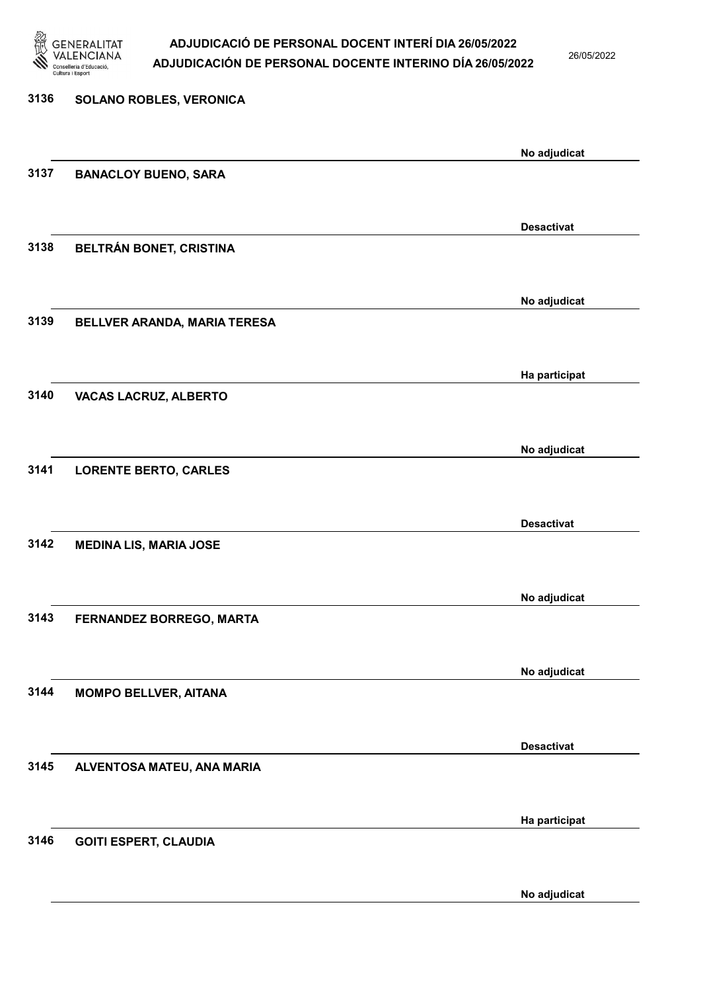

26/05/2022

No adjudicat

| 3136 | SOLANO ROBLES, VERONICA       |                   |
|------|-------------------------------|-------------------|
|      |                               | No adjudicat      |
| 3137 | <b>BANACLOY BUENO, SARA</b>   |                   |
|      |                               |                   |
| 3138 | BELTRÁN BONET, CRISTINA       | <b>Desactivat</b> |
|      |                               |                   |
|      |                               | No adjudicat      |
| 3139 | BELLVER ARANDA, MARIA TERESA  |                   |
|      |                               | Ha participat     |
| 3140 | <b>VACAS LACRUZ, ALBERTO</b>  |                   |
|      |                               |                   |
| 3141 | <b>LORENTE BERTO, CARLES</b>  | No adjudicat      |
|      |                               |                   |
|      |                               | <b>Desactivat</b> |
| 3142 | <b>MEDINA LIS, MARIA JOSE</b> |                   |
|      |                               | No adjudicat      |
| 3143 | FERNANDEZ BORREGO, MARTA      |                   |
|      |                               |                   |
| 3144 | <b>MOMPO BELLVER, AITANA</b>  | No adjudicat      |
|      |                               |                   |
|      |                               | <b>Desactivat</b> |
| 3145 | ALVENTOSA MATEU, ANA MARIA    |                   |
|      |                               | Ha participat     |
| 3146 | <b>GOITI ESPERT, CLAUDIA</b>  |                   |
|      |                               |                   |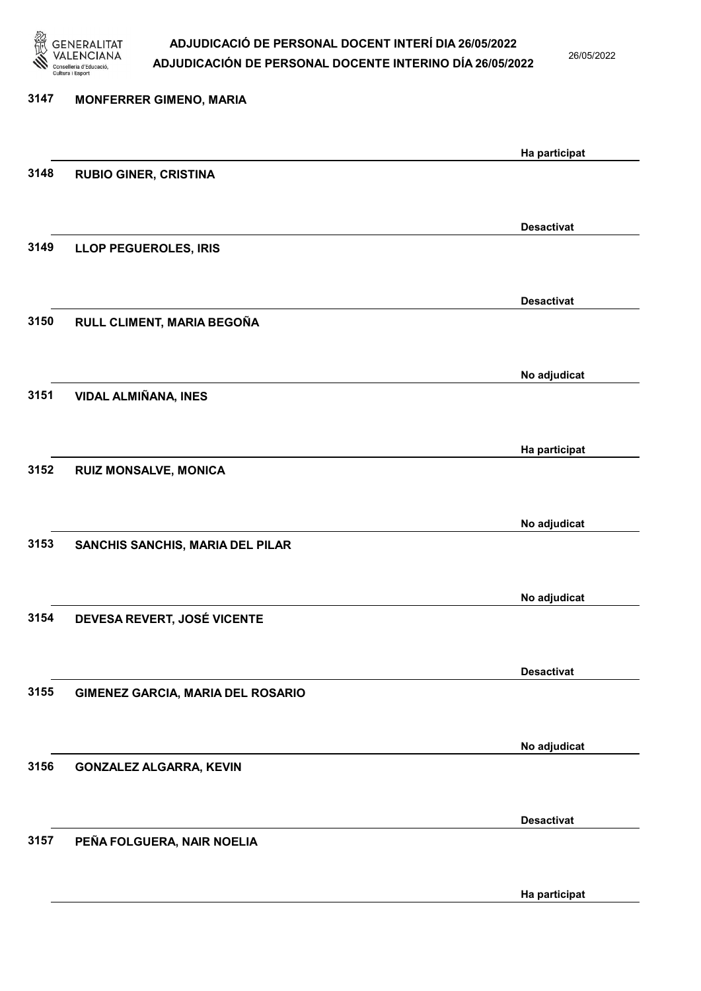

26/05/2022

Ha participat

| 3147 | <b>MONFERRER GIMENO, MARIA</b>    |                   |
|------|-----------------------------------|-------------------|
|      |                                   | Ha participat     |
| 3148 | <b>RUBIO GINER, CRISTINA</b>      |                   |
|      |                                   |                   |
|      |                                   | <b>Desactivat</b> |
| 3149 | <b>LLOP PEGUEROLES, IRIS</b>      |                   |
|      |                                   |                   |
| 3150 | RULL CLIMENT, MARIA BEGOÑA        | <b>Desactivat</b> |
|      |                                   |                   |
|      |                                   | No adjudicat      |
| 3151 | <b>VIDAL ALMIÑANA, INES</b>       |                   |
|      |                                   |                   |
|      |                                   | Ha participat     |
| 3152 | <b>RUIZ MONSALVE, MONICA</b>      |                   |
|      |                                   | No adjudicat      |
| 3153 | SANCHIS SANCHIS, MARIA DEL PILAR  |                   |
|      |                                   |                   |
|      |                                   | No adjudicat      |
| 3154 | DEVESA REVERT, JOSÉ VICENTE       |                   |
|      |                                   |                   |
| 3155 | GIMENEZ GARCIA, MARIA DEL ROSARIO | <b>Desactivat</b> |
|      |                                   |                   |
|      |                                   | No adjudicat      |
| 3156 | <b>GONZALEZ ALGARRA, KEVIN</b>    |                   |
|      |                                   |                   |
|      |                                   | <b>Desactivat</b> |
| 3157 | PEÑA FOLGUERA, NAIR NOELIA        |                   |
|      |                                   |                   |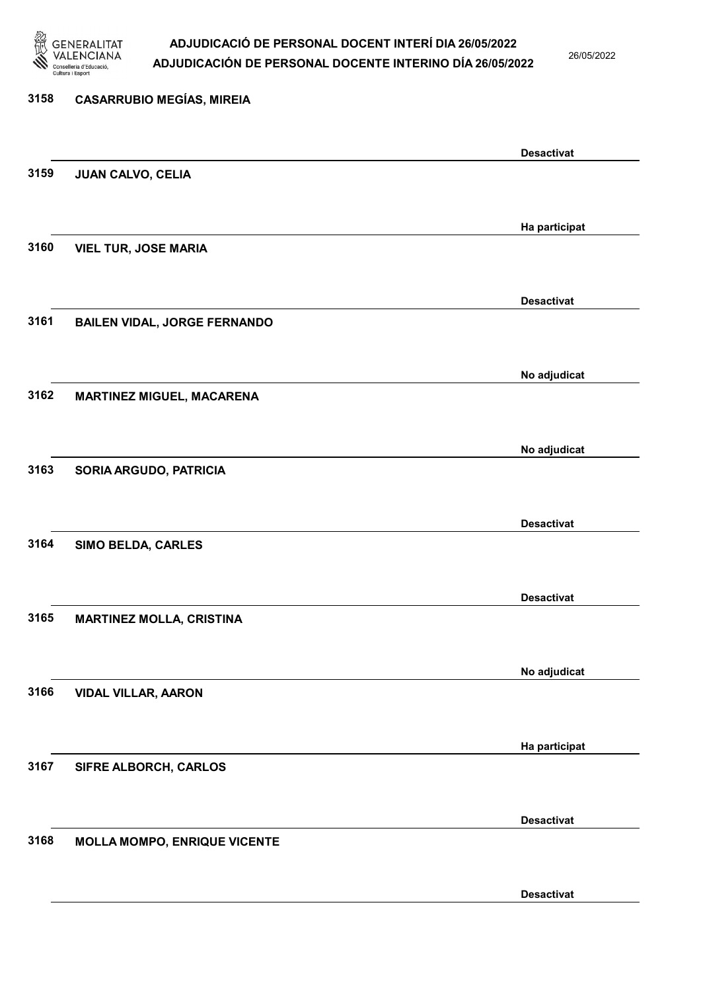

26/05/2022

## 3158 CASARRUBIO MEGÍAS, MIREIA Desactivat 3159 JUAN CALVO, CELIA Ha participat 3160 VIEL TUR, JOSE MARIA Desactivat 3161 BAILEN VIDAL, JORGE FERNANDO No adjudicat 3162 MARTINEZ MIGUEL, MACARENA No adjudicat 3163 SORIA ARGUDO, PATRICIA Desactivat 3164 SIMO BELDA, CARLES Desactivat 3165 MARTINEZ MOLLA, CRISTINA No adjudicat 3166 VIDAL VILLAR, AARON Ha participat 3167 SIFRE ALBORCH, CARLOS Desactivat 3168 MOLLA MOMPO, ENRIQUE VICENTE Desactivat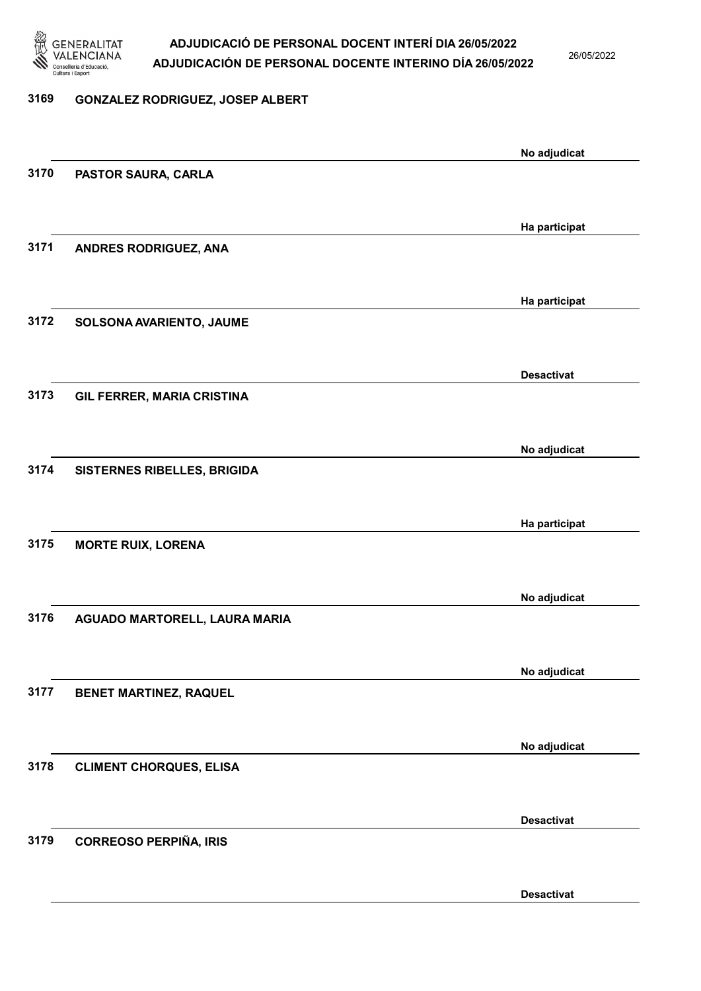

26/05/2022

#### 3169 GONZALEZ RODRIGUEZ, JOSEP ALBERT

|      |                                | No adjudicat      |
|------|--------------------------------|-------------------|
| 3170 | PASTOR SAURA, CARLA            |                   |
|      |                                |                   |
|      |                                | Ha participat     |
| 3171 | ANDRES RODRIGUEZ, ANA          |                   |
|      |                                |                   |
|      |                                | Ha participat     |
| 3172 | SOLSONA AVARIENTO, JAUME       |                   |
|      |                                |                   |
|      |                                |                   |
| 3173 |                                | <b>Desactivat</b> |
|      | GIL FERRER, MARIA CRISTINA     |                   |
|      |                                |                   |
|      |                                | No adjudicat      |
| 3174 | SISTERNES RIBELLES, BRIGIDA    |                   |
|      |                                |                   |
|      |                                | Ha participat     |
| 3175 | <b>MORTE RUIX, LORENA</b>      |                   |
|      |                                |                   |
|      |                                | No adjudicat      |
| 3176 | AGUADO MARTORELL, LAURA MARIA  |                   |
|      |                                |                   |
|      |                                | No adjudicat      |
| 3177 | <b>BENET MARTINEZ, RAQUEL</b>  |                   |
|      |                                |                   |
|      |                                | No adjudicat      |
| 3178 | <b>CLIMENT CHORQUES, ELISA</b> |                   |
|      |                                |                   |
|      |                                | <b>Desactivat</b> |
| 3179 | <b>CORREOSO PERPIÑA, IRIS</b>  |                   |
|      |                                |                   |
|      |                                |                   |
|      |                                | <b>Desactivat</b> |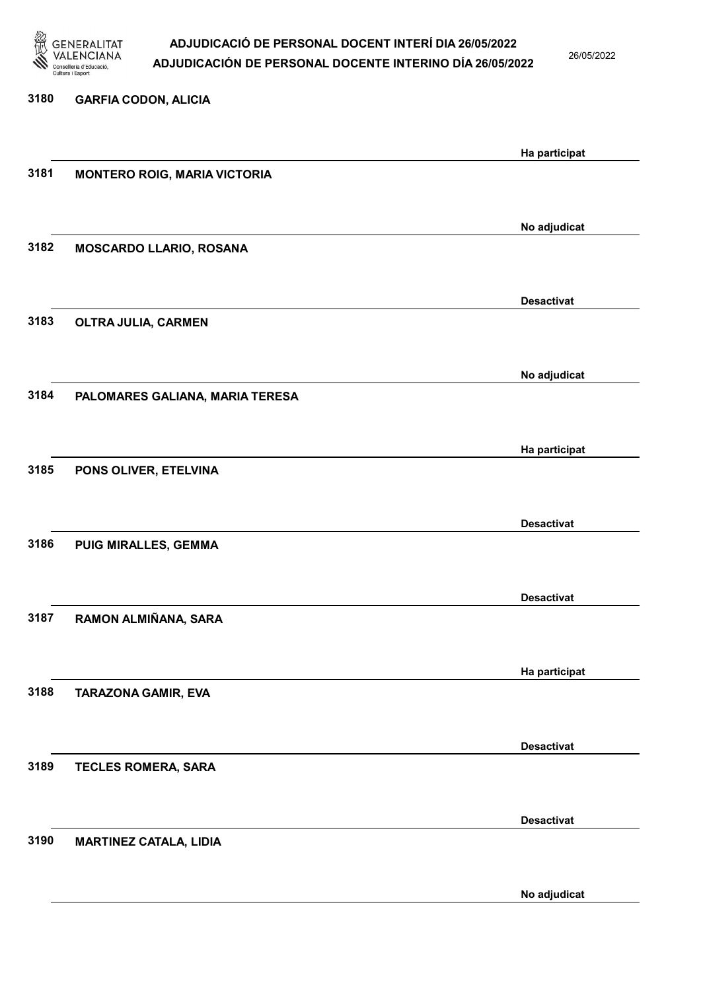

26/05/2022

No adjudicat

| 3180 | <b>GARFIA CODON, ALICIA</b>         |                   |
|------|-------------------------------------|-------------------|
|      |                                     |                   |
|      |                                     | Ha participat     |
| 3181 | <b>MONTERO ROIG, MARIA VICTORIA</b> |                   |
|      |                                     |                   |
|      |                                     | No adjudicat      |
| 3182 | MOSCARDO LLARIO, ROSANA             |                   |
|      |                                     |                   |
|      |                                     | <b>Desactivat</b> |
| 3183 | OLTRA JULIA, CARMEN                 |                   |
|      |                                     |                   |
|      |                                     | No adjudicat      |
| 3184 | PALOMARES GALIANA, MARIA TERESA     |                   |
|      |                                     |                   |
|      |                                     | Ha participat     |
| 3185 | PONS OLIVER, ETELVINA               |                   |
|      |                                     |                   |
|      |                                     | <b>Desactivat</b> |
| 3186 | PUIG MIRALLES, GEMMA                |                   |
|      |                                     |                   |
|      |                                     | <b>Desactivat</b> |
| 3187 | RAMON ALMIÑANA, SARA                |                   |
|      |                                     |                   |
|      |                                     | Ha participat     |
| 3188 | <b>TARAZONA GAMIR, EVA</b>          |                   |
|      |                                     |                   |
|      |                                     | <b>Desactivat</b> |
| 3189 | TECLES ROMERA, SARA                 |                   |
|      |                                     |                   |
|      |                                     | <b>Desactivat</b> |
| 3190 | <b>MARTINEZ CATALA, LIDIA</b>       |                   |
|      |                                     |                   |
|      |                                     |                   |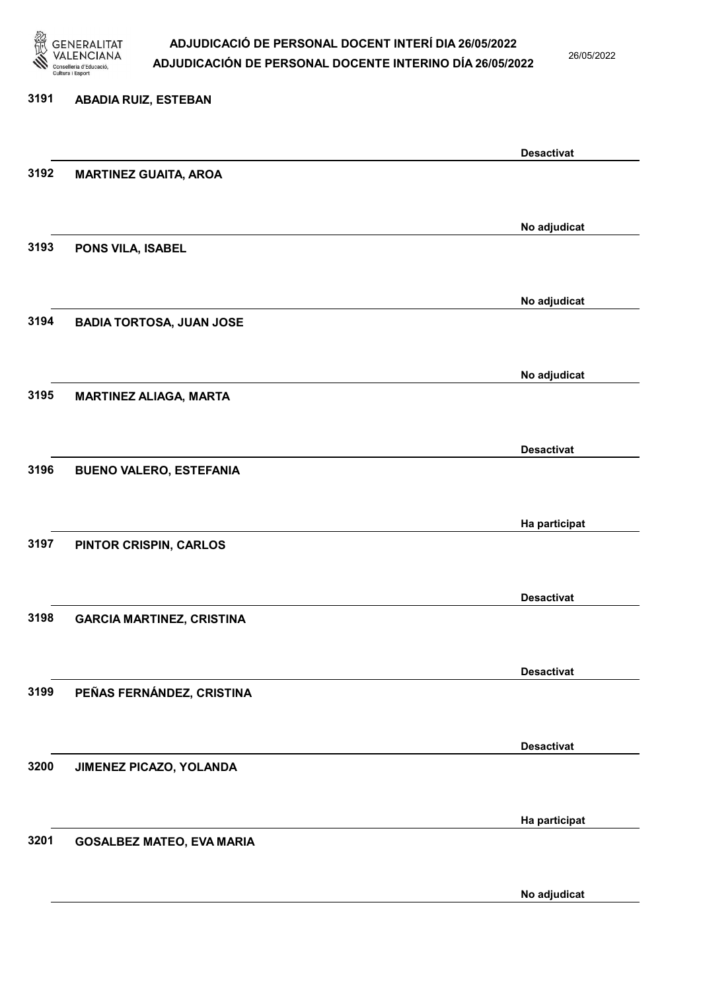

26/05/2022

### 3191 ABADIA RUIZ, ESTEBAN

|      |                                  | <b>Desactivat</b> |
|------|----------------------------------|-------------------|
| 3192 | <b>MARTINEZ GUAITA, AROA</b>     |                   |
|      |                                  |                   |
|      |                                  |                   |
|      |                                  | No adjudicat      |
| 3193 | PONS VILA, ISABEL                |                   |
|      |                                  |                   |
|      |                                  | No adjudicat      |
| 3194 | <b>BADIA TORTOSA, JUAN JOSE</b>  |                   |
|      |                                  |                   |
|      |                                  |                   |
|      |                                  | No adjudicat      |
| 3195 | <b>MARTINEZ ALIAGA, MARTA</b>    |                   |
|      |                                  |                   |
|      |                                  |                   |
|      |                                  | <b>Desactivat</b> |
| 3196 | <b>BUENO VALERO, ESTEFANIA</b>   |                   |
|      |                                  |                   |
|      |                                  | Ha participat     |
| 3197 | PINTOR CRISPIN, CARLOS           |                   |
|      |                                  |                   |
|      |                                  |                   |
|      |                                  | <b>Desactivat</b> |
| 3198 | <b>GARCIA MARTINEZ, CRISTINA</b> |                   |
|      |                                  |                   |
|      |                                  | <b>Desactivat</b> |
| 3199 | PEÑAS FERNÁNDEZ, CRISTINA        |                   |
|      |                                  |                   |
|      |                                  |                   |
|      |                                  | <b>Desactivat</b> |
| 3200 | JIMENEZ PICAZO, YOLANDA          |                   |
|      |                                  |                   |
|      |                                  |                   |
|      |                                  | Ha participat     |
| 3201 | <b>GOSALBEZ MATEO, EVA MARIA</b> |                   |
|      |                                  |                   |
|      |                                  | No adjudicat      |
|      |                                  |                   |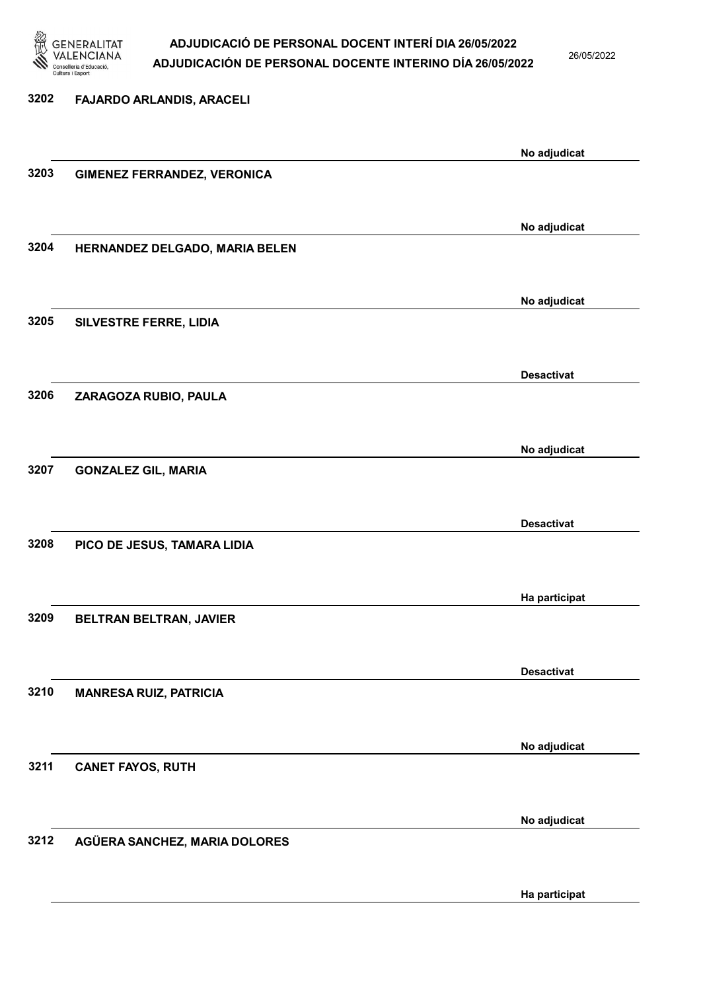

26/05/2022

Ha participat

# 3202 FAJARDO ARLANDIS, ARACELI No adjudicat 3203 GIMENEZ FERRANDEZ, VERONICA No adjudicat 3204 HERNANDEZ DELGADO, MARIA BELEN No adjudicat 3205 SILVESTRE FERRE, LIDIA Desactivat 3206 ZARAGOZA RUBIO, PAULA No adjudicat 3207 GONZALEZ GIL, MARIA Desactivat 3208 PICO DE JESUS, TAMARA LIDIA Ha participat 3209 BELTRAN BELTRAN, JAVIER Desactivat 3210 MANRESA RUIZ, PATRICIA No adjudicat 3211 CANET FAYOS, RUTH No adjudicat 3212 AGÜERA SANCHEZ, MARIA DOLORES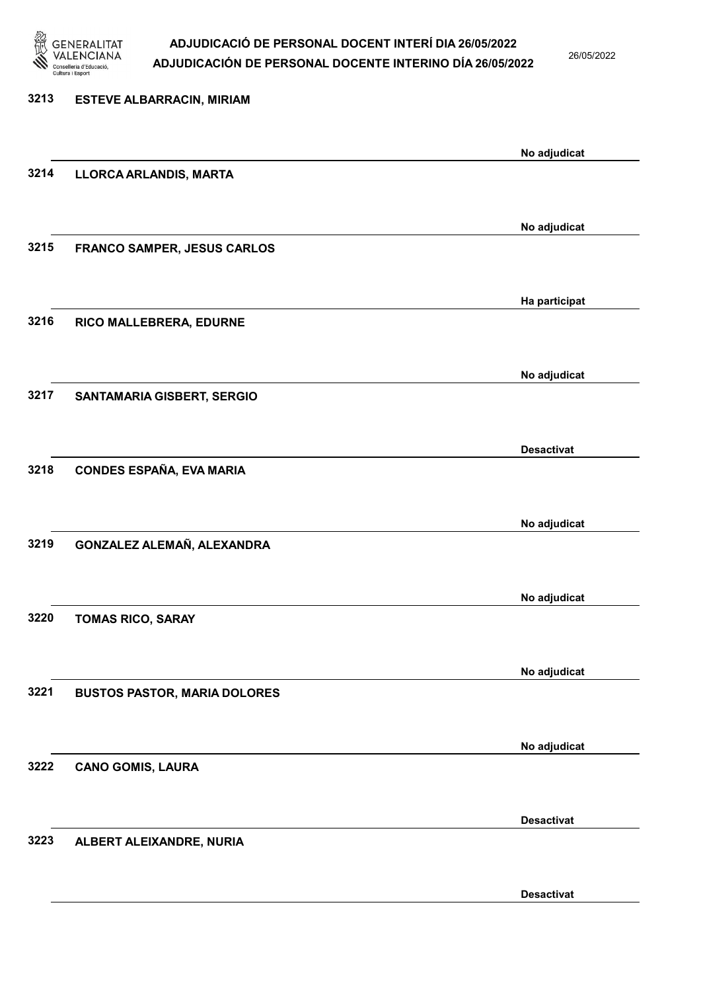

26/05/2022

Desactivat

| 3213 | <b>ESTEVE ALBARRACIN, MIRIAM</b>    |                   |
|------|-------------------------------------|-------------------|
|      |                                     | No adjudicat      |
| 3214 | LLORCA ARLANDIS, MARTA              |                   |
|      |                                     | No adjudicat      |
| 3215 | FRANCO SAMPER, JESUS CARLOS         |                   |
|      |                                     | Ha participat     |
| 3216 | RICO MALLEBRERA, EDURNE             |                   |
|      |                                     | No adjudicat      |
| 3217 | SANTAMARIA GISBERT, SERGIO          |                   |
|      |                                     | <b>Desactivat</b> |
| 3218 | CONDES ESPAÑA, EVA MARIA            |                   |
|      |                                     | No adjudicat      |
| 3219 | GONZALEZ ALEMAÑ, ALEXANDRA          |                   |
|      |                                     | No adjudicat      |
| 3220 | <b>TOMAS RICO, SARAY</b>            |                   |
|      |                                     | No adjudicat      |
| 3221 | <b>BUSTOS PASTOR, MARIA DOLORES</b> |                   |
|      |                                     | No adjudicat      |
| 3222 | <b>CANO GOMIS, LAURA</b>            |                   |
|      |                                     | <b>Desactivat</b> |
| 3223 | ALBERT ALEIXANDRE, NURIA            |                   |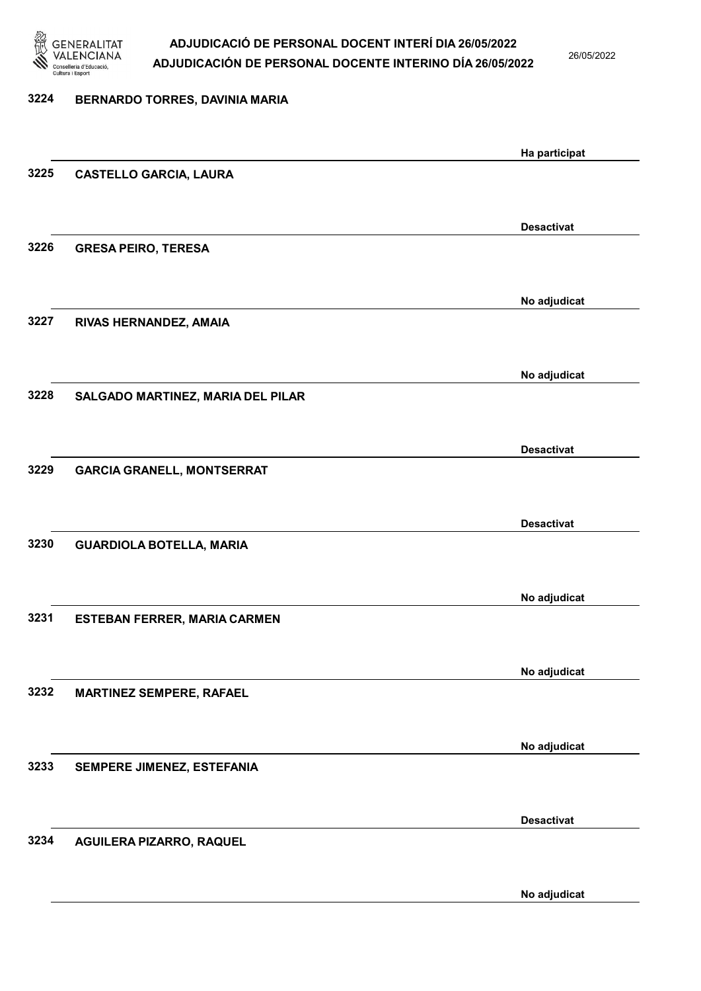

26/05/2022

# 3224 BERNARDO TORRES, DAVINIA MARIA Ha participat 3225 CASTELLO GARCIA, LAURA Desactivat 3226 GRESA PEIRO, TERESA No adjudicat 3227 RIVAS HERNANDEZ, AMAIA No adjudicat 3228 SALGADO MARTINEZ, MARIA DEL PILAR Desactivat 3229 GARCIA GRANELL, MONTSERRAT Desactivat 3230 GUARDIOLA BOTELLA, MARIA No adjudicat 3231 ESTEBAN FERRER, MARIA CARMEN No adjudicat 3232 MARTINEZ SEMPERE, RAFAEL No adjudicat 3233 SEMPERE JIMENEZ, ESTEFANIA Desactivat 3234 AGUILERA PIZARRO, RAQUEL

No adjudicat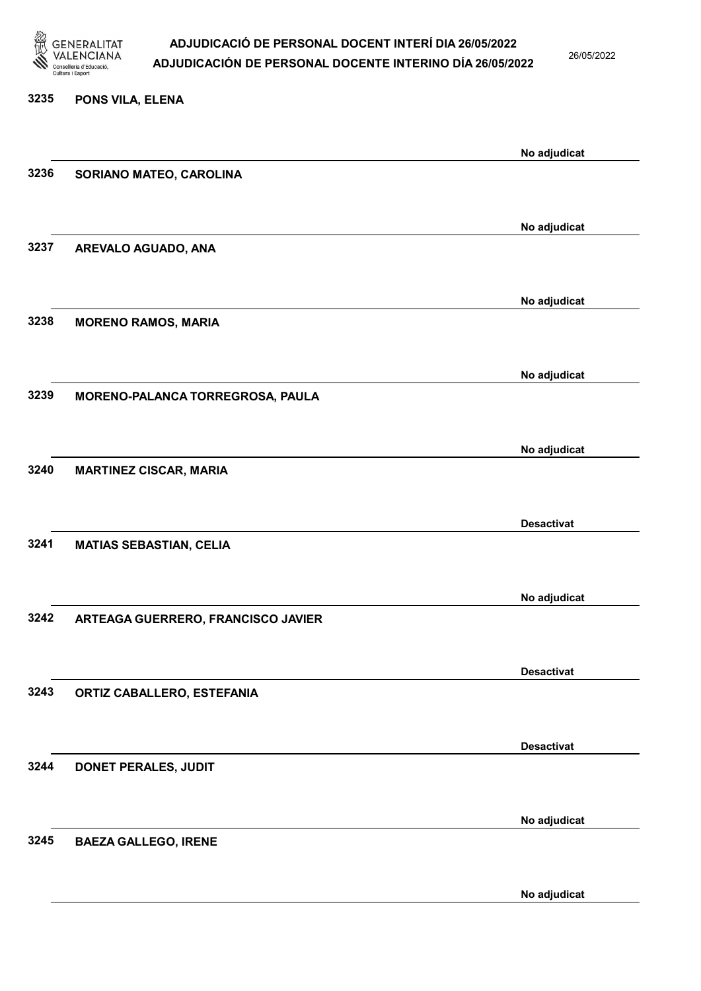

3235 PONS VILA, ELENA

# ADJUDICACIÓ DE PERSONAL DOCENT INTERÍ DIA 26/05/2022 ADJUDICACIÓN DE PERSONAL DOCENTE INTERINO DÍA 26/05/2022

26/05/2022

|      |                                    | No adjudicat      |
|------|------------------------------------|-------------------|
| 3236 | SORIANO MATEO, CAROLINA            |                   |
|      |                                    |                   |
| 3237 | AREVALO AGUADO, ANA                | No adjudicat      |
|      |                                    |                   |
|      |                                    | No adjudicat      |
| 3238 | <b>MORENO RAMOS, MARIA</b>         |                   |
|      |                                    | No adjudicat      |
| 3239 | MORENO-PALANCA TORREGROSA, PAULA   |                   |
|      |                                    |                   |
|      |                                    | No adjudicat      |
| 3240 | <b>MARTINEZ CISCAR, MARIA</b>      |                   |
|      |                                    |                   |
|      |                                    | <b>Desactivat</b> |
| 3241 | <b>MATIAS SEBASTIAN, CELIA</b>     |                   |
|      |                                    |                   |
|      |                                    | No adjudicat      |
| 3242 | ARTEAGA GUERRERO, FRANCISCO JAVIER |                   |
|      |                                    |                   |
|      |                                    | <b>Desactivat</b> |
| 3243 | ORTIZ CABALLERO, ESTEFANIA         |                   |
|      |                                    |                   |
|      |                                    | <b>Desactivat</b> |
| 3244 | <b>DONET PERALES, JUDIT</b>        |                   |
|      |                                    |                   |
|      |                                    | No adjudicat      |
| 3245 | <b>BAEZA GALLEGO, IRENE</b>        |                   |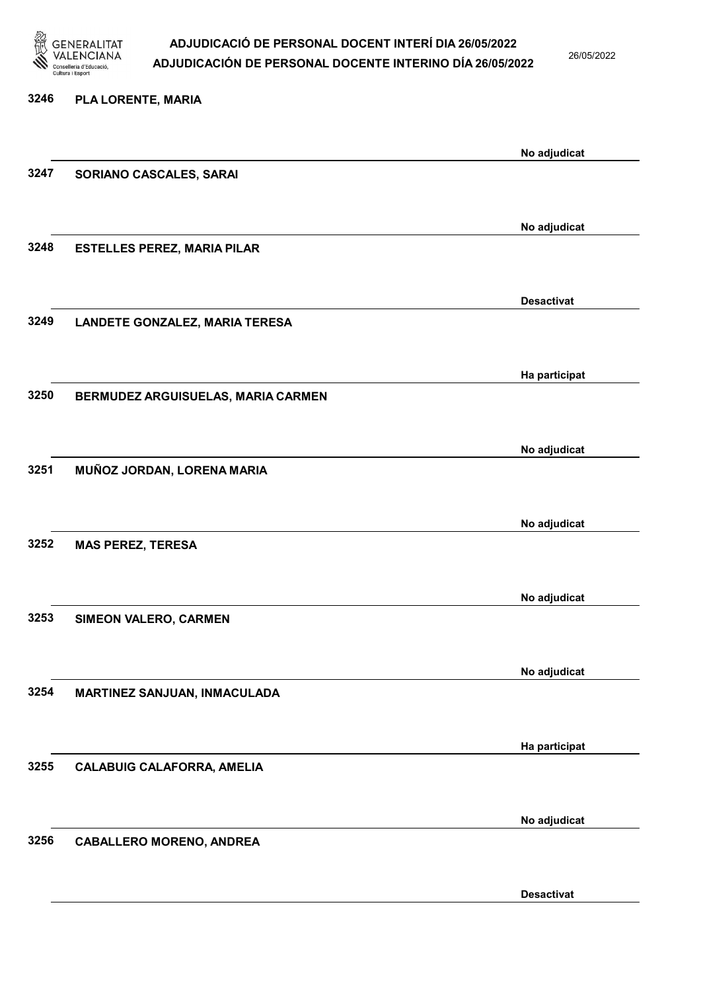

26/05/2022

Desactivat

| 3246 | PLA LORENTE, MARIA                    |                   |
|------|---------------------------------------|-------------------|
|      |                                       | No adjudicat      |
| 3247 | SORIANO CASCALES, SARAI               |                   |
|      |                                       |                   |
| 3248 | <b>ESTELLES PEREZ, MARIA PILAR</b>    | No adjudicat      |
|      |                                       |                   |
| 3249 | <b>LANDETE GONZALEZ, MARIA TERESA</b> | <b>Desactivat</b> |
|      |                                       |                   |
|      |                                       | Ha participat     |
| 3250 | BERMUDEZ ARGUISUELAS, MARIA CARMEN    |                   |
|      |                                       | No adjudicat      |
| 3251 | MUÑOZ JORDAN, LORENA MARIA            |                   |
|      |                                       |                   |
|      |                                       | No adjudicat      |
| 3252 | <b>MAS PEREZ, TERESA</b>              |                   |
|      |                                       | No adjudicat      |
| 3253 | SIMEON VALERO, CARMEN                 |                   |
|      |                                       |                   |
| 3254 | MARTINEZ SANJUAN, INMACULADA          | No adjudicat      |
|      |                                       |                   |
|      |                                       | Ha participat     |
| 3255 | <b>CALABUIG CALAFORRA, AMELIA</b>     |                   |
|      |                                       | No adjudicat      |
| 3256 | <b>CABALLERO MORENO, ANDREA</b>       |                   |
|      |                                       |                   |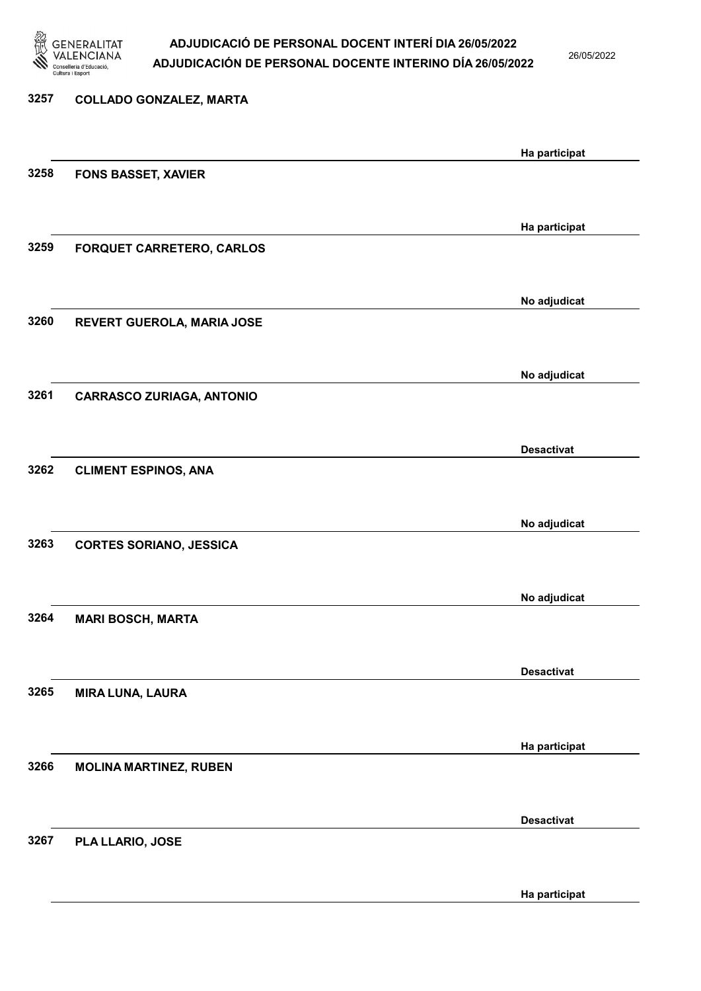

26/05/2022

Ha participat

# 3257 COLLADO GONZALEZ, MARTA Ha participat 3258 FONS BASSET, XAVIER Ha participat 3259 FORQUET CARRETERO, CARLOS No adjudicat 3260 REVERT GUEROLA, MARIA JOSE No adjudicat 3261 CARRASCO ZURIAGA, ANTONIO Desactivat 3262 CLIMENT ESPINOS, ANA No adjudicat 3263 CORTES SORIANO, JESSICA No adjudicat 3264 MARI BOSCH, MARTA Desactivat 3265 MIRA LUNA, LAURA Ha participat 3266 MOLINA MARTINEZ, RUBEN Desactivat 3267 PLA LLARIO, JOSE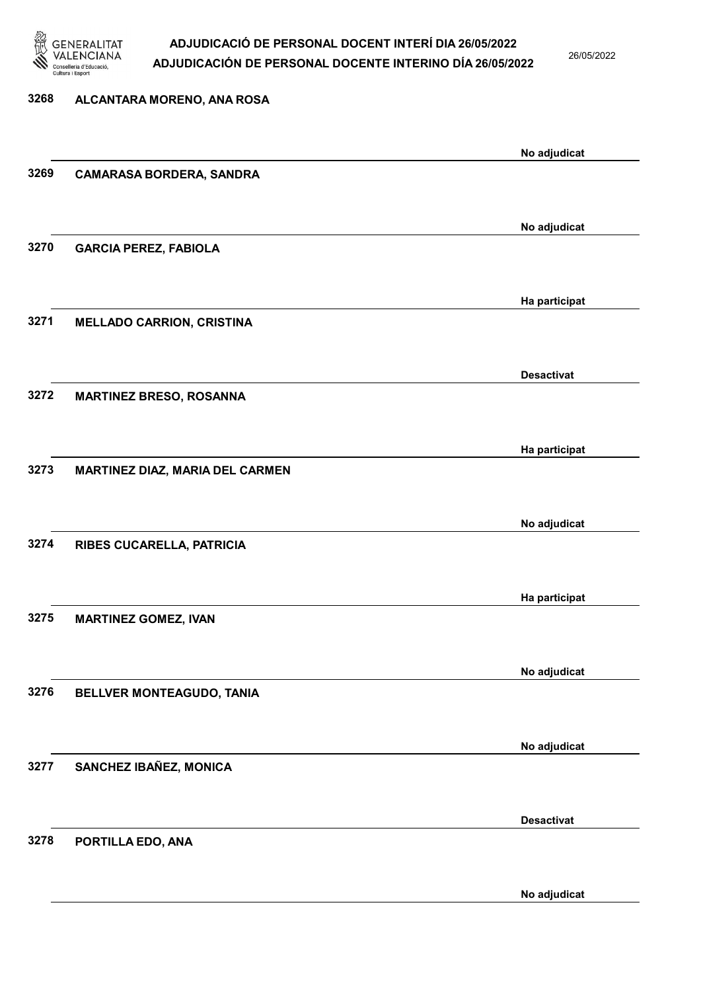

26/05/2022

# 3268 ALCANTARA MORENO, ANA ROSA No adjudicat 3269 CAMARASA BORDERA, SANDRA No adjudicat 3270 GARCIA PEREZ, FABIOLA Ha participat 3271 MELLADO CARRION, CRISTINA Desactivat 3272 MARTINEZ BRESO, ROSANNA Ha participat 3273 MARTINEZ DIAZ, MARIA DEL CARMEN No adjudicat 3274 RIBES CUCARELLA, PATRICIA Ha participat 3275 MARTINEZ GOMEZ, IVAN No adjudicat 3276 BELLVER MONTEAGUDO, TANIA No adjudicat 3277 SANCHEZ IBAÑEZ, MONICA Desactivat 3278 PORTILLA EDO, ANA

No adjudicat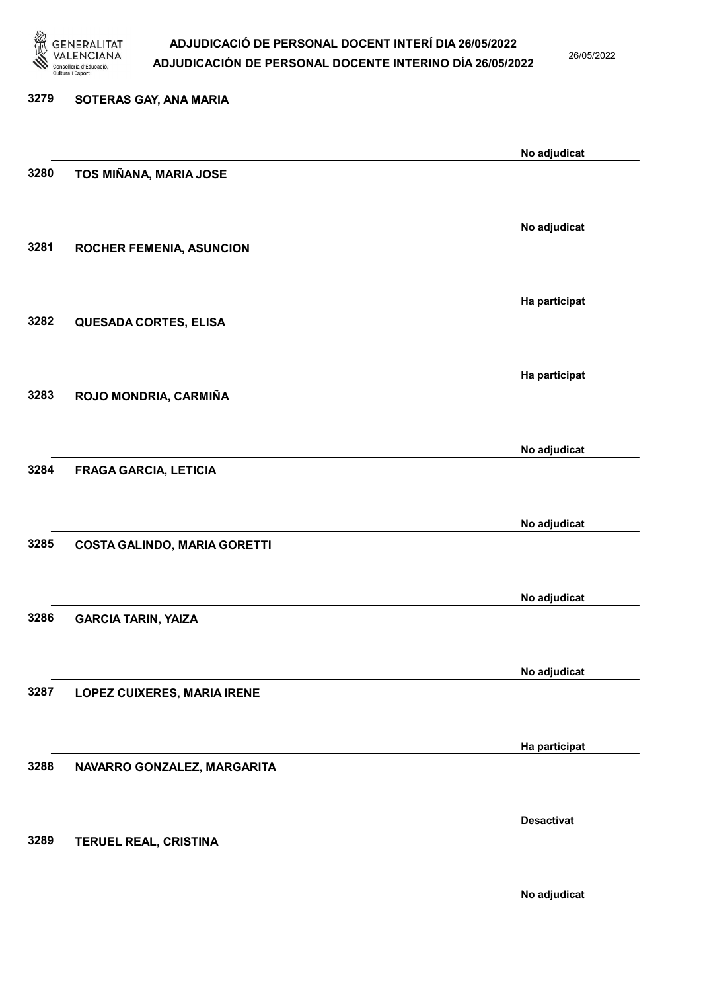

26/05/2022

No adjudicat

# 3279 SOTERAS GAY, ANA MARIA No adjudicat 3280 TOS MIÑANA, MARIA JOSE No adjudicat 3281 ROCHER FEMENIA, ASUNCION Ha participat 3282 QUESADA CORTES, ELISA Ha participat 3283 ROJO MONDRIA, CARMIÑA No adjudicat 3284 FRAGA GARCIA, LETICIA No adjudicat 3285 COSTA GALINDO, MARIA GORETTI No adjudicat 3286 GARCIA TARIN, YAIZA No adjudicat 3287 LOPEZ CUIXERES, MARIA IRENE Ha participat 3288 NAVARRO GONZALEZ, MARGARITA Desactivat 3289 TERUEL REAL, CRISTINA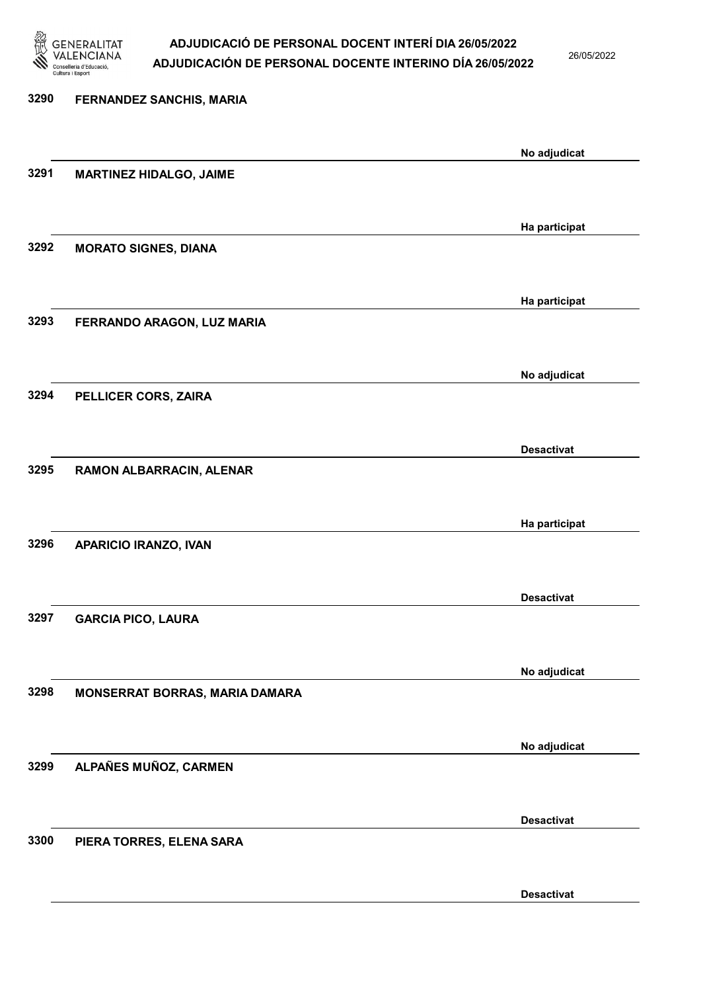

26/05/2022

Desactivat

| 3290 | <b>FERNANDEZ SANCHIS, MARIA</b> |                   |
|------|---------------------------------|-------------------|
|      |                                 | No adjudicat      |
| 3291 | <b>MARTINEZ HIDALGO, JAIME</b>  |                   |
|      |                                 | Ha participat     |
| 3292 | <b>MORATO SIGNES, DIANA</b>     |                   |
|      |                                 | Ha participat     |
| 3293 | FERRANDO ARAGON, LUZ MARIA      |                   |
|      |                                 | No adjudicat      |
| 3294 | PELLICER CORS, ZAIRA            |                   |
|      |                                 | <b>Desactivat</b> |
| 3295 | RAMON ALBARRACIN, ALENAR        |                   |
|      |                                 | Ha participat     |
| 3296 | APARICIO IRANZO, IVAN           |                   |
|      |                                 | <b>Desactivat</b> |
| 3297 | <b>GARCIA PICO, LAURA</b>       |                   |
|      |                                 | No adjudicat      |
| 3298 | MONSERRAT BORRAS, MARIA DAMARA  |                   |
|      |                                 | No adjudicat      |
| 3299 | ALPAÑES MUÑOZ, CARMEN           |                   |
|      |                                 | <b>Desactivat</b> |
| 3300 | PIERA TORRES, ELENA SARA        |                   |
|      |                                 |                   |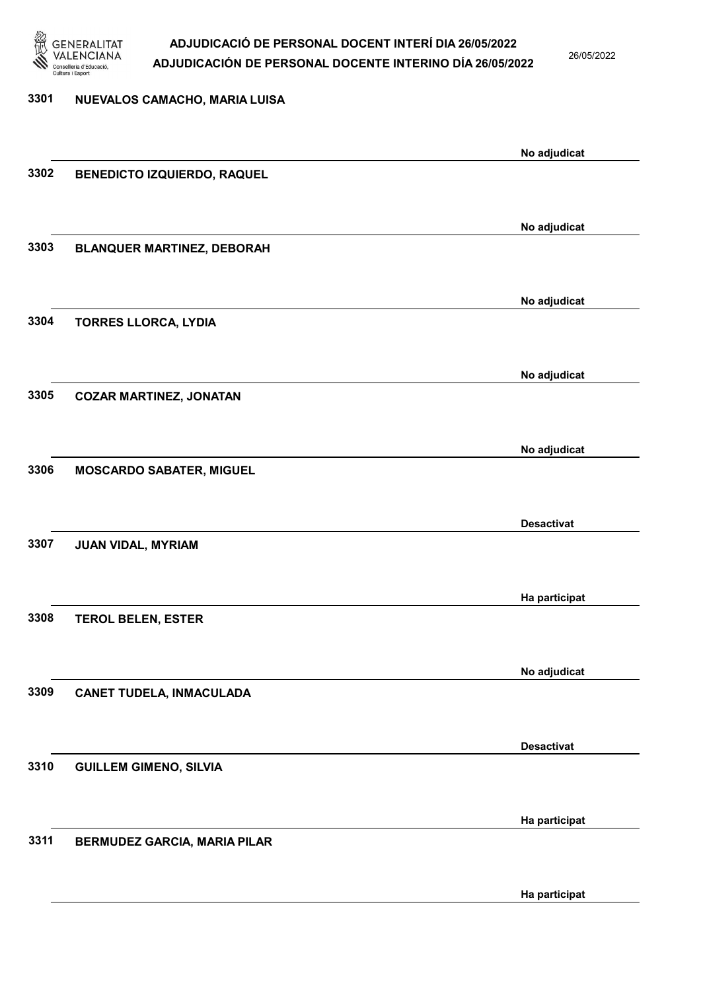

26/05/2022

| 3301 | NUEVALOS CAMACHO, MARIA LUISA       |                   |
|------|-------------------------------------|-------------------|
|      |                                     | No adjudicat      |
| 3302 | <b>BENEDICTO IZQUIERDO, RAQUEL</b>  |                   |
|      |                                     | No adjudicat      |
| 3303 | <b>BLANQUER MARTINEZ, DEBORAH</b>   |                   |
|      |                                     | No adjudicat      |
| 3304 | <b>TORRES LLORCA, LYDIA</b>         |                   |
|      |                                     | No adjudicat      |
| 3305 | <b>COZAR MARTINEZ, JONATAN</b>      |                   |
|      |                                     | No adjudicat      |
| 3306 | <b>MOSCARDO SABATER, MIGUEL</b>     |                   |
|      |                                     | <b>Desactivat</b> |
| 3307 | JUAN VIDAL, MYRIAM                  |                   |
|      |                                     | Ha participat     |
| 3308 | <b>TEROL BELEN, ESTER</b>           |                   |
| 3309 | <b>CANET TUDELA, INMACULADA</b>     | No adjudicat      |
|      |                                     |                   |
| 3310 | <b>GUILLEM GIMENO, SILVIA</b>       | <b>Desactivat</b> |
|      |                                     |                   |
| 3311 | <b>BERMUDEZ GARCIA, MARIA PILAR</b> | Ha participat     |
|      |                                     |                   |
|      |                                     | Ha participat     |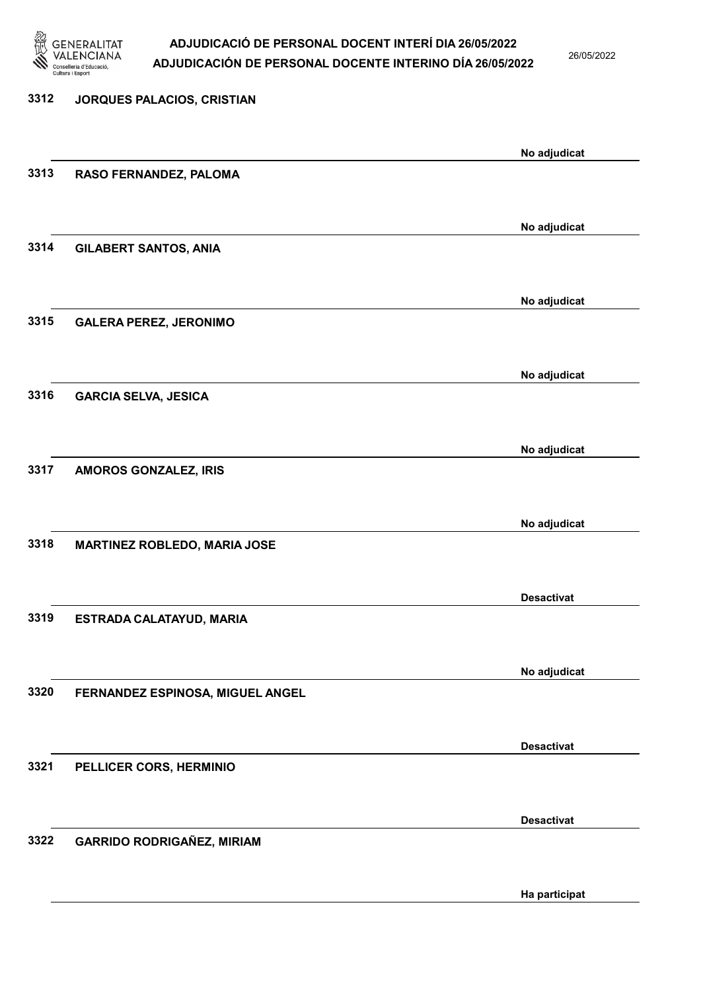

26/05/2022

# 3312 JORQUES PALACIOS, CRISTIAN No adjudicat 3313 RASO FERNANDEZ, PALOMA No adjudicat 3314 GILABERT SANTOS, ANIA No adjudicat 3315 GALERA PEREZ, JERONIMO No adjudicat 3316 GARCIA SELVA, JESICA No adjudicat 3317 AMOROS GONZALEZ, IRIS No adjudicat 3318 MARTINEZ ROBLEDO, MARIA JOSE Desactivat 3319 ESTRADA CALATAYUD, MARIA No adjudicat 3320 FERNANDEZ ESPINOSA, MIGUEL ANGEL Desactivat 3321 PELLICER CORS, HERMINIO Desactivat 3322 GARRIDO RODRIGAÑEZ, MIRIAM

Ha participat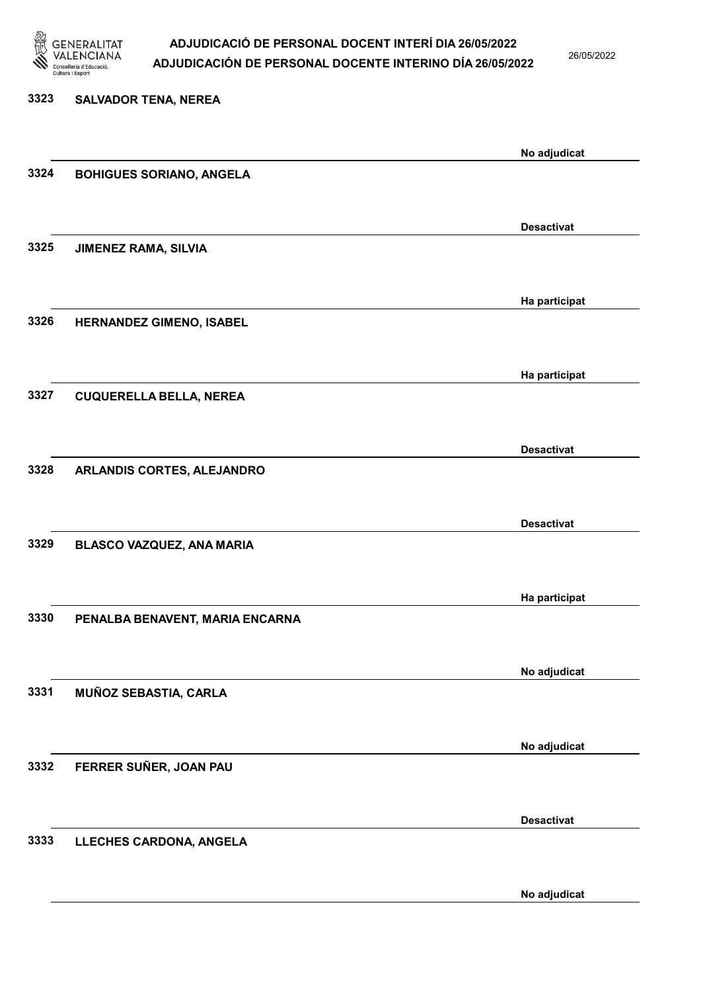

26/05/2022

| <b>SALVADOR TENA, NEREA</b>     |                   |
|---------------------------------|-------------------|
|                                 | No adjudicat      |
| <b>BOHIGUES SORIANO, ANGELA</b> |                   |
|                                 | <b>Desactivat</b> |
| <b>JIMENEZ RAMA, SILVIA</b>     |                   |
|                                 | Ha participat     |
| HERNANDEZ GIMENO, ISABEL        |                   |
|                                 | Ha participat     |
| <b>CUQUERELLA BELLA, NEREA</b>  |                   |
|                                 | <b>Desactivat</b> |
| ARLANDIS CORTES, ALEJANDRO      |                   |
|                                 | <b>Desactivat</b> |
| BLASCO VAZQUEZ, ANA MARIA       |                   |
|                                 | Ha participat     |
| PENALBA BENAVENT, MARIA ENCARNA |                   |
|                                 | No adjudicat      |
| MUÑOZ SEBASTIA, CARLA           |                   |
|                                 | No adjudicat      |
| FERRER SUÑER, JOAN PAU          |                   |
|                                 | <b>Desactivat</b> |
| LLECHES CARDONA, ANGELA         |                   |
|                                 |                   |

No adjudicat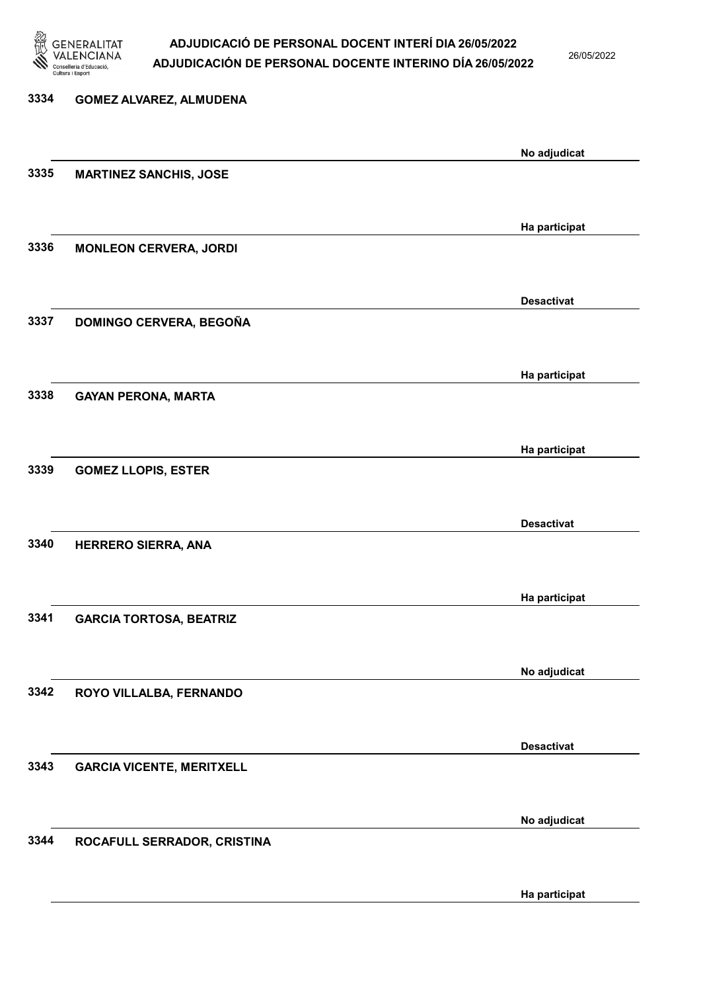

26/05/2022

# 3334 GOMEZ ALVAREZ, ALMUDENA No adjudicat 3335 MARTINEZ SANCHIS, JOSE Ha participat 3336 MONLEON CERVERA, JORDI Desactivat 3337 DOMINGO CERVERA, BEGOÑA Ha participat 3338 GAYAN PERONA, MARTA Ha participat 3339 GOMEZ LLOPIS, ESTER Desactivat 3340 HERRERO SIERRA, ANA Ha participat 3341 GARCIA TORTOSA, BEATRIZ No adjudicat 3342 ROYO VILLALBA, FERNANDO Desactivat 3343 GARCIA VICENTE, MERITXELL No adjudicat 3344 ROCAFULL SERRADOR, CRISTINA

Ha participat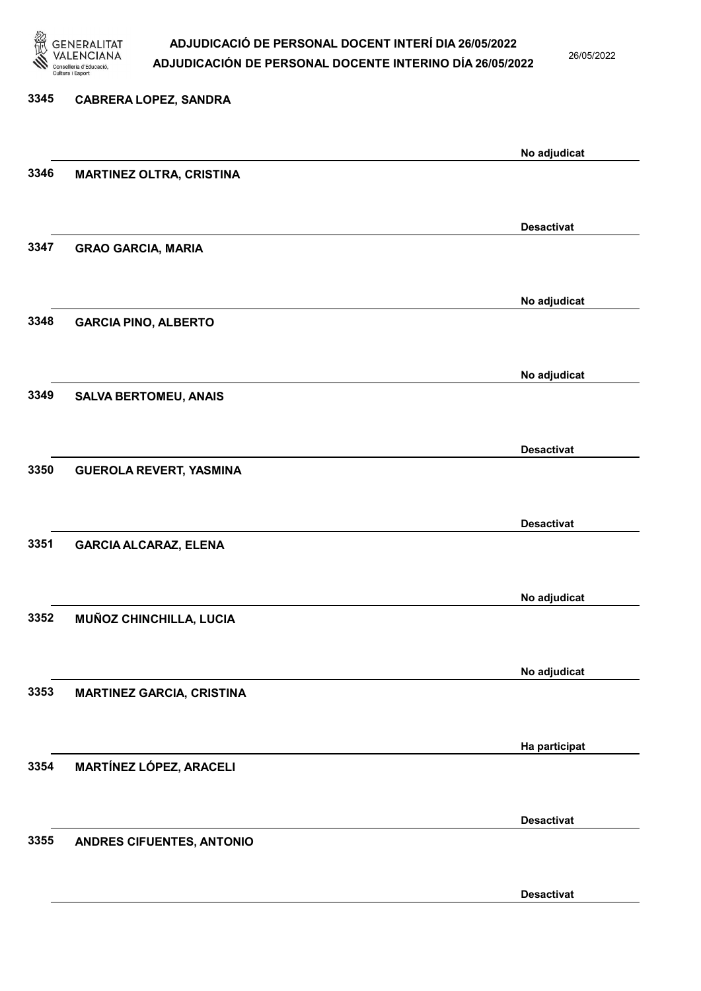

26/05/2022

Desactivat

# 3345 CABRERA LOPEZ, SANDRA No adjudicat 3346 MARTINEZ OLTRA, CRISTINA Desactivat 3347 GRAO GARCIA, MARIA No adjudicat 3348 GARCIA PINO, ALBERTO No adjudicat 3349 SALVA BERTOMEU, ANAIS Desactivat 3350 GUEROLA REVERT, YASMINA Desactivat 3351 GARCIA ALCARAZ, ELENA No adjudicat 3352 MUÑOZ CHINCHILLA, LUCIA No adjudicat 3353 MARTINEZ GARCIA, CRISTINA Ha participat 3354 MARTÍNEZ LÓPEZ, ARACELI Desactivat 3355 ANDRES CIFUENTES, ANTONIO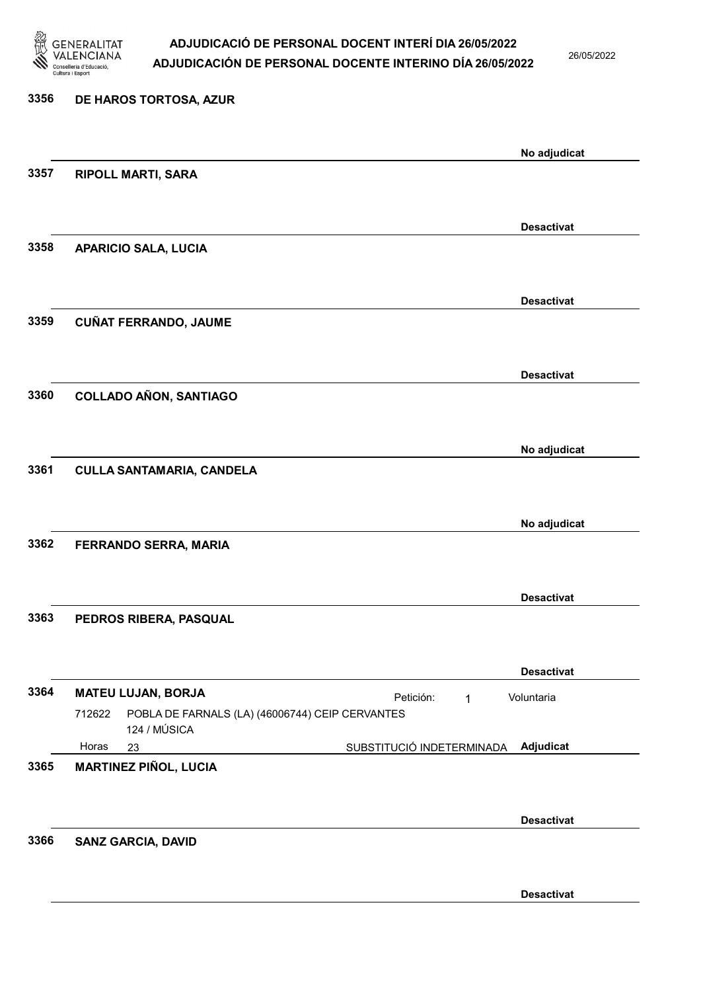

26/05/2022

| 3356 | DE HAROS TORTOSA, AZUR                                                    |                   |
|------|---------------------------------------------------------------------------|-------------------|
|      |                                                                           | No adjudicat      |
| 3357 | <b>RIPOLL MARTI, SARA</b>                                                 |                   |
|      |                                                                           | <b>Desactivat</b> |
| 3358 | <b>APARICIO SALA, LUCIA</b>                                               |                   |
| 3359 | <b>CUÑAT FERRANDO, JAUME</b>                                              | <b>Desactivat</b> |
|      |                                                                           |                   |
|      |                                                                           | <b>Desactivat</b> |
| 3360 | <b>COLLADO AÑON, SANTIAGO</b>                                             |                   |
|      |                                                                           | No adjudicat      |
| 3361 | <b>CULLA SANTAMARIA, CANDELA</b>                                          |                   |
|      |                                                                           | No adjudicat      |
| 3362 | FERRANDO SERRA, MARIA                                                     |                   |
|      |                                                                           | <b>Desactivat</b> |
| 3363 | PEDROS RIBERA, PASQUAL                                                    |                   |
|      |                                                                           | <b>Desactivat</b> |
| 3364 | <b>MATEU LUJAN, BORJA</b><br>Petición:<br>1                               | Voluntaria        |
|      | POBLA DE FARNALS (LA) (46006744) CEIP CERVANTES<br>712622<br>124 / MÚSICA |                   |
|      | Horas<br>SUBSTITUCIÓ INDETERMINADA<br>23                                  | Adjudicat         |
| 3365 | <b>MARTINEZ PIÑOL, LUCIA</b>                                              |                   |
|      |                                                                           | <b>Desactivat</b> |
| 3366 | <b>SANZ GARCIA, DAVID</b>                                                 |                   |
|      |                                                                           | <b>Desactivat</b> |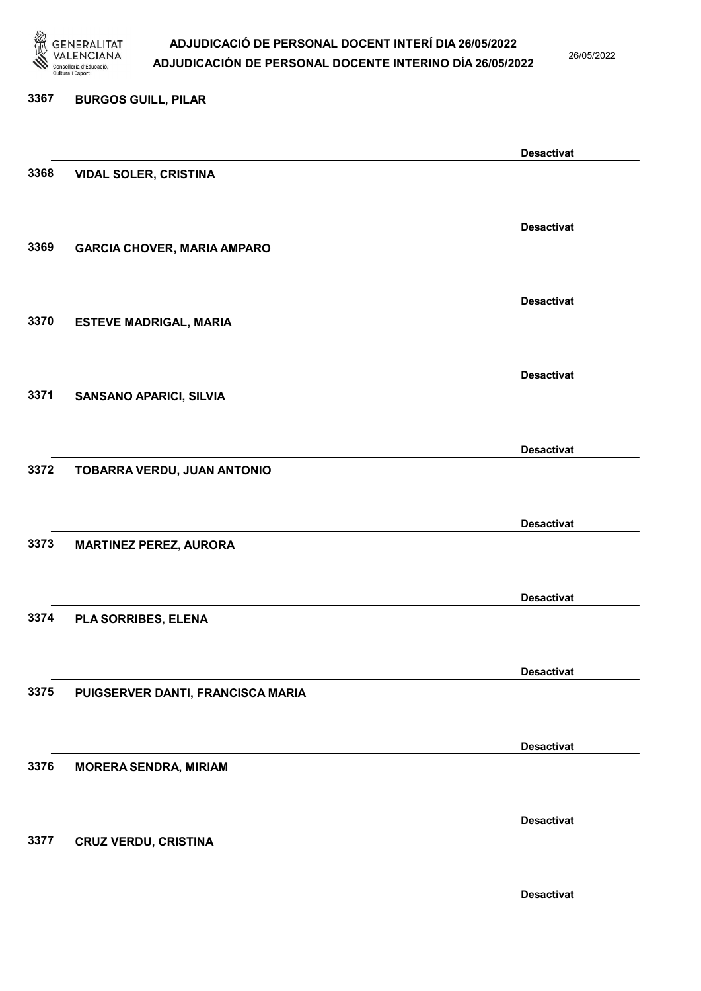

26/05/2022

Desactivat

# 3367 BURGOS GUILL, PILAR Desactivat 3368 VIDAL SOLER, CRISTINA Desactivat 3369 GARCIA CHOVER, MARIA AMPARO Desactivat 3370 ESTEVE MADRIGAL, MARIA Desactivat 3371 SANSANO APARICI, SILVIA Desactivat 3372 TOBARRA VERDU, JUAN ANTONIO Desactivat 3373 MARTINEZ PEREZ, AURORA Desactivat 3374 PLA SORRIBES, ELENA Desactivat 3375 PUIGSERVER DANTI, FRANCISCA MARIA Desactivat 3376 MORERA SENDRA, MIRIAM Desactivat 3377 CRUZ VERDU, CRISTINA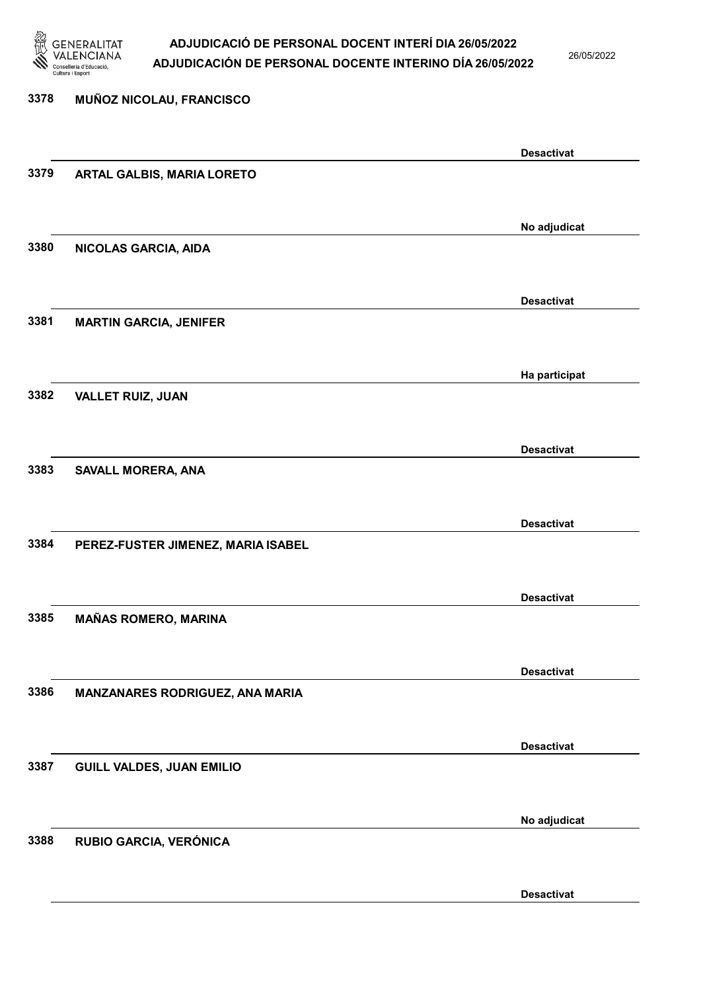

26/05/2022

# 3378 MUÑOZ NICOLAU, FRANCISCO Desactivat 3379 ARTAL GALBIS, MARIA LORETO No adjudicat 3380 NICOLAS GARCIA, AIDA Desactivat 3381 MARTIN GARCIA, JENIFER Ha participat 3382 VALLET RUIZ, JUAN Desactivat 3383 SAVALL MORERA, ANA Desactivat 3384 PEREZ-FUSTER JIMENEZ, MARIA ISABEL Desactivat 3385 MAÑAS ROMERO, MARINA Desactivat 3386 MANZANARES RODRIGUEZ, ANA MARIA Desactivat 3387 GUILL VALDES, JUAN EMILIO No adjudicat 3388 RUBIO GARCIA, VERÓNICA

Desactivat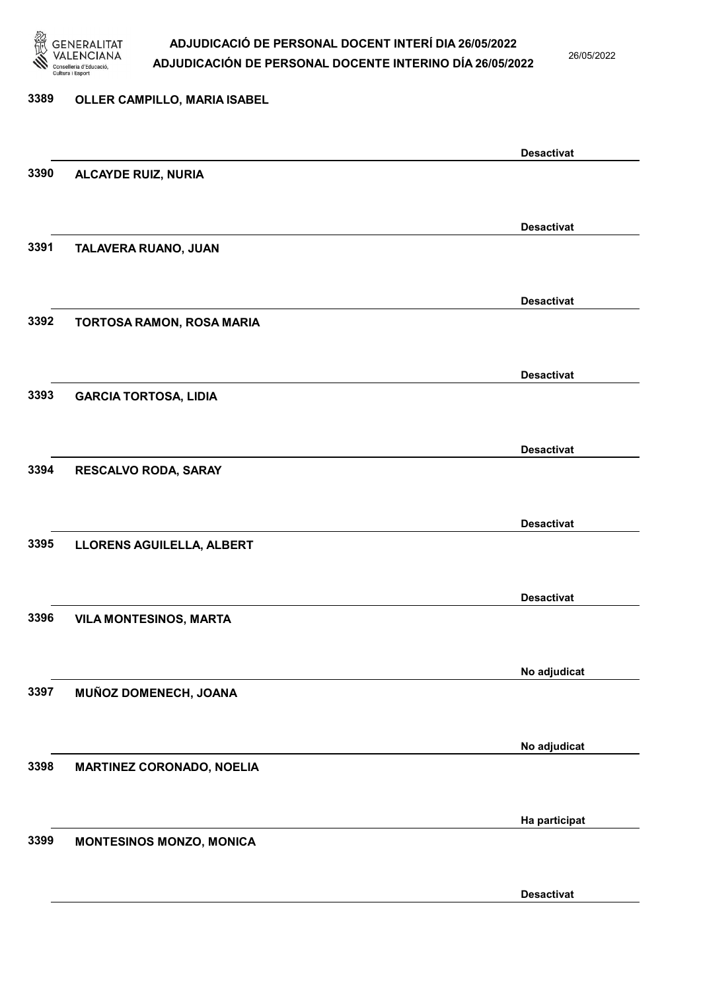

26/05/2022

### 3389 OLLER CAMPILLO, MARIA ISABEL

|      |                                  | <b>Desactivat</b> |
|------|----------------------------------|-------------------|
| 3390 | <b>ALCAYDE RUIZ, NURIA</b>       |                   |
|      |                                  |                   |
|      |                                  | <b>Desactivat</b> |
| 3391 | TALAVERA RUANO, JUAN             |                   |
|      |                                  |                   |
|      |                                  |                   |
|      |                                  | <b>Desactivat</b> |
| 3392 | TORTOSA RAMON, ROSA MARIA        |                   |
|      |                                  |                   |
|      |                                  | <b>Desactivat</b> |
| 3393 | <b>GARCIA TORTOSA, LIDIA</b>     |                   |
|      |                                  |                   |
|      |                                  | <b>Desactivat</b> |
| 3394 | RESCALVO RODA, SARAY             |                   |
|      |                                  |                   |
|      |                                  |                   |
| 3395 |                                  | <b>Desactivat</b> |
|      | LLORENS AGUILELLA, ALBERT        |                   |
|      |                                  |                   |
|      |                                  | <b>Desactivat</b> |
| 3396 | <b>VILA MONTESINOS, MARTA</b>    |                   |
|      |                                  |                   |
|      |                                  | No adjudicat      |
| 3397 | MUÑOZ DOMENECH, JOANA            |                   |
|      |                                  |                   |
|      |                                  | No adjudicat      |
| 3398 | <b>MARTINEZ CORONADO, NOELIA</b> |                   |
|      |                                  |                   |
|      |                                  |                   |
|      |                                  | Ha participat     |
| 3399 | <b>MONTESINOS MONZO, MONICA</b>  |                   |
|      |                                  |                   |
|      |                                  | <b>Desactivat</b> |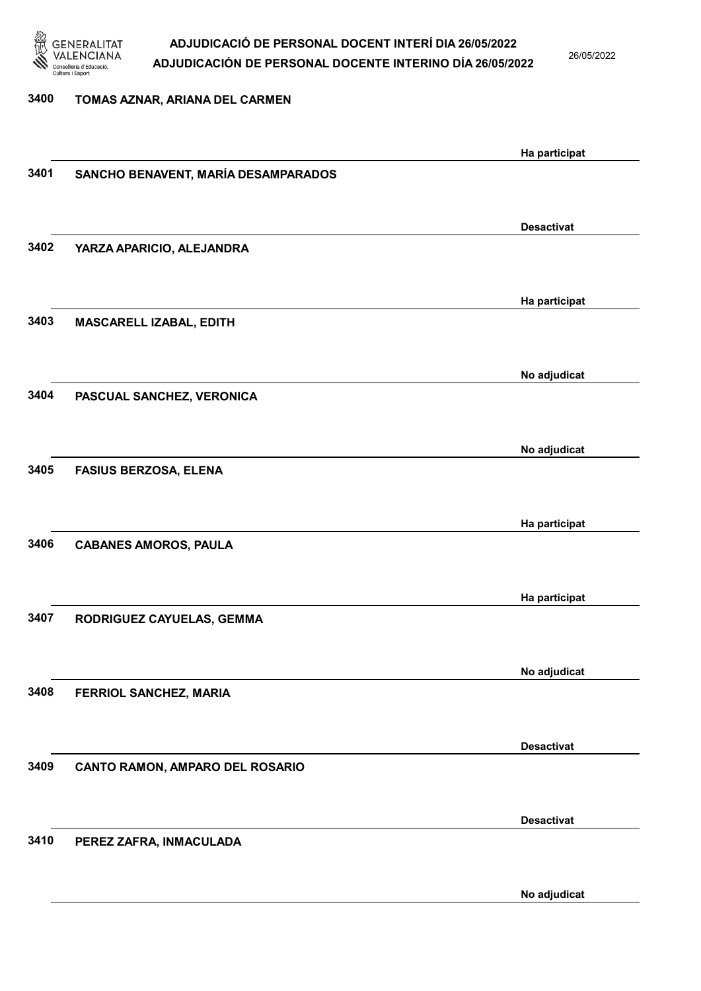

26/05/2022

### 3400 TOMAS AZNAR, ARIANA DEL CARMEN

|      |                                     | Ha participat     |
|------|-------------------------------------|-------------------|
| 3401 | SANCHO BENAVENT, MARÍA DESAMPARADOS |                   |
|      |                                     |                   |
|      |                                     | <b>Desactivat</b> |
| 3402 | YARZA APARICIO, ALEJANDRA           |                   |
|      |                                     |                   |
|      |                                     | Ha participat     |
| 3403 | MASCARELL IZABAL, EDITH             |                   |
|      |                                     |                   |
|      |                                     |                   |
| 3404 |                                     | No adjudicat      |
|      | PASCUAL SANCHEZ, VERONICA           |                   |
|      |                                     |                   |
|      |                                     | No adjudicat      |
| 3405 | <b>FASIUS BERZOSA, ELENA</b>        |                   |
|      |                                     |                   |
|      |                                     | Ha participat     |
| 3406 | <b>CABANES AMOROS, PAULA</b>        |                   |
|      |                                     |                   |
|      |                                     | Ha participat     |
| 3407 | RODRIGUEZ CAYUELAS, GEMMA           |                   |
|      |                                     |                   |
|      |                                     | No adjudicat      |
| 3408 | FERRIOL SANCHEZ, MARIA              |                   |
|      |                                     |                   |
|      |                                     | <b>Desactivat</b> |
| 3409 | CANTO RAMON, AMPARO DEL ROSARIO     |                   |
|      |                                     |                   |
|      |                                     | <b>Desactivat</b> |
| 3410 | PEREZ ZAFRA, INMACULADA             |                   |
|      |                                     |                   |
|      |                                     |                   |
|      |                                     | No adjudicat      |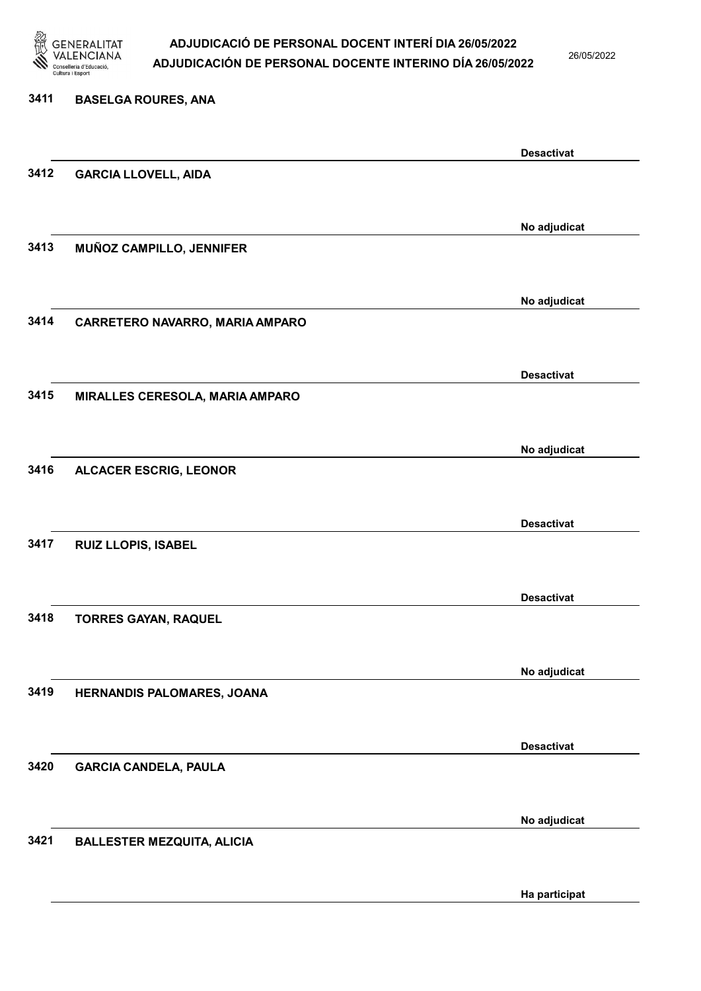

26/05/2022

| 3411 | <b>BASELGA ROURES, ANA</b>        |                   |
|------|-----------------------------------|-------------------|
|      |                                   | <b>Desactivat</b> |
| 3412 | <b>GARCIA LLOVELL, AIDA</b>       |                   |
|      |                                   |                   |
|      |                                   | No adjudicat      |
| 3413 | MUÑOZ CAMPILLO, JENNIFER          |                   |
|      |                                   | No adjudicat      |
| 3414 | CARRETERO NAVARRO, MARIA AMPARO   |                   |
|      |                                   |                   |
|      |                                   | <b>Desactivat</b> |
| 3415 | MIRALLES CERESOLA, MARIA AMPARO   |                   |
|      |                                   |                   |
| 3416 | <b>ALCACER ESCRIG, LEONOR</b>     | No adjudicat      |
|      |                                   |                   |
|      |                                   | <b>Desactivat</b> |
| 3417 | <b>RUIZ LLOPIS, ISABEL</b>        |                   |
|      |                                   |                   |
|      |                                   | <b>Desactivat</b> |
| 3418 | <b>TORRES GAYAN, RAQUEL</b>       |                   |
|      |                                   |                   |
| 3419 | HERNANDIS PALOMARES, JOANA        | No adjudicat      |
|      |                                   |                   |
|      |                                   | <b>Desactivat</b> |
| 3420 | <b>GARCIA CANDELA, PAULA</b>      |                   |
|      |                                   |                   |
|      |                                   | No adjudicat      |
| 3421 | <b>BALLESTER MEZQUITA, ALICIA</b> |                   |
|      |                                   |                   |

Ha participat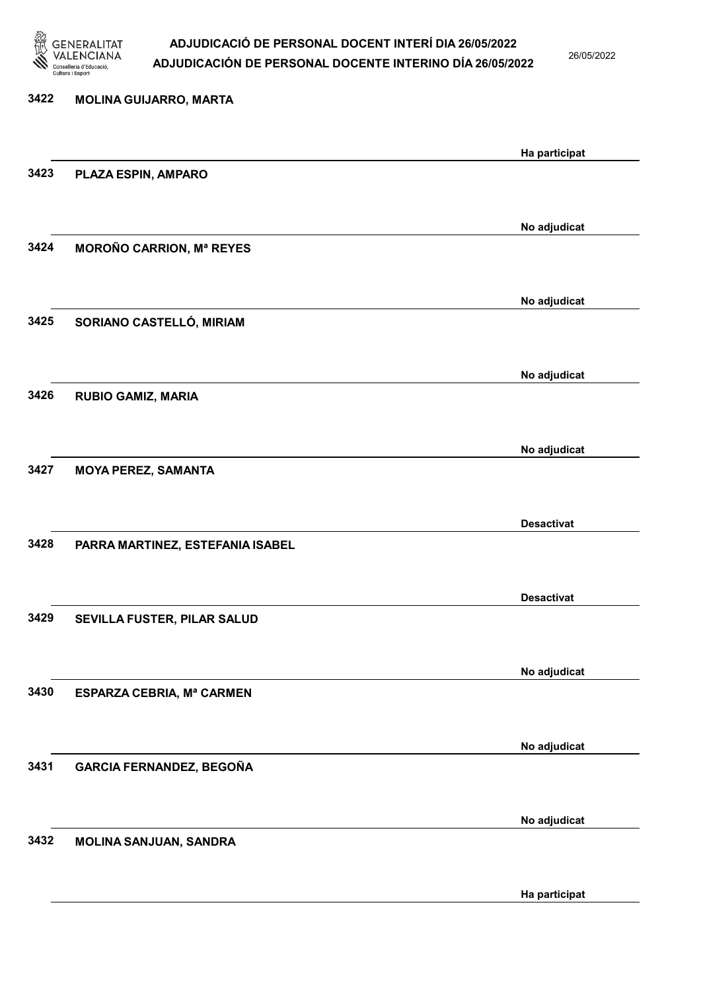

26/05/2022

Ha participat

# 3422 MOLINA GUIJARRO, MARTA Ha participat 3423 PLAZA ESPIN, AMPARO No adjudicat 3424 MOROÑO CARRION, Mª REYES No adjudicat 3425 SORIANO CASTELLÓ, MIRIAM No adjudicat 3426 RUBIO GAMIZ, MARIA No adjudicat 3427 MOYA PEREZ, SAMANTA Desactivat 3428 PARRA MARTINEZ, ESTEFANIA ISABEL Desactivat 3429 SEVILLA FUSTER, PILAR SALUD No adjudicat 3430 ESPARZA CEBRIA, Mª CARMEN No adjudicat 3431 GARCIA FERNANDEZ, BEGOÑA No adjudicat 3432 MOLINA SANJUAN, SANDRA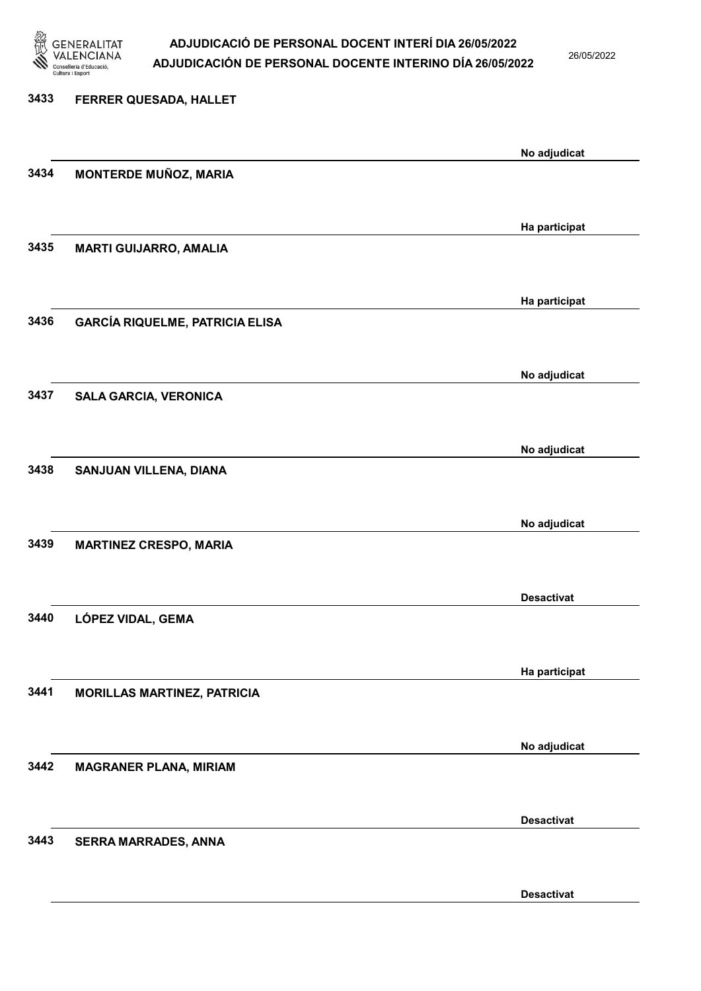

26/05/2022

Desactivat

# 3433 FERRER QUESADA, HALLET No adjudicat 3434 MONTERDE MUÑOZ, MARIA Ha participat 3435 MARTI GUIJARRO, AMALIA Ha participat 3436 GARCÍA RIQUELME, PATRICIA ELISA No adjudicat 3437 SALA GARCIA, VERONICA No adjudicat 3438 SANJUAN VILLENA, DIANA No adjudicat 3439 MARTINEZ CRESPO, MARIA Desactivat 3440 LÓPEZ VIDAL, GEMA Ha participat 3441 MORILLAS MARTINEZ, PATRICIA No adjudicat 3442 MAGRANER PLANA, MIRIAM Desactivat 3443 SERRA MARRADES, ANNA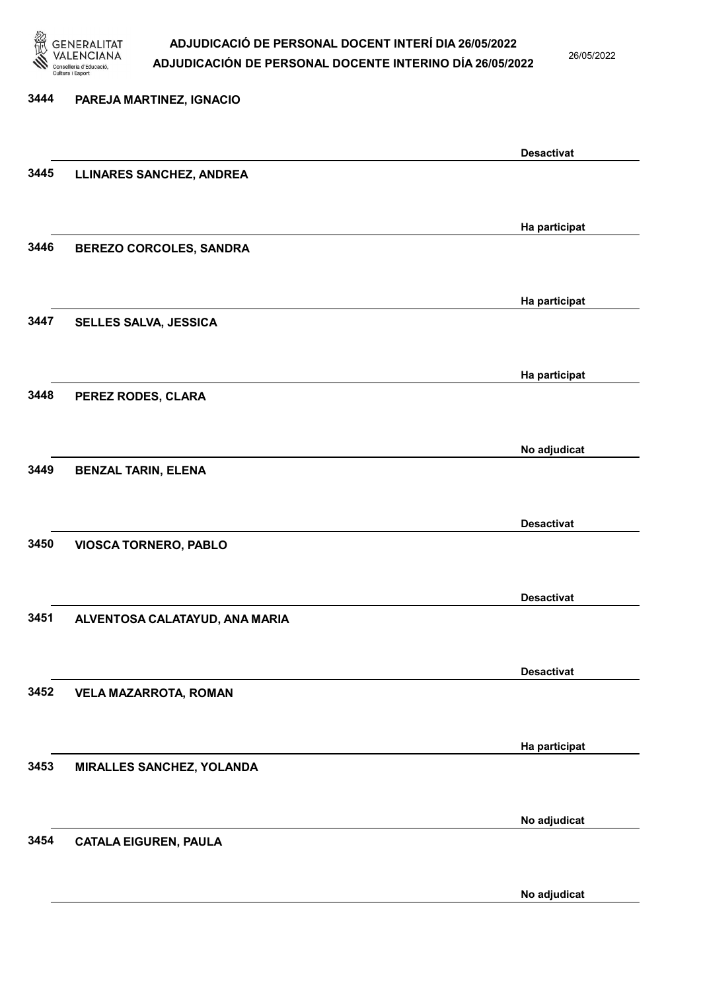

26/05/2022

# 3444 PAREJA MARTINEZ, IGNACIO Desactivat 3445 LLINARES SANCHEZ, ANDREA Ha participat 3446 BEREZO CORCOLES, SANDRA Ha participat 3447 SELLES SALVA, JESSICA Ha participat 3448 PEREZ RODES, CLARA No adjudicat 3449 BENZAL TARIN, ELENA Desactivat 3450 VIOSCA TORNERO, PABLO Desactivat 3451 ALVENTOSA CALATAYUD, ANA MARIA Desactivat 3452 VELA MAZARROTA, ROMAN Ha participat 3453 MIRALLES SANCHEZ, YOLANDA No adjudicat 3454 CATALA EIGUREN, PAULA

No adjudicat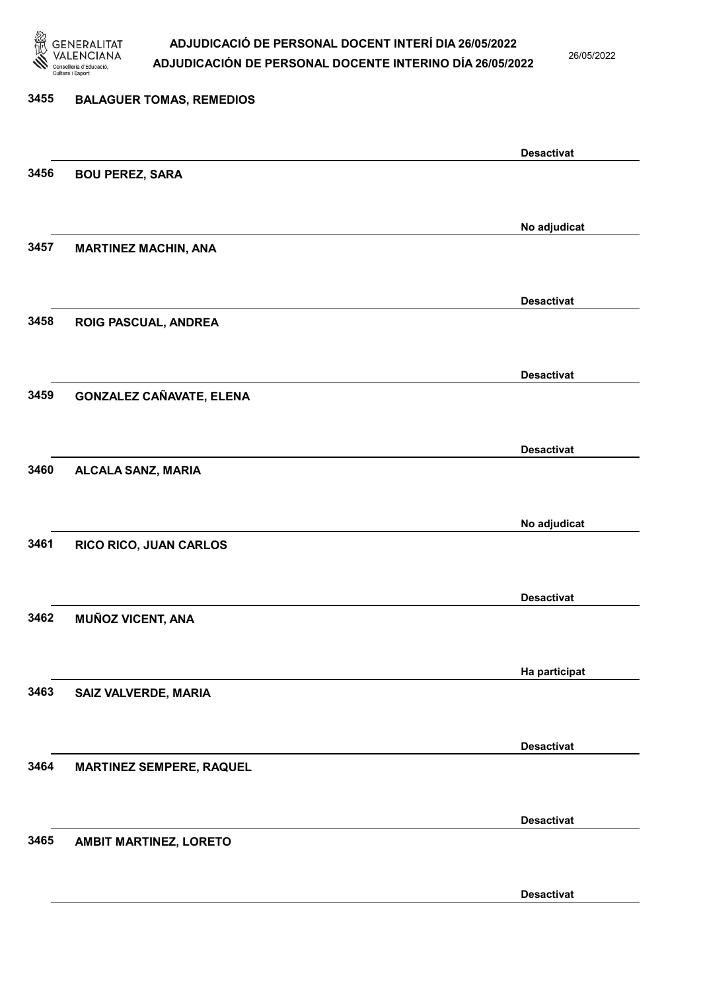

26/05/2022

Desactivat

# 3455 BALAGUER TOMAS, REMEDIOS Desactivat 3456 BOU PEREZ, SARA No adjudicat 3457 MARTINEZ MACHIN, ANA Desactivat 3458 ROIG PASCUAL, ANDREA Desactivat 3459 GONZALEZ CAÑAVATE, ELENA Desactivat 3460 ALCALA SANZ, MARIA No adjudicat 3461 RICO RICO, JUAN CARLOS Desactivat 3462 MUÑOZ VICENT, ANA Ha participat 3463 SAIZ VALVERDE, MARIA Desactivat 3464 MARTINEZ SEMPERE, RAQUEL Desactivat 3465 AMBIT MARTINEZ, LORETO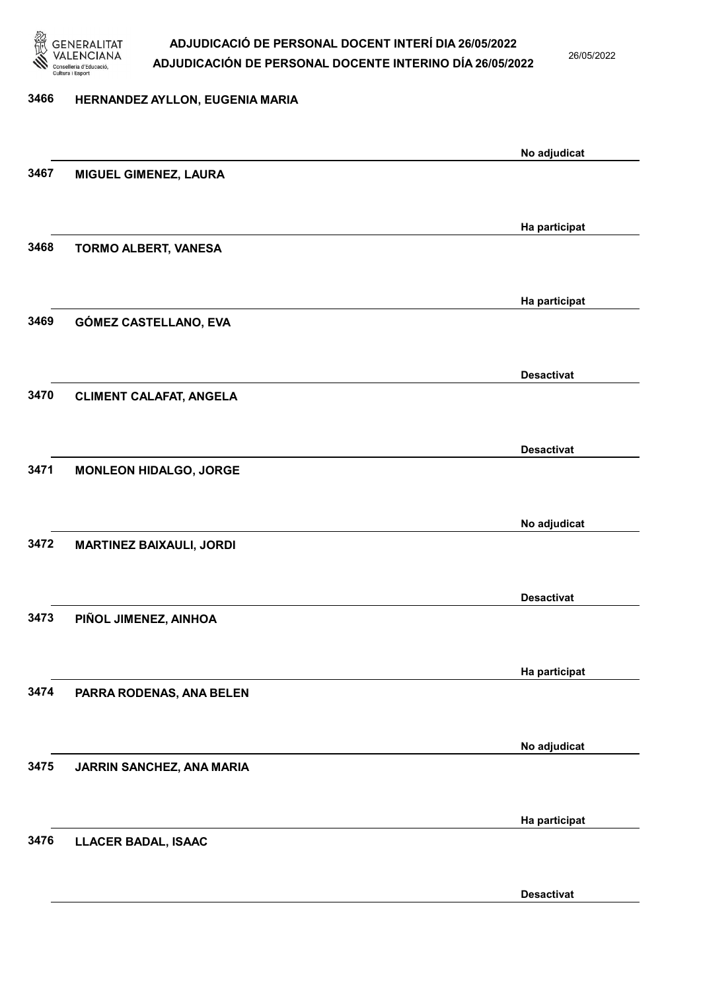

26/05/2022

### 3466 HERNANDEZ AYLLON, EUGENIA MARIA

|      |                                 | No adjudicat      |
|------|---------------------------------|-------------------|
| 3467 | MIGUEL GIMENEZ, LAURA           |                   |
|      |                                 |                   |
|      |                                 | Ha participat     |
| 3468 | <b>TORMO ALBERT, VANESA</b>     |                   |
|      |                                 |                   |
|      |                                 | Ha participat     |
| 3469 | GÓMEZ CASTELLANO, EVA           |                   |
|      |                                 |                   |
|      |                                 |                   |
| 3470 | <b>CLIMENT CALAFAT, ANGELA</b>  | <b>Desactivat</b> |
|      |                                 |                   |
|      |                                 |                   |
|      |                                 | <b>Desactivat</b> |
| 3471 | <b>MONLEON HIDALGO, JORGE</b>   |                   |
|      |                                 |                   |
|      |                                 | No adjudicat      |
| 3472 | <b>MARTINEZ BAIXAULI, JORDI</b> |                   |
|      |                                 |                   |
|      |                                 | <b>Desactivat</b> |
| 3473 | PIÑOL JIMENEZ, AINHOA           |                   |
|      |                                 |                   |
|      |                                 | Ha participat     |
| 3474 | PARRA RODENAS, ANA BELEN        |                   |
|      |                                 |                   |
|      |                                 | No adjudicat      |
| 3475 | JARRIN SANCHEZ, ANA MARIA       |                   |
|      |                                 |                   |
|      |                                 | Ha participat     |
| 3476 | <b>LLACER BADAL, ISAAC</b>      |                   |
|      |                                 |                   |
|      |                                 |                   |
|      |                                 | <b>Desactivat</b> |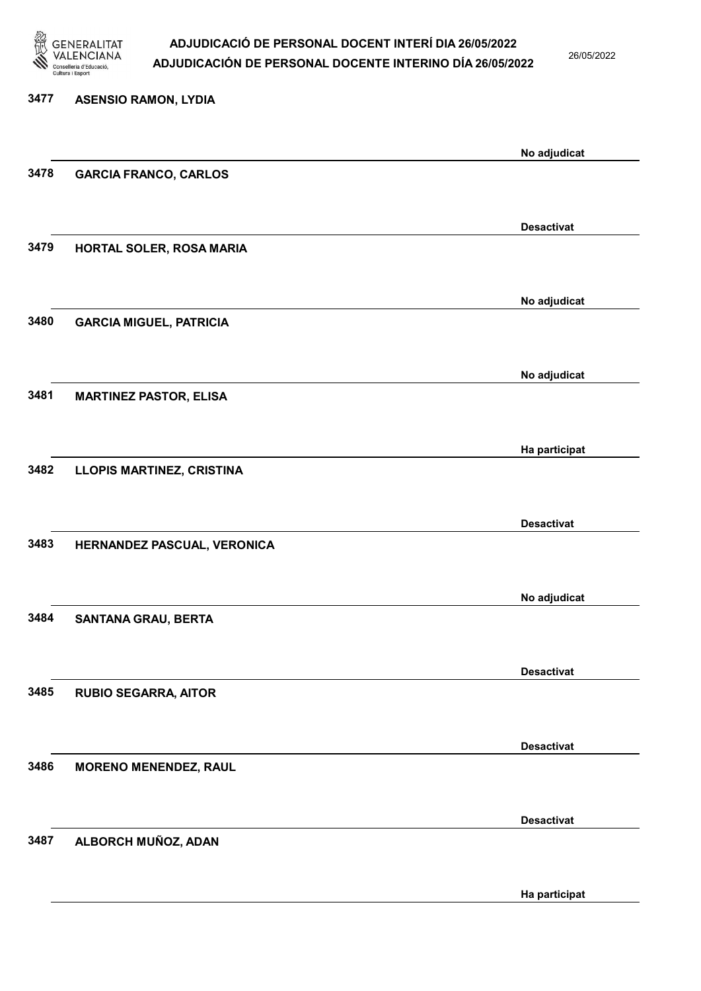

26/05/2022

Ha participat

# 3477 ASENSIO RAMON, LYDIA No adjudicat 3478 GARCIA FRANCO, CARLOS Desactivat 3479 HORTAL SOLER, ROSA MARIA No adjudicat 3480 GARCIA MIGUEL, PATRICIA No adjudicat 3481 MARTINEZ PASTOR, ELISA Ha participat 3482 LLOPIS MARTINEZ, CRISTINA Desactivat 3483 HERNANDEZ PASCUAL, VERONICA No adjudicat 3484 SANTANA GRAU, BERTA Desactivat 3485 RUBIO SEGARRA, AITOR Desactivat 3486 MORENO MENENDEZ, RAUL Desactivat 3487 ALBORCH MUÑOZ, ADAN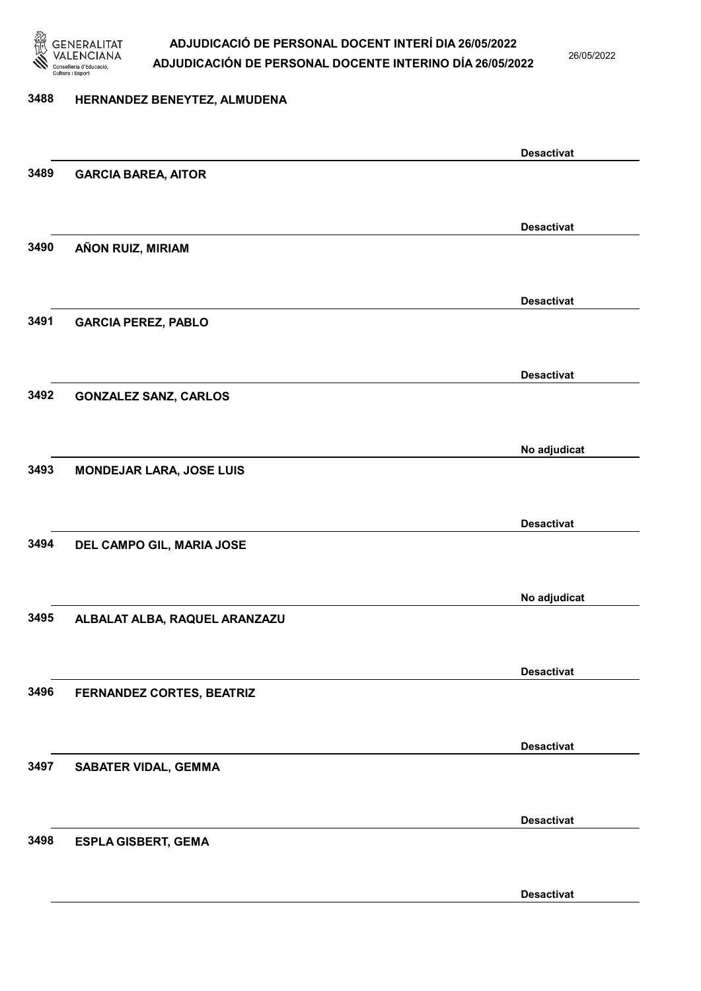

26/05/2022

#### 3488 HERNANDEZ BENEYTEZ, ALMUDENA

|      |                                 | <b>Desactivat</b> |
|------|---------------------------------|-------------------|
| 3489 | <b>GARCIA BAREA, AITOR</b>      |                   |
|      |                                 |                   |
|      |                                 | <b>Desactivat</b> |
| 3490 | AÑON RUIZ, MIRIAM               |                   |
|      |                                 |                   |
|      |                                 |                   |
|      |                                 | <b>Desactivat</b> |
| 3491 | <b>GARCIA PEREZ, PABLO</b>      |                   |
|      |                                 |                   |
|      |                                 | <b>Desactivat</b> |
| 3492 | <b>GONZALEZ SANZ, CARLOS</b>    |                   |
|      |                                 |                   |
|      |                                 |                   |
|      |                                 | No adjudicat      |
| 3493 | <b>MONDEJAR LARA, JOSE LUIS</b> |                   |
|      |                                 |                   |
|      |                                 | <b>Desactivat</b> |
| 3494 | DEL CAMPO GIL, MARIA JOSE       |                   |
|      |                                 |                   |
|      |                                 |                   |
|      |                                 | No adjudicat      |
| 3495 | ALBALAT ALBA, RAQUEL ARANZAZU   |                   |
|      |                                 |                   |
|      |                                 | <b>Desactivat</b> |
| 3496 | FERNANDEZ CORTES, BEATRIZ       |                   |
|      |                                 |                   |
|      |                                 |                   |
|      |                                 | <b>Desactivat</b> |
| 3497 | <b>SABATER VIDAL, GEMMA</b>     |                   |
|      |                                 |                   |
|      |                                 | <b>Desactivat</b> |
| 3498 | <b>ESPLA GISBERT, GEMA</b>      |                   |
|      |                                 |                   |
|      |                                 |                   |
|      |                                 | <b>Desactivat</b> |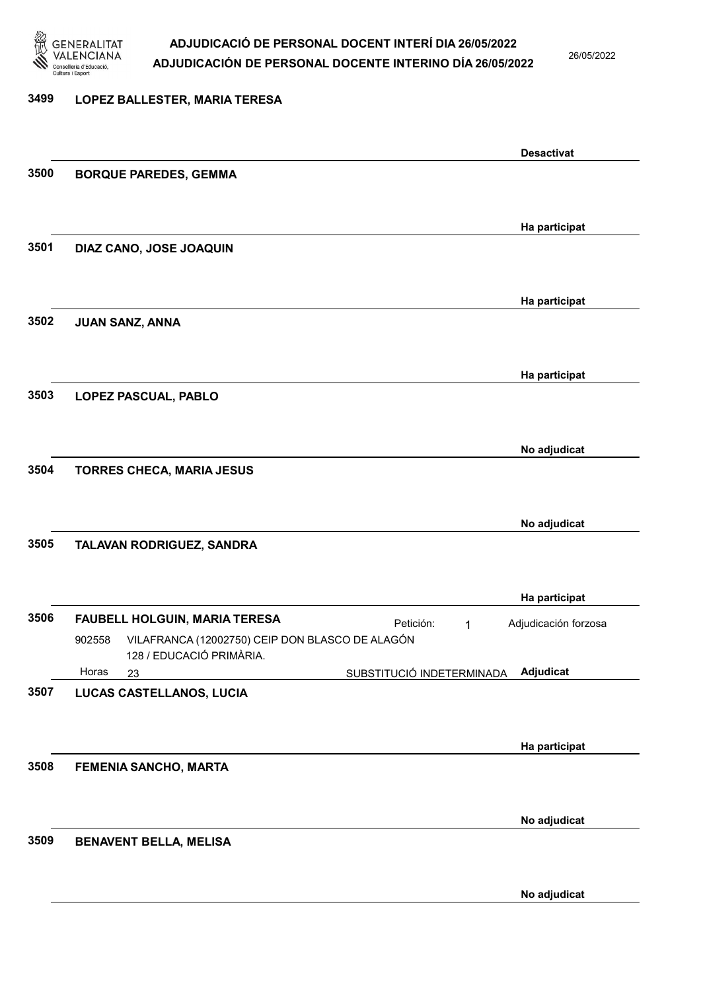

26/05/2022

#### 3499 LOPEZ BALLESTER, MARIA TERESA

|      |                                                                                       |                           | <b>Desactivat</b>    |
|------|---------------------------------------------------------------------------------------|---------------------------|----------------------|
| 3500 | <b>BORQUE PAREDES, GEMMA</b>                                                          |                           |                      |
|      |                                                                                       |                           |                      |
|      |                                                                                       |                           | Ha participat        |
| 3501 | DIAZ CANO, JOSE JOAQUIN                                                               |                           |                      |
|      |                                                                                       |                           |                      |
|      |                                                                                       |                           | Ha participat        |
| 3502 | <b>JUAN SANZ, ANNA</b>                                                                |                           |                      |
|      |                                                                                       |                           |                      |
|      |                                                                                       |                           | Ha participat        |
| 3503 | LOPEZ PASCUAL, PABLO                                                                  |                           |                      |
|      |                                                                                       |                           |                      |
|      |                                                                                       |                           |                      |
| 3504 | TORRES CHECA, MARIA JESUS                                                             |                           | No adjudicat         |
|      |                                                                                       |                           |                      |
|      |                                                                                       |                           |                      |
| 3505 |                                                                                       |                           | No adjudicat         |
|      | TALAVAN RODRIGUEZ, SANDRA                                                             |                           |                      |
|      |                                                                                       |                           |                      |
|      |                                                                                       |                           | Ha participat        |
| 3506 | <b>FAUBELL HOLGUIN, MARIA TERESA</b>                                                  | Petición:<br>1            | Adjudicación forzosa |
|      | VILAFRANCA (12002750) CEIP DON BLASCO DE ALAGÓN<br>902558<br>128 / EDUCACIÓ PRIMÀRIA. |                           |                      |
|      | Horas<br>23                                                                           | SUBSTITUCIÓ INDETERMINADA | Adjudicat            |
| 3507 | LUCAS CASTELLANOS, LUCIA                                                              |                           |                      |
|      |                                                                                       |                           |                      |
|      |                                                                                       |                           | Ha participat        |
| 3508 | FEMENIA SANCHO, MARTA                                                                 |                           |                      |
|      |                                                                                       |                           |                      |
|      |                                                                                       |                           | No adjudicat         |
| 3509 | <b>BENAVENT BELLA, MELISA</b>                                                         |                           |                      |
|      |                                                                                       |                           |                      |
|      |                                                                                       |                           |                      |
|      |                                                                                       |                           | No adjudicat         |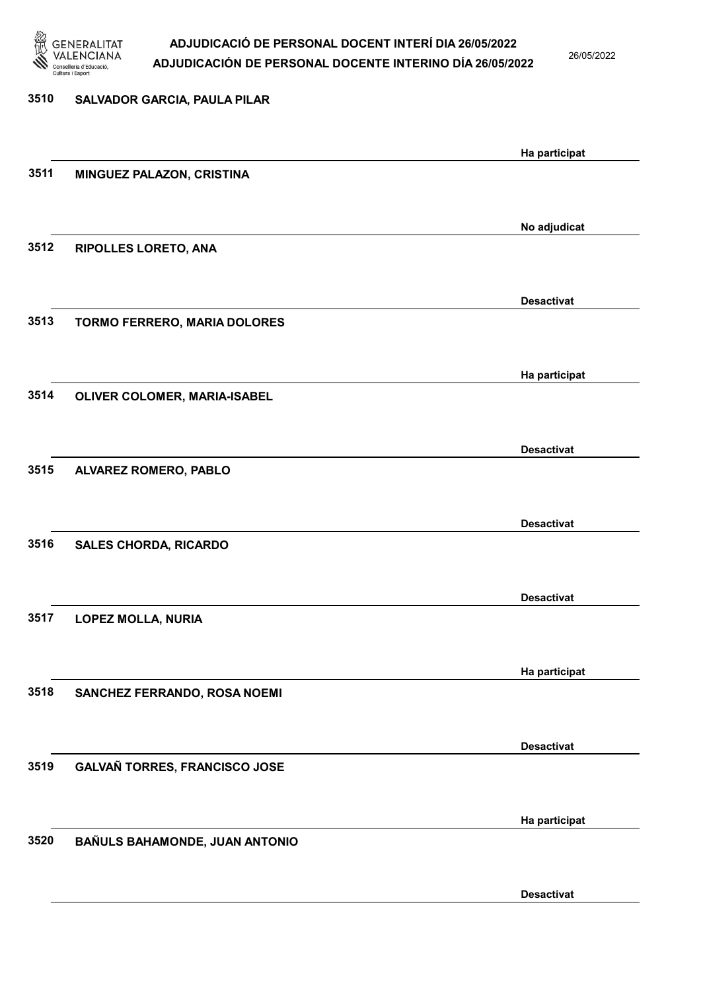

26/05/2022

| 3510 | <b>SALVADOR GARCIA, PAULA PILAR</b> |                   |
|------|-------------------------------------|-------------------|
|      |                                     | Ha participat     |
| 3511 | MINGUEZ PALAZON, CRISTINA           |                   |
|      |                                     | No adjudicat      |
| 3512 | RIPOLLES LORETO, ANA                |                   |
|      |                                     | <b>Desactivat</b> |
| 3513 | <b>TORMO FERRERO, MARIA DOLORES</b> |                   |
| 3514 |                                     | Ha participat     |
|      | OLIVER COLOMER, MARIA-ISABEL        |                   |
| 3515 | ALVAREZ ROMERO, PABLO               | <b>Desactivat</b> |
|      |                                     |                   |
| 3516 | <b>SALES CHORDA, RICARDO</b>        | <b>Desactivat</b> |
|      |                                     |                   |
| 3517 | <b>LOPEZ MOLLA, NURIA</b>           | <b>Desactivat</b> |
|      |                                     |                   |
| 3518 | SANCHEZ FERRANDO, ROSA NOEMI        | Ha participat     |
|      |                                     | <b>Desactivat</b> |
| 3519 | GALVAÑ TORRES, FRANCISCO JOSE       |                   |
|      |                                     | Ha participat     |
| 3520 | BAÑULS BAHAMONDE, JUAN ANTONIO      |                   |
|      |                                     | <b>Desactivat</b> |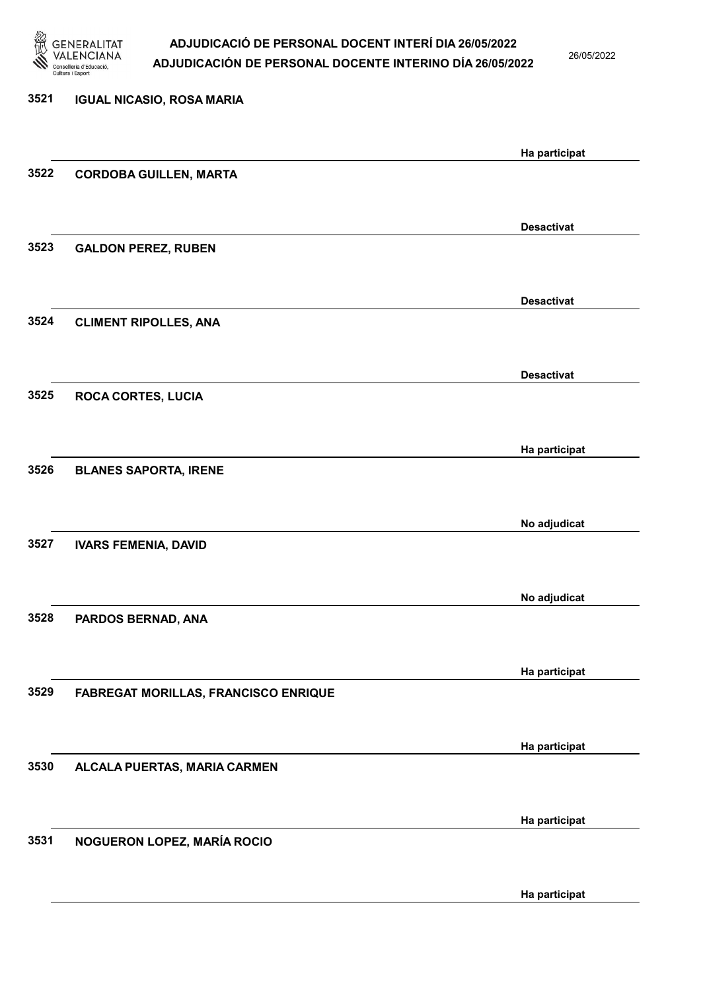

26/05/2022

| 3521 | <b>IGUAL NICASIO, ROSA MARIA</b>            |                   |
|------|---------------------------------------------|-------------------|
|      |                                             | Ha participat     |
| 3522 | <b>CORDOBA GUILLEN, MARTA</b>               |                   |
|      |                                             | <b>Desactivat</b> |
| 3523 | <b>GALDON PEREZ, RUBEN</b>                  |                   |
|      |                                             | <b>Desactivat</b> |
| 3524 | <b>CLIMENT RIPOLLES, ANA</b>                |                   |
|      |                                             | <b>Desactivat</b> |
| 3525 | <b>ROCA CORTES, LUCIA</b>                   |                   |
|      |                                             | Ha participat     |
| 3526 | <b>BLANES SAPORTA, IRENE</b>                |                   |
|      |                                             | No adjudicat      |
| 3527 | <b>IVARS FEMENIA, DAVID</b>                 |                   |
|      |                                             | No adjudicat      |
| 3528 | PARDOS BERNAD, ANA                          |                   |
|      |                                             | Ha participat     |
| 3529 | <b>FABREGAT MORILLAS, FRANCISCO ENRIQUE</b> |                   |
|      |                                             | Ha participat     |
| 3530 | ALCALA PUERTAS, MARIA CARMEN                |                   |
|      |                                             | Ha participat     |
| 3531 | NOGUERON LOPEZ, MARÍA ROCIO                 |                   |
|      |                                             |                   |
|      |                                             | Ha participat     |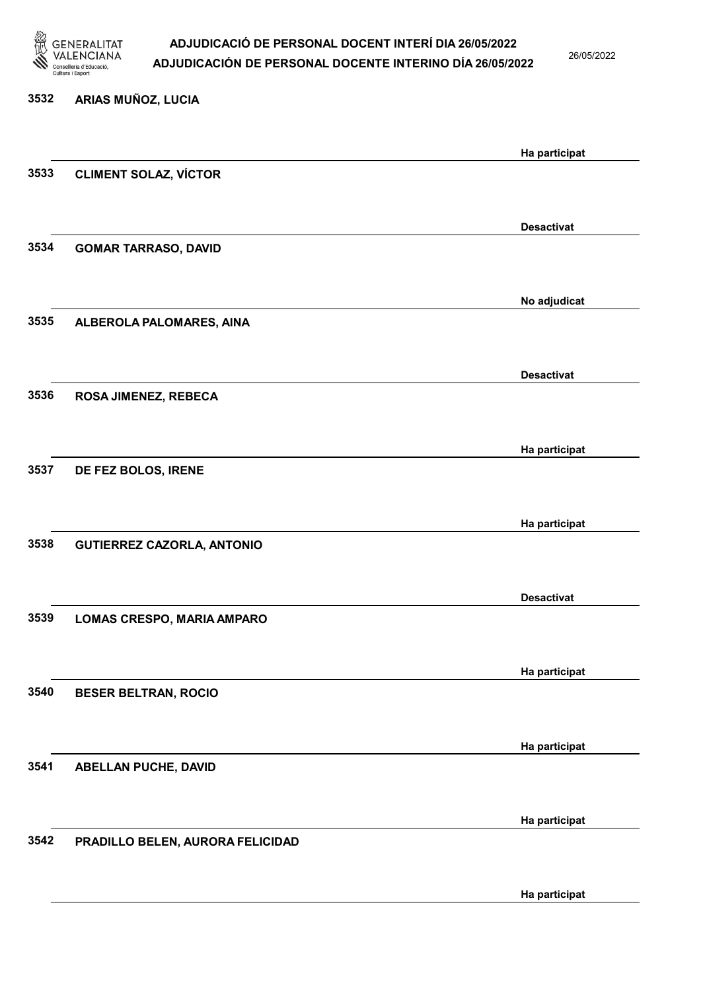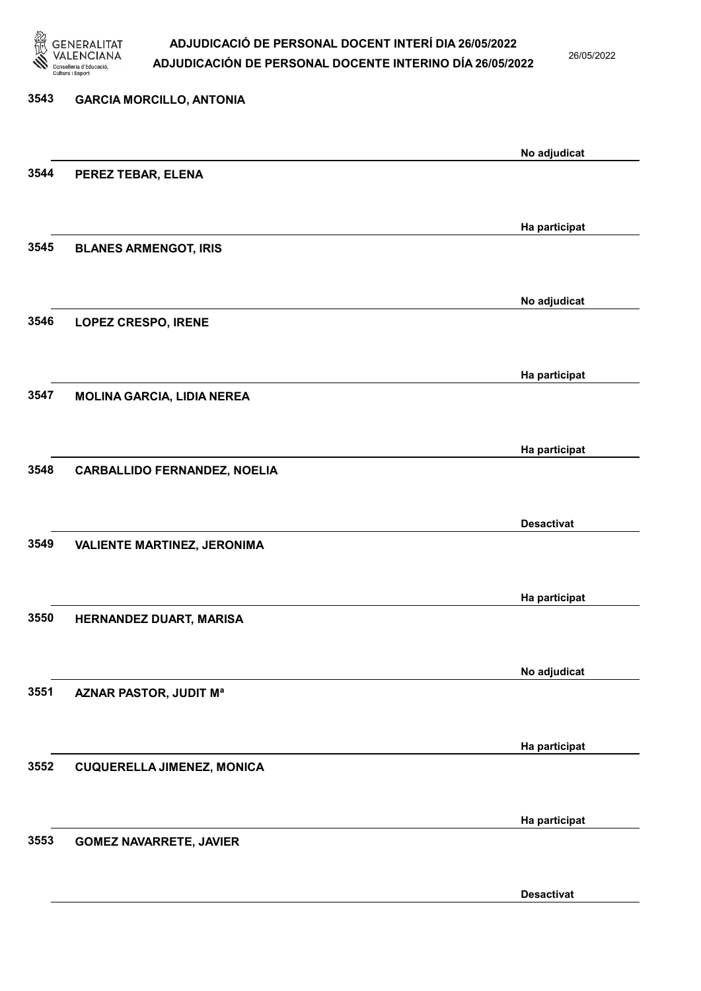

26/05/2022

Desactivat

# 3543 GARCIA MORCILLO, ANTONIA No adjudicat 3544 PEREZ TEBAR, ELENA Ha participat 3545 BLANES ARMENGOT, IRIS No adjudicat 3546 LOPEZ CRESPO, IRENE Ha participat 3547 MOLINA GARCIA, LIDIA NEREA Ha participat 3548 CARBALLIDO FERNANDEZ, NOELIA Desactivat 3549 VALIENTE MARTINEZ, JERONIMA Ha participat 3550 HERNANDEZ DUART, MARISA No adjudicat 3551 AZNAR PASTOR, JUDIT Mª Ha participat 3552 CUQUERELLA JIMENEZ, MONICA Ha participat 3553 GOMEZ NAVARRETE, JAVIER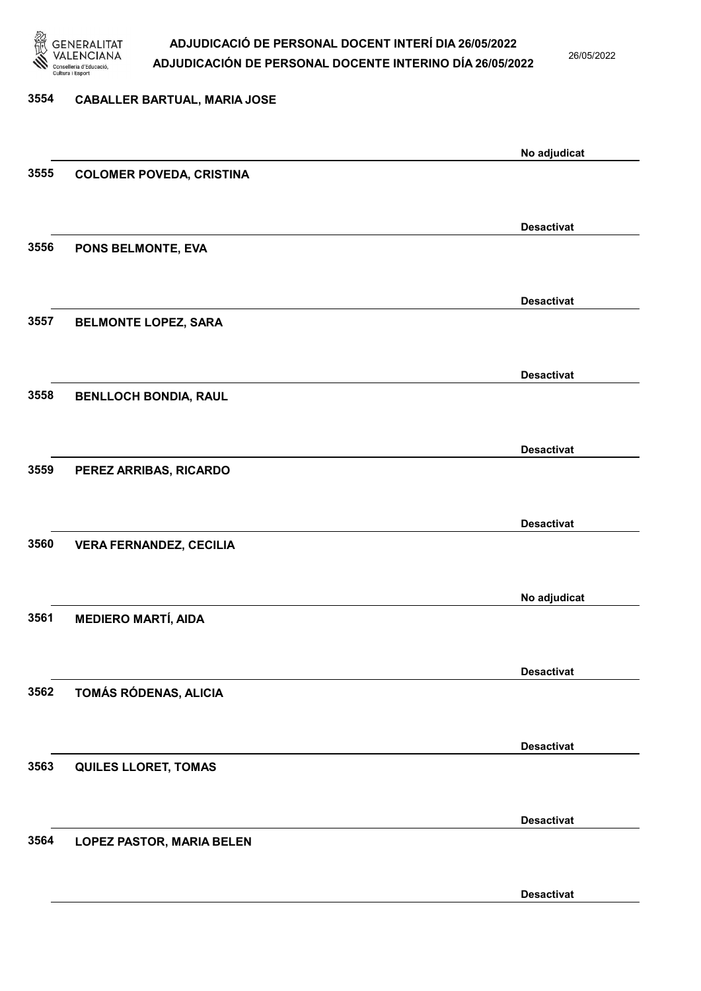

26/05/2022

Desactivat

# 3554 CABALLER BARTUAL, MARIA JOSE No adjudicat 3555 COLOMER POVEDA, CRISTINA Desactivat 3556 PONS BELMONTE, EVA Desactivat 3557 BELMONTE LOPEZ, SARA Desactivat 3558 BENLLOCH BONDIA, RAUL Desactivat 3559 PEREZ ARRIBAS, RICARDO Desactivat 3560 VERA FERNANDEZ, CECILIA No adjudicat 3561 MEDIERO MARTÍ, AIDA Desactivat 3562 TOMÁS RÓDENAS, ALICIA Desactivat 3563 QUILES LLORET, TOMAS Desactivat 3564 LOPEZ PASTOR, MARIA BELEN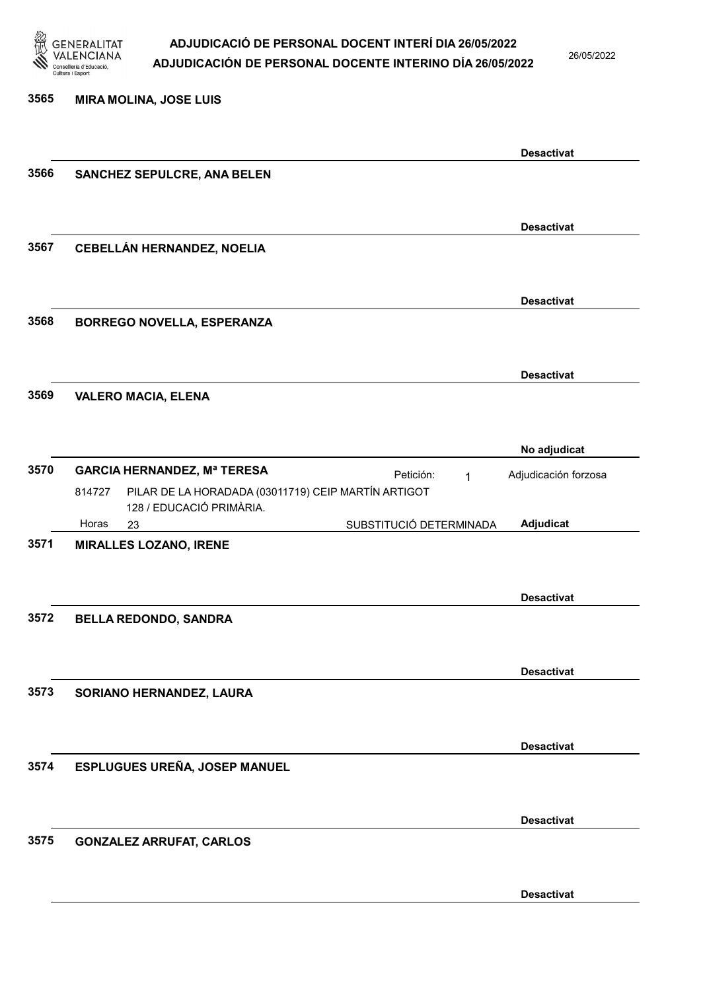

3565 MIRA MOLINA, JOSE LUIS

#### ADJUDICACIÓ DE PERSONAL DOCENT INTERÍ DIA 26/05/2022 ADJUDICACIÓN DE PERSONAL DOCENTE INTERINO DÍA 26/05/2022

26/05/2022

### Desactivat 3566 SANCHEZ SEPULCRE, ANA BELEN Desactivat 3567 CEBELLÁN HERNANDEZ, NOELIA Desactivat 3568 BORREGO NOVELLA, ESPERANZA Desactivat 3569 VALERO MACIA, ELENA No adjudicat 3570 GARCIA HERNANDEZ, Mª TERESA Petición: 1 23 SUBSTITUCIÓ DETERMINADA PILAR DE LA HORADADA (03011719) CEIP MARTÍN ARTIGOT 128 / EDUCACIÓ PRIMÀRIA. Adjudicat Adjudicación forzosa 814727 Horas 3571 MIRALLES LOZANO, IRENE Desactivat 3572 BELLA REDONDO, SANDRA Desactivat 3573 SORIANO HERNANDEZ, LAURA Desactivat 3574 ESPLUGUES UREÑA, JOSEP MANUEL Desactivat 3575 GONZALEZ ARRUFAT, CARLOS Desactivat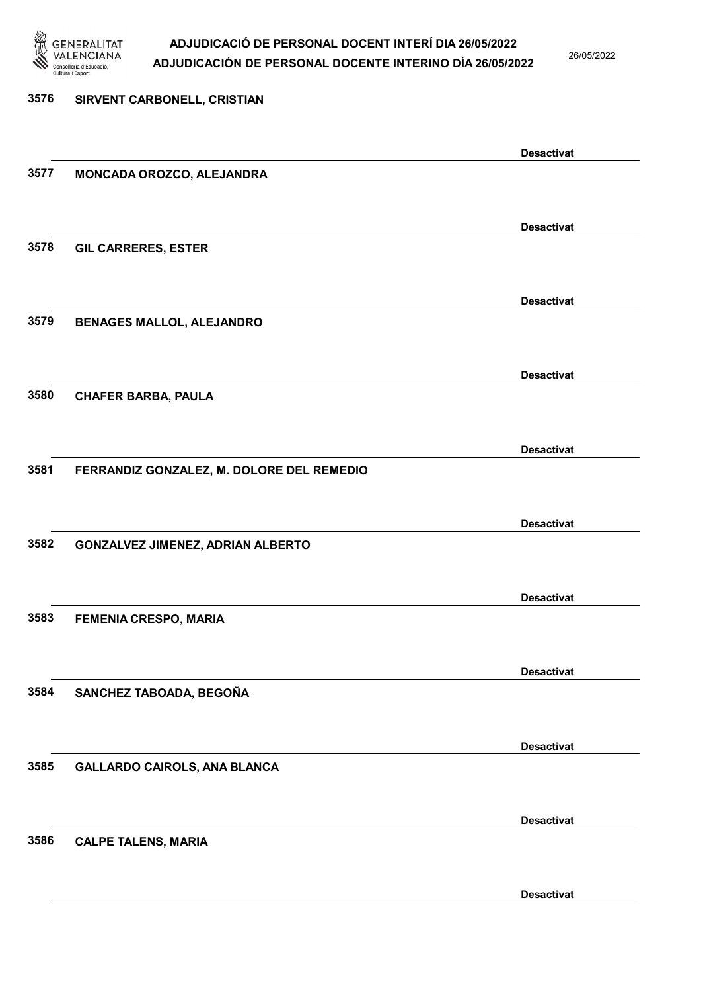

26/05/2022

# 3576 SIRVENT CARBONELL, CRISTIAN Desactivat 3577 MONCADA OROZCO, ALEJANDRA Desactivat 3578 GIL CARRERES, ESTER Desactivat 3579 BENAGES MALLOL, ALEJANDRO Desactivat 3580 CHAFER BARBA, PAULA Desactivat 3581 FERRANDIZ GONZALEZ, M. DOLORE DEL REMEDIO Desactivat 3582 GONZALVEZ JIMENEZ, ADRIAN ALBERTO Desactivat 3583 FEMENIA CRESPO, MARIA Desactivat 3584 SANCHEZ TABOADA, BEGOÑA Desactivat 3585 GALLARDO CAIROLS, ANA BLANCA Desactivat 3586 CALPE TALENS, MARIA

Desactivat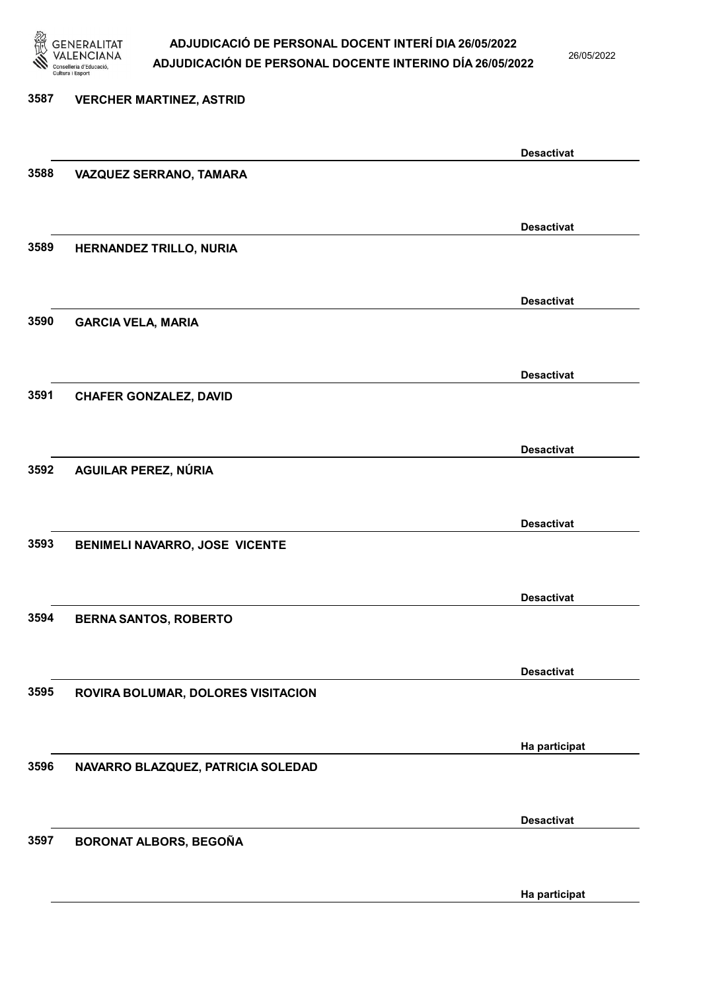

26/05/2022

## 3587 VERCHER MARTINEZ, ASTRID Desactivat 3588 VAZQUEZ SERRANO, TAMARA Desactivat 3589 HERNANDEZ TRILLO, NURIA Desactivat 3590 GARCIA VELA, MARIA Desactivat 3591 CHAFER GONZALEZ, DAVID Desactivat 3592 AGUILAR PEREZ, NÚRIA Desactivat 3593 BENIMELI NAVARRO, JOSE VICENTE Desactivat 3594 BERNA SANTOS, ROBERTO Desactivat 3595 ROVIRA BOLUMAR, DOLORES VISITACION Ha participat 3596 NAVARRO BLAZQUEZ, PATRICIA SOLEDAD Desactivat 3597 BORONAT ALBORS, BEGOÑA Ha participat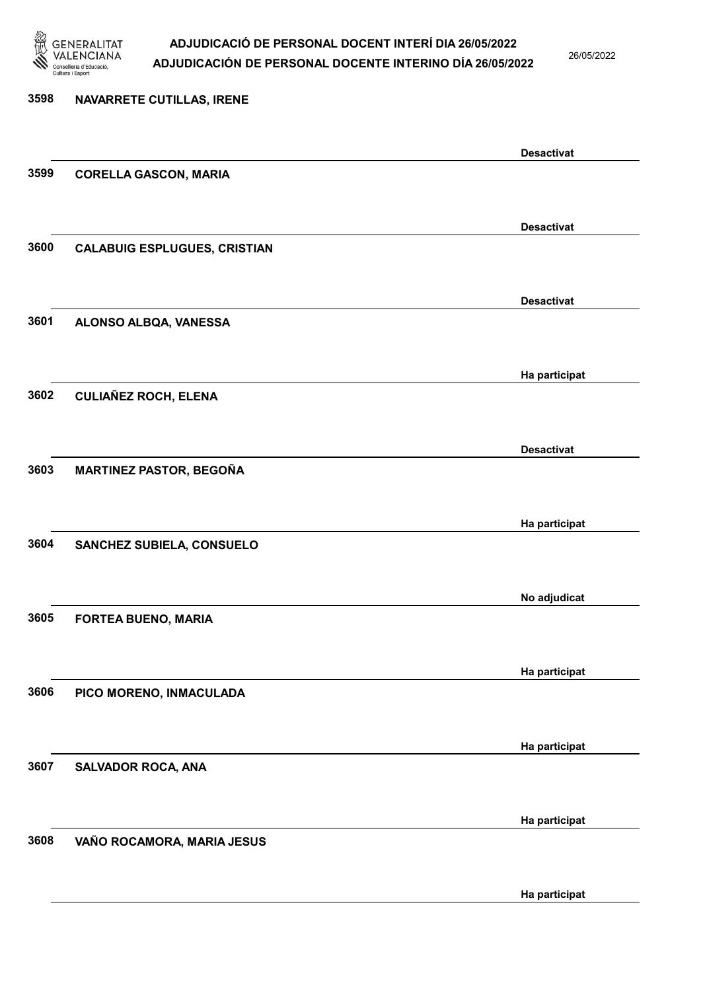

26/05/2022

Ha participat

# 3598 NAVARRETE CUTILLAS, IRENE Desactivat 3599 CORELLA GASCON, MARIA Desactivat 3600 CALABUIG ESPLUGUES, CRISTIAN Desactivat 3601 ALONSO ALBQA, VANESSA Ha participat 3602 CULIAÑEZ ROCH, ELENA Desactivat 3603 MARTINEZ PASTOR, BEGOÑA Ha participat 3604 SANCHEZ SUBIELA, CONSUELO No adjudicat 3605 FORTEA BUENO, MARIA Ha participat 3606 PICO MORENO, INMACULADA Ha participat 3607 SALVADOR ROCA, ANA Ha participat 3608 VAÑO ROCAMORA, MARIA JESUS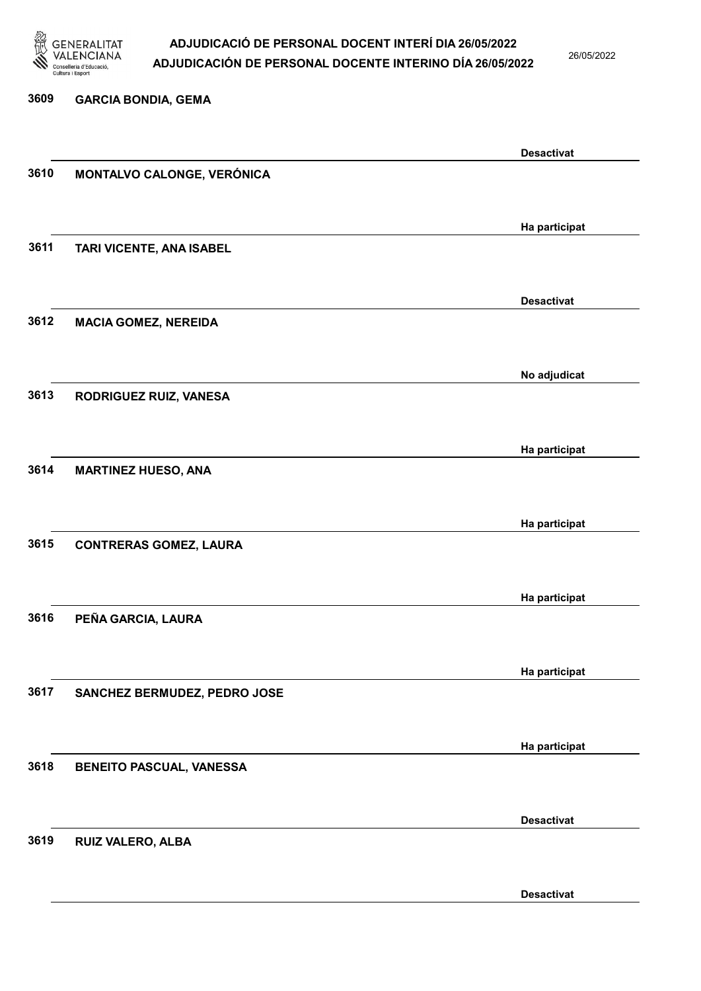

26/05/2022

Desactivat

# 3609 GARCIA BONDIA, GEMA Desactivat 3610 MONTALVO CALONGE, VERÓNICA Ha participat 3611 TARI VICENTE, ANA ISABEL Desactivat 3612 MACIA GOMEZ, NEREIDA No adjudicat 3613 RODRIGUEZ RUIZ, VANESA Ha participat 3614 MARTINEZ HUESO, ANA Ha participat 3615 CONTRERAS GOMEZ, LAURA Ha participat 3616 PEÑA GARCIA, LAURA Ha participat 3617 SANCHEZ BERMUDEZ, PEDRO JOSE Ha participat 3618 BENEITO PASCUAL, VANESSA Desactivat 3619 RUIZ VALERO, ALBA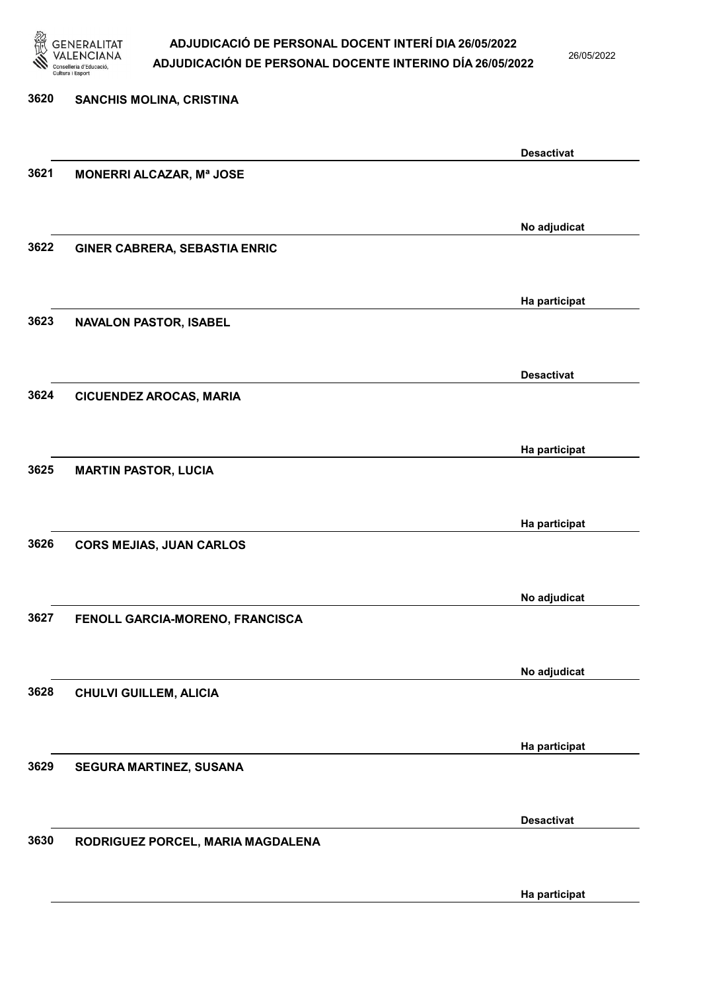

26/05/2022

| 3620 | SANCHIS MOLINA, CRISTINA             |                   |
|------|--------------------------------------|-------------------|
|      |                                      | <b>Desactivat</b> |
| 3621 | <b>MONERRI ALCAZAR, Mª JOSE</b>      |                   |
|      |                                      | No adjudicat      |
| 3622 | <b>GINER CABRERA, SEBASTIA ENRIC</b> |                   |
|      |                                      | Ha participat     |
| 3623 | <b>NAVALON PASTOR, ISABEL</b>        |                   |
| 3624 | <b>CICUENDEZ AROCAS, MARIA</b>       | <b>Desactivat</b> |
|      |                                      |                   |
| 3625 | <b>MARTIN PASTOR, LUCIA</b>          | Ha participat     |
|      |                                      |                   |
| 3626 | <b>CORS MEJIAS, JUAN CARLOS</b>      | Ha participat     |
|      |                                      |                   |
| 3627 | FENOLL GARCIA-MORENO, FRANCISCA      | No adjudicat      |
|      |                                      | No adjudicat      |
| 3628 | <b>CHULVI GUILLEM, ALICIA</b>        |                   |
|      |                                      | Ha participat     |
| 3629 | SEGURA MARTINEZ, SUSANA              |                   |
|      |                                      | <b>Desactivat</b> |
| 3630 | RODRIGUEZ PORCEL, MARIA MAGDALENA    |                   |
|      |                                      | Ha participat     |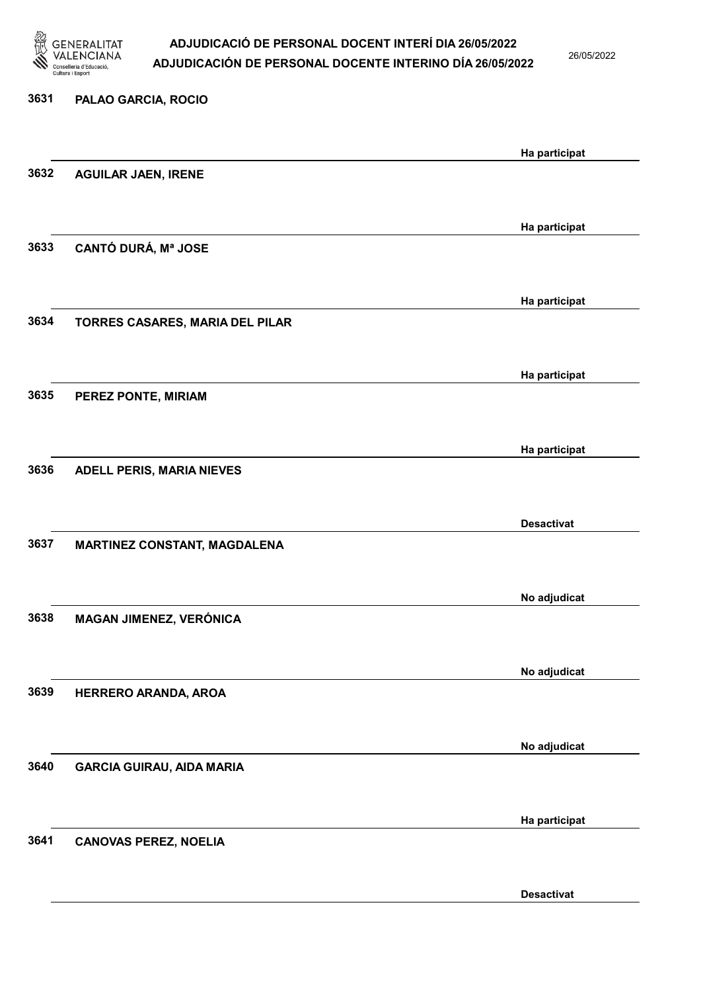

26/05/2022

# 3631 PALAO GARCIA, ROCIO Ha participat 3632 AGUILAR JAEN, IRENE Ha participat 3633 CANTÓ DURÁ, Mª JOSE Ha participat 3634 TORRES CASARES, MARIA DEL PILAR Ha participat 3635 PEREZ PONTE, MIRIAM Ha participat 3636 ADELL PERIS, MARIA NIEVES Desactivat 3637 MARTINEZ CONSTANT, MAGDALENA No adjudicat 3638 MAGAN JIMENEZ, VERÓNICA No adjudicat 3639 HERRERO ARANDA, AROA No adjudicat 3640 GARCIA GUIRAU, AIDA MARIA Ha participat 3641 CANOVAS PEREZ, NOELIA

Desactivat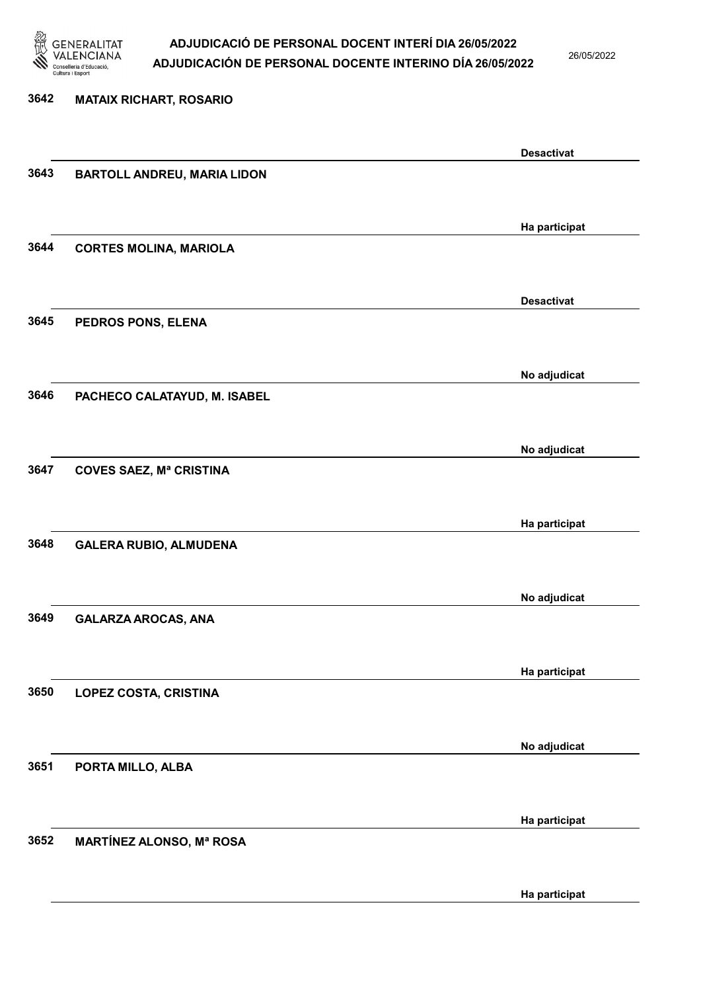

26/05/2022

Ha participat

# 3642 MATAIX RICHART, ROSARIO Desactivat 3643 BARTOLL ANDREU, MARIA LIDON Ha participat 3644 CORTES MOLINA, MARIOLA Desactivat 3645 PEDROS PONS, ELENA No adjudicat 3646 PACHECO CALATAYUD, M. ISABEL No adjudicat 3647 COVES SAEZ, Mª CRISTINA Ha participat 3648 GALERA RUBIO, ALMUDENA No adjudicat 3649 GALARZA AROCAS, ANA Ha participat 3650 LOPEZ COSTA, CRISTINA No adjudicat 3651 PORTA MILLO, ALBA Ha participat 3652 MARTÍNEZ ALONSO, Mª ROSA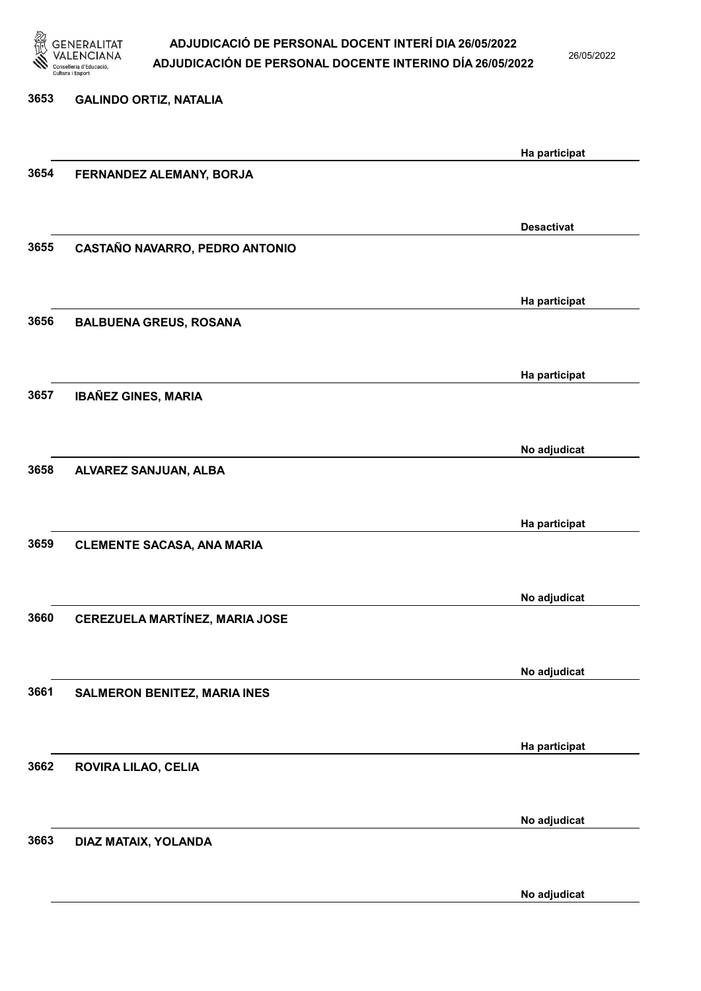

26/05/2022

| 3653 | <b>GALINDO ORTIZ, NATALIA</b>         |                   |
|------|---------------------------------------|-------------------|
|      |                                       |                   |
| 3654 | FERNANDEZ ALEMANY, BORJA              | Ha participat     |
|      |                                       |                   |
| 3655 | CASTAÑO NAVARRO, PEDRO ANTONIO        | <b>Desactivat</b> |
|      |                                       |                   |
| 3656 | <b>BALBUENA GREUS, ROSANA</b>         | Ha participat     |
|      |                                       | Ha participat     |
| 3657 | <b>IBAÑEZ GINES, MARIA</b>            |                   |
|      |                                       | No adjudicat      |
| 3658 | ALVAREZ SANJUAN, ALBA                 |                   |
|      |                                       | Ha participat     |
| 3659 | <b>CLEMENTE SACASA, ANA MARIA</b>     |                   |
|      |                                       | No adjudicat      |
| 3660 | <b>CEREZUELA MARTÍNEZ, MARIA JOSE</b> |                   |
|      |                                       | No adjudicat      |
| 3661 | SALMERON BENITEZ, MARIA INES          |                   |
|      |                                       | Ha participat     |
| 3662 | ROVIRA LILAO, CELIA                   |                   |
|      |                                       | No adjudicat      |
| 3663 | DIAZ MATAIX, YOLANDA                  |                   |
|      |                                       |                   |

No adjudicat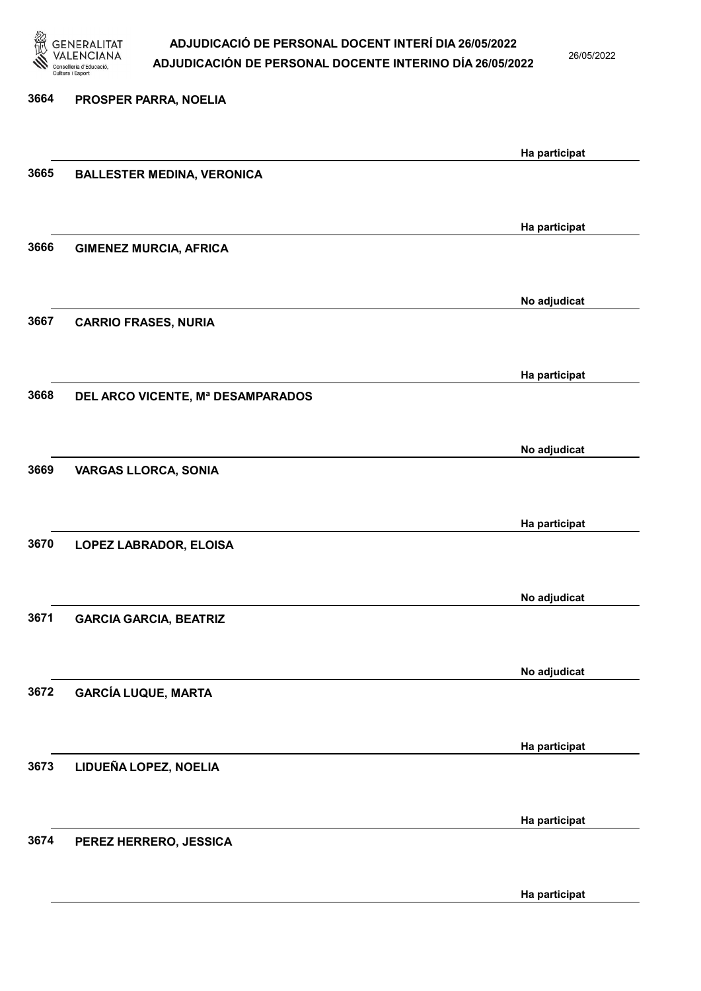

26/05/2022

| 3664 | PROSPER PARRA, NOELIA             |               |
|------|-----------------------------------|---------------|
|      |                                   | Ha participat |
| 3665 | <b>BALLESTER MEDINA, VERONICA</b> |               |
|      |                                   | Ha participat |
| 3666 | <b>GIMENEZ MURCIA, AFRICA</b>     |               |
|      |                                   | No adjudicat  |
| 3667 | <b>CARRIO FRASES, NURIA</b>       |               |
|      |                                   | Ha participat |
| 3668 | DEL ARCO VICENTE, Mª DESAMPARADOS |               |
|      |                                   | No adjudicat  |
| 3669 | <b>VARGAS LLORCA, SONIA</b>       |               |
|      |                                   | Ha participat |
| 3670 | LOPEZ LABRADOR, ELOISA            |               |
|      |                                   | No adjudicat  |
| 3671 | <b>GARCIA GARCIA, BEATRIZ</b>     |               |
|      |                                   | No adjudicat  |
| 3672 | <b>GARCÍA LUQUE, MARTA</b>        |               |
|      |                                   | Ha participat |
| 3673 | LIDUEÑA LOPEZ, NOELIA             |               |
|      |                                   | Ha participat |
| 3674 | PEREZ HERRERO, JESSICA            |               |

Ha participat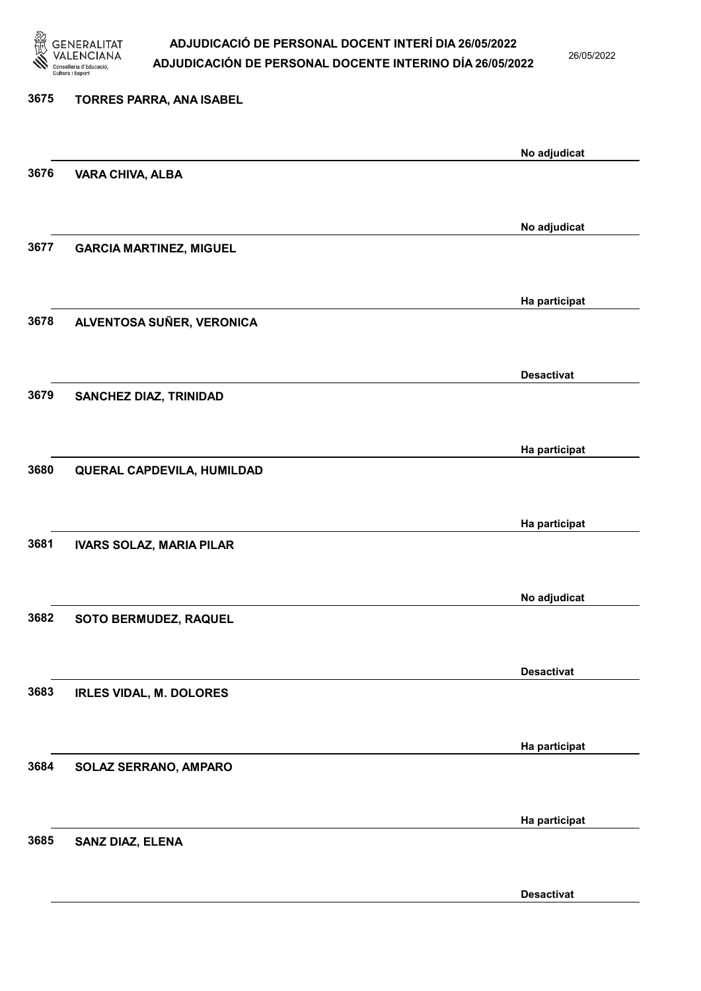

26/05/2022

| TORRES PARRA, ANA ISABEL        |                                                                                                                |
|---------------------------------|----------------------------------------------------------------------------------------------------------------|
|                                 | No adjudicat                                                                                                   |
| VARA CHIVA, ALBA                |                                                                                                                |
|                                 |                                                                                                                |
|                                 | No adjudicat                                                                                                   |
|                                 |                                                                                                                |
|                                 | Ha participat                                                                                                  |
| ALVENTOSA SUÑER, VERONICA       |                                                                                                                |
|                                 |                                                                                                                |
|                                 | <b>Desactivat</b>                                                                                              |
| SANCHEZ DIAZ, TRINIDAD          |                                                                                                                |
|                                 |                                                                                                                |
|                                 | Ha participat                                                                                                  |
|                                 |                                                                                                                |
|                                 | Ha participat                                                                                                  |
| <b>IVARS SOLAZ, MARIA PILAR</b> |                                                                                                                |
|                                 |                                                                                                                |
|                                 | No adjudicat                                                                                                   |
|                                 |                                                                                                                |
|                                 | <b>Desactivat</b>                                                                                              |
| <b>IRLES VIDAL, M. DOLORES</b>  |                                                                                                                |
|                                 |                                                                                                                |
|                                 | Ha participat                                                                                                  |
|                                 |                                                                                                                |
|                                 |                                                                                                                |
| <b>SANZ DIAZ, ELENA</b>         | Ha participat                                                                                                  |
|                                 |                                                                                                                |
|                                 | <b>GARCIA MARTINEZ, MIGUEL</b><br>QUERAL CAPDEVILA, HUMILDAD<br>SOTO BERMUDEZ, RAQUEL<br>SOLAZ SERRANO, AMPARO |

Desactivat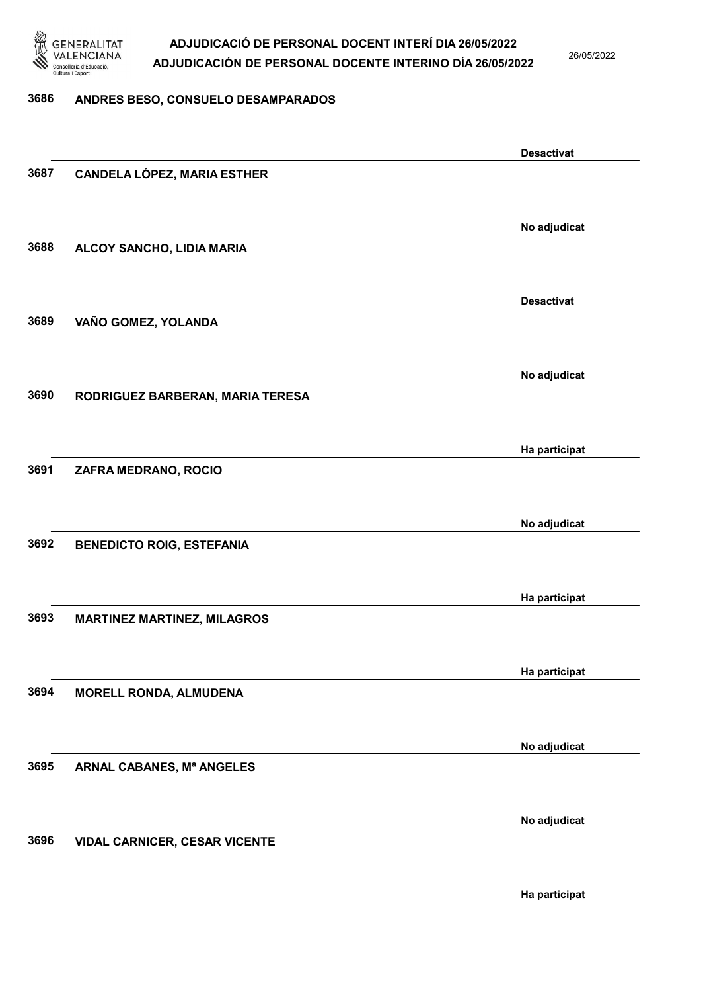

26/05/2022

#### 3686 ANDRES BESO, CONSUELO DESAMPARADOS

|      |                                      | <b>Desactivat</b> |
|------|--------------------------------------|-------------------|
| 3687 | <b>CANDELA LÓPEZ, MARIA ESTHER</b>   |                   |
|      |                                      |                   |
|      |                                      |                   |
|      |                                      | No adjudicat      |
| 3688 | ALCOY SANCHO, LIDIA MARIA            |                   |
|      |                                      |                   |
|      |                                      |                   |
|      |                                      | <b>Desactivat</b> |
| 3689 | VAÑO GOMEZ, YOLANDA                  |                   |
|      |                                      |                   |
|      |                                      |                   |
|      |                                      | No adjudicat      |
| 3690 | RODRIGUEZ BARBERAN, MARIA TERESA     |                   |
|      |                                      |                   |
|      |                                      | Ha participat     |
| 3691 | ZAFRA MEDRANO, ROCIO                 |                   |
|      |                                      |                   |
|      |                                      |                   |
|      |                                      | No adjudicat      |
| 3692 | <b>BENEDICTO ROIG, ESTEFANIA</b>     |                   |
|      |                                      |                   |
|      |                                      |                   |
|      |                                      | Ha participat     |
| 3693 | <b>MARTINEZ MARTINEZ, MILAGROS</b>   |                   |
|      |                                      |                   |
|      |                                      | Ha participat     |
| 3694 | <b>MORELL RONDA, ALMUDENA</b>        |                   |
|      |                                      |                   |
|      |                                      |                   |
|      |                                      | No adjudicat      |
| 3695 | ARNAL CABANES, Mª ANGELES            |                   |
|      |                                      |                   |
|      |                                      |                   |
|      |                                      | No adjudicat      |
| 3696 | <b>VIDAL CARNICER, CESAR VICENTE</b> |                   |
|      |                                      |                   |
|      |                                      |                   |
|      |                                      | Ha participat     |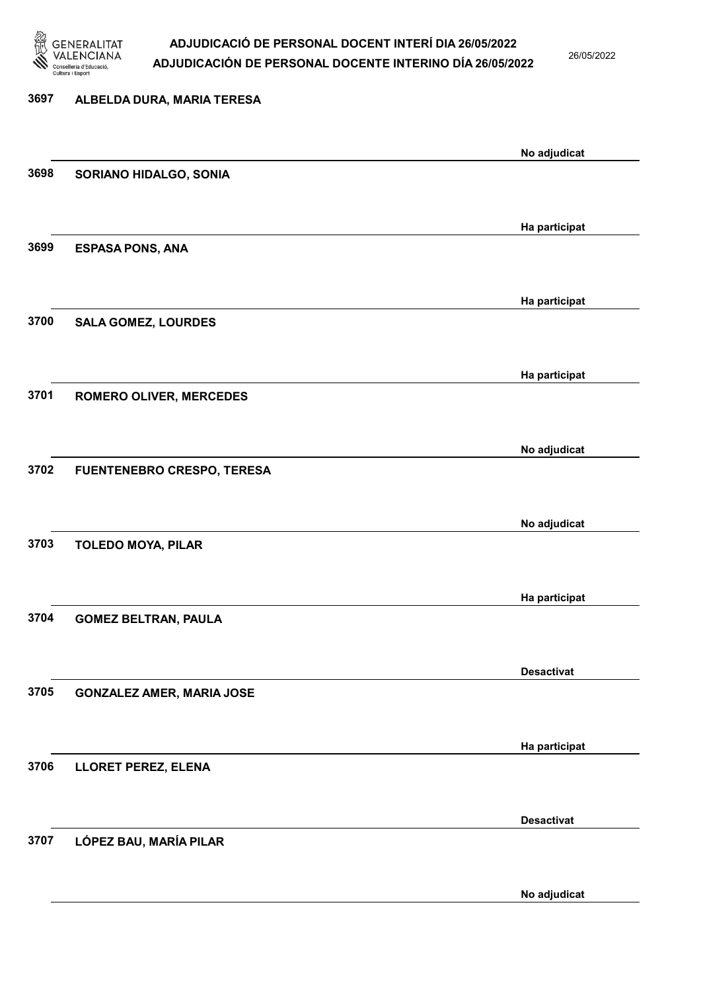

26/05/2022

No adjudicat

# 3697 ALBELDA DURA, MARIA TERESA No adjudicat 3698 SORIANO HIDALGO, SONIA Ha participat 3699 ESPASA PONS, ANA Ha participat 3700 SALA GOMEZ, LOURDES Ha participat 3701 ROMERO OLIVER, MERCEDES No adjudicat 3702 FUENTENEBRO CRESPO, TERESA No adjudicat 3703 TOLEDO MOYA, PILAR Ha participat 3704 GOMEZ BELTRAN, PAULA Desactivat 3705 GONZALEZ AMER, MARIA JOSE Ha participat 3706 LLORET PEREZ, ELENA Desactivat 3707 LÓPEZ BAU, MARÍA PILAR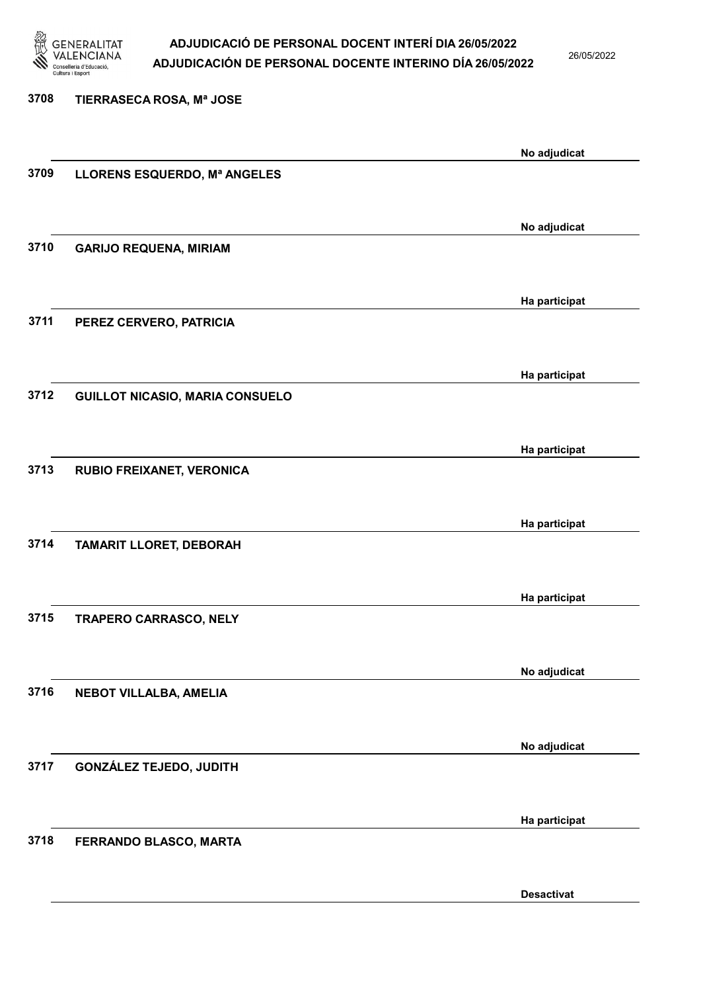

26/05/2022

| 3708 | TIERRASECA ROSA, Mª JOSE               |               |
|------|----------------------------------------|---------------|
|      |                                        | No adjudicat  |
| 3709 | LLORENS ESQUERDO, Mª ANGELES           |               |
|      |                                        | No adjudicat  |
| 3710 | <b>GARIJO REQUENA, MIRIAM</b>          |               |
|      |                                        | Ha participat |
| 3711 | PEREZ CERVERO, PATRICIA                |               |
|      |                                        | Ha participat |
| 3712 | <b>GUILLOT NICASIO, MARIA CONSUELO</b> |               |
|      |                                        | Ha participat |
| 3713 | RUBIO FREIXANET, VERONICA              |               |
|      |                                        | Ha participat |
| 3714 | <b>TAMARIT LLORET, DEBORAH</b>         |               |
|      |                                        | Ha participat |
| 3715 | <b>TRAPERO CARRASCO, NELY</b>          |               |
|      |                                        | No adjudicat  |
| 3716 | NEBOT VILLALBA, AMELIA                 |               |
|      |                                        | No adjudicat  |
| 3717 | <b>GONZÁLEZ TEJEDO, JUDITH</b>         |               |
|      |                                        | Ha participat |
| 3718 | FERRANDO BLASCO, MARTA                 |               |

Desactivat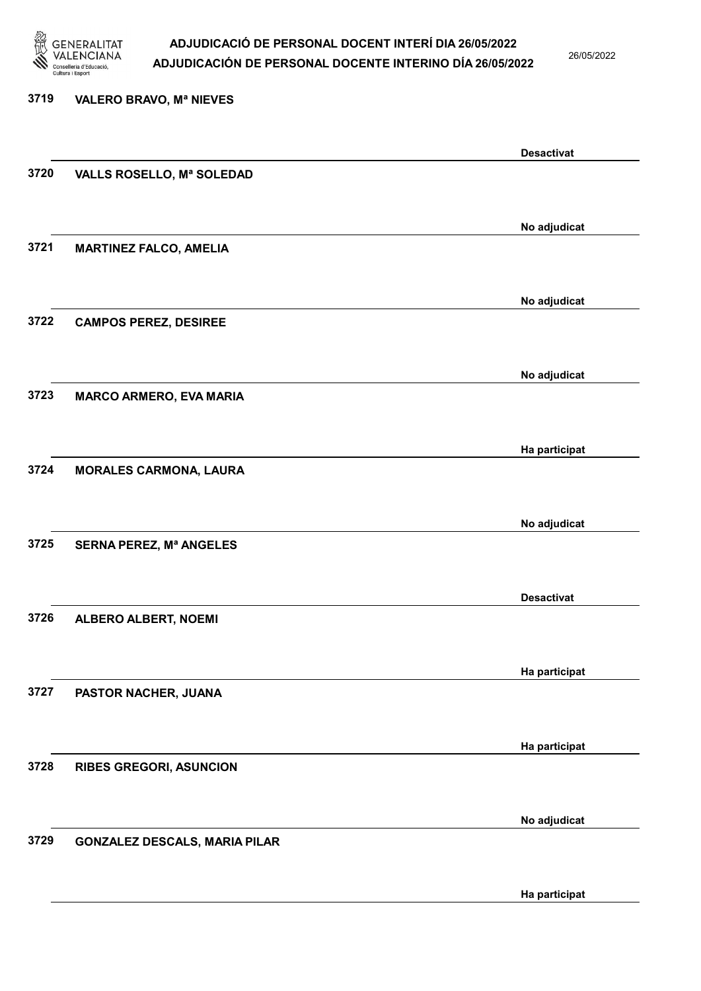

26/05/2022

# 3719 VALERO BRAVO, Mª NIEVES Desactivat 3720 VALLS ROSELLO, Mª SOLEDAD No adjudicat 3721 MARTINEZ FALCO, AMELIA No adjudicat 3722 CAMPOS PEREZ, DESIREE No adjudicat 3723 MARCO ARMERO, EVA MARIA Ha participat 3724 MORALES CARMONA, LAURA No adjudicat 3725 SERNA PEREZ, Mª ANGELES Desactivat 3726 ALBERO ALBERT, NOEMI Ha participat 3727 PASTOR NACHER, JUANA Ha participat 3728 RIBES GREGORI, ASUNCION No adjudicat 3729 GONZALEZ DESCALS, MARIA PILAR

Ha participat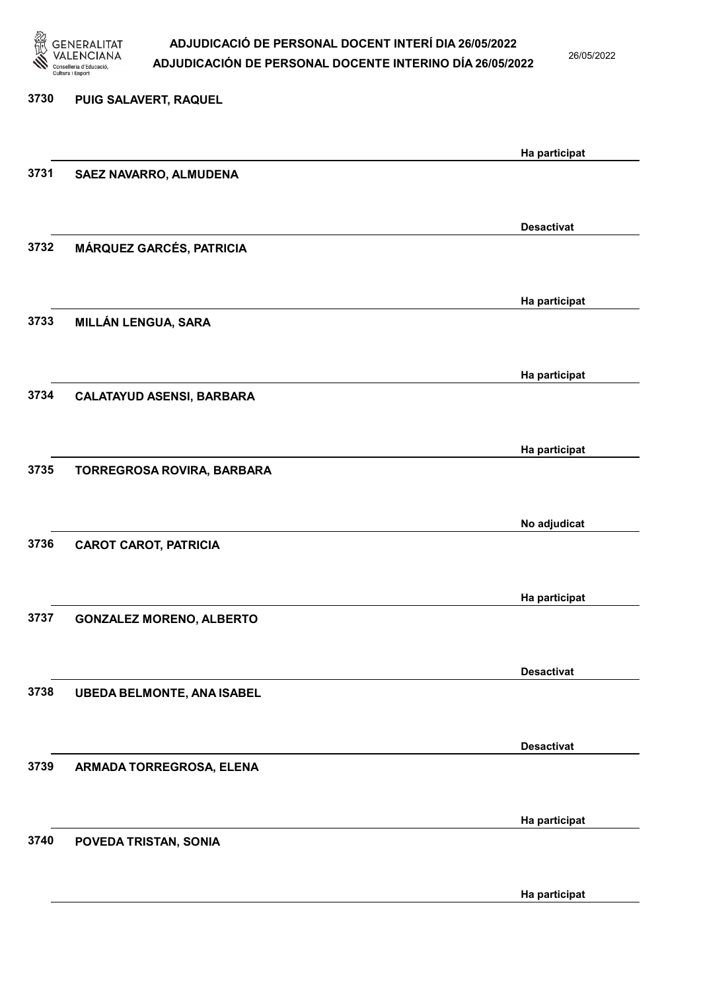

26/05/2022

Ha participat

# 3730 PUIG SALAVERT, RAQUEL Ha participat 3731 SAEZ NAVARRO, ALMUDENA Desactivat 3732 MÁRQUEZ GARCÉS, PATRICIA Ha participat 3733 MILLÁN LENGUA, SARA Ha participat 3734 CALATAYUD ASENSI, BARBARA Ha participat 3735 TORREGROSA ROVIRA, BARBARA No adjudicat 3736 CAROT CAROT, PATRICIA Ha participat 3737 GONZALEZ MORENO, ALBERTO Desactivat 3738 UBEDA BELMONTE, ANA ISABEL Desactivat 3739 ARMADA TORREGROSA, ELENA Ha participat 3740 POVEDA TRISTAN, SONIA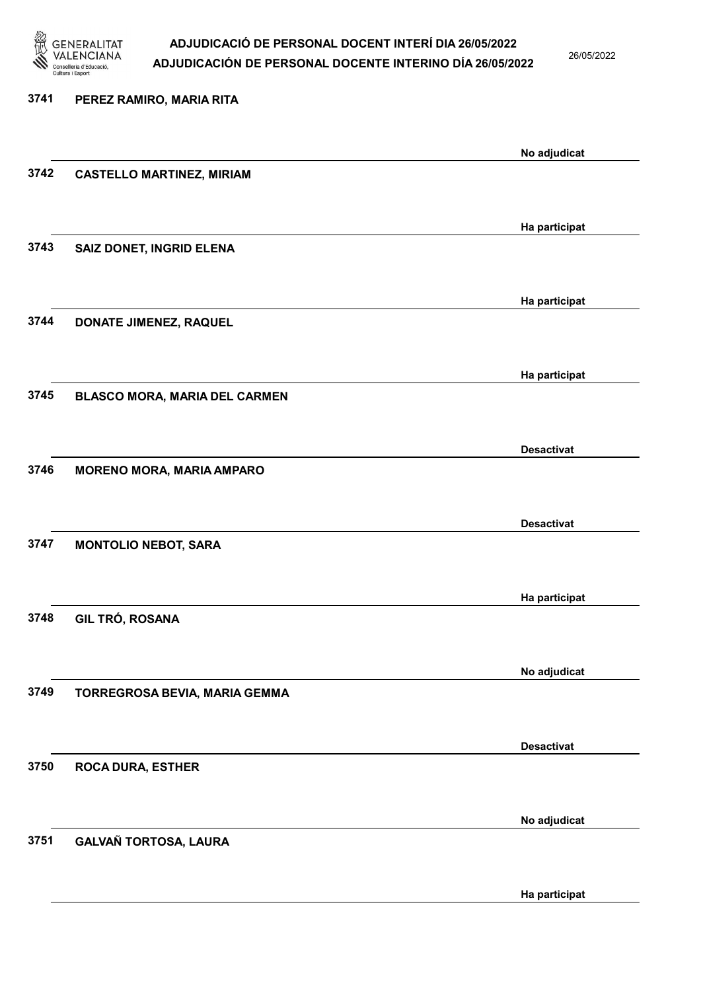

26/05/2022

Ha participat

| 3741 | PEREZ RAMIRO, MARIA RITA         |                   |
|------|----------------------------------|-------------------|
|      |                                  |                   |
| 3742 | <b>CASTELLO MARTINEZ, MIRIAM</b> | No adjudicat      |
|      |                                  |                   |
| 3743 | SAIZ DONET, INGRID ELENA         | Ha participat     |
|      |                                  |                   |
| 3744 | DONATE JIMENEZ, RAQUEL           | Ha participat     |
|      |                                  |                   |
|      |                                  | Ha participat     |
| 3745 | BLASCO MORA, MARIA DEL CARMEN    |                   |
|      |                                  | <b>Desactivat</b> |
| 3746 | <b>MORENO MORA, MARIA AMPARO</b> |                   |
|      |                                  | <b>Desactivat</b> |
| 3747 | <b>MONTOLIO NEBOT, SARA</b>      |                   |
|      |                                  |                   |
| 3748 | <b>GIL TRÓ, ROSANA</b>           | Ha participat     |
|      |                                  |                   |
| 3749 | TORREGROSA BEVIA, MARIA GEMMA    | No adjudicat      |
|      |                                  |                   |
| 3750 | <b>ROCA DURA, ESTHER</b>         | <b>Desactivat</b> |
|      |                                  |                   |
|      |                                  | No adjudicat      |
| 3751 | GALVAÑ TORTOSA, LAURA            |                   |
|      |                                  |                   |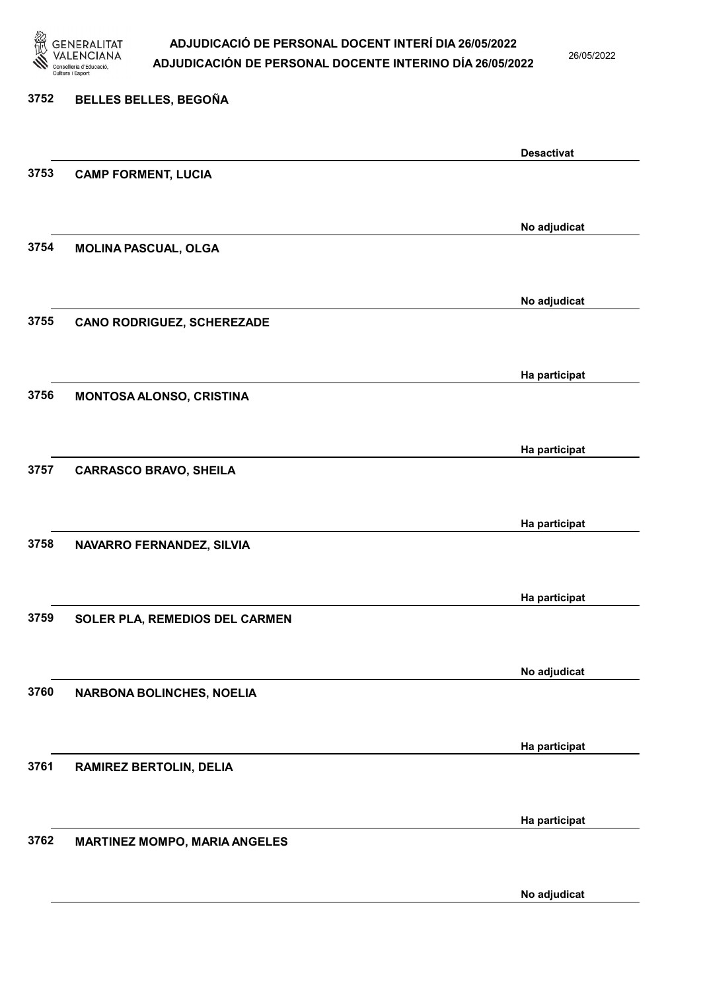

26/05/2022

# 3752 BELLES BELLES, BEGOÑA Desactivat 3753 CAMP FORMENT, LUCIA No adjudicat 3754 MOLINA PASCUAL, OLGA No adjudicat 3755 CANO RODRIGUEZ, SCHEREZADE Ha participat 3756 MONTOSA ALONSO, CRISTINA Ha participat 3757 CARRASCO BRAVO, SHEILA Ha participat 3758 NAVARRO FERNANDEZ, SILVIA Ha participat 3759 SOLER PLA, REMEDIOS DEL CARMEN No adjudicat 3760 NARBONA BOLINCHES, NOELIA Ha participat 3761 RAMIREZ BERTOLIN, DELIA Ha participat 3762 MARTINEZ MOMPO, MARIA ANGELES

No adjudicat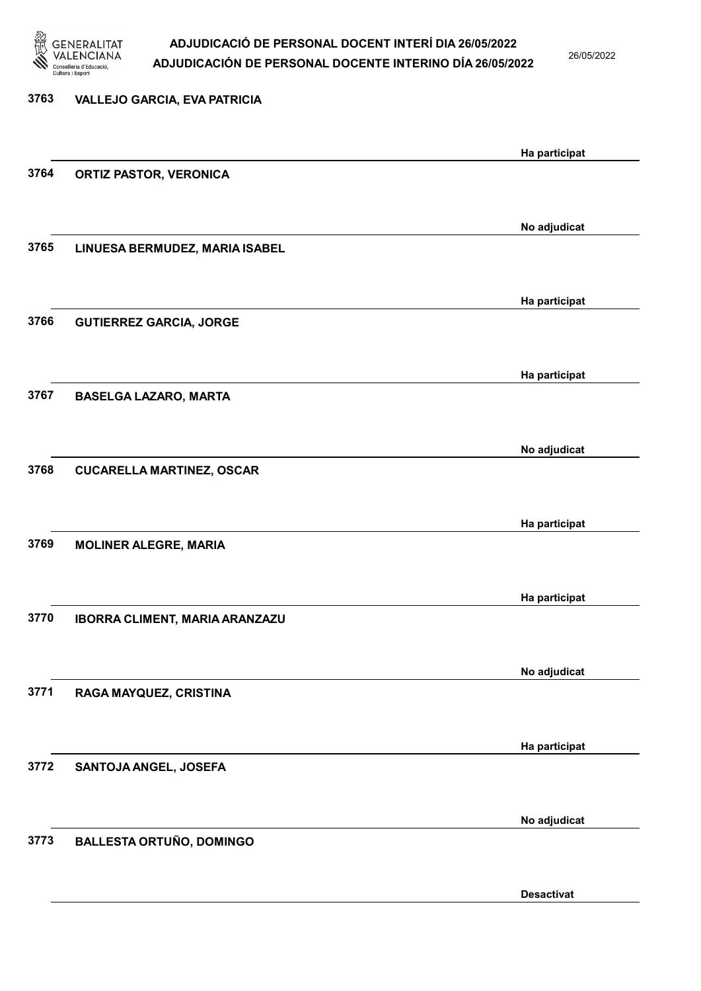

26/05/2022

Desactivat

| 3763 | <b>VALLEJO GARCIA, EVA PATRICIA</b> |               |
|------|-------------------------------------|---------------|
|      |                                     | Ha participat |
| 3764 | <b>ORTIZ PASTOR, VERONICA</b>       |               |
|      |                                     |               |
| 3765 | LINUESA BERMUDEZ, MARIA ISABEL      | No adjudicat  |
|      |                                     |               |
|      |                                     | Ha participat |
| 3766 | <b>GUTIERREZ GARCIA, JORGE</b>      |               |
|      |                                     |               |
|      |                                     | Ha participat |
| 3767 | <b>BASELGA LAZARO, MARTA</b>        |               |
|      |                                     |               |
| 3768 |                                     | No adjudicat  |
|      | <b>CUCARELLA MARTINEZ, OSCAR</b>    |               |
|      |                                     | Ha participat |
| 3769 | <b>MOLINER ALEGRE, MARIA</b>        |               |
|      |                                     |               |
|      |                                     | Ha participat |
| 3770 | IBORRA CLIMENT, MARIA ARANZAZU      |               |
|      |                                     |               |
|      |                                     | No adjudicat  |
| 3771 | RAGA MAYQUEZ, CRISTINA              |               |
|      |                                     |               |
| 3772 | SANTOJA ANGEL, JOSEFA               | Ha participat |
|      |                                     |               |
|      |                                     | No adjudicat  |
| 3773 | <b>BALLESTA ORTUÑO, DOMINGO</b>     |               |
|      |                                     |               |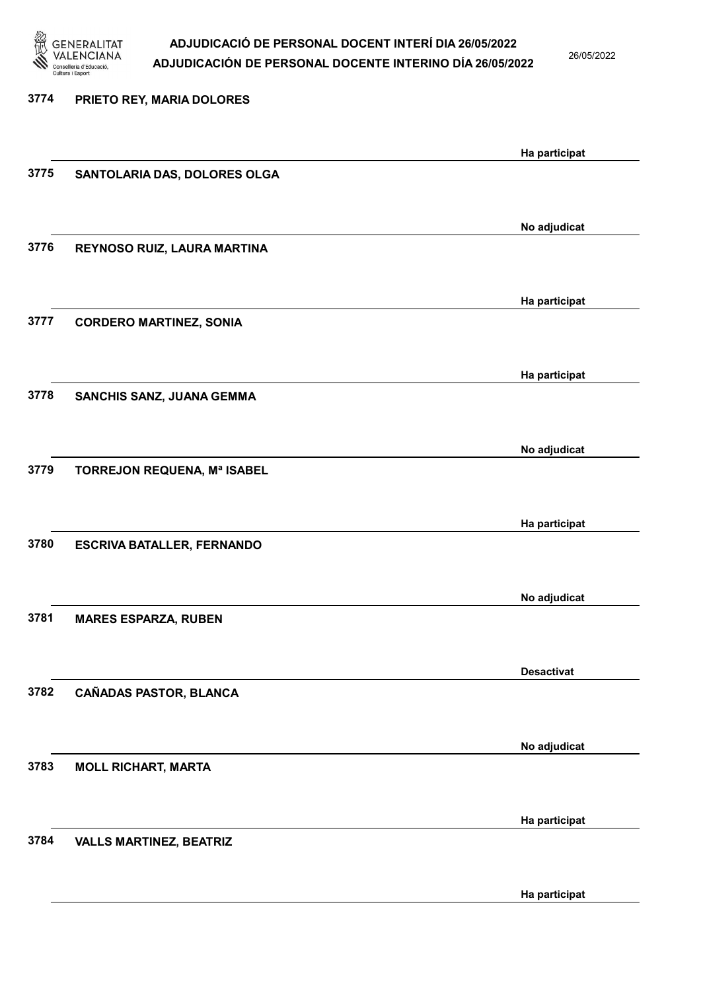

26/05/2022

| 3774 | PRIETO REY, MARIA DOLORES         |                   |
|------|-----------------------------------|-------------------|
|      |                                   | Ha participat     |
| 3775 | SANTOLARIA DAS, DOLORES OLGA      |                   |
|      |                                   | No adjudicat      |
| 3776 | REYNOSO RUIZ, LAURA MARTINA       |                   |
|      |                                   | Ha participat     |
| 3777 | <b>CORDERO MARTINEZ, SONIA</b>    |                   |
|      |                                   | Ha participat     |
| 3778 | SANCHIS SANZ, JUANA GEMMA         |                   |
|      |                                   | No adjudicat      |
| 3779 | TORREJON REQUENA, Mª ISABEL       |                   |
|      |                                   | Ha participat     |
| 3780 | <b>ESCRIVA BATALLER, FERNANDO</b> |                   |
|      |                                   | No adjudicat      |
| 3781 | <b>MARES ESPARZA, RUBEN</b>       |                   |
|      |                                   | <b>Desactivat</b> |
| 3782 | <b>CAÑADAS PASTOR, BLANCA</b>     |                   |
|      |                                   | No adjudicat      |
| 3783 | <b>MOLL RICHART, MARTA</b>        |                   |
|      |                                   | Ha participat     |
| 3784 | <b>VALLS MARTINEZ, BEATRIZ</b>    |                   |
|      |                                   |                   |

Ha participat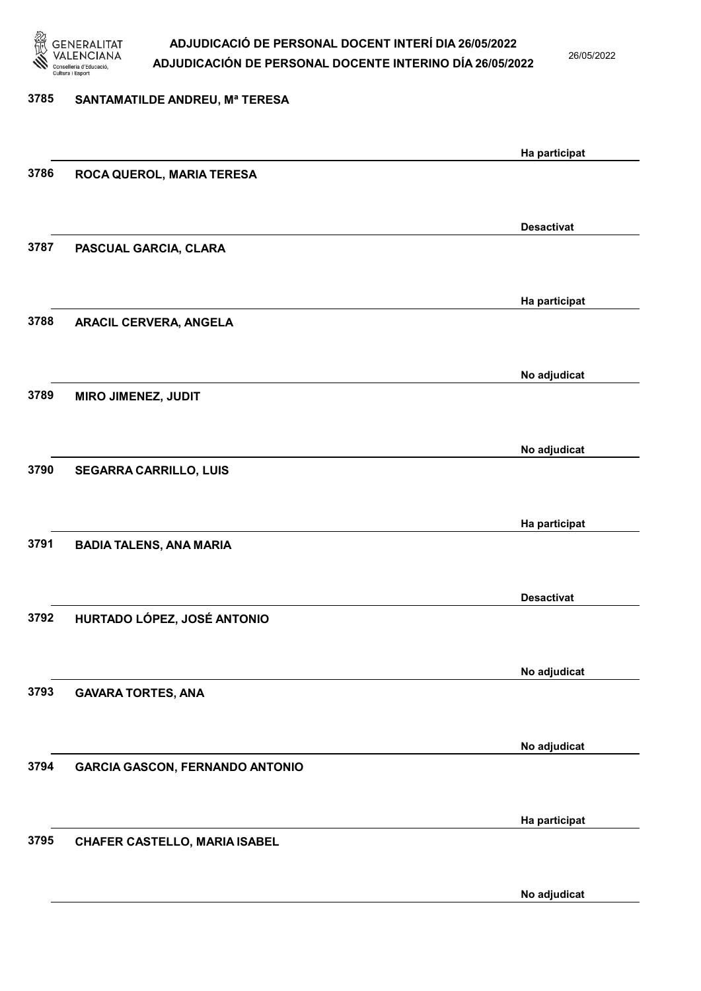

26/05/2022

#### 3785 SANTAMATILDE ANDREU, Mª TERESA

|      |                                        | Ha participat     |
|------|----------------------------------------|-------------------|
| 3786 | ROCA QUEROL, MARIA TERESA              |                   |
|      |                                        |                   |
|      |                                        | <b>Desactivat</b> |
| 3787 | PASCUAL GARCIA, CLARA                  |                   |
|      |                                        |                   |
|      |                                        |                   |
| 3788 | <b>ARACIL CERVERA, ANGELA</b>          | Ha participat     |
|      |                                        |                   |
|      |                                        |                   |
|      |                                        | No adjudicat      |
| 3789 | <b>MIRO JIMENEZ, JUDIT</b>             |                   |
|      |                                        |                   |
|      |                                        | No adjudicat      |
| 3790 | <b>SEGARRA CARRILLO, LUIS</b>          |                   |
|      |                                        |                   |
|      |                                        | Ha participat     |
| 3791 | <b>BADIA TALENS, ANA MARIA</b>         |                   |
|      |                                        |                   |
|      |                                        | <b>Desactivat</b> |
| 3792 | HURTADO LÓPEZ, JOSÉ ANTONIO            |                   |
|      |                                        |                   |
|      |                                        | No adjudicat      |
| 3793 | <b>GAVARA TORTES, ANA</b>              |                   |
|      |                                        |                   |
|      |                                        |                   |
|      |                                        | No adjudicat      |
| 3794 | <b>GARCIA GASCON, FERNANDO ANTONIO</b> |                   |
|      |                                        |                   |
|      |                                        | Ha participat     |
| 3795 | CHAFER CASTELLO, MARIA ISABEL          |                   |
|      |                                        |                   |
|      |                                        | No adjudicat      |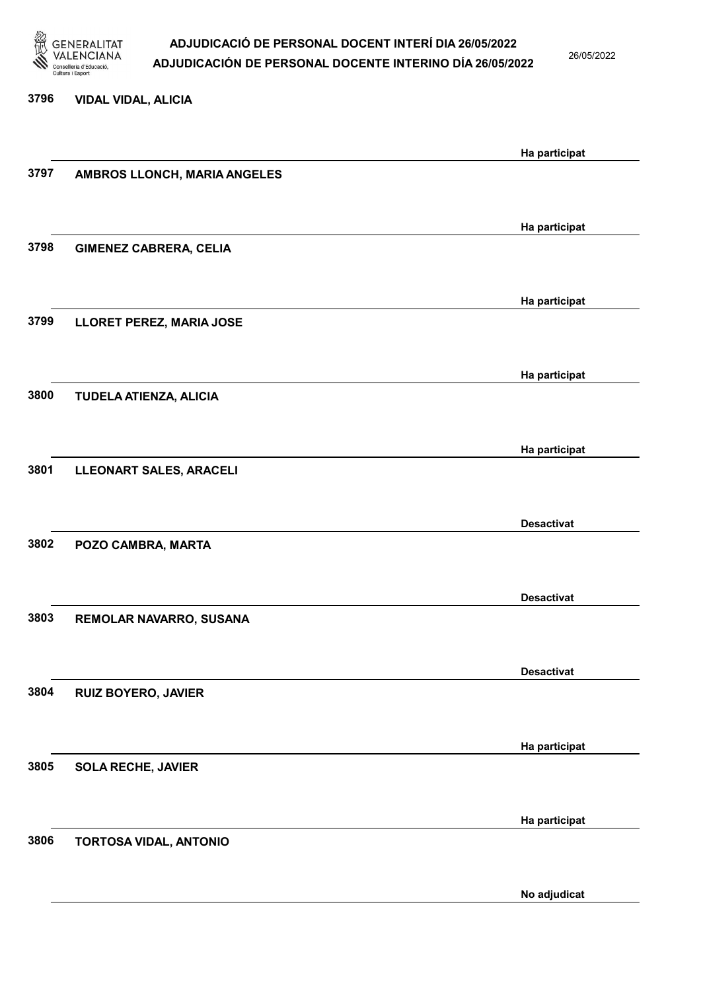

26/05/2022

## 3796 VIDAL VIDAL, ALICIA Ha participat 3797 AMBROS LLONCH, MARIA ANGELES Ha participat 3798 GIMENEZ CABRERA, CELIA Ha participat 3799 LLORET PEREZ, MARIA JOSE Ha participat 3800 TUDELA ATIENZA, ALICIA Ha participat 3801 LLEONART SALES, ARACELI Desactivat 3802 POZO CAMBRA, MARTA Desactivat 3803 REMOLAR NAVARRO, SUSANA Desactivat 3804 RUIZ BOYERO, JAVIER Ha participat 3805 SOLA RECHE, JAVIER Ha participat 3806 TORTOSA VIDAL, ANTONIO

No adjudicat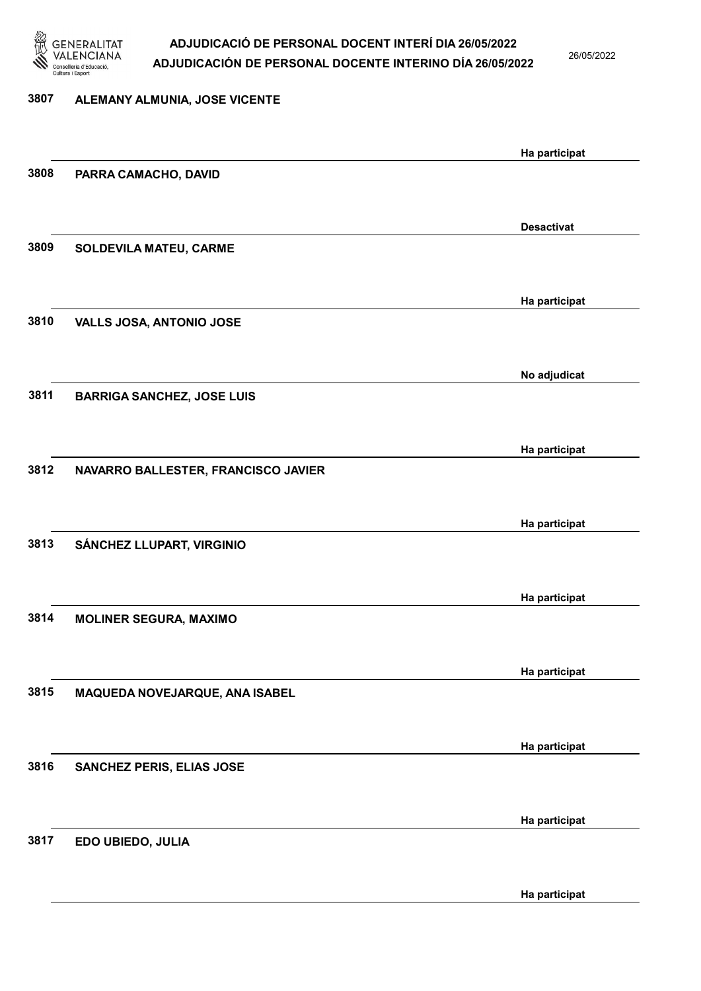

26/05/2022

| 3807 | ALEMANY ALMUNIA, JOSE VICENTE       |                   |
|------|-------------------------------------|-------------------|
|      |                                     | Ha participat     |
| 3808 | PARRA CAMACHO, DAVID                |                   |
|      |                                     | <b>Desactivat</b> |
| 3809 | SOLDEVILA MATEU, CARME              |                   |
|      |                                     | Ha participat     |
| 3810 | VALLS JOSA, ANTONIO JOSE            |                   |
|      |                                     | No adjudicat      |
| 3811 | <b>BARRIGA SANCHEZ, JOSE LUIS</b>   |                   |
|      |                                     | Ha participat     |
| 3812 | NAVARRO BALLESTER, FRANCISCO JAVIER |                   |
|      |                                     | Ha participat     |
| 3813 | SÁNCHEZ LLUPART, VIRGINIO           |                   |
|      |                                     | Ha participat     |
| 3814 | <b>MOLINER SEGURA, MAXIMO</b>       |                   |
|      |                                     | Ha participat     |
| 3815 | MAQUEDA NOVEJARQUE, ANA ISABEL      |                   |
|      |                                     | Ha participat     |
| 3816 | <b>SANCHEZ PERIS, ELIAS JOSE</b>    |                   |
| 3817 |                                     | Ha participat     |
|      | EDO UBIEDO, JULIA                   |                   |

Ha participat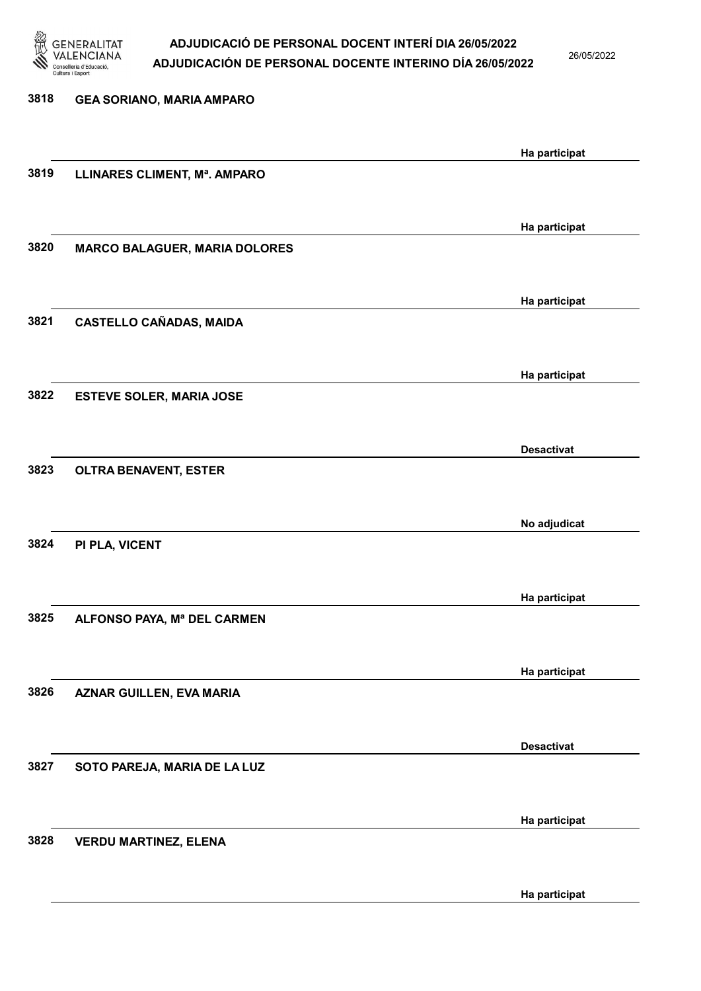

26/05/2022

| 3818 | <b>GEA SORIANO, MARIA AMPARO</b>     |                   |
|------|--------------------------------------|-------------------|
|      |                                      | Ha participat     |
| 3819 | LLINARES CLIMENT, Mª. AMPARO         |                   |
|      |                                      | Ha participat     |
| 3820 | <b>MARCO BALAGUER, MARIA DOLORES</b> |                   |
|      |                                      | Ha participat     |
| 3821 | <b>CASTELLO CAÑADAS, MAIDA</b>       |                   |
|      |                                      | Ha participat     |
| 3822 | <b>ESTEVE SOLER, MARIA JOSE</b>      |                   |
|      |                                      | <b>Desactivat</b> |
| 3823 | <b>OLTRA BENAVENT, ESTER</b>         |                   |
| 3824 |                                      | No adjudicat      |
|      | PI PLA, VICENT                       |                   |
| 3825 | ALFONSO PAYA, Mª DEL CARMEN          | Ha participat     |
|      |                                      |                   |
| 3826 | <b>AZNAR GUILLEN, EVA MARIA</b>      | Ha participat     |
|      |                                      |                   |
| 3827 | SOTO PAREJA, MARIA DE LA LUZ         | <b>Desactivat</b> |
|      |                                      |                   |
| 3828 | <b>VERDU MARTINEZ, ELENA</b>         | Ha participat     |
|      |                                      |                   |
|      |                                      | Ha participat     |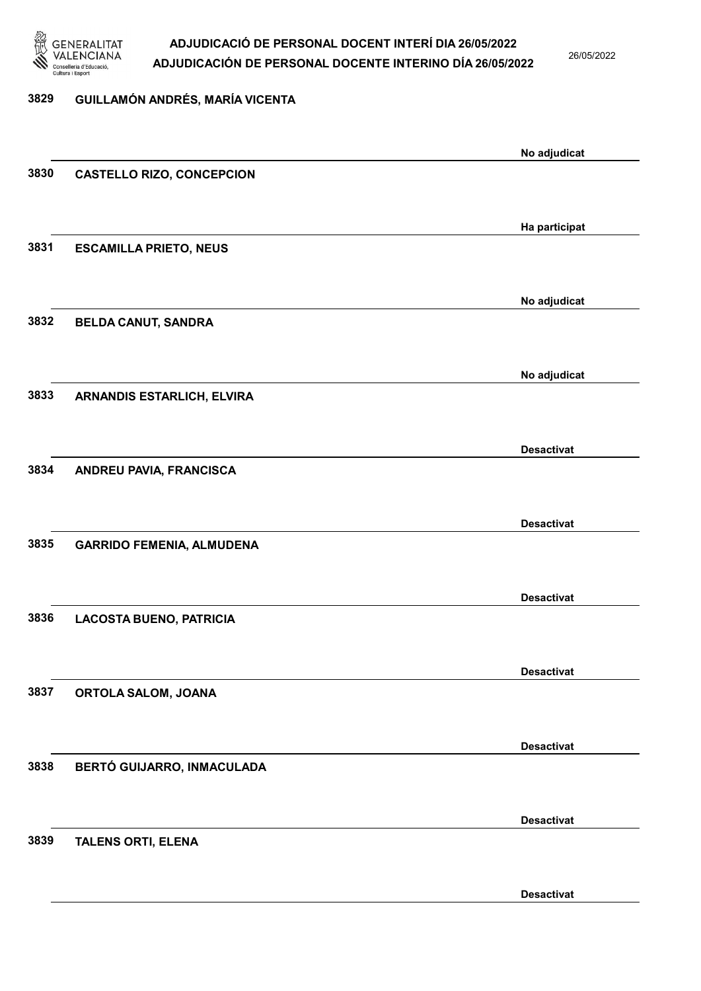

26/05/2022

#### 3829 GUILLAMÓN ANDRÉS, MARÍA VICENTA

|      |                                   | No adjudicat      |
|------|-----------------------------------|-------------------|
| 3830 | <b>CASTELLO RIZO, CONCEPCION</b>  |                   |
|      |                                   |                   |
|      |                                   | Ha participat     |
| 3831 | <b>ESCAMILLA PRIETO, NEUS</b>     |                   |
|      |                                   |                   |
|      |                                   |                   |
| 3832 | <b>BELDA CANUT, SANDRA</b>        | No adjudicat      |
|      |                                   |                   |
|      |                                   |                   |
|      |                                   | No adjudicat      |
| 3833 | <b>ARNANDIS ESTARLICH, ELVIRA</b> |                   |
|      |                                   |                   |
|      |                                   | <b>Desactivat</b> |
| 3834 | ANDREU PAVIA, FRANCISCA           |                   |
|      |                                   |                   |
|      |                                   | <b>Desactivat</b> |
| 3835 | <b>GARRIDO FEMENIA, ALMUDENA</b>  |                   |
|      |                                   |                   |
|      |                                   | <b>Desactivat</b> |
| 3836 | <b>LACOSTA BUENO, PATRICIA</b>    |                   |
|      |                                   |                   |
|      |                                   | <b>Desactivat</b> |
| 3837 | ORTOLA SALOM, JOANA               |                   |
|      |                                   |                   |
|      |                                   | <b>Desactivat</b> |
| 3838 | BERTÓ GUIJARRO, INMACULADA        |                   |
|      |                                   |                   |
|      |                                   | <b>Desactivat</b> |
| 3839 | <b>TALENS ORTI, ELENA</b>         |                   |
|      |                                   |                   |
|      |                                   |                   |
|      |                                   | <b>Desactivat</b> |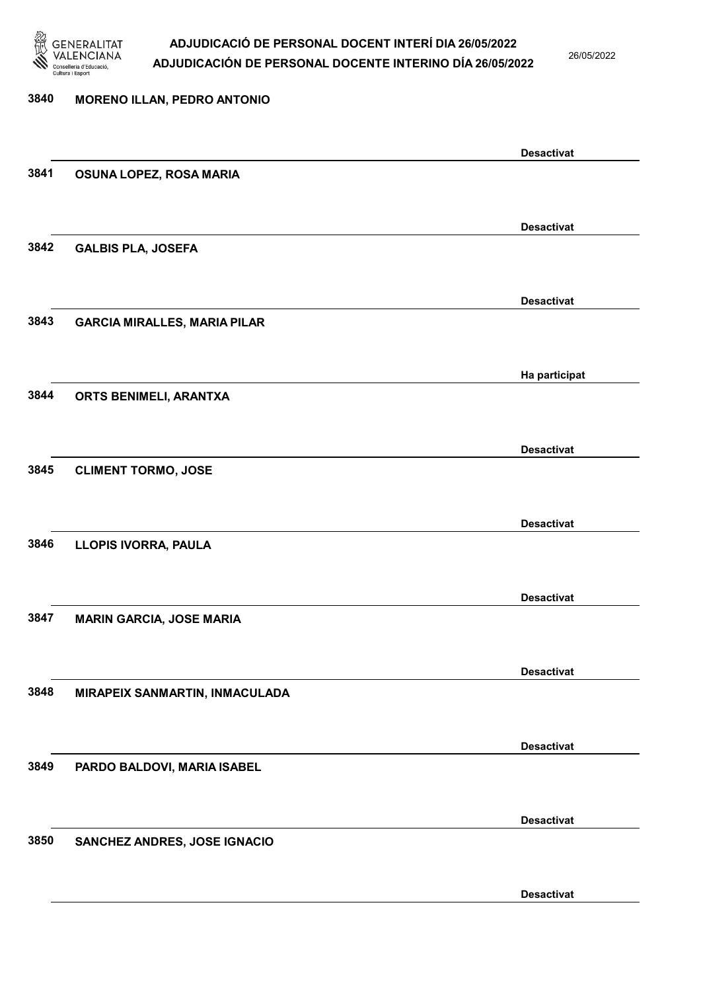

26/05/2022

## 3840 MORENO ILLAN, PEDRO ANTONIO Desactivat 3841 OSUNA LOPEZ, ROSA MARIA Desactivat 3842 GALBIS PLA, JOSEFA Desactivat 3843 GARCIA MIRALLES, MARIA PILAR Ha participat 3844 ORTS BENIMELI, ARANTXA Desactivat 3845 CLIMENT TORMO, JOSE Desactivat 3846 LLOPIS IVORRA, PAULA Desactivat 3847 MARIN GARCIA, JOSE MARIA Desactivat 3848 MIRAPEIX SANMARTIN, INMACULADA Desactivat 3849 PARDO BALDOVI, MARIA ISABEL Desactivat 3850 SANCHEZ ANDRES, JOSE IGNACIO Desactivat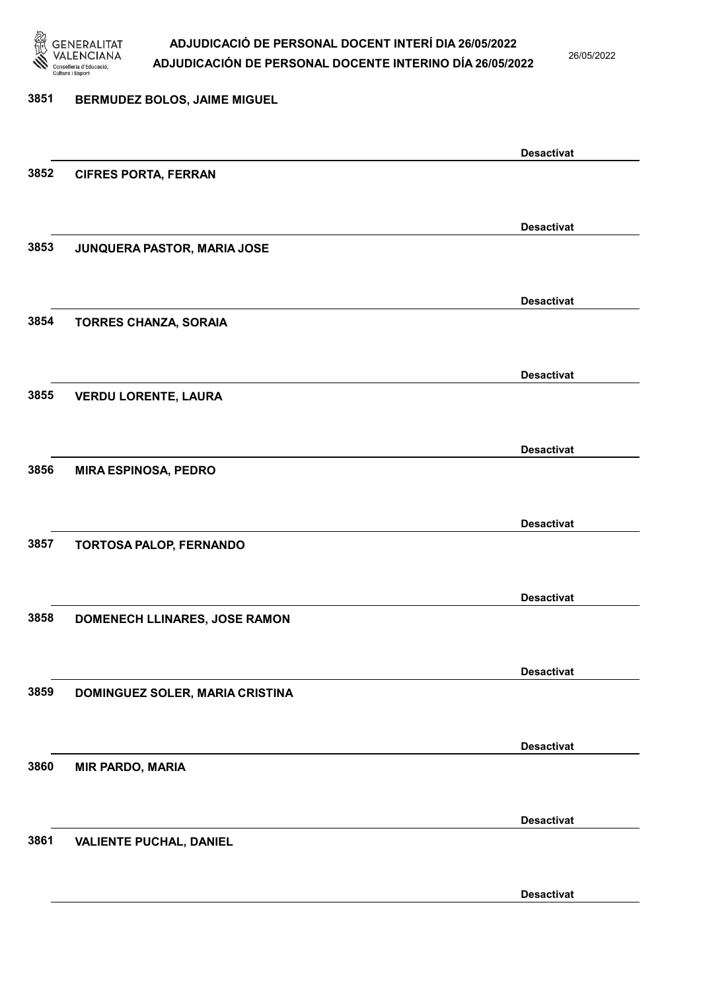

26/05/2022

#### 3851 BERMUDEZ BOLOS, JAIME MIGUEL

|      |                                 | <b>Desactivat</b> |
|------|---------------------------------|-------------------|
| 3852 | <b>CIFRES PORTA, FERRAN</b>     |                   |
|      |                                 |                   |
|      |                                 | <b>Desactivat</b> |
| 3853 | JUNQUERA PASTOR, MARIA JOSE     |                   |
|      |                                 |                   |
|      |                                 |                   |
|      |                                 | <b>Desactivat</b> |
| 3854 | <b>TORRES CHANZA, SORAIA</b>    |                   |
|      |                                 |                   |
|      |                                 | <b>Desactivat</b> |
| 3855 | <b>VERDU LORENTE, LAURA</b>     |                   |
|      |                                 |                   |
|      |                                 | <b>Desactivat</b> |
| 3856 | <b>MIRA ESPINOSA, PEDRO</b>     |                   |
|      |                                 |                   |
|      |                                 |                   |
| 3857 |                                 | <b>Desactivat</b> |
|      | TORTOSA PALOP, FERNANDO         |                   |
|      |                                 |                   |
|      |                                 | <b>Desactivat</b> |
| 3858 | DOMENECH LLINARES, JOSE RAMON   |                   |
|      |                                 |                   |
|      |                                 | <b>Desactivat</b> |
| 3859 | DOMINGUEZ SOLER, MARIA CRISTINA |                   |
|      |                                 |                   |
|      |                                 | <b>Desactivat</b> |
| 3860 | <b>MIR PARDO, MARIA</b>         |                   |
|      |                                 |                   |
|      |                                 |                   |
|      |                                 | <b>Desactivat</b> |
| 3861 | <b>VALIENTE PUCHAL, DANIEL</b>  |                   |
|      |                                 |                   |
|      |                                 | <b>Desactivat</b> |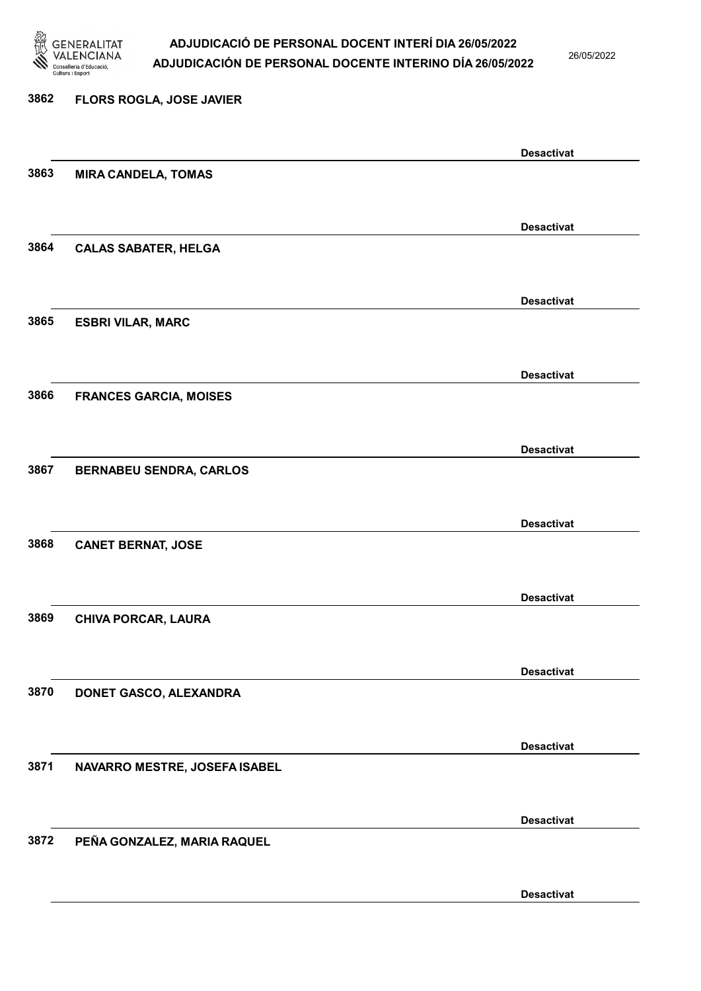

26/05/2022

Desactivat

# 3862 FLORS ROGLA, JOSE JAVIER Desactivat 3863 MIRA CANDELA, TOMAS Desactivat 3864 CALAS SABATER, HELGA Desactivat 3865 ESBRI VILAR, MARC Desactivat 3866 FRANCES GARCIA, MOISES Desactivat 3867 BERNABEU SENDRA, CARLOS Desactivat 3868 CANET BERNAT, JOSE Desactivat 3869 CHIVA PORCAR, LAURA Desactivat 3870 DONET GASCO, ALEXANDRA Desactivat 3871 NAVARRO MESTRE, JOSEFA ISABEL Desactivat 3872 PEÑA GONZALEZ, MARIA RAQUEL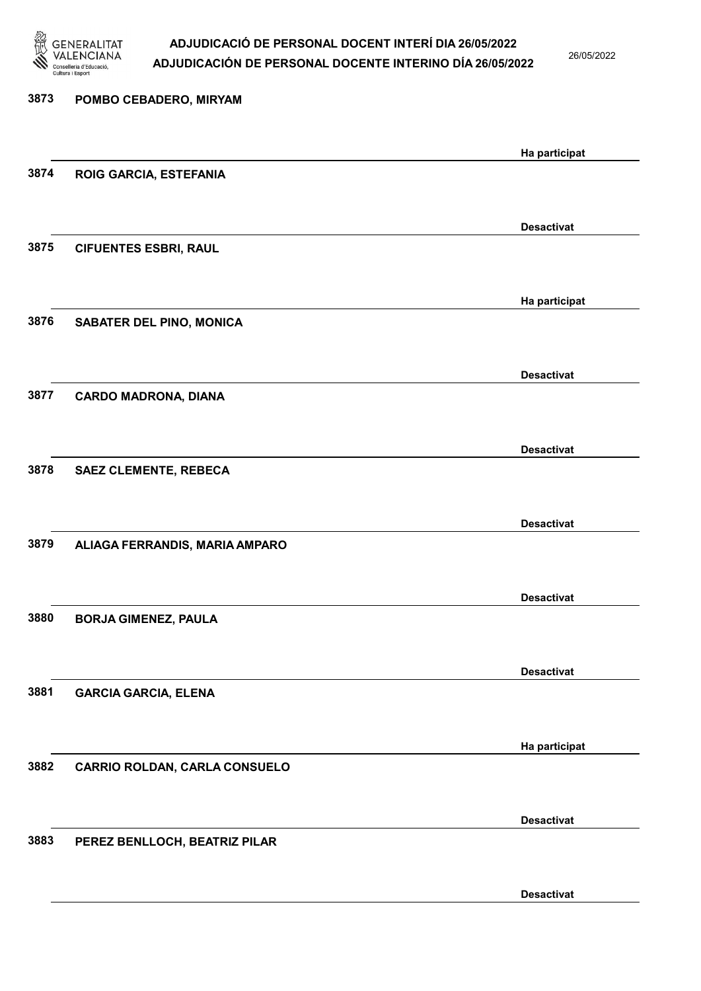

26/05/2022

| 3873 | POMBO CEBADERO, MIRYAM         |                   |
|------|--------------------------------|-------------------|
|      |                                | Ha participat     |
| 3874 | ROIG GARCIA, ESTEFANIA         |                   |
|      |                                | <b>Desactivat</b> |
| 3875 | <b>CIFUENTES ESBRI, RAUL</b>   |                   |
|      |                                | Ha participat     |
| 3876 | SABATER DEL PINO, MONICA       |                   |
|      |                                | <b>Desactivat</b> |
| 3877 | <b>CARDO MADRONA, DIANA</b>    |                   |
|      |                                | <b>Desactivat</b> |
| 3878 | <b>SAEZ CLEMENTE, REBECA</b>   |                   |
|      |                                | <b>Desactivat</b> |
| 3879 | ALIAGA FERRANDIS, MARIA AMPARO |                   |
|      |                                | <b>Desactivat</b> |
| 3880 | <b>BORJA GIMENEZ, PAULA</b>    |                   |
|      |                                | <b>Desactivat</b> |
| 3881 | <b>GARCIA GARCIA, ELENA</b>    |                   |
|      |                                | Ha participat     |
| 3882 | CARRIO ROLDAN, CARLA CONSUELO  |                   |
|      |                                | <b>Desactivat</b> |
| 3883 | PEREZ BENLLOCH, BEATRIZ PILAR  |                   |
|      |                                | <b>Desactivat</b> |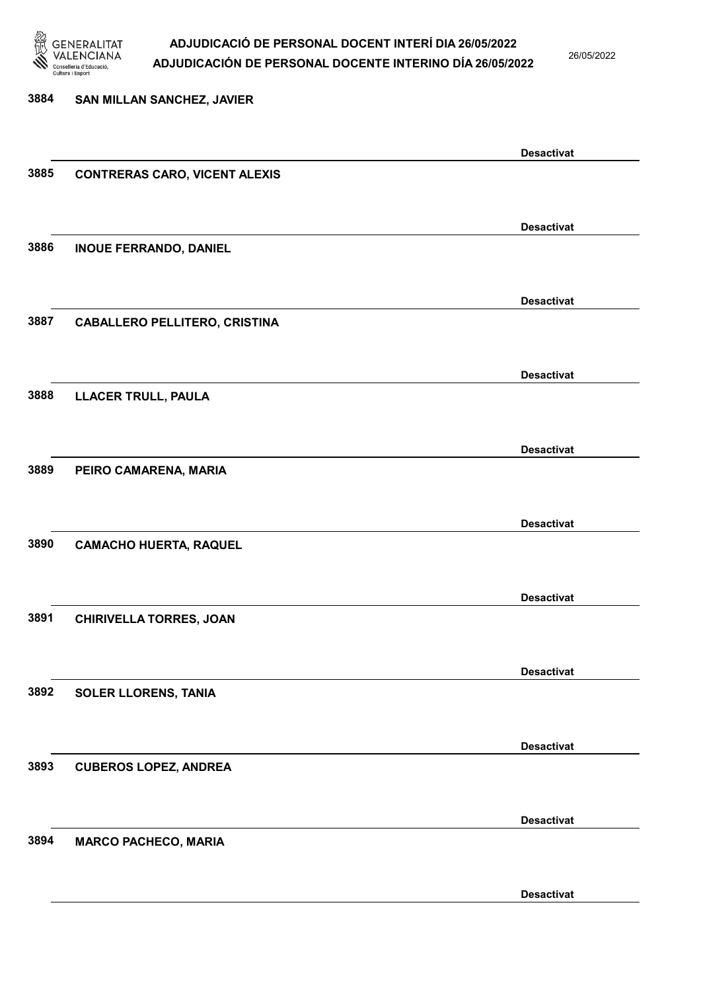

26/05/2022

Desactivat

# 3884 SAN MILLAN SANCHEZ, JAVIER Desactivat 3885 CONTRERAS CARO, VICENT ALEXIS Desactivat 3886 INOUE FERRANDO, DANIEL Desactivat 3887 CABALLERO PELLITERO, CRISTINA Desactivat 3888 LLACER TRULL, PAULA Desactivat 3889 PEIRO CAMARENA, MARIA Desactivat 3890 CAMACHO HUERTA, RAQUEL Desactivat 3891 CHIRIVELLA TORRES, JOAN Desactivat 3892 SOLER LLORENS, TANIA Desactivat 3893 CUBEROS LOPEZ, ANDREA Desactivat 3894 MARCO PACHECO, MARIA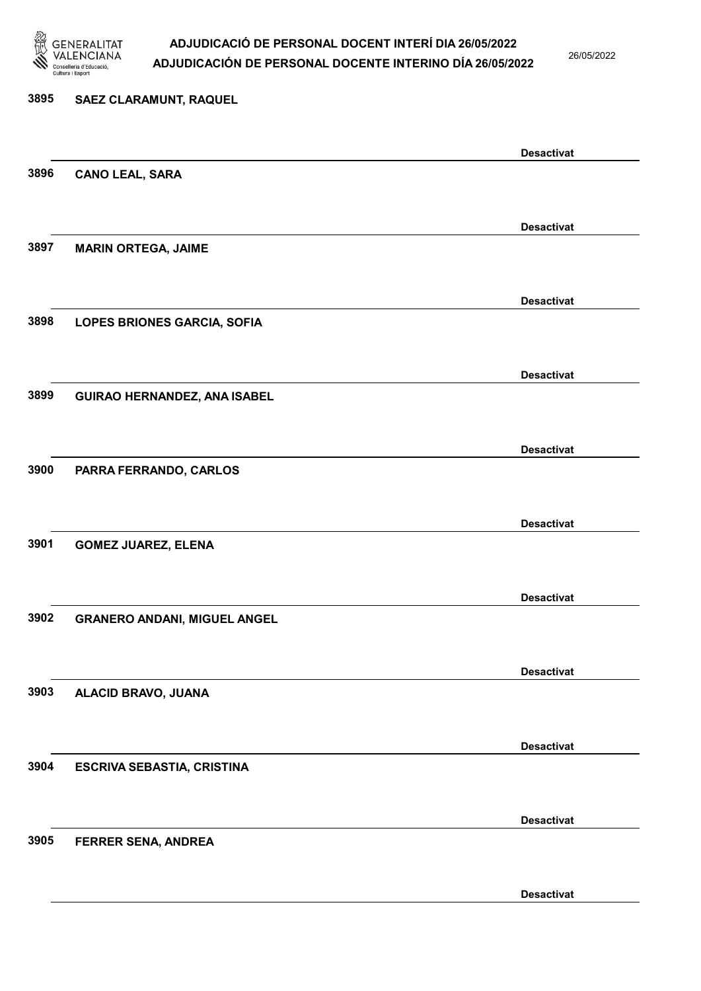

26/05/2022

Desactivat

# 3895 SAEZ CLARAMUNT, RAQUEL Desactivat 3896 CANO LEAL, SARA Desactivat 3897 MARIN ORTEGA, JAIME Desactivat 3898 LOPES BRIONES GARCIA, SOFIA Desactivat 3899 GUIRAO HERNANDEZ, ANA ISABEL Desactivat 3900 PARRA FERRANDO, CARLOS Desactivat 3901 GOMEZ JUAREZ, ELENA Desactivat 3902 GRANERO ANDANI, MIGUEL ANGEL Desactivat 3903 ALACID BRAVO, JUANA Desactivat 3904 ESCRIVA SEBASTIA, CRISTINA Desactivat 3905 FERRER SENA, ANDREA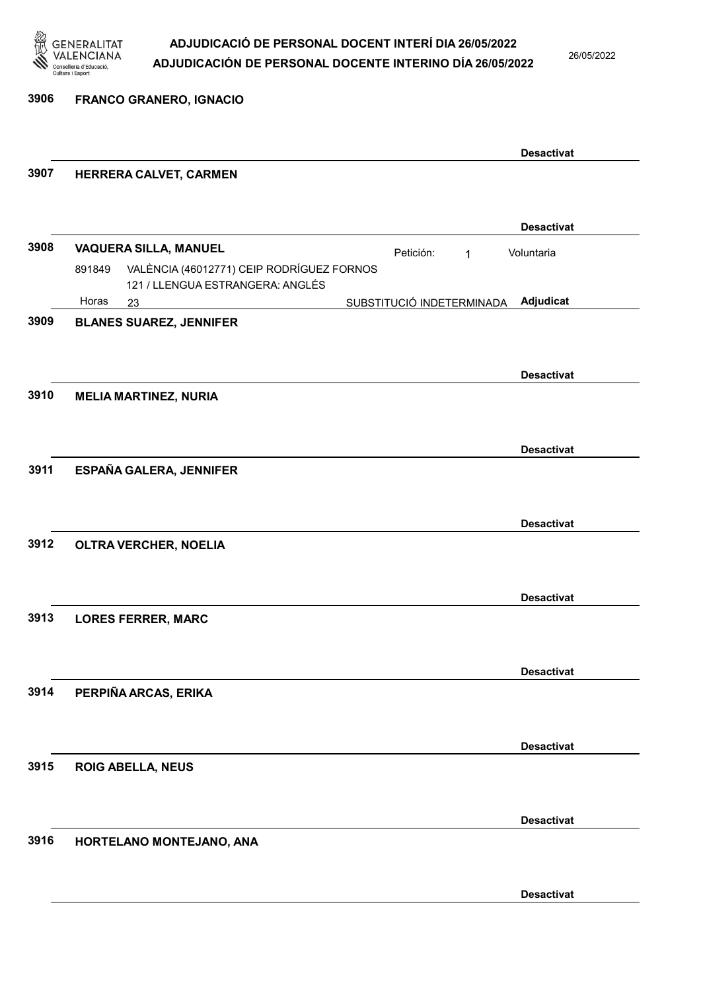

26/05/2022

3906 FRANCO GRANERO, IGNACIO

|      |                                                     |                           |   | <b>Desactivat</b> |  |
|------|-----------------------------------------------------|---------------------------|---|-------------------|--|
| 3907 | HERRERA CALVET, CARMEN                              |                           |   |                   |  |
|      |                                                     |                           |   |                   |  |
|      |                                                     |                           |   |                   |  |
|      |                                                     |                           |   | <b>Desactivat</b> |  |
| 3908 | <b>VAQUERA SILLA, MANUEL</b>                        | Petición:                 | 1 | Voluntaria        |  |
|      | VALÈNCIA (46012771) CEIP RODRÍGUEZ FORNOS<br>891849 |                           |   |                   |  |
|      | 121 / LLENGUA ESTRANGERA: ANGLÉS<br>Horas<br>23     | SUBSTITUCIÓ INDETERMINADA |   | Adjudicat         |  |
| 3909 | <b>BLANES SUAREZ, JENNIFER</b>                      |                           |   |                   |  |
|      |                                                     |                           |   |                   |  |
|      |                                                     |                           |   |                   |  |
|      |                                                     |                           |   | <b>Desactivat</b> |  |
| 3910 | <b>MELIA MARTINEZ, NURIA</b>                        |                           |   |                   |  |
|      |                                                     |                           |   |                   |  |
|      |                                                     |                           |   |                   |  |
|      |                                                     |                           |   | <b>Desactivat</b> |  |
| 3911 | ESPAÑA GALERA, JENNIFER                             |                           |   |                   |  |
|      |                                                     |                           |   |                   |  |
|      |                                                     |                           |   | <b>Desactivat</b> |  |
| 3912 |                                                     |                           |   |                   |  |
|      | OLTRA VERCHER, NOELIA                               |                           |   |                   |  |
|      |                                                     |                           |   |                   |  |
|      |                                                     |                           |   | <b>Desactivat</b> |  |
| 3913 | <b>LORES FERRER, MARC</b>                           |                           |   |                   |  |
|      |                                                     |                           |   |                   |  |
|      |                                                     |                           |   |                   |  |
|      |                                                     |                           |   | <b>Desactivat</b> |  |
| 3914 | PERPIÑA ARCAS, ERIKA                                |                           |   |                   |  |
|      |                                                     |                           |   |                   |  |
|      |                                                     |                           |   | <b>Desactivat</b> |  |
| 3915 |                                                     |                           |   |                   |  |
|      | <b>ROIG ABELLA, NEUS</b>                            |                           |   |                   |  |
|      |                                                     |                           |   |                   |  |
|      |                                                     |                           |   | <b>Desactivat</b> |  |
| 3916 | HORTELANO MONTEJANO, ANA                            |                           |   |                   |  |
|      |                                                     |                           |   |                   |  |
|      |                                                     |                           |   |                   |  |
|      |                                                     |                           |   | <b>Desactivat</b> |  |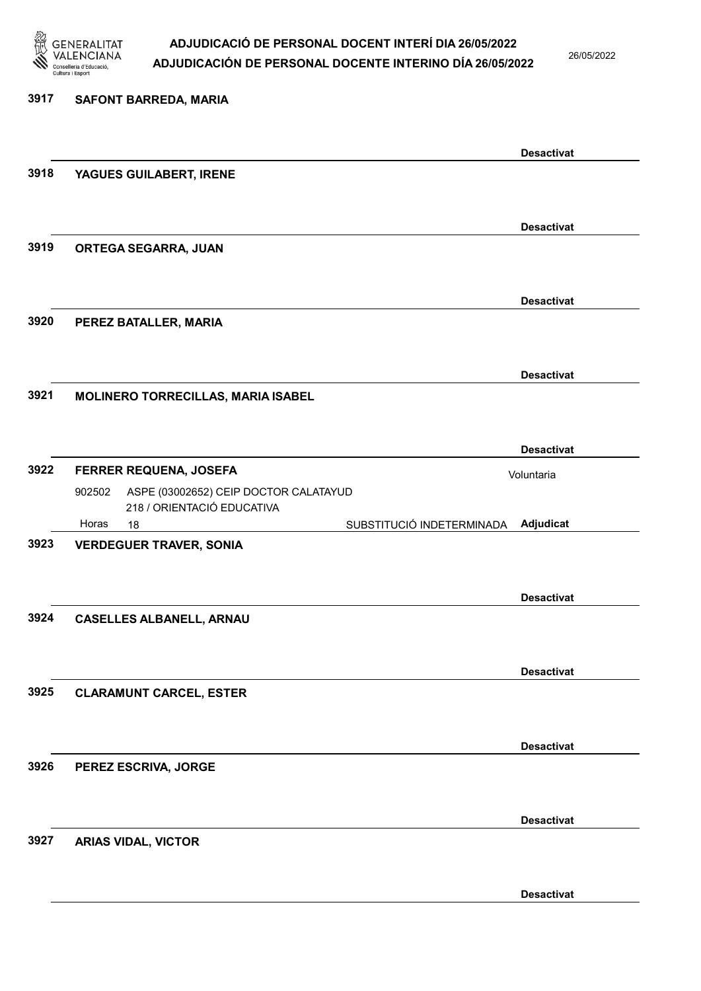

26/05/2022

### 3917 SAFONT BARREDA, MARIA Desactivat 3918 YAGUES GUILABERT, IRENE Desactivat 3919 ORTEGA SEGARRA, JUAN Desactivat 3920 PEREZ BATALLER, MARIA Desactivat 3921 MOLINERO TORRECILLAS, MARIA ISABEL Desactivat 3922 FERRER REQUENA, JOSEFA 18 SUBSTITUCIÓ INDETERMINADA ASPE (03002652) CEIP DOCTOR CALATAYUD 218 / ORIENTACIÓ EDUCATIVA Adjudicat Voluntaria 902502 Horas 3923 VERDEGUER TRAVER, SONIA Desactivat 3924 CASELLES ALBANELL, ARNAU Desactivat 3925 CLARAMUNT CARCEL, ESTER Desactivat 3926 PEREZ ESCRIVA, JORGE Desactivat 3927 ARIAS VIDAL, VICTOR

Desactivat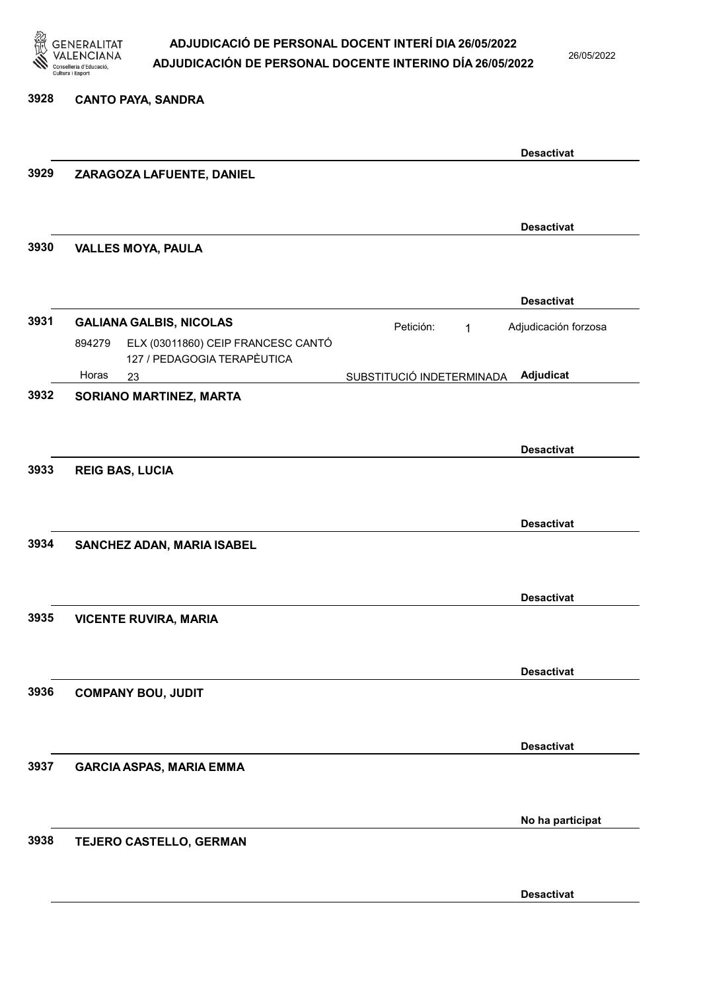

3928 CANTO PAYA, SANDRA

#### ADJUDICACIÓ DE PERSONAL DOCENT INTERÍ DIA 26/05/2022 ADJUDICACIÓN DE PERSONAL DOCENTE INTERINO DÍA 26/05/2022

26/05/2022

|      |                                                                             | <b>Desactivat</b>                      |
|------|-----------------------------------------------------------------------------|----------------------------------------|
| 3929 | ZARAGOZA LAFUENTE, DANIEL                                                   |                                        |
|      |                                                                             | <b>Desactivat</b>                      |
| 3930 | <b>VALLES MOYA, PAULA</b>                                                   |                                        |
|      |                                                                             | <b>Desactivat</b>                      |
| 3931 | <b>GALIANA GALBIS, NICOLAS</b>                                              | Adjudicación forzosa<br>Petición:<br>1 |
|      | ELX (03011860) CEIP FRANCESC CANTÓ<br>894279<br>127 / PEDAGOGIA TERAPÈUTICA |                                        |
|      | Horas<br>23                                                                 | Adjudicat<br>SUBSTITUCIÓ INDETERMINADA |
| 3932 | SORIANO MARTINEZ, MARTA                                                     |                                        |
|      |                                                                             |                                        |
| 3933 | <b>REIG BAS, LUCIA</b>                                                      | <b>Desactivat</b>                      |
|      |                                                                             |                                        |
|      |                                                                             | <b>Desactivat</b>                      |
| 3934 | SANCHEZ ADAN, MARIA ISABEL                                                  |                                        |
|      |                                                                             |                                        |
|      |                                                                             | <b>Desactivat</b>                      |
| 3935 | <b>VICENTE RUVIRA, MARIA</b>                                                |                                        |
|      |                                                                             | <b>Desactivat</b>                      |
| 3936 | <b>COMPANY BOU, JUDIT</b>                                                   |                                        |
|      |                                                                             |                                        |
|      |                                                                             | <b>Desactivat</b>                      |
| 3937 | <b>GARCIA ASPAS, MARIA EMMA</b>                                             |                                        |
|      |                                                                             |                                        |
|      |                                                                             | No ha participat                       |
| 3938 | TEJERO CASTELLO, GERMAN                                                     |                                        |
|      |                                                                             |                                        |
|      |                                                                             | <b>Desactivat</b>                      |